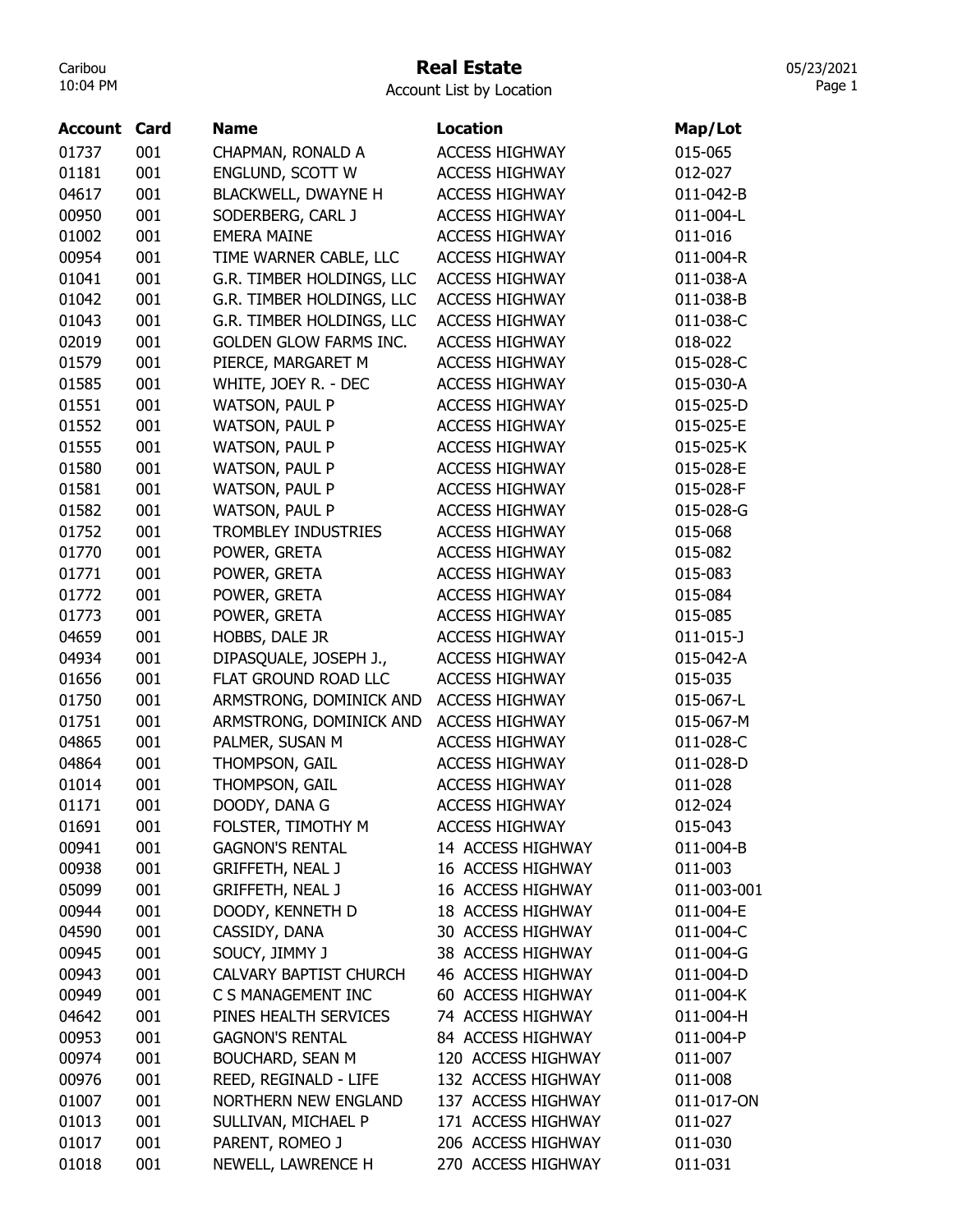# Real Estate

05/23/2021 Page 1

| <b>Account Card</b> |     | <b>Name</b>                   | <b>Location</b>       | Map/Lot         |
|---------------------|-----|-------------------------------|-----------------------|-----------------|
| 01737               | 001 | CHAPMAN, RONALD A             | <b>ACCESS HIGHWAY</b> | 015-065         |
| 01181               | 001 | ENGLUND, SCOTT W              | <b>ACCESS HIGHWAY</b> | 012-027         |
| 04617               | 001 | <b>BLACKWELL, DWAYNE H</b>    | <b>ACCESS HIGHWAY</b> | 011-042-B       |
| 00950               | 001 | SODERBERG, CARL J             | <b>ACCESS HIGHWAY</b> | 011-004-L       |
| 01002               | 001 | <b>EMERA MAINE</b>            | <b>ACCESS HIGHWAY</b> | 011-016         |
| 00954               | 001 | TIME WARNER CABLE, LLC        | <b>ACCESS HIGHWAY</b> | 011-004-R       |
| 01041               | 001 | G.R. TIMBER HOLDINGS, LLC     | <b>ACCESS HIGHWAY</b> | 011-038-A       |
| 01042               | 001 | G.R. TIMBER HOLDINGS, LLC     | <b>ACCESS HIGHWAY</b> | 011-038-B       |
| 01043               | 001 | G.R. TIMBER HOLDINGS, LLC     | <b>ACCESS HIGHWAY</b> | 011-038-C       |
| 02019               | 001 | <b>GOLDEN GLOW FARMS INC.</b> | <b>ACCESS HIGHWAY</b> | 018-022         |
| 01579               | 001 | PIERCE, MARGARET M            | <b>ACCESS HIGHWAY</b> | 015-028-C       |
| 01585               | 001 | WHITE, JOEY R. - DEC          | <b>ACCESS HIGHWAY</b> | 015-030-A       |
| 01551               | 001 | WATSON, PAUL P                | <b>ACCESS HIGHWAY</b> | 015-025-D       |
| 01552               | 001 | <b>WATSON, PAUL P</b>         | <b>ACCESS HIGHWAY</b> | 015-025-E       |
| 01555               | 001 | <b>WATSON, PAUL P</b>         | <b>ACCESS HIGHWAY</b> | 015-025-K       |
| 01580               | 001 | WATSON, PAUL P                | <b>ACCESS HIGHWAY</b> | 015-028-E       |
| 01581               | 001 | WATSON, PAUL P                | <b>ACCESS HIGHWAY</b> | 015-028-F       |
| 01582               | 001 | <b>WATSON, PAUL P</b>         | <b>ACCESS HIGHWAY</b> | 015-028-G       |
| 01752               | 001 | <b>TROMBLEY INDUSTRIES</b>    | <b>ACCESS HIGHWAY</b> | 015-068         |
| 01770               | 001 | POWER, GRETA                  | <b>ACCESS HIGHWAY</b> | 015-082         |
| 01771               | 001 | POWER, GRETA                  | <b>ACCESS HIGHWAY</b> | 015-083         |
| 01772               | 001 | POWER, GRETA                  | <b>ACCESS HIGHWAY</b> | 015-084         |
| 01773               | 001 | POWER, GRETA                  | <b>ACCESS HIGHWAY</b> | 015-085         |
| 04659               | 001 | HOBBS, DALE JR                | <b>ACCESS HIGHWAY</b> | $011 - 015 - J$ |
| 04934               | 001 | DIPASQUALE, JOSEPH J.,        | <b>ACCESS HIGHWAY</b> | 015-042-A       |
| 01656               | 001 | FLAT GROUND ROAD LLC          | <b>ACCESS HIGHWAY</b> | 015-035         |
| 01750               | 001 | ARMSTRONG, DOMINICK AND       | <b>ACCESS HIGHWAY</b> | 015-067-L       |
| 01751               | 001 | ARMSTRONG, DOMINICK AND       | <b>ACCESS HIGHWAY</b> | 015-067-M       |
| 04865               | 001 | PALMER, SUSAN M               | <b>ACCESS HIGHWAY</b> | 011-028-C       |
| 04864               | 001 | THOMPSON, GAIL                | <b>ACCESS HIGHWAY</b> | 011-028-D       |
| 01014               | 001 | THOMPSON, GAIL                | <b>ACCESS HIGHWAY</b> | 011-028         |
| 01171               | 001 | DOODY, DANA G                 | <b>ACCESS HIGHWAY</b> | 012-024         |
| 01691               | 001 | FOLSTER, TIMOTHY M            | <b>ACCESS HIGHWAY</b> | 015-043         |
| 00941               | 001 | <b>GAGNON'S RENTAL</b>        | 14 ACCESS HIGHWAY     | 011-004-B       |
| 00938               | 001 | <b>GRIFFETH, NEAL J</b>       | 16 ACCESS HIGHWAY     | 011-003         |
| 05099               | 001 | <b>GRIFFETH, NEAL J</b>       | 16 ACCESS HIGHWAY     | 011-003-001     |
| 00944               | 001 | DOODY, KENNETH D              | 18 ACCESS HIGHWAY     | 011-004-E       |
| 04590               | 001 | CASSIDY, DANA                 | 30 ACCESS HIGHWAY     | 011-004-C       |
| 00945               | 001 | SOUCY, JIMMY J                | 38 ACCESS HIGHWAY     | 011-004-G       |
| 00943               | 001 | <b>CALVARY BAPTIST CHURCH</b> | 46 ACCESS HIGHWAY     | 011-004-D       |
| 00949               | 001 | C S MANAGEMENT INC            | 60 ACCESS HIGHWAY     | 011-004-K       |
| 04642               | 001 | PINES HEALTH SERVICES         | 74 ACCESS HIGHWAY     | 011-004-H       |
| 00953               | 001 | <b>GAGNON'S RENTAL</b>        | 84 ACCESS HIGHWAY     | 011-004-P       |
| 00974               | 001 | <b>BOUCHARD, SEAN M</b>       | 120 ACCESS HIGHWAY    | 011-007         |
| 00976               | 001 | REED, REGINALD - LIFE         | 132 ACCESS HIGHWAY    | 011-008         |
| 01007               | 001 | <b>NORTHERN NEW ENGLAND</b>   | 137 ACCESS HIGHWAY    | 011-017-ON      |
| 01013               | 001 | SULLIVAN, MICHAEL P           | 171 ACCESS HIGHWAY    | 011-027         |
| 01017               | 001 | PARENT, ROMEO J               | 206 ACCESS HIGHWAY    | 011-030         |
| 01018               | 001 | NEWELL, LAWRENCE H            | 270 ACCESS HIGHWAY    | 011-031         |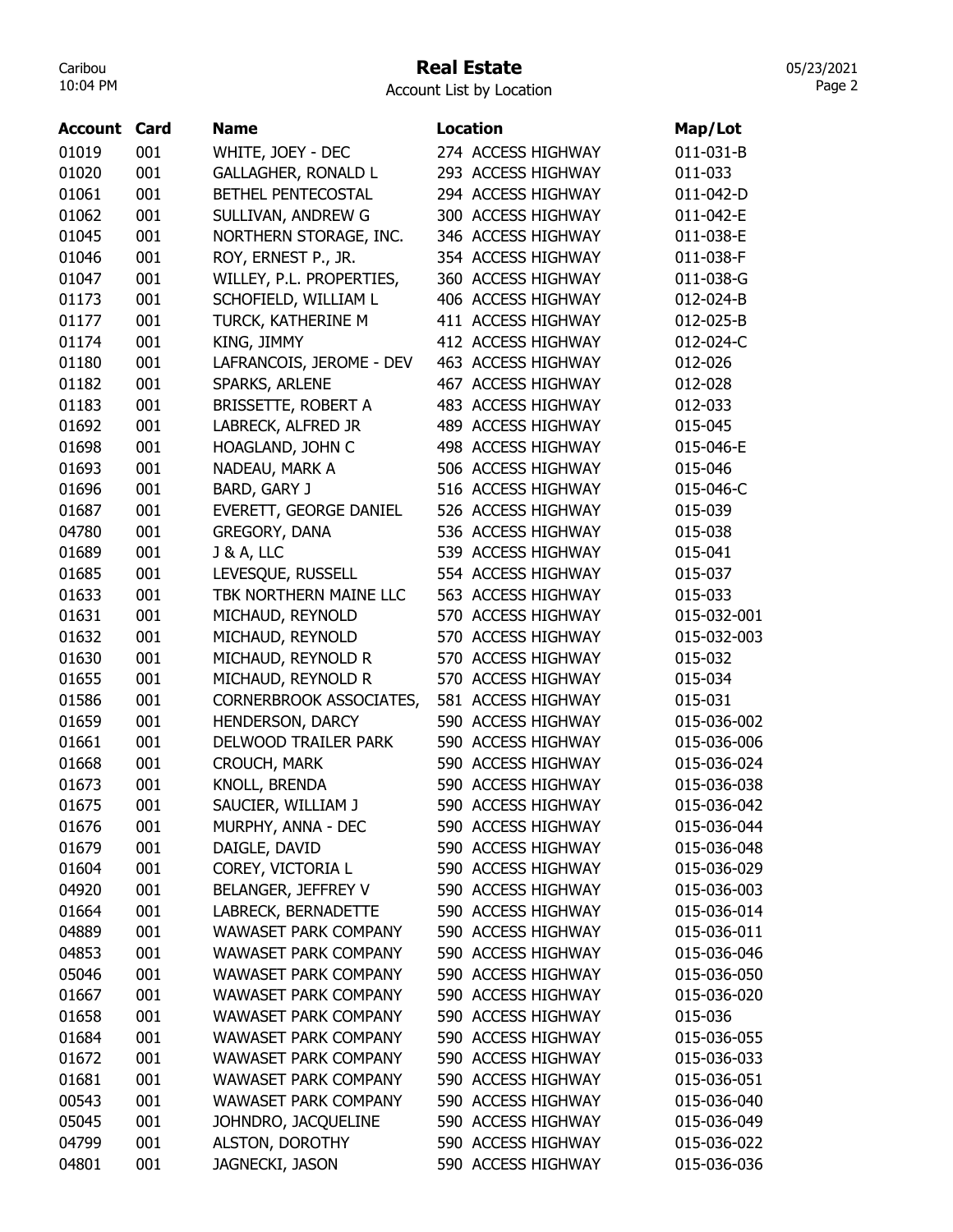## Real Estate

05/23/2021 Page 2

| <b>Account Card</b> |     | <b>Name</b>                 | <b>Location</b>    | Map/Lot     |
|---------------------|-----|-----------------------------|--------------------|-------------|
| 01019               | 001 | WHITE, JOEY - DEC           | 274 ACCESS HIGHWAY | 011-031-B   |
| 01020               | 001 | <b>GALLAGHER, RONALD L</b>  | 293 ACCESS HIGHWAY | 011-033     |
| 01061               | 001 | <b>BETHEL PENTECOSTAL</b>   | 294 ACCESS HIGHWAY | 011-042-D   |
| 01062               | 001 | SULLIVAN, ANDREW G          | 300 ACCESS HIGHWAY | 011-042-E   |
| 01045               | 001 | NORTHERN STORAGE, INC.      | 346 ACCESS HIGHWAY | 011-038-E   |
| 01046               | 001 | ROY, ERNEST P., JR.         | 354 ACCESS HIGHWAY | 011-038-F   |
| 01047               | 001 | WILLEY, P.L. PROPERTIES,    | 360 ACCESS HIGHWAY | 011-038-G   |
| 01173               | 001 | SCHOFIELD, WILLIAM L        | 406 ACCESS HIGHWAY | 012-024-B   |
| 01177               | 001 | TURCK, KATHERINE M          | 411 ACCESS HIGHWAY | 012-025-B   |
| 01174               | 001 | KING, JIMMY                 | 412 ACCESS HIGHWAY | 012-024-C   |
| 01180               | 001 | LAFRANCOIS, JEROME - DEV    | 463 ACCESS HIGHWAY | 012-026     |
| 01182               | 001 | SPARKS, ARLENE              | 467 ACCESS HIGHWAY | 012-028     |
| 01183               | 001 | <b>BRISSETTE, ROBERT A</b>  | 483 ACCESS HIGHWAY | 012-033     |
| 01692               | 001 | LABRECK, ALFRED JR          | 489 ACCESS HIGHWAY | 015-045     |
| 01698               | 001 | HOAGLAND, JOHN C            | 498 ACCESS HIGHWAY | 015-046-E   |
| 01693               | 001 | NADEAU, MARK A              | 506 ACCESS HIGHWAY | 015-046     |
| 01696               | 001 | BARD, GARY J                | 516 ACCESS HIGHWAY | 015-046-C   |
| 01687               | 001 | EVERETT, GEORGE DANIEL      | 526 ACCESS HIGHWAY | 015-039     |
| 04780               | 001 | <b>GREGORY, DANA</b>        | 536 ACCESS HIGHWAY | 015-038     |
| 01689               | 001 | <b>J &amp; A, LLC</b>       | 539 ACCESS HIGHWAY | 015-041     |
| 01685               | 001 | LEVESQUE, RUSSELL           | 554 ACCESS HIGHWAY | 015-037     |
| 01633               | 001 | TBK NORTHERN MAINE LLC      | 563 ACCESS HIGHWAY | 015-033     |
| 01631               | 001 | MICHAUD, REYNOLD            | 570 ACCESS HIGHWAY | 015-032-001 |
| 01632               | 001 | MICHAUD, REYNOLD            | 570 ACCESS HIGHWAY | 015-032-003 |
| 01630               | 001 | MICHAUD, REYNOLD R          | 570 ACCESS HIGHWAY | 015-032     |
| 01655               | 001 | MICHAUD, REYNOLD R          | 570 ACCESS HIGHWAY | 015-034     |
| 01586               | 001 | CORNERBROOK ASSOCIATES,     | 581 ACCESS HIGHWAY | 015-031     |
| 01659               | 001 | HENDERSON, DARCY            | 590 ACCESS HIGHWAY | 015-036-002 |
| 01661               | 001 | DELWOOD TRAILER PARK        | 590 ACCESS HIGHWAY | 015-036-006 |
| 01668               | 001 | CROUCH, MARK                | 590 ACCESS HIGHWAY | 015-036-024 |
| 01673               | 001 | KNOLL, BRENDA               | 590 ACCESS HIGHWAY | 015-036-038 |
| 01675               | 001 | SAUCIER, WILLIAM J          | 590 ACCESS HIGHWAY | 015-036-042 |
| 01676               | 001 | MURPHY, ANNA - DEC          | 590 ACCESS HIGHWAY | 015-036-044 |
| 01679               | 001 | DAIGLE, DAVID               | 590 ACCESS HIGHWAY | 015-036-048 |
| 01604               | 001 | COREY, VICTORIA L           | 590 ACCESS HIGHWAY | 015-036-029 |
| 04920               | 001 | BELANGER, JEFFREY V         | 590 ACCESS HIGHWAY | 015-036-003 |
| 01664               | 001 | LABRECK, BERNADETTE         | 590 ACCESS HIGHWAY | 015-036-014 |
| 04889               | 001 | <b>WAWASET PARK COMPANY</b> | 590 ACCESS HIGHWAY | 015-036-011 |
| 04853               | 001 | <b>WAWASET PARK COMPANY</b> | 590 ACCESS HIGHWAY | 015-036-046 |
| 05046               | 001 | <b>WAWASET PARK COMPANY</b> | 590 ACCESS HIGHWAY | 015-036-050 |
| 01667               | 001 | <b>WAWASET PARK COMPANY</b> | 590 ACCESS HIGHWAY | 015-036-020 |
| 01658               | 001 | <b>WAWASET PARK COMPANY</b> | 590 ACCESS HIGHWAY | 015-036     |
| 01684               | 001 | <b>WAWASET PARK COMPANY</b> | 590 ACCESS HIGHWAY | 015-036-055 |
| 01672               | 001 | <b>WAWASET PARK COMPANY</b> | 590 ACCESS HIGHWAY | 015-036-033 |
| 01681               | 001 | <b>WAWASET PARK COMPANY</b> | 590 ACCESS HIGHWAY | 015-036-051 |
| 00543               | 001 | WAWASET PARK COMPANY        | 590 ACCESS HIGHWAY | 015-036-040 |
| 05045               | 001 | JOHNDRO, JACQUELINE         | 590 ACCESS HIGHWAY | 015-036-049 |
| 04799               | 001 | ALSTON, DOROTHY             | 590 ACCESS HIGHWAY | 015-036-022 |
| 04801               | 001 | JAGNECKI, JASON             | 590 ACCESS HIGHWAY | 015-036-036 |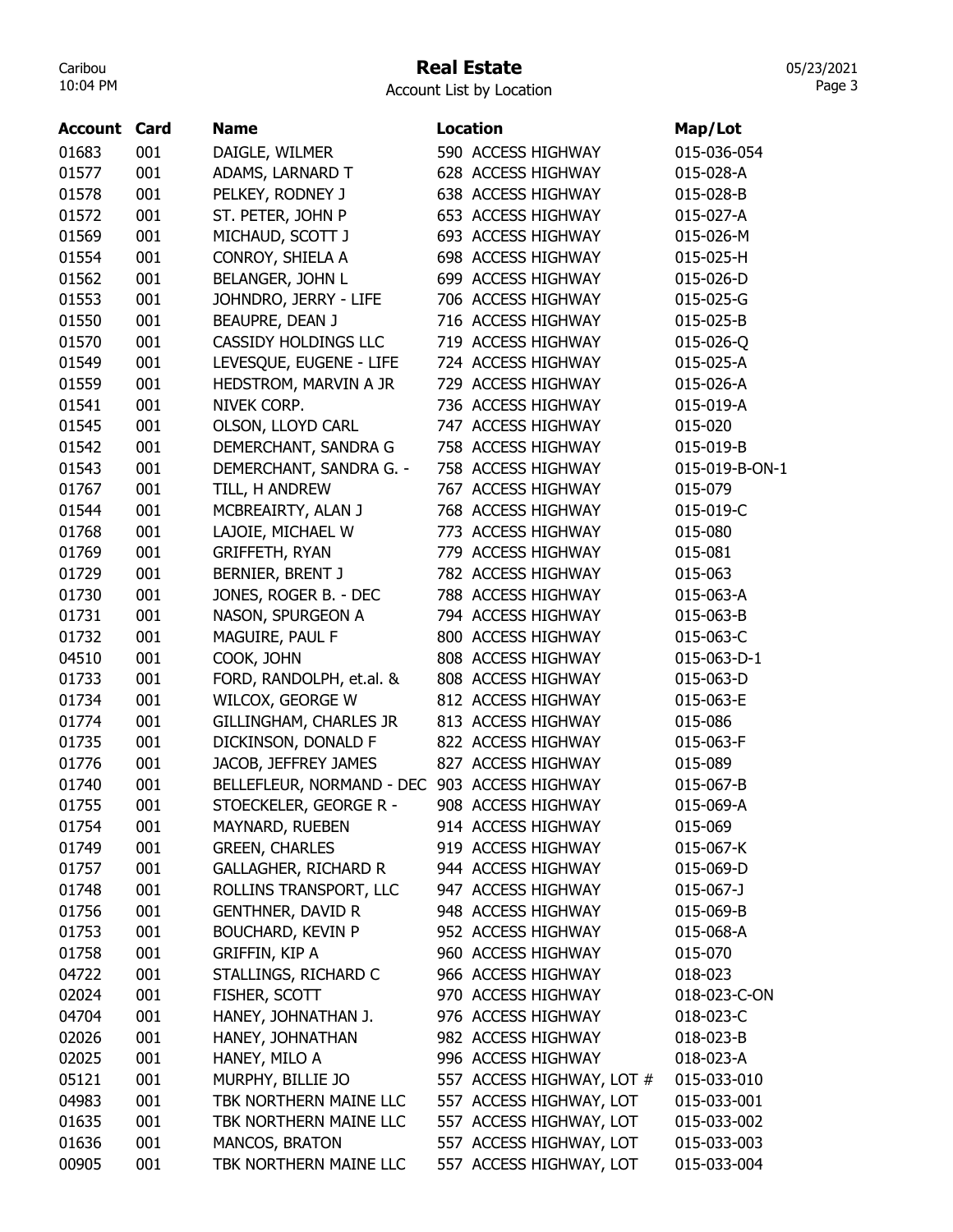# Real Estate

05/23/2021 Page 3

| <b>Account</b> | Card | <b>Name</b>                                  | <b>Location</b>           | Map/Lot        |
|----------------|------|----------------------------------------------|---------------------------|----------------|
| 01683          | 001  | DAIGLE, WILMER                               | 590 ACCESS HIGHWAY        | 015-036-054    |
| 01577          | 001  | ADAMS, LARNARD T                             | 628 ACCESS HIGHWAY        | 015-028-A      |
| 01578          | 001  | PELKEY, RODNEY J                             | 638 ACCESS HIGHWAY        | 015-028-B      |
| 01572          | 001  | ST. PETER, JOHN P                            | 653 ACCESS HIGHWAY        | 015-027-A      |
| 01569          | 001  | MICHAUD, SCOTT J                             | 693 ACCESS HIGHWAY        | 015-026-M      |
| 01554          | 001  | CONROY, SHIELA A                             | 698 ACCESS HIGHWAY        | 015-025-H      |
| 01562          | 001  | BELANGER, JOHN L                             | 699 ACCESS HIGHWAY        | 015-026-D      |
| 01553          | 001  | JOHNDRO, JERRY - LIFE                        | 706 ACCESS HIGHWAY        | 015-025-G      |
| 01550          | 001  | BEAUPRE, DEAN J                              | 716 ACCESS HIGHWAY        | 015-025-B      |
| 01570          | 001  | <b>CASSIDY HOLDINGS LLC</b>                  | 719 ACCESS HIGHWAY        | 015-026-Q      |
| 01549          | 001  | LEVESQUE, EUGENE - LIFE                      | 724 ACCESS HIGHWAY        | 015-025-A      |
| 01559          | 001  | HEDSTROM, MARVIN A JR                        | 729 ACCESS HIGHWAY        | 015-026-A      |
| 01541          | 001  | NIVEK CORP.                                  | 736 ACCESS HIGHWAY        | 015-019-A      |
| 01545          | 001  | OLSON, LLOYD CARL                            | 747 ACCESS HIGHWAY        | 015-020        |
| 01542          | 001  | DEMERCHANT, SANDRA G                         | 758 ACCESS HIGHWAY        | 015-019-B      |
| 01543          | 001  | DEMERCHANT, SANDRA G. -                      | 758 ACCESS HIGHWAY        | 015-019-B-ON-1 |
| 01767          | 001  | TILL, H ANDREW                               | 767 ACCESS HIGHWAY        | 015-079        |
| 01544          | 001  | MCBREAIRTY, ALAN J                           | 768 ACCESS HIGHWAY        | 015-019-C      |
| 01768          | 001  | LAJOIE, MICHAEL W                            | 773 ACCESS HIGHWAY        | 015-080        |
| 01769          | 001  | <b>GRIFFETH, RYAN</b>                        | 779 ACCESS HIGHWAY        | 015-081        |
| 01729          | 001  | BERNIER, BRENT J                             | 782 ACCESS HIGHWAY        | 015-063        |
| 01730          | 001  | JONES, ROGER B. - DEC                        | 788 ACCESS HIGHWAY        | 015-063-A      |
| 01731          | 001  | NASON, SPURGEON A                            | 794 ACCESS HIGHWAY        | 015-063-B      |
| 01732          | 001  | MAGUIRE, PAUL F                              | 800 ACCESS HIGHWAY        | 015-063-C      |
| 04510          | 001  | COOK, JOHN                                   | 808 ACCESS HIGHWAY        | 015-063-D-1    |
| 01733          | 001  | FORD, RANDOLPH, et.al. &                     | 808 ACCESS HIGHWAY        | 015-063-D      |
| 01734          | 001  | WILCOX, GEORGE W                             | 812 ACCESS HIGHWAY        | 015-063-E      |
| 01774          | 001  | GILLINGHAM, CHARLES JR                       | 813 ACCESS HIGHWAY        | 015-086        |
| 01735          | 001  | DICKINSON, DONALD F                          | 822 ACCESS HIGHWAY        | 015-063-F      |
| 01776          | 001  | JACOB, JEFFREY JAMES                         | 827 ACCESS HIGHWAY        | 015-089        |
| 01740          | 001  | BELLEFLEUR, NORMAND - DEC 903 ACCESS HIGHWAY |                           | 015-067-B      |
| 01755          | 001  | STOECKELER, GEORGE R -                       | 908 ACCESS HIGHWAY        | 015-069-A      |
| 01754          | 001  | MAYNARD, RUEBEN                              | 914 ACCESS HIGHWAY        | 015-069        |
| 01749          | 001  | <b>GREEN, CHARLES</b>                        | 919 ACCESS HIGHWAY        | 015-067-K      |
| 01757          | 001  | <b>GALLAGHER, RICHARD R</b>                  | 944 ACCESS HIGHWAY        | 015-069-D      |
| 01748          | 001  | ROLLINS TRANSPORT, LLC                       | 947 ACCESS HIGHWAY        | 015-067-J      |
| 01756          | 001  | <b>GENTHNER, DAVID R</b>                     | 948 ACCESS HIGHWAY        | 015-069-B      |
| 01753          | 001  | <b>BOUCHARD, KEVIN P</b>                     | 952 ACCESS HIGHWAY        | 015-068-A      |
| 01758          | 001  | <b>GRIFFIN, KIP A</b>                        | 960 ACCESS HIGHWAY        | 015-070        |
| 04722          | 001  | STALLINGS, RICHARD C                         | 966 ACCESS HIGHWAY        | 018-023        |
| 02024          | 001  | FISHER, SCOTT                                | 970 ACCESS HIGHWAY        | 018-023-C-ON   |
| 04704          | 001  | HANEY, JOHNATHAN J.                          | 976 ACCESS HIGHWAY        | 018-023-C      |
| 02026          | 001  | HANEY, JOHNATHAN                             | 982 ACCESS HIGHWAY        | 018-023-B      |
| 02025          | 001  | HANEY, MILO A                                | 996 ACCESS HIGHWAY        | 018-023-A      |
| 05121          | 001  | MURPHY, BILLIE JO                            | 557 ACCESS HIGHWAY, LOT # | 015-033-010    |
| 04983          | 001  | TBK NORTHERN MAINE LLC                       | 557 ACCESS HIGHWAY, LOT   | 015-033-001    |
| 01635          | 001  | TBK NORTHERN MAINE LLC                       | 557 ACCESS HIGHWAY, LOT   | 015-033-002    |
| 01636          | 001  | MANCOS, BRATON                               | 557 ACCESS HIGHWAY, LOT   | 015-033-003    |
| 00905          | 001  | TBK NORTHERN MAINE LLC                       | 557 ACCESS HIGHWAY, LOT   | 015-033-004    |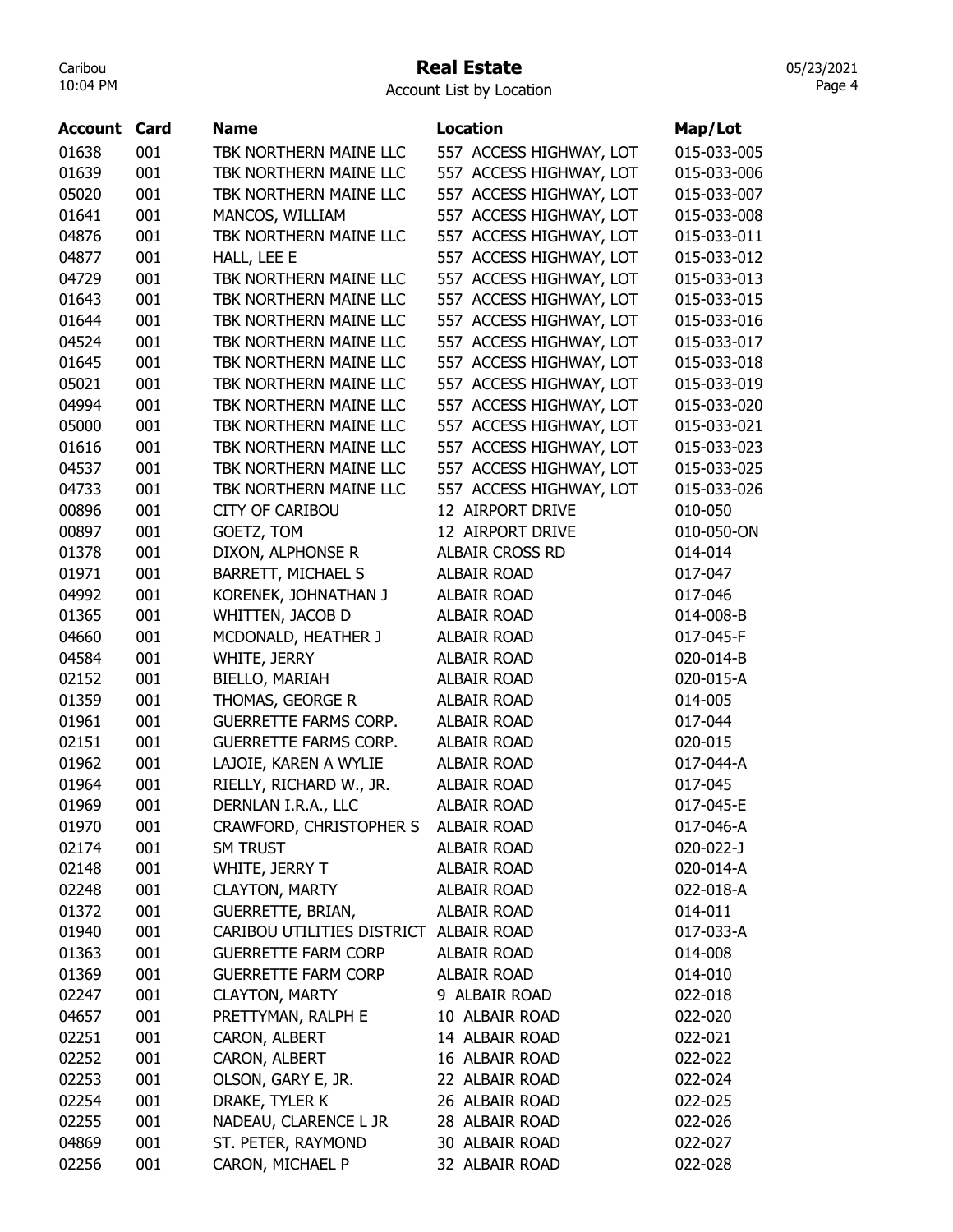#### Real Estate

Account List by Location

| Account | Card | <b>Name</b>                            | <b>Location</b>         | Map/Lot            |
|---------|------|----------------------------------------|-------------------------|--------------------|
| 01638   | 001  | TBK NORTHERN MAINE LLC                 | 557 ACCESS HIGHWAY, LOT | 015-033-005        |
| 01639   | 001  | TBK NORTHERN MAINE LLC                 | 557 ACCESS HIGHWAY, LOT | 015-033-006        |
| 05020   | 001  | TBK NORTHERN MAINE LLC                 | 557 ACCESS HIGHWAY, LOT | 015-033-007        |
| 01641   | 001  | MANCOS, WILLIAM                        | 557 ACCESS HIGHWAY, LOT | 015-033-008        |
| 04876   | 001  | TBK NORTHERN MAINE LLC                 | 557 ACCESS HIGHWAY, LOT | 015-033-011        |
| 04877   | 001  | HALL, LEE E                            | 557 ACCESS HIGHWAY, LOT | 015-033-012        |
| 04729   | 001  | TBK NORTHERN MAINE LLC                 | 557 ACCESS HIGHWAY, LOT | 015-033-013        |
| 01643   | 001  | TBK NORTHERN MAINE LLC                 | 557 ACCESS HIGHWAY, LOT | 015-033-015        |
| 01644   | 001  | TBK NORTHERN MAINE LLC                 | 557 ACCESS HIGHWAY, LOT | 015-033-016        |
| 04524   | 001  | TBK NORTHERN MAINE LLC                 | 557 ACCESS HIGHWAY, LOT | 015-033-017        |
| 01645   | 001  | TBK NORTHERN MAINE LLC                 | 557 ACCESS HIGHWAY, LOT | 015-033-018        |
| 05021   | 001  | TBK NORTHERN MAINE LLC                 | 557 ACCESS HIGHWAY, LOT | 015-033-019        |
| 04994   | 001  | TBK NORTHERN MAINE LLC                 | 557 ACCESS HIGHWAY, LOT | 015-033-020        |
| 05000   | 001  | TBK NORTHERN MAINE LLC                 | 557 ACCESS HIGHWAY, LOT | 015-033-021        |
| 01616   | 001  | TBK NORTHERN MAINE LLC                 | 557 ACCESS HIGHWAY, LOT | 015-033-023        |
| 04537   | 001  | TBK NORTHERN MAINE LLC                 | 557 ACCESS HIGHWAY, LOT | 015-033-025        |
| 04733   | 001  | TBK NORTHERN MAINE LLC                 | 557 ACCESS HIGHWAY, LOT | 015-033-026        |
| 00896   | 001  | <b>CITY OF CARIBOU</b>                 | 12 AIRPORT DRIVE        | 010-050            |
| 00897   | 001  | GOETZ, TOM                             | 12 AIRPORT DRIVE        | 010-050-ON         |
| 01378   | 001  | DIXON, ALPHONSE R                      | <b>ALBAIR CROSS RD</b>  | 014-014            |
| 01971   | 001  | BARRETT, MICHAEL S                     | <b>ALBAIR ROAD</b>      | 017-047            |
| 04992   | 001  | KORENEK, JOHNATHAN J                   | <b>ALBAIR ROAD</b>      | 017-046            |
| 01365   | 001  | WHITTEN, JACOB D                       | <b>ALBAIR ROAD</b>      | 014-008-B          |
| 04660   | 001  | MCDONALD, HEATHER J                    | <b>ALBAIR ROAD</b>      | 017-045-F          |
| 04584   | 001  | WHITE, JERRY                           | <b>ALBAIR ROAD</b>      | 020-014-B          |
| 02152   | 001  | BIELLO, MARIAH                         | <b>ALBAIR ROAD</b>      | 020-015-A          |
| 01359   | 001  | THOMAS, GEORGE R                       | <b>ALBAIR ROAD</b>      | 014-005            |
| 01961   | 001  | <b>GUERRETTE FARMS CORP.</b>           | <b>ALBAIR ROAD</b>      | 017-044            |
| 02151   | 001  | <b>GUERRETTE FARMS CORP.</b>           | <b>ALBAIR ROAD</b>      | 020-015            |
| 01962   | 001  | LAJOIE, KAREN A WYLIE                  | <b>ALBAIR ROAD</b>      | 017-044-A          |
| 01964   | 001  | RIELLY, RICHARD W., JR.                | <b>ALBAIR ROAD</b>      | 017-045            |
| 01969   | 001  | DERNLAN I.R.A., LLC                    | <b>ALBAIR ROAD</b>      | 017-045-E          |
| 01970   | 001  | CRAWFORD, CHRISTOPHER S                | ALBAIR ROAD             | 017-046-A          |
| 02174   | 001  | <b>SM TRUST</b>                        | <b>ALBAIR ROAD</b>      | 020-022-J          |
| 02148   | 001  | WHITE, JERRY T                         | <b>ALBAIR ROAD</b>      | 020-014-A          |
| 02248   | 001  | <b>CLAYTON, MARTY</b>                  | ALBAIR ROAD             | 022-018-A          |
| 01372   | 001  | <b>GUERRETTE, BRIAN,</b>               | <b>ALBAIR ROAD</b>      | 014-011            |
| 01940   | 001  | CARIBOU UTILITIES DISTRICT ALBAIR ROAD |                         | 017-033-A          |
| 01363   | 001  | <b>GUERRETTE FARM CORP</b>             | <b>ALBAIR ROAD</b>      | 014-008            |
| 01369   | 001  | <b>GUERRETTE FARM CORP</b>             | <b>ALBAIR ROAD</b>      | 014-010            |
| 02247   | 001  | <b>CLAYTON, MARTY</b>                  | 9 ALBAIR ROAD           | 022-018            |
| 04657   | 001  | PRETTYMAN, RALPH E                     | 10 ALBAIR ROAD          | 022-020            |
|         | 001  |                                        | 14 ALBAIR ROAD          |                    |
| 02251   |      | CARON, ALBERT                          | 16 ALBAIR ROAD          | 022-021<br>022-022 |
| 02252   | 001  | CARON, ALBERT                          |                         |                    |
| 02253   | 001  | OLSON, GARY E, JR.                     | 22 ALBAIR ROAD          | 022-024            |
| 02254   | 001  | DRAKE, TYLER K                         | 26 ALBAIR ROAD          | 022-025            |
| 02255   | 001  | NADEAU, CLARENCE L JR                  | 28 ALBAIR ROAD          | 022-026            |
| 04869   | 001  | ST. PETER, RAYMOND                     | 30 ALBAIR ROAD          | 022-027            |
| 02256   | 001  | CARON, MICHAEL P                       | 32 ALBAIR ROAD          | 022-028            |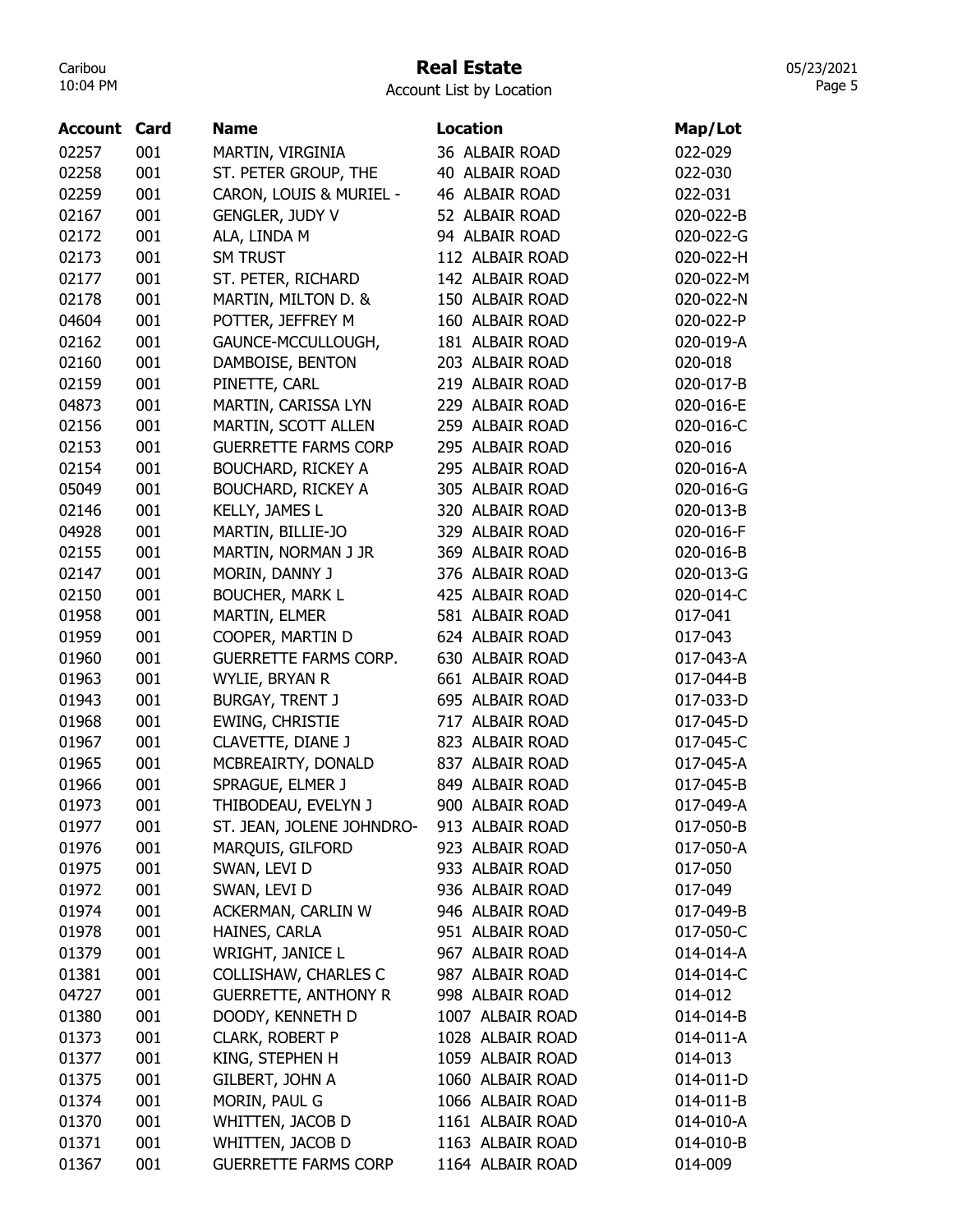# Real Estate

05/23/2021 Page 5

| <b>Account</b> | Card | <b>Name</b>                  | <b>Location</b>  | Map/Lot   |
|----------------|------|------------------------------|------------------|-----------|
| 02257          | 001  | MARTIN, VIRGINIA             | 36 ALBAIR ROAD   | 022-029   |
| 02258          | 001  | ST. PETER GROUP, THE         | 40 ALBAIR ROAD   | 022-030   |
| 02259          | 001  | CARON, LOUIS & MURIEL -      | 46 ALBAIR ROAD   | 022-031   |
| 02167          | 001  | <b>GENGLER, JUDY V</b>       | 52 ALBAIR ROAD   | 020-022-B |
| 02172          | 001  | ALA, LINDA M                 | 94 ALBAIR ROAD   | 020-022-G |
| 02173          | 001  | <b>SM TRUST</b>              | 112 ALBAIR ROAD  | 020-022-H |
| 02177          | 001  | ST. PETER, RICHARD           | 142 ALBAIR ROAD  | 020-022-M |
| 02178          | 001  | MARTIN, MILTON D. &          | 150 ALBAIR ROAD  | 020-022-N |
| 04604          | 001  | POTTER, JEFFREY M            | 160 ALBAIR ROAD  | 020-022-P |
| 02162          | 001  | GAUNCE-MCCULLOUGH,           | 181 ALBAIR ROAD  | 020-019-A |
| 02160          | 001  | DAMBOISE, BENTON             | 203 ALBAIR ROAD  | 020-018   |
| 02159          | 001  | PINETTE, CARL                | 219 ALBAIR ROAD  | 020-017-B |
| 04873          | 001  | MARTIN, CARISSA LYN          | 229 ALBAIR ROAD  | 020-016-E |
| 02156          | 001  | MARTIN, SCOTT ALLEN          | 259 ALBAIR ROAD  | 020-016-C |
| 02153          | 001  | <b>GUERRETTE FARMS CORP</b>  | 295 ALBAIR ROAD  | 020-016   |
| 02154          | 001  | <b>BOUCHARD, RICKEY A</b>    | 295 ALBAIR ROAD  | 020-016-A |
| 05049          | 001  | <b>BOUCHARD, RICKEY A</b>    | 305 ALBAIR ROAD  | 020-016-G |
| 02146          | 001  | KELLY, JAMES L               | 320 ALBAIR ROAD  | 020-013-B |
| 04928          | 001  | MARTIN, BILLIE-JO            | 329 ALBAIR ROAD  | 020-016-F |
| 02155          | 001  | MARTIN, NORMAN J JR          | 369 ALBAIR ROAD  | 020-016-B |
| 02147          | 001  | MORIN, DANNY J               | 376 ALBAIR ROAD  | 020-013-G |
| 02150          | 001  | <b>BOUCHER, MARK L</b>       | 425 ALBAIR ROAD  | 020-014-C |
| 01958          | 001  | MARTIN, ELMER                | 581 ALBAIR ROAD  | 017-041   |
| 01959          | 001  | COOPER, MARTIN D             | 624 ALBAIR ROAD  | 017-043   |
| 01960          | 001  | <b>GUERRETTE FARMS CORP.</b> | 630 ALBAIR ROAD  | 017-043-A |
| 01963          | 001  | WYLIE, BRYAN R               | 661 ALBAIR ROAD  | 017-044-B |
| 01943          | 001  | <b>BURGAY, TRENT J</b>       | 695 ALBAIR ROAD  | 017-033-D |
| 01968          | 001  | EWING, CHRISTIE              | 717 ALBAIR ROAD  | 017-045-D |
| 01967          | 001  | CLAVETTE, DIANE J            | 823 ALBAIR ROAD  | 017-045-C |
| 01965          | 001  | MCBREAIRTY, DONALD           | 837 ALBAIR ROAD  | 017-045-A |
| 01966          | 001  | SPRAGUE, ELMER J             | 849 ALBAIR ROAD  | 017-045-B |
| 01973          | 001  | THIBODEAU, EVELYN J          | 900 ALBAIR ROAD  | 017-049-A |
| 01977          | 001  | ST. JEAN, JOLENE JOHNDRO-    | 913 ALBAIR ROAD  | 017-050-B |
| 01976          | 001  | MARQUIS, GILFORD             | 923 ALBAIR ROAD  | 017-050-A |
| 01975          | 001  | SWAN, LEVI D                 | 933 ALBAIR ROAD  | 017-050   |
| 01972          | 001  | SWAN, LEVI D                 | 936 ALBAIR ROAD  | 017-049   |
| 01974          | 001  | ACKERMAN, CARLIN W           | 946 ALBAIR ROAD  | 017-049-B |
| 01978          | 001  | HAINES, CARLA                | 951 ALBAIR ROAD  | 017-050-C |
| 01379          | 001  | WRIGHT, JANICE L             | 967 ALBAIR ROAD  | 014-014-A |
|                |      |                              | 987 ALBAIR ROAD  |           |
| 01381          | 001  | <b>COLLISHAW, CHARLES C</b>  |                  | 014-014-C |
| 04727          | 001  | <b>GUERRETTE, ANTHONY R</b>  | 998 ALBAIR ROAD  | 014-012   |
| 01380          | 001  | DOODY, KENNETH D             | 1007 ALBAIR ROAD | 014-014-B |
| 01373          | 001  | CLARK, ROBERT P              | 1028 ALBAIR ROAD | 014-011-A |
| 01377          | 001  | KING, STEPHEN H              | 1059 ALBAIR ROAD | 014-013   |
| 01375          | 001  | GILBERT, JOHN A              | 1060 ALBAIR ROAD | 014-011-D |
| 01374          | 001  | MORIN, PAUL G                | 1066 ALBAIR ROAD | 014-011-B |
| 01370          | 001  | WHITTEN, JACOB D             | 1161 ALBAIR ROAD | 014-010-A |
| 01371          | 001  | WHITTEN, JACOB D             | 1163 ALBAIR ROAD | 014-010-B |
| 01367          | 001  | <b>GUERRETTE FARMS CORP</b>  | 1164 ALBAIR ROAD | 014-009   |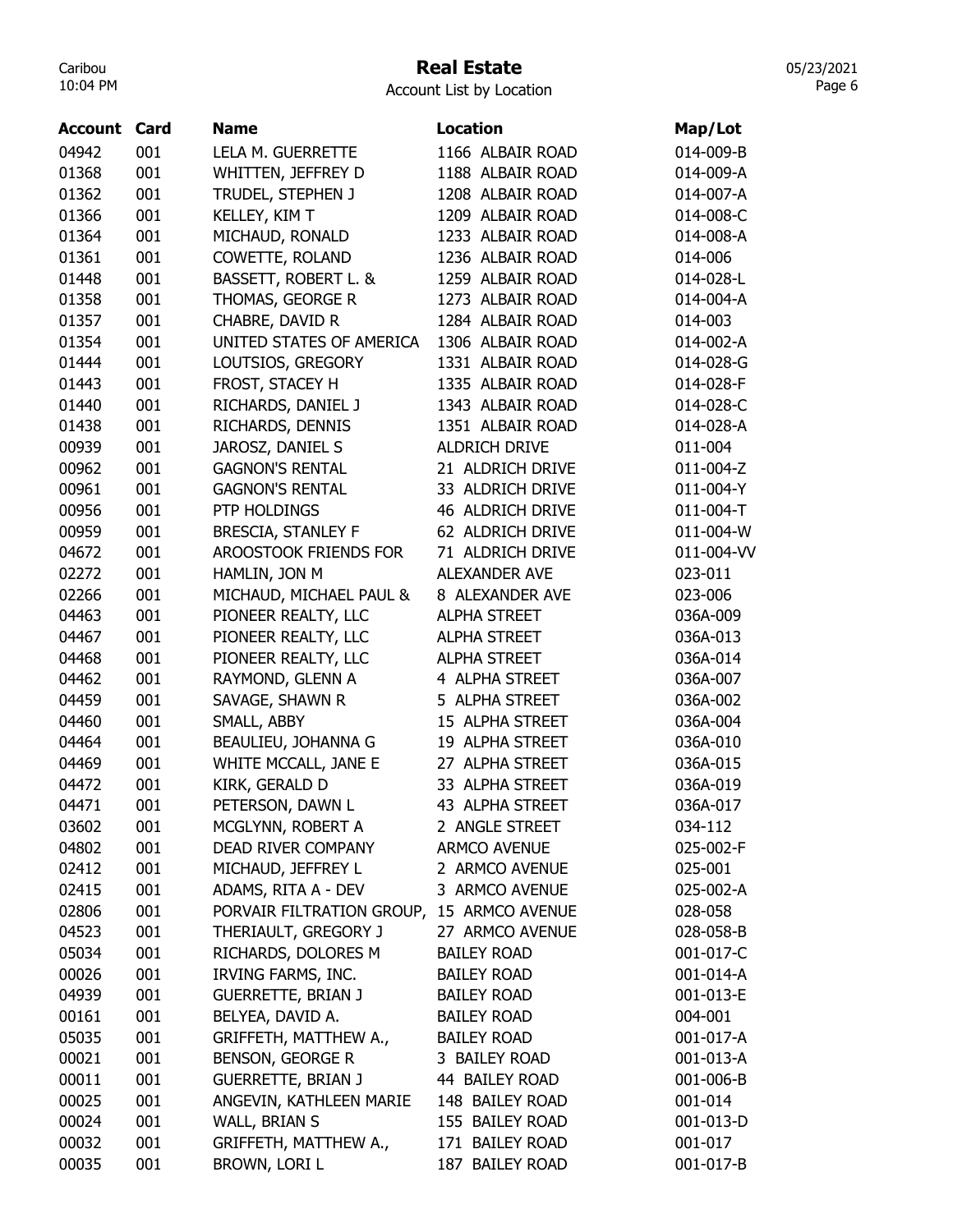# Real Estate

Account List by Location

| <b>Account Card</b> |     | <b>Name</b>               | <b>Location</b>      | Map/Lot    |
|---------------------|-----|---------------------------|----------------------|------------|
| 04942               | 001 | LELA M. GUERRETTE         | 1166 ALBAIR ROAD     | 014-009-B  |
| 01368               | 001 | WHITTEN, JEFFREY D        | 1188 ALBAIR ROAD     | 014-009-A  |
| 01362               | 001 | TRUDEL, STEPHEN J         | 1208 ALBAIR ROAD     | 014-007-A  |
| 01366               | 001 | KELLEY, KIM T             | 1209 ALBAIR ROAD     | 014-008-C  |
| 01364               | 001 | MICHAUD, RONALD           | 1233 ALBAIR ROAD     | 014-008-A  |
| 01361               | 001 | COWETTE, ROLAND           | 1236 ALBAIR ROAD     | 014-006    |
| 01448               | 001 | BASSETT, ROBERT L. &      | 1259 ALBAIR ROAD     | 014-028-L  |
| 01358               | 001 | THOMAS, GEORGE R          | 1273 ALBAIR ROAD     | 014-004-A  |
| 01357               | 001 | CHABRE, DAVID R           | 1284 ALBAIR ROAD     | 014-003    |
| 01354               | 001 | UNITED STATES OF AMERICA  | 1306 ALBAIR ROAD     | 014-002-A  |
| 01444               | 001 | LOUTSIOS, GREGORY         | 1331 ALBAIR ROAD     | 014-028-G  |
| 01443               | 001 | FROST, STACEY H           | 1335 ALBAIR ROAD     | 014-028-F  |
| 01440               | 001 | RICHARDS, DANIEL J        | 1343 ALBAIR ROAD     | 014-028-C  |
| 01438               | 001 | RICHARDS, DENNIS          | 1351 ALBAIR ROAD     | 014-028-A  |
| 00939               | 001 | JAROSZ, DANIEL S          | ALDRICH DRIVE        | 011-004    |
| 00962               | 001 | <b>GAGNON'S RENTAL</b>    | 21 ALDRICH DRIVE     | 011-004-Z  |
| 00961               | 001 | <b>GAGNON'S RENTAL</b>    | 33 ALDRICH DRIVE     | 011-004-Y  |
| 00956               | 001 | PTP HOLDINGS              | 46 ALDRICH DRIVE     | 011-004-T  |
| 00959               | 001 | <b>BRESCIA, STANLEY F</b> | 62 ALDRICH DRIVE     | 011-004-W  |
| 04672               | 001 | AROOSTOOK FRIENDS FOR     | 71 ALDRICH DRIVE     | 011-004-VV |
| 02272               | 001 | HAMLIN, JON M             | <b>ALEXANDER AVE</b> | 023-011    |
| 02266               | 001 | MICHAUD, MICHAEL PAUL &   | 8 ALEXANDER AVE      | 023-006    |
| 04463               | 001 | PIONEER REALTY, LLC       | <b>ALPHA STREET</b>  | 036A-009   |
| 04467               | 001 | PIONEER REALTY, LLC       | <b>ALPHA STREET</b>  | 036A-013   |
| 04468               | 001 | PIONEER REALTY, LLC       | <b>ALPHA STREET</b>  | 036A-014   |
| 04462               | 001 | RAYMOND, GLENN A          | 4 ALPHA STREET       | 036A-007   |
| 04459               | 001 | SAVAGE, SHAWN R           | 5 ALPHA STREET       | 036A-002   |
| 04460               | 001 | SMALL, ABBY               | 15 ALPHA STREET      | 036A-004   |
| 04464               | 001 | BEAULIEU, JOHANNA G       | 19 ALPHA STREET      | 036A-010   |
| 04469               | 001 | WHITE MCCALL, JANE E      | 27 ALPHA STREET      | 036A-015   |
| 04472               | 001 | KIRK, GERALD D            | 33 ALPHA STREET      | 036A-019   |
| 04471               | 001 | PETERSON, DAWN L          | 43 ALPHA STREET      | 036A-017   |
| 03602               | 001 | MCGLYNN, ROBERT A         | 2 ANGLE STREET       | 034-112    |
| 04802               | 001 | DEAD RIVER COMPANY        | <b>ARMCO AVENUE</b>  | 025-002-F  |
| 02412               | 001 | MICHAUD, JEFFREY L        | 2 ARMCO AVENUE       | 025-001    |
| 02415               | 001 | ADAMS, RITA A - DEV       | 3 ARMCO AVENUE       | 025-002-A  |
| 02806               | 001 | PORVAIR FILTRATION GROUP, | 15 ARMCO AVENUE      | 028-058    |
| 04523               | 001 | THERIAULT, GREGORY J      | 27 ARMCO AVENUE      | 028-058-B  |
| 05034               | 001 | RICHARDS, DOLORES M       | <b>BAILEY ROAD</b>   | 001-017-C  |
| 00026               | 001 | IRVING FARMS, INC.        | <b>BAILEY ROAD</b>   | 001-014-A  |
| 04939               | 001 | <b>GUERRETTE, BRIAN J</b> | <b>BAILEY ROAD</b>   | 001-013-E  |
| 00161               | 001 | BELYEA, DAVID A.          | <b>BAILEY ROAD</b>   | 004-001    |
| 05035               | 001 | GRIFFETH, MATTHEW A.,     | <b>BAILEY ROAD</b>   | 001-017-A  |
| 00021               | 001 | BENSON, GEORGE R          | 3 BAILEY ROAD        | 001-013-A  |
| 00011               | 001 | <b>GUERRETTE, BRIAN J</b> | 44 BAILEY ROAD       | 001-006-B  |
| 00025               | 001 | ANGEVIN, KATHLEEN MARIE   | 148 BAILEY ROAD      | 001-014    |
| 00024               | 001 | WALL, BRIAN S             | 155 BAILEY ROAD      | 001-013-D  |
| 00032               | 001 | GRIFFETH, MATTHEW A.,     | 171 BAILEY ROAD      | 001-017    |
| 00035               | 001 | BROWN, LORI L             | 187 BAILEY ROAD      | 001-017-B  |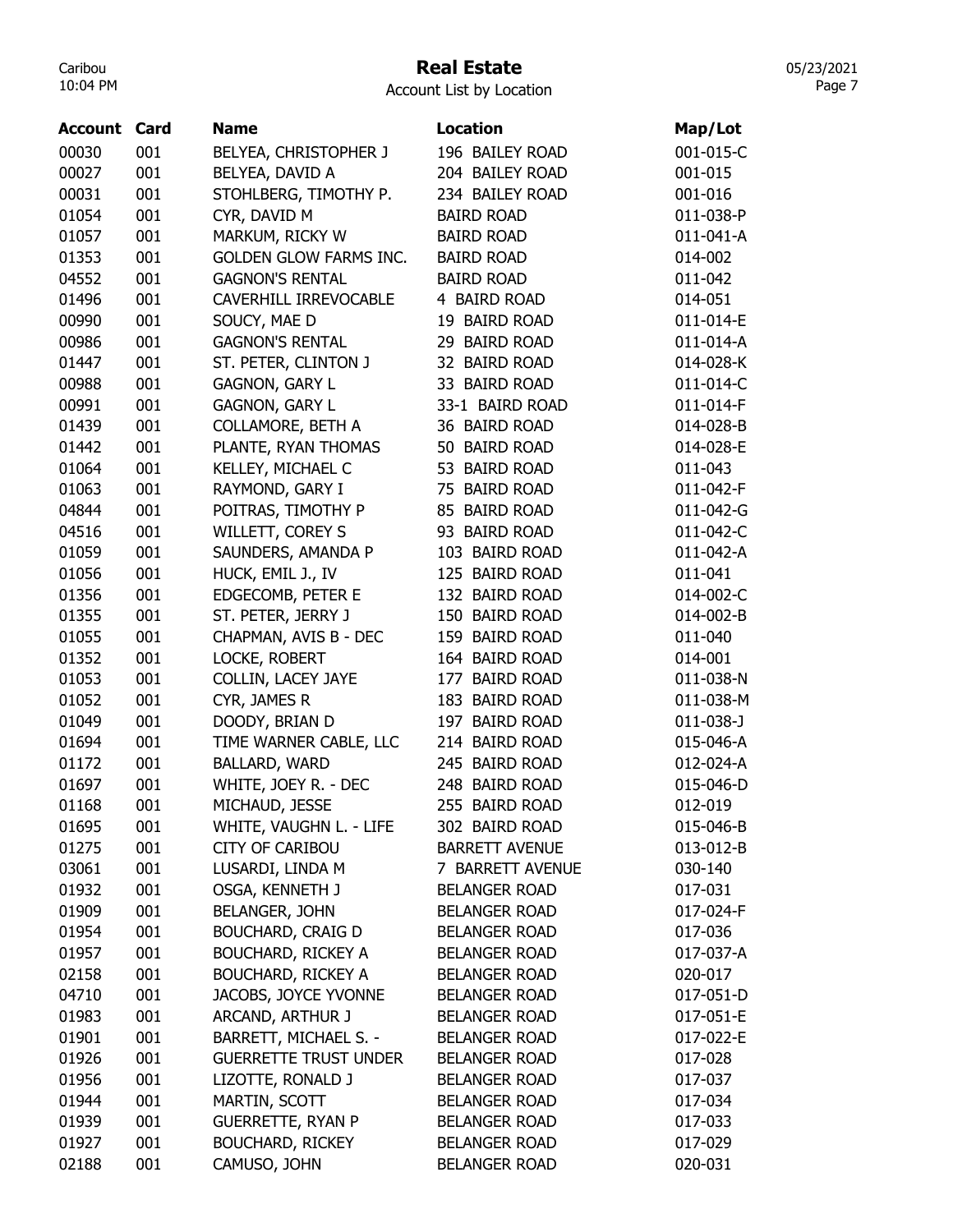# Real Estate

Account List by Location

| <b>Account Card</b> |     | <b>Name</b>                   | <b>Location</b>       | Map/Lot   |
|---------------------|-----|-------------------------------|-----------------------|-----------|
| 00030               | 001 | BELYEA, CHRISTOPHER J         | 196 BAILEY ROAD       | 001-015-C |
| 00027               | 001 | BELYEA, DAVID A               | 204 BAILEY ROAD       | 001-015   |
| 00031               | 001 | STOHLBERG, TIMOTHY P.         | 234 BAILEY ROAD       | 001-016   |
| 01054               | 001 | CYR, DAVID M                  | <b>BAIRD ROAD</b>     | 011-038-P |
| 01057               | 001 | MARKUM, RICKY W               | <b>BAIRD ROAD</b>     | 011-041-A |
| 01353               | 001 | <b>GOLDEN GLOW FARMS INC.</b> | <b>BAIRD ROAD</b>     | 014-002   |
| 04552               | 001 | <b>GAGNON'S RENTAL</b>        | <b>BAIRD ROAD</b>     | 011-042   |
| 01496               | 001 | CAVERHILL IRREVOCABLE         | 4 BAIRD ROAD          | 014-051   |
| 00990               | 001 | SOUCY, MAE D                  | 19 BAIRD ROAD         | 011-014-E |
| 00986               | 001 | <b>GAGNON'S RENTAL</b>        | 29 BAIRD ROAD         | 011-014-A |
| 01447               | 001 | ST. PETER, CLINTON J          | 32 BAIRD ROAD         | 014-028-K |
| 00988               | 001 | <b>GAGNON, GARY L</b>         | 33 BAIRD ROAD         | 011-014-C |
| 00991               | 001 | GAGNON, GARY L                | 33-1 BAIRD ROAD       | 011-014-F |
| 01439               | 001 | <b>COLLAMORE, BETH A</b>      | 36 BAIRD ROAD         | 014-028-B |
| 01442               | 001 | PLANTE, RYAN THOMAS           | 50 BAIRD ROAD         | 014-028-E |
| 01064               | 001 | KELLEY, MICHAEL C             | 53 BAIRD ROAD         | 011-043   |
| 01063               | 001 | RAYMOND, GARY I               | 75 BAIRD ROAD         | 011-042-F |
| 04844               | 001 | POITRAS, TIMOTHY P            | 85 BAIRD ROAD         | 011-042-G |
| 04516               | 001 | WILLETT, COREY S              | 93 BAIRD ROAD         | 011-042-C |
| 01059               | 001 | SAUNDERS, AMANDA P            | 103 BAIRD ROAD        | 011-042-A |
| 01056               | 001 | HUCK, EMIL J., IV             | 125 BAIRD ROAD        | 011-041   |
| 01356               | 001 | EDGECOMB, PETER E             | 132 BAIRD ROAD        | 014-002-C |
| 01355               | 001 | ST. PETER, JERRY J            | 150 BAIRD ROAD        | 014-002-B |
| 01055               | 001 | CHAPMAN, AVIS B - DEC         | 159 BAIRD ROAD        | 011-040   |
| 01352               | 001 | LOCKE, ROBERT                 | 164 BAIRD ROAD        | 014-001   |
| 01053               | 001 | COLLIN, LACEY JAYE            | 177 BAIRD ROAD        | 011-038-N |
| 01052               | 001 | CYR, JAMES R                  | 183 BAIRD ROAD        | 011-038-M |
| 01049               | 001 | DOODY, BRIAN D                | 197 BAIRD ROAD        | 011-038-J |
| 01694               | 001 | TIME WARNER CABLE, LLC        | 214 BAIRD ROAD        | 015-046-A |
| 01172               | 001 | BALLARD, WARD                 | 245 BAIRD ROAD        | 012-024-A |
| 01697               | 001 | WHITE, JOEY R. - DEC          | 248 BAIRD ROAD        | 015-046-D |
| 01168               | 001 | MICHAUD, JESSE                | 255 BAIRD ROAD        | 012-019   |
| 01695               | 001 | WHITE, VAUGHN L. - LIFE       | 302 BAIRD ROAD        | 015-046-B |
| 01275               | 001 | <b>CITY OF CARIBOU</b>        | <b>BARRETT AVENUE</b> | 013-012-B |
| 03061               | 001 | LUSARDI, LINDA M              | 7 BARRETT AVENUE      | 030-140   |
| 01932               | 001 | OSGA, KENNETH J               | <b>BELANGER ROAD</b>  | 017-031   |
| 01909               | 001 | <b>BELANGER, JOHN</b>         | <b>BELANGER ROAD</b>  | 017-024-F |
| 01954               | 001 | <b>BOUCHARD, CRAIG D</b>      | <b>BELANGER ROAD</b>  | 017-036   |
| 01957               | 001 | <b>BOUCHARD, RICKEY A</b>     | <b>BELANGER ROAD</b>  | 017-037-A |
| 02158               | 001 | <b>BOUCHARD, RICKEY A</b>     | <b>BELANGER ROAD</b>  | 020-017   |
| 04710               | 001 | JACOBS, JOYCE YVONNE          | <b>BELANGER ROAD</b>  | 017-051-D |
| 01983               | 001 | ARCAND, ARTHUR J              | <b>BELANGER ROAD</b>  | 017-051-E |
| 01901               | 001 | BARRETT, MICHAEL S. -         | <b>BELANGER ROAD</b>  | 017-022-E |
| 01926               | 001 | <b>GUERRETTE TRUST UNDER</b>  | <b>BELANGER ROAD</b>  | 017-028   |
| 01956               | 001 | LIZOTTE, RONALD J             | <b>BELANGER ROAD</b>  | 017-037   |
| 01944               | 001 | MARTIN, SCOTT                 | <b>BELANGER ROAD</b>  | 017-034   |
| 01939               | 001 | <b>GUERRETTE, RYAN P</b>      | <b>BELANGER ROAD</b>  | 017-033   |
| 01927               | 001 | <b>BOUCHARD, RICKEY</b>       | <b>BELANGER ROAD</b>  | 017-029   |
| 02188               | 001 | CAMUSO, JOHN                  | <b>BELANGER ROAD</b>  | 020-031   |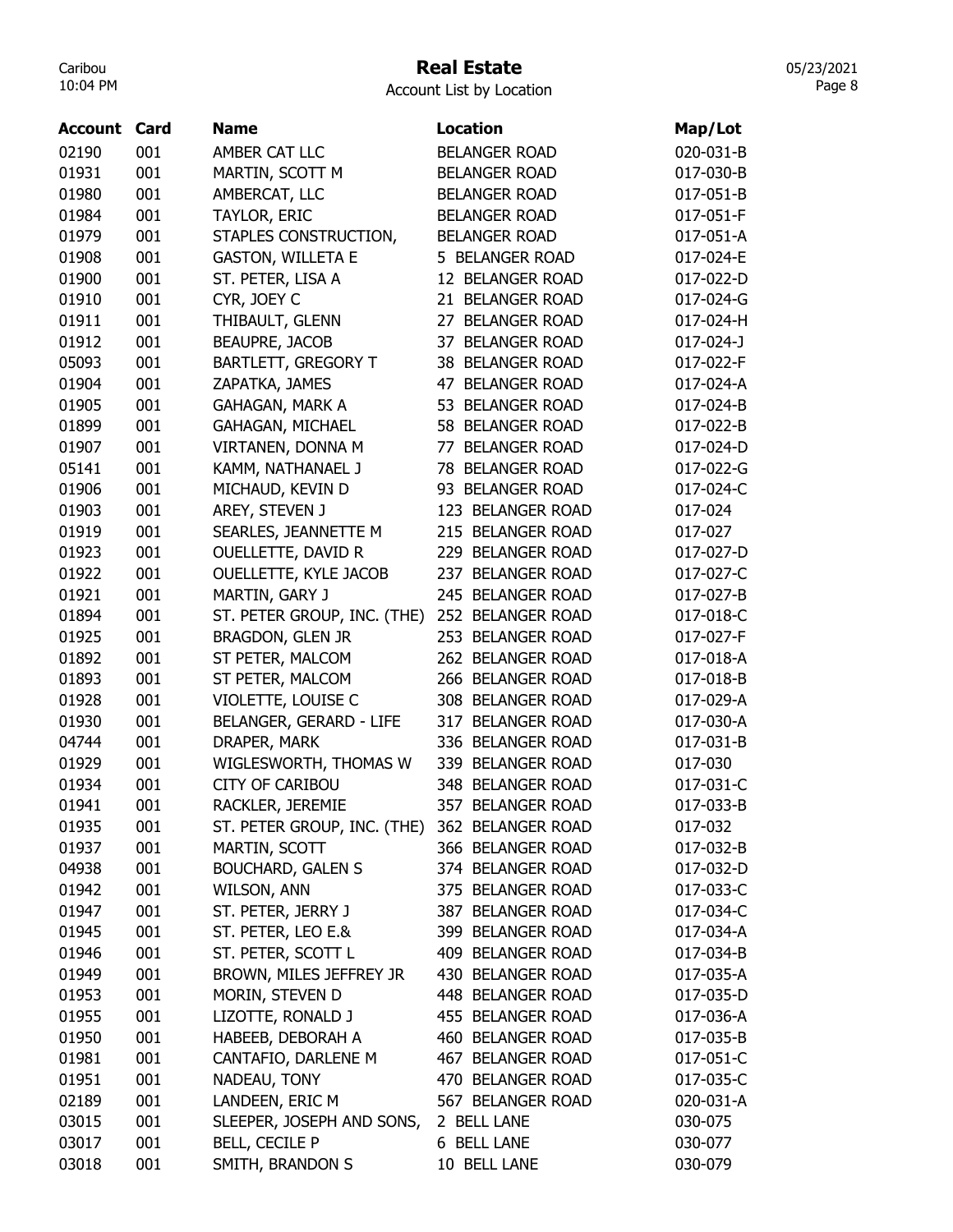## Real Estate

Account List by Location

| <b>Account Card</b> |     | <b>Name</b>                                   | Location                   | Map/Lot   |
|---------------------|-----|-----------------------------------------------|----------------------------|-----------|
| 02190               | 001 | AMBER CAT LLC                                 | <b>BELANGER ROAD</b>       | 020-031-B |
| 01931               | 001 | MARTIN, SCOTT M                               | <b>BELANGER ROAD</b>       | 017-030-B |
| 01980               | 001 | AMBERCAT, LLC                                 | <b>BELANGER ROAD</b>       | 017-051-B |
| 01984               | 001 | TAYLOR, ERIC                                  | <b>BELANGER ROAD</b>       | 017-051-F |
| 01979               | 001 | STAPLES CONSTRUCTION,                         | <b>BELANGER ROAD</b>       | 017-051-A |
| 01908               | 001 | <b>GASTON, WILLETA E</b>                      | 5 BELANGER ROAD            | 017-024-E |
| 01900               | 001 | ST. PETER, LISA A                             | 12 BELANGER ROAD           | 017-022-D |
| 01910               | 001 | CYR, JOEY C                                   | 21 BELANGER ROAD           | 017-024-G |
| 01911               | 001 | THIBAULT, GLENN                               | 27 BELANGER ROAD           | 017-024-H |
| 01912               | 001 | <b>BEAUPRE, JACOB</b>                         | <b>BELANGER ROAD</b><br>37 | 017-024-J |
| 05093               | 001 | <b>BARTLETT, GREGORY T</b>                    | 38 BELANGER ROAD           | 017-022-F |
| 01904               | 001 | ZAPATKA, JAMES                                | 47 BELANGER ROAD           | 017-024-A |
| 01905               | 001 | <b>GAHAGAN, MARK A</b>                        | 53 BELANGER ROAD           | 017-024-B |
| 01899               | 001 | GAHAGAN, MICHAEL                              | 58 BELANGER ROAD           | 017-022-B |
| 01907               | 001 | VIRTANEN, DONNA M                             | 77 BELANGER ROAD           | 017-024-D |
| 05141               | 001 | KAMM, NATHANAEL J                             | 78 BELANGER ROAD           | 017-022-G |
| 01906               | 001 | MICHAUD, KEVIN D                              | 93 BELANGER ROAD           | 017-024-C |
| 01903               | 001 | AREY, STEVEN J                                | 123 BELANGER ROAD          | 017-024   |
| 01919               | 001 | SEARLES, JEANNETTE M                          | 215 BELANGER ROAD          | 017-027   |
| 01923               | 001 | OUELLETTE, DAVID R                            | 229 BELANGER ROAD          | 017-027-D |
| 01922               | 001 | OUELLETTE, KYLE JACOB                         | 237 BELANGER ROAD          | 017-027-C |
| 01921               | 001 | MARTIN, GARY J                                | 245 BELANGER ROAD          | 017-027-B |
| 01894               | 001 | ST. PETER GROUP, INC. (THE)                   | 252 BELANGER ROAD          | 017-018-C |
| 01925               | 001 | BRAGDON, GLEN JR                              | 253 BELANGER ROAD          | 017-027-F |
| 01892               | 001 | ST PETER, MALCOM                              | 262 BELANGER ROAD          | 017-018-A |
| 01893               | 001 | ST PETER, MALCOM                              | 266 BELANGER ROAD          | 017-018-B |
| 01928               | 001 | VIOLETTE, LOUISE C                            | 308 BELANGER ROAD          | 017-029-A |
| 01930               | 001 | BELANGER, GERARD - LIFE                       | 317 BELANGER ROAD          | 017-030-A |
| 04744               | 001 | DRAPER, MARK                                  | 336 BELANGER ROAD          | 017-031-B |
| 01929               | 001 | WIGLESWORTH, THOMAS W                         | 339 BELANGER ROAD          | 017-030   |
| 01934               | 001 | <b>CITY OF CARIBOU</b>                        | 348 BELANGER ROAD          | 017-031-C |
| 01941               | 001 | RACKLER, JEREMIE                              | 357 BELANGER ROAD          | 017-033-B |
| 01935               | 001 | ST. PETER GROUP, INC. (THE) 362 BELANGER ROAD |                            | 017-032   |
| 01937               | 001 | MARTIN, SCOTT                                 | 366 BELANGER ROAD          | 017-032-B |
| 04938               | 001 | <b>BOUCHARD, GALEN S</b>                      | 374 BELANGER ROAD          | 017-032-D |
| 01942               | 001 | WILSON, ANN                                   | 375 BELANGER ROAD          | 017-033-C |
| 01947               | 001 | ST. PETER, JERRY J                            | 387 BELANGER ROAD          | 017-034-C |
| 01945               | 001 | ST. PETER, LEO E.&                            | 399 BELANGER ROAD          | 017-034-A |
| 01946               | 001 | ST. PETER, SCOTT L                            | 409 BELANGER ROAD          | 017-034-B |
| 01949               | 001 | BROWN, MILES JEFFREY JR                       | 430 BELANGER ROAD          | 017-035-A |
| 01953               | 001 | MORIN, STEVEN D                               | 448 BELANGER ROAD          | 017-035-D |
| 01955               | 001 | LIZOTTE, RONALD J                             | 455 BELANGER ROAD          | 017-036-A |
| 01950               | 001 | HABEEB, DEBORAH A                             | 460 BELANGER ROAD          | 017-035-B |
| 01981               | 001 | CANTAFIO, DARLENE M                           | 467 BELANGER ROAD          | 017-051-C |
| 01951               | 001 | NADEAU, TONY                                  | 470 BELANGER ROAD          | 017-035-C |
| 02189               | 001 | LANDEEN, ERIC M                               | 567 BELANGER ROAD          | 020-031-A |
| 03015               | 001 | SLEEPER, JOSEPH AND SONS,                     | 2 BELL LANE                | 030-075   |
| 03017               | 001 | BELL, CECILE P                                | 6 BELL LANE                | 030-077   |
| 03018               | 001 | SMITH, BRANDON S                              | 10 BELL LANE               | 030-079   |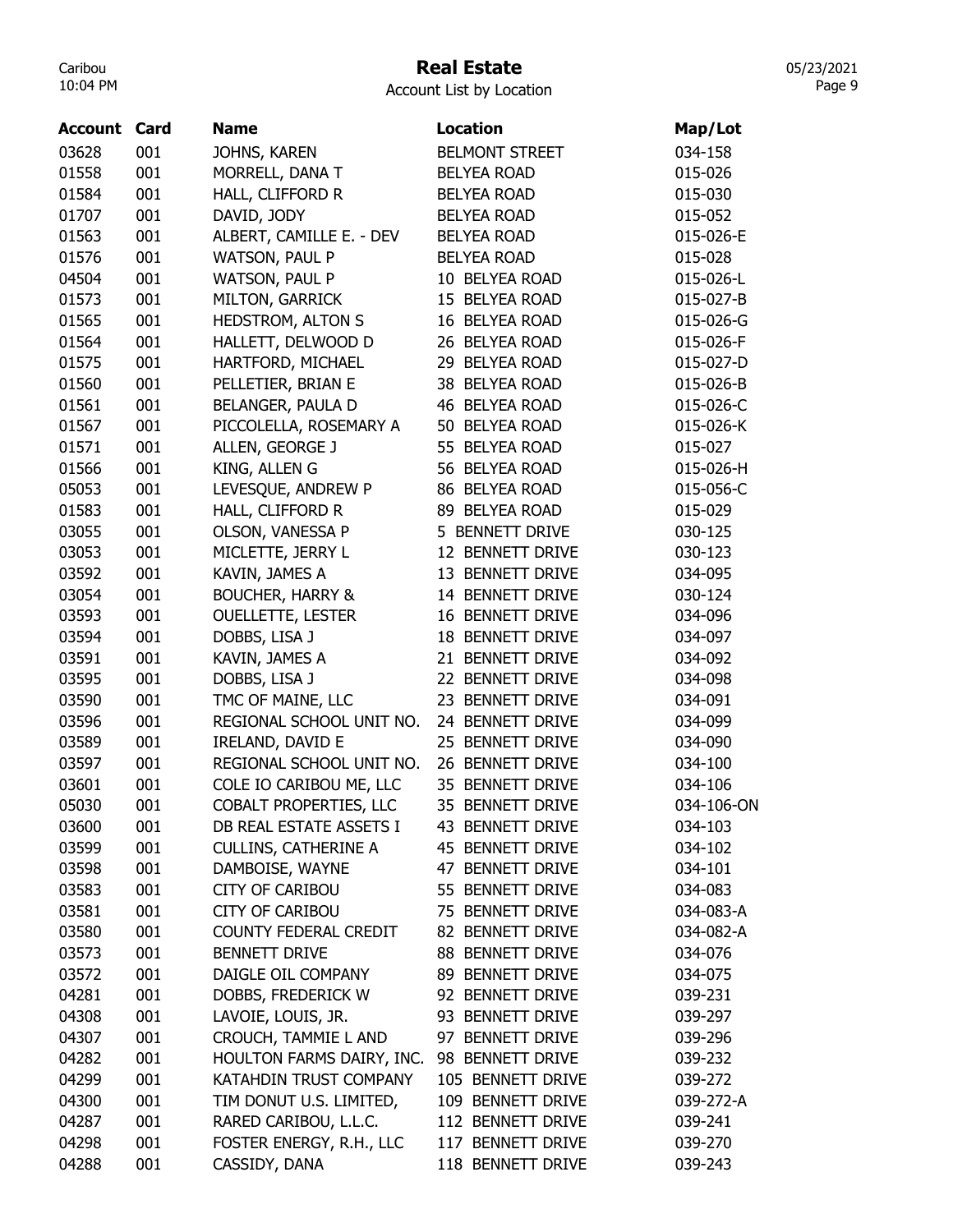# Real Estate

Account List by Location

| <b>Account Card</b> |     | <b>Name</b>                 | <b>Location</b>       | Map/Lot    |
|---------------------|-----|-----------------------------|-----------------------|------------|
| 03628               | 001 | JOHNS, KAREN                | <b>BELMONT STREET</b> | 034-158    |
| 01558               | 001 | MORRELL, DANA T             | <b>BELYEA ROAD</b>    | 015-026    |
| 01584               | 001 | HALL, CLIFFORD R            | <b>BELYEA ROAD</b>    | 015-030    |
| 01707               | 001 | DAVID, JODY                 | <b>BELYEA ROAD</b>    | 015-052    |
| 01563               | 001 | ALBERT, CAMILLE E. - DEV    | <b>BELYEA ROAD</b>    | 015-026-E  |
| 01576               | 001 | <b>WATSON, PAUL P</b>       | <b>BELYEA ROAD</b>    | 015-028    |
| 04504               | 001 | WATSON, PAUL P              | 10 BELYEA ROAD        | 015-026-L  |
| 01573               | 001 | MILTON, GARRICK             | 15 BELYEA ROAD        | 015-027-B  |
| 01565               | 001 | <b>HEDSTROM, ALTON S</b>    | 16 BELYEA ROAD        | 015-026-G  |
| 01564               | 001 | HALLETT, DELWOOD D          | 26 BELYEA ROAD        | 015-026-F  |
| 01575               | 001 | HARTFORD, MICHAEL           | 29 BELYEA ROAD        | 015-027-D  |
| 01560               | 001 | PELLETIER, BRIAN E          | 38 BELYEA ROAD        | 015-026-B  |
| 01561               | 001 | BELANGER, PAULA D           | 46 BELYEA ROAD        | 015-026-C  |
| 01567               | 001 | PICCOLELLA, ROSEMARY A      | 50 BELYEA ROAD        | 015-026-K  |
| 01571               | 001 | ALLEN, GEORGE J             | 55 BELYEA ROAD        | 015-027    |
| 01566               | 001 | KING, ALLEN G               | 56 BELYEA ROAD        | 015-026-H  |
| 05053               | 001 | LEVESQUE, ANDREW P          | 86 BELYEA ROAD        | 015-056-C  |
| 01583               | 001 | HALL, CLIFFORD R            | 89 BELYEA ROAD        | 015-029    |
| 03055               | 001 | OLSON, VANESSA P            | 5 BENNETT DRIVE       | 030-125    |
| 03053               | 001 | MICLETTE, JERRY L           | 12 BENNETT DRIVE      | 030-123    |
| 03592               | 001 | KAVIN, JAMES A              | 13 BENNETT DRIVE      | 034-095    |
| 03054               | 001 | <b>BOUCHER, HARRY &amp;</b> | 14 BENNETT DRIVE      | 030-124    |
| 03593               | 001 | <b>OUELLETTE, LESTER</b>    | 16 BENNETT DRIVE      | 034-096    |
| 03594               | 001 | DOBBS, LISA J               | 18 BENNETT DRIVE      | 034-097    |
| 03591               | 001 | KAVIN, JAMES A              | 21 BENNETT DRIVE      | 034-092    |
| 03595               | 001 | DOBBS, LISA J               | 22 BENNETT DRIVE      | 034-098    |
| 03590               | 001 | TMC OF MAINE, LLC           | 23 BENNETT DRIVE      | 034-091    |
| 03596               | 001 | REGIONAL SCHOOL UNIT NO.    | 24 BENNETT DRIVE      | 034-099    |
| 03589               | 001 | IRELAND, DAVID E            | 25 BENNETT DRIVE      | 034-090    |
| 03597               | 001 | REGIONAL SCHOOL UNIT NO.    | 26 BENNETT DRIVE      | 034-100    |
| 03601               | 001 | COLE IO CARIBOU ME, LLC     | 35 BENNETT DRIVE      | 034-106    |
| 05030               | 001 | COBALT PROPERTIES, LLC      | 35 BENNETT DRIVE      | 034-106-ON |
| 03600               | 001 | DB REAL ESTATE ASSETS I     | 43 BENNETT DRIVE      | 034-103    |
| 03599               | 001 | <b>CULLINS, CATHERINE A</b> | 45 BENNETT DRIVE      | 034-102    |
| 03598               | 001 | DAMBOISE, WAYNE             | 47 BENNETT DRIVE      | 034-101    |
| 03583               | 001 | <b>CITY OF CARIBOU</b>      | 55 BENNETT DRIVE      | 034-083    |
| 03581               | 001 | <b>CITY OF CARIBOU</b>      | 75 BENNETT DRIVE      | 034-083-A  |
| 03580               | 001 | COUNTY FEDERAL CREDIT       | 82 BENNETT DRIVE      | 034-082-A  |
| 03573               | 001 | <b>BENNETT DRIVE</b>        | 88 BENNETT DRIVE      | 034-076    |
| 03572               | 001 | DAIGLE OIL COMPANY          | 89 BENNETT DRIVE      | 034-075    |
| 04281               | 001 | DOBBS, FREDERICK W          | 92 BENNETT DRIVE      | 039-231    |
| 04308               | 001 | LAVOIE, LOUIS, JR.          | 93 BENNETT DRIVE      | 039-297    |
| 04307               | 001 | CROUCH, TAMMIE L AND        | 97 BENNETT DRIVE      | 039-296    |
| 04282               | 001 |                             |                       |            |
|                     |     | HOULTON FARMS DAIRY, INC.   | 98 BENNETT DRIVE      | 039-232    |
| 04299               | 001 | KATAHDIN TRUST COMPANY      | 105 BENNETT DRIVE     | 039-272    |
| 04300               | 001 | TIM DONUT U.S. LIMITED,     | 109 BENNETT DRIVE     | 039-272-A  |
| 04287               | 001 | RARED CARIBOU, L.L.C.       | 112 BENNETT DRIVE     | 039-241    |
| 04298               | 001 | FOSTER ENERGY, R.H., LLC    | 117 BENNETT DRIVE     | 039-270    |
| 04288               | 001 | CASSIDY, DANA               | 118 BENNETT DRIVE     | 039-243    |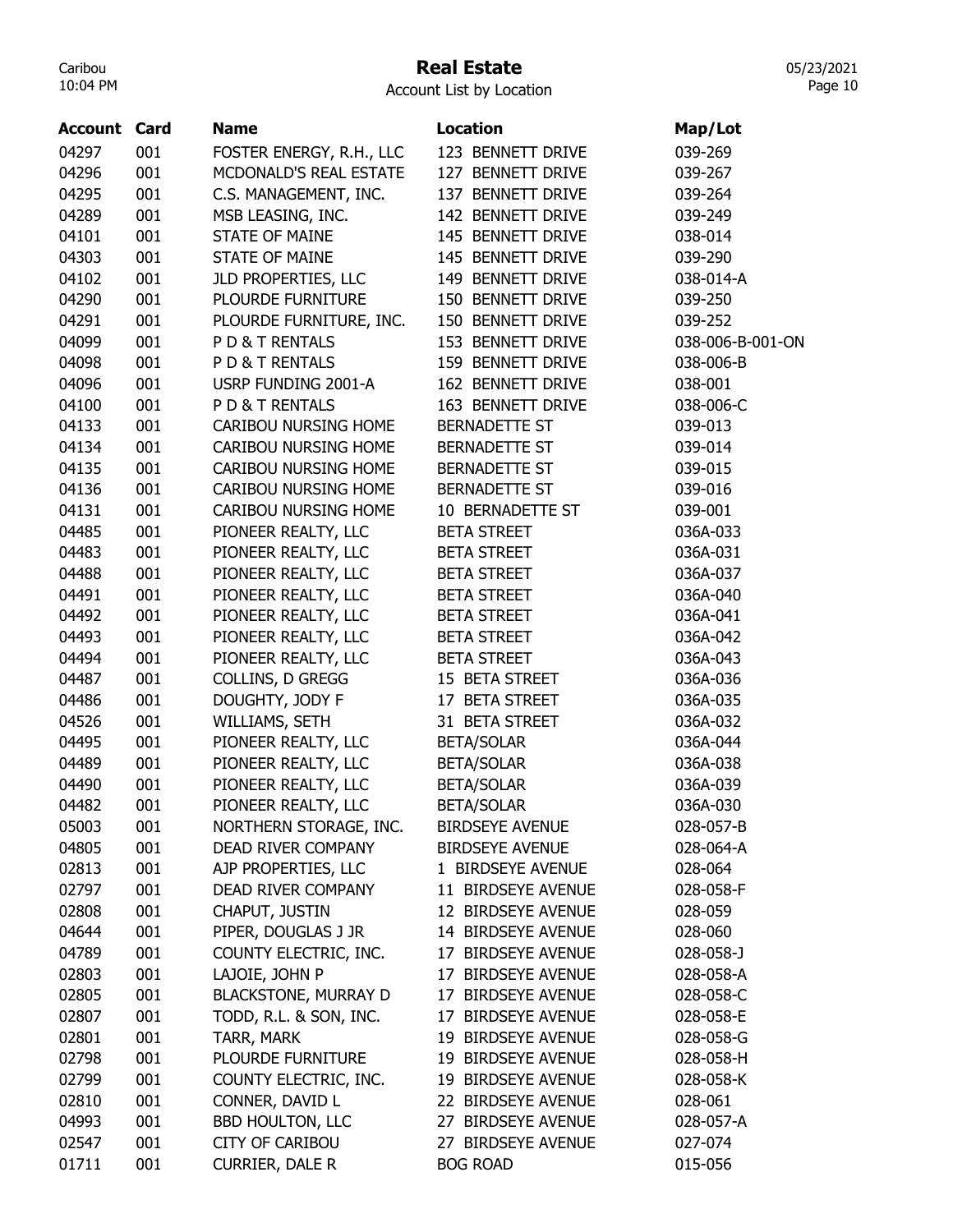## Real Estate

05/23/2021 Page 10

| <b>Account Card</b> |     | <b>Name</b>                 | <b>Location</b>        | Map/Lot          |
|---------------------|-----|-----------------------------|------------------------|------------------|
| 04297               | 001 | FOSTER ENERGY, R.H., LLC    | 123 BENNETT DRIVE      | 039-269          |
| 04296               | 001 | MCDONALD'S REAL ESTATE      | 127 BENNETT DRIVE      | 039-267          |
| 04295               | 001 | C.S. MANAGEMENT, INC.       | 137 BENNETT DRIVE      | 039-264          |
| 04289               | 001 | MSB LEASING, INC.           | 142 BENNETT DRIVE      | 039-249          |
| 04101               | 001 | <b>STATE OF MAINE</b>       | 145 BENNETT DRIVE      | 038-014          |
| 04303               | 001 | <b>STATE OF MAINE</b>       | 145 BENNETT DRIVE      | 039-290          |
| 04102               | 001 | JLD PROPERTIES, LLC         | 149 BENNETT DRIVE      | 038-014-A        |
| 04290               | 001 | PLOURDE FURNITURE           | 150 BENNETT DRIVE      | 039-250          |
| 04291               | 001 | PLOURDE FURNITURE, INC.     | 150 BENNETT DRIVE      | 039-252          |
| 04099               | 001 | PD& T RENTALS               | 153 BENNETT DRIVE      | 038-006-B-001-ON |
| 04098               | 001 | PD& T RENTALS               | 159 BENNETT DRIVE      | 038-006-B        |
| 04096               | 001 | USRP FUNDING 2001-A         | 162 BENNETT DRIVE      | 038-001          |
| 04100               | 001 | PD& T RENTALS               | 163 BENNETT DRIVE      | 038-006-C        |
| 04133               | 001 | CARIBOU NURSING HOME        | <b>BERNADETTE ST</b>   | 039-013          |
| 04134               | 001 | CARIBOU NURSING HOME        | BERNADETTE ST          | 039-014          |
| 04135               | 001 | CARIBOU NURSING HOME        | BERNADETTE ST          | 039-015          |
| 04136               | 001 | CARIBOU NURSING HOME        | <b>BERNADETTE ST</b>   | 039-016          |
| 04131               | 001 | CARIBOU NURSING HOME        | 10 BERNADETTE ST       | 039-001          |
| 04485               | 001 | PIONEER REALTY, LLC         | <b>BETA STREET</b>     | 036A-033         |
| 04483               | 001 | PIONEER REALTY, LLC         | <b>BETA STREET</b>     | 036A-031         |
| 04488               | 001 | PIONEER REALTY, LLC         | <b>BETA STREET</b>     | 036A-037         |
| 04491               | 001 | PIONEER REALTY, LLC         | <b>BETA STREET</b>     | 036A-040         |
| 04492               | 001 | PIONEER REALTY, LLC         | <b>BETA STREET</b>     | 036A-041         |
| 04493               | 001 | PIONEER REALTY, LLC         | <b>BETA STREET</b>     | 036A-042         |
| 04494               | 001 | PIONEER REALTY, LLC         | <b>BETA STREET</b>     | 036A-043         |
| 04487               | 001 | COLLINS, D GREGG            | 15 BETA STREET         | 036A-036         |
| 04486               | 001 | DOUGHTY, JODY F             | 17 BETA STREET         | 036A-035         |
| 04526               | 001 | WILLIAMS, SETH              | 31 BETA STREET         | 036A-032         |
| 04495               | 001 | PIONEER REALTY, LLC         | <b>BETA/SOLAR</b>      | 036A-044         |
| 04489               | 001 | PIONEER REALTY, LLC         | <b>BETA/SOLAR</b>      | 036A-038         |
| 04490               | 001 | PIONEER REALTY, LLC         | <b>BETA/SOLAR</b>      | 036A-039         |
| 04482               | 001 | PIONEER REALTY, LLC         | <b>BETA/SOLAR</b>      | 036A-030         |
| 05003               | 001 | NORTHERN STORAGE, INC.      | <b>BIRDSEYE AVENUE</b> | 028-057-B        |
| 04805               | 001 | DEAD RIVER COMPANY          | <b>BIRDSEYE AVENUE</b> | 028-064-A        |
| 02813               | 001 | AJP PROPERTIES, LLC         | 1 BIRDSEYE AVENUE      | 028-064          |
| 02797               | 001 | DEAD RIVER COMPANY          | 11 BIRDSEYE AVENUE     | 028-058-F        |
| 02808               | 001 | CHAPUT, JUSTIN              | 12 BIRDSEYE AVENUE     | 028-059          |
| 04644               | 001 | PIPER, DOUGLAS J JR         | 14 BIRDSEYE AVENUE     | 028-060          |
| 04789               | 001 | COUNTY ELECTRIC, INC.       | 17 BIRDSEYE AVENUE     | 028-058-J        |
| 02803               | 001 | LAJOIE, JOHN P              | 17 BIRDSEYE AVENUE     | 028-058-A        |
| 02805               | 001 | <b>BLACKSTONE, MURRAY D</b> | 17 BIRDSEYE AVENUE     | 028-058-C        |
| 02807               | 001 | TODD, R.L. & SON, INC.      | 17 BIRDSEYE AVENUE     | 028-058-E        |
| 02801               | 001 | TARR, MARK                  | 19 BIRDSEYE AVENUE     | 028-058-G        |
| 02798               | 001 | PLOURDE FURNITURE           | 19 BIRDSEYE AVENUE     | 028-058-H        |
| 02799               | 001 | COUNTY ELECTRIC, INC.       | 19 BIRDSEYE AVENUE     | 028-058-K        |
| 02810               | 001 | CONNER, DAVID L             | 22 BIRDSEYE AVENUE     | 028-061          |
| 04993               | 001 | <b>BBD HOULTON, LLC</b>     | 27 BIRDSEYE AVENUE     | 028-057-A        |
| 02547               | 001 | <b>CITY OF CARIBOU</b>      | 27 BIRDSEYE AVENUE     | 027-074          |
| 01711               | 001 | CURRIER, DALE R             | <b>BOG ROAD</b>        | 015-056          |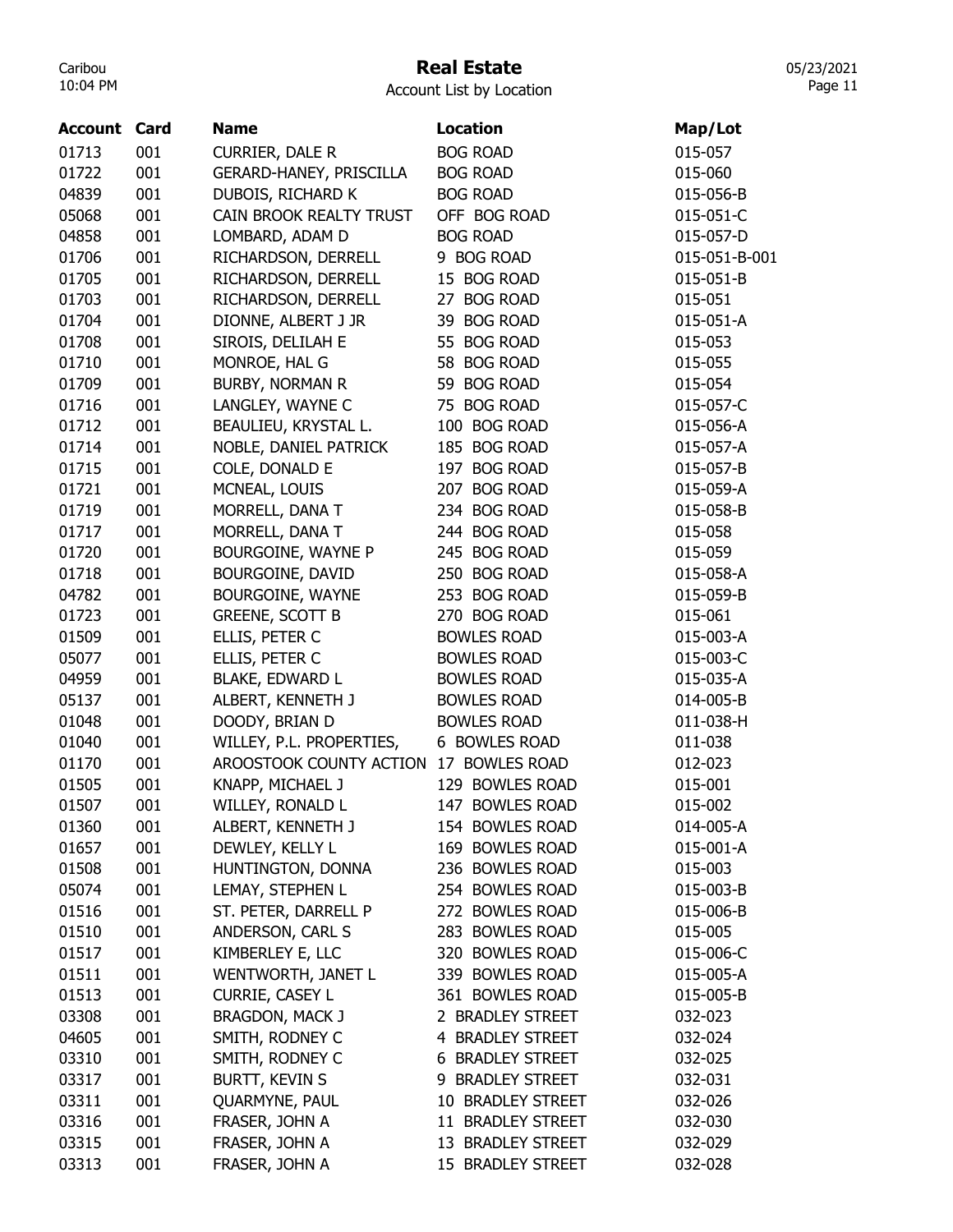# Real Estate

Account List by Location

| <b>BOG ROAD</b><br>001<br>CURRIER, DALE R<br>015-057<br>001<br>GERARD-HANEY, PRISCILLA<br><b>BOG ROAD</b><br>015-060<br>001<br>DUBOIS, RICHARD K<br><b>BOG ROAD</b><br>015-056-B<br>001<br>CAIN BROOK REALTY TRUST<br>OFF BOG ROAD<br>015-051-C<br>001<br><b>BOG ROAD</b><br>04858<br>LOMBARD, ADAM D<br>015-057-D<br>001<br>9 BOG ROAD<br>01706<br>RICHARDSON, DERRELL<br>015-051-B-001<br>01705<br>001<br>RICHARDSON, DERRELL<br>15 BOG ROAD<br>015-051-B<br>001<br>RICHARDSON, DERRELL<br>27 BOG ROAD<br>01703<br>015-051<br>001<br>39 BOG ROAD<br>01704<br>DIONNE, ALBERT J JR<br>015-051-A<br>01708<br>001<br>SIROIS, DELILAH E<br>55 BOG ROAD<br>015-053<br>01710<br>001<br>MONROE, HAL G<br>58 BOG ROAD<br>015-055<br>001<br>01709<br><b>BURBY, NORMAN R</b><br>59 BOG ROAD<br>015-054<br>001<br>75 BOG ROAD<br>01716<br>LANGLEY, WAYNE C<br>015-057-C<br>100 BOG ROAD<br>01712<br>001<br>BEAULIEU, KRYSTAL L.<br>015-056-A<br>01714<br>001<br>185 BOG ROAD<br>NOBLE, DANIEL PATRICK<br>015-057-A<br>001<br>COLE, DONALD E<br>197 BOG ROAD<br>01715<br>015-057-B<br>01721<br>001<br>207 BOG ROAD<br>MCNEAL, LOUIS<br>015-059-A<br>01719<br>001<br>234 BOG ROAD<br>MORRELL, DANA T<br>015-058-B<br>001<br>01717<br>MORRELL, DANA T<br>244 BOG ROAD<br>015-058<br>001<br>01720<br>BOURGOINE, WAYNE P<br>245 BOG ROAD<br>015-059<br>001<br>250 BOG ROAD<br>01718<br>BOURGOINE, DAVID<br>015-058-A<br>001<br>04782<br>BOURGOINE, WAYNE<br>253 BOG ROAD<br>015-059-B<br>001<br><b>GREENE, SCOTT B</b><br>01723<br>270 BOG ROAD<br>015-061<br>001<br>ELLIS, PETER C<br><b>BOWLES ROAD</b><br>01509<br>015-003-A<br>05077<br>001<br><b>BOWLES ROAD</b><br>015-003-C<br>ELLIS, PETER C<br>001<br>04959<br><b>BLAKE, EDWARD L</b><br><b>BOWLES ROAD</b><br>015-035-A<br>001<br>05137<br>ALBERT, KENNETH J<br><b>BOWLES ROAD</b><br>014-005-B<br>001<br>01048<br>DOODY, BRIAN D<br><b>BOWLES ROAD</b><br>011-038-H<br>001<br>01040<br>WILLEY, P.L. PROPERTIES,<br>6 BOWLES ROAD<br>011-038<br>001<br>01170<br>AROOSTOOK COUNTY ACTION<br>17 BOWLES ROAD<br>012-023<br>001<br>129 BOWLES ROAD<br>01505<br>KNAPP, MICHAEL J<br>015-001<br>001<br>WILLEY, RONALD L<br>147 BOWLES ROAD<br>015-002<br>01507<br>001<br>01360<br>ALBERT, KENNETH J<br>154 BOWLES ROAD<br>014-005-A<br>01657<br>001<br>DEWLEY, KELLY L<br>169 BOWLES ROAD<br>015-001-A<br>HUNTINGTON, DONNA<br>01508<br>001<br>236 BOWLES ROAD<br>015-003<br>05074<br>001<br>LEMAY, STEPHEN L<br>254 BOWLES ROAD<br>015-003-B<br>01516<br>001<br>272 BOWLES ROAD<br>ST. PETER, DARRELL P<br>015-006-B<br>001<br>01510<br>ANDERSON, CARL S<br>283 BOWLES ROAD<br>015-005<br>KIMBERLEY E, LLC<br>001<br>320 BOWLES ROAD<br>015-006-C<br>01517<br>01511<br>001<br>WENTWORTH, JANET L<br>339 BOWLES ROAD<br>015-005-A<br>01513<br>001<br><b>CURRIE, CASEY L</b><br>361 BOWLES ROAD<br>015-005-B<br>001<br>03308<br><b>BRAGDON, MACK J</b><br>2 BRADLEY STREET<br>032-023<br>04605<br>001<br>SMITH, RODNEY C<br>4 BRADLEY STREET<br>032-024<br>03310<br>001<br>SMITH, RODNEY C<br>6 BRADLEY STREET<br>032-025<br>001<br><b>BURTT, KEVIN S</b><br>03317<br>9 BRADLEY STREET<br>032-031<br>001<br>QUARMYNE, PAUL<br>03311<br>10 BRADLEY STREET<br>032-026<br>FRASER, JOHN A<br>03316<br>001<br>11 BRADLEY STREET<br>032-030<br>03315<br>001<br>FRASER, JOHN A<br>13 BRADLEY STREET<br>032-029 | <b>Account Card</b> | <b>Name</b> | <b>Location</b> | Map/Lot |
|---------------------------------------------------------------------------------------------------------------------------------------------------------------------------------------------------------------------------------------------------------------------------------------------------------------------------------------------------------------------------------------------------------------------------------------------------------------------------------------------------------------------------------------------------------------------------------------------------------------------------------------------------------------------------------------------------------------------------------------------------------------------------------------------------------------------------------------------------------------------------------------------------------------------------------------------------------------------------------------------------------------------------------------------------------------------------------------------------------------------------------------------------------------------------------------------------------------------------------------------------------------------------------------------------------------------------------------------------------------------------------------------------------------------------------------------------------------------------------------------------------------------------------------------------------------------------------------------------------------------------------------------------------------------------------------------------------------------------------------------------------------------------------------------------------------------------------------------------------------------------------------------------------------------------------------------------------------------------------------------------------------------------------------------------------------------------------------------------------------------------------------------------------------------------------------------------------------------------------------------------------------------------------------------------------------------------------------------------------------------------------------------------------------------------------------------------------------------------------------------------------------------------------------------------------------------------------------------------------------------------------------------------------------------------------------------------------------------------------------------------------------------------------------------------------------------------------------------------------------------------------------------------------------------------------------------------------------------------------------------------------------------------------------------------------------------------------------------------------------------------------------------------------------------------------------------------------------------------------------------------------------------------------------------------------------------------------------------|---------------------|-------------|-----------------|---------|
|                                                                                                                                                                                                                                                                                                                                                                                                                                                                                                                                                                                                                                                                                                                                                                                                                                                                                                                                                                                                                                                                                                                                                                                                                                                                                                                                                                                                                                                                                                                                                                                                                                                                                                                                                                                                                                                                                                                                                                                                                                                                                                                                                                                                                                                                                                                                                                                                                                                                                                                                                                                                                                                                                                                                                                                                                                                                                                                                                                                                                                                                                                                                                                                                                                                                                                                                             | 01713               |             |                 |         |
|                                                                                                                                                                                                                                                                                                                                                                                                                                                                                                                                                                                                                                                                                                                                                                                                                                                                                                                                                                                                                                                                                                                                                                                                                                                                                                                                                                                                                                                                                                                                                                                                                                                                                                                                                                                                                                                                                                                                                                                                                                                                                                                                                                                                                                                                                                                                                                                                                                                                                                                                                                                                                                                                                                                                                                                                                                                                                                                                                                                                                                                                                                                                                                                                                                                                                                                                             | 01722               |             |                 |         |
|                                                                                                                                                                                                                                                                                                                                                                                                                                                                                                                                                                                                                                                                                                                                                                                                                                                                                                                                                                                                                                                                                                                                                                                                                                                                                                                                                                                                                                                                                                                                                                                                                                                                                                                                                                                                                                                                                                                                                                                                                                                                                                                                                                                                                                                                                                                                                                                                                                                                                                                                                                                                                                                                                                                                                                                                                                                                                                                                                                                                                                                                                                                                                                                                                                                                                                                                             | 04839               |             |                 |         |
|                                                                                                                                                                                                                                                                                                                                                                                                                                                                                                                                                                                                                                                                                                                                                                                                                                                                                                                                                                                                                                                                                                                                                                                                                                                                                                                                                                                                                                                                                                                                                                                                                                                                                                                                                                                                                                                                                                                                                                                                                                                                                                                                                                                                                                                                                                                                                                                                                                                                                                                                                                                                                                                                                                                                                                                                                                                                                                                                                                                                                                                                                                                                                                                                                                                                                                                                             | 05068               |             |                 |         |
|                                                                                                                                                                                                                                                                                                                                                                                                                                                                                                                                                                                                                                                                                                                                                                                                                                                                                                                                                                                                                                                                                                                                                                                                                                                                                                                                                                                                                                                                                                                                                                                                                                                                                                                                                                                                                                                                                                                                                                                                                                                                                                                                                                                                                                                                                                                                                                                                                                                                                                                                                                                                                                                                                                                                                                                                                                                                                                                                                                                                                                                                                                                                                                                                                                                                                                                                             |                     |             |                 |         |
|                                                                                                                                                                                                                                                                                                                                                                                                                                                                                                                                                                                                                                                                                                                                                                                                                                                                                                                                                                                                                                                                                                                                                                                                                                                                                                                                                                                                                                                                                                                                                                                                                                                                                                                                                                                                                                                                                                                                                                                                                                                                                                                                                                                                                                                                                                                                                                                                                                                                                                                                                                                                                                                                                                                                                                                                                                                                                                                                                                                                                                                                                                                                                                                                                                                                                                                                             |                     |             |                 |         |
|                                                                                                                                                                                                                                                                                                                                                                                                                                                                                                                                                                                                                                                                                                                                                                                                                                                                                                                                                                                                                                                                                                                                                                                                                                                                                                                                                                                                                                                                                                                                                                                                                                                                                                                                                                                                                                                                                                                                                                                                                                                                                                                                                                                                                                                                                                                                                                                                                                                                                                                                                                                                                                                                                                                                                                                                                                                                                                                                                                                                                                                                                                                                                                                                                                                                                                                                             |                     |             |                 |         |
|                                                                                                                                                                                                                                                                                                                                                                                                                                                                                                                                                                                                                                                                                                                                                                                                                                                                                                                                                                                                                                                                                                                                                                                                                                                                                                                                                                                                                                                                                                                                                                                                                                                                                                                                                                                                                                                                                                                                                                                                                                                                                                                                                                                                                                                                                                                                                                                                                                                                                                                                                                                                                                                                                                                                                                                                                                                                                                                                                                                                                                                                                                                                                                                                                                                                                                                                             |                     |             |                 |         |
|                                                                                                                                                                                                                                                                                                                                                                                                                                                                                                                                                                                                                                                                                                                                                                                                                                                                                                                                                                                                                                                                                                                                                                                                                                                                                                                                                                                                                                                                                                                                                                                                                                                                                                                                                                                                                                                                                                                                                                                                                                                                                                                                                                                                                                                                                                                                                                                                                                                                                                                                                                                                                                                                                                                                                                                                                                                                                                                                                                                                                                                                                                                                                                                                                                                                                                                                             |                     |             |                 |         |
|                                                                                                                                                                                                                                                                                                                                                                                                                                                                                                                                                                                                                                                                                                                                                                                                                                                                                                                                                                                                                                                                                                                                                                                                                                                                                                                                                                                                                                                                                                                                                                                                                                                                                                                                                                                                                                                                                                                                                                                                                                                                                                                                                                                                                                                                                                                                                                                                                                                                                                                                                                                                                                                                                                                                                                                                                                                                                                                                                                                                                                                                                                                                                                                                                                                                                                                                             |                     |             |                 |         |
|                                                                                                                                                                                                                                                                                                                                                                                                                                                                                                                                                                                                                                                                                                                                                                                                                                                                                                                                                                                                                                                                                                                                                                                                                                                                                                                                                                                                                                                                                                                                                                                                                                                                                                                                                                                                                                                                                                                                                                                                                                                                                                                                                                                                                                                                                                                                                                                                                                                                                                                                                                                                                                                                                                                                                                                                                                                                                                                                                                                                                                                                                                                                                                                                                                                                                                                                             |                     |             |                 |         |
|                                                                                                                                                                                                                                                                                                                                                                                                                                                                                                                                                                                                                                                                                                                                                                                                                                                                                                                                                                                                                                                                                                                                                                                                                                                                                                                                                                                                                                                                                                                                                                                                                                                                                                                                                                                                                                                                                                                                                                                                                                                                                                                                                                                                                                                                                                                                                                                                                                                                                                                                                                                                                                                                                                                                                                                                                                                                                                                                                                                                                                                                                                                                                                                                                                                                                                                                             |                     |             |                 |         |
|                                                                                                                                                                                                                                                                                                                                                                                                                                                                                                                                                                                                                                                                                                                                                                                                                                                                                                                                                                                                                                                                                                                                                                                                                                                                                                                                                                                                                                                                                                                                                                                                                                                                                                                                                                                                                                                                                                                                                                                                                                                                                                                                                                                                                                                                                                                                                                                                                                                                                                                                                                                                                                                                                                                                                                                                                                                                                                                                                                                                                                                                                                                                                                                                                                                                                                                                             |                     |             |                 |         |
|                                                                                                                                                                                                                                                                                                                                                                                                                                                                                                                                                                                                                                                                                                                                                                                                                                                                                                                                                                                                                                                                                                                                                                                                                                                                                                                                                                                                                                                                                                                                                                                                                                                                                                                                                                                                                                                                                                                                                                                                                                                                                                                                                                                                                                                                                                                                                                                                                                                                                                                                                                                                                                                                                                                                                                                                                                                                                                                                                                                                                                                                                                                                                                                                                                                                                                                                             |                     |             |                 |         |
|                                                                                                                                                                                                                                                                                                                                                                                                                                                                                                                                                                                                                                                                                                                                                                                                                                                                                                                                                                                                                                                                                                                                                                                                                                                                                                                                                                                                                                                                                                                                                                                                                                                                                                                                                                                                                                                                                                                                                                                                                                                                                                                                                                                                                                                                                                                                                                                                                                                                                                                                                                                                                                                                                                                                                                                                                                                                                                                                                                                                                                                                                                                                                                                                                                                                                                                                             |                     |             |                 |         |
|                                                                                                                                                                                                                                                                                                                                                                                                                                                                                                                                                                                                                                                                                                                                                                                                                                                                                                                                                                                                                                                                                                                                                                                                                                                                                                                                                                                                                                                                                                                                                                                                                                                                                                                                                                                                                                                                                                                                                                                                                                                                                                                                                                                                                                                                                                                                                                                                                                                                                                                                                                                                                                                                                                                                                                                                                                                                                                                                                                                                                                                                                                                                                                                                                                                                                                                                             |                     |             |                 |         |
|                                                                                                                                                                                                                                                                                                                                                                                                                                                                                                                                                                                                                                                                                                                                                                                                                                                                                                                                                                                                                                                                                                                                                                                                                                                                                                                                                                                                                                                                                                                                                                                                                                                                                                                                                                                                                                                                                                                                                                                                                                                                                                                                                                                                                                                                                                                                                                                                                                                                                                                                                                                                                                                                                                                                                                                                                                                                                                                                                                                                                                                                                                                                                                                                                                                                                                                                             |                     |             |                 |         |
|                                                                                                                                                                                                                                                                                                                                                                                                                                                                                                                                                                                                                                                                                                                                                                                                                                                                                                                                                                                                                                                                                                                                                                                                                                                                                                                                                                                                                                                                                                                                                                                                                                                                                                                                                                                                                                                                                                                                                                                                                                                                                                                                                                                                                                                                                                                                                                                                                                                                                                                                                                                                                                                                                                                                                                                                                                                                                                                                                                                                                                                                                                                                                                                                                                                                                                                                             |                     |             |                 |         |
|                                                                                                                                                                                                                                                                                                                                                                                                                                                                                                                                                                                                                                                                                                                                                                                                                                                                                                                                                                                                                                                                                                                                                                                                                                                                                                                                                                                                                                                                                                                                                                                                                                                                                                                                                                                                                                                                                                                                                                                                                                                                                                                                                                                                                                                                                                                                                                                                                                                                                                                                                                                                                                                                                                                                                                                                                                                                                                                                                                                                                                                                                                                                                                                                                                                                                                                                             |                     |             |                 |         |
|                                                                                                                                                                                                                                                                                                                                                                                                                                                                                                                                                                                                                                                                                                                                                                                                                                                                                                                                                                                                                                                                                                                                                                                                                                                                                                                                                                                                                                                                                                                                                                                                                                                                                                                                                                                                                                                                                                                                                                                                                                                                                                                                                                                                                                                                                                                                                                                                                                                                                                                                                                                                                                                                                                                                                                                                                                                                                                                                                                                                                                                                                                                                                                                                                                                                                                                                             |                     |             |                 |         |
|                                                                                                                                                                                                                                                                                                                                                                                                                                                                                                                                                                                                                                                                                                                                                                                                                                                                                                                                                                                                                                                                                                                                                                                                                                                                                                                                                                                                                                                                                                                                                                                                                                                                                                                                                                                                                                                                                                                                                                                                                                                                                                                                                                                                                                                                                                                                                                                                                                                                                                                                                                                                                                                                                                                                                                                                                                                                                                                                                                                                                                                                                                                                                                                                                                                                                                                                             |                     |             |                 |         |
|                                                                                                                                                                                                                                                                                                                                                                                                                                                                                                                                                                                                                                                                                                                                                                                                                                                                                                                                                                                                                                                                                                                                                                                                                                                                                                                                                                                                                                                                                                                                                                                                                                                                                                                                                                                                                                                                                                                                                                                                                                                                                                                                                                                                                                                                                                                                                                                                                                                                                                                                                                                                                                                                                                                                                                                                                                                                                                                                                                                                                                                                                                                                                                                                                                                                                                                                             |                     |             |                 |         |
|                                                                                                                                                                                                                                                                                                                                                                                                                                                                                                                                                                                                                                                                                                                                                                                                                                                                                                                                                                                                                                                                                                                                                                                                                                                                                                                                                                                                                                                                                                                                                                                                                                                                                                                                                                                                                                                                                                                                                                                                                                                                                                                                                                                                                                                                                                                                                                                                                                                                                                                                                                                                                                                                                                                                                                                                                                                                                                                                                                                                                                                                                                                                                                                                                                                                                                                                             |                     |             |                 |         |
|                                                                                                                                                                                                                                                                                                                                                                                                                                                                                                                                                                                                                                                                                                                                                                                                                                                                                                                                                                                                                                                                                                                                                                                                                                                                                                                                                                                                                                                                                                                                                                                                                                                                                                                                                                                                                                                                                                                                                                                                                                                                                                                                                                                                                                                                                                                                                                                                                                                                                                                                                                                                                                                                                                                                                                                                                                                                                                                                                                                                                                                                                                                                                                                                                                                                                                                                             |                     |             |                 |         |
|                                                                                                                                                                                                                                                                                                                                                                                                                                                                                                                                                                                                                                                                                                                                                                                                                                                                                                                                                                                                                                                                                                                                                                                                                                                                                                                                                                                                                                                                                                                                                                                                                                                                                                                                                                                                                                                                                                                                                                                                                                                                                                                                                                                                                                                                                                                                                                                                                                                                                                                                                                                                                                                                                                                                                                                                                                                                                                                                                                                                                                                                                                                                                                                                                                                                                                                                             |                     |             |                 |         |
|                                                                                                                                                                                                                                                                                                                                                                                                                                                                                                                                                                                                                                                                                                                                                                                                                                                                                                                                                                                                                                                                                                                                                                                                                                                                                                                                                                                                                                                                                                                                                                                                                                                                                                                                                                                                                                                                                                                                                                                                                                                                                                                                                                                                                                                                                                                                                                                                                                                                                                                                                                                                                                                                                                                                                                                                                                                                                                                                                                                                                                                                                                                                                                                                                                                                                                                                             |                     |             |                 |         |
|                                                                                                                                                                                                                                                                                                                                                                                                                                                                                                                                                                                                                                                                                                                                                                                                                                                                                                                                                                                                                                                                                                                                                                                                                                                                                                                                                                                                                                                                                                                                                                                                                                                                                                                                                                                                                                                                                                                                                                                                                                                                                                                                                                                                                                                                                                                                                                                                                                                                                                                                                                                                                                                                                                                                                                                                                                                                                                                                                                                                                                                                                                                                                                                                                                                                                                                                             |                     |             |                 |         |
|                                                                                                                                                                                                                                                                                                                                                                                                                                                                                                                                                                                                                                                                                                                                                                                                                                                                                                                                                                                                                                                                                                                                                                                                                                                                                                                                                                                                                                                                                                                                                                                                                                                                                                                                                                                                                                                                                                                                                                                                                                                                                                                                                                                                                                                                                                                                                                                                                                                                                                                                                                                                                                                                                                                                                                                                                                                                                                                                                                                                                                                                                                                                                                                                                                                                                                                                             |                     |             |                 |         |
|                                                                                                                                                                                                                                                                                                                                                                                                                                                                                                                                                                                                                                                                                                                                                                                                                                                                                                                                                                                                                                                                                                                                                                                                                                                                                                                                                                                                                                                                                                                                                                                                                                                                                                                                                                                                                                                                                                                                                                                                                                                                                                                                                                                                                                                                                                                                                                                                                                                                                                                                                                                                                                                                                                                                                                                                                                                                                                                                                                                                                                                                                                                                                                                                                                                                                                                                             |                     |             |                 |         |
|                                                                                                                                                                                                                                                                                                                                                                                                                                                                                                                                                                                                                                                                                                                                                                                                                                                                                                                                                                                                                                                                                                                                                                                                                                                                                                                                                                                                                                                                                                                                                                                                                                                                                                                                                                                                                                                                                                                                                                                                                                                                                                                                                                                                                                                                                                                                                                                                                                                                                                                                                                                                                                                                                                                                                                                                                                                                                                                                                                                                                                                                                                                                                                                                                                                                                                                                             |                     |             |                 |         |
|                                                                                                                                                                                                                                                                                                                                                                                                                                                                                                                                                                                                                                                                                                                                                                                                                                                                                                                                                                                                                                                                                                                                                                                                                                                                                                                                                                                                                                                                                                                                                                                                                                                                                                                                                                                                                                                                                                                                                                                                                                                                                                                                                                                                                                                                                                                                                                                                                                                                                                                                                                                                                                                                                                                                                                                                                                                                                                                                                                                                                                                                                                                                                                                                                                                                                                                                             |                     |             |                 |         |
|                                                                                                                                                                                                                                                                                                                                                                                                                                                                                                                                                                                                                                                                                                                                                                                                                                                                                                                                                                                                                                                                                                                                                                                                                                                                                                                                                                                                                                                                                                                                                                                                                                                                                                                                                                                                                                                                                                                                                                                                                                                                                                                                                                                                                                                                                                                                                                                                                                                                                                                                                                                                                                                                                                                                                                                                                                                                                                                                                                                                                                                                                                                                                                                                                                                                                                                                             |                     |             |                 |         |
|                                                                                                                                                                                                                                                                                                                                                                                                                                                                                                                                                                                                                                                                                                                                                                                                                                                                                                                                                                                                                                                                                                                                                                                                                                                                                                                                                                                                                                                                                                                                                                                                                                                                                                                                                                                                                                                                                                                                                                                                                                                                                                                                                                                                                                                                                                                                                                                                                                                                                                                                                                                                                                                                                                                                                                                                                                                                                                                                                                                                                                                                                                                                                                                                                                                                                                                                             |                     |             |                 |         |
|                                                                                                                                                                                                                                                                                                                                                                                                                                                                                                                                                                                                                                                                                                                                                                                                                                                                                                                                                                                                                                                                                                                                                                                                                                                                                                                                                                                                                                                                                                                                                                                                                                                                                                                                                                                                                                                                                                                                                                                                                                                                                                                                                                                                                                                                                                                                                                                                                                                                                                                                                                                                                                                                                                                                                                                                                                                                                                                                                                                                                                                                                                                                                                                                                                                                                                                                             |                     |             |                 |         |
|                                                                                                                                                                                                                                                                                                                                                                                                                                                                                                                                                                                                                                                                                                                                                                                                                                                                                                                                                                                                                                                                                                                                                                                                                                                                                                                                                                                                                                                                                                                                                                                                                                                                                                                                                                                                                                                                                                                                                                                                                                                                                                                                                                                                                                                                                                                                                                                                                                                                                                                                                                                                                                                                                                                                                                                                                                                                                                                                                                                                                                                                                                                                                                                                                                                                                                                                             |                     |             |                 |         |
|                                                                                                                                                                                                                                                                                                                                                                                                                                                                                                                                                                                                                                                                                                                                                                                                                                                                                                                                                                                                                                                                                                                                                                                                                                                                                                                                                                                                                                                                                                                                                                                                                                                                                                                                                                                                                                                                                                                                                                                                                                                                                                                                                                                                                                                                                                                                                                                                                                                                                                                                                                                                                                                                                                                                                                                                                                                                                                                                                                                                                                                                                                                                                                                                                                                                                                                                             |                     |             |                 |         |
|                                                                                                                                                                                                                                                                                                                                                                                                                                                                                                                                                                                                                                                                                                                                                                                                                                                                                                                                                                                                                                                                                                                                                                                                                                                                                                                                                                                                                                                                                                                                                                                                                                                                                                                                                                                                                                                                                                                                                                                                                                                                                                                                                                                                                                                                                                                                                                                                                                                                                                                                                                                                                                                                                                                                                                                                                                                                                                                                                                                                                                                                                                                                                                                                                                                                                                                                             |                     |             |                 |         |
|                                                                                                                                                                                                                                                                                                                                                                                                                                                                                                                                                                                                                                                                                                                                                                                                                                                                                                                                                                                                                                                                                                                                                                                                                                                                                                                                                                                                                                                                                                                                                                                                                                                                                                                                                                                                                                                                                                                                                                                                                                                                                                                                                                                                                                                                                                                                                                                                                                                                                                                                                                                                                                                                                                                                                                                                                                                                                                                                                                                                                                                                                                                                                                                                                                                                                                                                             |                     |             |                 |         |
|                                                                                                                                                                                                                                                                                                                                                                                                                                                                                                                                                                                                                                                                                                                                                                                                                                                                                                                                                                                                                                                                                                                                                                                                                                                                                                                                                                                                                                                                                                                                                                                                                                                                                                                                                                                                                                                                                                                                                                                                                                                                                                                                                                                                                                                                                                                                                                                                                                                                                                                                                                                                                                                                                                                                                                                                                                                                                                                                                                                                                                                                                                                                                                                                                                                                                                                                             |                     |             |                 |         |
|                                                                                                                                                                                                                                                                                                                                                                                                                                                                                                                                                                                                                                                                                                                                                                                                                                                                                                                                                                                                                                                                                                                                                                                                                                                                                                                                                                                                                                                                                                                                                                                                                                                                                                                                                                                                                                                                                                                                                                                                                                                                                                                                                                                                                                                                                                                                                                                                                                                                                                                                                                                                                                                                                                                                                                                                                                                                                                                                                                                                                                                                                                                                                                                                                                                                                                                                             |                     |             |                 |         |
|                                                                                                                                                                                                                                                                                                                                                                                                                                                                                                                                                                                                                                                                                                                                                                                                                                                                                                                                                                                                                                                                                                                                                                                                                                                                                                                                                                                                                                                                                                                                                                                                                                                                                                                                                                                                                                                                                                                                                                                                                                                                                                                                                                                                                                                                                                                                                                                                                                                                                                                                                                                                                                                                                                                                                                                                                                                                                                                                                                                                                                                                                                                                                                                                                                                                                                                                             |                     |             |                 |         |
|                                                                                                                                                                                                                                                                                                                                                                                                                                                                                                                                                                                                                                                                                                                                                                                                                                                                                                                                                                                                                                                                                                                                                                                                                                                                                                                                                                                                                                                                                                                                                                                                                                                                                                                                                                                                                                                                                                                                                                                                                                                                                                                                                                                                                                                                                                                                                                                                                                                                                                                                                                                                                                                                                                                                                                                                                                                                                                                                                                                                                                                                                                                                                                                                                                                                                                                                             |                     |             |                 |         |
|                                                                                                                                                                                                                                                                                                                                                                                                                                                                                                                                                                                                                                                                                                                                                                                                                                                                                                                                                                                                                                                                                                                                                                                                                                                                                                                                                                                                                                                                                                                                                                                                                                                                                                                                                                                                                                                                                                                                                                                                                                                                                                                                                                                                                                                                                                                                                                                                                                                                                                                                                                                                                                                                                                                                                                                                                                                                                                                                                                                                                                                                                                                                                                                                                                                                                                                                             |                     |             |                 |         |
|                                                                                                                                                                                                                                                                                                                                                                                                                                                                                                                                                                                                                                                                                                                                                                                                                                                                                                                                                                                                                                                                                                                                                                                                                                                                                                                                                                                                                                                                                                                                                                                                                                                                                                                                                                                                                                                                                                                                                                                                                                                                                                                                                                                                                                                                                                                                                                                                                                                                                                                                                                                                                                                                                                                                                                                                                                                                                                                                                                                                                                                                                                                                                                                                                                                                                                                                             |                     |             |                 |         |
|                                                                                                                                                                                                                                                                                                                                                                                                                                                                                                                                                                                                                                                                                                                                                                                                                                                                                                                                                                                                                                                                                                                                                                                                                                                                                                                                                                                                                                                                                                                                                                                                                                                                                                                                                                                                                                                                                                                                                                                                                                                                                                                                                                                                                                                                                                                                                                                                                                                                                                                                                                                                                                                                                                                                                                                                                                                                                                                                                                                                                                                                                                                                                                                                                                                                                                                                             |                     |             |                 |         |
|                                                                                                                                                                                                                                                                                                                                                                                                                                                                                                                                                                                                                                                                                                                                                                                                                                                                                                                                                                                                                                                                                                                                                                                                                                                                                                                                                                                                                                                                                                                                                                                                                                                                                                                                                                                                                                                                                                                                                                                                                                                                                                                                                                                                                                                                                                                                                                                                                                                                                                                                                                                                                                                                                                                                                                                                                                                                                                                                                                                                                                                                                                                                                                                                                                                                                                                                             |                     |             |                 |         |
|                                                                                                                                                                                                                                                                                                                                                                                                                                                                                                                                                                                                                                                                                                                                                                                                                                                                                                                                                                                                                                                                                                                                                                                                                                                                                                                                                                                                                                                                                                                                                                                                                                                                                                                                                                                                                                                                                                                                                                                                                                                                                                                                                                                                                                                                                                                                                                                                                                                                                                                                                                                                                                                                                                                                                                                                                                                                                                                                                                                                                                                                                                                                                                                                                                                                                                                                             |                     |             |                 |         |
|                                                                                                                                                                                                                                                                                                                                                                                                                                                                                                                                                                                                                                                                                                                                                                                                                                                                                                                                                                                                                                                                                                                                                                                                                                                                                                                                                                                                                                                                                                                                                                                                                                                                                                                                                                                                                                                                                                                                                                                                                                                                                                                                                                                                                                                                                                                                                                                                                                                                                                                                                                                                                                                                                                                                                                                                                                                                                                                                                                                                                                                                                                                                                                                                                                                                                                                                             |                     |             |                 |         |
| 001<br>FRASER, JOHN A<br>15 BRADLEY STREET<br>032-028                                                                                                                                                                                                                                                                                                                                                                                                                                                                                                                                                                                                                                                                                                                                                                                                                                                                                                                                                                                                                                                                                                                                                                                                                                                                                                                                                                                                                                                                                                                                                                                                                                                                                                                                                                                                                                                                                                                                                                                                                                                                                                                                                                                                                                                                                                                                                                                                                                                                                                                                                                                                                                                                                                                                                                                                                                                                                                                                                                                                                                                                                                                                                                                                                                                                                       | 03313               |             |                 |         |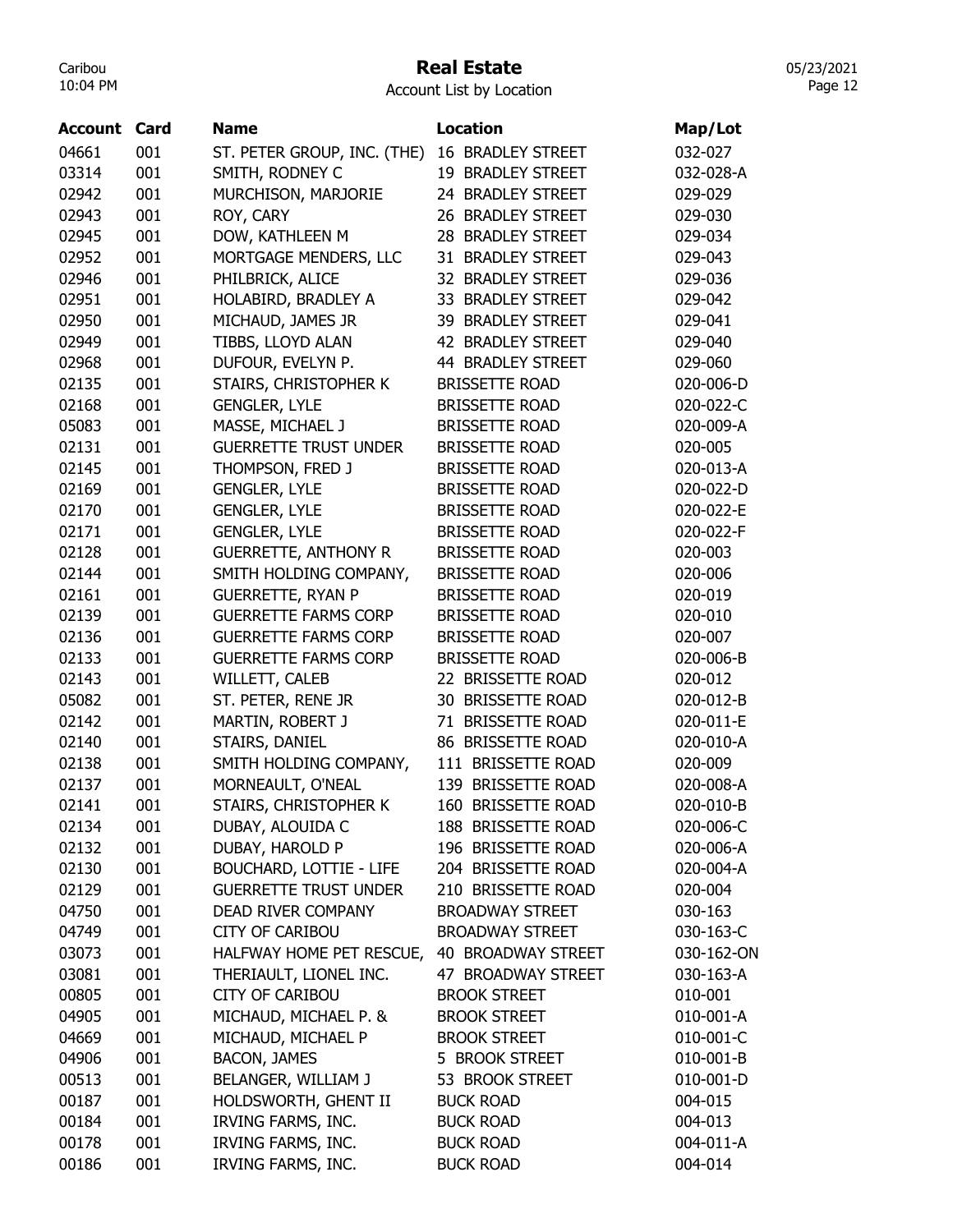#### Real Estate

Account List by Location

| <b>Account Card</b> |     | <b>Name</b>                  | <b>Location</b>          | Map/Lot    |
|---------------------|-----|------------------------------|--------------------------|------------|
| 04661               | 001 | ST. PETER GROUP, INC. (THE)  | <b>16 BRADLEY STREET</b> | 032-027    |
| 03314               | 001 | SMITH, RODNEY C              | 19 BRADLEY STREET        | 032-028-A  |
| 02942               | 001 | MURCHISON, MARJORIE          | 24 BRADLEY STREET        | 029-029    |
| 02943               | 001 | ROY, CARY                    | 26 BRADLEY STREET        | 029-030    |
| 02945               | 001 | DOW, KATHLEEN M              | 28 BRADLEY STREET        | 029-034    |
| 02952               | 001 | MORTGAGE MENDERS, LLC        | 31 BRADLEY STREET        | 029-043    |
| 02946               | 001 | PHILBRICK, ALICE             | 32 BRADLEY STREET        | 029-036    |
| 02951               | 001 | HOLABIRD, BRADLEY A          | 33 BRADLEY STREET        | 029-042    |
| 02950               | 001 | MICHAUD, JAMES JR            | 39 BRADLEY STREET        | 029-041    |
| 02949               | 001 | TIBBS, LLOYD ALAN            | 42 BRADLEY STREET        | 029-040    |
| 02968               | 001 | DUFOUR, EVELYN P.            | 44 BRADLEY STREET        | 029-060    |
| 02135               | 001 | STAIRS, CHRISTOPHER K        | <b>BRISSETTE ROAD</b>    | 020-006-D  |
| 02168               | 001 | <b>GENGLER, LYLE</b>         | <b>BRISSETTE ROAD</b>    | 020-022-C  |
| 05083               | 001 | MASSE, MICHAEL J             | <b>BRISSETTE ROAD</b>    | 020-009-A  |
| 02131               | 001 | <b>GUERRETTE TRUST UNDER</b> | <b>BRISSETTE ROAD</b>    | 020-005    |
| 02145               | 001 | THOMPSON, FRED J             | <b>BRISSETTE ROAD</b>    | 020-013-A  |
| 02169               | 001 | <b>GENGLER, LYLE</b>         | <b>BRISSETTE ROAD</b>    | 020-022-D  |
| 02170               | 001 |                              |                          | 020-022-E  |
| 02171               |     | <b>GENGLER, LYLE</b>         | <b>BRISSETTE ROAD</b>    |            |
|                     | 001 | <b>GENGLER, LYLE</b>         | <b>BRISSETTE ROAD</b>    | 020-022-F  |
| 02128               | 001 | <b>GUERRETTE, ANTHONY R</b>  | <b>BRISSETTE ROAD</b>    | 020-003    |
| 02144               | 001 | SMITH HOLDING COMPANY,       | <b>BRISSETTE ROAD</b>    | 020-006    |
| 02161               | 001 | <b>GUERRETTE, RYAN P</b>     | <b>BRISSETTE ROAD</b>    | 020-019    |
| 02139               | 001 | <b>GUERRETTE FARMS CORP</b>  | <b>BRISSETTE ROAD</b>    | 020-010    |
| 02136               | 001 | <b>GUERRETTE FARMS CORP</b>  | <b>BRISSETTE ROAD</b>    | 020-007    |
| 02133               | 001 | <b>GUERRETTE FARMS CORP</b>  | <b>BRISSETTE ROAD</b>    | 020-006-B  |
| 02143               | 001 | WILLETT, CALEB               | 22 BRISSETTE ROAD        | 020-012    |
| 05082               | 001 | ST. PETER, RENE JR           | 30 BRISSETTE ROAD        | 020-012-B  |
| 02142               | 001 | MARTIN, ROBERT J             | 71 BRISSETTE ROAD        | 020-011-E  |
| 02140               | 001 | STAIRS, DANIEL               | 86 BRISSETTE ROAD        | 020-010-A  |
| 02138               | 001 | SMITH HOLDING COMPANY,       | 111 BRISSETTE ROAD       | 020-009    |
| 02137               | 001 | MORNEAULT, O'NEAL            | 139 BRISSETTE ROAD       | 020-008-A  |
| 02141               | 001 | STAIRS, CHRISTOPHER K        | 160 BRISSETTE ROAD       | 020-010-B  |
| 02134               | 001 | DUBAY, ALOUIDA C             | 188 BRISSETTE ROAD       | 020-006-C  |
| 02132               | 001 | DUBAY, HAROLD P              | 196 BRISSETTE ROAD       | 020-006-A  |
| 02130               | 001 | BOUCHARD, LOTTIE - LIFE      | 204 BRISSETTE ROAD       | 020-004-A  |
| 02129               | 001 | <b>GUERRETTE TRUST UNDER</b> | 210 BRISSETTE ROAD       | 020-004    |
| 04750               | 001 | DEAD RIVER COMPANY           | <b>BROADWAY STREET</b>   | 030-163    |
| 04749               | 001 | <b>CITY OF CARIBOU</b>       | <b>BROADWAY STREET</b>   | 030-163-C  |
| 03073               | 001 | HALFWAY HOME PET RESCUE,     | 40 BROADWAY STREET       | 030-162-ON |
| 03081               | 001 | THERIAULT, LIONEL INC.       | 47 BROADWAY STREET       | 030-163-A  |
| 00805               | 001 | <b>CITY OF CARIBOU</b>       | <b>BROOK STREET</b>      | 010-001    |
| 04905               | 001 | MICHAUD, MICHAEL P. &        | <b>BROOK STREET</b>      | 010-001-A  |
| 04669               | 001 | MICHAUD, MICHAEL P           | <b>BROOK STREET</b>      | 010-001-C  |
| 04906               | 001 | <b>BACON, JAMES</b>          | 5 BROOK STREET           | 010-001-B  |
| 00513               | 001 | BELANGER, WILLIAM J          | 53 BROOK STREET          | 010-001-D  |
| 00187               | 001 | HOLDSWORTH, GHENT II         | <b>BUCK ROAD</b>         | 004-015    |
| 00184               | 001 | IRVING FARMS, INC.           | <b>BUCK ROAD</b>         | 004-013    |
| 00178               | 001 | IRVING FARMS, INC.           | <b>BUCK ROAD</b>         | 004-011-A  |
| 00186               | 001 | IRVING FARMS, INC.           | <b>BUCK ROAD</b>         | 004-014    |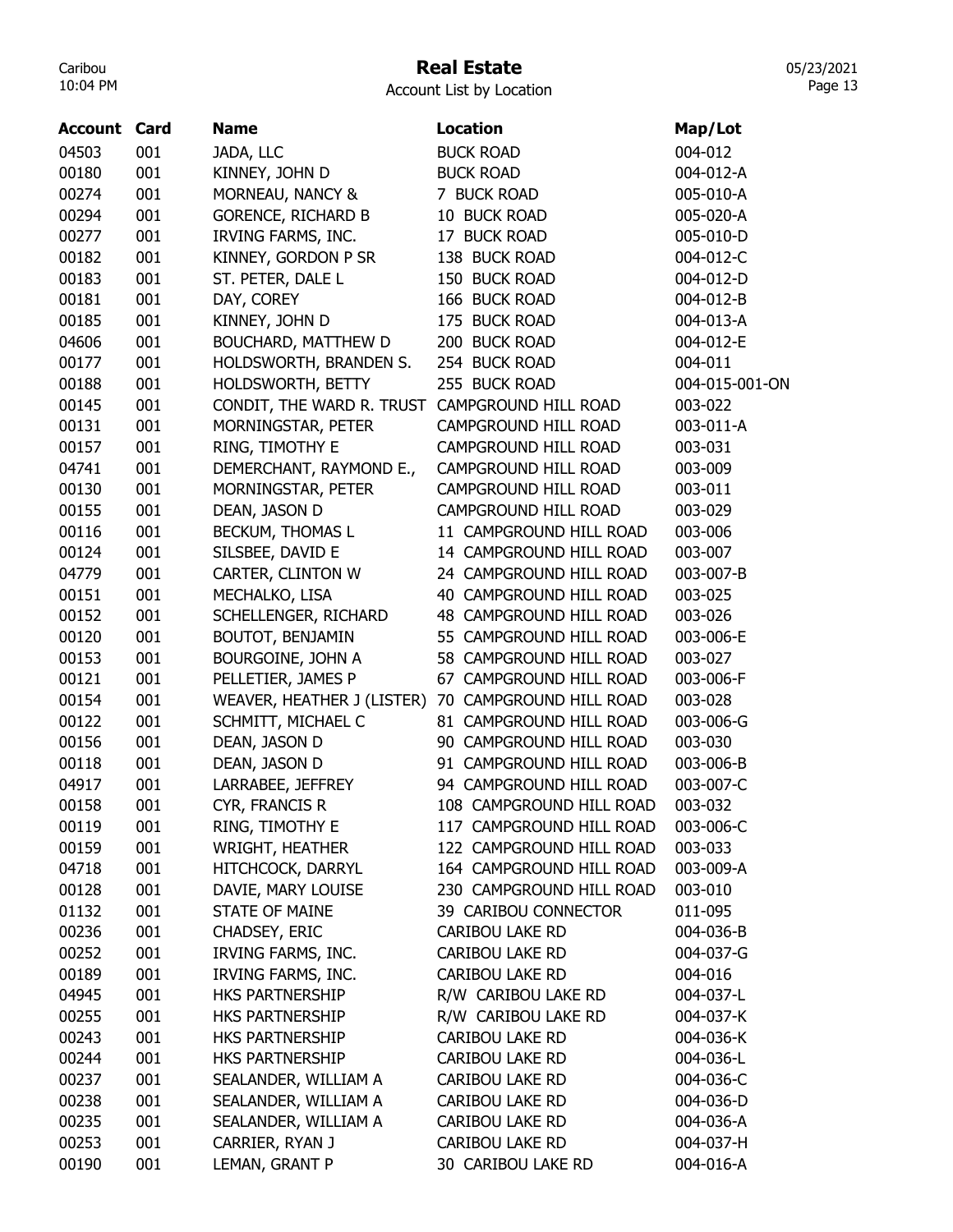# Real Estate

Account List by Location

| Location<br><b>Account Card</b><br><b>Name</b><br>Map/Lot<br>04503<br>001<br>JADA, LLC<br><b>BUCK ROAD</b><br>004-012<br>00180<br>001<br>KINNEY, JOHN D<br><b>BUCK ROAD</b><br>004-012-A<br>001<br>00274<br>MORNEAU, NANCY &<br>7 BUCK ROAD<br>005-010-A<br>001<br>00294<br><b>GORENCE, RICHARD B</b><br>10 BUCK ROAD<br>005-020-A<br>00277<br>001<br>IRVING FARMS, INC.<br>17 BUCK ROAD<br>005-010-D<br>00182<br>001<br>KINNEY, GORDON P SR<br>138 BUCK ROAD<br>004-012-C<br>00183<br>001<br>ST. PETER, DALE L<br>150 BUCK ROAD<br>004-012-D<br>001<br>DAY, COREY<br>166 BUCK ROAD<br>00181<br>004-012-B<br>00185<br>001<br>KINNEY, JOHN D<br>175 BUCK ROAD<br>004-013-A<br>04606<br>001<br>BOUCHARD, MATTHEW D<br>200 BUCK ROAD<br>004-012-E |
|------------------------------------------------------------------------------------------------------------------------------------------------------------------------------------------------------------------------------------------------------------------------------------------------------------------------------------------------------------------------------------------------------------------------------------------------------------------------------------------------------------------------------------------------------------------------------------------------------------------------------------------------------------------------------------------------------------------------------------------------|
|                                                                                                                                                                                                                                                                                                                                                                                                                                                                                                                                                                                                                                                                                                                                                |
|                                                                                                                                                                                                                                                                                                                                                                                                                                                                                                                                                                                                                                                                                                                                                |
|                                                                                                                                                                                                                                                                                                                                                                                                                                                                                                                                                                                                                                                                                                                                                |
|                                                                                                                                                                                                                                                                                                                                                                                                                                                                                                                                                                                                                                                                                                                                                |
|                                                                                                                                                                                                                                                                                                                                                                                                                                                                                                                                                                                                                                                                                                                                                |
|                                                                                                                                                                                                                                                                                                                                                                                                                                                                                                                                                                                                                                                                                                                                                |
|                                                                                                                                                                                                                                                                                                                                                                                                                                                                                                                                                                                                                                                                                                                                                |
|                                                                                                                                                                                                                                                                                                                                                                                                                                                                                                                                                                                                                                                                                                                                                |
|                                                                                                                                                                                                                                                                                                                                                                                                                                                                                                                                                                                                                                                                                                                                                |
|                                                                                                                                                                                                                                                                                                                                                                                                                                                                                                                                                                                                                                                                                                                                                |
|                                                                                                                                                                                                                                                                                                                                                                                                                                                                                                                                                                                                                                                                                                                                                |
| 001<br>00177<br>HOLDSWORTH, BRANDEN S.<br>254 BUCK ROAD<br>004-011                                                                                                                                                                                                                                                                                                                                                                                                                                                                                                                                                                                                                                                                             |
| 001<br>255 BUCK ROAD<br>00188<br>HOLDSWORTH, BETTY<br>004-015-001-ON                                                                                                                                                                                                                                                                                                                                                                                                                                                                                                                                                                                                                                                                           |
| 001<br>00145<br>CONDIT, THE WARD R. TRUST CAMPGROUND HILL ROAD<br>003-022                                                                                                                                                                                                                                                                                                                                                                                                                                                                                                                                                                                                                                                                      |
| 001<br>00131<br>MORNINGSTAR, PETER<br>CAMPGROUND HILL ROAD<br>003-011-A                                                                                                                                                                                                                                                                                                                                                                                                                                                                                                                                                                                                                                                                        |
| 001<br>00157<br>RING, TIMOTHY E<br>CAMPGROUND HILL ROAD<br>003-031                                                                                                                                                                                                                                                                                                                                                                                                                                                                                                                                                                                                                                                                             |
| 04741<br>001<br>CAMPGROUND HILL ROAD<br>DEMERCHANT, RAYMOND E.,<br>003-009                                                                                                                                                                                                                                                                                                                                                                                                                                                                                                                                                                                                                                                                     |
| 00130<br>001<br>MORNINGSTAR, PETER<br>CAMPGROUND HILL ROAD<br>003-011                                                                                                                                                                                                                                                                                                                                                                                                                                                                                                                                                                                                                                                                          |
| 00155<br>001<br>DEAN, JASON D<br>CAMPGROUND HILL ROAD<br>003-029                                                                                                                                                                                                                                                                                                                                                                                                                                                                                                                                                                                                                                                                               |
| 00116<br>001<br>BECKUM, THOMAS L<br>11 CAMPGROUND HILL ROAD<br>003-006                                                                                                                                                                                                                                                                                                                                                                                                                                                                                                                                                                                                                                                                         |
| 001<br>00124<br>SILSBEE, DAVID E<br>14 CAMPGROUND HILL ROAD<br>003-007                                                                                                                                                                                                                                                                                                                                                                                                                                                                                                                                                                                                                                                                         |
| 001<br>04779<br>24 CAMPGROUND HILL ROAD<br>003-007-B<br>CARTER, CLINTON W                                                                                                                                                                                                                                                                                                                                                                                                                                                                                                                                                                                                                                                                      |
| 001<br>00151<br>MECHALKO, LISA<br>40 CAMPGROUND HILL ROAD<br>003-025                                                                                                                                                                                                                                                                                                                                                                                                                                                                                                                                                                                                                                                                           |
| 00152<br>001<br>SCHELLENGER, RICHARD<br>48 CAMPGROUND HILL ROAD<br>003-026                                                                                                                                                                                                                                                                                                                                                                                                                                                                                                                                                                                                                                                                     |
| 00120<br>001<br>BOUTOT, BENJAMIN<br>55 CAMPGROUND HILL ROAD<br>003-006-E                                                                                                                                                                                                                                                                                                                                                                                                                                                                                                                                                                                                                                                                       |
| 00153<br>001<br>BOURGOINE, JOHN A<br>58 CAMPGROUND HILL ROAD<br>003-027                                                                                                                                                                                                                                                                                                                                                                                                                                                                                                                                                                                                                                                                        |
| 001<br>00121<br>PELLETIER, JAMES P<br>67 CAMPGROUND HILL ROAD<br>003-006-F                                                                                                                                                                                                                                                                                                                                                                                                                                                                                                                                                                                                                                                                     |
| 001<br>00154<br>WEAVER, HEATHER J (LISTER)<br>70 CAMPGROUND HILL ROAD<br>003-028                                                                                                                                                                                                                                                                                                                                                                                                                                                                                                                                                                                                                                                               |
| 001<br>00122<br>SCHMITT, MICHAEL C<br>003-006-G<br>81 CAMPGROUND HILL ROAD                                                                                                                                                                                                                                                                                                                                                                                                                                                                                                                                                                                                                                                                     |
| 001<br>00156<br>90 CAMPGROUND HILL ROAD<br>003-030<br>DEAN, JASON D                                                                                                                                                                                                                                                                                                                                                                                                                                                                                                                                                                                                                                                                            |
| 00118<br>001<br>DEAN, JASON D<br>91 CAMPGROUND HILL ROAD<br>003-006-B                                                                                                                                                                                                                                                                                                                                                                                                                                                                                                                                                                                                                                                                          |
| 001<br>04917<br>LARRABEE, JEFFREY<br>94 CAMPGROUND HILL ROAD<br>003-007-C                                                                                                                                                                                                                                                                                                                                                                                                                                                                                                                                                                                                                                                                      |
| 001<br>003-032<br>00158<br>CYR, FRANCIS R<br>108 CAMPGROUND HILL ROAD                                                                                                                                                                                                                                                                                                                                                                                                                                                                                                                                                                                                                                                                          |
| RING, TIMOTHY E<br>117 CAMPGROUND HILL ROAD<br>00119<br>001<br>003-006-C                                                                                                                                                                                                                                                                                                                                                                                                                                                                                                                                                                                                                                                                       |
| <b>WRIGHT, HEATHER</b><br>00159<br>001<br>122 CAMPGROUND HILL ROAD<br>003-033                                                                                                                                                                                                                                                                                                                                                                                                                                                                                                                                                                                                                                                                  |
| 04718<br>001<br>HITCHCOCK, DARRYL<br>164 CAMPGROUND HILL ROAD<br>003-009-A                                                                                                                                                                                                                                                                                                                                                                                                                                                                                                                                                                                                                                                                     |
| 00128<br>001<br>DAVIE, MARY LOUISE<br>230 CAMPGROUND HILL ROAD<br>003-010                                                                                                                                                                                                                                                                                                                                                                                                                                                                                                                                                                                                                                                                      |
| 001<br>01132<br><b>STATE OF MAINE</b><br>39 CARIBOU CONNECTOR<br>011-095                                                                                                                                                                                                                                                                                                                                                                                                                                                                                                                                                                                                                                                                       |
| 00236<br>001<br>CHADSEY, ERIC<br><b>CARIBOU LAKE RD</b><br>004-036-B                                                                                                                                                                                                                                                                                                                                                                                                                                                                                                                                                                                                                                                                           |
| IRVING FARMS, INC.<br>00252<br>001<br><b>CARIBOU LAKE RD</b><br>004-037-G                                                                                                                                                                                                                                                                                                                                                                                                                                                                                                                                                                                                                                                                      |
| 001<br>00189<br>IRVING FARMS, INC.<br>CARIBOU LAKE RD<br>004-016                                                                                                                                                                                                                                                                                                                                                                                                                                                                                                                                                                                                                                                                               |
| 04945<br>001<br>R/W CARIBOU LAKE RD<br>004-037-L<br>HKS PARTNERSHIP                                                                                                                                                                                                                                                                                                                                                                                                                                                                                                                                                                                                                                                                            |
| 00255<br>001<br>R/W CARIBOU LAKE RD<br>HKS PARTNERSHIP<br>004-037-K                                                                                                                                                                                                                                                                                                                                                                                                                                                                                                                                                                                                                                                                            |
| 00243<br>001<br>HKS PARTNERSHIP<br>CARIBOU LAKE RD<br>004-036-K                                                                                                                                                                                                                                                                                                                                                                                                                                                                                                                                                                                                                                                                                |
| 001<br>00244<br><b>HKS PARTNERSHIP</b><br>CARIBOU LAKE RD<br>004-036-L                                                                                                                                                                                                                                                                                                                                                                                                                                                                                                                                                                                                                                                                         |
| 00237<br>001<br>SEALANDER, WILLIAM A<br>CARIBOU LAKE RD<br>004-036-C                                                                                                                                                                                                                                                                                                                                                                                                                                                                                                                                                                                                                                                                           |
| SEALANDER, WILLIAM A<br>00238<br>001<br>CARIBOU LAKE RD<br>004-036-D                                                                                                                                                                                                                                                                                                                                                                                                                                                                                                                                                                                                                                                                           |
| 00235<br>001<br>SEALANDER, WILLIAM A<br>CARIBOU LAKE RD<br>004-036-A                                                                                                                                                                                                                                                                                                                                                                                                                                                                                                                                                                                                                                                                           |
| 00253<br>001<br>CARRIER, RYAN J<br>CARIBOU LAKE RD<br>004-037-H                                                                                                                                                                                                                                                                                                                                                                                                                                                                                                                                                                                                                                                                                |
| 00190<br>001<br>LEMAN, GRANT P<br>30 CARIBOU LAKE RD<br>004-016-A                                                                                                                                                                                                                                                                                                                                                                                                                                                                                                                                                                                                                                                                              |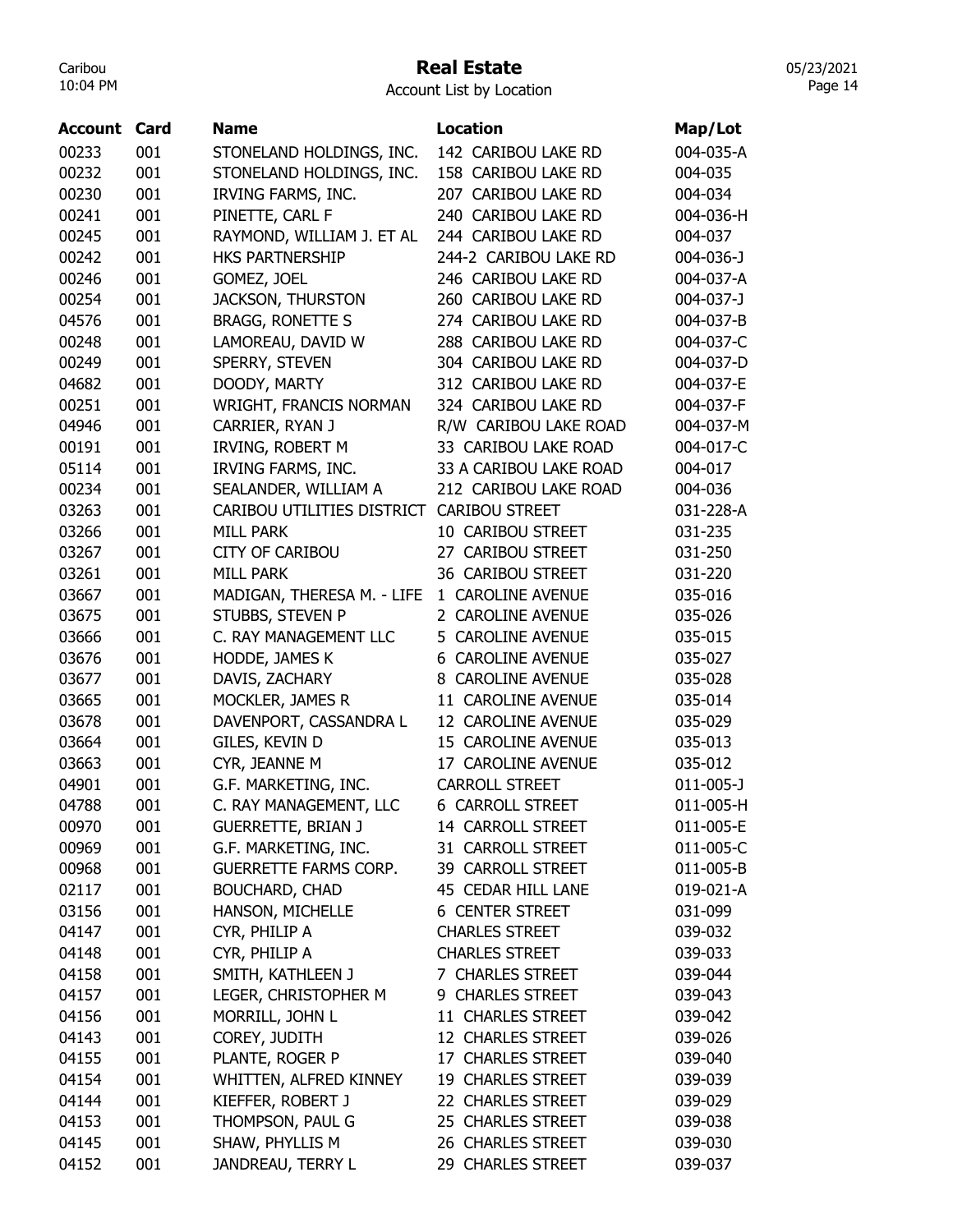## Real Estate

05/23/2021 Page 14

| Account | Card | <b>Name</b>                               | <b>Location</b>          | Map/Lot         |
|---------|------|-------------------------------------------|--------------------------|-----------------|
| 00233   | 001  | STONELAND HOLDINGS, INC.                  | 142 CARIBOU LAKE RD      | 004-035-A       |
| 00232   | 001  | STONELAND HOLDINGS, INC.                  | 158 CARIBOU LAKE RD      | 004-035         |
| 00230   | 001  | IRVING FARMS, INC.                        | 207 CARIBOU LAKE RD      | 004-034         |
| 00241   | 001  | PINETTE, CARL F                           | 240 CARIBOU LAKE RD      | 004-036-H       |
| 00245   | 001  | RAYMOND, WILLIAM J. ET AL                 | 244 CARIBOU LAKE RD      | 004-037         |
| 00242   | 001  | HKS PARTNERSHIP                           | 244-2 CARIBOU LAKE RD    | 004-036-J       |
| 00246   | 001  | GOMEZ, JOEL                               | 246 CARIBOU LAKE RD      | 004-037-A       |
| 00254   | 001  | <b>JACKSON, THURSTON</b>                  | 260 CARIBOU LAKE RD      | 004-037-J       |
| 04576   | 001  | <b>BRAGG, RONETTE S</b>                   | 274 CARIBOU LAKE RD      | 004-037-B       |
| 00248   | 001  | LAMOREAU, DAVID W                         | 288 CARIBOU LAKE RD      | 004-037-C       |
| 00249   | 001  | SPERRY, STEVEN                            | 304 CARIBOU LAKE RD      | 004-037-D       |
| 04682   | 001  | DOODY, MARTY                              | 312 CARIBOU LAKE RD      | 004-037-E       |
| 00251   | 001  | WRIGHT, FRANCIS NORMAN                    | 324 CARIBOU LAKE RD      | 004-037-F       |
| 04946   | 001  | CARRIER, RYAN J                           | R/W CARIBOU LAKE ROAD    | 004-037-M       |
| 00191   | 001  | IRVING, ROBERT M                          | 33 CARIBOU LAKE ROAD     | 004-017-C       |
| 05114   | 001  | IRVING FARMS, INC.                        | 33 A CARIBOU LAKE ROAD   | 004-017         |
| 00234   | 001  | SEALANDER, WILLIAM A                      | 212 CARIBOU LAKE ROAD    | 004-036         |
| 03263   | 001  | CARIBOU UTILITIES DISTRICT CARIBOU STREET |                          | 031-228-A       |
| 03266   | 001  | <b>MILL PARK</b>                          | 10 CARIBOU STREET        | 031-235         |
| 03267   | 001  | <b>CITY OF CARIBOU</b>                    | 27 CARIBOU STREET        | 031-250         |
| 03261   | 001  | <b>MILL PARK</b>                          | 36 CARIBOU STREET        | 031-220         |
| 03667   | 001  | MADIGAN, THERESA M. - LIFE                | 1 CAROLINE AVENUE        | 035-016         |
| 03675   | 001  | STUBBS, STEVEN P                          | 2 CAROLINE AVENUE        | 035-026         |
| 03666   | 001  | C. RAY MANAGEMENT LLC                     | 5 CAROLINE AVENUE        | 035-015         |
| 03676   | 001  | HODDE, JAMES K                            | <b>6 CAROLINE AVENUE</b> | 035-027         |
| 03677   | 001  | DAVIS, ZACHARY                            | 8 CAROLINE AVENUE        | 035-028         |
| 03665   | 001  | MOCKLER, JAMES R                          | 11 CAROLINE AVENUE       | 035-014         |
| 03678   | 001  | DAVENPORT, CASSANDRA L                    | 12 CAROLINE AVENUE       | 035-029         |
| 03664   | 001  | GILES, KEVIN D                            | 15 CAROLINE AVENUE       | 035-013         |
| 03663   | 001  | CYR, JEANNE M                             | 17 CAROLINE AVENUE       | 035-012         |
| 04901   | 001  | G.F. MARKETING, INC.                      | <b>CARROLL STREET</b>    | $011 - 005 - J$ |
| 04788   | 001  | C. RAY MANAGEMENT, LLC                    | <b>6 CARROLL STREET</b>  | 011-005-H       |
| 00970   | 001  | <b>GUERRETTE, BRIAN J</b>                 | 14 CARROLL STREET        | 011-005-E       |
| 00969   | 001  | G.F. MARKETING, INC.                      | 31 CARROLL STREET        | 011-005-C       |
| 00968   | 001  | <b>GUERRETTE FARMS CORP.</b>              | 39 CARROLL STREET        | 011-005-B       |
| 02117   | 001  | <b>BOUCHARD, CHAD</b>                     | 45 CEDAR HILL LANE       | 019-021-A       |
| 03156   | 001  | HANSON, MICHELLE                          | <b>6 CENTER STREET</b>   | 031-099         |
| 04147   | 001  | CYR, PHILIP A                             | <b>CHARLES STREET</b>    | 039-032         |
| 04148   | 001  | CYR, PHILIP A                             | <b>CHARLES STREET</b>    | 039-033         |
| 04158   | 001  | SMITH, KATHLEEN J                         | 7 CHARLES STREET         | 039-044         |
| 04157   | 001  | LEGER, CHRISTOPHER M                      | 9 CHARLES STREET         | 039-043         |
| 04156   | 001  | MORRILL, JOHN L                           | 11 CHARLES STREET        | 039-042         |
| 04143   | 001  | COREY, JUDITH                             | 12 CHARLES STREET        | 039-026         |
| 04155   | 001  | PLANTE, ROGER P                           | 17 CHARLES STREET        | 039-040         |
| 04154   | 001  | WHITTEN, ALFRED KINNEY                    | 19 CHARLES STREET        | 039-039         |
| 04144   | 001  | KIEFFER, ROBERT J                         | 22 CHARLES STREET        | 039-029         |
| 04153   | 001  | THOMPSON, PAUL G                          | 25 CHARLES STREET        | 039-038         |
| 04145   | 001  | SHAW, PHYLLIS M                           | 26 CHARLES STREET        | 039-030         |
| 04152   | 001  | JANDREAU, TERRY L                         | 29 CHARLES STREET        | 039-037         |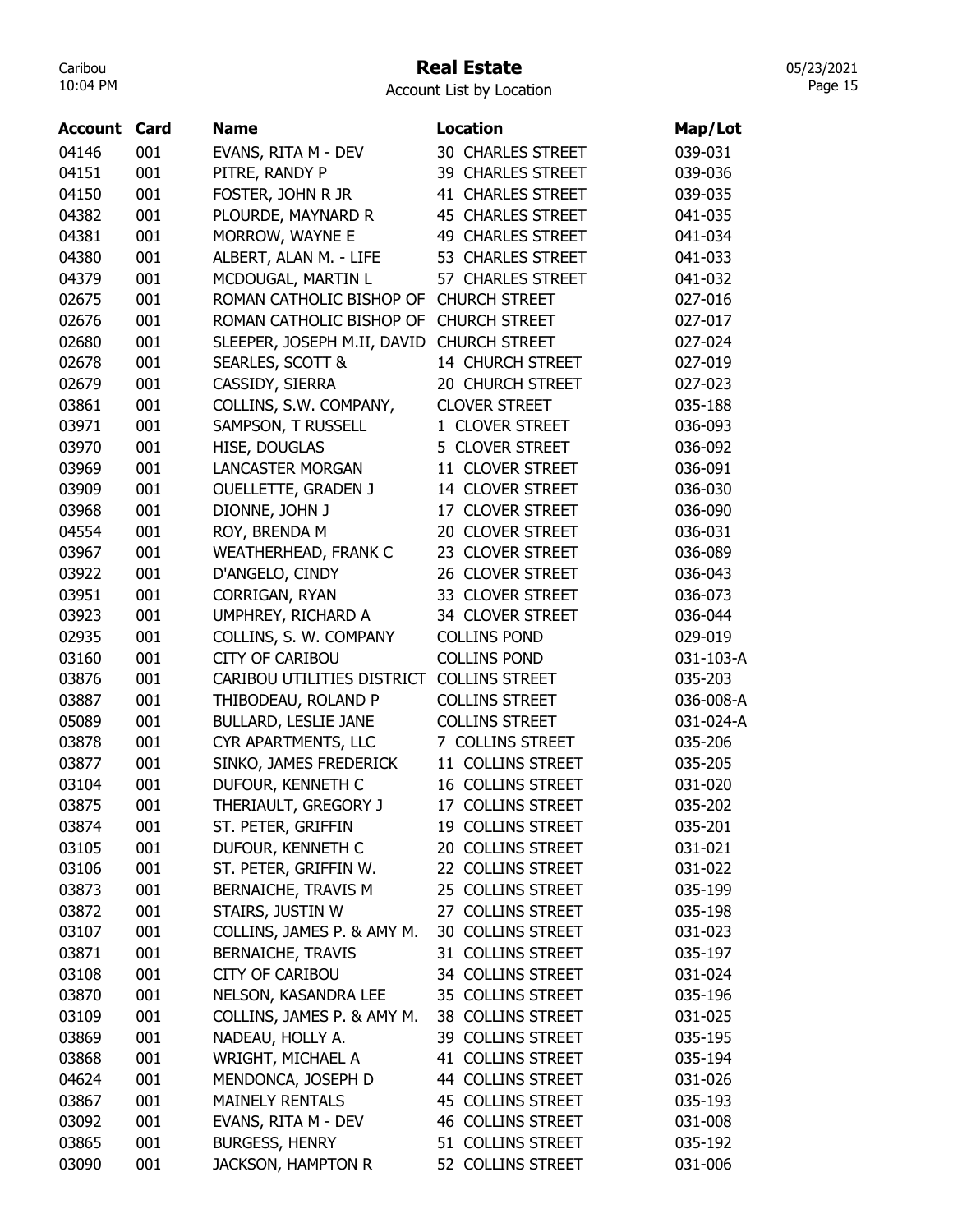## Real Estate

Account List by Location

| Account | Card | <b>Name</b>                 | <b>Location</b>          | Map/Lot   |
|---------|------|-----------------------------|--------------------------|-----------|
| 04146   | 001  | EVANS, RITA M - DEV         | <b>30 CHARLES STREET</b> | 039-031   |
| 04151   | 001  | PITRE, RANDY P              | 39 CHARLES STREET        | 039-036   |
| 04150   | 001  | FOSTER, JOHN R JR           | 41 CHARLES STREET        | 039-035   |
| 04382   | 001  | PLOURDE, MAYNARD R          | <b>45 CHARLES STREET</b> | 041-035   |
| 04381   | 001  | MORROW, WAYNE E             | 49 CHARLES STREET        | 041-034   |
| 04380   | 001  | ALBERT, ALAN M. - LIFE      | 53 CHARLES STREET        | 041-033   |
| 04379   | 001  | MCDOUGAL, MARTIN L          | 57 CHARLES STREET        | 041-032   |
| 02675   | 001  | ROMAN CATHOLIC BISHOP OF    | <b>CHURCH STREET</b>     | 027-016   |
| 02676   | 001  | ROMAN CATHOLIC BISHOP OF    | <b>CHURCH STREET</b>     | 027-017   |
| 02680   | 001  | SLEEPER, JOSEPH M.II, DAVID | <b>CHURCH STREET</b>     | 027-024   |
| 02678   | 001  | SEARLES, SCOTT &            | 14 CHURCH STREET         | 027-019   |
| 02679   | 001  | CASSIDY, SIERRA             | 20 CHURCH STREET         | 027-023   |
| 03861   | 001  | COLLINS, S.W. COMPANY,      | <b>CLOVER STREET</b>     | 035-188   |
| 03971   | 001  | SAMPSON, T RUSSELL          | 1 CLOVER STREET          | 036-093   |
| 03970   | 001  | HISE, DOUGLAS               | 5 CLOVER STREET          | 036-092   |
| 03969   | 001  | <b>LANCASTER MORGAN</b>     | 11 CLOVER STREET         |           |
|         |      |                             | 14 CLOVER STREET         | 036-091   |
| 03909   | 001  | <b>OUELLETTE, GRADEN J</b>  |                          | 036-030   |
| 03968   | 001  | DIONNE, JOHN J              | 17 CLOVER STREET         | 036-090   |
| 04554   | 001  | ROY, BRENDA M               | 20 CLOVER STREET         | 036-031   |
| 03967   | 001  | <b>WEATHERHEAD, FRANK C</b> | 23 CLOVER STREET         | 036-089   |
| 03922   | 001  | D'ANGELO, CINDY             | 26 CLOVER STREET         | 036-043   |
| 03951   | 001  | CORRIGAN, RYAN              | 33 CLOVER STREET         | 036-073   |
| 03923   | 001  | UMPHREY, RICHARD A          | 34 CLOVER STREET         | 036-044   |
| 02935   | 001  | COLLINS, S. W. COMPANY      | <b>COLLINS POND</b>      | 029-019   |
| 03160   | 001  | <b>CITY OF CARIBOU</b>      | <b>COLLINS POND</b>      | 031-103-A |
| 03876   | 001  | CARIBOU UTILITIES DISTRICT  | <b>COLLINS STREET</b>    | 035-203   |
| 03887   | 001  | THIBODEAU, ROLAND P         | <b>COLLINS STREET</b>    | 036-008-A |
| 05089   | 001  | <b>BULLARD, LESLIE JANE</b> | <b>COLLINS STREET</b>    | 031-024-A |
| 03878   | 001  | CYR APARTMENTS, LLC         | 7 COLLINS STREET         | 035-206   |
| 03877   | 001  | SINKO, JAMES FREDERICK      | 11 COLLINS STREET        | 035-205   |
| 03104   | 001  | DUFOUR, KENNETH C           | 16 COLLINS STREET        | 031-020   |
| 03875   | 001  | THERIAULT, GREGORY J        | 17 COLLINS STREET        | 035-202   |
| 03874   | 001  | ST. PETER, GRIFFIN          | 19 COLLINS STREET        | 035-201   |
| 03105   | 001  | DUFOUR, KENNETH C           | 20 COLLINS STREET        | 031-021   |
| 03106   | 001  | ST. PETER, GRIFFIN W.       | 22 COLLINS STREET        | 031-022   |
| 03873   | 001  | BERNAICHE, TRAVIS M         | 25 COLLINS STREET        | 035-199   |
| 03872   | 001  | STAIRS, JUSTIN W            | 27 COLLINS STREET        | 035-198   |
| 03107   | 001  | COLLINS, JAMES P. & AMY M.  | 30 COLLINS STREET        | 031-023   |
| 03871   | 001  | <b>BERNAICHE, TRAVIS</b>    | 31 COLLINS STREET        | 035-197   |
| 03108   | 001  | <b>CITY OF CARIBOU</b>      | 34 COLLINS STREET        | 031-024   |
| 03870   | 001  | NELSON, KASANDRA LEE        | 35 COLLINS STREET        | 035-196   |
| 03109   | 001  | COLLINS, JAMES P. & AMY M.  | 38 COLLINS STREET        | 031-025   |
| 03869   | 001  | NADEAU, HOLLY A.            | 39 COLLINS STREET        | 035-195   |
| 03868   | 001  | WRIGHT, MICHAEL A           | 41 COLLINS STREET        | 035-194   |
| 04624   | 001  | MENDONCA, JOSEPH D          | 44 COLLINS STREET        | 031-026   |
| 03867   | 001  | <b>MAINELY RENTALS</b>      | 45 COLLINS STREET        | 035-193   |
| 03092   | 001  | EVANS, RITA M - DEV         | 46 COLLINS STREET        | 031-008   |
| 03865   | 001  | <b>BURGESS, HENRY</b>       | 51 COLLINS STREET        | 035-192   |
| 03090   | 001  | <b>JACKSON, HAMPTON R</b>   | 52 COLLINS STREET        | 031-006   |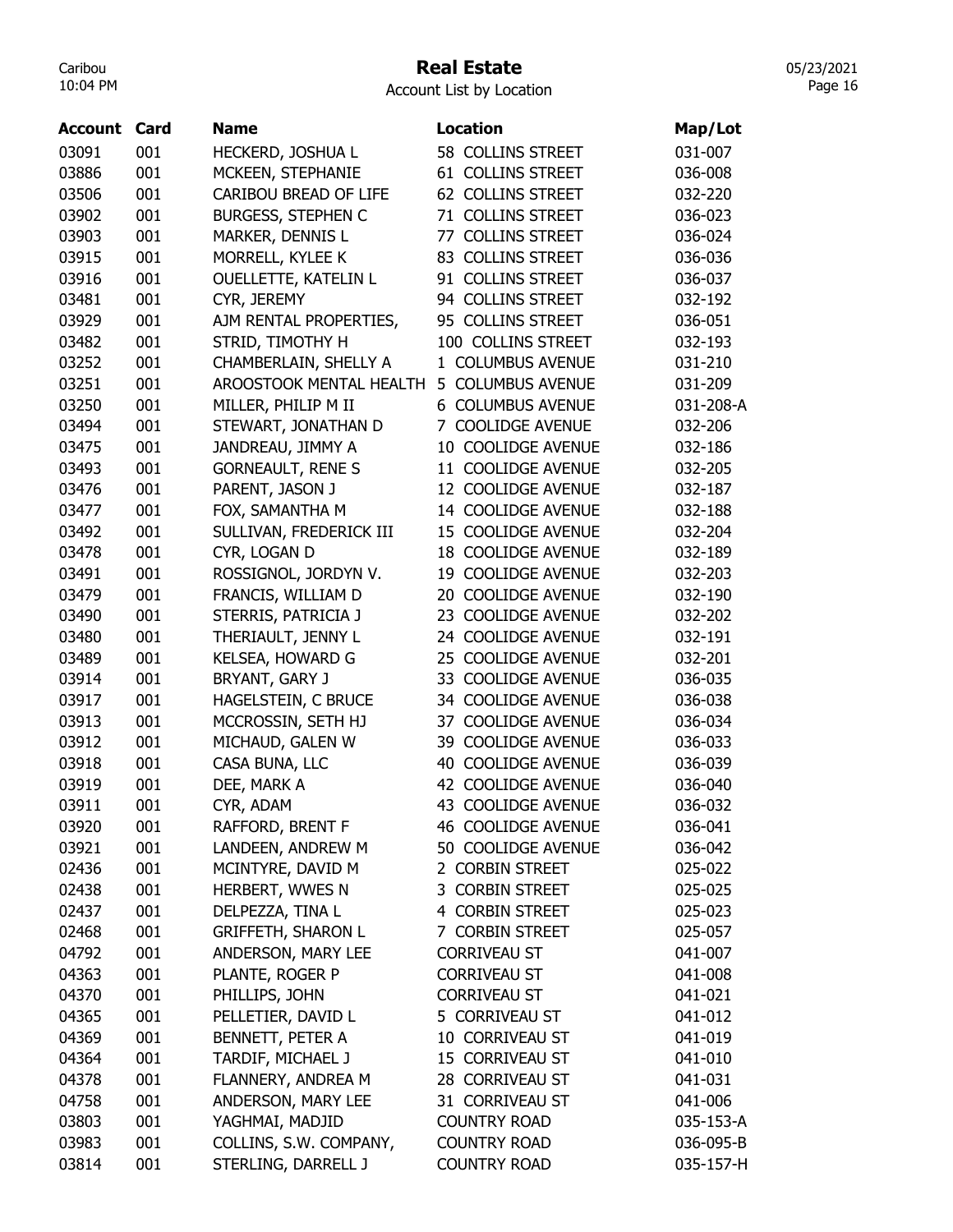# Real Estate

Account List by Location

| <b>Account Card</b> |     | <b>Name</b>               | <b>Location</b>              | Map/Lot   |
|---------------------|-----|---------------------------|------------------------------|-----------|
| 03091               | 001 | HECKERD, JOSHUA L         | 58 COLLINS STREET            | 031-007   |
| 03886               | 001 | MCKEEN, STEPHANIE         | 61 COLLINS STREET            | 036-008   |
| 03506               | 001 | CARIBOU BREAD OF LIFE     | 62 COLLINS STREET            | 032-220   |
| 03902               | 001 | <b>BURGESS, STEPHEN C</b> | 71 COLLINS STREET            | 036-023   |
| 03903               | 001 | MARKER, DENNIS L          | 77 COLLINS STREET            | 036-024   |
| 03915               | 001 | MORRELL, KYLEE K          | 83 COLLINS STREET            | 036-036   |
| 03916               | 001 | OUELLETTE, KATELIN L      | 91 COLLINS STREET            | 036-037   |
| 03481               | 001 |                           | 94 COLLINS STREET            | 032-192   |
| 03929               | 001 | CYR, JEREMY               | 95 COLLINS STREET            |           |
|                     |     | AJM RENTAL PROPERTIES,    |                              | 036-051   |
| 03482               | 001 | STRID, TIMOTHY H          | 100 COLLINS STREET           | 032-193   |
| 03252               | 001 | CHAMBERLAIN, SHELLY A     | 1 COLUMBUS AVENUE            | 031-210   |
| 03251               | 001 | AROOSTOOK MENTAL HEALTH   | 5 COLUMBUS AVENUE            | 031-209   |
| 03250               | 001 | MILLER, PHILIP M II       | 6 COLUMBUS AVENUE            | 031-208-A |
| 03494               | 001 | STEWART, JONATHAN D       | 7 COOLIDGE AVENUE            | 032-206   |
| 03475               | 001 | JANDREAU, JIMMY A         | 10 COOLIDGE AVENUE           | 032-186   |
| 03493               | 001 | <b>GORNEAULT, RENE S</b>  | 11 COOLIDGE AVENUE           | 032-205   |
| 03476               | 001 | PARENT, JASON J           | 12 COOLIDGE AVENUE           | 032-187   |
| 03477               | 001 | FOX, SAMANTHA M           | 14 COOLIDGE AVENUE           | 032-188   |
| 03492               | 001 | SULLIVAN, FREDERICK III   | 15 COOLIDGE AVENUE           | 032-204   |
| 03478               | 001 | CYR, LOGAN D              | 18 COOLIDGE AVENUE           | 032-189   |
| 03491               | 001 | ROSSIGNOL, JORDYN V.      | 19 COOLIDGE AVENUE           | 032-203   |
| 03479               | 001 | FRANCIS, WILLIAM D        | 20 COOLIDGE AVENUE           | 032-190   |
| 03490               | 001 | STERRIS, PATRICIA J       | <b>COOLIDGE AVENUE</b><br>23 | 032-202   |
| 03480               | 001 | THERIAULT, JENNY L        | 24 COOLIDGE AVENUE           | 032-191   |
| 03489               | 001 | KELSEA, HOWARD G          | <b>COOLIDGE AVENUE</b><br>25 | 032-201   |
| 03914               | 001 | BRYANT, GARY J            | 33 COOLIDGE AVENUE           | 036-035   |
| 03917               | 001 | HAGELSTEIN, C BRUCE       | 34 COOLIDGE AVENUE           | 036-038   |
| 03913               | 001 | MCCROSSIN, SETH HJ        | 37 COOLIDGE AVENUE           | 036-034   |
| 03912               | 001 | MICHAUD, GALEN W          | 39 COOLIDGE AVENUE           | 036-033   |
| 03918               | 001 | CASA BUNA, LLC            | <b>COOLIDGE AVENUE</b><br>40 | 036-039   |
| 03919               | 001 | DEE, MARK A               | <b>COOLIDGE AVENUE</b><br>42 | 036-040   |
| 03911               | 001 | CYR, ADAM                 | 43 COOLIDGE AVENUE           | 036-032   |
| 03920               | 001 | RAFFORD, BRENT F          | <b>46 COOLIDGE AVENUE</b>    | 036-041   |
| 03921               | 001 | LANDEEN, ANDREW M         | 50 COOLIDGE AVENUE           | 036-042   |
| 02436               | 001 | MCINTYRE, DAVID M         | 2 CORBIN STREET              | 025-022   |
| 02438               | 001 | HERBERT, WWES N           | 3 CORBIN STREET              | 025-025   |
| 02437               | 001 | DELPEZZA, TINA L          | 4 CORBIN STREET              | 025-023   |
| 02468               | 001 | <b>GRIFFETH, SHARON L</b> | 7 CORBIN STREET              | 025-057   |
| 04792               | 001 | ANDERSON, MARY LEE        | <b>CORRIVEAU ST</b>          | 041-007   |
| 04363               | 001 | PLANTE, ROGER P           | <b>CORRIVEAU ST</b>          | 041-008   |
| 04370               | 001 | PHILLIPS, JOHN            | <b>CORRIVEAU ST</b>          | 041-021   |
| 04365               | 001 | PELLETIER, DAVID L        | 5 CORRIVEAU ST               | 041-012   |
|                     | 001 |                           | 10 CORRIVEAU ST              |           |
| 04369               |     | BENNETT, PETER A          | 15 CORRIVEAU ST              | 041-019   |
| 04364               | 001 | TARDIF, MICHAEL J         |                              | 041-010   |
| 04378               | 001 | FLANNERY, ANDREA M        | 28 CORRIVEAU ST              | 041-031   |
| 04758               | 001 | ANDERSON, MARY LEE        | 31 CORRIVEAU ST              | 041-006   |
| 03803               | 001 | YAGHMAI, MADJID           | <b>COUNTRY ROAD</b>          | 035-153-A |
| 03983               | 001 | COLLINS, S.W. COMPANY,    | <b>COUNTRY ROAD</b>          | 036-095-B |
| 03814               | 001 | STERLING, DARRELL J       | <b>COUNTRY ROAD</b>          | 035-157-H |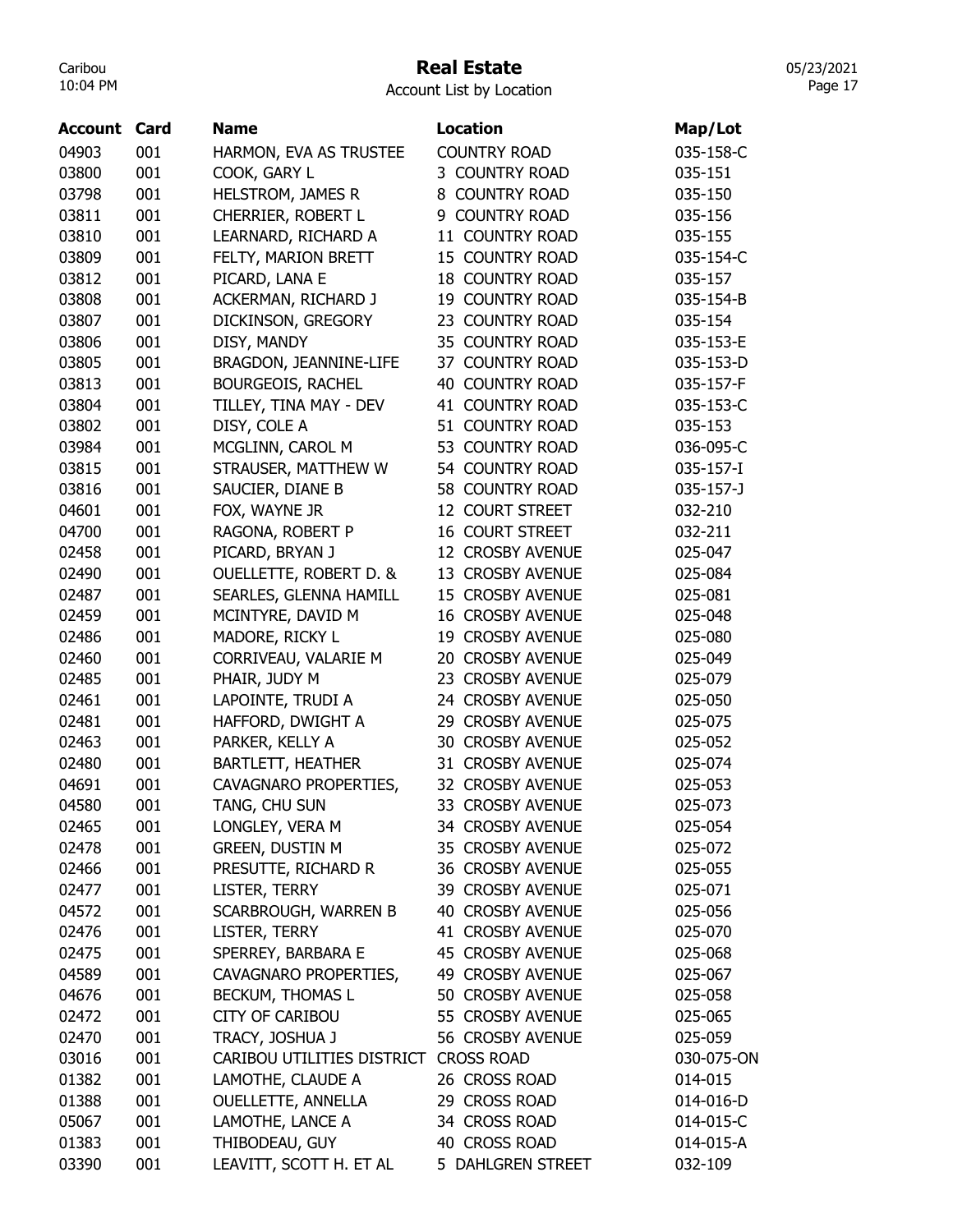## Real Estate

Account List by Location

| Account | Card | <b>Name</b>                           | <b>Location</b>             | Map/Lot         |
|---------|------|---------------------------------------|-----------------------------|-----------------|
| 04903   | 001  | HARMON, EVA AS TRUSTEE                | <b>COUNTRY ROAD</b>         | 035-158-C       |
| 03800   | 001  | COOK, GARY L                          | 3 COUNTRY ROAD              | 035-151         |
| 03798   | 001  | <b>HELSTROM, JAMES R</b>              | 8 COUNTRY ROAD              | 035-150         |
| 03811   | 001  | CHERRIER, ROBERT L                    | 9 COUNTRY ROAD              | 035-156         |
| 03810   | 001  | LEARNARD, RICHARD A                   | 11 COUNTRY ROAD             | 035-155         |
| 03809   | 001  | FELTY, MARION BRETT                   | 15 COUNTRY ROAD             | 035-154-C       |
| 03812   | 001  | PICARD, LANA E                        | <b>18 COUNTRY ROAD</b>      | 035-157         |
| 03808   | 001  | ACKERMAN, RICHARD J                   | 19 COUNTRY ROAD             | 035-154-B       |
| 03807   | 001  | DICKINSON, GREGORY                    | 23 COUNTRY ROAD             | 035-154         |
| 03806   | 001  | DISY, MANDY                           | 35 COUNTRY ROAD             | 035-153-E       |
| 03805   | 001  | BRAGDON, JEANNINE-LIFE                | 37 COUNTRY ROAD             | 035-153-D       |
| 03813   | 001  | <b>BOURGEOIS, RACHEL</b>              | <b>40 COUNTRY ROAD</b>      | 035-157-F       |
| 03804   | 001  | TILLEY, TINA MAY - DEV                | 41 COUNTRY ROAD             | 035-153-C       |
| 03802   | 001  | DISY, COLE A                          | 51 COUNTRY ROAD             | 035-153         |
| 03984   | 001  | MCGLINN, CAROL M                      | 53 COUNTRY ROAD             | 036-095-C       |
| 03815   | 001  | STRAUSER, MATTHEW W                   | 54 COUNTRY ROAD             | 035-157-I       |
| 03816   | 001  | SAUCIER, DIANE B                      | 58 COUNTRY ROAD             | $035 - 157 - J$ |
| 04601   | 001  | FOX, WAYNE JR                         | 12 COURT STREET             | 032-210         |
| 04700   | 001  | RAGONA, ROBERT P                      | <b>16 COURT STREET</b>      | 032-211         |
| 02458   | 001  | PICARD, BRYAN J                       | 12 CROSBY AVENUE            | 025-047         |
| 02490   | 001  | <b>OUELLETTE, ROBERT D. &amp;</b>     | 13 CROSBY AVENUE            | 025-084         |
| 02487   | 001  | SEARLES, GLENNA HAMILL                | 15 CROSBY AVENUE            | 025-081         |
| 02459   | 001  | MCINTYRE, DAVID M                     | <b>16 CROSBY AVENUE</b>     | 025-048         |
| 02486   | 001  | MADORE, RICKY L                       | 19 CROSBY AVENUE            | 025-080         |
| 02460   | 001  | CORRIVEAU, VALARIE M                  | 20 CROSBY AVENUE            | 025-049         |
| 02485   | 001  | PHAIR, JUDY M                         | <b>CROSBY AVENUE</b><br>23. | 025-079         |
| 02461   | 001  |                                       | 24 CROSBY AVENUE            | 025-050         |
| 02481   | 001  | LAPOINTE, TRUDI A                     | 29 CROSBY AVENUE            | 025-075         |
| 02463   | 001  | HAFFORD, DWIGHT A                     | <b>30 CROSBY AVENUE</b>     |                 |
|         |      | PARKER, KELLY A                       |                             | 025-052         |
| 02480   | 001  | <b>BARTLETT, HEATHER</b>              | 31 CROSBY AVENUE            | 025-074         |
| 04691   | 001  | CAVAGNARO PROPERTIES,                 | 32 CROSBY AVENUE            | 025-053         |
| 04580   | 001  | TANG, CHU SUN                         | 33 CROSBY AVENUE            | 025-073         |
| 02465   | 001  | LONGLEY, VERA M                       | 34 CROSBY AVENUE            | 025-054         |
| 02478   | 001  | <b>GREEN, DUSTIN M</b>                | 35 CROSBY AVENUE            | 025-072         |
| 02466   | 001  | PRESUTTE, RICHARD R                   | 36 CROSBY AVENUE            | 025-055         |
| 02477   | 001  | LISTER, TERRY                         | 39 CROSBY AVENUE            | 025-071         |
| 04572   | 001  | SCARBROUGH, WARREN B                  | 40 CROSBY AVENUE            | 025-056         |
| 02476   | 001  | LISTER, TERRY                         | 41 CROSBY AVENUE            | 025-070         |
| 02475   | 001  | SPERREY, BARBARA E                    | 45 CROSBY AVENUE            | 025-068         |
| 04589   | 001  | CAVAGNARO PROPERTIES,                 | 49 CROSBY AVENUE            | 025-067         |
| 04676   | 001  | BECKUM, THOMAS L                      | 50 CROSBY AVENUE            | 025-058         |
| 02472   | 001  | <b>CITY OF CARIBOU</b>                | 55 CROSBY AVENUE            | 025-065         |
| 02470   | 001  | TRACY, JOSHUA J                       | 56 CROSBY AVENUE            | 025-059         |
| 03016   | 001  | CARIBOU UTILITIES DISTRICT CROSS ROAD |                             | 030-075-ON      |
| 01382   | 001  | LAMOTHE, CLAUDE A                     | 26 CROSS ROAD               | 014-015         |
| 01388   | 001  | <b>OUELLETTE, ANNELLA</b>             | 29 CROSS ROAD               | 014-016-D       |
| 05067   | 001  | LAMOTHE, LANCE A                      | 34 CROSS ROAD               | 014-015-C       |
| 01383   | 001  | THIBODEAU, GUY                        | 40 CROSS ROAD               | 014-015-A       |
| 03390   | 001  | LEAVITT, SCOTT H. ET AL               | 5 DAHLGREN STREET           | 032-109         |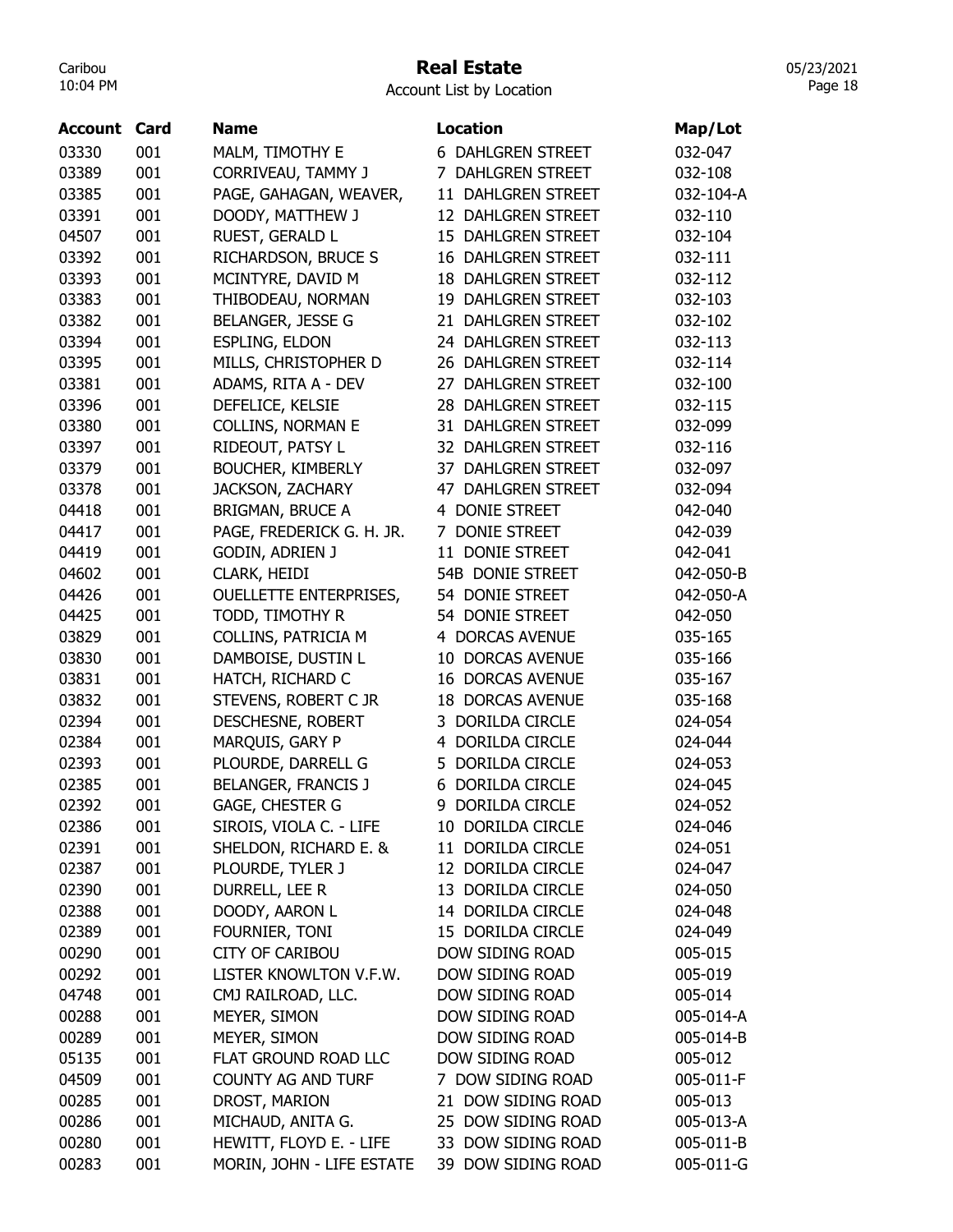# Real Estate

Account List by Location

| Account | Card | <b>Name</b>                   | <b>Location</b>           | Map/Lot   |
|---------|------|-------------------------------|---------------------------|-----------|
| 03330   | 001  |                               | <b>6 DAHLGREN STREET</b>  | 032-047   |
| 03389   | 001  | MALM, TIMOTHY E               | 7 DAHLGREN STREET         |           |
|         |      | CORRIVEAU, TAMMY J            |                           | 032-108   |
| 03385   | 001  | PAGE, GAHAGAN, WEAVER,        | 11 DAHLGREN STREET        | 032-104-A |
| 03391   | 001  | DOODY, MATTHEW J              | 12 DAHLGREN STREET        | 032-110   |
| 04507   | 001  | RUEST, GERALD L               | 15 DAHLGREN STREET        | 032-104   |
| 03392   | 001  | RICHARDSON, BRUCE S           | <b>16 DAHLGREN STREET</b> | 032-111   |
| 03393   | 001  | MCINTYRE, DAVID M             | <b>18 DAHLGREN STREET</b> | 032-112   |
| 03383   | 001  | THIBODEAU, NORMAN             | 19 DAHLGREN STREET        | 032-103   |
| 03382   | 001  | BELANGER, JESSE G             | 21 DAHLGREN STREET        | 032-102   |
| 03394   | 001  | ESPLING, ELDON                | 24 DAHLGREN STREET        | 032-113   |
| 03395   | 001  | MILLS, CHRISTOPHER D          | 26 DAHLGREN STREET        | 032-114   |
| 03381   | 001  | ADAMS, RITA A - DEV           | 27 DAHLGREN STREET        | 032-100   |
| 03396   | 001  | DEFELICE, KELSIE              | 28 DAHLGREN STREET        | 032-115   |
| 03380   | 001  | <b>COLLINS, NORMAN E</b>      | 31 DAHLGREN STREET        | 032-099   |
| 03397   | 001  | RIDEOUT, PATSY L              | 32 DAHLGREN STREET        | 032-116   |
| 03379   | 001  | <b>BOUCHER, KIMBERLY</b>      | 37 DAHLGREN STREET        | 032-097   |
| 03378   | 001  | <b>JACKSON, ZACHARY</b>       | 47 DAHLGREN STREET        | 032-094   |
| 04418   | 001  | BRIGMAN, BRUCE A              | 4 DONIE STREET            | 042-040   |
| 04417   | 001  | PAGE, FREDERICK G. H. JR.     | 7 DONIE STREET            | 042-039   |
| 04419   | 001  | <b>GODIN, ADRIEN J</b>        | 11 DONIE STREET           | 042-041   |
| 04602   | 001  | CLARK, HEIDI                  | 54B DONIE STREET          | 042-050-B |
| 04426   | 001  | <b>OUELLETTE ENTERPRISES,</b> | 54 DONIE STREET           | 042-050-A |
| 04425   | 001  | TODD, TIMOTHY R               | 54 DONIE STREET           | 042-050   |
| 03829   | 001  | COLLINS, PATRICIA M           | 4 DORCAS AVENUE           | 035-165   |
| 03830   | 001  | DAMBOISE, DUSTIN L            | 10 DORCAS AVENUE          | 035-166   |
| 03831   | 001  | HATCH, RICHARD C              | <b>16 DORCAS AVENUE</b>   | 035-167   |
| 03832   | 001  | STEVENS, ROBERT C JR          | <b>18 DORCAS AVENUE</b>   | 035-168   |
| 02394   | 001  | DESCHESNE, ROBERT             | 3 DORILDA CIRCLE          | 024-054   |
| 02384   | 001  | MARQUIS, GARY P               | 4 DORILDA CIRCLE          | 024-044   |
| 02393   | 001  | PLOURDE, DARRELL G            | 5 DORILDA CIRCLE          | 024-053   |
| 02385   | 001  | BELANGER, FRANCIS J           | 6 DORILDA CIRCLE          | 024-045   |
| 02392   | 001  | GAGE, CHESTER G               | 9 DORILDA CIRCLE          | 024-052   |
| 02386   | 001  | SIROIS, VIOLA C. - LIFE       | 10 DORILDA CIRCLE         | 024-046   |
| 02391   | 001  | SHELDON, RICHARD E. &         | 11 DORILDA CIRCLE         | 024-051   |
| 02387   | 001  | PLOURDE, TYLER J              | 12 DORILDA CIRCLE         | 024-047   |
| 02390   | 001  | DURRELL, LEE R                | 13 DORILDA CIRCLE         | 024-050   |
| 02388   | 001  | DOODY, AARON L                | 14 DORILDA CIRCLE         | 024-048   |
| 02389   | 001  | FOURNIER, TONI                | 15 DORILDA CIRCLE         | 024-049   |
| 00290   | 001  | <b>CITY OF CARIBOU</b>        | DOW SIDING ROAD           | 005-015   |
| 00292   | 001  | LISTER KNOWLTON V.F.W.        | DOW SIDING ROAD           |           |
|         |      |                               |                           | 005-019   |
| 04748   | 001  | CMJ RAILROAD, LLC.            | DOW SIDING ROAD           | 005-014   |
| 00288   | 001  | MEYER, SIMON                  | DOW SIDING ROAD           | 005-014-A |
| 00289   | 001  | MEYER, SIMON                  | DOW SIDING ROAD           | 005-014-B |
| 05135   | 001  | FLAT GROUND ROAD LLC          | DOW SIDING ROAD           | 005-012   |
| 04509   | 001  | <b>COUNTY AG AND TURF</b>     | 7 DOW SIDING ROAD         | 005-011-F |
| 00285   | 001  | DROST, MARION                 | 21 DOW SIDING ROAD        | 005-013   |
| 00286   | 001  | MICHAUD, ANITA G.             | 25 DOW SIDING ROAD        | 005-013-A |
| 00280   | 001  | HEWITT, FLOYD E. - LIFE       | 33 DOW SIDING ROAD        | 005-011-B |
| 00283   | 001  | MORIN, JOHN - LIFE ESTATE     | 39 DOW SIDING ROAD        | 005-011-G |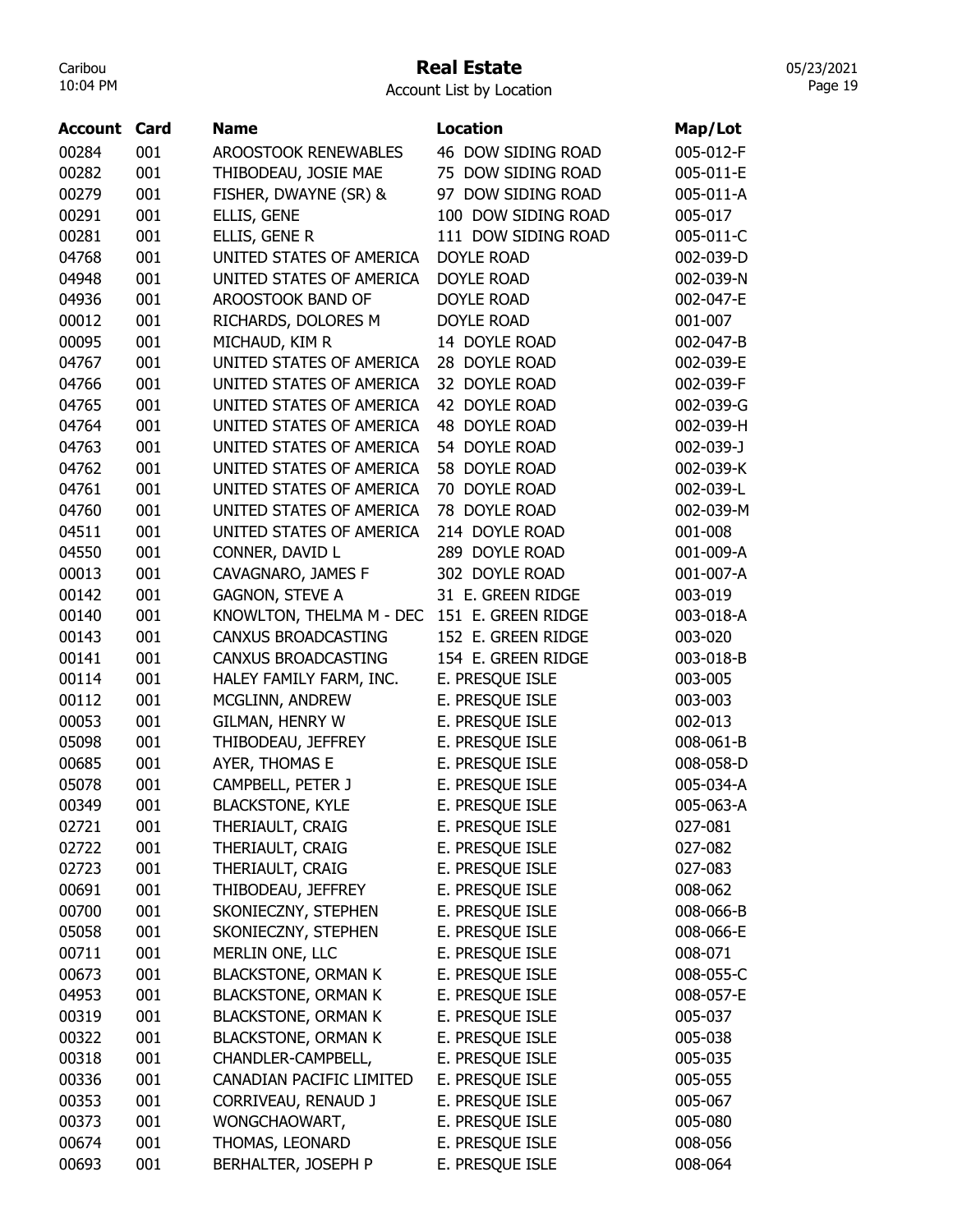### Real Estate

Account List by Location

| <b>Account Card</b> |     | Name                                                 | <b>Location</b>     | Map/Lot   |
|---------------------|-----|------------------------------------------------------|---------------------|-----------|
| 00284               | 001 | <b>AROOSTOOK RENEWABLES</b>                          | 46 DOW SIDING ROAD  | 005-012-F |
| 00282               | 001 | THIBODEAU, JOSIE MAE                                 | 75 DOW SIDING ROAD  | 005-011-E |
| 00279               | 001 |                                                      | 97 DOW SIDING ROAD  | 005-011-A |
|                     | 001 | FISHER, DWAYNE (SR) &                                | 100 DOW SIDING ROAD |           |
| 00291               | 001 | ELLIS, GENE                                          |                     | 005-017   |
| 00281               |     | ELLIS, GENE R                                        | 111 DOW SIDING ROAD | 005-011-C |
| 04768               | 001 | UNITED STATES OF AMERICA<br>UNITED STATES OF AMERICA | DOYLE ROAD          | 002-039-D |
| 04948               | 001 |                                                      | <b>DOYLE ROAD</b>   | 002-039-N |
| 04936               | 001 | AROOSTOOK BAND OF                                    | <b>DOYLE ROAD</b>   | 002-047-E |
| 00012               | 001 | RICHARDS, DOLORES M                                  | <b>DOYLE ROAD</b>   | 001-007   |
| 00095               | 001 | MICHAUD, KIM R                                       | 14 DOYLE ROAD       | 002-047-B |
| 04767               | 001 | UNITED STATES OF AMERICA                             | 28 DOYLE ROAD       | 002-039-E |
| 04766               | 001 | UNITED STATES OF AMERICA                             | 32 DOYLE ROAD       | 002-039-F |
| 04765               | 001 | UNITED STATES OF AMERICA                             | 42 DOYLE ROAD       | 002-039-G |
| 04764               | 001 | UNITED STATES OF AMERICA                             | 48 DOYLE ROAD       | 002-039-H |
| 04763               | 001 | UNITED STATES OF AMERICA                             | 54 DOYLE ROAD       | 002-039-J |
| 04762               | 001 | UNITED STATES OF AMERICA                             | 58 DOYLE ROAD       | 002-039-K |
| 04761               | 001 | UNITED STATES OF AMERICA                             | 70 DOYLE ROAD       | 002-039-L |
| 04760               | 001 | UNITED STATES OF AMERICA                             | 78 DOYLE ROAD       | 002-039-M |
| 04511               | 001 | UNITED STATES OF AMERICA                             | 214 DOYLE ROAD      | 001-008   |
| 04550               | 001 | CONNER, DAVID L                                      | 289 DOYLE ROAD      | 001-009-A |
| 00013               | 001 | CAVAGNARO, JAMES F                                   | 302 DOYLE ROAD      | 001-007-A |
| 00142               | 001 | <b>GAGNON, STEVE A</b>                               | 31 E. GREEN RIDGE   | 003-019   |
| 00140               | 001 | KNOWLTON, THELMA M - DEC                             | 151 E. GREEN RIDGE  | 003-018-A |
| 00143               | 001 | CANXUS BROADCASTING                                  | 152 E. GREEN RIDGE  | 003-020   |
| 00141               | 001 | <b>CANXUS BROADCASTING</b>                           | 154 E. GREEN RIDGE  | 003-018-B |
| 00114               | 001 | HALEY FAMILY FARM, INC.                              | E. PRESQUE ISLE     | 003-005   |
| 00112               | 001 | MCGLINN, ANDREW                                      | E. PRESQUE ISLE     | 003-003   |
| 00053               | 001 | GILMAN, HENRY W                                      | E. PRESQUE ISLE     | 002-013   |
| 05098               | 001 | THIBODEAU, JEFFREY                                   | E. PRESQUE ISLE     | 008-061-B |
|                     |     |                                                      |                     |           |
| 00685               | 001 | AYER, THOMAS E                                       | E. PRESQUE ISLE     | 008-058-D |
| 05078               | 001 | CAMPBELL, PETER J                                    | E. PRESQUE ISLE     | 005-034-A |
| 00349               | 001 | <b>BLACKSTONE, KYLE</b>                              | E. PRESQUE ISLE     | 005-063-A |
| 02721               | 001 | THERIAULT, CRAIG                                     | E. PRESQUE ISLE     | 027-081   |
| 02722               | 001 | THERIAULT, CRAIG                                     | E. PRESQUE ISLE     | 027-082   |
| 02723               | 001 | THERIAULT, CRAIG                                     | E. PRESQUE ISLE     | 027-083   |
| 00691               | 001 | THIBODEAU, JEFFREY                                   | E. PRESQUE ISLE     | 008-062   |
| 00700               | 001 | SKONIECZNY, STEPHEN                                  | E. PRESQUE ISLE     | 008-066-B |
| 05058               | 001 | SKONIECZNY, STEPHEN                                  | E. PRESQUE ISLE     | 008-066-E |
| 00711               | 001 | MERLIN ONE, LLC                                      | E. PRESQUE ISLE     | 008-071   |
| 00673               | 001 | <b>BLACKSTONE, ORMAN K</b>                           | E. PRESQUE ISLE     | 008-055-C |
| 04953               | 001 | <b>BLACKSTONE, ORMAN K</b>                           | E. PRESQUE ISLE     | 008-057-E |
| 00319               | 001 | <b>BLACKSTONE, ORMAN K</b>                           | E. PRESQUE ISLE     | 005-037   |
| 00322               | 001 | <b>BLACKSTONE, ORMAN K</b>                           | E. PRESQUE ISLE     | 005-038   |
| 00318               | 001 | CHANDLER-CAMPBELL,                                   | E. PRESQUE ISLE     | 005-035   |
| 00336               | 001 | CANADIAN PACIFIC LIMITED                             | E. PRESQUE ISLE     | 005-055   |
| 00353               | 001 | CORRIVEAU, RENAUD J                                  | E. PRESQUE ISLE     | 005-067   |
| 00373               | 001 | WONGCHAOWART,                                        | E. PRESQUE ISLE     | 005-080   |
| 00674               | 001 | THOMAS, LEONARD                                      | E. PRESQUE ISLE     | 008-056   |
| 00693               | 001 | BERHALTER, JOSEPH P                                  | E. PRESQUE ISLE     | 008-064   |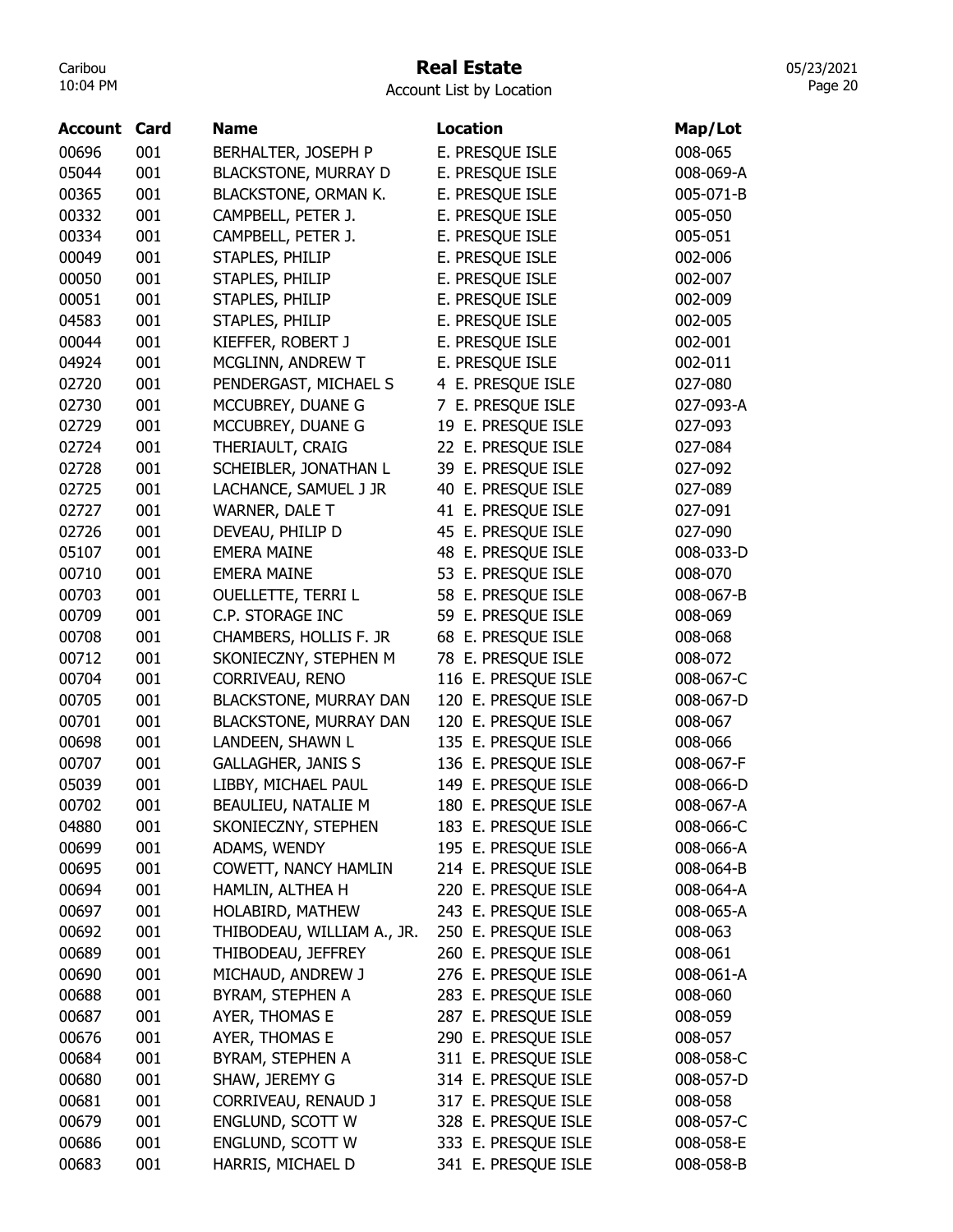# Real Estate

Account List by Location

| <b>Account Card</b> |     | <b>Name</b>                   | Location            | Map/Lot   |
|---------------------|-----|-------------------------------|---------------------|-----------|
| 00696               | 001 | BERHALTER, JOSEPH P           | E. PRESQUE ISLE     | 008-065   |
| 05044               | 001 | <b>BLACKSTONE, MURRAY D</b>   | E. PRESQUE ISLE     | 008-069-A |
| 00365               | 001 | BLACKSTONE, ORMAN K.          | E. PRESQUE ISLE     | 005-071-B |
| 00332               | 001 | CAMPBELL, PETER J.            | E. PRESQUE ISLE     | 005-050   |
| 00334               | 001 | CAMPBELL, PETER J.            | E. PRESQUE ISLE     | 005-051   |
| 00049               | 001 | STAPLES, PHILIP               | E. PRESQUE ISLE     | 002-006   |
| 00050               | 001 | STAPLES, PHILIP               | E. PRESQUE ISLE     | 002-007   |
| 00051               | 001 | STAPLES, PHILIP               | E. PRESQUE ISLE     | 002-009   |
| 04583               | 001 | STAPLES, PHILIP               | E. PRESQUE ISLE     | 002-005   |
| 00044               | 001 | KIEFFER, ROBERT J             | E. PRESQUE ISLE     | 002-001   |
| 04924               | 001 | MCGLINN, ANDREW T             | E. PRESQUE ISLE     | 002-011   |
| 02720               | 001 | PENDERGAST, MICHAEL S         | 4 E. PRESQUE ISLE   | 027-080   |
| 02730               | 001 | MCCUBREY, DUANE G             | 7 E. PRESQUE ISLE   | 027-093-A |
| 02729               | 001 | MCCUBREY, DUANE G             | 19 E. PRESQUE ISLE  | 027-093   |
| 02724               | 001 | THERIAULT, CRAIG              | 22 E. PRESQUE ISLE  | 027-084   |
| 02728               | 001 | SCHEIBLER, JONATHAN L         | 39 E. PRESQUE ISLE  | 027-092   |
| 02725               | 001 | LACHANCE, SAMUEL J JR         | 40 E. PRESQUE ISLE  | 027-089   |
| 02727               | 001 | <b>WARNER, DALE T</b>         | 41 E. PRESQUE ISLE  | 027-091   |
| 02726               | 001 | DEVEAU, PHILIP D              | 45 E. PRESQUE ISLE  | 027-090   |
| 05107               | 001 | <b>EMERA MAINE</b>            | 48 E. PRESQUE ISLE  | 008-033-D |
| 00710               | 001 | <b>EMERA MAINE</b>            | 53 E. PRESQUE ISLE  | 008-070   |
| 00703               | 001 | <b>OUELLETTE, TERRI L</b>     | 58 E. PRESQUE ISLE  | 008-067-B |
| 00709               | 001 | C.P. STORAGE INC              | 59 E. PRESQUE ISLE  | 008-069   |
| 00708               | 001 | CHAMBERS, HOLLIS F. JR        | 68 E. PRESQUE ISLE  | 008-068   |
| 00712               | 001 | SKONIECZNY, STEPHEN M         | 78 E. PRESQUE ISLE  | 008-072   |
| 00704               | 001 | CORRIVEAU, RENO               | 116 E. PRESQUE ISLE | 008-067-C |
| 00705               | 001 | <b>BLACKSTONE, MURRAY DAN</b> | 120 E. PRESQUE ISLE | 008-067-D |
| 00701               | 001 | <b>BLACKSTONE, MURRAY DAN</b> | 120 E. PRESQUE ISLE | 008-067   |
| 00698               | 001 | LANDEEN, SHAWN L              | 135 E. PRESQUE ISLE | 008-066   |
| 00707               | 001 | <b>GALLAGHER, JANIS S</b>     | 136 E. PRESQUE ISLE | 008-067-F |
| 05039               | 001 | LIBBY, MICHAEL PAUL           | 149 E. PRESQUE ISLE | 008-066-D |
| 00702               | 001 | BEAULIEU, NATALIE M           | 180 E. PRESQUE ISLE | 008-067-A |
| 04880               | 001 | SKONIECZNY, STEPHEN           | 183 E. PRESQUE ISLE | 008-066-C |
| 00699               | 001 | ADAMS, WENDY                  | 195 E. PRESQUE ISLE | 008-066-A |
| 00695               | 001 | COWETT, NANCY HAMLIN          | 214 E. PRESQUE ISLE | 008-064-B |
| 00694               | 001 | HAMLIN, ALTHEA H              | 220 E. PRESQUE ISLE | 008-064-A |
| 00697               | 001 | HOLABIRD, MATHEW              | 243 E. PRESQUE ISLE | 008-065-A |
| 00692               | 001 | THIBODEAU, WILLIAM A., JR.    | 250 E. PRESQUE ISLE | 008-063   |
| 00689               | 001 | THIBODEAU, JEFFREY            | 260 E. PRESQUE ISLE | 008-061   |
| 00690               | 001 | MICHAUD, ANDREW J             | 276 E. PRESQUE ISLE | 008-061-A |
| 00688               | 001 | BYRAM, STEPHEN A              | 283 E. PRESQUE ISLE | 008-060   |
| 00687               | 001 | AYER, THOMAS E                | 287 E. PRESQUE ISLE | 008-059   |
| 00676               | 001 | AYER, THOMAS E                | 290 E. PRESQUE ISLE | 008-057   |
| 00684               | 001 | BYRAM, STEPHEN A              | 311 E. PRESQUE ISLE | 008-058-C |
| 00680               | 001 | SHAW, JEREMY G                | 314 E. PRESQUE ISLE | 008-057-D |
| 00681               | 001 | CORRIVEAU, RENAUD J           | 317 E. PRESQUE ISLE | 008-058   |
| 00679               | 001 | ENGLUND, SCOTT W              | 328 E. PRESQUE ISLE | 008-057-C |
| 00686               | 001 | ENGLUND, SCOTT W              | 333 E. PRESQUE ISLE | 008-058-E |
| 00683               | 001 | HARRIS, MICHAEL D             | 341 E. PRESQUE ISLE | 008-058-B |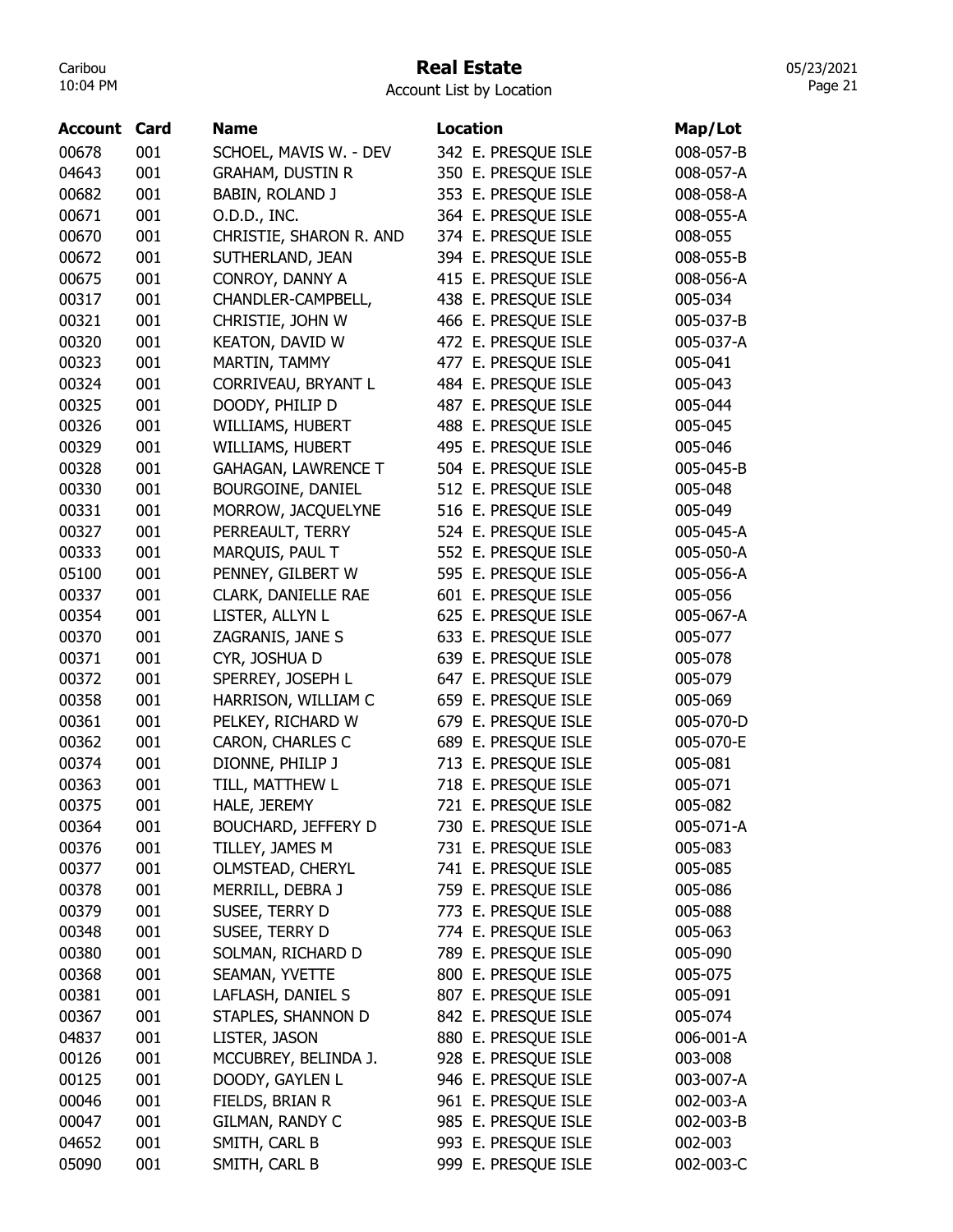# Real Estate

Account List by Location

| Account | Card | <b>Name</b>                | <b>Location</b>     | Map/Lot   |
|---------|------|----------------------------|---------------------|-----------|
| 00678   | 001  | SCHOEL, MAVIS W. - DEV     | 342 E. PRESQUE ISLE | 008-057-B |
| 04643   | 001  | <b>GRAHAM, DUSTIN R</b>    | 350 E. PRESQUE ISLE | 008-057-A |
| 00682   | 001  | <b>BABIN, ROLAND J</b>     | 353 E. PRESQUE ISLE | 008-058-A |
| 00671   | 001  | O.D.D., INC.               | 364 E. PRESQUE ISLE | 008-055-A |
| 00670   | 001  | CHRISTIE, SHARON R. AND    | 374 E. PRESQUE ISLE | 008-055   |
| 00672   | 001  | SUTHERLAND, JEAN           | 394 E. PRESQUE ISLE | 008-055-B |
| 00675   | 001  | CONROY, DANNY A            | 415 E. PRESQUE ISLE | 008-056-A |
| 00317   | 001  | CHANDLER-CAMPBELL,         | 438 E. PRESQUE ISLE | 005-034   |
| 00321   | 001  | CHRISTIE, JOHN W           | 466 E. PRESQUE ISLE | 005-037-B |
| 00320   | 001  | <b>KEATON, DAVID W</b>     | 472 E. PRESQUE ISLE | 005-037-A |
| 00323   | 001  | MARTIN, TAMMY              | 477 E. PRESQUE ISLE | 005-041   |
| 00324   | 001  | CORRIVEAU, BRYANT L        | 484 E. PRESQUE ISLE | 005-043   |
| 00325   | 001  | DOODY, PHILIP D            | 487 E. PRESQUE ISLE | 005-044   |
| 00326   | 001  | WILLIAMS, HUBERT           | 488 E. PRESQUE ISLE | 005-045   |
| 00329   | 001  | WILLIAMS, HUBERT           | 495 E. PRESQUE ISLE | 005-046   |
| 00328   | 001  | <b>GAHAGAN, LAWRENCE T</b> | 504 E. PRESQUE ISLE | 005-045-B |
| 00330   | 001  | BOURGOINE, DANIEL          | 512 E. PRESQUE ISLE | 005-048   |
| 00331   | 001  | MORROW, JACQUELYNE         | 516 E. PRESQUE ISLE | 005-049   |
| 00327   | 001  | PERREAULT, TERRY           | 524 E. PRESQUE ISLE | 005-045-A |
| 00333   | 001  | MARQUIS, PAUL T            | 552 E. PRESQUE ISLE | 005-050-A |
| 05100   | 001  | PENNEY, GILBERT W          | 595 E. PRESQUE ISLE | 005-056-A |
| 00337   | 001  | CLARK, DANIELLE RAE        | 601 E. PRESQUE ISLE | 005-056   |
|         |      |                            |                     |           |
| 00354   | 001  | LISTER, ALLYN L            | 625 E. PRESQUE ISLE | 005-067-A |
| 00370   | 001  | ZAGRANIS, JANE S           | 633 E. PRESQUE ISLE | 005-077   |
| 00371   | 001  | CYR, JOSHUA D              | 639 E. PRESQUE ISLE | 005-078   |
| 00372   | 001  | SPERREY, JOSEPH L          | 647 E. PRESQUE ISLE | 005-079   |
| 00358   | 001  | HARRISON, WILLIAM C        | 659 E. PRESQUE ISLE | 005-069   |
| 00361   | 001  | PELKEY, RICHARD W          | 679 E. PRESQUE ISLE | 005-070-D |
| 00362   | 001  | CARON, CHARLES C           | 689 E. PRESQUE ISLE | 005-070-E |
| 00374   | 001  | DIONNE, PHILIP J           | 713 E. PRESQUE ISLE | 005-081   |
| 00363   | 001  | TILL, MATTHEW L            | 718 E. PRESQUE ISLE | 005-071   |
| 00375   | 001  | HALE, JEREMY               | 721 E. PRESQUE ISLE | 005-082   |
| 00364   | 001  | <b>BOUCHARD, JEFFERY D</b> | 730 E. PRESQUE ISLE | 005-071-A |
| 00376   | 001  | TILLEY, JAMES M            | 731 E. PRESQUE ISLE | 005-083   |
| 00377   | 001  | OLMSTEAD, CHERYL           | 741 E. PRESQUE ISLE | 005-085   |
| 00378   | 001  | MERRILL, DEBRA J           | 759 E. PRESQUE ISLE | 005-086   |
| 00379   | 001  | SUSEE, TERRY D             | 773 E. PRESQUE ISLE | 005-088   |
| 00348   | 001  | SUSEE, TERRY D             | 774 E. PRESQUE ISLE | 005-063   |
| 00380   | 001  | SOLMAN, RICHARD D          | 789 E. PRESQUE ISLE | 005-090   |
| 00368   | 001  | SEAMAN, YVETTE             | 800 E. PRESQUE ISLE | 005-075   |
| 00381   | 001  | LAFLASH, DANIEL S          | 807 E. PRESQUE ISLE | 005-091   |
| 00367   | 001  | STAPLES, SHANNON D         | 842 E. PRESQUE ISLE | 005-074   |
| 04837   | 001  | LISTER, JASON              | 880 E. PRESQUE ISLE | 006-001-A |
| 00126   | 001  | MCCUBREY, BELINDA J.       | 928 E. PRESQUE ISLE | 003-008   |
| 00125   | 001  | DOODY, GAYLEN L            | 946 E. PRESQUE ISLE | 003-007-A |
| 00046   | 001  | FIELDS, BRIAN R            | 961 E. PRESQUE ISLE | 002-003-A |
| 00047   | 001  | GILMAN, RANDY C            | 985 E. PRESQUE ISLE | 002-003-B |
| 04652   | 001  | SMITH, CARL B              | 993 E. PRESQUE ISLE | 002-003   |
| 05090   | 001  | SMITH, CARL B              | 999 E. PRESQUE ISLE | 002-003-C |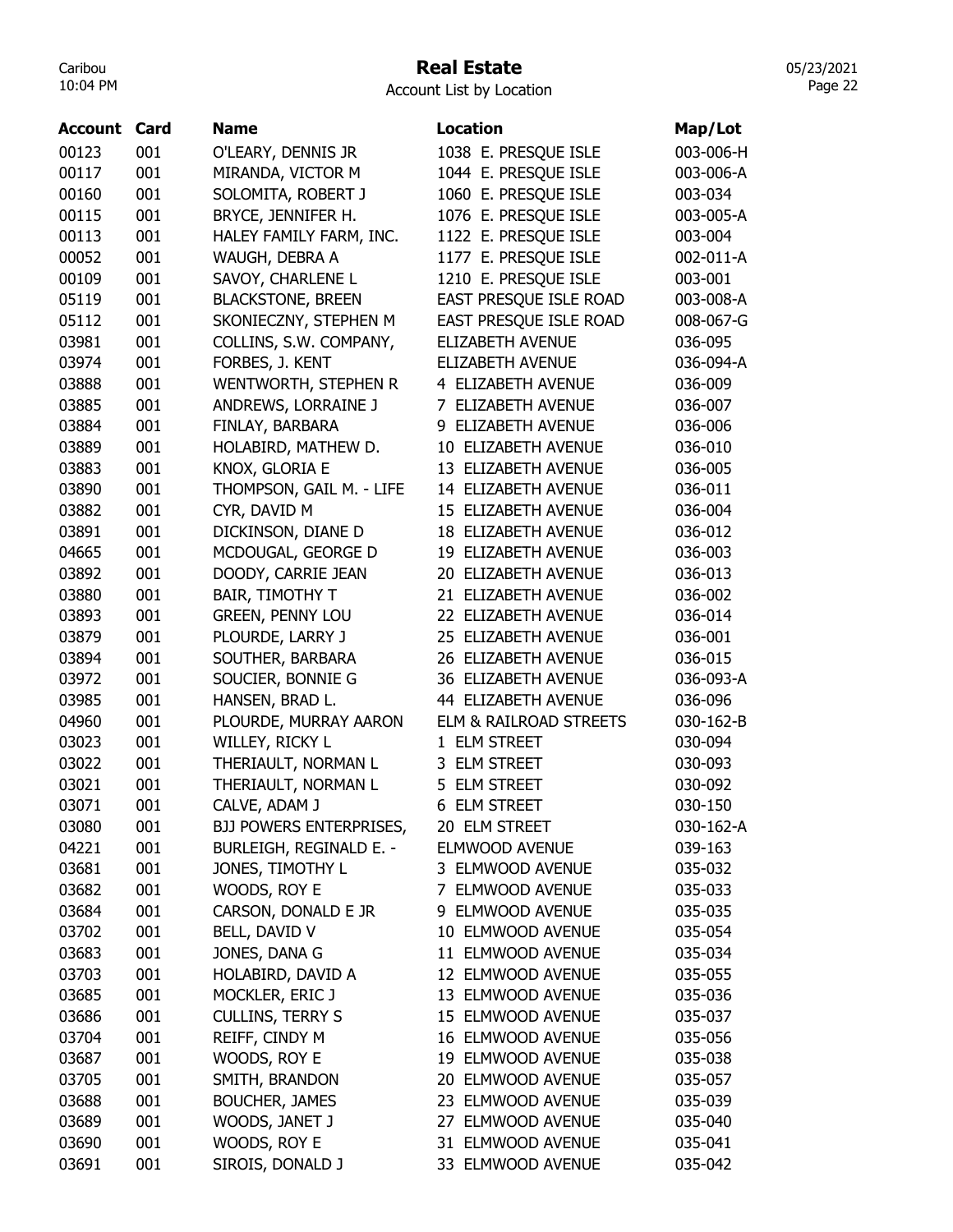# Real Estate

Account List by Location

| <b>Account</b> | Card | <b>Name</b>                    | <b>Location</b>         | Map/Lot   |
|----------------|------|--------------------------------|-------------------------|-----------|
| 00123          | 001  | O'LEARY, DENNIS JR             | 1038 E. PRESQUE ISLE    | 003-006-H |
| 00117          | 001  | MIRANDA, VICTOR M              | 1044 E. PRESQUE ISLE    | 003-006-A |
| 00160          | 001  | SOLOMITA, ROBERT J             | 1060 E. PRESQUE ISLE    | 003-034   |
| 00115          | 001  | BRYCE, JENNIFER H.             | 1076 E. PRESQUE ISLE    | 003-005-A |
| 00113          | 001  | HALEY FAMILY FARM, INC.        | 1122 E. PRESQUE ISLE    | 003-004   |
| 00052          | 001  | WAUGH, DEBRA A                 | 1177 E. PRESQUE ISLE    | 002-011-A |
| 00109          | 001  | SAVOY, CHARLENE L              | 1210 E. PRESQUE ISLE    | 003-001   |
| 05119          | 001  | <b>BLACKSTONE, BREEN</b>       | EAST PRESQUE ISLE ROAD  | 003-008-A |
| 05112          | 001  | SKONIECZNY, STEPHEN M          | EAST PRESQUE ISLE ROAD  | 008-067-G |
| 03981          | 001  | COLLINS, S.W. COMPANY,         | <b>ELIZABETH AVENUE</b> | 036-095   |
| 03974          | 001  | FORBES, J. KENT                | ELIZABETH AVENUE        | 036-094-A |
| 03888          | 001  | WENTWORTH, STEPHEN R           | 4 ELIZABETH AVENUE      | 036-009   |
| 03885          | 001  | ANDREWS, LORRAINE J            | 7 ELIZABETH AVENUE      | 036-007   |
| 03884          | 001  | FINLAY, BARBARA                | 9 ELIZABETH AVENUE      | 036-006   |
| 03889          | 001  | HOLABIRD, MATHEW D.            | 10 ELIZABETH AVENUE     | 036-010   |
| 03883          | 001  | KNOX, GLORIA E                 | 13 ELIZABETH AVENUE     | 036-005   |
| 03890          | 001  | THOMPSON, GAIL M. - LIFE       | 14 ELIZABETH AVENUE     | 036-011   |
| 03882          | 001  | CYR, DAVID M                   | 15 ELIZABETH AVENUE     | 036-004   |
| 03891          | 001  | DICKINSON, DIANE D             | 18 ELIZABETH AVENUE     | 036-012   |
| 04665          | 001  | MCDOUGAL, GEORGE D             | 19 ELIZABETH AVENUE     | 036-003   |
| 03892          | 001  | DOODY, CARRIE JEAN             | 20 ELIZABETH AVENUE     | 036-013   |
| 03880          | 001  | <b>BAIR, TIMOTHY T</b>         | 21 ELIZABETH AVENUE     | 036-002   |
| 03893          | 001  | <b>GREEN, PENNY LOU</b>        | 22 ELIZABETH AVENUE     | 036-014   |
| 03879          | 001  | PLOURDE, LARRY J               | 25 ELIZABETH AVENUE     | 036-001   |
| 03894          | 001  | SOUTHER, BARBARA               | 26 ELIZABETH AVENUE     | 036-015   |
| 03972          | 001  | SOUCIER, BONNIE G              | 36 ELIZABETH AVENUE     | 036-093-A |
| 03985          | 001  | HANSEN, BRAD L.                | 44 ELIZABETH AVENUE     | 036-096   |
| 04960          | 001  | PLOURDE, MURRAY AARON          | ELM & RAILROAD STREETS  | 030-162-B |
| 03023          | 001  | WILLEY, RICKY L                | 1 ELM STREET            | 030-094   |
| 03022          | 001  | THERIAULT, NORMAN L            | 3 ELM STREET            | 030-093   |
| 03021          | 001  | THERIAULT, NORMAN L            | 5 ELM STREET            | 030-092   |
| 03071          | 001  | CALVE, ADAM J                  | 6 ELM STREET            | 030-150   |
| 03080          | 001  | <b>BJJ POWERS ENTERPRISES,</b> | 20 ELM STREET           | 030-162-A |
| 04221          | 001  | BURLEIGH, REGINALD E. -        | ELMWOOD AVENUE          | 039-163   |
| 03681          | 001  | JONES, TIMOTHY L               | 3 ELMWOOD AVENUE        | 035-032   |
| 03682          | 001  | WOODS, ROY E                   | 7 ELMWOOD AVENUE        | 035-033   |
| 03684          | 001  | CARSON, DONALD E JR            | 9 ELMWOOD AVENUE        | 035-035   |
| 03702          | 001  | BELL, DAVID V                  | 10 ELMWOOD AVENUE       | 035-054   |
| 03683          | 001  | JONES, DANA G                  | 11 ELMWOOD AVENUE       | 035-034   |
| 03703          | 001  | HOLABIRD, DAVID A              | 12 ELMWOOD AVENUE       | 035-055   |
| 03685          | 001  | MOCKLER, ERIC J                | 13 ELMWOOD AVENUE       | 035-036   |
| 03686          | 001  | <b>CULLINS, TERRY S</b>        | 15 ELMWOOD AVENUE       | 035-037   |
| 03704          | 001  | REIFF, CINDY M                 | 16 ELMWOOD AVENUE       | 035-056   |
| 03687          | 001  | WOODS, ROY E                   | 19 ELMWOOD AVENUE       | 035-038   |
| 03705          | 001  | SMITH, BRANDON                 | 20 ELMWOOD AVENUE       | 035-057   |
| 03688          | 001  | <b>BOUCHER, JAMES</b>          | 23 ELMWOOD AVENUE       | 035-039   |
| 03689          | 001  | WOODS, JANET J                 | 27 ELMWOOD AVENUE       | 035-040   |
| 03690          | 001  | WOODS, ROY E                   | 31 ELMWOOD AVENUE       | 035-041   |
| 03691          | 001  | SIROIS, DONALD J               | 33 ELMWOOD AVENUE       | 035-042   |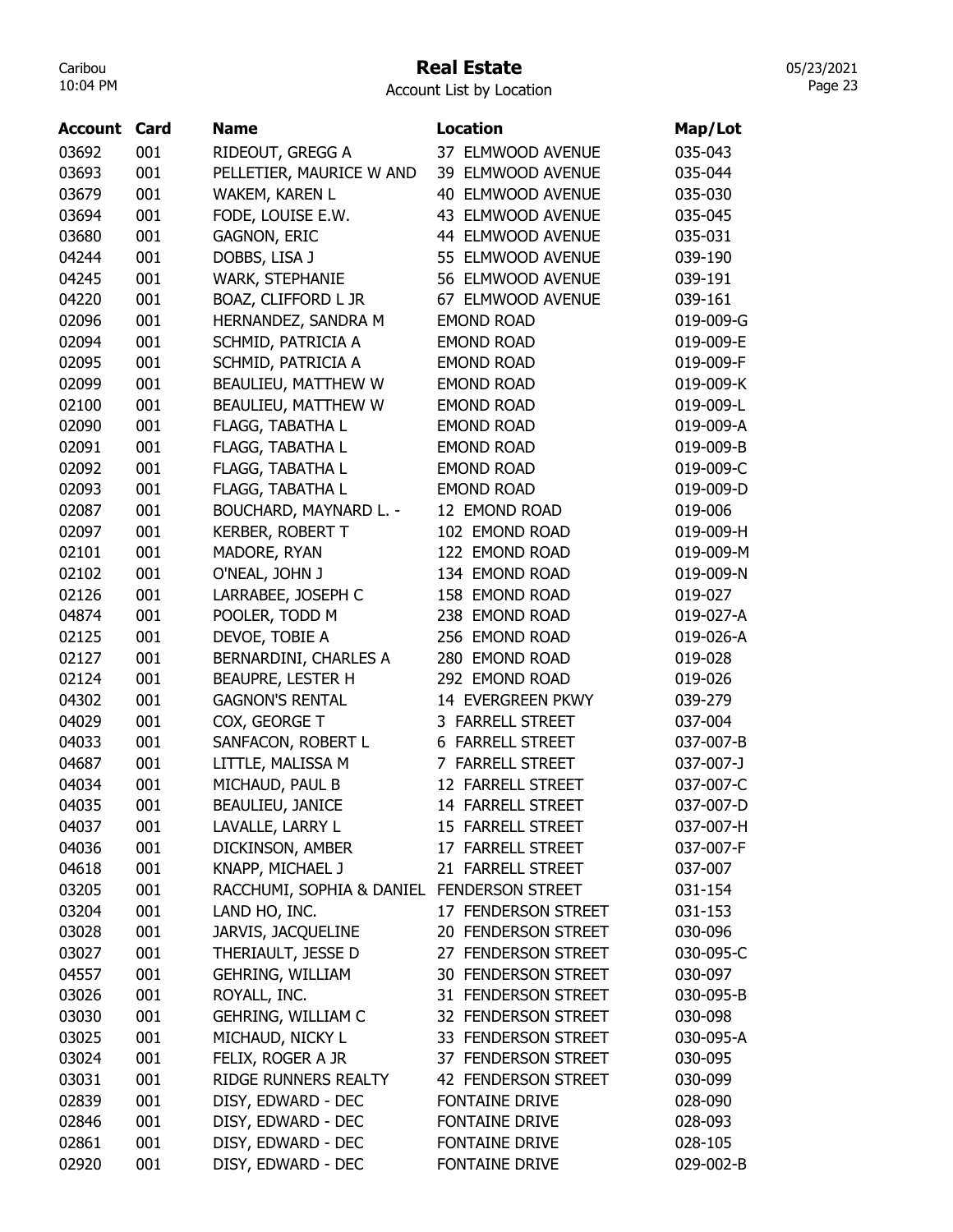## Real Estate

05/23/2021 Page 23

| <b>Account Card</b> |     | <b>Name</b>                                | <b>Location</b>            | Map/Lot   |
|---------------------|-----|--------------------------------------------|----------------------------|-----------|
| 03692               | 001 | RIDEOUT, GREGG A                           | 37 ELMWOOD AVENUE          | 035-043   |
| 03693               | 001 | PELLETIER, MAURICE W AND                   | 39 ELMWOOD AVENUE          | 035-044   |
| 03679               | 001 | WAKEM, KAREN L                             | 40 ELMWOOD AVENUE          | 035-030   |
| 03694               | 001 | FODE, LOUISE E.W.                          | 43 ELMWOOD AVENUE          | 035-045   |
| 03680               | 001 | <b>GAGNON, ERIC</b>                        | 44 ELMWOOD AVENUE          | 035-031   |
| 04244               | 001 | DOBBS, LISA J                              | 55 ELMWOOD AVENUE          | 039-190   |
| 04245               | 001 | WARK, STEPHANIE                            | 56 ELMWOOD AVENUE          | 039-191   |
| 04220               | 001 | BOAZ, CLIFFORD L JR                        | 67 ELMWOOD AVENUE          | 039-161   |
| 02096               | 001 | HERNANDEZ, SANDRA M                        | <b>EMOND ROAD</b>          | 019-009-G |
| 02094               | 001 | SCHMID, PATRICIA A                         | <b>EMOND ROAD</b>          | 019-009-E |
| 02095               | 001 | SCHMID, PATRICIA A                         | <b>EMOND ROAD</b>          | 019-009-F |
| 02099               | 001 | BEAULIEU, MATTHEW W                        | <b>EMOND ROAD</b>          | 019-009-K |
| 02100               | 001 | BEAULIEU, MATTHEW W                        | <b>EMOND ROAD</b>          | 019-009-L |
| 02090               | 001 | FLAGG, TABATHA L                           | <b>EMOND ROAD</b>          | 019-009-A |
| 02091               | 001 | FLAGG, TABATHA L                           | <b>EMOND ROAD</b>          | 019-009-B |
| 02092               | 001 | FLAGG, TABATHA L                           | <b>EMOND ROAD</b>          | 019-009-C |
| 02093               | 001 | FLAGG, TABATHA L                           | <b>EMOND ROAD</b>          | 019-009-D |
| 02087               | 001 | BOUCHARD, MAYNARD L. -                     | 12 EMOND ROAD              | 019-006   |
| 02097               | 001 | <b>KERBER, ROBERT T</b>                    | 102 EMOND ROAD             | 019-009-H |
| 02101               | 001 | MADORE, RYAN                               | 122 EMOND ROAD             | 019-009-M |
| 02102               | 001 | O'NEAL, JOHN J                             | 134 EMOND ROAD             | 019-009-N |
| 02126               | 001 | LARRABEE, JOSEPH C                         | 158 EMOND ROAD             | 019-027   |
| 04874               | 001 | POOLER, TODD M                             | 238 EMOND ROAD             | 019-027-A |
| 02125               | 001 | DEVOE, TOBIE A                             | 256 EMOND ROAD             | 019-026-A |
| 02127               | 001 | BERNARDINI, CHARLES A                      | 280 EMOND ROAD             | 019-028   |
| 02124               | 001 | BEAUPRE, LESTER H                          | 292 EMOND ROAD             | 019-026   |
| 04302               | 001 | <b>GAGNON'S RENTAL</b>                     | 14 EVERGREEN PKWY          | 039-279   |
| 04029               | 001 | COX, GEORGE T                              | 3 FARRELL STREET           | 037-004   |
| 04033               | 001 | SANFACON, ROBERT L                         | 6 FARRELL STREET           | 037-007-B |
| 04687               | 001 | LITTLE, MALISSA M                          | 7 FARRELL STREET           | 037-007-J |
| 04034               | 001 | MICHAUD, PAUL B                            | 12 FARRELL STREET          | 037-007-C |
| 04035               | 001 | <b>BEAULIEU, JANICE</b>                    | 14 FARRELL STREET          | 037-007-D |
| 04037               | 001 | LAVALLE, LARRY L                           | 15 FARRELL STREET          | 037-007-H |
| 04036               | 001 | DICKINSON, AMBER                           | 17 FARRELL STREET          | 037-007-F |
| 04618               | 001 | KNAPP, MICHAEL J                           | 21 FARRELL STREET          | 037-007   |
| 03205               | 001 | RACCHUMI, SOPHIA & DANIEL FENDERSON STREET |                            | 031-154   |
| 03204               | 001 | LAND HO, INC.                              | 17 FENDERSON STREET        | 031-153   |
| 03028               | 001 | JARVIS, JACQUELINE                         | 20 FENDERSON STREET        | 030-096   |
| 03027               | 001 | THERIAULT, JESSE D                         | 27 FENDERSON STREET        | 030-095-C |
| 04557               | 001 | <b>GEHRING, WILLIAM</b>                    | <b>30 FENDERSON STREET</b> | 030-097   |
| 03026               | 001 | ROYALL, INC.                               | 31 FENDERSON STREET        | 030-095-B |
| 03030               | 001 | GEHRING, WILLIAM C                         | 32 FENDERSON STREET        | 030-098   |
| 03025               | 001 | MICHAUD, NICKY L                           | 33 FENDERSON STREET        | 030-095-A |
| 03024               | 001 | FELIX, ROGER A JR                          | 37 FENDERSON STREET        | 030-095   |
| 03031               | 001 | RIDGE RUNNERS REALTY                       | 42 FENDERSON STREET        | 030-099   |
| 02839               | 001 | DISY, EDWARD - DEC                         | <b>FONTAINE DRIVE</b>      | 028-090   |
| 02846               | 001 | DISY, EDWARD - DEC                         | FONTAINE DRIVE             | 028-093   |
| 02861               | 001 | DISY, EDWARD - DEC                         | <b>FONTAINE DRIVE</b>      | 028-105   |
| 02920               | 001 | DISY, EDWARD - DEC                         | FONTAINE DRIVE             | 029-002-B |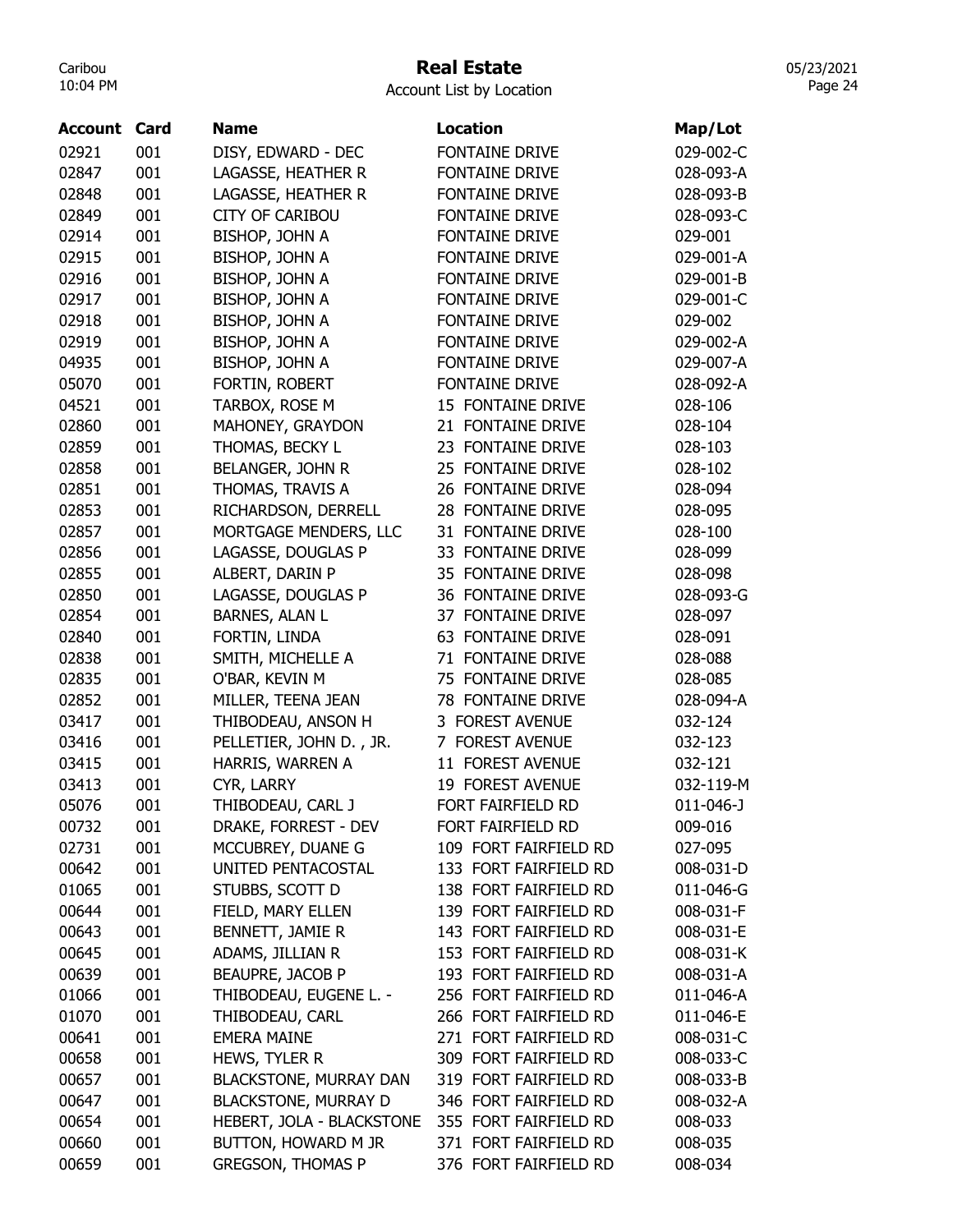# Real Estate

| <b>FONTAINE DRIVE</b><br>02921<br>001<br>DISY, EDWARD - DEC<br>02847<br>001<br><b>FONTAINE DRIVE</b><br>LAGASSE, HEATHER R<br>02848<br>001<br>LAGASSE, HEATHER R<br><b>FONTAINE DRIVE</b><br>001<br><b>CITY OF CARIBOU</b><br><b>FONTAINE DRIVE</b><br>02849<br>02914<br>001<br><b>FONTAINE DRIVE</b><br><b>BISHOP, JOHN A</b><br>029-001<br>001<br><b>FONTAINE DRIVE</b><br>02915<br>BISHOP, JOHN A<br>02916<br>001<br><b>FONTAINE DRIVE</b><br>BISHOP, JOHN A<br>02917<br>001<br><b>BISHOP, JOHN A</b><br><b>FONTAINE DRIVE</b> | 029-002-C<br>028-093-A<br>028-093-B<br>028-093-C<br>029-001-A<br>029-001-B<br>029-001-C<br>029-002-A<br>029-007-A<br>028-092-A |
|-----------------------------------------------------------------------------------------------------------------------------------------------------------------------------------------------------------------------------------------------------------------------------------------------------------------------------------------------------------------------------------------------------------------------------------------------------------------------------------------------------------------------------------|--------------------------------------------------------------------------------------------------------------------------------|
|                                                                                                                                                                                                                                                                                                                                                                                                                                                                                                                                   |                                                                                                                                |
|                                                                                                                                                                                                                                                                                                                                                                                                                                                                                                                                   |                                                                                                                                |
|                                                                                                                                                                                                                                                                                                                                                                                                                                                                                                                                   |                                                                                                                                |
|                                                                                                                                                                                                                                                                                                                                                                                                                                                                                                                                   |                                                                                                                                |
|                                                                                                                                                                                                                                                                                                                                                                                                                                                                                                                                   |                                                                                                                                |
|                                                                                                                                                                                                                                                                                                                                                                                                                                                                                                                                   |                                                                                                                                |
|                                                                                                                                                                                                                                                                                                                                                                                                                                                                                                                                   |                                                                                                                                |
|                                                                                                                                                                                                                                                                                                                                                                                                                                                                                                                                   |                                                                                                                                |
| 02918<br>001<br><b>BISHOP, JOHN A</b><br><b>FONTAINE DRIVE</b><br>029-002                                                                                                                                                                                                                                                                                                                                                                                                                                                         |                                                                                                                                |
| 02919<br>001<br><b>FONTAINE DRIVE</b><br>BISHOP, JOHN A                                                                                                                                                                                                                                                                                                                                                                                                                                                                           |                                                                                                                                |
| 04935<br>001<br><b>FONTAINE DRIVE</b><br><b>BISHOP, JOHN A</b>                                                                                                                                                                                                                                                                                                                                                                                                                                                                    |                                                                                                                                |
| 05070<br>001<br><b>FONTAINE DRIVE</b><br>FORTIN, ROBERT                                                                                                                                                                                                                                                                                                                                                                                                                                                                           |                                                                                                                                |
| 001<br>15 FONTAINE DRIVE<br>04521<br>TARBOX, ROSE M<br>028-106                                                                                                                                                                                                                                                                                                                                                                                                                                                                    |                                                                                                                                |
| 02860<br>001<br>21 FONTAINE DRIVE<br>MAHONEY, GRAYDON<br>028-104                                                                                                                                                                                                                                                                                                                                                                                                                                                                  |                                                                                                                                |
| 02859<br>001<br>THOMAS, BECKY L<br>23 FONTAINE DRIVE<br>028-103                                                                                                                                                                                                                                                                                                                                                                                                                                                                   |                                                                                                                                |
| 02858<br>001<br>BELANGER, JOHN R<br>25 FONTAINE DRIVE<br>028-102                                                                                                                                                                                                                                                                                                                                                                                                                                                                  |                                                                                                                                |
| 02851<br>001<br>THOMAS, TRAVIS A<br>26 FONTAINE DRIVE<br>028-094                                                                                                                                                                                                                                                                                                                                                                                                                                                                  |                                                                                                                                |
| 02853<br>001<br>RICHARDSON, DERRELL<br>28 FONTAINE DRIVE<br>028-095                                                                                                                                                                                                                                                                                                                                                                                                                                                               |                                                                                                                                |
| 02857<br>001<br>MORTGAGE MENDERS, LLC<br>31 FONTAINE DRIVE<br>028-100                                                                                                                                                                                                                                                                                                                                                                                                                                                             |                                                                                                                                |
| 02856<br>001<br>33 FONTAINE DRIVE<br>LAGASSE, DOUGLAS P<br>028-099                                                                                                                                                                                                                                                                                                                                                                                                                                                                |                                                                                                                                |
| 02855<br>001<br>ALBERT, DARIN P<br>35 FONTAINE DRIVE<br>028-098                                                                                                                                                                                                                                                                                                                                                                                                                                                                   |                                                                                                                                |
| 001<br>LAGASSE, DOUGLAS P<br>36 FONTAINE DRIVE<br>02850                                                                                                                                                                                                                                                                                                                                                                                                                                                                           | 028-093-G                                                                                                                      |
| <b>BARNES, ALAN L</b><br>02854<br>001<br>37 FONTAINE DRIVE<br>028-097                                                                                                                                                                                                                                                                                                                                                                                                                                                             |                                                                                                                                |
| 02840<br>001<br>FORTIN, LINDA<br><b>63 FONTAINE DRIVE</b><br>028-091                                                                                                                                                                                                                                                                                                                                                                                                                                                              |                                                                                                                                |
| 71 FONTAINE DRIVE<br>02838<br>001<br>SMITH, MICHELLE A<br>028-088                                                                                                                                                                                                                                                                                                                                                                                                                                                                 |                                                                                                                                |
| 02835<br>001<br>75 FONTAINE DRIVE<br>O'BAR, KEVIN M<br>028-085                                                                                                                                                                                                                                                                                                                                                                                                                                                                    |                                                                                                                                |
| 02852<br>001<br>78 FONTAINE DRIVE<br>MILLER, TEENA JEAN                                                                                                                                                                                                                                                                                                                                                                                                                                                                           | 028-094-A                                                                                                                      |
| 001<br>3 FOREST AVENUE<br>03417<br>THIBODEAU, ANSON H<br>032-124                                                                                                                                                                                                                                                                                                                                                                                                                                                                  |                                                                                                                                |
| 001<br>7 FOREST AVENUE<br>03416<br>PELLETIER, JOHN D., JR.<br>032-123                                                                                                                                                                                                                                                                                                                                                                                                                                                             |                                                                                                                                |
| 001<br>11 FOREST AVENUE<br>03415<br>HARRIS, WARREN A<br>032-121                                                                                                                                                                                                                                                                                                                                                                                                                                                                   |                                                                                                                                |
| 03413<br>001<br>CYR, LARRY<br>19 FOREST AVENUE                                                                                                                                                                                                                                                                                                                                                                                                                                                                                    | 032-119-M                                                                                                                      |
| FORT FAIRFIELD RD<br>05076<br>001<br>THIBODEAU, CARL J<br>011-046-J                                                                                                                                                                                                                                                                                                                                                                                                                                                               |                                                                                                                                |
| 001<br>DRAKE, FORREST - DEV<br>FORT FAIRFIELD RD<br>00732<br>009-016                                                                                                                                                                                                                                                                                                                                                                                                                                                              |                                                                                                                                |
| 001<br>MCCUBREY, DUANE G<br>109 FORT FAIRFIELD RD<br>02731<br>027-095                                                                                                                                                                                                                                                                                                                                                                                                                                                             |                                                                                                                                |
| 00642<br>001<br>UNITED PENTACOSTAL<br>133 FORT FAIRFIELD RD                                                                                                                                                                                                                                                                                                                                                                                                                                                                       | 008-031-D                                                                                                                      |
| 138 FORT FAIRFIELD RD<br>01065<br>001<br>STUBBS, SCOTT D                                                                                                                                                                                                                                                                                                                                                                                                                                                                          | 011-046-G                                                                                                                      |
| 139 FORT FAIRFIELD RD<br>00644<br>001<br>FIELD, MARY ELLEN                                                                                                                                                                                                                                                                                                                                                                                                                                                                        | 008-031-F                                                                                                                      |
| 001<br>BENNETT, JAMIE R<br>143 FORT FAIRFIELD RD<br>00643                                                                                                                                                                                                                                                                                                                                                                                                                                                                         | 008-031-E                                                                                                                      |
| ADAMS, JILLIAN R<br>153 FORT FAIRFIELD RD<br>00645<br>001                                                                                                                                                                                                                                                                                                                                                                                                                                                                         | 008-031-K                                                                                                                      |
| BEAUPRE, JACOB P<br>193 FORT FAIRFIELD RD<br>00639<br>001                                                                                                                                                                                                                                                                                                                                                                                                                                                                         | 008-031-A                                                                                                                      |
| 256 FORT FAIRFIELD RD<br>01066<br>001<br>THIBODEAU, EUGENE L. -                                                                                                                                                                                                                                                                                                                                                                                                                                                                   | 011-046-A                                                                                                                      |
| 001<br>01070<br>THIBODEAU, CARL<br>266 FORT FAIRFIELD RD                                                                                                                                                                                                                                                                                                                                                                                                                                                                          | 011-046-E                                                                                                                      |
| 271 FORT FAIRFIELD RD<br>00641<br>001<br><b>EMERA MAINE</b>                                                                                                                                                                                                                                                                                                                                                                                                                                                                       | 008-031-C                                                                                                                      |
| 00658<br>309 FORT FAIRFIELD RD<br>001<br>HEWS, TYLER R                                                                                                                                                                                                                                                                                                                                                                                                                                                                            | 008-033-C                                                                                                                      |
| 00657<br>001<br>319 FORT FAIRFIELD RD<br><b>BLACKSTONE, MURRAY DAN</b>                                                                                                                                                                                                                                                                                                                                                                                                                                                            | 008-033-B                                                                                                                      |
| 001<br><b>BLACKSTONE, MURRAY D</b><br>346 FORT FAIRFIELD RD<br>00647                                                                                                                                                                                                                                                                                                                                                                                                                                                              | 008-032-A                                                                                                                      |
| HEBERT, JOLA - BLACKSTONE<br>355 FORT FAIRFIELD RD<br>00654<br>001<br>008-033                                                                                                                                                                                                                                                                                                                                                                                                                                                     |                                                                                                                                |
| 00660<br>371 FORT FAIRFIELD RD<br>001<br>BUTTON, HOWARD M JR<br>008-035                                                                                                                                                                                                                                                                                                                                                                                                                                                           |                                                                                                                                |
| 00659<br>001<br><b>GREGSON, THOMAS P</b><br>376 FORT FAIRFIELD RD<br>008-034                                                                                                                                                                                                                                                                                                                                                                                                                                                      |                                                                                                                                |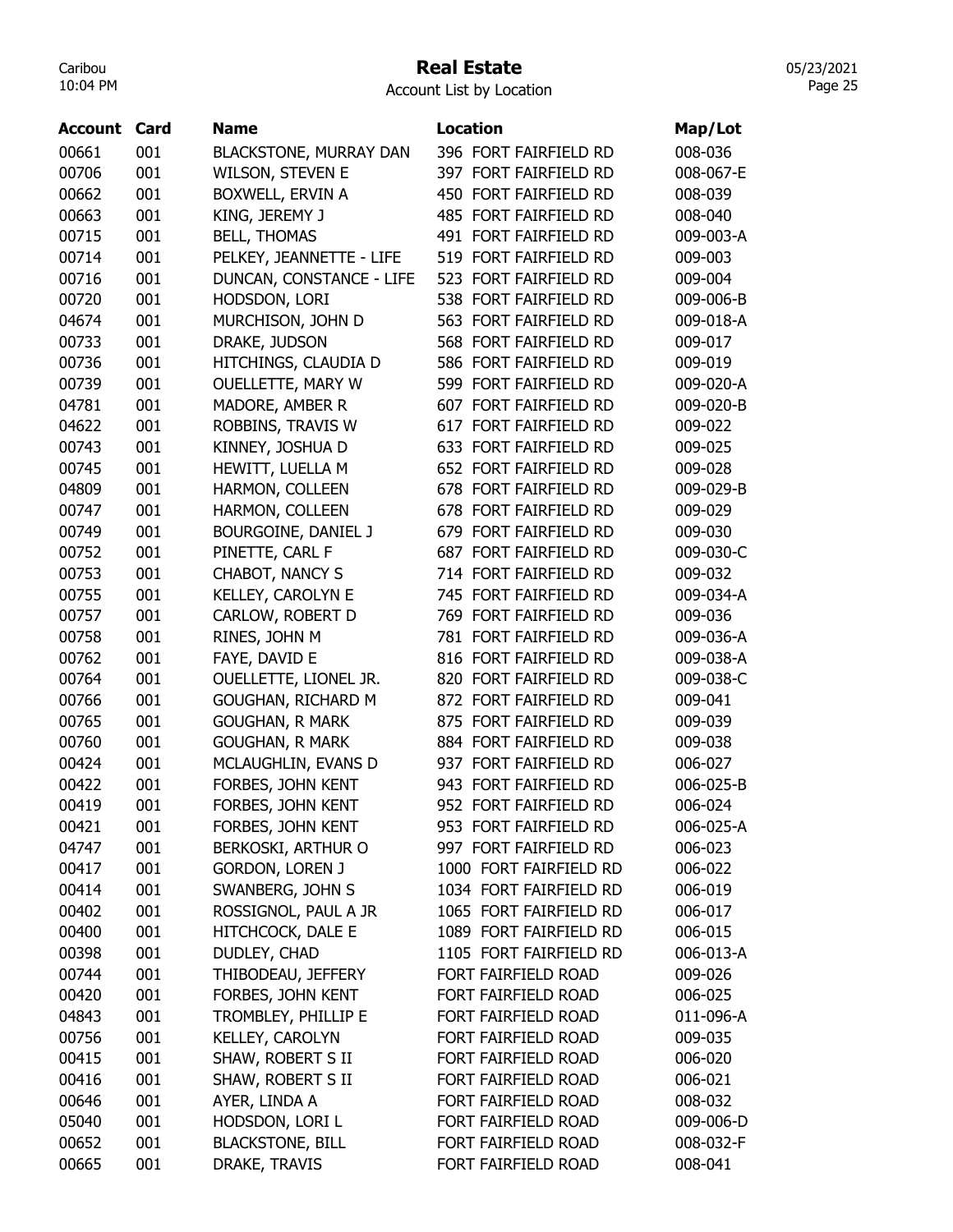#### Real Estate

Account List by Location

| Account | Card | <b>Name</b>                   | <b>Location</b>                                  | Map/Lot   |
|---------|------|-------------------------------|--------------------------------------------------|-----------|
| 00661   | 001  | <b>BLACKSTONE, MURRAY DAN</b> | 396 FORT FAIRFIELD RD                            | 008-036   |
| 00706   | 001  | <b>WILSON, STEVEN E</b>       | 397 FORT FAIRFIELD RD                            | 008-067-E |
| 00662   | 001  | BOXWELL, ERVIN A              | 450 FORT FAIRFIELD RD                            | 008-039   |
| 00663   | 001  | KING, JEREMY J                | 485 FORT FAIRFIELD RD                            | 008-040   |
| 00715   | 001  | <b>BELL, THOMAS</b>           | 491 FORT FAIRFIELD RD                            | 009-003-A |
| 00714   | 001  | PELKEY, JEANNETTE - LIFE      | 519 FORT FAIRFIELD RD                            | 009-003   |
| 00716   | 001  | DUNCAN, CONSTANCE - LIFE      | 523 FORT FAIRFIELD RD                            | 009-004   |
| 00720   | 001  | HODSDON, LORI                 | 538 FORT FAIRFIELD RD                            | 009-006-B |
| 04674   | 001  | MURCHISON, JOHN D             | 563 FORT FAIRFIELD RD                            | 009-018-A |
| 00733   | 001  | DRAKE, JUDSON                 | 568 FORT FAIRFIELD RD                            | 009-017   |
| 00736   | 001  | HITCHINGS, CLAUDIA D          | 586 FORT FAIRFIELD RD                            | 009-019   |
| 00739   | 001  | <b>OUELLETTE, MARY W</b>      | 599 FORT FAIRFIELD RD                            | 009-020-A |
| 04781   | 001  | MADORE, AMBER R               | 607 FORT FAIRFIELD RD                            | 009-020-B |
| 04622   | 001  | ROBBINS, TRAVIS W             | 617 FORT FAIRFIELD RD                            | 009-022   |
| 00743   | 001  | KINNEY, JOSHUA D              | 633 FORT FAIRFIELD RD                            | 009-025   |
| 00745   | 001  | HEWITT, LUELLA M              | 652 FORT FAIRFIELD RD                            | 009-028   |
| 04809   | 001  | HARMON, COLLEEN               | 678 FORT FAIRFIELD RD                            | 009-029-B |
| 00747   | 001  | HARMON, COLLEEN               | 678 FORT FAIRFIELD RD                            | 009-029   |
| 00749   | 001  | BOURGOINE, DANIEL J           | 679 FORT FAIRFIELD RD                            | 009-030   |
| 00752   | 001  | PINETTE, CARL F               | 687 FORT FAIRFIELD RD                            | 009-030-C |
| 00753   | 001  | CHABOT, NANCY S               | 714 FORT FAIRFIELD RD                            | 009-032   |
| 00755   | 001  | KELLEY, CAROLYN E             | 745 FORT FAIRFIELD RD                            | 009-034-A |
| 00757   | 001  | CARLOW, ROBERT D              | 769 FORT FAIRFIELD RD                            | 009-036   |
| 00758   | 001  | RINES, JOHN M                 | 781 FORT FAIRFIELD RD                            | 009-036-A |
| 00762   | 001  | FAYE, DAVID E                 | 816 FORT FAIRFIELD RD                            | 009-038-A |
| 00764   | 001  | OUELLETTE, LIONEL JR.         | 820 FORT FAIRFIELD RD                            | 009-038-C |
| 00766   | 001  | GOUGHAN, RICHARD M            | 872 FORT FAIRFIELD RD                            | 009-041   |
| 00765   | 001  | <b>GOUGHAN, R MARK</b>        | 875 FORT FAIRFIELD RD                            | 009-039   |
| 00760   | 001  | <b>GOUGHAN, R MARK</b>        | 884 FORT FAIRFIELD RD                            | 009-038   |
| 00424   | 001  | MCLAUGHLIN, EVANS D           | 937 FORT FAIRFIELD RD                            | 006-027   |
| 00422   | 001  | FORBES, JOHN KENT             | 943 FORT FAIRFIELD RD                            | 006-025-B |
| 00419   | 001  | FORBES, JOHN KENT             | 952 FORT FAIRFIELD RD                            | 006-024   |
| 00421   | 001  | FORBES, JOHN KENT             | 953 FORT FAIRFIELD RD                            | 006-025-A |
| 04747   | 001  | <b>BERKOSKI, ARTHUR O</b>     | 997 FORT FAIRFIELD RD                            |           |
| 00417   | 001  |                               | 1000 FORT FAIRFIELD RD                           | 006-023   |
|         |      | <b>GORDON, LOREN J</b>        |                                                  | 006-022   |
| 00414   | 001  | SWANBERG, JOHN S              | 1034 FORT FAIRFIELD RD<br>1065 FORT FAIRFIELD RD | 006-019   |
| 00402   | 001  | ROSSIGNOL, PAUL A JR          |                                                  | 006-017   |
| 00400   | 001  | HITCHCOCK, DALE E             | 1089 FORT FAIRFIELD RD                           | 006-015   |
| 00398   | 001  | DUDLEY, CHAD                  | 1105 FORT FAIRFIELD RD                           | 006-013-A |
| 00744   | 001  | THIBODEAU, JEFFERY            | FORT FAIRFIELD ROAD                              | 009-026   |
| 00420   | 001  | FORBES, JOHN KENT             | FORT FAIRFIELD ROAD                              | 006-025   |
| 04843   | 001  | TROMBLEY, PHILLIP E           | FORT FAIRFIELD ROAD                              | 011-096-A |
| 00756   | 001  | KELLEY, CAROLYN               | FORT FAIRFIELD ROAD                              | 009-035   |
| 00415   | 001  | SHAW, ROBERT S II             | FORT FAIRFIELD ROAD                              | 006-020   |
| 00416   | 001  | SHAW, ROBERT S II             | FORT FAIRFIELD ROAD                              | 006-021   |
| 00646   | 001  | AYER, LINDA A                 | FORT FAIRFIELD ROAD                              | 008-032   |
| 05040   | 001  | HODSDON, LORI L               | FORT FAIRFIELD ROAD                              | 009-006-D |
| 00652   | 001  | <b>BLACKSTONE, BILL</b>       | FORT FAIRFIELD ROAD                              | 008-032-F |
| 00665   | 001  | DRAKE, TRAVIS                 | FORT FAIRFIELD ROAD                              | 008-041   |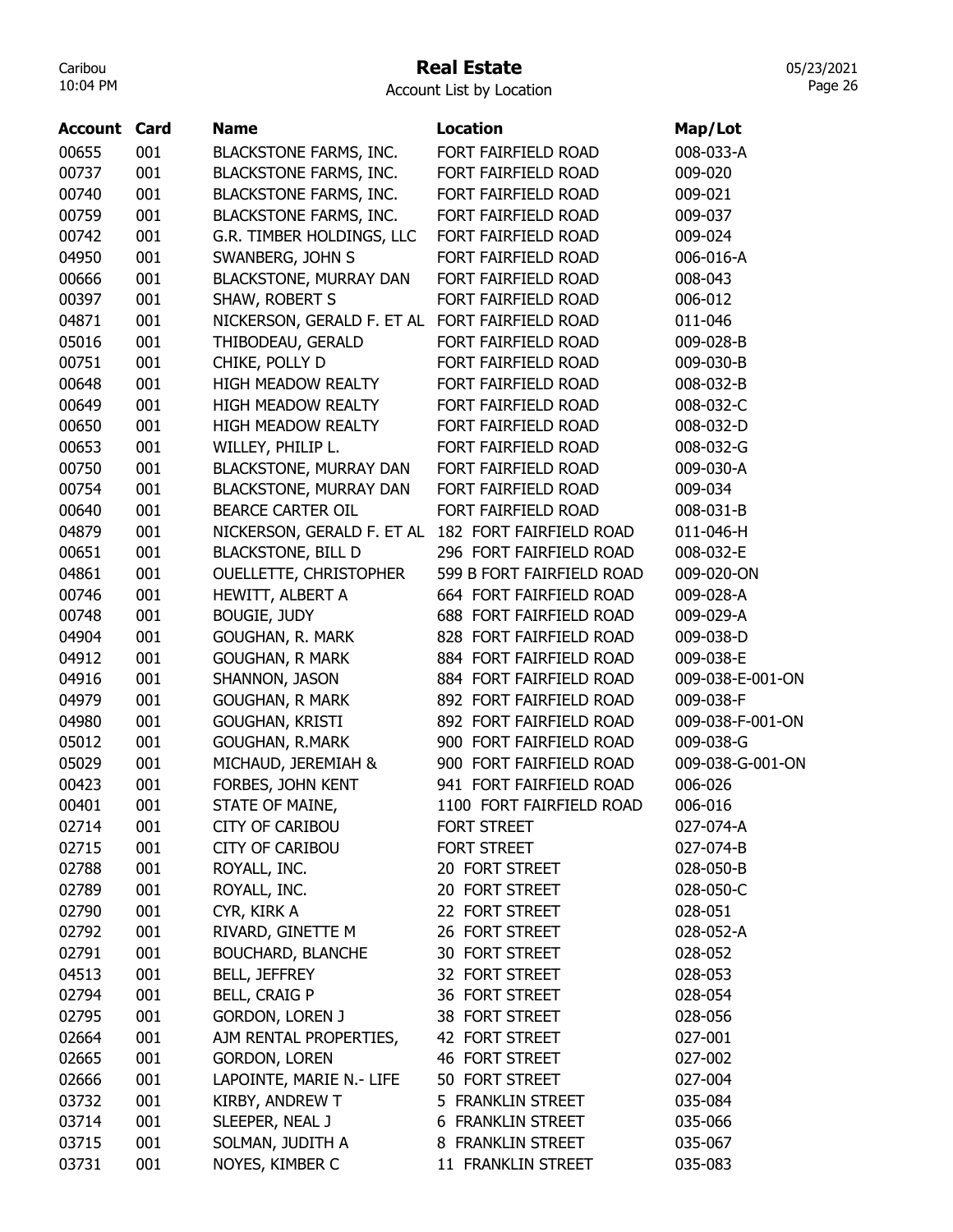### Real Estate

05/23/2021 Page 26

| <b>Account Card</b> |            | <b>Name</b>                   | <b>Location</b>                            | Map/Lot              |
|---------------------|------------|-------------------------------|--------------------------------------------|----------------------|
|                     |            |                               |                                            |                      |
| 00655               | 001        | <b>BLACKSTONE FARMS, INC.</b> | FORT FAIRFIELD ROAD                        | 008-033-A<br>009-020 |
| 00737               | 001<br>001 | <b>BLACKSTONE FARMS, INC.</b> | FORT FAIRFIELD ROAD                        | 009-021              |
| 00740               |            | <b>BLACKSTONE FARMS, INC.</b> | FORT FAIRFIELD ROAD<br>FORT FAIRFIELD ROAD |                      |
| 00759               | 001        | <b>BLACKSTONE FARMS, INC.</b> |                                            | 009-037              |
| 00742               | 001        | G.R. TIMBER HOLDINGS, LLC     | FORT FAIRFIELD ROAD                        | 009-024              |
| 04950               | 001        | SWANBERG, JOHN S              | FORT FAIRFIELD ROAD                        | 006-016-A            |
| 00666               | 001        | BLACKSTONE, MURRAY DAN        | FORT FAIRFIELD ROAD                        | 008-043              |
| 00397               | 001        | SHAW, ROBERT S                | FORT FAIRFIELD ROAD                        | 006-012              |
| 04871               | 001        | NICKERSON, GERALD F. ET AL    | FORT FAIRFIELD ROAD                        | 011-046              |
| 05016               | 001        | THIBODEAU, GERALD             | FORT FAIRFIELD ROAD                        | 009-028-B            |
| 00751               | 001        | CHIKE, POLLY D                | FORT FAIRFIELD ROAD                        | 009-030-B            |
| 00648               | 001        | <b>HIGH MEADOW REALTY</b>     | FORT FAIRFIELD ROAD                        | 008-032-B            |
| 00649               | 001        | HIGH MEADOW REALTY            | FORT FAIRFIELD ROAD                        | 008-032-C            |
| 00650               | 001        | <b>HIGH MEADOW REALTY</b>     | FORT FAIRFIELD ROAD                        | 008-032-D            |
| 00653               | 001        | WILLEY, PHILIP L.             | FORT FAIRFIELD ROAD                        | 008-032-G            |
| 00750               | 001        | <b>BLACKSTONE, MURRAY DAN</b> | FORT FAIRFIELD ROAD                        | 009-030-A            |
| 00754               | 001        | <b>BLACKSTONE, MURRAY DAN</b> | FORT FAIRFIELD ROAD                        | 009-034              |
| 00640               | 001        | <b>BEARCE CARTER OIL</b>      | FORT FAIRFIELD ROAD                        | 008-031-B            |
| 04879               | 001        | NICKERSON, GERALD F. ET AL    | 182 FORT FAIRFIELD ROAD                    | 011-046-H            |
| 00651               | 001        | <b>BLACKSTONE, BILL D</b>     | 296 FORT FAIRFIELD ROAD                    | 008-032-E            |
| 04861               | 001        | OUELLETTE, CHRISTOPHER        | 599 B FORT FAIRFIELD ROAD                  | 009-020-ON           |
| 00746               | 001        | HEWITT, ALBERT A              | 664 FORT FAIRFIELD ROAD                    | 009-028-A            |
| 00748               | 001        | <b>BOUGIE, JUDY</b>           | 688 FORT FAIRFIELD ROAD                    | 009-029-A            |
| 04904               | 001        | GOUGHAN, R. MARK              | 828 FORT FAIRFIELD ROAD                    | 009-038-D            |
| 04912               | 001        | <b>GOUGHAN, R MARK</b>        | 884 FORT FAIRFIELD ROAD                    | 009-038-E            |
| 04916               | 001        | SHANNON, JASON                | 884 FORT FAIRFIELD ROAD                    | 009-038-E-001-ON     |
| 04979               | 001        | <b>GOUGHAN, R MARK</b>        | 892 FORT FAIRFIELD ROAD                    | 009-038-F            |
| 04980               | 001        | GOUGHAN, KRISTI               | 892 FORT FAIRFIELD ROAD                    | 009-038-F-001-ON     |
| 05012               | 001        | <b>GOUGHAN, R.MARK</b>        | 900 FORT FAIRFIELD ROAD                    | 009-038-G            |
| 05029               | 001        | MICHAUD, JEREMIAH &           | 900 FORT FAIRFIELD ROAD                    | 009-038-G-001-ON     |
| 00423               | 001        | FORBES, JOHN KENT             | 941 FORT FAIRFIELD ROAD                    | 006-026              |
| 00401               | 001        | STATE OF MAINE,               | 1100 FORT FAIRFIELD ROAD                   |                      |
|                     |            |                               |                                            | 006-016              |
| 02714               | 001        | <b>CITY OF CARIBOU</b>        | FORT STREET                                | 027-074-A            |
| 02715               | 001        | <b>CITY OF CARIBOU</b>        | <b>FORT STREET</b>                         | 027-074-B            |
| 02788               | 001        | ROYALL, INC.                  | 20 FORT STREET                             | 028-050-B            |
| 02789               | 001        | ROYALL, INC.                  | 20 FORT STREET                             | 028-050-C            |
| 02790               | 001        | CYR, KIRK A                   | 22 FORT STREET                             | 028-051              |
| 02792               | 001        | RIVARD, GINETTE M             | 26 FORT STREET                             | 028-052-A            |
| 02791               | 001        | <b>BOUCHARD, BLANCHE</b>      | 30 FORT STREET                             | 028-052              |
| 04513               | 001        | <b>BELL, JEFFREY</b>          | 32 FORT STREET                             | 028-053              |
| 02794               | 001        | <b>BELL, CRAIG P</b>          | 36 FORT STREET                             | 028-054              |
| 02795               | 001        | <b>GORDON, LOREN J</b>        | 38 FORT STREET                             | 028-056              |
| 02664               | 001        | AJM RENTAL PROPERTIES,        | 42 FORT STREET                             | 027-001              |
| 02665               | 001        | <b>GORDON, LOREN</b>          | 46 FORT STREET                             | 027-002              |
| 02666               | 001        | LAPOINTE, MARIE N.- LIFE      | 50 FORT STREET                             | 027-004              |
| 03732               | 001        | KIRBY, ANDREW T               | 5 FRANKLIN STREET                          | 035-084              |
| 03714               | 001        | SLEEPER, NEAL J               | 6 FRANKLIN STREET                          | 035-066              |
| 03715               | 001        | SOLMAN, JUDITH A              | 8 FRANKLIN STREET                          | 035-067              |
| 03731               | 001        | NOYES, KIMBER C               | 11 FRANKLIN STREET                         | 035-083              |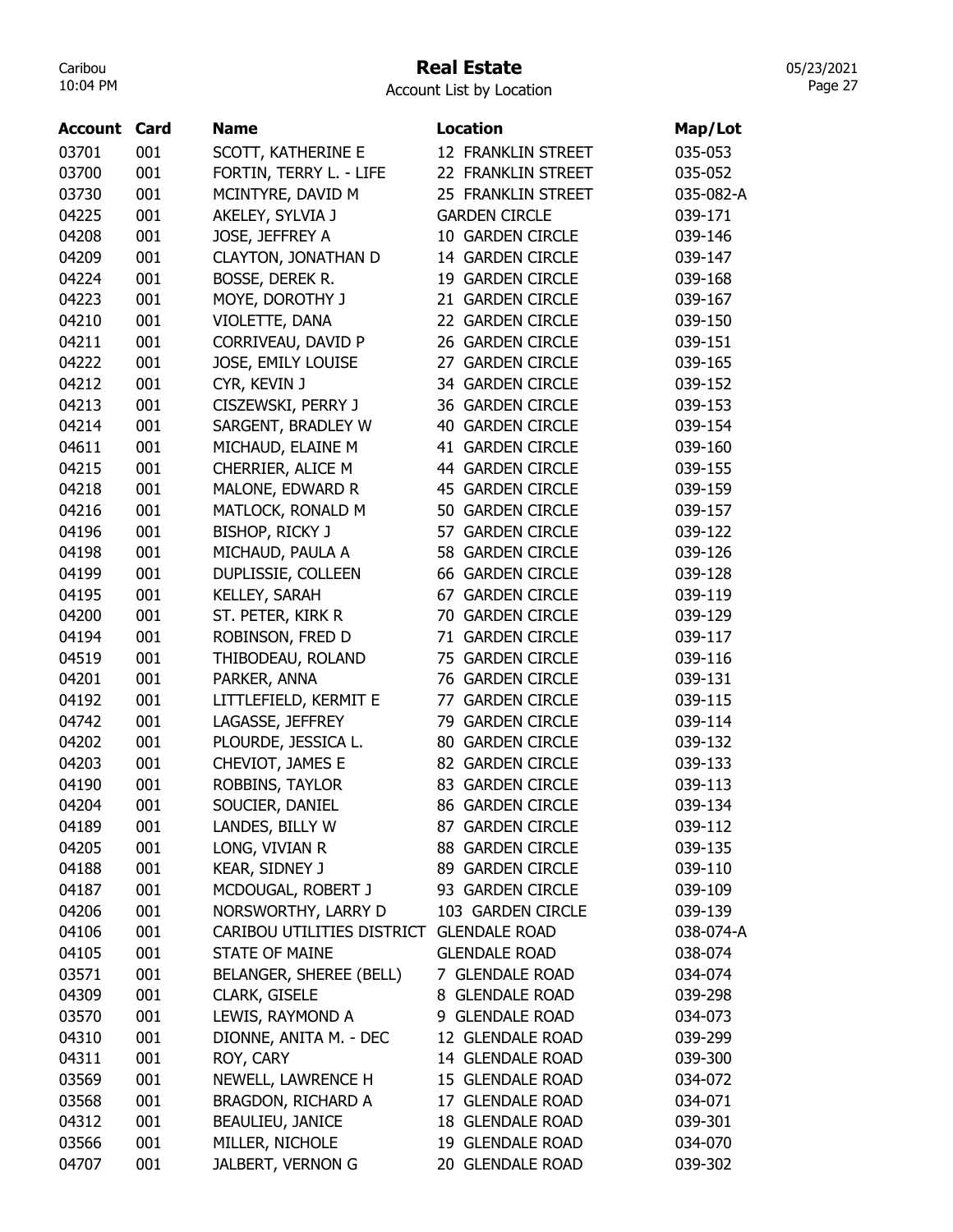# Real Estate

05/23/2021 Page 27

| Account | Card | <b>Name</b>                | Location                | Map/Lot   |
|---------|------|----------------------------|-------------------------|-----------|
| 03701   | 001  | SCOTT, KATHERINE E         | 12 FRANKLIN STREET      | 035-053   |
| 03700   | 001  | FORTIN, TERRY L. - LIFE    | 22 FRANKLIN STREET      | 035-052   |
| 03730   | 001  | MCINTYRE, DAVID M          | 25 FRANKLIN STREET      | 035-082-A |
| 04225   | 001  | AKELEY, SYLVIA J           | <b>GARDEN CIRCLE</b>    | 039-171   |
| 04208   | 001  | JOSE, JEFFREY A            | 10 GARDEN CIRCLE        | 039-146   |
| 04209   | 001  | <b>CLAYTON, JONATHAN D</b> | 14 GARDEN CIRCLE        | 039-147   |
| 04224   | 001  | BOSSE, DEREK R.            | 19 GARDEN CIRCLE        | 039-168   |
| 04223   | 001  | MOYE, DOROTHY J            | 21 GARDEN CIRCLE        | 039-167   |
| 04210   | 001  | VIOLETTE, DANA             | 22 GARDEN CIRCLE        | 039-150   |
| 04211   | 001  | CORRIVEAU, DAVID P         | 26 GARDEN CIRCLE        | 039-151   |
| 04222   | 001  | JOSE, EMILY LOUISE         | 27 GARDEN CIRCLE        | 039-165   |
| 04212   | 001  | CYR, KEVIN J               | 34 GARDEN CIRCLE        | 039-152   |
| 04213   | 001  | CISZEWSKI, PERRY J         | 36 GARDEN CIRCLE        | 039-153   |
| 04214   | 001  | SARGENT, BRADLEY W         | <b>40 GARDEN CIRCLE</b> | 039-154   |
| 04611   | 001  | MICHAUD, ELAINE M          | 41 GARDEN CIRCLE        | 039-160   |
| 04215   | 001  | CHERRIER, ALICE M          | 44 GARDEN CIRCLE        | 039-155   |
| 04218   | 001  | MALONE, EDWARD R           | <b>45 GARDEN CIRCLE</b> | 039-159   |
| 04216   | 001  | MATLOCK, RONALD M          | 50 GARDEN CIRCLE        | 039-157   |
| 04196   | 001  | BISHOP, RICKY J            | 57 GARDEN CIRCLE        | 039-122   |
| 04198   | 001  | MICHAUD, PAULA A           | 58 GARDEN CIRCLE        | 039-126   |
| 04199   | 001  | DUPLISSIE, COLLEEN         | <b>66 GARDEN CIRCLE</b> | 039-128   |
| 04195   | 001  | KELLEY, SARAH              | 67 GARDEN CIRCLE        | 039-119   |
| 04200   | 001  | ST. PETER, KIRK R          | 70 GARDEN CIRCLE        | 039-129   |
| 04194   | 001  | ROBINSON, FRED D           | 71 GARDEN CIRCLE        | 039-117   |
| 04519   | 001  | THIBODEAU, ROLAND          | 75 GARDEN CIRCLE        | 039-116   |
| 04201   | 001  | PARKER, ANNA               | 76 GARDEN CIRCLE        | 039-131   |
| 04192   | 001  | LITTLEFIELD, KERMIT E      | 77 GARDEN CIRCLE        | 039-115   |
| 04742   | 001  | LAGASSE, JEFFREY           | 79 GARDEN CIRCLE        | 039-114   |
| 04202   | 001  | PLOURDE, JESSICA L.        | 80 GARDEN CIRCLE        | 039-132   |
| 04203   | 001  | CHEVIOT, JAMES E           | 82 GARDEN CIRCLE        | 039-133   |
| 04190   | 001  | ROBBINS, TAYLOR            | 83 GARDEN CIRCLE        | 039-113   |
| 04204   | 001  | SOUCIER, DANIEL            | 86 GARDEN CIRCLE        | 039-134   |
| 04189   | 001  | LANDES, BILLY W            | 87 GARDEN CIRCLE        | 039-112   |
| 04205   | 001  | LONG, VIVIAN R             | 88 GARDEN CIRCLE        | 039-135   |
| 04188   | 001  | KEAR, SIDNEY J             | 89 GARDEN CIRCLE        | 039-110   |
| 04187   | 001  | MCDOUGAL, ROBERT J         | 93 GARDEN CIRCLE        | 039-109   |
| 04206   | 001  | NORSWORTHY, LARRY D        | 103 GARDEN CIRCLE       | 039-139   |
| 04106   | 001  | CARIBOU UTILITIES DISTRICT | <b>GLENDALE ROAD</b>    | 038-074-A |
| 04105   | 001  | <b>STATE OF MAINE</b>      | <b>GLENDALE ROAD</b>    | 038-074   |
| 03571   | 001  | BELANGER, SHEREE (BELL)    | 7 GLENDALE ROAD         | 034-074   |
| 04309   | 001  | CLARK, GISELE              | 8 GLENDALE ROAD         | 039-298   |
| 03570   | 001  | LEWIS, RAYMOND A           | 9 GLENDALE ROAD         | 034-073   |
| 04310   | 001  | DIONNE, ANITA M. - DEC     | 12 GLENDALE ROAD        | 039-299   |
| 04311   | 001  | ROY, CARY                  | 14 GLENDALE ROAD        | 039-300   |
| 03569   | 001  | NEWELL, LAWRENCE H         | 15 GLENDALE ROAD        | 034-072   |
| 03568   | 001  | BRAGDON, RICHARD A         | 17 GLENDALE ROAD        | 034-071   |
| 04312   | 001  | BEAULIEU, JANICE           | 18 GLENDALE ROAD        | 039-301   |
| 03566   | 001  | MILLER, NICHOLE            | 19 GLENDALE ROAD        | 034-070   |
| 04707   | 001  | JALBERT, VERNON G          | 20 GLENDALE ROAD        | 039-302   |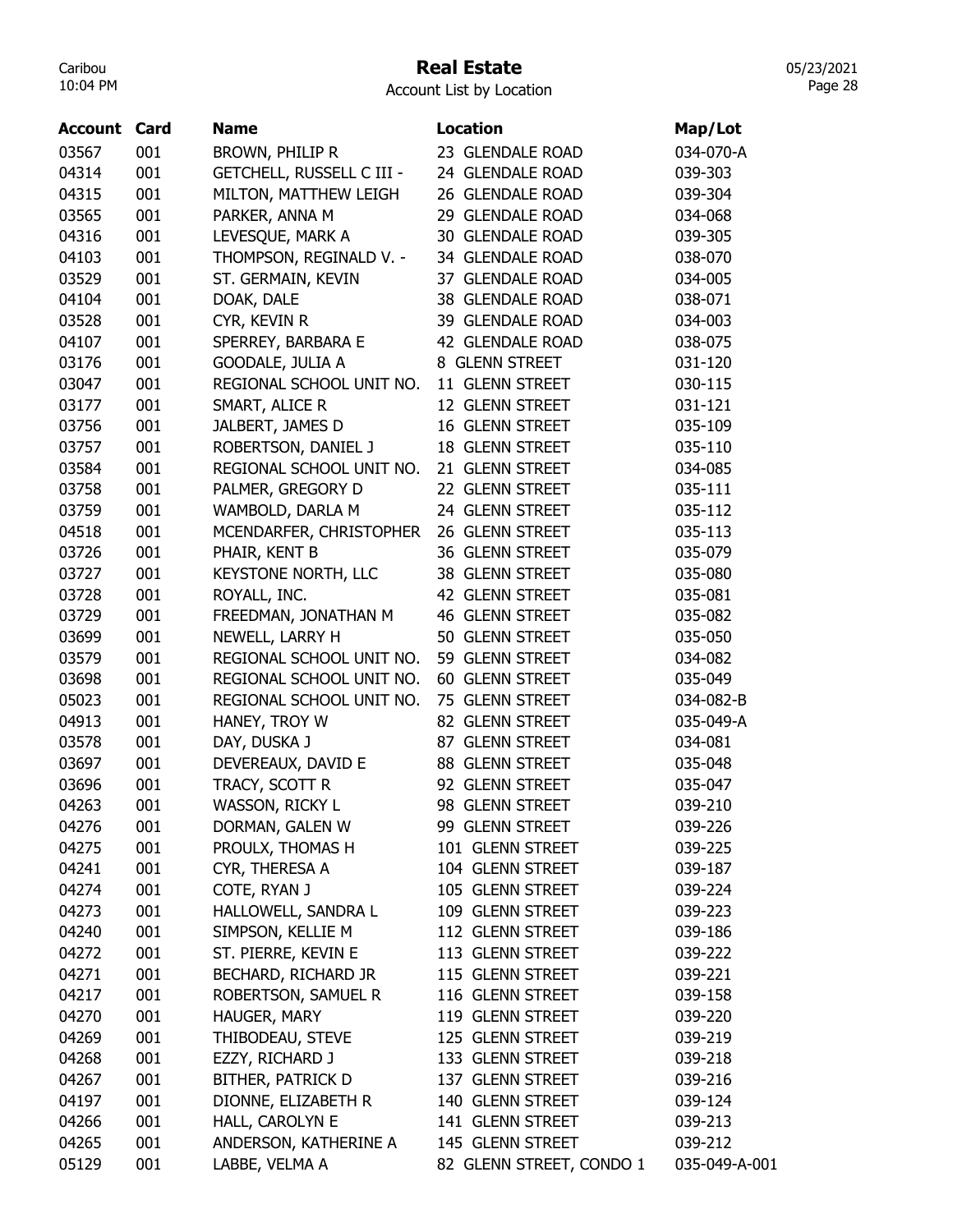# Real Estate

Account List by Location

| <b>Account Card</b> |     | <b>Name</b>                      | <b>Location</b>          | Map/Lot            |
|---------------------|-----|----------------------------------|--------------------------|--------------------|
| 03567               | 001 | BROWN, PHILIP R                  | 23 GLENDALE ROAD         | 034-070-A          |
| 04314               | 001 | <b>GETCHELL, RUSSELL C III -</b> | 24 GLENDALE ROAD         | 039-303            |
| 04315               | 001 | MILTON, MATTHEW LEIGH            | 26 GLENDALE ROAD         | 039-304            |
| 03565               | 001 | PARKER, ANNA M                   | 29 GLENDALE ROAD         | 034-068            |
| 04316               | 001 | LEVESQUE, MARK A                 | 30 GLENDALE ROAD         | 039-305            |
| 04103               | 001 | THOMPSON, REGINALD V. -          | 34 GLENDALE ROAD         | 038-070            |
| 03529               | 001 | ST. GERMAIN, KEVIN               | 37 GLENDALE ROAD         | 034-005            |
| 04104               | 001 | DOAK, DALE                       | 38 GLENDALE ROAD         | 038-071            |
| 03528               | 001 | CYR, KEVIN R                     | 39 GLENDALE ROAD         | 034-003            |
| 04107               | 001 | SPERREY, BARBARA E               | 42 GLENDALE ROAD         | 038-075            |
| 03176               | 001 | GOODALE, JULIA A                 | 8 GLENN STREET           | 031-120            |
| 03047               | 001 | REGIONAL SCHOOL UNIT NO.         | 11 GLENN STREET          | 030-115            |
| 03177               | 001 | SMART, ALICE R                   | 12 GLENN STREET          | 031-121            |
| 03756               | 001 | JALBERT, JAMES D                 | 16 GLENN STREET          | 035-109            |
| 03757               | 001 | ROBERTSON, DANIEL J              | 18 GLENN STREET          | 035-110            |
| 03584               | 001 | REGIONAL SCHOOL UNIT NO.         | 21 GLENN STREET          | 034-085            |
| 03758               | 001 | PALMER, GREGORY D                | 22 GLENN STREET          | 035-111            |
|                     | 001 |                                  | 24 GLENN STREET          | 035-112            |
| 03759               | 001 | WAMBOLD, DARLA M                 | 26 GLENN STREET          |                    |
| 04518               | 001 | MCENDARFER, CHRISTOPHER          | 36 GLENN STREET          | 035-113<br>035-079 |
| 03726               | 001 | PHAIR, KENT B                    | 38 GLENN STREET          | 035-080            |
| 03727               |     | KEYSTONE NORTH, LLC              |                          |                    |
| 03728               | 001 | ROYALL, INC.                     | 42 GLENN STREET          | 035-081            |
| 03729               | 001 | FREEDMAN, JONATHAN M             | 46 GLENN STREET          | 035-082            |
| 03699               | 001 | NEWELL, LARRY H                  | 50 GLENN STREET          | 035-050            |
| 03579               | 001 | REGIONAL SCHOOL UNIT NO.         | 59 GLENN STREET          | 034-082            |
| 03698               | 001 | REGIONAL SCHOOL UNIT NO.         | 60 GLENN STREET          | 035-049            |
| 05023               | 001 | REGIONAL SCHOOL UNIT NO.         | 75 GLENN STREET          | 034-082-B          |
| 04913               | 001 | HANEY, TROY W                    | 82 GLENN STREET          | 035-049-A          |
| 03578               | 001 | DAY, DUSKA J                     | 87 GLENN STREET          | 034-081            |
| 03697               | 001 | DEVEREAUX, DAVID E               | 88 GLENN STREET          | 035-048            |
| 03696               | 001 | TRACY, SCOTT R                   | 92 GLENN STREET          | 035-047            |
| 04263               | 001 | WASSON, RICKY L                  | 98 GLENN STREET          | 039-210            |
| 04276               | 001 | DORMAN, GALEN W                  | 99 GLENN STREET          | 039-226            |
| 04275               | 001 | PROULX, THOMAS H                 | 101 GLENN STREET         | 039-225            |
| 04241               | 001 | CYR, THERESA A                   | 104 GLENN STREET         | 039-187            |
| 04274               | 001 | COTE, RYAN J                     | 105 GLENN STREET         | 039-224            |
| 04273               | 001 | HALLOWELL, SANDRA L              | 109 GLENN STREET         | 039-223            |
| 04240               | 001 | SIMPSON, KELLIE M                | 112 GLENN STREET         | 039-186            |
| 04272               | 001 | ST. PIERRE, KEVIN E              | 113 GLENN STREET         | 039-222            |
| 04271               | 001 | BECHARD, RICHARD JR              | 115 GLENN STREET         | 039-221            |
| 04217               | 001 | ROBERTSON, SAMUEL R              | 116 GLENN STREET         | 039-158            |
| 04270               | 001 | HAUGER, MARY                     | 119 GLENN STREET         | 039-220            |
| 04269               | 001 | THIBODEAU, STEVE                 | 125 GLENN STREET         | 039-219            |
| 04268               | 001 | EZZY, RICHARD J                  | 133 GLENN STREET         | 039-218            |
| 04267               | 001 | BITHER, PATRICK D                | 137 GLENN STREET         | 039-216            |
| 04197               | 001 | DIONNE, ELIZABETH R              | 140 GLENN STREET         | 039-124            |
| 04266               | 001 | HALL, CAROLYN E                  | 141 GLENN STREET         | 039-213            |
| 04265               | 001 | ANDERSON, KATHERINE A            | 145 GLENN STREET         | 039-212            |
| 05129               | 001 | LABBE, VELMA A                   | 82 GLENN STREET, CONDO 1 | 035-049-A-001      |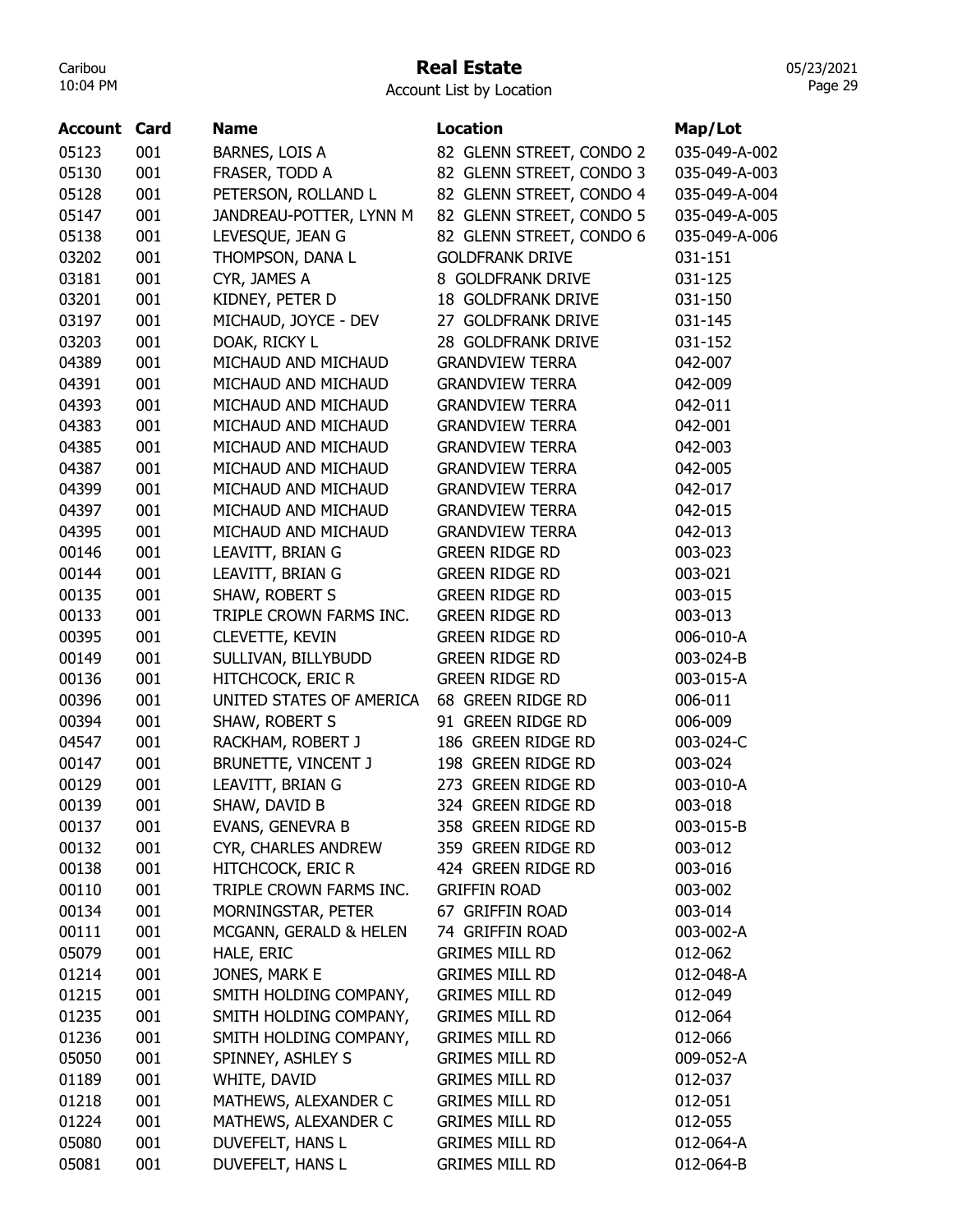# Real Estate

Account List by Location

| <b>Account Card</b> |     | <b>Name</b>              | <b>Location</b>           | Map/Lot       |
|---------------------|-----|--------------------------|---------------------------|---------------|
| 05123               | 001 | BARNES, LOIS A           | 82 GLENN STREET, CONDO 2  | 035-049-A-002 |
| 05130               | 001 | FRASER, TODD A           | 82 GLENN STREET, CONDO 3  | 035-049-A-003 |
| 05128               | 001 | PETERSON, ROLLAND L      | 82 GLENN STREET, CONDO 4  | 035-049-A-004 |
| 05147               | 001 | JANDREAU-POTTER, LYNN M  | 82 GLENN STREET, CONDO 5  | 035-049-A-005 |
| 05138               | 001 | LEVESQUE, JEAN G         | 82 GLENN STREET, CONDO 6  | 035-049-A-006 |
| 03202               | 001 | THOMPSON, DANA L         | <b>GOLDFRANK DRIVE</b>    | 031-151       |
| 03181               | 001 | CYR, JAMES A             | 8 GOLDFRANK DRIVE         | 031-125       |
| 03201               | 001 | KIDNEY, PETER D          | <b>18 GOLDFRANK DRIVE</b> | 031-150       |
| 03197               | 001 | MICHAUD, JOYCE - DEV     | 27 GOLDFRANK DRIVE        | 031-145       |
| 03203               | 001 | DOAK, RICKY L            | 28 GOLDFRANK DRIVE        | 031-152       |
| 04389               | 001 | MICHAUD AND MICHAUD      | <b>GRANDVIEW TERRA</b>    | 042-007       |
| 04391               | 001 | MICHAUD AND MICHAUD      | <b>GRANDVIEW TERRA</b>    | 042-009       |
| 04393               | 001 | MICHAUD AND MICHAUD      | <b>GRANDVIEW TERRA</b>    | 042-011       |
| 04383               | 001 | MICHAUD AND MICHAUD      | <b>GRANDVIEW TERRA</b>    | 042-001       |
| 04385               | 001 | MICHAUD AND MICHAUD      | <b>GRANDVIEW TERRA</b>    | 042-003       |
| 04387               | 001 | MICHAUD AND MICHAUD      | <b>GRANDVIEW TERRA</b>    | 042-005       |
| 04399               | 001 | MICHAUD AND MICHAUD      | <b>GRANDVIEW TERRA</b>    | 042-017       |
| 04397               | 001 | MICHAUD AND MICHAUD      | <b>GRANDVIEW TERRA</b>    | 042-015       |
| 04395               | 001 | MICHAUD AND MICHAUD      | <b>GRANDVIEW TERRA</b>    | 042-013       |
| 00146               | 001 | LEAVITT, BRIAN G         | <b>GREEN RIDGE RD</b>     | 003-023       |
| 00144               | 001 | LEAVITT, BRIAN G         | <b>GREEN RIDGE RD</b>     | 003-021       |
| 00135               | 001 | SHAW, ROBERT S           | <b>GREEN RIDGE RD</b>     | 003-015       |
| 00133               | 001 | TRIPLE CROWN FARMS INC.  | <b>GREEN RIDGE RD</b>     | 003-013       |
| 00395               | 001 | CLEVETTE, KEVIN          | <b>GREEN RIDGE RD</b>     | 006-010-A     |
| 00149               | 001 | SULLIVAN, BILLYBUDD      | <b>GREEN RIDGE RD</b>     | 003-024-B     |
| 00136               | 001 | HITCHCOCK, ERIC R        | <b>GREEN RIDGE RD</b>     | 003-015-A     |
| 00396               | 001 | UNITED STATES OF AMERICA | 68 GREEN RIDGE RD         | 006-011       |
| 00394               | 001 | SHAW, ROBERT S           | 91 GREEN RIDGE RD         | 006-009       |
| 04547               | 001 | RACKHAM, ROBERT J        | 186 GREEN RIDGE RD        | 003-024-C     |
| 00147               | 001 | BRUNETTE, VINCENT J      | 198 GREEN RIDGE RD        | 003-024       |
| 00129               | 001 | LEAVITT, BRIAN G         | 273 GREEN RIDGE RD        | 003-010-A     |
| 00139               | 001 | SHAW, DAVID B            | 324 GREEN RIDGE RD        | 003-018       |
| 00137               | 001 | EVANS, GENEVRA B         | 358 GREEN RIDGE RD        | 003-015-B     |
| 00132               | 001 | CYR, CHARLES ANDREW      | 359 GREEN RIDGE RD        | 003-012       |
| 00138               | 001 | HITCHCOCK, ERIC R        | 424 GREEN RIDGE RD        | 003-016       |
| 00110               | 001 | TRIPLE CROWN FARMS INC.  | <b>GRIFFIN ROAD</b>       | 003-002       |
| 00134               | 001 | MORNINGSTAR, PETER       | 67 GRIFFIN ROAD           | 003-014       |
| 00111               | 001 | MCGANN, GERALD & HELEN   | 74 GRIFFIN ROAD           | 003-002-A     |
| 05079               | 001 | HALE, ERIC               | <b>GRIMES MILL RD</b>     | 012-062       |
| 01214               | 001 | JONES, MARK E            | <b>GRIMES MILL RD</b>     | 012-048-A     |
| 01215               | 001 | SMITH HOLDING COMPANY,   | <b>GRIMES MILL RD</b>     | 012-049       |
| 01235               | 001 | SMITH HOLDING COMPANY,   | <b>GRIMES MILL RD</b>     | 012-064       |
| 01236               | 001 | SMITH HOLDING COMPANY,   | <b>GRIMES MILL RD</b>     | 012-066       |
| 05050               | 001 | SPINNEY, ASHLEY S        | <b>GRIMES MILL RD</b>     | 009-052-A     |
| 01189               | 001 | WHITE, DAVID             | <b>GRIMES MILL RD</b>     | 012-037       |
| 01218               | 001 | MATHEWS, ALEXANDER C     | <b>GRIMES MILL RD</b>     | 012-051       |
| 01224               | 001 | MATHEWS, ALEXANDER C     | <b>GRIMES MILL RD</b>     | 012-055       |
| 05080               | 001 | DUVEFELT, HANS L         | <b>GRIMES MILL RD</b>     | 012-064-A     |
| 05081               | 001 | DUVEFELT, HANS L         | <b>GRIMES MILL RD</b>     | 012-064-B     |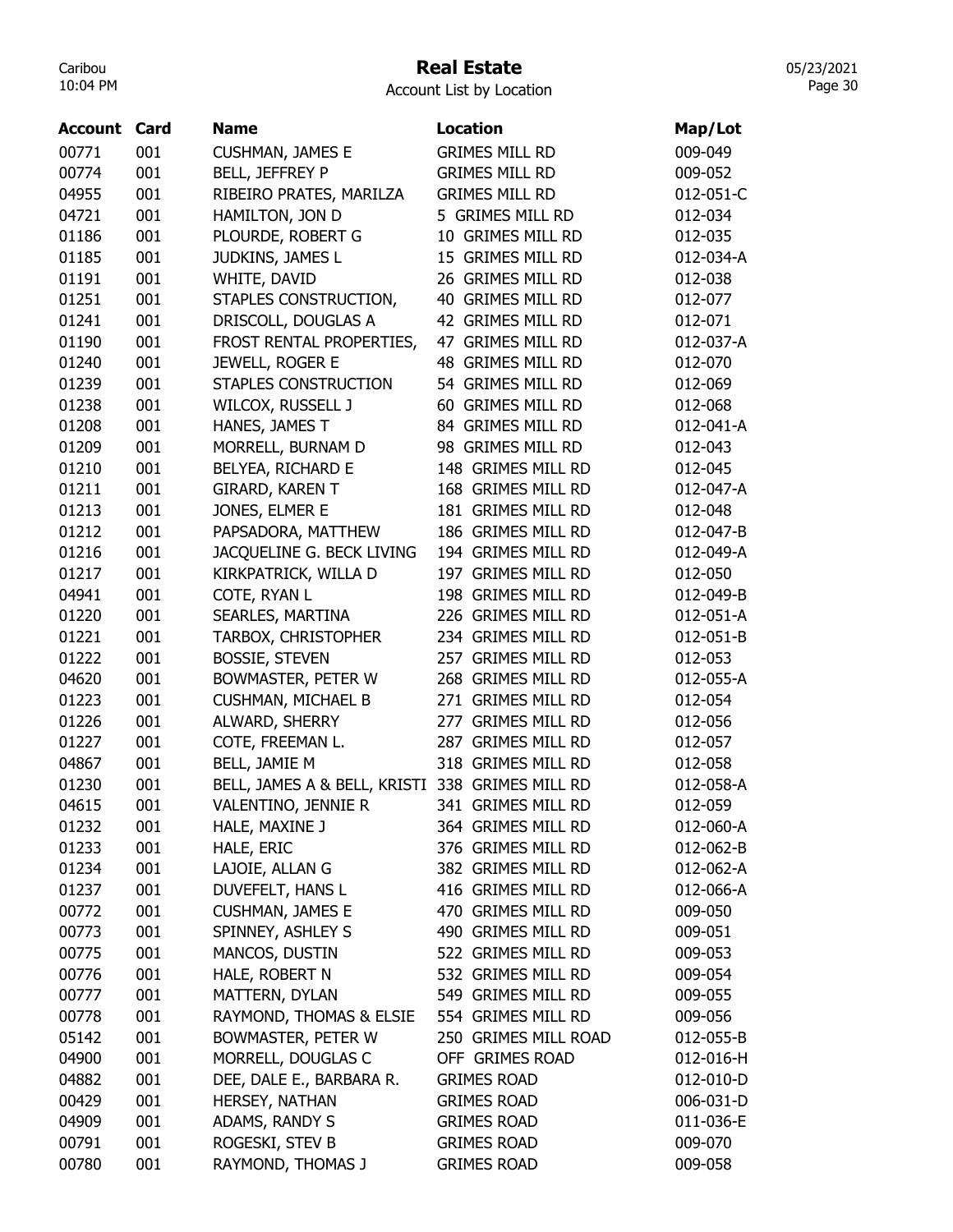# Real Estate

05/23/2021 Page 30

| <b>GRIMES MILL RD</b><br>00771<br>001<br><b>CUSHMAN, JAMES E</b><br>009-049<br><b>BELL, JEFFREY P</b><br><b>GRIMES MILL RD</b><br>00774<br>001<br>009-052<br>04955<br>001<br><b>GRIMES MILL RD</b><br>RIBEIRO PRATES, MARILZA<br>012-051-C<br>001<br>HAMILTON, JON D<br>5 GRIMES MILL RD<br>04721<br>012-034<br>001<br>PLOURDE, ROBERT G<br>10 GRIMES MILL RD<br>01186<br>012-035<br>001<br>15 GRIMES MILL RD<br>01185<br>JUDKINS, JAMES L<br>012-034-A<br>001<br>26 GRIMES MILL RD<br>01191<br>WHITE, DAVID<br>012-038<br>01251<br>STAPLES CONSTRUCTION,<br>40 GRIMES MILL RD<br>001<br>012-077<br>01241<br>001<br>DRISCOLL, DOUGLAS A<br>42 GRIMES MILL RD<br>012-071<br>01190<br>001<br>47 GRIMES MILL RD<br>FROST RENTAL PROPERTIES,<br>012-037-A<br>01240<br>001<br>48 GRIMES MILL RD<br>JEWELL, ROGER E<br>012-070<br>001<br>54 GRIMES MILL RD<br>01239<br>STAPLES CONSTRUCTION<br>012-069<br>001<br>60 GRIMES MILL RD<br>01238<br>WILCOX, RUSSELL J<br>012-068<br>001<br>84 GRIMES MILL RD<br>01208<br>HANES, JAMES T<br>012-041-A<br>01209<br>001<br>MORRELL, BURNAM D<br>98 GRIMES MILL RD<br>012-043<br>001<br>BELYEA, RICHARD E<br>148 GRIMES MILL RD<br>01210<br>012-045<br>168 GRIMES MILL RD<br>01211<br>001<br><b>GIRARD, KAREN T</b><br>012-047-A<br>01213<br>001<br>JONES, ELMER E<br>181 GRIMES MILL RD<br>012-048<br>01212<br>001<br>PAPSADORA, MATTHEW<br>186 GRIMES MILL RD<br>012-047-B<br>001<br>JACQUELINE G. BECK LIVING<br>194 GRIMES MILL RD<br>01216<br>012-049-A<br>001<br>197 GRIMES MILL RD<br>01217<br>KIRKPATRICK, WILLA D<br>012-050<br>001<br>198 GRIMES MILL RD<br>04941<br>COTE, RYAN L<br>012-049-B<br>226 GRIMES MILL RD<br>01220<br>001<br>SEARLES, MARTINA<br>012-051-A<br>001<br>234 GRIMES MILL RD<br>01221<br><b>TARBOX, CHRISTOPHER</b><br>012-051-B<br>01222<br>001<br><b>BOSSIE, STEVEN</b><br>257 GRIMES MILL RD<br>012-053<br>04620<br>001<br>268 GRIMES MILL RD<br>BOWMASTER, PETER W<br>012-055-A<br>001<br><b>CUSHMAN, MICHAEL B</b><br>271 GRIMES MILL RD<br>01223<br>012-054<br>ALWARD, SHERRY<br>277 GRIMES MILL RD<br>01226<br>001<br>012-056<br>COTE, FREEMAN L.<br>287 GRIMES MILL RD<br>01227<br>001<br>012-057<br>04867<br>001<br>318 GRIMES MILL RD<br>BELL, JAMIE M<br>012-058<br>01230<br>001<br>BELL, JAMES A & BELL, KRISTI 338 GRIMES MILL RD<br>012-058-A<br>04615<br>012-059<br>VALENTINO, JENNIE R<br>341 GRIMES MILL RD<br>001<br>001<br>HALE, MAXINE J<br>364 GRIMES MILL RD<br>012-060-A<br>01232<br>01233<br>001<br>HALE, ERIC<br>376 GRIMES MILL RD<br>012-062-B<br>LAJOIE, ALLAN G<br>382 GRIMES MILL RD<br>01234<br>001<br>012-062-A<br>DUVEFELT, HANS L<br>416 GRIMES MILL RD<br>01237<br>001<br>012-066-A<br>470 GRIMES MILL RD<br>00772<br>001<br><b>CUSHMAN, JAMES E</b><br>009-050 | <b>Account Card</b> | <b>Name</b> | <b>Location</b> | Map/Lot |
|---------------------------------------------------------------------------------------------------------------------------------------------------------------------------------------------------------------------------------------------------------------------------------------------------------------------------------------------------------------------------------------------------------------------------------------------------------------------------------------------------------------------------------------------------------------------------------------------------------------------------------------------------------------------------------------------------------------------------------------------------------------------------------------------------------------------------------------------------------------------------------------------------------------------------------------------------------------------------------------------------------------------------------------------------------------------------------------------------------------------------------------------------------------------------------------------------------------------------------------------------------------------------------------------------------------------------------------------------------------------------------------------------------------------------------------------------------------------------------------------------------------------------------------------------------------------------------------------------------------------------------------------------------------------------------------------------------------------------------------------------------------------------------------------------------------------------------------------------------------------------------------------------------------------------------------------------------------------------------------------------------------------------------------------------------------------------------------------------------------------------------------------------------------------------------------------------------------------------------------------------------------------------------------------------------------------------------------------------------------------------------------------------------------------------------------------------------------------------------------------------------------------------------------------------------------------------------------------------------------------------------------------------------------------------------------------------------------------------------------------------------------------|---------------------|-------------|-----------------|---------|
|                                                                                                                                                                                                                                                                                                                                                                                                                                                                                                                                                                                                                                                                                                                                                                                                                                                                                                                                                                                                                                                                                                                                                                                                                                                                                                                                                                                                                                                                                                                                                                                                                                                                                                                                                                                                                                                                                                                                                                                                                                                                                                                                                                                                                                                                                                                                                                                                                                                                                                                                                                                                                                                                                                                                                                     |                     |             |                 |         |
|                                                                                                                                                                                                                                                                                                                                                                                                                                                                                                                                                                                                                                                                                                                                                                                                                                                                                                                                                                                                                                                                                                                                                                                                                                                                                                                                                                                                                                                                                                                                                                                                                                                                                                                                                                                                                                                                                                                                                                                                                                                                                                                                                                                                                                                                                                                                                                                                                                                                                                                                                                                                                                                                                                                                                                     |                     |             |                 |         |
|                                                                                                                                                                                                                                                                                                                                                                                                                                                                                                                                                                                                                                                                                                                                                                                                                                                                                                                                                                                                                                                                                                                                                                                                                                                                                                                                                                                                                                                                                                                                                                                                                                                                                                                                                                                                                                                                                                                                                                                                                                                                                                                                                                                                                                                                                                                                                                                                                                                                                                                                                                                                                                                                                                                                                                     |                     |             |                 |         |
|                                                                                                                                                                                                                                                                                                                                                                                                                                                                                                                                                                                                                                                                                                                                                                                                                                                                                                                                                                                                                                                                                                                                                                                                                                                                                                                                                                                                                                                                                                                                                                                                                                                                                                                                                                                                                                                                                                                                                                                                                                                                                                                                                                                                                                                                                                                                                                                                                                                                                                                                                                                                                                                                                                                                                                     |                     |             |                 |         |
|                                                                                                                                                                                                                                                                                                                                                                                                                                                                                                                                                                                                                                                                                                                                                                                                                                                                                                                                                                                                                                                                                                                                                                                                                                                                                                                                                                                                                                                                                                                                                                                                                                                                                                                                                                                                                                                                                                                                                                                                                                                                                                                                                                                                                                                                                                                                                                                                                                                                                                                                                                                                                                                                                                                                                                     |                     |             |                 |         |
|                                                                                                                                                                                                                                                                                                                                                                                                                                                                                                                                                                                                                                                                                                                                                                                                                                                                                                                                                                                                                                                                                                                                                                                                                                                                                                                                                                                                                                                                                                                                                                                                                                                                                                                                                                                                                                                                                                                                                                                                                                                                                                                                                                                                                                                                                                                                                                                                                                                                                                                                                                                                                                                                                                                                                                     |                     |             |                 |         |
|                                                                                                                                                                                                                                                                                                                                                                                                                                                                                                                                                                                                                                                                                                                                                                                                                                                                                                                                                                                                                                                                                                                                                                                                                                                                                                                                                                                                                                                                                                                                                                                                                                                                                                                                                                                                                                                                                                                                                                                                                                                                                                                                                                                                                                                                                                                                                                                                                                                                                                                                                                                                                                                                                                                                                                     |                     |             |                 |         |
|                                                                                                                                                                                                                                                                                                                                                                                                                                                                                                                                                                                                                                                                                                                                                                                                                                                                                                                                                                                                                                                                                                                                                                                                                                                                                                                                                                                                                                                                                                                                                                                                                                                                                                                                                                                                                                                                                                                                                                                                                                                                                                                                                                                                                                                                                                                                                                                                                                                                                                                                                                                                                                                                                                                                                                     |                     |             |                 |         |
|                                                                                                                                                                                                                                                                                                                                                                                                                                                                                                                                                                                                                                                                                                                                                                                                                                                                                                                                                                                                                                                                                                                                                                                                                                                                                                                                                                                                                                                                                                                                                                                                                                                                                                                                                                                                                                                                                                                                                                                                                                                                                                                                                                                                                                                                                                                                                                                                                                                                                                                                                                                                                                                                                                                                                                     |                     |             |                 |         |
|                                                                                                                                                                                                                                                                                                                                                                                                                                                                                                                                                                                                                                                                                                                                                                                                                                                                                                                                                                                                                                                                                                                                                                                                                                                                                                                                                                                                                                                                                                                                                                                                                                                                                                                                                                                                                                                                                                                                                                                                                                                                                                                                                                                                                                                                                                                                                                                                                                                                                                                                                                                                                                                                                                                                                                     |                     |             |                 |         |
|                                                                                                                                                                                                                                                                                                                                                                                                                                                                                                                                                                                                                                                                                                                                                                                                                                                                                                                                                                                                                                                                                                                                                                                                                                                                                                                                                                                                                                                                                                                                                                                                                                                                                                                                                                                                                                                                                                                                                                                                                                                                                                                                                                                                                                                                                                                                                                                                                                                                                                                                                                                                                                                                                                                                                                     |                     |             |                 |         |
|                                                                                                                                                                                                                                                                                                                                                                                                                                                                                                                                                                                                                                                                                                                                                                                                                                                                                                                                                                                                                                                                                                                                                                                                                                                                                                                                                                                                                                                                                                                                                                                                                                                                                                                                                                                                                                                                                                                                                                                                                                                                                                                                                                                                                                                                                                                                                                                                                                                                                                                                                                                                                                                                                                                                                                     |                     |             |                 |         |
|                                                                                                                                                                                                                                                                                                                                                                                                                                                                                                                                                                                                                                                                                                                                                                                                                                                                                                                                                                                                                                                                                                                                                                                                                                                                                                                                                                                                                                                                                                                                                                                                                                                                                                                                                                                                                                                                                                                                                                                                                                                                                                                                                                                                                                                                                                                                                                                                                                                                                                                                                                                                                                                                                                                                                                     |                     |             |                 |         |
|                                                                                                                                                                                                                                                                                                                                                                                                                                                                                                                                                                                                                                                                                                                                                                                                                                                                                                                                                                                                                                                                                                                                                                                                                                                                                                                                                                                                                                                                                                                                                                                                                                                                                                                                                                                                                                                                                                                                                                                                                                                                                                                                                                                                                                                                                                                                                                                                                                                                                                                                                                                                                                                                                                                                                                     |                     |             |                 |         |
|                                                                                                                                                                                                                                                                                                                                                                                                                                                                                                                                                                                                                                                                                                                                                                                                                                                                                                                                                                                                                                                                                                                                                                                                                                                                                                                                                                                                                                                                                                                                                                                                                                                                                                                                                                                                                                                                                                                                                                                                                                                                                                                                                                                                                                                                                                                                                                                                                                                                                                                                                                                                                                                                                                                                                                     |                     |             |                 |         |
|                                                                                                                                                                                                                                                                                                                                                                                                                                                                                                                                                                                                                                                                                                                                                                                                                                                                                                                                                                                                                                                                                                                                                                                                                                                                                                                                                                                                                                                                                                                                                                                                                                                                                                                                                                                                                                                                                                                                                                                                                                                                                                                                                                                                                                                                                                                                                                                                                                                                                                                                                                                                                                                                                                                                                                     |                     |             |                 |         |
|                                                                                                                                                                                                                                                                                                                                                                                                                                                                                                                                                                                                                                                                                                                                                                                                                                                                                                                                                                                                                                                                                                                                                                                                                                                                                                                                                                                                                                                                                                                                                                                                                                                                                                                                                                                                                                                                                                                                                                                                                                                                                                                                                                                                                                                                                                                                                                                                                                                                                                                                                                                                                                                                                                                                                                     |                     |             |                 |         |
|                                                                                                                                                                                                                                                                                                                                                                                                                                                                                                                                                                                                                                                                                                                                                                                                                                                                                                                                                                                                                                                                                                                                                                                                                                                                                                                                                                                                                                                                                                                                                                                                                                                                                                                                                                                                                                                                                                                                                                                                                                                                                                                                                                                                                                                                                                                                                                                                                                                                                                                                                                                                                                                                                                                                                                     |                     |             |                 |         |
|                                                                                                                                                                                                                                                                                                                                                                                                                                                                                                                                                                                                                                                                                                                                                                                                                                                                                                                                                                                                                                                                                                                                                                                                                                                                                                                                                                                                                                                                                                                                                                                                                                                                                                                                                                                                                                                                                                                                                                                                                                                                                                                                                                                                                                                                                                                                                                                                                                                                                                                                                                                                                                                                                                                                                                     |                     |             |                 |         |
|                                                                                                                                                                                                                                                                                                                                                                                                                                                                                                                                                                                                                                                                                                                                                                                                                                                                                                                                                                                                                                                                                                                                                                                                                                                                                                                                                                                                                                                                                                                                                                                                                                                                                                                                                                                                                                                                                                                                                                                                                                                                                                                                                                                                                                                                                                                                                                                                                                                                                                                                                                                                                                                                                                                                                                     |                     |             |                 |         |
|                                                                                                                                                                                                                                                                                                                                                                                                                                                                                                                                                                                                                                                                                                                                                                                                                                                                                                                                                                                                                                                                                                                                                                                                                                                                                                                                                                                                                                                                                                                                                                                                                                                                                                                                                                                                                                                                                                                                                                                                                                                                                                                                                                                                                                                                                                                                                                                                                                                                                                                                                                                                                                                                                                                                                                     |                     |             |                 |         |
|                                                                                                                                                                                                                                                                                                                                                                                                                                                                                                                                                                                                                                                                                                                                                                                                                                                                                                                                                                                                                                                                                                                                                                                                                                                                                                                                                                                                                                                                                                                                                                                                                                                                                                                                                                                                                                                                                                                                                                                                                                                                                                                                                                                                                                                                                                                                                                                                                                                                                                                                                                                                                                                                                                                                                                     |                     |             |                 |         |
|                                                                                                                                                                                                                                                                                                                                                                                                                                                                                                                                                                                                                                                                                                                                                                                                                                                                                                                                                                                                                                                                                                                                                                                                                                                                                                                                                                                                                                                                                                                                                                                                                                                                                                                                                                                                                                                                                                                                                                                                                                                                                                                                                                                                                                                                                                                                                                                                                                                                                                                                                                                                                                                                                                                                                                     |                     |             |                 |         |
|                                                                                                                                                                                                                                                                                                                                                                                                                                                                                                                                                                                                                                                                                                                                                                                                                                                                                                                                                                                                                                                                                                                                                                                                                                                                                                                                                                                                                                                                                                                                                                                                                                                                                                                                                                                                                                                                                                                                                                                                                                                                                                                                                                                                                                                                                                                                                                                                                                                                                                                                                                                                                                                                                                                                                                     |                     |             |                 |         |
|                                                                                                                                                                                                                                                                                                                                                                                                                                                                                                                                                                                                                                                                                                                                                                                                                                                                                                                                                                                                                                                                                                                                                                                                                                                                                                                                                                                                                                                                                                                                                                                                                                                                                                                                                                                                                                                                                                                                                                                                                                                                                                                                                                                                                                                                                                                                                                                                                                                                                                                                                                                                                                                                                                                                                                     |                     |             |                 |         |
|                                                                                                                                                                                                                                                                                                                                                                                                                                                                                                                                                                                                                                                                                                                                                                                                                                                                                                                                                                                                                                                                                                                                                                                                                                                                                                                                                                                                                                                                                                                                                                                                                                                                                                                                                                                                                                                                                                                                                                                                                                                                                                                                                                                                                                                                                                                                                                                                                                                                                                                                                                                                                                                                                                                                                                     |                     |             |                 |         |
|                                                                                                                                                                                                                                                                                                                                                                                                                                                                                                                                                                                                                                                                                                                                                                                                                                                                                                                                                                                                                                                                                                                                                                                                                                                                                                                                                                                                                                                                                                                                                                                                                                                                                                                                                                                                                                                                                                                                                                                                                                                                                                                                                                                                                                                                                                                                                                                                                                                                                                                                                                                                                                                                                                                                                                     |                     |             |                 |         |
|                                                                                                                                                                                                                                                                                                                                                                                                                                                                                                                                                                                                                                                                                                                                                                                                                                                                                                                                                                                                                                                                                                                                                                                                                                                                                                                                                                                                                                                                                                                                                                                                                                                                                                                                                                                                                                                                                                                                                                                                                                                                                                                                                                                                                                                                                                                                                                                                                                                                                                                                                                                                                                                                                                                                                                     |                     |             |                 |         |
|                                                                                                                                                                                                                                                                                                                                                                                                                                                                                                                                                                                                                                                                                                                                                                                                                                                                                                                                                                                                                                                                                                                                                                                                                                                                                                                                                                                                                                                                                                                                                                                                                                                                                                                                                                                                                                                                                                                                                                                                                                                                                                                                                                                                                                                                                                                                                                                                                                                                                                                                                                                                                                                                                                                                                                     |                     |             |                 |         |
|                                                                                                                                                                                                                                                                                                                                                                                                                                                                                                                                                                                                                                                                                                                                                                                                                                                                                                                                                                                                                                                                                                                                                                                                                                                                                                                                                                                                                                                                                                                                                                                                                                                                                                                                                                                                                                                                                                                                                                                                                                                                                                                                                                                                                                                                                                                                                                                                                                                                                                                                                                                                                                                                                                                                                                     |                     |             |                 |         |
|                                                                                                                                                                                                                                                                                                                                                                                                                                                                                                                                                                                                                                                                                                                                                                                                                                                                                                                                                                                                                                                                                                                                                                                                                                                                                                                                                                                                                                                                                                                                                                                                                                                                                                                                                                                                                                                                                                                                                                                                                                                                                                                                                                                                                                                                                                                                                                                                                                                                                                                                                                                                                                                                                                                                                                     |                     |             |                 |         |
|                                                                                                                                                                                                                                                                                                                                                                                                                                                                                                                                                                                                                                                                                                                                                                                                                                                                                                                                                                                                                                                                                                                                                                                                                                                                                                                                                                                                                                                                                                                                                                                                                                                                                                                                                                                                                                                                                                                                                                                                                                                                                                                                                                                                                                                                                                                                                                                                                                                                                                                                                                                                                                                                                                                                                                     |                     |             |                 |         |
|                                                                                                                                                                                                                                                                                                                                                                                                                                                                                                                                                                                                                                                                                                                                                                                                                                                                                                                                                                                                                                                                                                                                                                                                                                                                                                                                                                                                                                                                                                                                                                                                                                                                                                                                                                                                                                                                                                                                                                                                                                                                                                                                                                                                                                                                                                                                                                                                                                                                                                                                                                                                                                                                                                                                                                     |                     |             |                 |         |
|                                                                                                                                                                                                                                                                                                                                                                                                                                                                                                                                                                                                                                                                                                                                                                                                                                                                                                                                                                                                                                                                                                                                                                                                                                                                                                                                                                                                                                                                                                                                                                                                                                                                                                                                                                                                                                                                                                                                                                                                                                                                                                                                                                                                                                                                                                                                                                                                                                                                                                                                                                                                                                                                                                                                                                     |                     |             |                 |         |
|                                                                                                                                                                                                                                                                                                                                                                                                                                                                                                                                                                                                                                                                                                                                                                                                                                                                                                                                                                                                                                                                                                                                                                                                                                                                                                                                                                                                                                                                                                                                                                                                                                                                                                                                                                                                                                                                                                                                                                                                                                                                                                                                                                                                                                                                                                                                                                                                                                                                                                                                                                                                                                                                                                                                                                     |                     |             |                 |         |
|                                                                                                                                                                                                                                                                                                                                                                                                                                                                                                                                                                                                                                                                                                                                                                                                                                                                                                                                                                                                                                                                                                                                                                                                                                                                                                                                                                                                                                                                                                                                                                                                                                                                                                                                                                                                                                                                                                                                                                                                                                                                                                                                                                                                                                                                                                                                                                                                                                                                                                                                                                                                                                                                                                                                                                     |                     |             |                 |         |
|                                                                                                                                                                                                                                                                                                                                                                                                                                                                                                                                                                                                                                                                                                                                                                                                                                                                                                                                                                                                                                                                                                                                                                                                                                                                                                                                                                                                                                                                                                                                                                                                                                                                                                                                                                                                                                                                                                                                                                                                                                                                                                                                                                                                                                                                                                                                                                                                                                                                                                                                                                                                                                                                                                                                                                     |                     |             |                 |         |
| 00773<br>001<br>SPINNEY, ASHLEY S<br>490 GRIMES MILL RD<br>009-051                                                                                                                                                                                                                                                                                                                                                                                                                                                                                                                                                                                                                                                                                                                                                                                                                                                                                                                                                                                                                                                                                                                                                                                                                                                                                                                                                                                                                                                                                                                                                                                                                                                                                                                                                                                                                                                                                                                                                                                                                                                                                                                                                                                                                                                                                                                                                                                                                                                                                                                                                                                                                                                                                                  |                     |             |                 |         |
| MANCOS, DUSTIN<br>522 GRIMES MILL RD<br>00775<br>001<br>009-053                                                                                                                                                                                                                                                                                                                                                                                                                                                                                                                                                                                                                                                                                                                                                                                                                                                                                                                                                                                                                                                                                                                                                                                                                                                                                                                                                                                                                                                                                                                                                                                                                                                                                                                                                                                                                                                                                                                                                                                                                                                                                                                                                                                                                                                                                                                                                                                                                                                                                                                                                                                                                                                                                                     |                     |             |                 |         |
| HALE, ROBERT N<br>532 GRIMES MILL RD<br>00776<br>001<br>009-054                                                                                                                                                                                                                                                                                                                                                                                                                                                                                                                                                                                                                                                                                                                                                                                                                                                                                                                                                                                                                                                                                                                                                                                                                                                                                                                                                                                                                                                                                                                                                                                                                                                                                                                                                                                                                                                                                                                                                                                                                                                                                                                                                                                                                                                                                                                                                                                                                                                                                                                                                                                                                                                                                                     |                     |             |                 |         |
| MATTERN, DYLAN<br>549 GRIMES MILL RD<br>00777<br>001<br>009-055                                                                                                                                                                                                                                                                                                                                                                                                                                                                                                                                                                                                                                                                                                                                                                                                                                                                                                                                                                                                                                                                                                                                                                                                                                                                                                                                                                                                                                                                                                                                                                                                                                                                                                                                                                                                                                                                                                                                                                                                                                                                                                                                                                                                                                                                                                                                                                                                                                                                                                                                                                                                                                                                                                     |                     |             |                 |         |
| 001<br>RAYMOND, THOMAS & ELSIE<br>554 GRIMES MILL RD<br>00778<br>009-056                                                                                                                                                                                                                                                                                                                                                                                                                                                                                                                                                                                                                                                                                                                                                                                                                                                                                                                                                                                                                                                                                                                                                                                                                                                                                                                                                                                                                                                                                                                                                                                                                                                                                                                                                                                                                                                                                                                                                                                                                                                                                                                                                                                                                                                                                                                                                                                                                                                                                                                                                                                                                                                                                            |                     |             |                 |         |
| 05142<br>001<br>BOWMASTER, PETER W<br>250 GRIMES MILL ROAD<br>012-055-B                                                                                                                                                                                                                                                                                                                                                                                                                                                                                                                                                                                                                                                                                                                                                                                                                                                                                                                                                                                                                                                                                                                                                                                                                                                                                                                                                                                                                                                                                                                                                                                                                                                                                                                                                                                                                                                                                                                                                                                                                                                                                                                                                                                                                                                                                                                                                                                                                                                                                                                                                                                                                                                                                             |                     |             |                 |         |
| 04900<br>OFF GRIMES ROAD<br>001<br>MORRELL, DOUGLAS C<br>012-016-H                                                                                                                                                                                                                                                                                                                                                                                                                                                                                                                                                                                                                                                                                                                                                                                                                                                                                                                                                                                                                                                                                                                                                                                                                                                                                                                                                                                                                                                                                                                                                                                                                                                                                                                                                                                                                                                                                                                                                                                                                                                                                                                                                                                                                                                                                                                                                                                                                                                                                                                                                                                                                                                                                                  |                     |             |                 |         |
| 04882<br>001<br>DEE, DALE E., BARBARA R.<br><b>GRIMES ROAD</b><br>012-010-D                                                                                                                                                                                                                                                                                                                                                                                                                                                                                                                                                                                                                                                                                                                                                                                                                                                                                                                                                                                                                                                                                                                                                                                                                                                                                                                                                                                                                                                                                                                                                                                                                                                                                                                                                                                                                                                                                                                                                                                                                                                                                                                                                                                                                                                                                                                                                                                                                                                                                                                                                                                                                                                                                         |                     |             |                 |         |
| 001<br>HERSEY, NATHAN<br><b>GRIMES ROAD</b><br>00429<br>006-031-D                                                                                                                                                                                                                                                                                                                                                                                                                                                                                                                                                                                                                                                                                                                                                                                                                                                                                                                                                                                                                                                                                                                                                                                                                                                                                                                                                                                                                                                                                                                                                                                                                                                                                                                                                                                                                                                                                                                                                                                                                                                                                                                                                                                                                                                                                                                                                                                                                                                                                                                                                                                                                                                                                                   |                     |             |                 |         |
| ADAMS, RANDY S<br>04909<br>001<br><b>GRIMES ROAD</b><br>011-036-E                                                                                                                                                                                                                                                                                                                                                                                                                                                                                                                                                                                                                                                                                                                                                                                                                                                                                                                                                                                                                                                                                                                                                                                                                                                                                                                                                                                                                                                                                                                                                                                                                                                                                                                                                                                                                                                                                                                                                                                                                                                                                                                                                                                                                                                                                                                                                                                                                                                                                                                                                                                                                                                                                                   |                     |             |                 |         |
| ROGESKI, STEV B<br>00791<br>001<br><b>GRIMES ROAD</b><br>009-070                                                                                                                                                                                                                                                                                                                                                                                                                                                                                                                                                                                                                                                                                                                                                                                                                                                                                                                                                                                                                                                                                                                                                                                                                                                                                                                                                                                                                                                                                                                                                                                                                                                                                                                                                                                                                                                                                                                                                                                                                                                                                                                                                                                                                                                                                                                                                                                                                                                                                                                                                                                                                                                                                                    |                     |             |                 |         |
| 001<br>00780<br>RAYMOND, THOMAS J<br><b>GRIMES ROAD</b><br>009-058                                                                                                                                                                                                                                                                                                                                                                                                                                                                                                                                                                                                                                                                                                                                                                                                                                                                                                                                                                                                                                                                                                                                                                                                                                                                                                                                                                                                                                                                                                                                                                                                                                                                                                                                                                                                                                                                                                                                                                                                                                                                                                                                                                                                                                                                                                                                                                                                                                                                                                                                                                                                                                                                                                  |                     |             |                 |         |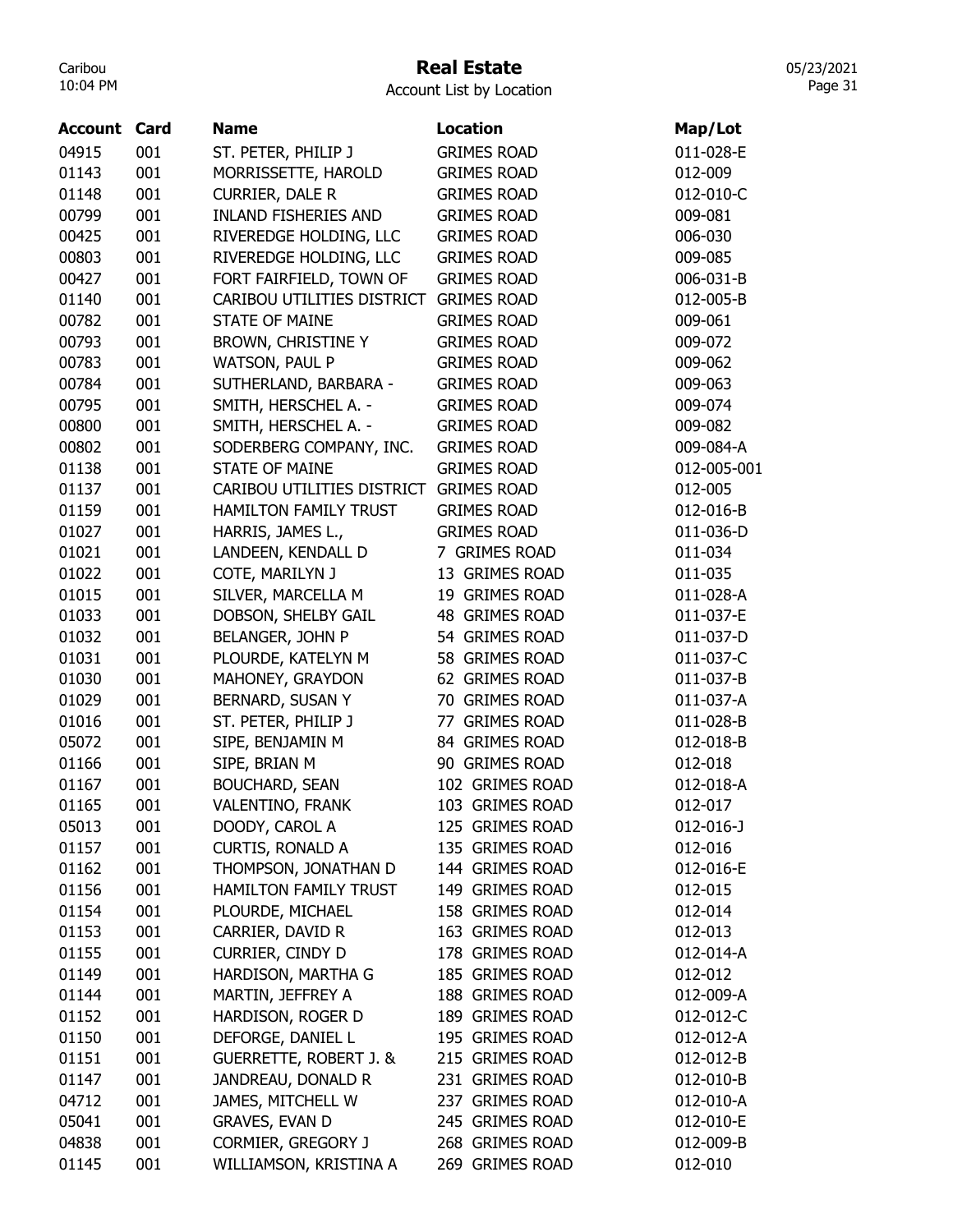# Real Estate

Account List by Location

| <b>Account Card</b> |     | <b>Name</b>                       | <b>Location</b>    | Map/Lot     |
|---------------------|-----|-----------------------------------|--------------------|-------------|
| 04915               | 001 | ST. PETER, PHILIP J               | <b>GRIMES ROAD</b> | 011-028-E   |
| 01143               | 001 | MORRISSETTE, HAROLD               | <b>GRIMES ROAD</b> | 012-009     |
| 01148               | 001 | <b>CURRIER, DALE R</b>            | <b>GRIMES ROAD</b> | 012-010-C   |
| 00799               | 001 | <b>INLAND FISHERIES AND</b>       | <b>GRIMES ROAD</b> | 009-081     |
| 00425               | 001 | RIVEREDGE HOLDING, LLC            | <b>GRIMES ROAD</b> | 006-030     |
| 00803               | 001 | RIVEREDGE HOLDING, LLC            | <b>GRIMES ROAD</b> | 009-085     |
| 00427               | 001 | FORT FAIRFIELD, TOWN OF           | <b>GRIMES ROAD</b> | 006-031-B   |
| 01140               | 001 | CARIBOU UTILITIES DISTRICT        | <b>GRIMES ROAD</b> | 012-005-B   |
| 00782               | 001 | <b>STATE OF MAINE</b>             | <b>GRIMES ROAD</b> | 009-061     |
| 00793               | 001 | <b>BROWN, CHRISTINE Y</b>         | <b>GRIMES ROAD</b> | 009-072     |
| 00783               | 001 | WATSON, PAUL P                    | <b>GRIMES ROAD</b> | 009-062     |
| 00784               | 001 | SUTHERLAND, BARBARA -             | <b>GRIMES ROAD</b> | 009-063     |
| 00795               | 001 | SMITH, HERSCHEL A. -              | <b>GRIMES ROAD</b> | 009-074     |
| 00800               | 001 | SMITH, HERSCHEL A. -              | <b>GRIMES ROAD</b> | 009-082     |
| 00802               | 001 | SODERBERG COMPANY, INC.           | <b>GRIMES ROAD</b> | 009-084-A   |
| 01138               | 001 | <b>STATE OF MAINE</b>             | <b>GRIMES ROAD</b> | 012-005-001 |
| 01137               | 001 | CARIBOU UTILITIES DISTRICT        | <b>GRIMES ROAD</b> | 012-005     |
| 01159               | 001 | HAMILTON FAMILY TRUST             | <b>GRIMES ROAD</b> | 012-016-B   |
| 01027               | 001 | HARRIS, JAMES L.,                 | <b>GRIMES ROAD</b> | 011-036-D   |
| 01021               | 001 | LANDEEN, KENDALL D                | 7 GRIMES ROAD      | 011-034     |
| 01022               | 001 | COTE, MARILYN J                   | 13 GRIMES ROAD     | 011-035     |
| 01015               | 001 | SILVER, MARCELLA M                | 19 GRIMES ROAD     | 011-028-A   |
| 01033               | 001 | DOBSON, SHELBY GAIL               | 48 GRIMES ROAD     | 011-037-E   |
| 01032               | 001 | BELANGER, JOHN P                  | 54 GRIMES ROAD     | 011-037-D   |
| 01031               | 001 | PLOURDE, KATELYN M                | 58 GRIMES ROAD     | 011-037-C   |
| 01030               | 001 | MAHONEY, GRAYDON                  | 62 GRIMES ROAD     | 011-037-B   |
| 01029               | 001 | BERNARD, SUSAN Y                  | 70 GRIMES ROAD     | 011-037-A   |
| 01016               | 001 | ST. PETER, PHILIP J               | 77 GRIMES ROAD     | 011-028-B   |
| 05072               | 001 | SIPE, BENJAMIN M                  | 84 GRIMES ROAD     | 012-018-B   |
| 01166               | 001 | SIPE, BRIAN M                     | 90 GRIMES ROAD     | 012-018     |
| 01167               | 001 | <b>BOUCHARD, SEAN</b>             | 102 GRIMES ROAD    | 012-018-A   |
| 01165               | 001 | <b>VALENTINO, FRANK</b>           | 103 GRIMES ROAD    | 012-017     |
| 05013               | 001 | DOODY, CAROL A                    | 125 GRIMES ROAD    | 012-016-J   |
| 01157               | 001 | CURTIS, RONALD A                  | 135 GRIMES ROAD    | 012-016     |
| 01162               | 001 | THOMPSON, JONATHAN D              | 144 GRIMES ROAD    | 012-016-E   |
| 01156               | 001 | <b>HAMILTON FAMILY TRUST</b>      | 149 GRIMES ROAD    | 012-015     |
| 01154               | 001 | PLOURDE, MICHAEL                  | 158 GRIMES ROAD    | 012-014     |
| 01153               | 001 | CARRIER, DAVID R                  | 163 GRIMES ROAD    | 012-013     |
| 01155               | 001 | CURRIER, CINDY D                  | 178 GRIMES ROAD    | 012-014-A   |
| 01149               | 001 | HARDISON, MARTHA G                | 185 GRIMES ROAD    | 012-012     |
| 01144               | 001 | MARTIN, JEFFREY A                 | 188 GRIMES ROAD    | 012-009-A   |
| 01152               | 001 | HARDISON, ROGER D                 | 189 GRIMES ROAD    | 012-012-C   |
| 01150               | 001 | DEFORGE, DANIEL L                 | 195 GRIMES ROAD    | 012-012-A   |
| 01151               | 001 | <b>GUERRETTE, ROBERT J. &amp;</b> | 215 GRIMES ROAD    | 012-012-B   |
| 01147               | 001 | JANDREAU, DONALD R                | 231 GRIMES ROAD    | 012-010-B   |
| 04712               | 001 | JAMES, MITCHELL W                 | 237 GRIMES ROAD    | 012-010-A   |
| 05041               | 001 | GRAVES, EVAN D                    | 245 GRIMES ROAD    | 012-010-E   |
| 04838               | 001 | CORMIER, GREGORY J                | 268 GRIMES ROAD    | 012-009-B   |
| 01145               | 001 | WILLIAMSON, KRISTINA A            | 269 GRIMES ROAD    | 012-010     |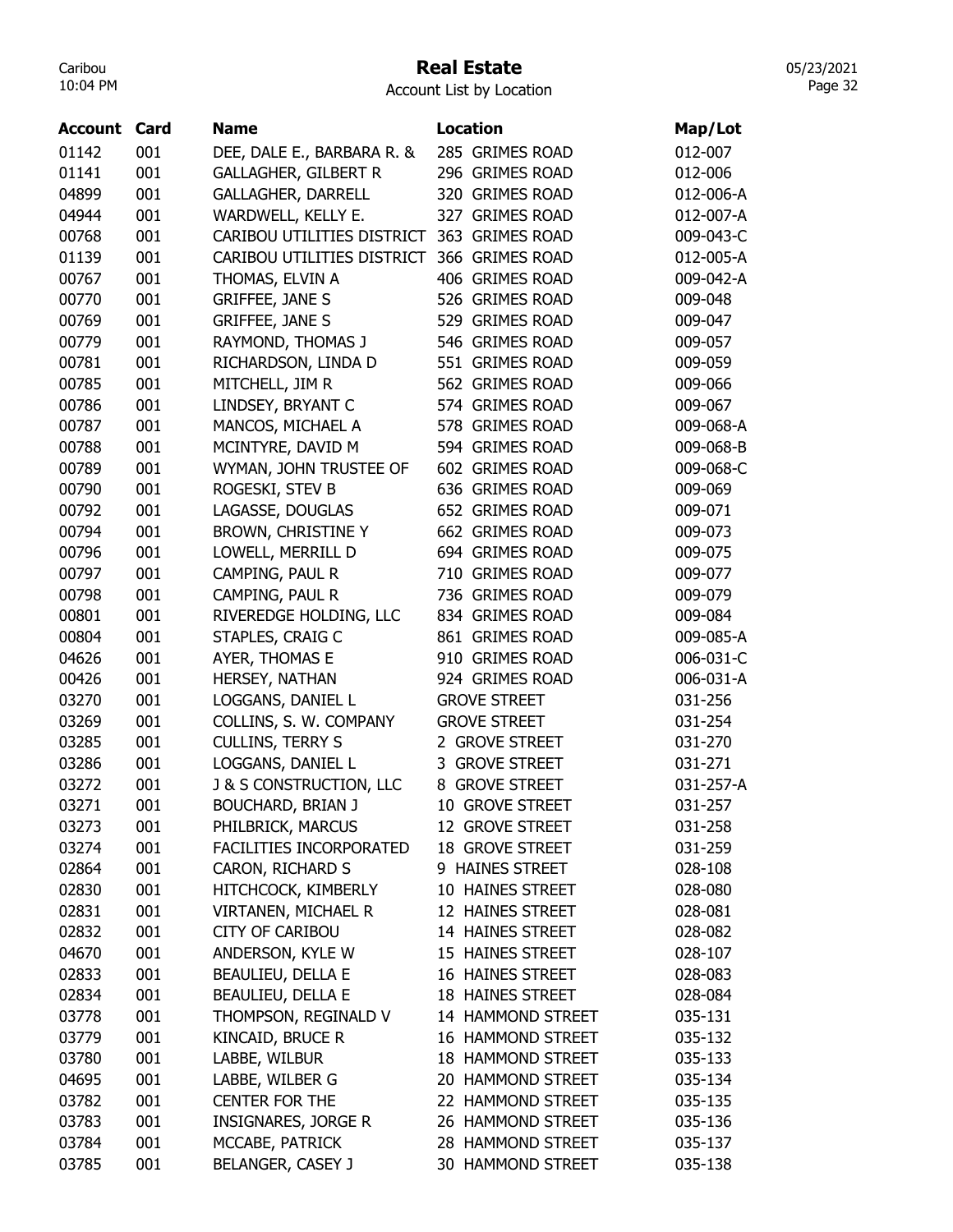## Real Estate

05/23/2021 Page 32

| <b>Account Card</b> |     | <b>Name</b>                        | <b>Location</b>     | Map/Lot   |
|---------------------|-----|------------------------------------|---------------------|-----------|
| 01142               | 001 | DEE, DALE E., BARBARA R. &         | 285 GRIMES ROAD     | 012-007   |
| 01141               | 001 | <b>GALLAGHER, GILBERT R</b>        | 296 GRIMES ROAD     | 012-006   |
| 04899               | 001 | <b>GALLAGHER, DARRELL</b>          | 320 GRIMES ROAD     | 012-006-A |
| 04944               | 001 | WARDWELL, KELLY E.                 | 327 GRIMES ROAD     | 012-007-A |
| 00768               | 001 | CARIBOU UTILITIES DISTRICT         | 363 GRIMES ROAD     | 009-043-C |
| 01139               | 001 | CARIBOU UTILITIES DISTRICT         | 366 GRIMES ROAD     | 012-005-A |
| 00767               | 001 | THOMAS, ELVIN A                    | 406 GRIMES ROAD     | 009-042-A |
| 00770               | 001 | <b>GRIFFEE, JANE S</b>             | 526 GRIMES ROAD     | 009-048   |
| 00769               | 001 | <b>GRIFFEE, JANE S</b>             | 529 GRIMES ROAD     | 009-047   |
| 00779               | 001 | RAYMOND, THOMAS J                  | 546 GRIMES ROAD     | 009-057   |
| 00781               | 001 | RICHARDSON, LINDA D                | 551 GRIMES ROAD     | 009-059   |
| 00785               | 001 | MITCHELL, JIM R                    | 562 GRIMES ROAD     | 009-066   |
| 00786               | 001 | LINDSEY, BRYANT C                  | 574 GRIMES ROAD     | 009-067   |
| 00787               | 001 | MANCOS, MICHAEL A                  | 578 GRIMES ROAD     | 009-068-A |
| 00788               | 001 | MCINTYRE, DAVID M                  | 594 GRIMES ROAD     | 009-068-B |
| 00789               | 001 | WYMAN, JOHN TRUSTEE OF             | 602 GRIMES ROAD     | 009-068-C |
| 00790               | 001 | ROGESKI, STEV B                    | 636 GRIMES ROAD     | 009-069   |
| 00792               | 001 | LAGASSE, DOUGLAS                   | 652 GRIMES ROAD     | 009-071   |
| 00794               | 001 | <b>BROWN, CHRISTINE Y</b>          | 662 GRIMES ROAD     | 009-073   |
| 00796               | 001 | LOWELL, MERRILL D                  | 694 GRIMES ROAD     | 009-075   |
| 00797               | 001 | CAMPING, PAUL R                    | 710 GRIMES ROAD     | 009-077   |
| 00798               | 001 | CAMPING, PAUL R                    | 736 GRIMES ROAD     | 009-079   |
| 00801               | 001 | RIVEREDGE HOLDING, LLC             | 834 GRIMES ROAD     | 009-084   |
| 00804               | 001 | STAPLES, CRAIG C                   | 861 GRIMES ROAD     | 009-085-A |
| 04626               | 001 | AYER, THOMAS E                     | 910 GRIMES ROAD     | 006-031-C |
| 00426               | 001 | HERSEY, NATHAN                     | 924 GRIMES ROAD     | 006-031-A |
| 03270               | 001 | LOGGANS, DANIEL L                  | <b>GROVE STREET</b> | 031-256   |
| 03269               | 001 | COLLINS, S. W. COMPANY             | <b>GROVE STREET</b> | 031-254   |
| 03285               | 001 | CULLINS, TERRY S                   | 2 GROVE STREET      | 031-270   |
| 03286               | 001 | LOGGANS, DANIEL L                  | 3 GROVE STREET      | 031-271   |
| 03272               | 001 | <b>J &amp; S CONSTRUCTION, LLC</b> | 8 GROVE STREET      | 031-257-A |
| 03271               | 001 | <b>BOUCHARD, BRIAN J</b>           | 10 GROVE STREET     | 031-257   |
| 03273               | 001 | PHILBRICK, MARCUS                  | 12 GROVE STREET     | 031-258   |
| 03274               | 001 | FACILITIES INCORPORATED            | 18 GROVE STREET     | 031-259   |
| 02864               | 001 | CARON, RICHARD S                   | 9 HAINES STREET     | 028-108   |
| 02830               | 001 | HITCHCOCK, KIMBERLY                | 10 HAINES STREET    | 028-080   |
| 02831               | 001 | VIRTANEN, MICHAEL R                | 12 HAINES STREET    | 028-081   |
| 02832               | 001 | <b>CITY OF CARIBOU</b>             | 14 HAINES STREET    | 028-082   |
| 04670               | 001 | ANDERSON, KYLE W                   | 15 HAINES STREET    | 028-107   |
| 02833               | 001 | <b>BEAULIEU, DELLA E</b>           | 16 HAINES STREET    | 028-083   |
| 02834               | 001 | <b>BEAULIEU, DELLA E</b>           | 18 HAINES STREET    | 028-084   |
| 03778               | 001 | THOMPSON, REGINALD V               | 14 HAMMOND STREET   | 035-131   |
| 03779               | 001 | KINCAID, BRUCE R                   | 16 HAMMOND STREET   | 035-132   |
| 03780               | 001 | LABBE, WILBUR                      | 18 HAMMOND STREET   | 035-133   |
| 04695               | 001 | LABBE, WILBER G                    | 20 HAMMOND STREET   | 035-134   |
| 03782               | 001 | <b>CENTER FOR THE</b>              | 22 HAMMOND STREET   | 035-135   |
| 03783               | 001 | <b>INSIGNARES, JORGE R</b>         | 26 HAMMOND STREET   | 035-136   |
| 03784               | 001 | MCCABE, PATRICK                    | 28 HAMMOND STREET   | 035-137   |
| 03785               | 001 | BELANGER, CASEY J                  | 30 HAMMOND STREET   | 035-138   |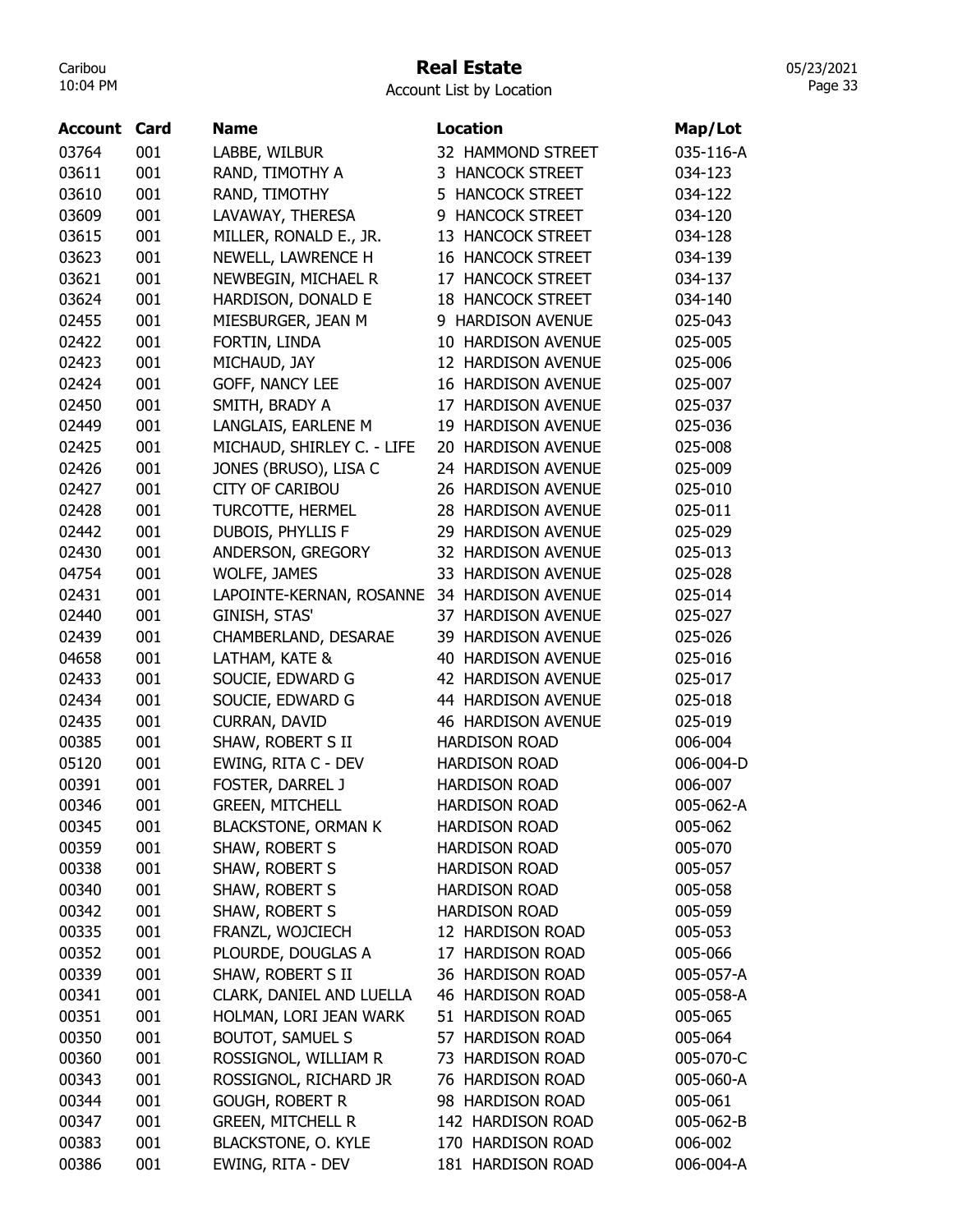## Real Estate

Account List by Location

| Account        | Card       | <b>Name</b>                        | <b>Location</b>                              | Map/Lot            |
|----------------|------------|------------------------------------|----------------------------------------------|--------------------|
| 03764          | 001        | LABBE, WILBUR                      | 32 HAMMOND STREET                            | 035-116-A          |
| 03611          | 001        | RAND, TIMOTHY A                    | 3 HANCOCK STREET                             | 034-123            |
| 03610          | 001        | RAND, TIMOTHY                      | 5 HANCOCK STREET                             | 034-122            |
| 03609          | 001        | LAVAWAY, THERESA                   | 9 HANCOCK STREET                             | 034-120            |
| 03615          | 001        | MILLER, RONALD E., JR.             | 13 HANCOCK STREET                            | 034-128            |
| 03623          | 001        | NEWELL, LAWRENCE H                 | <b>16 HANCOCK STREET</b>                     | 034-139            |
| 03621          | 001        | NEWBEGIN, MICHAEL R                | 17 HANCOCK STREET                            | 034-137            |
| 03624          | 001        | HARDISON, DONALD E                 | <b>18 HANCOCK STREET</b>                     | 034-140            |
| 02455          | 001        | MIESBURGER, JEAN M                 | 9 HARDISON AVENUE                            | 025-043            |
| 02422          | 001        | FORTIN, LINDA                      | 10 HARDISON AVENUE                           | 025-005            |
| 02423          | 001        | MICHAUD, JAY                       | 12 HARDISON AVENUE                           | 025-006            |
| 02424          | 001        | GOFF, NANCY LEE                    | <b>16 HARDISON AVENUE</b>                    | 025-007            |
| 02450          | 001        | SMITH, BRADY A                     | 17 HARDISON AVENUE                           | 025-037            |
| 02449          | 001        | LANGLAIS, EARLENE M                | 19 HARDISON AVENUE                           | 025-036            |
| 02425          | 001        | MICHAUD, SHIRLEY C. - LIFE         | 20 HARDISON AVENUE                           | 025-008            |
| 02426          | 001        | JONES (BRUSO), LISA C              | 24 HARDISON AVENUE                           | 025-009            |
| 02427          | 001        | <b>CITY OF CARIBOU</b>             | 26 HARDISON AVENUE                           | 025-010            |
| 02428          | 001        | <b>TURCOTTE, HERMEL</b>            | 28 HARDISON AVENUE                           | 025-011            |
| 02442          | 001        | DUBOIS, PHYLLIS F                  | 29 HARDISON AVENUE                           | 025-029            |
| 02430          | 001        | ANDERSON, GREGORY                  | 32 HARDISON AVENUE                           | 025-013            |
| 04754          | 001        | <b>WOLFE, JAMES</b>                | 33 HARDISON AVENUE                           | 025-028            |
| 02431          | 001        | LAPOINTE-KERNAN, ROSANNE           | 34 HARDISON AVENUE                           | 025-014            |
| 02440          | 001        | GINISH, STAS'                      | 37 HARDISON AVENUE                           | 025-027            |
| 02439          | 001        | CHAMBERLAND, DESARAE               | 39 HARDISON AVENUE                           | 025-026            |
| 04658          | 001        | LATHAM, KATE &                     | 40 HARDISON AVENUE                           | 025-016            |
| 02433          | 001        | SOUCIE, EDWARD G                   | 42 HARDISON AVENUE                           | 025-017            |
| 02434          | 001        | SOUCIE, EDWARD G                   | 44 HARDISON AVENUE                           | 025-018            |
| 02435          | 001        | <b>CURRAN, DAVID</b>               | <b>46 HARDISON AVENUE</b>                    | 025-019            |
| 00385          | 001        | SHAW, ROBERT S II                  | <b>HARDISON ROAD</b>                         | 006-004            |
| 05120          | 001        | EWING, RITA C - DEV                | <b>HARDISON ROAD</b>                         | 006-004-D          |
| 00391          | 001        | FOSTER, DARREL J                   | <b>HARDISON ROAD</b>                         | 006-007            |
| 00346          | 001        | <b>GREEN, MITCHELL</b>             | <b>HARDISON ROAD</b>                         | 005-062-A          |
|                |            |                                    |                                              |                    |
| 00345          | 001<br>001 | <b>BLACKSTONE, ORMAN K</b>         | <b>HARDISON ROAD</b><br><b>HARDISON ROAD</b> | 005-062            |
| 00359          |            | SHAW, ROBERT S<br>SHAW, ROBERT S   | <b>HARDISON ROAD</b>                         | 005-070<br>005-057 |
| 00338          | 001<br>001 |                                    | <b>HARDISON ROAD</b>                         |                    |
| 00340<br>00342 | 001        | SHAW, ROBERT S                     | <b>HARDISON ROAD</b>                         | 005-058<br>005-059 |
|                | 001        | SHAW, ROBERT S<br>FRANZL, WOJCIECH | 12 HARDISON ROAD                             |                    |
| 00335          |            |                                    | 17 HARDISON ROAD                             | 005-053            |
| 00352          | 001        | PLOURDE, DOUGLAS A                 | 36 HARDISON ROAD                             | 005-066            |
| 00339          | 001        | SHAW, ROBERT S II                  |                                              | 005-057-A          |
| 00341          | 001        | CLARK, DANIEL AND LUELLA           | 46 HARDISON ROAD                             | 005-058-A          |
| 00351          | 001        | HOLMAN, LORI JEAN WARK             | 51 HARDISON ROAD                             | 005-065            |
| 00350          | 001        | <b>BOUTOT, SAMUEL S</b>            | 57 HARDISON ROAD                             | 005-064            |
| 00360          | 001        | ROSSIGNOL, WILLIAM R               | 73 HARDISON ROAD                             | 005-070-C          |
| 00343          | 001        | ROSSIGNOL, RICHARD JR              | 76 HARDISON ROAD                             | 005-060-A          |
| 00344          | 001        | <b>GOUGH, ROBERT R</b>             | 98 HARDISON ROAD                             | 005-061            |
| 00347          | 001        | <b>GREEN, MITCHELL R</b>           | 142 HARDISON ROAD                            | 005-062-B          |
| 00383          | 001        | <b>BLACKSTONE, O. KYLE</b>         | 170 HARDISON ROAD                            | 006-002            |
| 00386          | 001        | EWING, RITA - DEV                  | 181 HARDISON ROAD                            | 006-004-A          |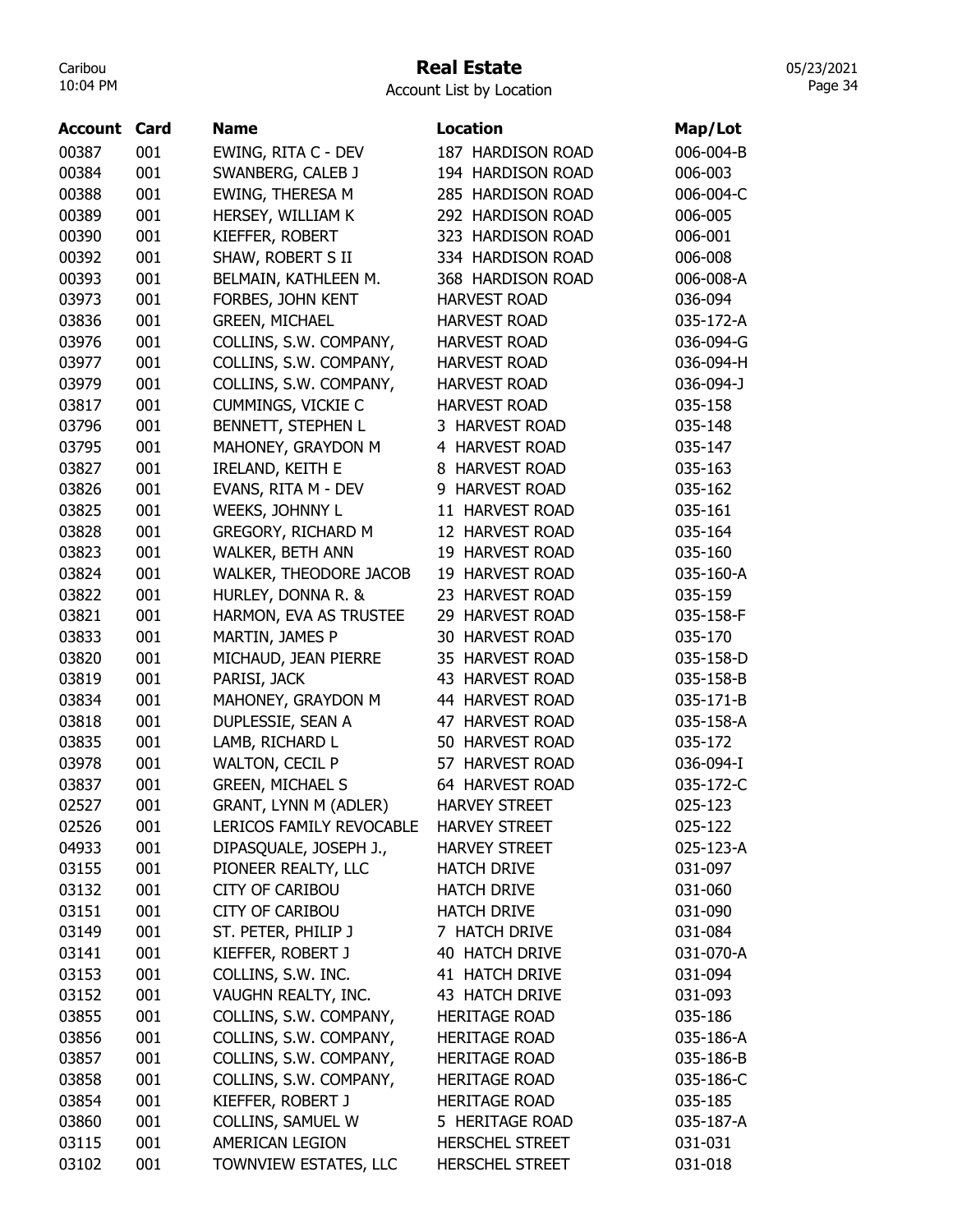# Real Estate

Account List by Location

| Account | Card | <b>Name</b>                  | <b>Location</b>        | Map/Lot   |
|---------|------|------------------------------|------------------------|-----------|
| 00387   | 001  | EWING, RITA C - DEV          | 187 HARDISON ROAD      | 006-004-B |
| 00384   | 001  | SWANBERG, CALEB J            | 194 HARDISON ROAD      | 006-003   |
| 00388   | 001  | EWING, THERESA M             | 285 HARDISON ROAD      | 006-004-C |
| 00389   | 001  | HERSEY, WILLIAM K            | 292 HARDISON ROAD      | 006-005   |
| 00390   | 001  | KIEFFER, ROBERT              | 323 HARDISON ROAD      | 006-001   |
| 00392   | 001  | SHAW, ROBERT S II            | 334 HARDISON ROAD      | 006-008   |
| 00393   | 001  | BELMAIN, KATHLEEN M.         | 368 HARDISON ROAD      | 006-008-A |
| 03973   | 001  | FORBES, JOHN KENT            | <b>HARVEST ROAD</b>    | 036-094   |
| 03836   | 001  | <b>GREEN, MICHAEL</b>        | <b>HARVEST ROAD</b>    | 035-172-A |
| 03976   | 001  | COLLINS, S.W. COMPANY,       | <b>HARVEST ROAD</b>    | 036-094-G |
| 03977   | 001  | COLLINS, S.W. COMPANY,       | <b>HARVEST ROAD</b>    | 036-094-H |
| 03979   | 001  | COLLINS, S.W. COMPANY,       | <b>HARVEST ROAD</b>    | 036-094-J |
| 03817   | 001  | <b>CUMMINGS, VICKIE C</b>    | <b>HARVEST ROAD</b>    | 035-158   |
| 03796   | 001  | BENNETT, STEPHEN L           | 3 HARVEST ROAD         | 035-148   |
| 03795   | 001  | MAHONEY, GRAYDON M           | 4 HARVEST ROAD         | 035-147   |
| 03827   | 001  | IRELAND, KEITH E             | 8 HARVEST ROAD         | 035-163   |
| 03826   | 001  | EVANS, RITA M - DEV          | 9 HARVEST ROAD         | 035-162   |
| 03825   | 001  | WEEKS, JOHNNY L              | 11 HARVEST ROAD        | 035-161   |
| 03828   | 001  | GREGORY, RICHARD M           | 12 HARVEST ROAD        | 035-164   |
| 03823   | 001  | <b>WALKER, BETH ANN</b>      | 19 HARVEST ROAD        | 035-160   |
| 03824   | 001  | WALKER, THEODORE JACOB       | 19 HARVEST ROAD        | 035-160-A |
| 03822   | 001  | HURLEY, DONNA R. &           | 23 HARVEST ROAD        | 035-159   |
| 03821   | 001  | HARMON, EVA AS TRUSTEE       | 29 HARVEST ROAD        | 035-158-F |
| 03833   | 001  | MARTIN, JAMES P              | 30 HARVEST ROAD        | 035-170   |
| 03820   | 001  | MICHAUD, JEAN PIERRE         | 35 HARVEST ROAD        | 035-158-D |
| 03819   | 001  | PARISI, JACK                 | 43 HARVEST ROAD        | 035-158-B |
| 03834   | 001  | MAHONEY, GRAYDON M           | 44 HARVEST ROAD        | 035-171-B |
| 03818   | 001  | DUPLESSIE, SEAN A            | 47 HARVEST ROAD        | 035-158-A |
| 03835   | 001  | LAMB, RICHARD L              | 50 HARVEST ROAD        | 035-172   |
| 03978   | 001  | <b>WALTON, CECIL P</b>       | 57 HARVEST ROAD        | 036-094-I |
| 03837   | 001  | <b>GREEN, MICHAEL S</b>      | 64 HARVEST ROAD        | 035-172-C |
| 02527   | 001  | <b>GRANT, LYNN M (ADLER)</b> | <b>HARVEY STREET</b>   | 025-123   |
| 02526   | 001  | LERICOS FAMILY REVOCABLE     | <b>HARVEY STREET</b>   | 025-122   |
| 04933   | 001  | DIPASQUALE, JOSEPH J.,       | <b>HARVEY STREET</b>   | 025-123-A |
| 03155   | 001  | PIONEER REALTY, LLC          | <b>HATCH DRIVE</b>     | 031-097   |
| 03132   | 001  | <b>CITY OF CARIBOU</b>       | <b>HATCH DRIVE</b>     | 031-060   |
| 03151   | 001  | <b>CITY OF CARIBOU</b>       | <b>HATCH DRIVE</b>     | 031-090   |
| 03149   | 001  | ST. PETER, PHILIP J          | 7 HATCH DRIVE          | 031-084   |
| 03141   | 001  | KIEFFER, ROBERT J            | 40 HATCH DRIVE         | 031-070-A |
| 03153   | 001  | COLLINS, S.W. INC.           | 41 HATCH DRIVE         | 031-094   |
| 03152   | 001  | VAUGHN REALTY, INC.          | 43 HATCH DRIVE         | 031-093   |
| 03855   | 001  | COLLINS, S.W. COMPANY,       | <b>HERITAGE ROAD</b>   | 035-186   |
| 03856   | 001  | COLLINS, S.W. COMPANY,       | <b>HERITAGE ROAD</b>   | 035-186-A |
| 03857   | 001  | COLLINS, S.W. COMPANY,       | <b>HERITAGE ROAD</b>   | 035-186-B |
| 03858   | 001  | COLLINS, S.W. COMPANY,       | <b>HERITAGE ROAD</b>   | 035-186-C |
| 03854   | 001  | KIEFFER, ROBERT J            | <b>HERITAGE ROAD</b>   | 035-185   |
| 03860   | 001  | COLLINS, SAMUEL W            | 5 HERITAGE ROAD        | 035-187-A |
| 03115   | 001  | AMERICAN LEGION              | <b>HERSCHEL STREET</b> | 031-031   |
| 03102   | 001  | TOWNVIEW ESTATES, LLC        | <b>HERSCHEL STREET</b> | 031-018   |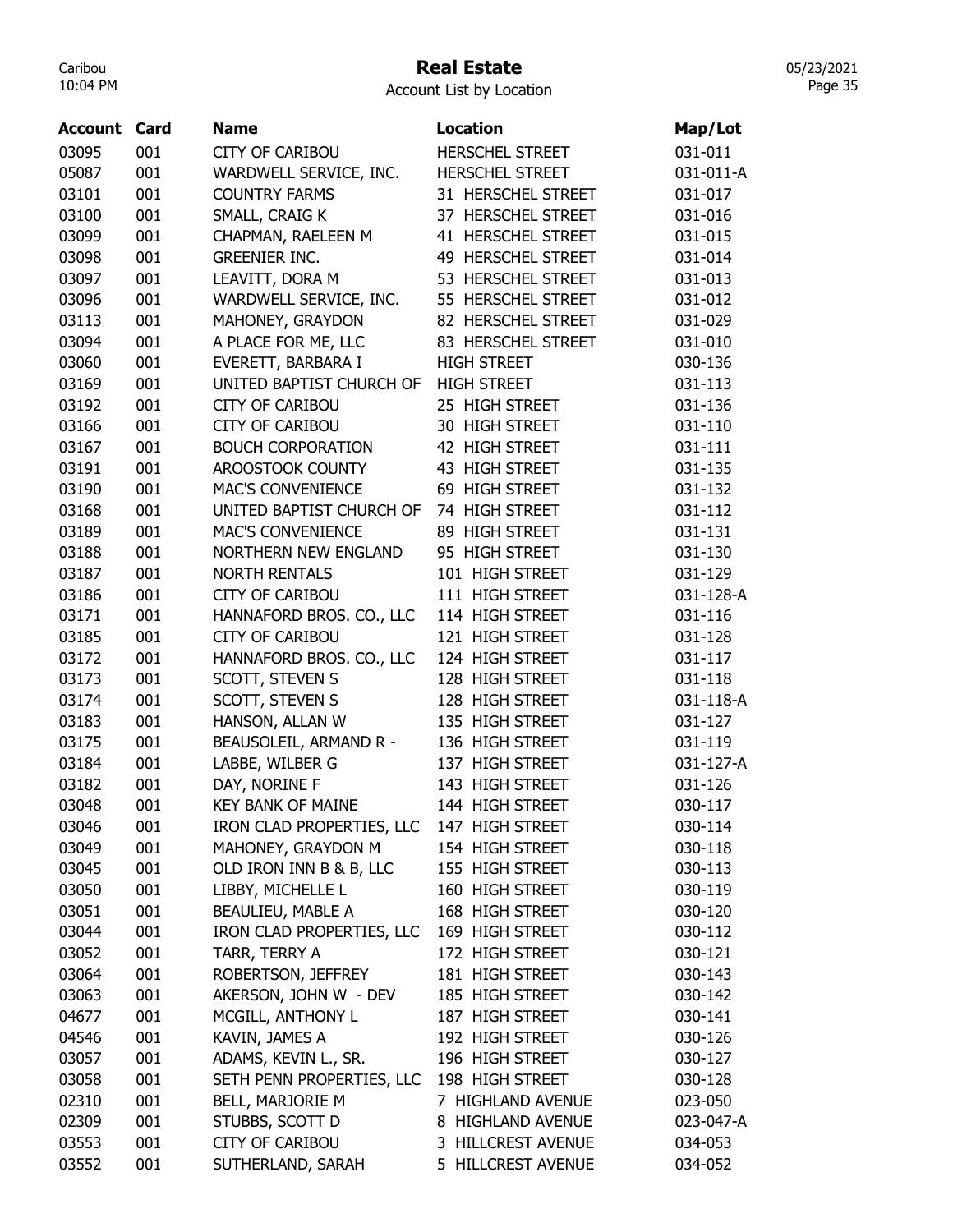## Real Estate

Account List by Location

| 03095<br>001<br><b>CITY OF CARIBOU</b><br><b>HERSCHEL STREET</b><br>031-011<br>001<br>05087<br>WARDWELL SERVICE, INC.<br><b>HERSCHEL STREET</b><br>031-011-A<br>03101<br>001<br><b>COUNTRY FARMS</b><br>031-017<br>31 HERSCHEL STREET<br>03100<br>001<br>SMALL, CRAIG K<br>37 HERSCHEL STREET<br>031-016<br>001<br>03099<br>CHAPMAN, RAELEEN M<br>41 HERSCHEL STREET<br>031-015<br>001<br>03098<br>49 HERSCHEL STREET<br><b>GREENIER INC.</b><br>031-014<br>03097<br>001<br>LEAVITT, DORA M<br>53 HERSCHEL STREET<br>031-013<br>001<br>WARDWELL SERVICE, INC.<br>03096<br>55 HERSCHEL STREET<br>031-012<br>03113<br>001<br>MAHONEY, GRAYDON<br>82 HERSCHEL STREET<br>031-029<br>001<br>A PLACE FOR ME, LLC<br>03094<br>83 HERSCHEL STREET<br>031-010<br>03060<br>001<br>EVERETT, BARBARA I<br><b>HIGH STREET</b><br>030-136<br>03169<br>001<br>UNITED BAPTIST CHURCH OF<br><b>HIGH STREET</b><br>031-113<br>001<br>03192<br>25 HIGH STREET<br><b>CITY OF CARIBOU</b><br>031-136<br>03166<br>001<br><b>CITY OF CARIBOU</b><br>30 HIGH STREET<br>031-110<br>03167<br>001<br><b>BOUCH CORPORATION</b><br>42 HIGH STREET<br>031-111<br>03191<br>001<br>AROOSTOOK COUNTY<br>43 HIGH STREET<br>031-135<br>001<br>03190<br><b>MAC'S CONVENIENCE</b><br>69 HIGH STREET<br>031-132<br>03168<br>001<br>UNITED BAPTIST CHURCH OF<br>74 HIGH STREET<br>031-112<br>03189<br>001<br>89 HIGH STREET<br><b>MAC'S CONVENIENCE</b><br>031-131<br>03188<br>001<br>95 HIGH STREET<br>NORTHERN NEW ENGLAND<br>031-130<br>001<br>03187<br>101 HIGH STREET<br><b>NORTH RENTALS</b><br>031-129<br>03186<br>001<br><b>CITY OF CARIBOU</b><br>111 HIGH STREET<br>031-128-A<br>03171<br>001<br>HANNAFORD BROS. CO., LLC<br>114 HIGH STREET<br>031-116<br>001<br>03185<br><b>CITY OF CARIBOU</b><br>121 HIGH STREET<br>031-128<br>001<br>03172<br>HANNAFORD BROS. CO., LLC<br>124 HIGH STREET<br>031-117<br>03173<br>001<br>SCOTT, STEVEN S<br>128 HIGH STREET<br>031-118<br>03174<br>001<br>SCOTT, STEVEN S<br>128 HIGH STREET<br>031-118-A<br>03183<br>001<br>HANSON, ALLAN W<br>135 HIGH STREET<br>031-127<br>03175<br>001<br>BEAUSOLEIL, ARMAND R -<br>136 HIGH STREET<br>031-119<br>03184<br>001<br>LABBE, WILBER G<br>137 HIGH STREET<br>031-127-A<br>DAY, NORINE F<br>143 HIGH STREET<br>03182<br>001<br>031-126<br>03048<br>001<br><b>KEY BANK OF MAINE</b><br>144 HIGH STREET<br>030-117<br>03046<br>001<br>IRON CLAD PROPERTIES, LLC 147 HIGH STREET<br>030-114<br>03049<br>001<br>MAHONEY, GRAYDON M<br>154 HIGH STREET<br>030-118<br>03045<br>001<br>OLD IRON INN B & B, LLC<br>155 HIGH STREET<br>030-113<br>03050<br>001<br>LIBBY, MICHELLE L<br>160 HIGH STREET<br>030-119<br>03051<br>001<br>BEAULIEU, MABLE A<br>168 HIGH STREET<br>030-120<br>03044<br>IRON CLAD PROPERTIES, LLC<br>169 HIGH STREET<br>001<br>030-112<br>03052<br>001<br>TARR, TERRY A<br>172 HIGH STREET<br>030-121<br>03064<br>001<br>ROBERTSON, JEFFREY<br>181 HIGH STREET<br>030-143<br>03063<br>001<br>AKERSON, JOHN W - DEV<br>185 HIGH STREET<br>030-142<br>04677<br>001<br>MCGILL, ANTHONY L<br>187 HIGH STREET<br>030-141<br>04546<br>001<br>KAVIN, JAMES A<br>192 HIGH STREET<br>030-126<br>03057<br>001<br>196 HIGH STREET<br>ADAMS, KEVIN L., SR.<br>030-127<br>03058<br>SETH PENN PROPERTIES, LLC<br>198 HIGH STREET<br>001<br>030-128<br>7 HIGHLAND AVENUE<br>02310<br>001<br>BELL, MARJORIE M<br>023-050<br>02309<br>001<br>STUBBS, SCOTT D<br>8 HIGHLAND AVENUE<br>023-047-A<br>03553<br>001<br><b>CITY OF CARIBOU</b><br>3 HILLCREST AVENUE<br>034-053 | <b>Account Card</b> |     | <b>Name</b>       | <b>Location</b>    | Map/Lot |
|-------------------------------------------------------------------------------------------------------------------------------------------------------------------------------------------------------------------------------------------------------------------------------------------------------------------------------------------------------------------------------------------------------------------------------------------------------------------------------------------------------------------------------------------------------------------------------------------------------------------------------------------------------------------------------------------------------------------------------------------------------------------------------------------------------------------------------------------------------------------------------------------------------------------------------------------------------------------------------------------------------------------------------------------------------------------------------------------------------------------------------------------------------------------------------------------------------------------------------------------------------------------------------------------------------------------------------------------------------------------------------------------------------------------------------------------------------------------------------------------------------------------------------------------------------------------------------------------------------------------------------------------------------------------------------------------------------------------------------------------------------------------------------------------------------------------------------------------------------------------------------------------------------------------------------------------------------------------------------------------------------------------------------------------------------------------------------------------------------------------------------------------------------------------------------------------------------------------------------------------------------------------------------------------------------------------------------------------------------------------------------------------------------------------------------------------------------------------------------------------------------------------------------------------------------------------------------------------------------------------------------------------------------------------------------------------------------------------------------------------------------------------------------------------------------------------------------------------------------------------------------------------------------------------------------------------------------------------------------------------------------------------------------------------------------------------------------------------------------------------------------------------------------------------------------------------------------------------------------------------------------------------------------------------------------------------------------------------------------------------------------------------------------------------------------------------------------------------------------------------------------------------------------|---------------------|-----|-------------------|--------------------|---------|
|                                                                                                                                                                                                                                                                                                                                                                                                                                                                                                                                                                                                                                                                                                                                                                                                                                                                                                                                                                                                                                                                                                                                                                                                                                                                                                                                                                                                                                                                                                                                                                                                                                                                                                                                                                                                                                                                                                                                                                                                                                                                                                                                                                                                                                                                                                                                                                                                                                                                                                                                                                                                                                                                                                                                                                                                                                                                                                                                                                                                                                                                                                                                                                                                                                                                                                                                                                                                                                                                                                                               |                     |     |                   |                    |         |
|                                                                                                                                                                                                                                                                                                                                                                                                                                                                                                                                                                                                                                                                                                                                                                                                                                                                                                                                                                                                                                                                                                                                                                                                                                                                                                                                                                                                                                                                                                                                                                                                                                                                                                                                                                                                                                                                                                                                                                                                                                                                                                                                                                                                                                                                                                                                                                                                                                                                                                                                                                                                                                                                                                                                                                                                                                                                                                                                                                                                                                                                                                                                                                                                                                                                                                                                                                                                                                                                                                                               |                     |     |                   |                    |         |
|                                                                                                                                                                                                                                                                                                                                                                                                                                                                                                                                                                                                                                                                                                                                                                                                                                                                                                                                                                                                                                                                                                                                                                                                                                                                                                                                                                                                                                                                                                                                                                                                                                                                                                                                                                                                                                                                                                                                                                                                                                                                                                                                                                                                                                                                                                                                                                                                                                                                                                                                                                                                                                                                                                                                                                                                                                                                                                                                                                                                                                                                                                                                                                                                                                                                                                                                                                                                                                                                                                                               |                     |     |                   |                    |         |
|                                                                                                                                                                                                                                                                                                                                                                                                                                                                                                                                                                                                                                                                                                                                                                                                                                                                                                                                                                                                                                                                                                                                                                                                                                                                                                                                                                                                                                                                                                                                                                                                                                                                                                                                                                                                                                                                                                                                                                                                                                                                                                                                                                                                                                                                                                                                                                                                                                                                                                                                                                                                                                                                                                                                                                                                                                                                                                                                                                                                                                                                                                                                                                                                                                                                                                                                                                                                                                                                                                                               |                     |     |                   |                    |         |
|                                                                                                                                                                                                                                                                                                                                                                                                                                                                                                                                                                                                                                                                                                                                                                                                                                                                                                                                                                                                                                                                                                                                                                                                                                                                                                                                                                                                                                                                                                                                                                                                                                                                                                                                                                                                                                                                                                                                                                                                                                                                                                                                                                                                                                                                                                                                                                                                                                                                                                                                                                                                                                                                                                                                                                                                                                                                                                                                                                                                                                                                                                                                                                                                                                                                                                                                                                                                                                                                                                                               |                     |     |                   |                    |         |
|                                                                                                                                                                                                                                                                                                                                                                                                                                                                                                                                                                                                                                                                                                                                                                                                                                                                                                                                                                                                                                                                                                                                                                                                                                                                                                                                                                                                                                                                                                                                                                                                                                                                                                                                                                                                                                                                                                                                                                                                                                                                                                                                                                                                                                                                                                                                                                                                                                                                                                                                                                                                                                                                                                                                                                                                                                                                                                                                                                                                                                                                                                                                                                                                                                                                                                                                                                                                                                                                                                                               |                     |     |                   |                    |         |
|                                                                                                                                                                                                                                                                                                                                                                                                                                                                                                                                                                                                                                                                                                                                                                                                                                                                                                                                                                                                                                                                                                                                                                                                                                                                                                                                                                                                                                                                                                                                                                                                                                                                                                                                                                                                                                                                                                                                                                                                                                                                                                                                                                                                                                                                                                                                                                                                                                                                                                                                                                                                                                                                                                                                                                                                                                                                                                                                                                                                                                                                                                                                                                                                                                                                                                                                                                                                                                                                                                                               |                     |     |                   |                    |         |
|                                                                                                                                                                                                                                                                                                                                                                                                                                                                                                                                                                                                                                                                                                                                                                                                                                                                                                                                                                                                                                                                                                                                                                                                                                                                                                                                                                                                                                                                                                                                                                                                                                                                                                                                                                                                                                                                                                                                                                                                                                                                                                                                                                                                                                                                                                                                                                                                                                                                                                                                                                                                                                                                                                                                                                                                                                                                                                                                                                                                                                                                                                                                                                                                                                                                                                                                                                                                                                                                                                                               |                     |     |                   |                    |         |
|                                                                                                                                                                                                                                                                                                                                                                                                                                                                                                                                                                                                                                                                                                                                                                                                                                                                                                                                                                                                                                                                                                                                                                                                                                                                                                                                                                                                                                                                                                                                                                                                                                                                                                                                                                                                                                                                                                                                                                                                                                                                                                                                                                                                                                                                                                                                                                                                                                                                                                                                                                                                                                                                                                                                                                                                                                                                                                                                                                                                                                                                                                                                                                                                                                                                                                                                                                                                                                                                                                                               |                     |     |                   |                    |         |
|                                                                                                                                                                                                                                                                                                                                                                                                                                                                                                                                                                                                                                                                                                                                                                                                                                                                                                                                                                                                                                                                                                                                                                                                                                                                                                                                                                                                                                                                                                                                                                                                                                                                                                                                                                                                                                                                                                                                                                                                                                                                                                                                                                                                                                                                                                                                                                                                                                                                                                                                                                                                                                                                                                                                                                                                                                                                                                                                                                                                                                                                                                                                                                                                                                                                                                                                                                                                                                                                                                                               |                     |     |                   |                    |         |
|                                                                                                                                                                                                                                                                                                                                                                                                                                                                                                                                                                                                                                                                                                                                                                                                                                                                                                                                                                                                                                                                                                                                                                                                                                                                                                                                                                                                                                                                                                                                                                                                                                                                                                                                                                                                                                                                                                                                                                                                                                                                                                                                                                                                                                                                                                                                                                                                                                                                                                                                                                                                                                                                                                                                                                                                                                                                                                                                                                                                                                                                                                                                                                                                                                                                                                                                                                                                                                                                                                                               |                     |     |                   |                    |         |
|                                                                                                                                                                                                                                                                                                                                                                                                                                                                                                                                                                                                                                                                                                                                                                                                                                                                                                                                                                                                                                                                                                                                                                                                                                                                                                                                                                                                                                                                                                                                                                                                                                                                                                                                                                                                                                                                                                                                                                                                                                                                                                                                                                                                                                                                                                                                                                                                                                                                                                                                                                                                                                                                                                                                                                                                                                                                                                                                                                                                                                                                                                                                                                                                                                                                                                                                                                                                                                                                                                                               |                     |     |                   |                    |         |
|                                                                                                                                                                                                                                                                                                                                                                                                                                                                                                                                                                                                                                                                                                                                                                                                                                                                                                                                                                                                                                                                                                                                                                                                                                                                                                                                                                                                                                                                                                                                                                                                                                                                                                                                                                                                                                                                                                                                                                                                                                                                                                                                                                                                                                                                                                                                                                                                                                                                                                                                                                                                                                                                                                                                                                                                                                                                                                                                                                                                                                                                                                                                                                                                                                                                                                                                                                                                                                                                                                                               |                     |     |                   |                    |         |
|                                                                                                                                                                                                                                                                                                                                                                                                                                                                                                                                                                                                                                                                                                                                                                                                                                                                                                                                                                                                                                                                                                                                                                                                                                                                                                                                                                                                                                                                                                                                                                                                                                                                                                                                                                                                                                                                                                                                                                                                                                                                                                                                                                                                                                                                                                                                                                                                                                                                                                                                                                                                                                                                                                                                                                                                                                                                                                                                                                                                                                                                                                                                                                                                                                                                                                                                                                                                                                                                                                                               |                     |     |                   |                    |         |
|                                                                                                                                                                                                                                                                                                                                                                                                                                                                                                                                                                                                                                                                                                                                                                                                                                                                                                                                                                                                                                                                                                                                                                                                                                                                                                                                                                                                                                                                                                                                                                                                                                                                                                                                                                                                                                                                                                                                                                                                                                                                                                                                                                                                                                                                                                                                                                                                                                                                                                                                                                                                                                                                                                                                                                                                                                                                                                                                                                                                                                                                                                                                                                                                                                                                                                                                                                                                                                                                                                                               |                     |     |                   |                    |         |
|                                                                                                                                                                                                                                                                                                                                                                                                                                                                                                                                                                                                                                                                                                                                                                                                                                                                                                                                                                                                                                                                                                                                                                                                                                                                                                                                                                                                                                                                                                                                                                                                                                                                                                                                                                                                                                                                                                                                                                                                                                                                                                                                                                                                                                                                                                                                                                                                                                                                                                                                                                                                                                                                                                                                                                                                                                                                                                                                                                                                                                                                                                                                                                                                                                                                                                                                                                                                                                                                                                                               |                     |     |                   |                    |         |
|                                                                                                                                                                                                                                                                                                                                                                                                                                                                                                                                                                                                                                                                                                                                                                                                                                                                                                                                                                                                                                                                                                                                                                                                                                                                                                                                                                                                                                                                                                                                                                                                                                                                                                                                                                                                                                                                                                                                                                                                                                                                                                                                                                                                                                                                                                                                                                                                                                                                                                                                                                                                                                                                                                                                                                                                                                                                                                                                                                                                                                                                                                                                                                                                                                                                                                                                                                                                                                                                                                                               |                     |     |                   |                    |         |
|                                                                                                                                                                                                                                                                                                                                                                                                                                                                                                                                                                                                                                                                                                                                                                                                                                                                                                                                                                                                                                                                                                                                                                                                                                                                                                                                                                                                                                                                                                                                                                                                                                                                                                                                                                                                                                                                                                                                                                                                                                                                                                                                                                                                                                                                                                                                                                                                                                                                                                                                                                                                                                                                                                                                                                                                                                                                                                                                                                                                                                                                                                                                                                                                                                                                                                                                                                                                                                                                                                                               |                     |     |                   |                    |         |
|                                                                                                                                                                                                                                                                                                                                                                                                                                                                                                                                                                                                                                                                                                                                                                                                                                                                                                                                                                                                                                                                                                                                                                                                                                                                                                                                                                                                                                                                                                                                                                                                                                                                                                                                                                                                                                                                                                                                                                                                                                                                                                                                                                                                                                                                                                                                                                                                                                                                                                                                                                                                                                                                                                                                                                                                                                                                                                                                                                                                                                                                                                                                                                                                                                                                                                                                                                                                                                                                                                                               |                     |     |                   |                    |         |
|                                                                                                                                                                                                                                                                                                                                                                                                                                                                                                                                                                                                                                                                                                                                                                                                                                                                                                                                                                                                                                                                                                                                                                                                                                                                                                                                                                                                                                                                                                                                                                                                                                                                                                                                                                                                                                                                                                                                                                                                                                                                                                                                                                                                                                                                                                                                                                                                                                                                                                                                                                                                                                                                                                                                                                                                                                                                                                                                                                                                                                                                                                                                                                                                                                                                                                                                                                                                                                                                                                                               |                     |     |                   |                    |         |
|                                                                                                                                                                                                                                                                                                                                                                                                                                                                                                                                                                                                                                                                                                                                                                                                                                                                                                                                                                                                                                                                                                                                                                                                                                                                                                                                                                                                                                                                                                                                                                                                                                                                                                                                                                                                                                                                                                                                                                                                                                                                                                                                                                                                                                                                                                                                                                                                                                                                                                                                                                                                                                                                                                                                                                                                                                                                                                                                                                                                                                                                                                                                                                                                                                                                                                                                                                                                                                                                                                                               |                     |     |                   |                    |         |
|                                                                                                                                                                                                                                                                                                                                                                                                                                                                                                                                                                                                                                                                                                                                                                                                                                                                                                                                                                                                                                                                                                                                                                                                                                                                                                                                                                                                                                                                                                                                                                                                                                                                                                                                                                                                                                                                                                                                                                                                                                                                                                                                                                                                                                                                                                                                                                                                                                                                                                                                                                                                                                                                                                                                                                                                                                                                                                                                                                                                                                                                                                                                                                                                                                                                                                                                                                                                                                                                                                                               |                     |     |                   |                    |         |
|                                                                                                                                                                                                                                                                                                                                                                                                                                                                                                                                                                                                                                                                                                                                                                                                                                                                                                                                                                                                                                                                                                                                                                                                                                                                                                                                                                                                                                                                                                                                                                                                                                                                                                                                                                                                                                                                                                                                                                                                                                                                                                                                                                                                                                                                                                                                                                                                                                                                                                                                                                                                                                                                                                                                                                                                                                                                                                                                                                                                                                                                                                                                                                                                                                                                                                                                                                                                                                                                                                                               |                     |     |                   |                    |         |
|                                                                                                                                                                                                                                                                                                                                                                                                                                                                                                                                                                                                                                                                                                                                                                                                                                                                                                                                                                                                                                                                                                                                                                                                                                                                                                                                                                                                                                                                                                                                                                                                                                                                                                                                                                                                                                                                                                                                                                                                                                                                                                                                                                                                                                                                                                                                                                                                                                                                                                                                                                                                                                                                                                                                                                                                                                                                                                                                                                                                                                                                                                                                                                                                                                                                                                                                                                                                                                                                                                                               |                     |     |                   |                    |         |
|                                                                                                                                                                                                                                                                                                                                                                                                                                                                                                                                                                                                                                                                                                                                                                                                                                                                                                                                                                                                                                                                                                                                                                                                                                                                                                                                                                                                                                                                                                                                                                                                                                                                                                                                                                                                                                                                                                                                                                                                                                                                                                                                                                                                                                                                                                                                                                                                                                                                                                                                                                                                                                                                                                                                                                                                                                                                                                                                                                                                                                                                                                                                                                                                                                                                                                                                                                                                                                                                                                                               |                     |     |                   |                    |         |
|                                                                                                                                                                                                                                                                                                                                                                                                                                                                                                                                                                                                                                                                                                                                                                                                                                                                                                                                                                                                                                                                                                                                                                                                                                                                                                                                                                                                                                                                                                                                                                                                                                                                                                                                                                                                                                                                                                                                                                                                                                                                                                                                                                                                                                                                                                                                                                                                                                                                                                                                                                                                                                                                                                                                                                                                                                                                                                                                                                                                                                                                                                                                                                                                                                                                                                                                                                                                                                                                                                                               |                     |     |                   |                    |         |
|                                                                                                                                                                                                                                                                                                                                                                                                                                                                                                                                                                                                                                                                                                                                                                                                                                                                                                                                                                                                                                                                                                                                                                                                                                                                                                                                                                                                                                                                                                                                                                                                                                                                                                                                                                                                                                                                                                                                                                                                                                                                                                                                                                                                                                                                                                                                                                                                                                                                                                                                                                                                                                                                                                                                                                                                                                                                                                                                                                                                                                                                                                                                                                                                                                                                                                                                                                                                                                                                                                                               |                     |     |                   |                    |         |
|                                                                                                                                                                                                                                                                                                                                                                                                                                                                                                                                                                                                                                                                                                                                                                                                                                                                                                                                                                                                                                                                                                                                                                                                                                                                                                                                                                                                                                                                                                                                                                                                                                                                                                                                                                                                                                                                                                                                                                                                                                                                                                                                                                                                                                                                                                                                                                                                                                                                                                                                                                                                                                                                                                                                                                                                                                                                                                                                                                                                                                                                                                                                                                                                                                                                                                                                                                                                                                                                                                                               |                     |     |                   |                    |         |
|                                                                                                                                                                                                                                                                                                                                                                                                                                                                                                                                                                                                                                                                                                                                                                                                                                                                                                                                                                                                                                                                                                                                                                                                                                                                                                                                                                                                                                                                                                                                                                                                                                                                                                                                                                                                                                                                                                                                                                                                                                                                                                                                                                                                                                                                                                                                                                                                                                                                                                                                                                                                                                                                                                                                                                                                                                                                                                                                                                                                                                                                                                                                                                                                                                                                                                                                                                                                                                                                                                                               |                     |     |                   |                    |         |
|                                                                                                                                                                                                                                                                                                                                                                                                                                                                                                                                                                                                                                                                                                                                                                                                                                                                                                                                                                                                                                                                                                                                                                                                                                                                                                                                                                                                                                                                                                                                                                                                                                                                                                                                                                                                                                                                                                                                                                                                                                                                                                                                                                                                                                                                                                                                                                                                                                                                                                                                                                                                                                                                                                                                                                                                                                                                                                                                                                                                                                                                                                                                                                                                                                                                                                                                                                                                                                                                                                                               |                     |     |                   |                    |         |
|                                                                                                                                                                                                                                                                                                                                                                                                                                                                                                                                                                                                                                                                                                                                                                                                                                                                                                                                                                                                                                                                                                                                                                                                                                                                                                                                                                                                                                                                                                                                                                                                                                                                                                                                                                                                                                                                                                                                                                                                                                                                                                                                                                                                                                                                                                                                                                                                                                                                                                                                                                                                                                                                                                                                                                                                                                                                                                                                                                                                                                                                                                                                                                                                                                                                                                                                                                                                                                                                                                                               |                     |     |                   |                    |         |
|                                                                                                                                                                                                                                                                                                                                                                                                                                                                                                                                                                                                                                                                                                                                                                                                                                                                                                                                                                                                                                                                                                                                                                                                                                                                                                                                                                                                                                                                                                                                                                                                                                                                                                                                                                                                                                                                                                                                                                                                                                                                                                                                                                                                                                                                                                                                                                                                                                                                                                                                                                                                                                                                                                                                                                                                                                                                                                                                                                                                                                                                                                                                                                                                                                                                                                                                                                                                                                                                                                                               |                     |     |                   |                    |         |
|                                                                                                                                                                                                                                                                                                                                                                                                                                                                                                                                                                                                                                                                                                                                                                                                                                                                                                                                                                                                                                                                                                                                                                                                                                                                                                                                                                                                                                                                                                                                                                                                                                                                                                                                                                                                                                                                                                                                                                                                                                                                                                                                                                                                                                                                                                                                                                                                                                                                                                                                                                                                                                                                                                                                                                                                                                                                                                                                                                                                                                                                                                                                                                                                                                                                                                                                                                                                                                                                                                                               |                     |     |                   |                    |         |
|                                                                                                                                                                                                                                                                                                                                                                                                                                                                                                                                                                                                                                                                                                                                                                                                                                                                                                                                                                                                                                                                                                                                                                                                                                                                                                                                                                                                                                                                                                                                                                                                                                                                                                                                                                                                                                                                                                                                                                                                                                                                                                                                                                                                                                                                                                                                                                                                                                                                                                                                                                                                                                                                                                                                                                                                                                                                                                                                                                                                                                                                                                                                                                                                                                                                                                                                                                                                                                                                                                                               |                     |     |                   |                    |         |
|                                                                                                                                                                                                                                                                                                                                                                                                                                                                                                                                                                                                                                                                                                                                                                                                                                                                                                                                                                                                                                                                                                                                                                                                                                                                                                                                                                                                                                                                                                                                                                                                                                                                                                                                                                                                                                                                                                                                                                                                                                                                                                                                                                                                                                                                                                                                                                                                                                                                                                                                                                                                                                                                                                                                                                                                                                                                                                                                                                                                                                                                                                                                                                                                                                                                                                                                                                                                                                                                                                                               |                     |     |                   |                    |         |
|                                                                                                                                                                                                                                                                                                                                                                                                                                                                                                                                                                                                                                                                                                                                                                                                                                                                                                                                                                                                                                                                                                                                                                                                                                                                                                                                                                                                                                                                                                                                                                                                                                                                                                                                                                                                                                                                                                                                                                                                                                                                                                                                                                                                                                                                                                                                                                                                                                                                                                                                                                                                                                                                                                                                                                                                                                                                                                                                                                                                                                                                                                                                                                                                                                                                                                                                                                                                                                                                                                                               |                     |     |                   |                    |         |
|                                                                                                                                                                                                                                                                                                                                                                                                                                                                                                                                                                                                                                                                                                                                                                                                                                                                                                                                                                                                                                                                                                                                                                                                                                                                                                                                                                                                                                                                                                                                                                                                                                                                                                                                                                                                                                                                                                                                                                                                                                                                                                                                                                                                                                                                                                                                                                                                                                                                                                                                                                                                                                                                                                                                                                                                                                                                                                                                                                                                                                                                                                                                                                                                                                                                                                                                                                                                                                                                                                                               |                     |     |                   |                    |         |
|                                                                                                                                                                                                                                                                                                                                                                                                                                                                                                                                                                                                                                                                                                                                                                                                                                                                                                                                                                                                                                                                                                                                                                                                                                                                                                                                                                                                                                                                                                                                                                                                                                                                                                                                                                                                                                                                                                                                                                                                                                                                                                                                                                                                                                                                                                                                                                                                                                                                                                                                                                                                                                                                                                                                                                                                                                                                                                                                                                                                                                                                                                                                                                                                                                                                                                                                                                                                                                                                                                                               |                     |     |                   |                    |         |
|                                                                                                                                                                                                                                                                                                                                                                                                                                                                                                                                                                                                                                                                                                                                                                                                                                                                                                                                                                                                                                                                                                                                                                                                                                                                                                                                                                                                                                                                                                                                                                                                                                                                                                                                                                                                                                                                                                                                                                                                                                                                                                                                                                                                                                                                                                                                                                                                                                                                                                                                                                                                                                                                                                                                                                                                                                                                                                                                                                                                                                                                                                                                                                                                                                                                                                                                                                                                                                                                                                                               |                     |     |                   |                    |         |
|                                                                                                                                                                                                                                                                                                                                                                                                                                                                                                                                                                                                                                                                                                                                                                                                                                                                                                                                                                                                                                                                                                                                                                                                                                                                                                                                                                                                                                                                                                                                                                                                                                                                                                                                                                                                                                                                                                                                                                                                                                                                                                                                                                                                                                                                                                                                                                                                                                                                                                                                                                                                                                                                                                                                                                                                                                                                                                                                                                                                                                                                                                                                                                                                                                                                                                                                                                                                                                                                                                                               |                     |     |                   |                    |         |
|                                                                                                                                                                                                                                                                                                                                                                                                                                                                                                                                                                                                                                                                                                                                                                                                                                                                                                                                                                                                                                                                                                                                                                                                                                                                                                                                                                                                                                                                                                                                                                                                                                                                                                                                                                                                                                                                                                                                                                                                                                                                                                                                                                                                                                                                                                                                                                                                                                                                                                                                                                                                                                                                                                                                                                                                                                                                                                                                                                                                                                                                                                                                                                                                                                                                                                                                                                                                                                                                                                                               |                     |     |                   |                    |         |
|                                                                                                                                                                                                                                                                                                                                                                                                                                                                                                                                                                                                                                                                                                                                                                                                                                                                                                                                                                                                                                                                                                                                                                                                                                                                                                                                                                                                                                                                                                                                                                                                                                                                                                                                                                                                                                                                                                                                                                                                                                                                                                                                                                                                                                                                                                                                                                                                                                                                                                                                                                                                                                                                                                                                                                                                                                                                                                                                                                                                                                                                                                                                                                                                                                                                                                                                                                                                                                                                                                                               |                     |     |                   |                    |         |
|                                                                                                                                                                                                                                                                                                                                                                                                                                                                                                                                                                                                                                                                                                                                                                                                                                                                                                                                                                                                                                                                                                                                                                                                                                                                                                                                                                                                                                                                                                                                                                                                                                                                                                                                                                                                                                                                                                                                                                                                                                                                                                                                                                                                                                                                                                                                                                                                                                                                                                                                                                                                                                                                                                                                                                                                                                                                                                                                                                                                                                                                                                                                                                                                                                                                                                                                                                                                                                                                                                                               |                     |     |                   |                    |         |
|                                                                                                                                                                                                                                                                                                                                                                                                                                                                                                                                                                                                                                                                                                                                                                                                                                                                                                                                                                                                                                                                                                                                                                                                                                                                                                                                                                                                                                                                                                                                                                                                                                                                                                                                                                                                                                                                                                                                                                                                                                                                                                                                                                                                                                                                                                                                                                                                                                                                                                                                                                                                                                                                                                                                                                                                                                                                                                                                                                                                                                                                                                                                                                                                                                                                                                                                                                                                                                                                                                                               |                     |     |                   |                    |         |
|                                                                                                                                                                                                                                                                                                                                                                                                                                                                                                                                                                                                                                                                                                                                                                                                                                                                                                                                                                                                                                                                                                                                                                                                                                                                                                                                                                                                                                                                                                                                                                                                                                                                                                                                                                                                                                                                                                                                                                                                                                                                                                                                                                                                                                                                                                                                                                                                                                                                                                                                                                                                                                                                                                                                                                                                                                                                                                                                                                                                                                                                                                                                                                                                                                                                                                                                                                                                                                                                                                                               |                     |     |                   |                    |         |
|                                                                                                                                                                                                                                                                                                                                                                                                                                                                                                                                                                                                                                                                                                                                                                                                                                                                                                                                                                                                                                                                                                                                                                                                                                                                                                                                                                                                                                                                                                                                                                                                                                                                                                                                                                                                                                                                                                                                                                                                                                                                                                                                                                                                                                                                                                                                                                                                                                                                                                                                                                                                                                                                                                                                                                                                                                                                                                                                                                                                                                                                                                                                                                                                                                                                                                                                                                                                                                                                                                                               |                     |     |                   |                    |         |
|                                                                                                                                                                                                                                                                                                                                                                                                                                                                                                                                                                                                                                                                                                                                                                                                                                                                                                                                                                                                                                                                                                                                                                                                                                                                                                                                                                                                                                                                                                                                                                                                                                                                                                                                                                                                                                                                                                                                                                                                                                                                                                                                                                                                                                                                                                                                                                                                                                                                                                                                                                                                                                                                                                                                                                                                                                                                                                                                                                                                                                                                                                                                                                                                                                                                                                                                                                                                                                                                                                                               |                     |     |                   |                    |         |
|                                                                                                                                                                                                                                                                                                                                                                                                                                                                                                                                                                                                                                                                                                                                                                                                                                                                                                                                                                                                                                                                                                                                                                                                                                                                                                                                                                                                                                                                                                                                                                                                                                                                                                                                                                                                                                                                                                                                                                                                                                                                                                                                                                                                                                                                                                                                                                                                                                                                                                                                                                                                                                                                                                                                                                                                                                                                                                                                                                                                                                                                                                                                                                                                                                                                                                                                                                                                                                                                                                                               |                     |     |                   |                    |         |
|                                                                                                                                                                                                                                                                                                                                                                                                                                                                                                                                                                                                                                                                                                                                                                                                                                                                                                                                                                                                                                                                                                                                                                                                                                                                                                                                                                                                                                                                                                                                                                                                                                                                                                                                                                                                                                                                                                                                                                                                                                                                                                                                                                                                                                                                                                                                                                                                                                                                                                                                                                                                                                                                                                                                                                                                                                                                                                                                                                                                                                                                                                                                                                                                                                                                                                                                                                                                                                                                                                                               | 03552               | 001 | SUTHERLAND, SARAH | 5 HILLCREST AVENUE | 034-052 |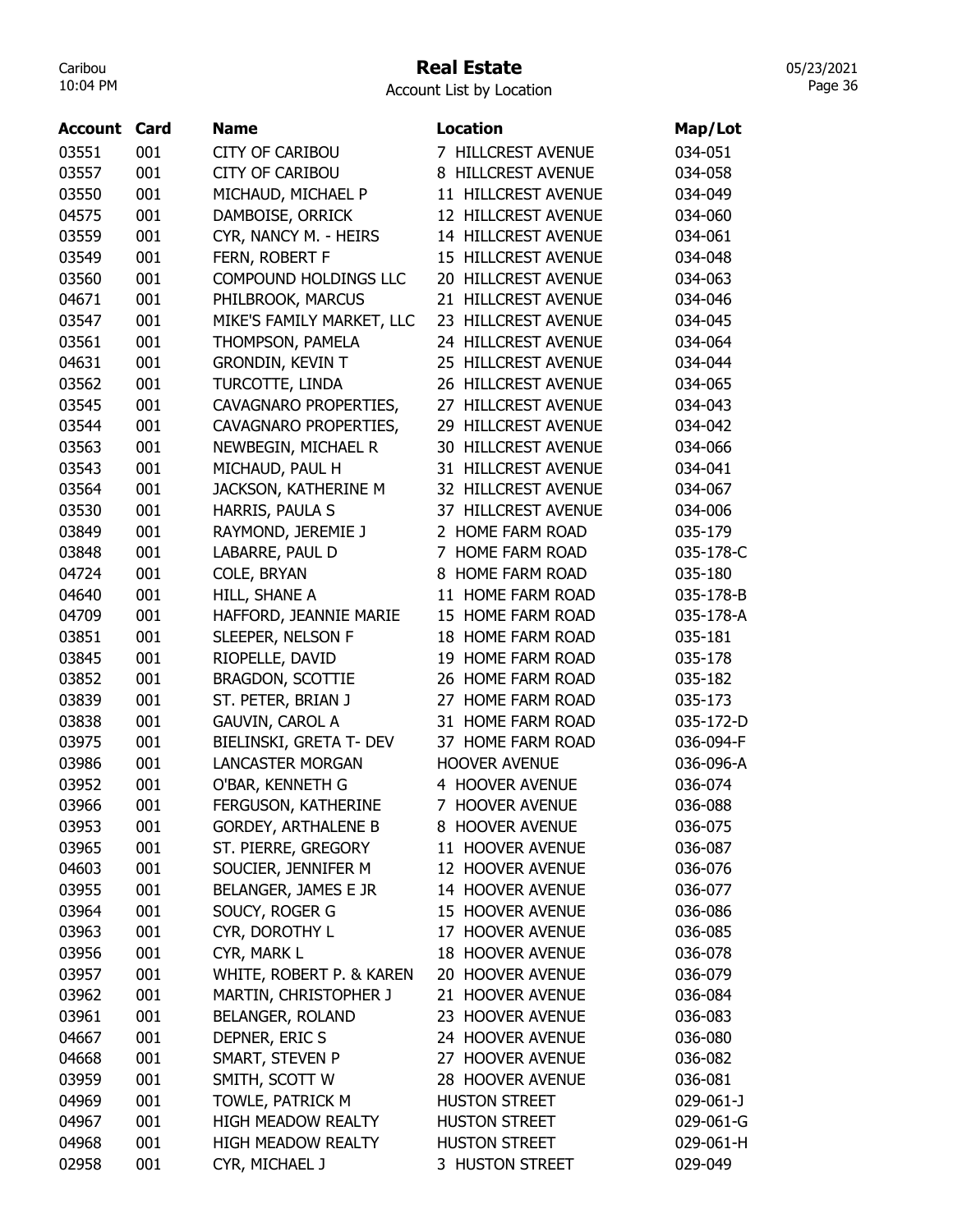## Real Estate

Account List by Location

| 03551<br>7 HILLCREST AVENUE<br>001<br><b>CITY OF CARIBOU</b><br>034-051<br>001<br><b>CITY OF CARIBOU</b><br>8 HILLCREST AVENUE<br>03557<br>034-058<br>001<br>MICHAUD, MICHAEL P<br>11 HILLCREST AVENUE<br>03550<br>034-049<br>001<br>DAMBOISE, ORRICK<br>12 HILLCREST AVENUE<br>04575<br>034-060<br>03559<br>001<br>CYR, NANCY M. - HEIRS<br>14 HILLCREST AVENUE<br>034-061<br>001<br>03549<br>FERN, ROBERT F<br>15 HILLCREST AVENUE<br>034-048<br>001<br>20 HILLCREST AVENUE<br>03560<br>COMPOUND HOLDINGS LLC<br>034-063<br>21 HILLCREST AVENUE<br>04671<br>001<br>PHILBROOK, MARCUS<br>034-046<br>03547<br>001<br>MIKE'S FAMILY MARKET, LLC<br><b>HILLCREST AVENUE</b><br>23<br>034-045<br>001<br>24 HILLCREST AVENUE<br>03561<br>THOMPSON, PAMELA<br>034-064<br>001<br><b>GRONDIN, KEVIN T</b><br>25 HILLCREST AVENUE<br>04631<br>034-044<br>001<br>TURCOTTE, LINDA<br>26 HILLCREST AVENUE<br>03562<br>034-065<br>03545<br>001<br>CAVAGNARO PROPERTIES,<br>27<br><b>HILLCREST AVENUE</b><br>034-043<br>03544<br>001<br>CAVAGNARO PROPERTIES,<br>29 HILLCREST AVENUE<br>034-042<br>03563<br>001<br>NEWBEGIN, MICHAEL R<br><b>30 HILLCREST AVENUE</b><br>034-066<br>03543<br>001<br>MICHAUD, PAUL H<br>31 HILLCREST AVENUE<br>034-041<br>03564<br>001<br>JACKSON, KATHERINE M<br>32 HILLCREST AVENUE<br>034-067<br>001<br>37 HILLCREST AVENUE<br>HARRIS, PAULA S<br>03530<br>034-006<br>001<br>RAYMOND, JEREMIE J<br>2 HOME FARM ROAD<br>03849<br>035-179<br>001<br>LABARRE, PAUL D<br>7 HOME FARM ROAD<br>03848<br>035-178-C<br>001<br>COLE, BRYAN<br>8 HOME FARM ROAD<br>04724<br>035-180<br>001<br>11 HOME FARM ROAD<br>04640<br>HILL, SHANE A<br>035-178-B<br>15 HOME FARM ROAD<br>04709<br>001<br>HAFFORD, JEANNIE MARIE<br>035-178-A<br>03851<br>001<br>SLEEPER, NELSON F<br>18 HOME FARM ROAD<br>035-181<br>03845<br>001<br>RIOPELLE, DAVID<br>19 HOME FARM ROAD<br>035-178<br>001<br>BRAGDON, SCOTTIE<br>03852<br>26 HOME FARM ROAD<br>035-182<br>001<br>ST. PETER, BRIAN J<br>27 HOME FARM ROAD<br>03839<br>035-173<br>001<br>31 HOME FARM ROAD<br>03838<br><b>GAUVIN, CAROL A</b><br>035-172-D<br>001<br>BIELINSKI, GRETA T- DEV<br>03975<br>37 HOME FARM ROAD<br>036-094-F<br>001<br><b>LANCASTER MORGAN</b><br>03986<br><b>HOOVER AVENUE</b><br>036-096-A<br>4 HOOVER AVENUE<br>03952<br>001<br>O'BAR, KENNETH G<br>036-074<br>03966<br>001<br>FERGUSON, KATHERINE<br>7 HOOVER AVENUE<br>036-088<br><b>GORDEY, ARTHALENE B</b><br>03953<br>001<br>8 HOOVER AVENUE<br>036-075<br>001<br>ST. PIERRE, GREGORY<br>11 HOOVER AVENUE<br>03965<br>036-087<br>SOUCIER, JENNIFER M<br>04603<br>001<br>12 HOOVER AVENUE<br>036-076<br>001<br>BELANGER, JAMES E JR<br>14 HOOVER AVENUE<br>03955<br>036-077<br>SOUCY, ROGER G<br>03964<br>001<br>15 HOOVER AVENUE<br>036-086<br>CYR, DOROTHY L<br>17 HOOVER AVENUE<br>03963<br>001<br>036-085<br>001<br>CYR, MARK L<br>18 HOOVER AVENUE<br>03956<br>036-078<br>001<br>WHITE, ROBERT P. & KAREN<br>03957<br>20 HOOVER AVENUE<br>036-079<br>03962<br>001<br>MARTIN, CHRISTOPHER J<br>21 HOOVER AVENUE<br>036-084<br>03961<br>BELANGER, ROLAND<br>23 HOOVER AVENUE<br>001<br>036-083<br>04667<br>24 HOOVER AVENUE<br>001<br>DEPNER, ERIC S<br>036-080<br>SMART, STEVEN P<br>04668<br>001<br>27 HOOVER AVENUE<br>036-082<br>SMITH, SCOTT W<br>03959<br>001<br>28 HOOVER AVENUE<br>036-081<br>TOWLE, PATRICK M<br><b>HUSTON STREET</b><br>04969<br>001<br>029-061-J<br>001<br>04967<br><b>HIGH MEADOW REALTY</b><br><b>HUSTON STREET</b><br>029-061-G<br>001<br>04968<br><b>HIGH MEADOW REALTY</b><br><b>HUSTON STREET</b><br>029-061-H<br>02958<br>001<br>CYR, MICHAEL J<br>3 HUSTON STREET<br>029-049 | Account | Card | <b>Name</b> | <b>Location</b> | Map/Lot |
|------------------------------------------------------------------------------------------------------------------------------------------------------------------------------------------------------------------------------------------------------------------------------------------------------------------------------------------------------------------------------------------------------------------------------------------------------------------------------------------------------------------------------------------------------------------------------------------------------------------------------------------------------------------------------------------------------------------------------------------------------------------------------------------------------------------------------------------------------------------------------------------------------------------------------------------------------------------------------------------------------------------------------------------------------------------------------------------------------------------------------------------------------------------------------------------------------------------------------------------------------------------------------------------------------------------------------------------------------------------------------------------------------------------------------------------------------------------------------------------------------------------------------------------------------------------------------------------------------------------------------------------------------------------------------------------------------------------------------------------------------------------------------------------------------------------------------------------------------------------------------------------------------------------------------------------------------------------------------------------------------------------------------------------------------------------------------------------------------------------------------------------------------------------------------------------------------------------------------------------------------------------------------------------------------------------------------------------------------------------------------------------------------------------------------------------------------------------------------------------------------------------------------------------------------------------------------------------------------------------------------------------------------------------------------------------------------------------------------------------------------------------------------------------------------------------------------------------------------------------------------------------------------------------------------------------------------------------------------------------------------------------------------------------------------------------------------------------------------------------------------------------------------------------------------------------------------------------------------------------------------------------------------------------------------------------------------------------------------------------------------------------------------------------------------------------------------------------------------------------------------------------------------------------------------------------------------------------------------------------------------------------------------|---------|------|-------------|-----------------|---------|
|                                                                                                                                                                                                                                                                                                                                                                                                                                                                                                                                                                                                                                                                                                                                                                                                                                                                                                                                                                                                                                                                                                                                                                                                                                                                                                                                                                                                                                                                                                                                                                                                                                                                                                                                                                                                                                                                                                                                                                                                                                                                                                                                                                                                                                                                                                                                                                                                                                                                                                                                                                                                                                                                                                                                                                                                                                                                                                                                                                                                                                                                                                                                                                                                                                                                                                                                                                                                                                                                                                                                                                                                                                                      |         |      |             |                 |         |
|                                                                                                                                                                                                                                                                                                                                                                                                                                                                                                                                                                                                                                                                                                                                                                                                                                                                                                                                                                                                                                                                                                                                                                                                                                                                                                                                                                                                                                                                                                                                                                                                                                                                                                                                                                                                                                                                                                                                                                                                                                                                                                                                                                                                                                                                                                                                                                                                                                                                                                                                                                                                                                                                                                                                                                                                                                                                                                                                                                                                                                                                                                                                                                                                                                                                                                                                                                                                                                                                                                                                                                                                                                                      |         |      |             |                 |         |
|                                                                                                                                                                                                                                                                                                                                                                                                                                                                                                                                                                                                                                                                                                                                                                                                                                                                                                                                                                                                                                                                                                                                                                                                                                                                                                                                                                                                                                                                                                                                                                                                                                                                                                                                                                                                                                                                                                                                                                                                                                                                                                                                                                                                                                                                                                                                                                                                                                                                                                                                                                                                                                                                                                                                                                                                                                                                                                                                                                                                                                                                                                                                                                                                                                                                                                                                                                                                                                                                                                                                                                                                                                                      |         |      |             |                 |         |
|                                                                                                                                                                                                                                                                                                                                                                                                                                                                                                                                                                                                                                                                                                                                                                                                                                                                                                                                                                                                                                                                                                                                                                                                                                                                                                                                                                                                                                                                                                                                                                                                                                                                                                                                                                                                                                                                                                                                                                                                                                                                                                                                                                                                                                                                                                                                                                                                                                                                                                                                                                                                                                                                                                                                                                                                                                                                                                                                                                                                                                                                                                                                                                                                                                                                                                                                                                                                                                                                                                                                                                                                                                                      |         |      |             |                 |         |
|                                                                                                                                                                                                                                                                                                                                                                                                                                                                                                                                                                                                                                                                                                                                                                                                                                                                                                                                                                                                                                                                                                                                                                                                                                                                                                                                                                                                                                                                                                                                                                                                                                                                                                                                                                                                                                                                                                                                                                                                                                                                                                                                                                                                                                                                                                                                                                                                                                                                                                                                                                                                                                                                                                                                                                                                                                                                                                                                                                                                                                                                                                                                                                                                                                                                                                                                                                                                                                                                                                                                                                                                                                                      |         |      |             |                 |         |
|                                                                                                                                                                                                                                                                                                                                                                                                                                                                                                                                                                                                                                                                                                                                                                                                                                                                                                                                                                                                                                                                                                                                                                                                                                                                                                                                                                                                                                                                                                                                                                                                                                                                                                                                                                                                                                                                                                                                                                                                                                                                                                                                                                                                                                                                                                                                                                                                                                                                                                                                                                                                                                                                                                                                                                                                                                                                                                                                                                                                                                                                                                                                                                                                                                                                                                                                                                                                                                                                                                                                                                                                                                                      |         |      |             |                 |         |
|                                                                                                                                                                                                                                                                                                                                                                                                                                                                                                                                                                                                                                                                                                                                                                                                                                                                                                                                                                                                                                                                                                                                                                                                                                                                                                                                                                                                                                                                                                                                                                                                                                                                                                                                                                                                                                                                                                                                                                                                                                                                                                                                                                                                                                                                                                                                                                                                                                                                                                                                                                                                                                                                                                                                                                                                                                                                                                                                                                                                                                                                                                                                                                                                                                                                                                                                                                                                                                                                                                                                                                                                                                                      |         |      |             |                 |         |
|                                                                                                                                                                                                                                                                                                                                                                                                                                                                                                                                                                                                                                                                                                                                                                                                                                                                                                                                                                                                                                                                                                                                                                                                                                                                                                                                                                                                                                                                                                                                                                                                                                                                                                                                                                                                                                                                                                                                                                                                                                                                                                                                                                                                                                                                                                                                                                                                                                                                                                                                                                                                                                                                                                                                                                                                                                                                                                                                                                                                                                                                                                                                                                                                                                                                                                                                                                                                                                                                                                                                                                                                                                                      |         |      |             |                 |         |
|                                                                                                                                                                                                                                                                                                                                                                                                                                                                                                                                                                                                                                                                                                                                                                                                                                                                                                                                                                                                                                                                                                                                                                                                                                                                                                                                                                                                                                                                                                                                                                                                                                                                                                                                                                                                                                                                                                                                                                                                                                                                                                                                                                                                                                                                                                                                                                                                                                                                                                                                                                                                                                                                                                                                                                                                                                                                                                                                                                                                                                                                                                                                                                                                                                                                                                                                                                                                                                                                                                                                                                                                                                                      |         |      |             |                 |         |
|                                                                                                                                                                                                                                                                                                                                                                                                                                                                                                                                                                                                                                                                                                                                                                                                                                                                                                                                                                                                                                                                                                                                                                                                                                                                                                                                                                                                                                                                                                                                                                                                                                                                                                                                                                                                                                                                                                                                                                                                                                                                                                                                                                                                                                                                                                                                                                                                                                                                                                                                                                                                                                                                                                                                                                                                                                                                                                                                                                                                                                                                                                                                                                                                                                                                                                                                                                                                                                                                                                                                                                                                                                                      |         |      |             |                 |         |
|                                                                                                                                                                                                                                                                                                                                                                                                                                                                                                                                                                                                                                                                                                                                                                                                                                                                                                                                                                                                                                                                                                                                                                                                                                                                                                                                                                                                                                                                                                                                                                                                                                                                                                                                                                                                                                                                                                                                                                                                                                                                                                                                                                                                                                                                                                                                                                                                                                                                                                                                                                                                                                                                                                                                                                                                                                                                                                                                                                                                                                                                                                                                                                                                                                                                                                                                                                                                                                                                                                                                                                                                                                                      |         |      |             |                 |         |
|                                                                                                                                                                                                                                                                                                                                                                                                                                                                                                                                                                                                                                                                                                                                                                                                                                                                                                                                                                                                                                                                                                                                                                                                                                                                                                                                                                                                                                                                                                                                                                                                                                                                                                                                                                                                                                                                                                                                                                                                                                                                                                                                                                                                                                                                                                                                                                                                                                                                                                                                                                                                                                                                                                                                                                                                                                                                                                                                                                                                                                                                                                                                                                                                                                                                                                                                                                                                                                                                                                                                                                                                                                                      |         |      |             |                 |         |
|                                                                                                                                                                                                                                                                                                                                                                                                                                                                                                                                                                                                                                                                                                                                                                                                                                                                                                                                                                                                                                                                                                                                                                                                                                                                                                                                                                                                                                                                                                                                                                                                                                                                                                                                                                                                                                                                                                                                                                                                                                                                                                                                                                                                                                                                                                                                                                                                                                                                                                                                                                                                                                                                                                                                                                                                                                                                                                                                                                                                                                                                                                                                                                                                                                                                                                                                                                                                                                                                                                                                                                                                                                                      |         |      |             |                 |         |
|                                                                                                                                                                                                                                                                                                                                                                                                                                                                                                                                                                                                                                                                                                                                                                                                                                                                                                                                                                                                                                                                                                                                                                                                                                                                                                                                                                                                                                                                                                                                                                                                                                                                                                                                                                                                                                                                                                                                                                                                                                                                                                                                                                                                                                                                                                                                                                                                                                                                                                                                                                                                                                                                                                                                                                                                                                                                                                                                                                                                                                                                                                                                                                                                                                                                                                                                                                                                                                                                                                                                                                                                                                                      |         |      |             |                 |         |
|                                                                                                                                                                                                                                                                                                                                                                                                                                                                                                                                                                                                                                                                                                                                                                                                                                                                                                                                                                                                                                                                                                                                                                                                                                                                                                                                                                                                                                                                                                                                                                                                                                                                                                                                                                                                                                                                                                                                                                                                                                                                                                                                                                                                                                                                                                                                                                                                                                                                                                                                                                                                                                                                                                                                                                                                                                                                                                                                                                                                                                                                                                                                                                                                                                                                                                                                                                                                                                                                                                                                                                                                                                                      |         |      |             |                 |         |
|                                                                                                                                                                                                                                                                                                                                                                                                                                                                                                                                                                                                                                                                                                                                                                                                                                                                                                                                                                                                                                                                                                                                                                                                                                                                                                                                                                                                                                                                                                                                                                                                                                                                                                                                                                                                                                                                                                                                                                                                                                                                                                                                                                                                                                                                                                                                                                                                                                                                                                                                                                                                                                                                                                                                                                                                                                                                                                                                                                                                                                                                                                                                                                                                                                                                                                                                                                                                                                                                                                                                                                                                                                                      |         |      |             |                 |         |
|                                                                                                                                                                                                                                                                                                                                                                                                                                                                                                                                                                                                                                                                                                                                                                                                                                                                                                                                                                                                                                                                                                                                                                                                                                                                                                                                                                                                                                                                                                                                                                                                                                                                                                                                                                                                                                                                                                                                                                                                                                                                                                                                                                                                                                                                                                                                                                                                                                                                                                                                                                                                                                                                                                                                                                                                                                                                                                                                                                                                                                                                                                                                                                                                                                                                                                                                                                                                                                                                                                                                                                                                                                                      |         |      |             |                 |         |
|                                                                                                                                                                                                                                                                                                                                                                                                                                                                                                                                                                                                                                                                                                                                                                                                                                                                                                                                                                                                                                                                                                                                                                                                                                                                                                                                                                                                                                                                                                                                                                                                                                                                                                                                                                                                                                                                                                                                                                                                                                                                                                                                                                                                                                                                                                                                                                                                                                                                                                                                                                                                                                                                                                                                                                                                                                                                                                                                                                                                                                                                                                                                                                                                                                                                                                                                                                                                                                                                                                                                                                                                                                                      |         |      |             |                 |         |
|                                                                                                                                                                                                                                                                                                                                                                                                                                                                                                                                                                                                                                                                                                                                                                                                                                                                                                                                                                                                                                                                                                                                                                                                                                                                                                                                                                                                                                                                                                                                                                                                                                                                                                                                                                                                                                                                                                                                                                                                                                                                                                                                                                                                                                                                                                                                                                                                                                                                                                                                                                                                                                                                                                                                                                                                                                                                                                                                                                                                                                                                                                                                                                                                                                                                                                                                                                                                                                                                                                                                                                                                                                                      |         |      |             |                 |         |
|                                                                                                                                                                                                                                                                                                                                                                                                                                                                                                                                                                                                                                                                                                                                                                                                                                                                                                                                                                                                                                                                                                                                                                                                                                                                                                                                                                                                                                                                                                                                                                                                                                                                                                                                                                                                                                                                                                                                                                                                                                                                                                                                                                                                                                                                                                                                                                                                                                                                                                                                                                                                                                                                                                                                                                                                                                                                                                                                                                                                                                                                                                                                                                                                                                                                                                                                                                                                                                                                                                                                                                                                                                                      |         |      |             |                 |         |
|                                                                                                                                                                                                                                                                                                                                                                                                                                                                                                                                                                                                                                                                                                                                                                                                                                                                                                                                                                                                                                                                                                                                                                                                                                                                                                                                                                                                                                                                                                                                                                                                                                                                                                                                                                                                                                                                                                                                                                                                                                                                                                                                                                                                                                                                                                                                                                                                                                                                                                                                                                                                                                                                                                                                                                                                                                                                                                                                                                                                                                                                                                                                                                                                                                                                                                                                                                                                                                                                                                                                                                                                                                                      |         |      |             |                 |         |
|                                                                                                                                                                                                                                                                                                                                                                                                                                                                                                                                                                                                                                                                                                                                                                                                                                                                                                                                                                                                                                                                                                                                                                                                                                                                                                                                                                                                                                                                                                                                                                                                                                                                                                                                                                                                                                                                                                                                                                                                                                                                                                                                                                                                                                                                                                                                                                                                                                                                                                                                                                                                                                                                                                                                                                                                                                                                                                                                                                                                                                                                                                                                                                                                                                                                                                                                                                                                                                                                                                                                                                                                                                                      |         |      |             |                 |         |
|                                                                                                                                                                                                                                                                                                                                                                                                                                                                                                                                                                                                                                                                                                                                                                                                                                                                                                                                                                                                                                                                                                                                                                                                                                                                                                                                                                                                                                                                                                                                                                                                                                                                                                                                                                                                                                                                                                                                                                                                                                                                                                                                                                                                                                                                                                                                                                                                                                                                                                                                                                                                                                                                                                                                                                                                                                                                                                                                                                                                                                                                                                                                                                                                                                                                                                                                                                                                                                                                                                                                                                                                                                                      |         |      |             |                 |         |
|                                                                                                                                                                                                                                                                                                                                                                                                                                                                                                                                                                                                                                                                                                                                                                                                                                                                                                                                                                                                                                                                                                                                                                                                                                                                                                                                                                                                                                                                                                                                                                                                                                                                                                                                                                                                                                                                                                                                                                                                                                                                                                                                                                                                                                                                                                                                                                                                                                                                                                                                                                                                                                                                                                                                                                                                                                                                                                                                                                                                                                                                                                                                                                                                                                                                                                                                                                                                                                                                                                                                                                                                                                                      |         |      |             |                 |         |
|                                                                                                                                                                                                                                                                                                                                                                                                                                                                                                                                                                                                                                                                                                                                                                                                                                                                                                                                                                                                                                                                                                                                                                                                                                                                                                                                                                                                                                                                                                                                                                                                                                                                                                                                                                                                                                                                                                                                                                                                                                                                                                                                                                                                                                                                                                                                                                                                                                                                                                                                                                                                                                                                                                                                                                                                                                                                                                                                                                                                                                                                                                                                                                                                                                                                                                                                                                                                                                                                                                                                                                                                                                                      |         |      |             |                 |         |
|                                                                                                                                                                                                                                                                                                                                                                                                                                                                                                                                                                                                                                                                                                                                                                                                                                                                                                                                                                                                                                                                                                                                                                                                                                                                                                                                                                                                                                                                                                                                                                                                                                                                                                                                                                                                                                                                                                                                                                                                                                                                                                                                                                                                                                                                                                                                                                                                                                                                                                                                                                                                                                                                                                                                                                                                                                                                                                                                                                                                                                                                                                                                                                                                                                                                                                                                                                                                                                                                                                                                                                                                                                                      |         |      |             |                 |         |
|                                                                                                                                                                                                                                                                                                                                                                                                                                                                                                                                                                                                                                                                                                                                                                                                                                                                                                                                                                                                                                                                                                                                                                                                                                                                                                                                                                                                                                                                                                                                                                                                                                                                                                                                                                                                                                                                                                                                                                                                                                                                                                                                                                                                                                                                                                                                                                                                                                                                                                                                                                                                                                                                                                                                                                                                                                                                                                                                                                                                                                                                                                                                                                                                                                                                                                                                                                                                                                                                                                                                                                                                                                                      |         |      |             |                 |         |
|                                                                                                                                                                                                                                                                                                                                                                                                                                                                                                                                                                                                                                                                                                                                                                                                                                                                                                                                                                                                                                                                                                                                                                                                                                                                                                                                                                                                                                                                                                                                                                                                                                                                                                                                                                                                                                                                                                                                                                                                                                                                                                                                                                                                                                                                                                                                                                                                                                                                                                                                                                                                                                                                                                                                                                                                                                                                                                                                                                                                                                                                                                                                                                                                                                                                                                                                                                                                                                                                                                                                                                                                                                                      |         |      |             |                 |         |
|                                                                                                                                                                                                                                                                                                                                                                                                                                                                                                                                                                                                                                                                                                                                                                                                                                                                                                                                                                                                                                                                                                                                                                                                                                                                                                                                                                                                                                                                                                                                                                                                                                                                                                                                                                                                                                                                                                                                                                                                                                                                                                                                                                                                                                                                                                                                                                                                                                                                                                                                                                                                                                                                                                                                                                                                                                                                                                                                                                                                                                                                                                                                                                                                                                                                                                                                                                                                                                                                                                                                                                                                                                                      |         |      |             |                 |         |
|                                                                                                                                                                                                                                                                                                                                                                                                                                                                                                                                                                                                                                                                                                                                                                                                                                                                                                                                                                                                                                                                                                                                                                                                                                                                                                                                                                                                                                                                                                                                                                                                                                                                                                                                                                                                                                                                                                                                                                                                                                                                                                                                                                                                                                                                                                                                                                                                                                                                                                                                                                                                                                                                                                                                                                                                                                                                                                                                                                                                                                                                                                                                                                                                                                                                                                                                                                                                                                                                                                                                                                                                                                                      |         |      |             |                 |         |
|                                                                                                                                                                                                                                                                                                                                                                                                                                                                                                                                                                                                                                                                                                                                                                                                                                                                                                                                                                                                                                                                                                                                                                                                                                                                                                                                                                                                                                                                                                                                                                                                                                                                                                                                                                                                                                                                                                                                                                                                                                                                                                                                                                                                                                                                                                                                                                                                                                                                                                                                                                                                                                                                                                                                                                                                                                                                                                                                                                                                                                                                                                                                                                                                                                                                                                                                                                                                                                                                                                                                                                                                                                                      |         |      |             |                 |         |
|                                                                                                                                                                                                                                                                                                                                                                                                                                                                                                                                                                                                                                                                                                                                                                                                                                                                                                                                                                                                                                                                                                                                                                                                                                                                                                                                                                                                                                                                                                                                                                                                                                                                                                                                                                                                                                                                                                                                                                                                                                                                                                                                                                                                                                                                                                                                                                                                                                                                                                                                                                                                                                                                                                                                                                                                                                                                                                                                                                                                                                                                                                                                                                                                                                                                                                                                                                                                                                                                                                                                                                                                                                                      |         |      |             |                 |         |
|                                                                                                                                                                                                                                                                                                                                                                                                                                                                                                                                                                                                                                                                                                                                                                                                                                                                                                                                                                                                                                                                                                                                                                                                                                                                                                                                                                                                                                                                                                                                                                                                                                                                                                                                                                                                                                                                                                                                                                                                                                                                                                                                                                                                                                                                                                                                                                                                                                                                                                                                                                                                                                                                                                                                                                                                                                                                                                                                                                                                                                                                                                                                                                                                                                                                                                                                                                                                                                                                                                                                                                                                                                                      |         |      |             |                 |         |
|                                                                                                                                                                                                                                                                                                                                                                                                                                                                                                                                                                                                                                                                                                                                                                                                                                                                                                                                                                                                                                                                                                                                                                                                                                                                                                                                                                                                                                                                                                                                                                                                                                                                                                                                                                                                                                                                                                                                                                                                                                                                                                                                                                                                                                                                                                                                                                                                                                                                                                                                                                                                                                                                                                                                                                                                                                                                                                                                                                                                                                                                                                                                                                                                                                                                                                                                                                                                                                                                                                                                                                                                                                                      |         |      |             |                 |         |
|                                                                                                                                                                                                                                                                                                                                                                                                                                                                                                                                                                                                                                                                                                                                                                                                                                                                                                                                                                                                                                                                                                                                                                                                                                                                                                                                                                                                                                                                                                                                                                                                                                                                                                                                                                                                                                                                                                                                                                                                                                                                                                                                                                                                                                                                                                                                                                                                                                                                                                                                                                                                                                                                                                                                                                                                                                                                                                                                                                                                                                                                                                                                                                                                                                                                                                                                                                                                                                                                                                                                                                                                                                                      |         |      |             |                 |         |
|                                                                                                                                                                                                                                                                                                                                                                                                                                                                                                                                                                                                                                                                                                                                                                                                                                                                                                                                                                                                                                                                                                                                                                                                                                                                                                                                                                                                                                                                                                                                                                                                                                                                                                                                                                                                                                                                                                                                                                                                                                                                                                                                                                                                                                                                                                                                                                                                                                                                                                                                                                                                                                                                                                                                                                                                                                                                                                                                                                                                                                                                                                                                                                                                                                                                                                                                                                                                                                                                                                                                                                                                                                                      |         |      |             |                 |         |
|                                                                                                                                                                                                                                                                                                                                                                                                                                                                                                                                                                                                                                                                                                                                                                                                                                                                                                                                                                                                                                                                                                                                                                                                                                                                                                                                                                                                                                                                                                                                                                                                                                                                                                                                                                                                                                                                                                                                                                                                                                                                                                                                                                                                                                                                                                                                                                                                                                                                                                                                                                                                                                                                                                                                                                                                                                                                                                                                                                                                                                                                                                                                                                                                                                                                                                                                                                                                                                                                                                                                                                                                                                                      |         |      |             |                 |         |
|                                                                                                                                                                                                                                                                                                                                                                                                                                                                                                                                                                                                                                                                                                                                                                                                                                                                                                                                                                                                                                                                                                                                                                                                                                                                                                                                                                                                                                                                                                                                                                                                                                                                                                                                                                                                                                                                                                                                                                                                                                                                                                                                                                                                                                                                                                                                                                                                                                                                                                                                                                                                                                                                                                                                                                                                                                                                                                                                                                                                                                                                                                                                                                                                                                                                                                                                                                                                                                                                                                                                                                                                                                                      |         |      |             |                 |         |
|                                                                                                                                                                                                                                                                                                                                                                                                                                                                                                                                                                                                                                                                                                                                                                                                                                                                                                                                                                                                                                                                                                                                                                                                                                                                                                                                                                                                                                                                                                                                                                                                                                                                                                                                                                                                                                                                                                                                                                                                                                                                                                                                                                                                                                                                                                                                                                                                                                                                                                                                                                                                                                                                                                                                                                                                                                                                                                                                                                                                                                                                                                                                                                                                                                                                                                                                                                                                                                                                                                                                                                                                                                                      |         |      |             |                 |         |
|                                                                                                                                                                                                                                                                                                                                                                                                                                                                                                                                                                                                                                                                                                                                                                                                                                                                                                                                                                                                                                                                                                                                                                                                                                                                                                                                                                                                                                                                                                                                                                                                                                                                                                                                                                                                                                                                                                                                                                                                                                                                                                                                                                                                                                                                                                                                                                                                                                                                                                                                                                                                                                                                                                                                                                                                                                                                                                                                                                                                                                                                                                                                                                                                                                                                                                                                                                                                                                                                                                                                                                                                                                                      |         |      |             |                 |         |
|                                                                                                                                                                                                                                                                                                                                                                                                                                                                                                                                                                                                                                                                                                                                                                                                                                                                                                                                                                                                                                                                                                                                                                                                                                                                                                                                                                                                                                                                                                                                                                                                                                                                                                                                                                                                                                                                                                                                                                                                                                                                                                                                                                                                                                                                                                                                                                                                                                                                                                                                                                                                                                                                                                                                                                                                                                                                                                                                                                                                                                                                                                                                                                                                                                                                                                                                                                                                                                                                                                                                                                                                                                                      |         |      |             |                 |         |
|                                                                                                                                                                                                                                                                                                                                                                                                                                                                                                                                                                                                                                                                                                                                                                                                                                                                                                                                                                                                                                                                                                                                                                                                                                                                                                                                                                                                                                                                                                                                                                                                                                                                                                                                                                                                                                                                                                                                                                                                                                                                                                                                                                                                                                                                                                                                                                                                                                                                                                                                                                                                                                                                                                                                                                                                                                                                                                                                                                                                                                                                                                                                                                                                                                                                                                                                                                                                                                                                                                                                                                                                                                                      |         |      |             |                 |         |
|                                                                                                                                                                                                                                                                                                                                                                                                                                                                                                                                                                                                                                                                                                                                                                                                                                                                                                                                                                                                                                                                                                                                                                                                                                                                                                                                                                                                                                                                                                                                                                                                                                                                                                                                                                                                                                                                                                                                                                                                                                                                                                                                                                                                                                                                                                                                                                                                                                                                                                                                                                                                                                                                                                                                                                                                                                                                                                                                                                                                                                                                                                                                                                                                                                                                                                                                                                                                                                                                                                                                                                                                                                                      |         |      |             |                 |         |
|                                                                                                                                                                                                                                                                                                                                                                                                                                                                                                                                                                                                                                                                                                                                                                                                                                                                                                                                                                                                                                                                                                                                                                                                                                                                                                                                                                                                                                                                                                                                                                                                                                                                                                                                                                                                                                                                                                                                                                                                                                                                                                                                                                                                                                                                                                                                                                                                                                                                                                                                                                                                                                                                                                                                                                                                                                                                                                                                                                                                                                                                                                                                                                                                                                                                                                                                                                                                                                                                                                                                                                                                                                                      |         |      |             |                 |         |
|                                                                                                                                                                                                                                                                                                                                                                                                                                                                                                                                                                                                                                                                                                                                                                                                                                                                                                                                                                                                                                                                                                                                                                                                                                                                                                                                                                                                                                                                                                                                                                                                                                                                                                                                                                                                                                                                                                                                                                                                                                                                                                                                                                                                                                                                                                                                                                                                                                                                                                                                                                                                                                                                                                                                                                                                                                                                                                                                                                                                                                                                                                                                                                                                                                                                                                                                                                                                                                                                                                                                                                                                                                                      |         |      |             |                 |         |
|                                                                                                                                                                                                                                                                                                                                                                                                                                                                                                                                                                                                                                                                                                                                                                                                                                                                                                                                                                                                                                                                                                                                                                                                                                                                                                                                                                                                                                                                                                                                                                                                                                                                                                                                                                                                                                                                                                                                                                                                                                                                                                                                                                                                                                                                                                                                                                                                                                                                                                                                                                                                                                                                                                                                                                                                                                                                                                                                                                                                                                                                                                                                                                                                                                                                                                                                                                                                                                                                                                                                                                                                                                                      |         |      |             |                 |         |
|                                                                                                                                                                                                                                                                                                                                                                                                                                                                                                                                                                                                                                                                                                                                                                                                                                                                                                                                                                                                                                                                                                                                                                                                                                                                                                                                                                                                                                                                                                                                                                                                                                                                                                                                                                                                                                                                                                                                                                                                                                                                                                                                                                                                                                                                                                                                                                                                                                                                                                                                                                                                                                                                                                                                                                                                                                                                                                                                                                                                                                                                                                                                                                                                                                                                                                                                                                                                                                                                                                                                                                                                                                                      |         |      |             |                 |         |
|                                                                                                                                                                                                                                                                                                                                                                                                                                                                                                                                                                                                                                                                                                                                                                                                                                                                                                                                                                                                                                                                                                                                                                                                                                                                                                                                                                                                                                                                                                                                                                                                                                                                                                                                                                                                                                                                                                                                                                                                                                                                                                                                                                                                                                                                                                                                                                                                                                                                                                                                                                                                                                                                                                                                                                                                                                                                                                                                                                                                                                                                                                                                                                                                                                                                                                                                                                                                                                                                                                                                                                                                                                                      |         |      |             |                 |         |
|                                                                                                                                                                                                                                                                                                                                                                                                                                                                                                                                                                                                                                                                                                                                                                                                                                                                                                                                                                                                                                                                                                                                                                                                                                                                                                                                                                                                                                                                                                                                                                                                                                                                                                                                                                                                                                                                                                                                                                                                                                                                                                                                                                                                                                                                                                                                                                                                                                                                                                                                                                                                                                                                                                                                                                                                                                                                                                                                                                                                                                                                                                                                                                                                                                                                                                                                                                                                                                                                                                                                                                                                                                                      |         |      |             |                 |         |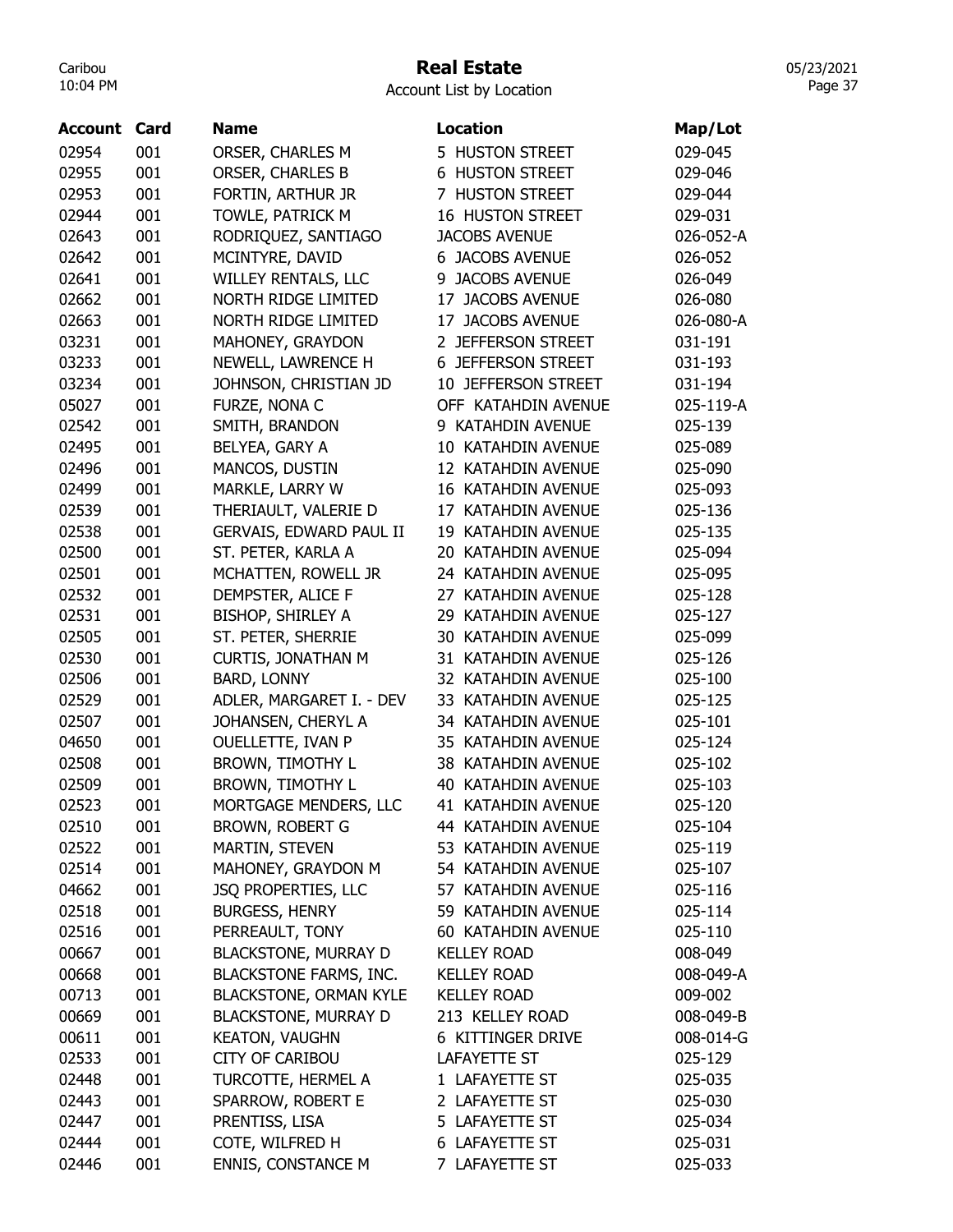## Real Estate

Account List by Location

| <b>Account Card</b> |     | <b>Name</b>                   | <b>Location</b>            | Map/Lot   |
|---------------------|-----|-------------------------------|----------------------------|-----------|
| 02954               | 001 | ORSER, CHARLES M              | 5 HUSTON STREET            | 029-045   |
| 02955               | 001 | <b>ORSER, CHARLES B</b>       | <b>6 HUSTON STREET</b>     | 029-046   |
| 02953               | 001 | FORTIN, ARTHUR JR             | 7 HUSTON STREET            | 029-044   |
| 02944               | 001 | TOWLE, PATRICK M              | <b>16 HUSTON STREET</b>    | 029-031   |
| 02643               | 001 | RODRIQUEZ, SANTIAGO           | <b>JACOBS AVENUE</b>       | 026-052-A |
| 02642               | 001 | MCINTYRE, DAVID               | <b>6 JACOBS AVENUE</b>     | 026-052   |
| 02641               | 001 | WILLEY RENTALS, LLC           | 9 JACOBS AVENUE            | 026-049   |
| 02662               | 001 | NORTH RIDGE LIMITED           | 17 JACOBS AVENUE           | 026-080   |
| 02663               | 001 | NORTH RIDGE LIMITED           | 17 JACOBS AVENUE           | 026-080-A |
| 03231               | 001 | MAHONEY, GRAYDON              | 2 JEFFERSON STREET         | 031-191   |
| 03233               | 001 | NEWELL, LAWRENCE H            | <b>6 JEFFERSON STREET</b>  | 031-193   |
| 03234               | 001 | JOHNSON, CHRISTIAN JD         | <b>10 JEFFERSON STREET</b> | 031-194   |
| 05027               | 001 | FURZE, NONA C                 | OFF KATAHDIN AVENUE        | 025-119-A |
| 02542               | 001 | SMITH, BRANDON                | 9 KATAHDIN AVENUE          | 025-139   |
| 02495               | 001 | BELYEA, GARY A                | 10 KATAHDIN AVENUE         | 025-089   |
| 02496               | 001 | MANCOS, DUSTIN                | 12 KATAHDIN AVENUE         | 025-090   |
| 02499               | 001 | MARKLE, LARRY W               | 16 KATAHDIN AVENUE         | 025-093   |
| 02539               | 001 | THERIAULT, VALERIE D          | 17 KATAHDIN AVENUE         | 025-136   |
| 02538               | 001 | GERVAIS, EDWARD PAUL II       | 19 KATAHDIN AVENUE         | 025-135   |
| 02500               | 001 | ST. PETER, KARLA A            | 20 KATAHDIN AVENUE         | 025-094   |
| 02501               | 001 | MCHATTEN, ROWELL JR           | 24 KATAHDIN AVENUE         | 025-095   |
| 02532               | 001 | DEMPSTER, ALICE F             | 27 KATAHDIN AVENUE         | 025-128   |
| 02531               | 001 | <b>BISHOP, SHIRLEY A</b>      | 29 KATAHDIN AVENUE         | 025-127   |
| 02505               | 001 | ST. PETER, SHERRIE            | 30 KATAHDIN AVENUE         | 025-099   |
| 02530               | 001 | <b>CURTIS, JONATHAN M</b>     | 31 KATAHDIN AVENUE         | 025-126   |
| 02506               | 001 | <b>BARD, LONNY</b>            | 32 KATAHDIN AVENUE         | 025-100   |
| 02529               | 001 | ADLER, MARGARET I. - DEV      | 33 KATAHDIN AVENUE         | 025-125   |
| 02507               | 001 | JOHANSEN, CHERYL A            | 34 KATAHDIN AVENUE         | 025-101   |
| 04650               | 001 | OUELLETTE, IVAN P             | 35 KATAHDIN AVENUE         | 025-124   |
| 02508               | 001 | <b>BROWN, TIMOTHY L</b>       | 38 KATAHDIN AVENUE         | 025-102   |
| 02509               | 001 | <b>BROWN, TIMOTHY L</b>       | 40 KATAHDIN AVENUE         | 025-103   |
| 02523               | 001 | MORTGAGE MENDERS, LLC         | 41 KATAHDIN AVENUE         | 025-120   |
| 02510               | 001 | <b>BROWN, ROBERT G</b>        | 44 KATAHDIN AVENUE         | 025-104   |
| 02522               | 001 | MARTIN, STEVEN                | 53 KATAHDIN AVENUE         | 025-119   |
| 02514               | 001 | MAHONEY, GRAYDON M            | 54 KATAHDIN AVENUE         | 025-107   |
| 04662               | 001 | <b>JSQ PROPERTIES, LLC</b>    | 57 KATAHDIN AVENUE         | 025-116   |
| 02518               | 001 | <b>BURGESS, HENRY</b>         | 59 KATAHDIN AVENUE         | 025-114   |
| 02516               | 001 | PERREAULT, TONY               | 60 KATAHDIN AVENUE         | 025-110   |
| 00667               | 001 | <b>BLACKSTONE, MURRAY D</b>   | <b>KELLEY ROAD</b>         | 008-049   |
| 00668               | 001 | <b>BLACKSTONE FARMS, INC.</b> | <b>KELLEY ROAD</b>         | 008-049-A |
| 00713               | 001 | <b>BLACKSTONE, ORMAN KYLE</b> | <b>KELLEY ROAD</b>         | 009-002   |
| 00669               | 001 | <b>BLACKSTONE, MURRAY D</b>   | 213 KELLEY ROAD            | 008-049-B |
| 00611               | 001 | <b>KEATON, VAUGHN</b>         | 6 KITTINGER DRIVE          | 008-014-G |
| 02533               | 001 | <b>CITY OF CARIBOU</b>        | <b>LAFAYETTE ST</b>        | 025-129   |
| 02448               | 001 | TURCOTTE, HERMEL A            | 1 LAFAYETTE ST             | 025-035   |
| 02443               | 001 | SPARROW, ROBERT E             | 2 LAFAYETTE ST             | 025-030   |
| 02447               | 001 | PRENTISS, LISA                | 5 LAFAYETTE ST             | 025-034   |
| 02444               | 001 | COTE, WILFRED H               | 6 LAFAYETTE ST             | 025-031   |
| 02446               | 001 | ENNIS, CONSTANCE M            | 7 LAFAYETTE ST             | 025-033   |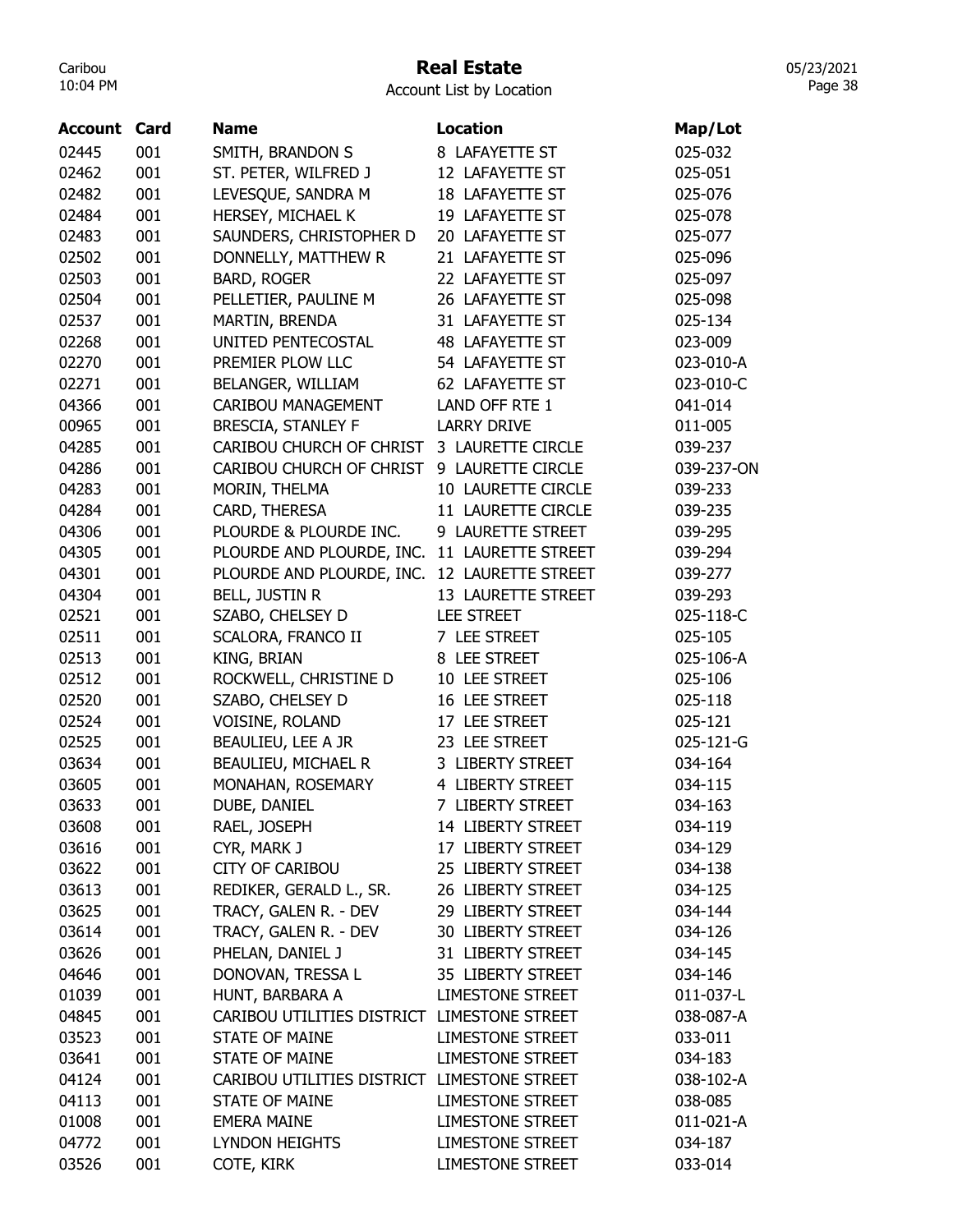## Real Estate

Account List by Location

| <b>Account Card</b> |     | <b>Name</b>                                 | <b>Location</b>         | Map/Lot    |
|---------------------|-----|---------------------------------------------|-------------------------|------------|
| 02445               | 001 | SMITH, BRANDON S                            | 8 LAFAYETTE ST          | 025-032    |
| 02462               | 001 | ST. PETER, WILFRED J                        | 12 LAFAYETTE ST         | 025-051    |
| 02482               | 001 | LEVESQUE, SANDRA M                          | 18 LAFAYETTE ST         | 025-076    |
| 02484               | 001 | HERSEY, MICHAEL K                           | 19 LAFAYETTE ST         | 025-078    |
| 02483               | 001 | SAUNDERS, CHRISTOPHER D                     | 20 LAFAYETTE ST         | 025-077    |
| 02502               | 001 | DONNELLY, MATTHEW R                         | 21 LAFAYETTE ST         | 025-096    |
| 02503               | 001 | <b>BARD, ROGER</b>                          | 22 LAFAYETTE ST         | 025-097    |
| 02504               | 001 | PELLETIER, PAULINE M                        | 26 LAFAYETTE ST         | 025-098    |
| 02537               | 001 | MARTIN, BRENDA                              | 31 LAFAYETTE ST         | 025-134    |
| 02268               | 001 | UNITED PENTECOSTAL                          | 48 LAFAYETTE ST         | 023-009    |
| 02270               | 001 | PREMIER PLOW LLC                            | 54 LAFAYETTE ST         | 023-010-A  |
| 02271               | 001 | BELANGER, WILLIAM                           | 62 LAFAYETTE ST         | 023-010-C  |
| 04366               | 001 | CARIBOU MANAGEMENT                          | LAND OFF RTE 1          | 041-014    |
| 00965               | 001 | <b>BRESCIA, STANLEY F</b>                   | <b>LARRY DRIVE</b>      | 011-005    |
| 04285               | 001 | CARIBOU CHURCH OF CHRIST 3 LAURETTE CIRCLE  |                         | 039-237    |
| 04286               | 001 | CARIBOU CHURCH OF CHRIST                    | 9 LAURETTE CIRCLE       | 039-237-ON |
| 04283               | 001 | MORIN, THELMA                               | 10 LAURETTE CIRCLE      | 039-233    |
| 04284               | 001 | CARD, THERESA                               | 11 LAURETTE CIRCLE      | 039-235    |
| 04306               | 001 | PLOURDE & PLOURDE INC.                      | 9 LAURETTE STREET       | 039-295    |
| 04305               | 001 | PLOURDE AND PLOURDE, INC.                   | 11 LAURETTE STREET      | 039-294    |
| 04301               | 001 | PLOURDE AND PLOURDE, INC.                   | 12 LAURETTE STREET      | 039-277    |
| 04304               | 001 | BELL, JUSTIN R                              | 13 LAURETTE STREET      | 039-293    |
| 02521               | 001 | SZABO, CHELSEY D                            | <b>LEE STREET</b>       | 025-118-C  |
| 02511               | 001 | SCALORA, FRANCO II                          | 7 LEE STREET            | 025-105    |
| 02513               | 001 | KING, BRIAN                                 | 8 LEE STREET            | 025-106-A  |
| 02512               | 001 | ROCKWELL, CHRISTINE D                       | 10 LEE STREET           | 025-106    |
| 02520               | 001 | SZABO, CHELSEY D                            | 16 LEE STREET           | 025-118    |
| 02524               | 001 | VOISINE, ROLAND                             | 17 LEE STREET           | 025-121    |
| 02525               | 001 | BEAULIEU, LEE A JR                          | 23 LEE STREET           | 025-121-G  |
| 03634               | 001 | BEAULIEU, MICHAEL R                         | 3 LIBERTY STREET        | 034-164    |
| 03605               | 001 | MONAHAN, ROSEMARY                           | 4 LIBERTY STREET        | 034-115    |
| 03633               | 001 | DUBE, DANIEL                                | 7 LIBERTY STREET        | 034-163    |
| 03608               | 001 | RAEL, JOSEPH                                | 14 LIBERTY STREET       | 034-119    |
| 03616               | 001 | CYR, MARK J                                 | 17 LIBERTY STREET       | 034-129    |
| 03622               | 001 | <b>CITY OF CARIBOU</b>                      | 25 LIBERTY STREET       | 034-138    |
| 03613               | 001 | REDIKER, GERALD L., SR.                     | 26 LIBERTY STREET       | 034-125    |
| 03625               | 001 | TRACY, GALEN R. - DEV                       | 29 LIBERTY STREET       | 034-144    |
| 03614               | 001 | TRACY, GALEN R. - DEV                       | 30 LIBERTY STREET       | 034-126    |
| 03626               | 001 | PHELAN, DANIEL J                            | 31 LIBERTY STREET       | 034-145    |
| 04646               | 001 | DONOVAN, TRESSA L                           | 35 LIBERTY STREET       | 034-146    |
| 01039               | 001 | HUNT, BARBARA A                             | <b>LIMESTONE STREET</b> | 011-037-L  |
| 04845               | 001 | CARIBOU UTILITIES DISTRICT LIMESTONE STREET |                         | 038-087-A  |
| 03523               | 001 | <b>STATE OF MAINE</b>                       | <b>LIMESTONE STREET</b> | 033-011    |
| 03641               | 001 | <b>STATE OF MAINE</b>                       | <b>LIMESTONE STREET</b> | 034-183    |
| 04124               | 001 | CARIBOU UTILITIES DISTRICT LIMESTONE STREET |                         | 038-102-A  |
| 04113               | 001 | <b>STATE OF MAINE</b>                       | <b>LIMESTONE STREET</b> | 038-085    |
| 01008               | 001 | <b>EMERA MAINE</b>                          | <b>LIMESTONE STREET</b> | 011-021-A  |
| 04772               | 001 | <b>LYNDON HEIGHTS</b>                       | <b>LIMESTONE STREET</b> | 034-187    |
| 03526               | 001 | COTE, KIRK                                  | LIMESTONE STREET        | 033-014    |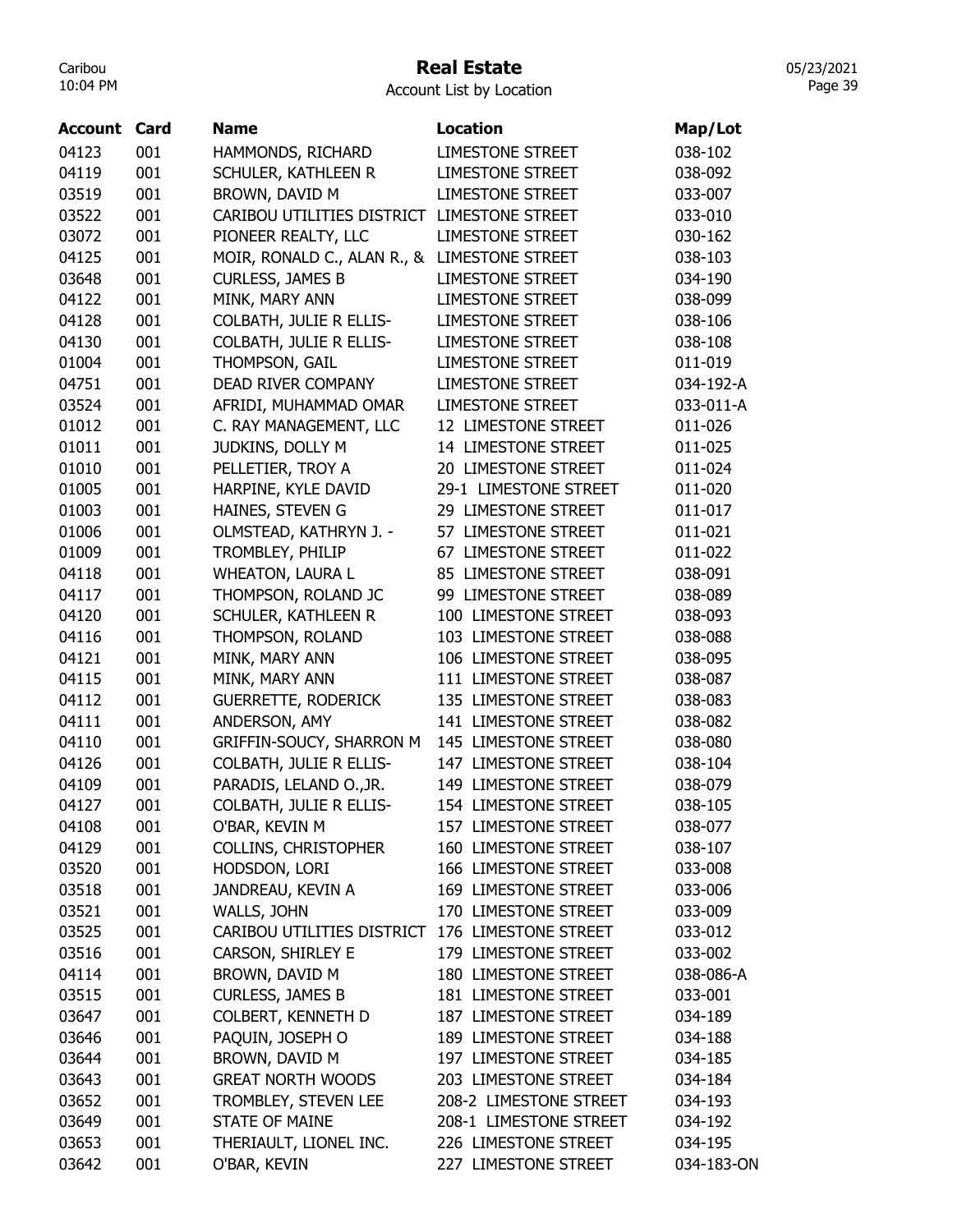# Real Estate

05/23/2021 Page 39

| <b>Account Card</b> |     | <b>Name</b>                 | <b>Location</b>         | Map/Lot    |
|---------------------|-----|-----------------------------|-------------------------|------------|
| 04123               | 001 | HAMMONDS, RICHARD           | <b>LIMESTONE STREET</b> | 038-102    |
| 04119               | 001 | SCHULER, KATHLEEN R         | <b>LIMESTONE STREET</b> | 038-092    |
| 03519               | 001 | BROWN, DAVID M              | <b>LIMESTONE STREET</b> | 033-007    |
| 03522               | 001 | CARIBOU UTILITIES DISTRICT  | <b>LIMESTONE STREET</b> | 033-010    |
| 03072               | 001 | PIONEER REALTY, LLC         | <b>LIMESTONE STREET</b> | 030-162    |
| 04125               | 001 | MOIR, RONALD C., ALAN R., & | <b>LIMESTONE STREET</b> | 038-103    |
| 03648               | 001 | <b>CURLESS, JAMES B</b>     | <b>LIMESTONE STREET</b> | 034-190    |
| 04122               | 001 | MINK, MARY ANN              | <b>LIMESTONE STREET</b> | 038-099    |
| 04128               | 001 | COLBATH, JULIE R ELLIS-     | <b>LIMESTONE STREET</b> | 038-106    |
| 04130               | 001 | COLBATH, JULIE R ELLIS-     | <b>LIMESTONE STREET</b> | 038-108    |
| 01004               | 001 | THOMPSON, GAIL              | <b>LIMESTONE STREET</b> | 011-019    |
| 04751               | 001 | DEAD RIVER COMPANY          | <b>LIMESTONE STREET</b> | 034-192-A  |
| 03524               | 001 | AFRIDI, MUHAMMAD OMAR       | <b>LIMESTONE STREET</b> | 033-011-A  |
| 01012               | 001 | C. RAY MANAGEMENT, LLC      | 12 LIMESTONE STREET     | 011-026    |
| 01011               | 001 | JUDKINS, DOLLY M            | 14 LIMESTONE STREET     | 011-025    |
| 01010               | 001 | PELLETIER, TROY A           | 20 LIMESTONE STREET     | 011-024    |
| 01005               | 001 | HARPINE, KYLE DAVID         | 29-1 LIMESTONE STREET   | 011-020    |
| 01003               | 001 | HAINES, STEVEN G            | 29 LIMESTONE STREET     | 011-017    |
| 01006               | 001 | OLMSTEAD, KATHRYN J. -      | 57 LIMESTONE STREET     | 011-021    |
| 01009               | 001 | TROMBLEY, PHILIP            | 67 LIMESTONE STREET     | 011-022    |
| 04118               | 001 | <b>WHEATON, LAURA L</b>     | 85 LIMESTONE STREET     | 038-091    |
| 04117               | 001 | THOMPSON, ROLAND JC         | 99 LIMESTONE STREET     | 038-089    |
| 04120               | 001 | SCHULER, KATHLEEN R         | 100 LIMESTONE STREET    | 038-093    |
| 04116               | 001 | THOMPSON, ROLAND            | 103 LIMESTONE STREET    | 038-088    |
| 04121               | 001 | MINK, MARY ANN              | 106 LIMESTONE STREET    | 038-095    |
| 04115               | 001 | MINK, MARY ANN              | 111 LIMESTONE STREET    | 038-087    |
| 04112               | 001 | <b>GUERRETTE, RODERICK</b>  | 135 LIMESTONE STREET    | 038-083    |
| 04111               | 001 | ANDERSON, AMY               | 141 LIMESTONE STREET    | 038-082    |
| 04110               | 001 | GRIFFIN-SOUCY, SHARRON M    | 145 LIMESTONE STREET    | 038-080    |
| 04126               | 001 | COLBATH, JULIE R ELLIS-     | 147 LIMESTONE STREET    | 038-104    |
| 04109               | 001 | PARADIS, LELAND O., JR.     | 149 LIMESTONE STREET    | 038-079    |
| 04127               | 001 | COLBATH, JULIE R ELLIS-     | 154 LIMESTONE STREET    | 038-105    |
| 04108               | 001 | O'BAR, KEVIN M              | 157 LIMESTONE STREET    | 038-077    |
| 04129               | 001 | <b>COLLINS, CHRISTOPHER</b> | 160 LIMESTONE STREET    | 038-107    |
| 03520               | 001 | HODSDON, LORI               | 166 LIMESTONE STREET    | 033-008    |
| 03518               | 001 | JANDREAU, KEVIN A           | 169 LIMESTONE STREET    | 033-006    |
| 03521               | 001 | WALLS, JOHN                 | 170 LIMESTONE STREET    | 033-009    |
| 03525               | 001 | CARIBOU UTILITIES DISTRICT  | 176 LIMESTONE STREET    | 033-012    |
| 03516               | 001 | CARSON, SHIRLEY E           | 179 LIMESTONE STREET    | 033-002    |
| 04114               | 001 | BROWN, DAVID M              | 180 LIMESTONE STREET    | 038-086-A  |
| 03515               | 001 | <b>CURLESS, JAMES B</b>     | 181 LIMESTONE STREET    | 033-001    |
| 03647               | 001 | COLBERT, KENNETH D          | 187 LIMESTONE STREET    | 034-189    |
| 03646               | 001 | PAQUIN, JOSEPH O            | 189 LIMESTONE STREET    | 034-188    |
| 03644               | 001 | BROWN, DAVID M              | 197 LIMESTONE STREET    | 034-185    |
| 03643               | 001 | <b>GREAT NORTH WOODS</b>    | 203 LIMESTONE STREET    | 034-184    |
| 03652               | 001 | TROMBLEY, STEVEN LEE        | 208-2 LIMESTONE STREET  | 034-193    |
| 03649               | 001 | <b>STATE OF MAINE</b>       | 208-1 LIMESTONE STREET  | 034-192    |
| 03653               | 001 | THERIAULT, LIONEL INC.      | 226 LIMESTONE STREET    | 034-195    |
| 03642               | 001 | O'BAR, KEVIN                | 227 LIMESTONE STREET    | 034-183-ON |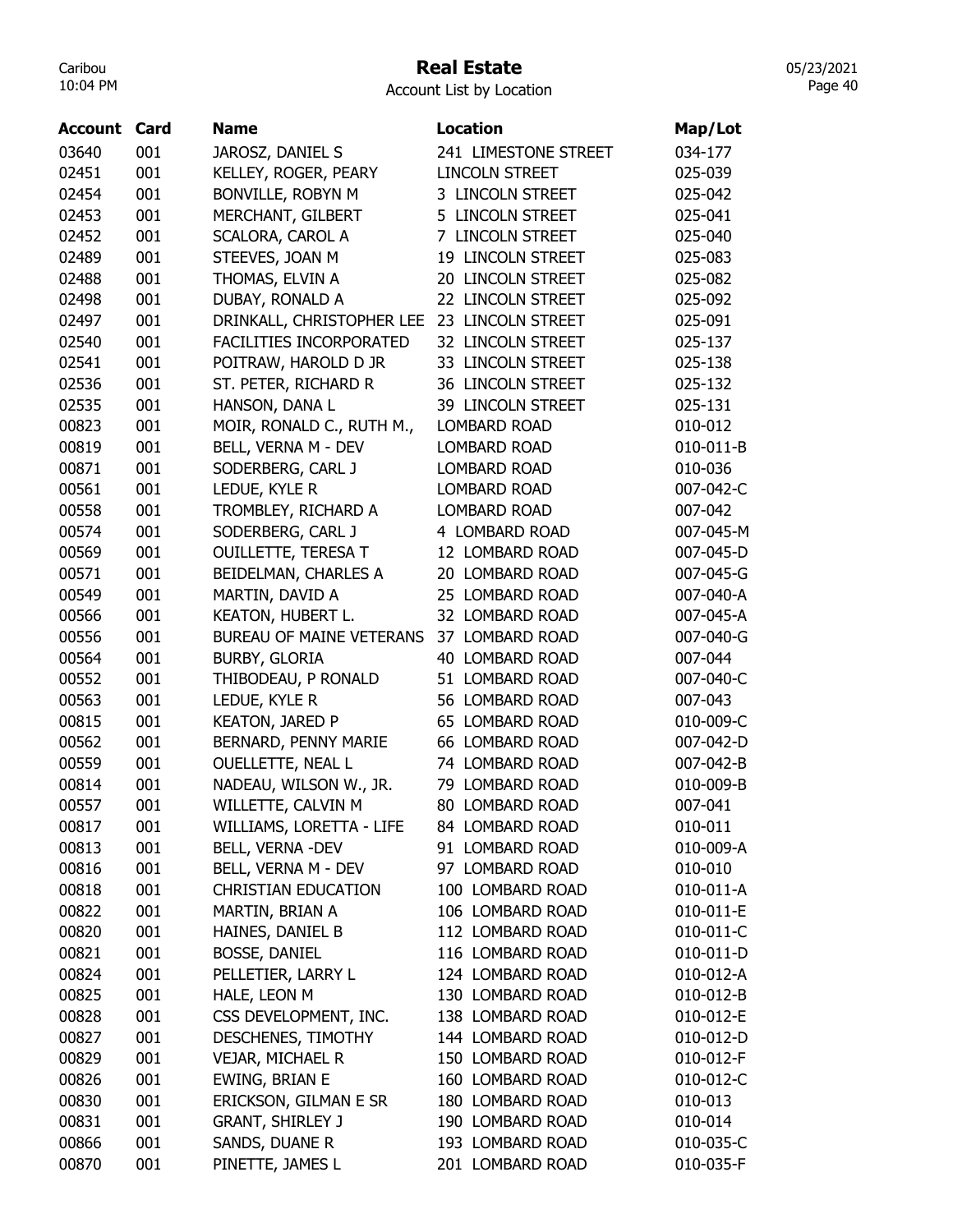#### Real Estate

Account List by Location

| <b>Account Card</b> |     | <b>Name</b>                    | <b>Location</b>       | Map/Lot   |
|---------------------|-----|--------------------------------|-----------------------|-----------|
| 03640               | 001 | JAROSZ, DANIEL S               | 241 LIMESTONE STREET  | 034-177   |
| 02451               | 001 | KELLEY, ROGER, PEARY           | <b>LINCOLN STREET</b> | 025-039   |
| 02454               | 001 | BONVILLE, ROBYN M              | 3 LINCOLN STREET      | 025-042   |
| 02453               | 001 | MERCHANT, GILBERT              | 5 LINCOLN STREET      | 025-041   |
| 02452               | 001 | SCALORA, CAROL A               | 7 LINCOLN STREET      | 025-040   |
| 02489               | 001 | STEEVES, JOAN M                | 19 LINCOLN STREET     | 025-083   |
| 02488               | 001 | THOMAS, ELVIN A                | 20 LINCOLN STREET     | 025-082   |
| 02498               | 001 | DUBAY, RONALD A                | 22 LINCOLN STREET     | 025-092   |
| 02497               | 001 | DRINKALL, CHRISTOPHER LEE      | 23 LINCOLN STREET     | 025-091   |
| 02540               | 001 | <b>FACILITIES INCORPORATED</b> | 32 LINCOLN STREET     | 025-137   |
| 02541               | 001 | POITRAW, HAROLD D JR           | 33 LINCOLN STREET     | 025-138   |
| 02536               | 001 | ST. PETER, RICHARD R           | 36 LINCOLN STREET     | 025-132   |
| 02535               | 001 | HANSON, DANA L                 | 39 LINCOLN STREET     | 025-131   |
| 00823               | 001 | MOIR, RONALD C., RUTH M.,      | <b>LOMBARD ROAD</b>   | 010-012   |
| 00819               | 001 | BELL, VERNA M - DEV            | LOMBARD ROAD          | 010-011-B |
| 00871               | 001 | SODERBERG, CARL J              | <b>LOMBARD ROAD</b>   | 010-036   |
| 00561               | 001 | LEDUE, KYLE R                  | LOMBARD ROAD          | 007-042-C |
| 00558               | 001 | TROMBLEY, RICHARD A            | <b>LOMBARD ROAD</b>   | 007-042   |
| 00574               | 001 | SODERBERG, CARL J              | 4 LOMBARD ROAD        | 007-045-M |
| 00569               | 001 | <b>OUILLETTE, TERESA T</b>     | 12 LOMBARD ROAD       | 007-045-D |
| 00571               | 001 | BEIDELMAN, CHARLES A           | 20 LOMBARD ROAD       | 007-045-G |
| 00549               | 001 | MARTIN, DAVID A                | 25 LOMBARD ROAD       | 007-040-A |
| 00566               | 001 | KEATON, HUBERT L.              | 32 LOMBARD ROAD       | 007-045-A |
| 00556               | 001 | BUREAU OF MAINE VETERANS       | 37 LOMBARD ROAD       | 007-040-G |
| 00564               | 001 | <b>BURBY, GLORIA</b>           | 40 LOMBARD ROAD       | 007-044   |
| 00552               | 001 | THIBODEAU, P RONALD            | 51 LOMBARD ROAD       | 007-040-C |
| 00563               | 001 | LEDUE, KYLE R                  | 56 LOMBARD ROAD       | 007-043   |
| 00815               | 001 | <b>KEATON, JARED P</b>         | 65 LOMBARD ROAD       | 010-009-C |
| 00562               | 001 | BERNARD, PENNY MARIE           | 66 LOMBARD ROAD       | 007-042-D |
| 00559               | 001 | OUELLETTE, NEAL L              | 74 LOMBARD ROAD       | 007-042-B |
| 00814               | 001 | NADEAU, WILSON W., JR.         | 79 LOMBARD ROAD       | 010-009-B |
| 00557               | 001 | WILLETTE, CALVIN M             | 80 LOMBARD ROAD       | 007-041   |
| 00817               | 001 | WILLIAMS, LORETTA - LIFE       | 84 LOMBARD ROAD       | 010-011   |
| 00813               | 001 | BELL, VERNA -DEV               | 91 LOMBARD ROAD       | 010-009-A |
| 00816               | 001 | BELL, VERNA M - DEV            | 97 LOMBARD ROAD       | 010-010   |
| 00818               | 001 | <b>CHRISTIAN EDUCATION</b>     | 100 LOMBARD ROAD      | 010-011-A |
| 00822               | 001 | MARTIN, BRIAN A                | 106 LOMBARD ROAD      | 010-011-E |
| 00820               | 001 | HAINES, DANIEL B               | 112 LOMBARD ROAD      | 010-011-C |
| 00821               | 001 | <b>BOSSE, DANIEL</b>           | 116 LOMBARD ROAD      | 010-011-D |
| 00824               | 001 | PELLETIER, LARRY L             | 124 LOMBARD ROAD      | 010-012-A |
| 00825               | 001 | HALE, LEON M                   | 130 LOMBARD ROAD      | 010-012-B |
| 00828               | 001 | CSS DEVELOPMENT, INC.          | 138 LOMBARD ROAD      | 010-012-E |
| 00827               | 001 | DESCHENES, TIMOTHY             | 144 LOMBARD ROAD      | 010-012-D |
| 00829               | 001 | VEJAR, MICHAEL R               | 150 LOMBARD ROAD      | 010-012-F |
| 00826               | 001 | EWING, BRIAN E                 | 160 LOMBARD ROAD      | 010-012-C |
| 00830               | 001 | ERICKSON, GILMAN E SR          | 180 LOMBARD ROAD      | 010-013   |
| 00831               | 001 | <b>GRANT, SHIRLEY J</b>        | 190 LOMBARD ROAD      | 010-014   |
| 00866               | 001 | SANDS, DUANE R                 | 193 LOMBARD ROAD      | 010-035-C |
| 00870               | 001 | PINETTE, JAMES L               | 201 LOMBARD ROAD      | 010-035-F |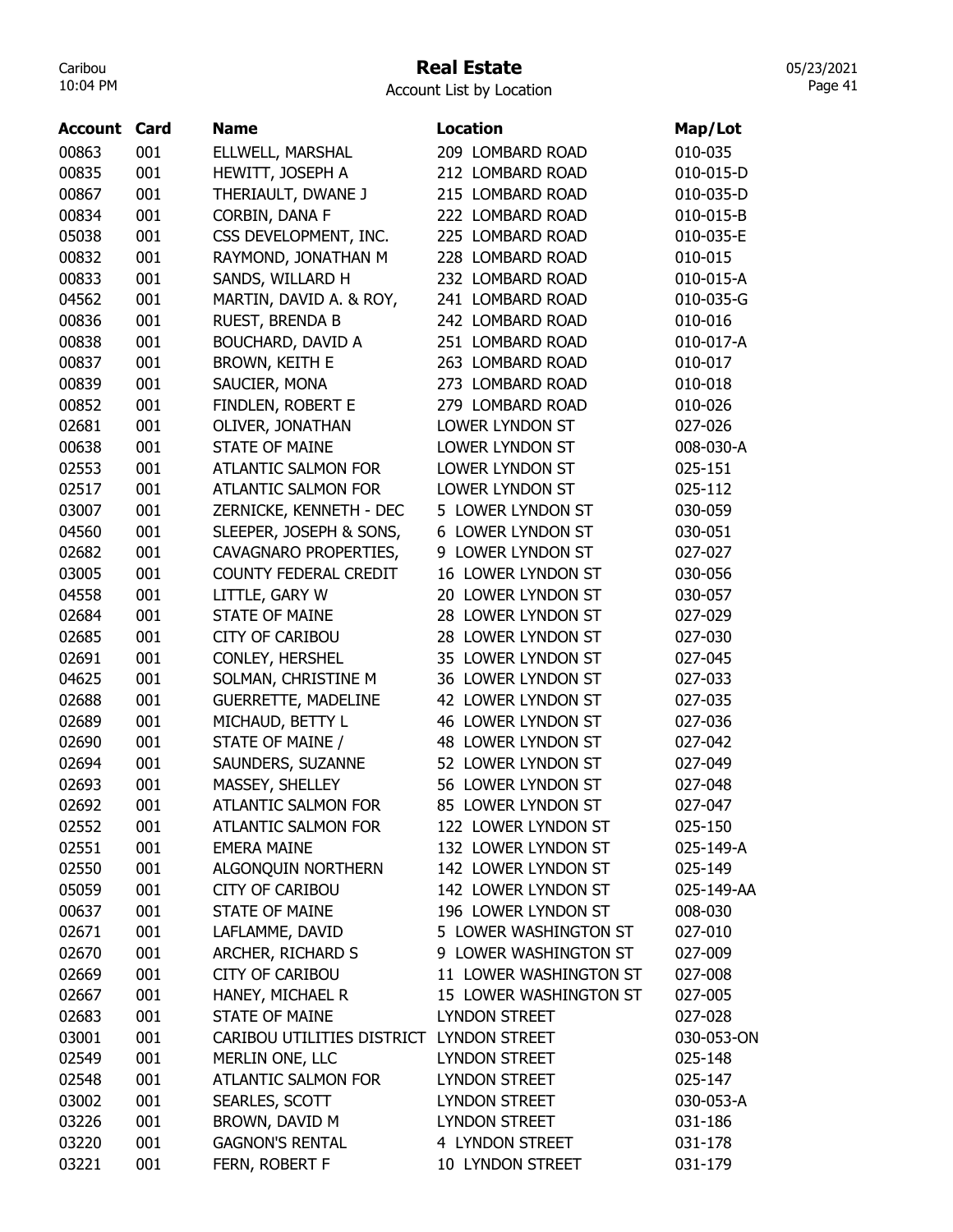## Real Estate

Account List by Location

| <b>Account Card</b> |     | <b>Name</b>                | <b>Location</b>          | Map/Lot    |
|---------------------|-----|----------------------------|--------------------------|------------|
| 00863               | 001 | ELLWELL, MARSHAL           | 209 LOMBARD ROAD         | 010-035    |
| 00835               | 001 | HEWITT, JOSEPH A           | 212 LOMBARD ROAD         | 010-015-D  |
| 00867               | 001 | THERIAULT, DWANE J         | 215 LOMBARD ROAD         | 010-035-D  |
| 00834               | 001 | CORBIN, DANA F             | 222 LOMBARD ROAD         | 010-015-B  |
| 05038               | 001 | CSS DEVELOPMENT, INC.      | 225 LOMBARD ROAD         | 010-035-E  |
| 00832               | 001 | RAYMOND, JONATHAN M        | 228 LOMBARD ROAD         | 010-015    |
| 00833               | 001 | SANDS, WILLARD H           | 232 LOMBARD ROAD         | 010-015-A  |
| 04562               | 001 | MARTIN, DAVID A. & ROY,    | 241 LOMBARD ROAD         | 010-035-G  |
| 00836               | 001 | RUEST, BRENDA B            | 242 LOMBARD ROAD         | 010-016    |
| 00838               | 001 | BOUCHARD, DAVID A          | 251 LOMBARD ROAD         | 010-017-A  |
| 00837               | 001 | BROWN, KEITH E             | 263 LOMBARD ROAD         | 010-017    |
| 00839               | 001 | SAUCIER, MONA              | 273 LOMBARD ROAD         | 010-018    |
| 00852               | 001 | FINDLEN, ROBERT E          | 279 LOMBARD ROAD         | 010-026    |
| 02681               | 001 | OLIVER, JONATHAN           | <b>LOWER LYNDON ST</b>   | 027-026    |
| 00638               | 001 | <b>STATE OF MAINE</b>      | LOWER LYNDON ST          | 008-030-A  |
| 02553               | 001 | <b>ATLANTIC SALMON FOR</b> | LOWER LYNDON ST          | 025-151    |
| 02517               | 001 | <b>ATLANTIC SALMON FOR</b> | LOWER LYNDON ST          | 025-112    |
| 03007               | 001 | ZERNICKE, KENNETH - DEC    | 5 LOWER LYNDON ST        | 030-059    |
| 04560               | 001 | SLEEPER, JOSEPH & SONS,    | <b>6 LOWER LYNDON ST</b> | 030-051    |
| 02682               | 001 | CAVAGNARO PROPERTIES,      | 9 LOWER LYNDON ST        | 027-027    |
| 03005               | 001 | COUNTY FEDERAL CREDIT      | 16 LOWER LYNDON ST       | 030-056    |
| 04558               | 001 | LITTLE, GARY W             | 20 LOWER LYNDON ST       | 030-057    |
| 02684               | 001 | <b>STATE OF MAINE</b>      | 28 LOWER LYNDON ST       | 027-029    |
| 02685               | 001 | <b>CITY OF CARIBOU</b>     | 28 LOWER LYNDON ST       | 027-030    |
| 02691               | 001 | CONLEY, HERSHEL            | 35 LOWER LYNDON ST       | 027-045    |
| 04625               | 001 | SOLMAN, CHRISTINE M        | 36 LOWER LYNDON ST       | 027-033    |
| 02688               | 001 | <b>GUERRETTE, MADELINE</b> | 42 LOWER LYNDON ST       | 027-035    |
| 02689               | 001 | MICHAUD, BETTY L           | 46 LOWER LYNDON ST       | 027-036    |
| 02690               | 001 | STATE OF MAINE /           | 48 LOWER LYNDON ST       | 027-042    |
| 02694               | 001 | SAUNDERS, SUZANNE          | 52 LOWER LYNDON ST       | 027-049    |
| 02693               | 001 | MASSEY, SHELLEY            | 56 LOWER LYNDON ST       | 027-048    |
| 02692               | 001 | <b>ATLANTIC SALMON FOR</b> | 85 LOWER LYNDON ST       | 027-047    |
| 02552               | 001 | ATLANTIC SALMON FOR        | 122 LOWER LYNDON ST      | 025-150    |
| 02551               | 001 | <b>EMERA MAINE</b>         | 132 LOWER LYNDON ST      | 025-149-A  |
| 02550               | 001 | ALGONQUIN NORTHERN         | 142 LOWER LYNDON ST      | 025-149    |
| 05059               | 001 | <b>CITY OF CARIBOU</b>     | 142 LOWER LYNDON ST      | 025-149-AA |
| 00637               | 001 | STATE OF MAINE             | 196 LOWER LYNDON ST      | 008-030    |
| 02671               | 001 | LAFLAMME, DAVID            | 5 LOWER WASHINGTON ST    | 027-010    |
| 02670               | 001 | ARCHER, RICHARD S          | 9 LOWER WASHINGTON ST    | 027-009    |
| 02669               | 001 | <b>CITY OF CARIBOU</b>     | 11 LOWER WASHINGTON ST   | 027-008    |
| 02667               | 001 | HANEY, MICHAEL R           | 15 LOWER WASHINGTON ST   | 027-005    |
| 02683               | 001 | <b>STATE OF MAINE</b>      | <b>LYNDON STREET</b>     | 027-028    |
| 03001               | 001 | CARIBOU UTILITIES DISTRICT | <b>LYNDON STREET</b>     | 030-053-ON |
| 02549               | 001 | MERLIN ONE, LLC            | LYNDON STREET            | 025-148    |
| 02548               | 001 | ATLANTIC SALMON FOR        | LYNDON STREET            | 025-147    |
| 03002               | 001 | SEARLES, SCOTT             | LYNDON STREET            | 030-053-A  |
| 03226               | 001 | BROWN, DAVID M             | <b>LYNDON STREET</b>     | 031-186    |
| 03220               | 001 | <b>GAGNON'S RENTAL</b>     | 4 LYNDON STREET          | 031-178    |
| 03221               | 001 | FERN, ROBERT F             | 10 LYNDON STREET         | 031-179    |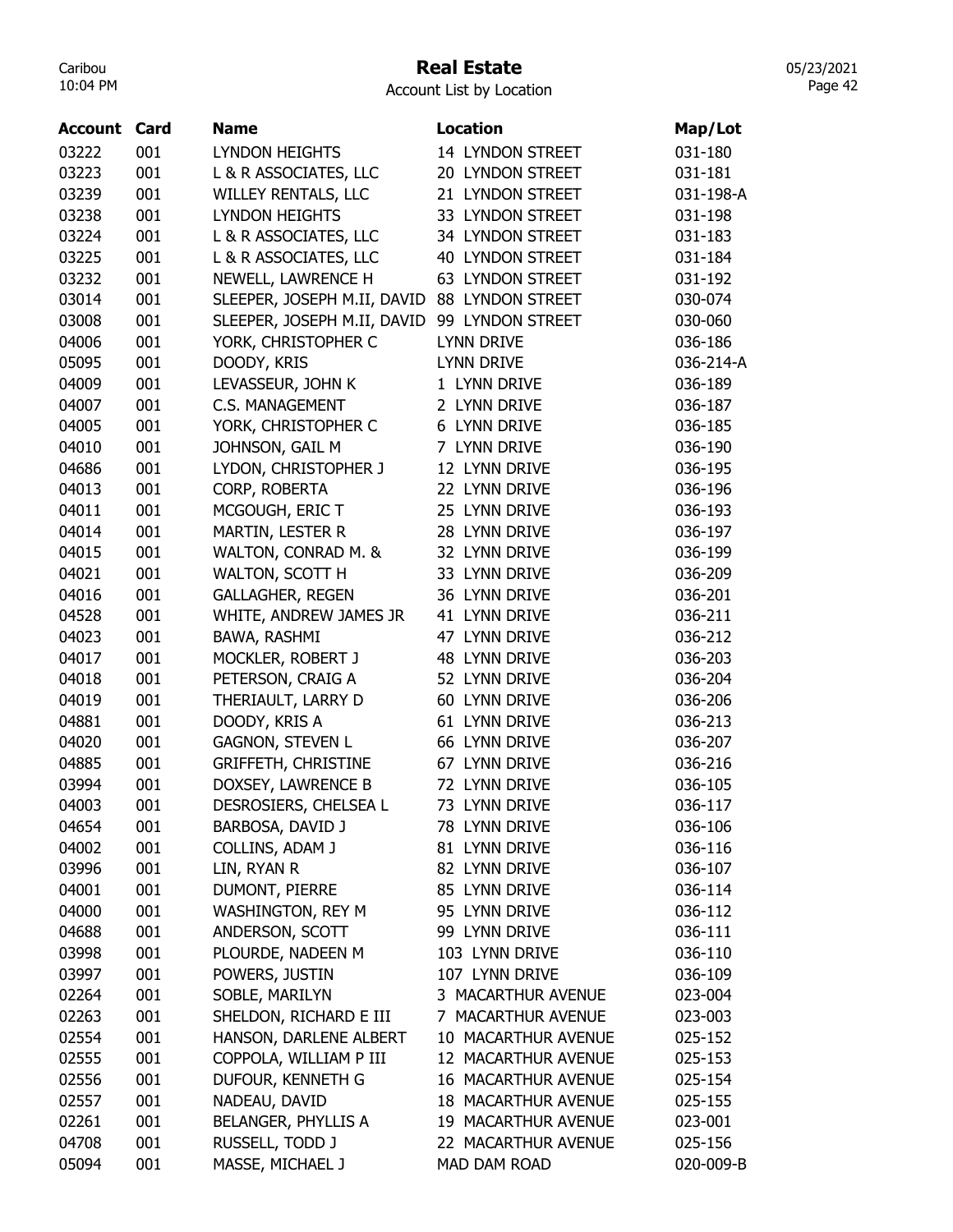## Real Estate

05/23/2021 Page 42

| <b>Account</b> | Card | <b>Name</b>                                  | <b>Location</b>            | Map/Lot   |
|----------------|------|----------------------------------------------|----------------------------|-----------|
| 03222          | 001  | <b>LYNDON HEIGHTS</b>                        | 14 LYNDON STREET           | 031-180   |
| 03223          | 001  | L & R ASSOCIATES, LLC                        | 20 LYNDON STREET           | 031-181   |
| 03239          | 001  | WILLEY RENTALS, LLC                          | 21 LYNDON STREET           | 031-198-A |
| 03238          | 001  | <b>LYNDON HEIGHTS</b>                        | 33 LYNDON STREET           | 031-198   |
| 03224          | 001  | L & R ASSOCIATES, LLC                        | 34 LYNDON STREET           | 031-183   |
| 03225          | 001  | L & R ASSOCIATES, LLC                        | <b>40 LYNDON STREET</b>    | 031-184   |
| 03232          | 001  | NEWELL, LAWRENCE H                           | <b>63 LYNDON STREET</b>    | 031-192   |
| 03014          | 001  | SLEEPER, JOSEPH M.II, DAVID 88 LYNDON STREET |                            | 030-074   |
| 03008          | 001  | SLEEPER, JOSEPH M.II, DAVID 99 LYNDON STREET |                            | 030-060   |
| 04006          | 001  | YORK, CHRISTOPHER C                          | <b>LYNN DRIVE</b>          | 036-186   |
| 05095          | 001  | DOODY, KRIS                                  | <b>LYNN DRIVE</b>          | 036-214-A |
| 04009          | 001  | LEVASSEUR, JOHN K                            | 1 LYNN DRIVE               | 036-189   |
| 04007          | 001  | <b>C.S. MANAGEMENT</b>                       | 2 LYNN DRIVE               | 036-187   |
| 04005          | 001  | YORK, CHRISTOPHER C                          | 6 LYNN DRIVE               | 036-185   |
| 04010          | 001  | JOHNSON, GAIL M                              | 7 LYNN DRIVE               | 036-190   |
| 04686          | 001  | LYDON, CHRISTOPHER J                         | 12 LYNN DRIVE              | 036-195   |
| 04013          | 001  | CORP, ROBERTA                                | 22 LYNN DRIVE              | 036-196   |
| 04011          | 001  | MCGOUGH, ERIC T                              | 25 LYNN DRIVE              | 036-193   |
| 04014          | 001  | MARTIN, LESTER R                             | 28 LYNN DRIVE              | 036-197   |
| 04015          | 001  | WALTON, CONRAD M. &                          | 32 LYNN DRIVE              | 036-199   |
| 04021          | 001  | WALTON, SCOTT H                              | 33 LYNN DRIVE              | 036-209   |
| 04016          | 001  | <b>GALLAGHER, REGEN</b>                      | 36 LYNN DRIVE              | 036-201   |
| 04528          | 001  | WHITE, ANDREW JAMES JR                       | 41 LYNN DRIVE              | 036-211   |
| 04023          | 001  | BAWA, RASHMI                                 | 47 LYNN DRIVE              | 036-212   |
| 04017          | 001  | MOCKLER, ROBERT J                            | 48 LYNN DRIVE              | 036-203   |
| 04018          | 001  | PETERSON, CRAIG A                            | 52 LYNN DRIVE              | 036-204   |
| 04019          | 001  | THERIAULT, LARRY D                           | 60 LYNN DRIVE              | 036-206   |
| 04881          | 001  | DOODY, KRIS A                                | 61 LYNN DRIVE              | 036-213   |
| 04020          | 001  | <b>GAGNON, STEVEN L</b>                      | 66 LYNN DRIVE              | 036-207   |
| 04885          | 001  | <b>GRIFFETH, CHRISTINE</b>                   | 67 LYNN DRIVE              | 036-216   |
| 03994          | 001  | DOXSEY, LAWRENCE B                           | 72 LYNN DRIVE              | 036-105   |
| 04003          | 001  | DESROSIERS, CHELSEA L                        | 73 LYNN DRIVE              | 036-117   |
| 04654          | 001  | BARBOSA, DAVID J                             | 78 LYNN DRIVE              | 036-106   |
| 04002          | 001  | COLLINS, ADAM J                              | 81 LYNN DRIVE              | 036-116   |
| 03996          | 001  | LIN, RYAN R                                  | 82 LYNN DRIVE              | 036-107   |
| 04001          | 001  | DUMONT, PIERRE                               | 85 LYNN DRIVE              | 036-114   |
| 04000          | 001  | WASHINGTON, REY M                            | 95 LYNN DRIVE              | 036-112   |
| 04688          | 001  | ANDERSON, SCOTT                              | 99 LYNN DRIVE              | 036-111   |
| 03998          | 001  | PLOURDE, NADEEN M                            | 103 LYNN DRIVE             | 036-110   |
| 03997          | 001  | POWERS, JUSTIN                               | 107 LYNN DRIVE             | 036-109   |
| 02264          | 001  | SOBLE, MARILYN                               | 3 MACARTHUR AVENUE         | 023-004   |
| 02263          | 001  | SHELDON, RICHARD E III                       | 7 MACARTHUR AVENUE         | 023-003   |
| 02554          | 001  | HANSON, DARLENE ALBERT                       | 10 MACARTHUR AVENUE        | 025-152   |
| 02555          | 001  | COPPOLA, WILLIAM P III                       | 12 MACARTHUR AVENUE        | 025-153   |
| 02556          | 001  | DUFOUR, KENNETH G                            | 16 MACARTHUR AVENUE        | 025-154   |
| 02557          | 001  | NADEAU, DAVID                                | <b>18 MACARTHUR AVENUE</b> | 025-155   |
| 02261          | 001  | BELANGER, PHYLLIS A                          | 19 MACARTHUR AVENUE        | 023-001   |
| 04708          | 001  | RUSSELL, TODD J                              | 22 MACARTHUR AVENUE        | 025-156   |
| 05094          | 001  | MASSE, MICHAEL J                             | MAD DAM ROAD               | 020-009-B |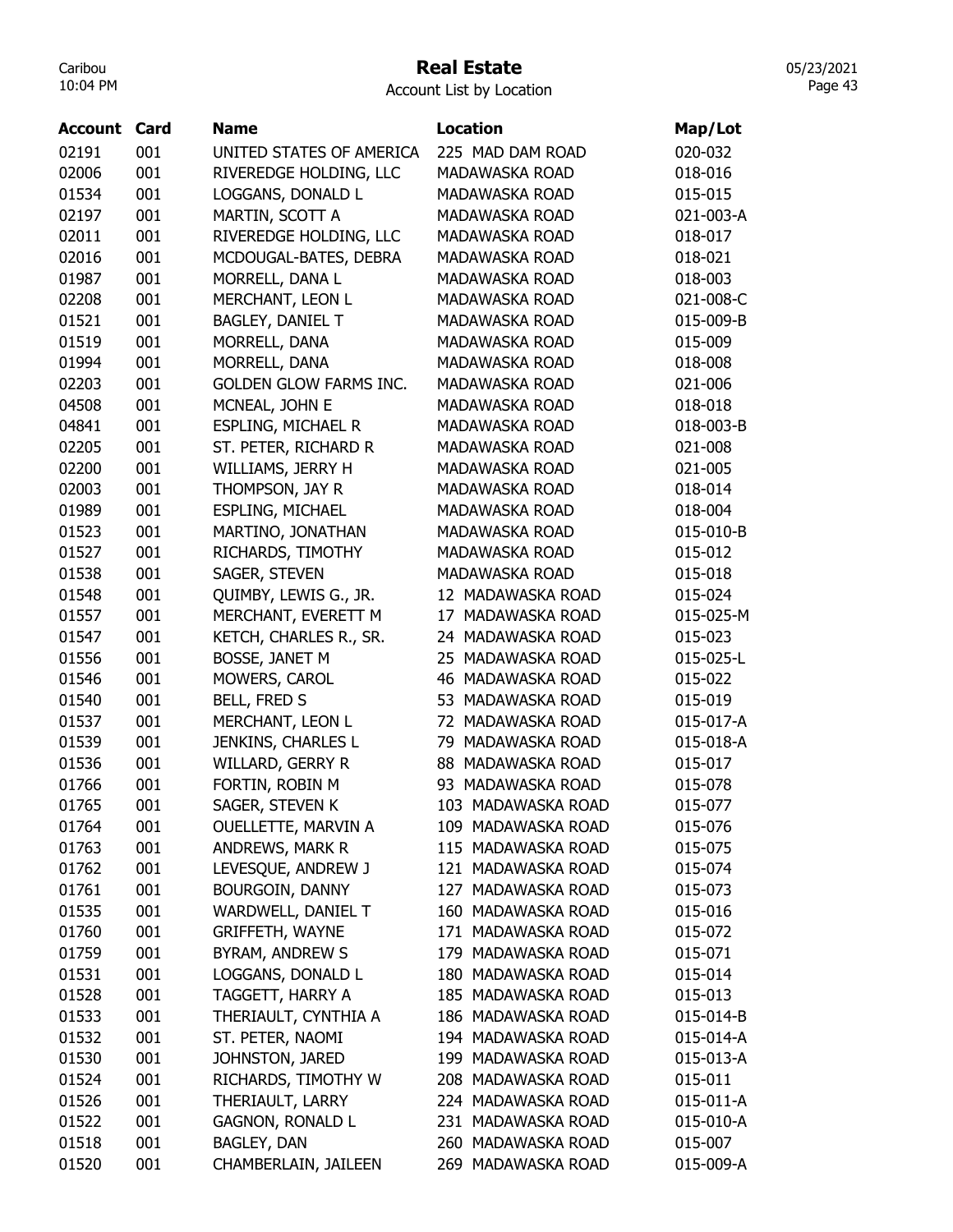## Real Estate

Account List by Location

| <b>Account Card</b> |     | <b>Name</b>                   | <b>Location</b>       | Map/Lot   |
|---------------------|-----|-------------------------------|-----------------------|-----------|
| 02191               | 001 | UNITED STATES OF AMERICA      | 225 MAD DAM ROAD      | 020-032   |
| 02006               | 001 | RIVEREDGE HOLDING, LLC        | MADAWASKA ROAD        | 018-016   |
| 01534               | 001 | LOGGANS, DONALD L             | <b>MADAWASKA ROAD</b> | 015-015   |
| 02197               | 001 | MARTIN, SCOTT A               | MADAWASKA ROAD        | 021-003-A |
| 02011               | 001 | RIVEREDGE HOLDING, LLC        | MADAWASKA ROAD        | 018-017   |
| 02016               | 001 | MCDOUGAL-BATES, DEBRA         | MADAWASKA ROAD        | 018-021   |
| 01987               | 001 | MORRELL, DANA L               | MADAWASKA ROAD        | 018-003   |
| 02208               | 001 | MERCHANT, LEON L              | MADAWASKA ROAD        | 021-008-C |
| 01521               | 001 | BAGLEY, DANIEL T              | MADAWASKA ROAD        | 015-009-B |
| 01519               | 001 | MORRELL, DANA                 | MADAWASKA ROAD        | 015-009   |
| 01994               | 001 | MORRELL, DANA                 | MADAWASKA ROAD        | 018-008   |
| 02203               | 001 | <b>GOLDEN GLOW FARMS INC.</b> | MADAWASKA ROAD        | 021-006   |
| 04508               | 001 | MCNEAL, JOHN E                | MADAWASKA ROAD        | 018-018   |
| 04841               | 001 | <b>ESPLING, MICHAEL R</b>     | MADAWASKA ROAD        | 018-003-B |
| 02205               | 001 | ST. PETER, RICHARD R          | MADAWASKA ROAD        | 021-008   |
| 02200               | 001 | WILLIAMS, JERRY H             | MADAWASKA ROAD        | 021-005   |
| 02003               | 001 | THOMPSON, JAY R               | <b>MADAWASKA ROAD</b> | 018-014   |
| 01989               | 001 | ESPLING, MICHAEL              | MADAWASKA ROAD        | 018-004   |
| 01523               | 001 | MARTINO, JONATHAN             | <b>MADAWASKA ROAD</b> | 015-010-B |
| 01527               | 001 | RICHARDS, TIMOTHY             | MADAWASKA ROAD        | 015-012   |
| 01538               | 001 | SAGER, STEVEN                 | MADAWASKA ROAD        | 015-018   |
| 01548               | 001 | QUIMBY, LEWIS G., JR.         | 12 MADAWASKA ROAD     | 015-024   |
| 01557               | 001 | MERCHANT, EVERETT M           | 17 MADAWASKA ROAD     | 015-025-M |
| 01547               | 001 | KETCH, CHARLES R., SR.        | 24 MADAWASKA ROAD     | 015-023   |
| 01556               | 001 | BOSSE, JANET M                | 25 MADAWASKA ROAD     | 015-025-L |
| 01546               | 001 | MOWERS, CAROL                 | 46 MADAWASKA ROAD     | 015-022   |
| 01540               | 001 | <b>BELL, FRED S</b>           | 53 MADAWASKA ROAD     | 015-019   |
| 01537               | 001 | MERCHANT, LEON L              | 72 MADAWASKA ROAD     | 015-017-A |
| 01539               | 001 | JENKINS, CHARLES L            | 79 MADAWASKA ROAD     | 015-018-A |
| 01536               | 001 | <b>WILLARD, GERRY R</b>       | 88 MADAWASKA ROAD     | 015-017   |
| 01766               | 001 | FORTIN, ROBIN M               | 93 MADAWASKA ROAD     | 015-078   |
| 01765               | 001 | SAGER, STEVEN K               | 103 MADAWASKA ROAD    | 015-077   |
| 01764               | 001 | OUELLETTE, MARVIN A           | 109 MADAWASKA ROAD    | 015-076   |
| 01763               | 001 | ANDREWS, MARK R               | 115 MADAWASKA ROAD    | 015-075   |
| 01762               | 001 | LEVESQUE, ANDREW J            | 121 MADAWASKA ROAD    | 015-074   |
| 01761               | 001 | BOURGOIN, DANNY               | 127 MADAWASKA ROAD    | 015-073   |
| 01535               | 001 | WARDWELL, DANIEL T            | 160 MADAWASKA ROAD    | 015-016   |
| 01760               | 001 | <b>GRIFFETH, WAYNE</b>        | 171 MADAWASKA ROAD    | 015-072   |
| 01759               | 001 | BYRAM, ANDREW S               | 179 MADAWASKA ROAD    | 015-071   |
| 01531               | 001 | LOGGANS, DONALD L             | 180 MADAWASKA ROAD    | 015-014   |
| 01528               | 001 | TAGGETT, HARRY A              | 185 MADAWASKA ROAD    | 015-013   |
| 01533               | 001 | THERIAULT, CYNTHIA A          | 186 MADAWASKA ROAD    | 015-014-B |
| 01532               | 001 | ST. PETER, NAOMI              | 194 MADAWASKA ROAD    | 015-014-A |
| 01530               | 001 | JOHNSTON, JARED               | 199 MADAWASKA ROAD    | 015-013-A |
| 01524               | 001 | RICHARDS, TIMOTHY W           | 208 MADAWASKA ROAD    | 015-011   |
| 01526               | 001 | THERIAULT, LARRY              | 224 MADAWASKA ROAD    | 015-011-A |
| 01522               | 001 | <b>GAGNON, RONALD L</b>       | 231 MADAWASKA ROAD    | 015-010-A |
| 01518               | 001 | BAGLEY, DAN                   | 260 MADAWASKA ROAD    | 015-007   |
| 01520               | 001 | CHAMBERLAIN, JAILEEN          | 269 MADAWASKA ROAD    | 015-009-A |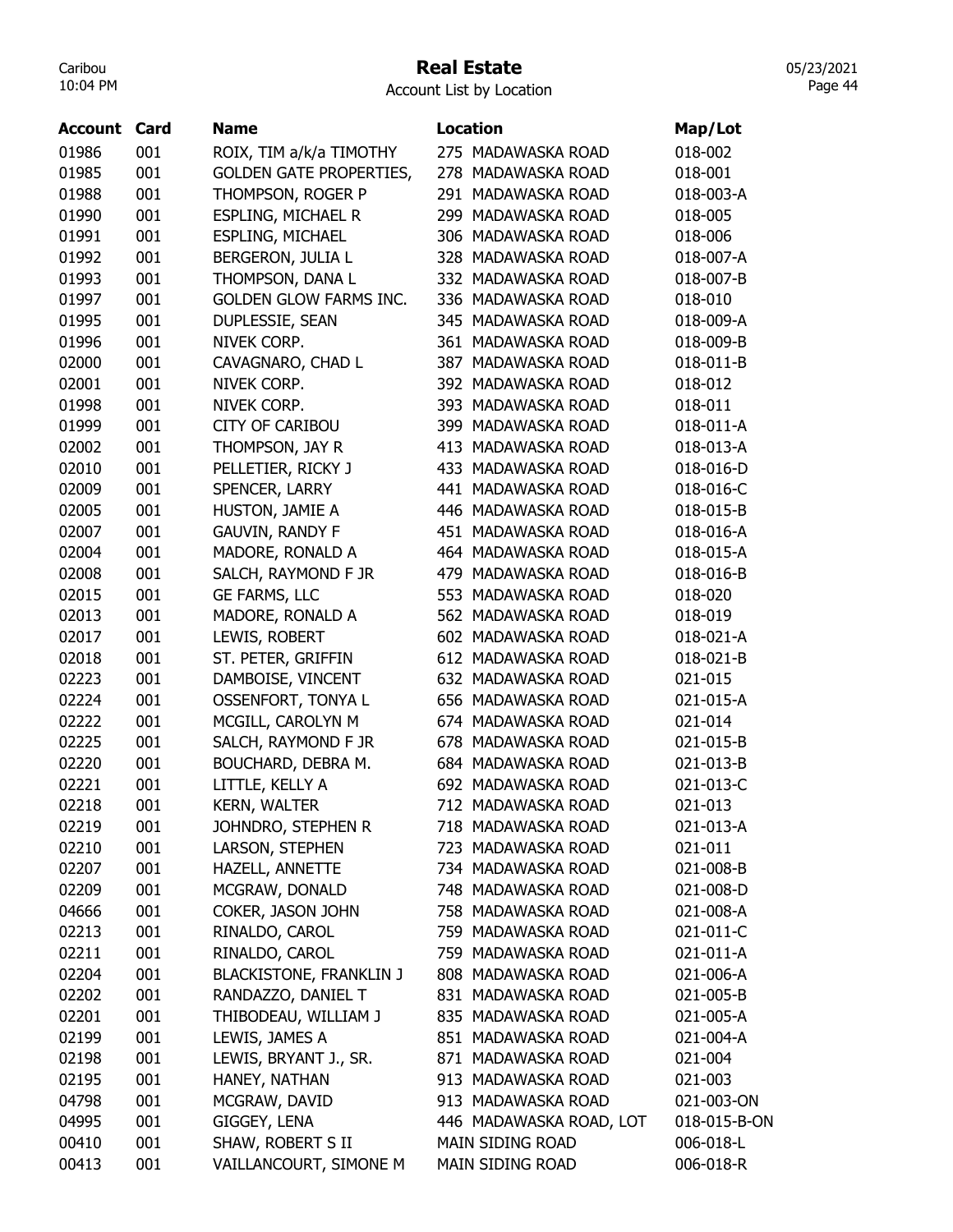#### Real Estate

05/23/2021 Page 44

| <b>Account Card</b> |     | <b>Name</b>                    | <b>Location</b>         | Map/Lot      |
|---------------------|-----|--------------------------------|-------------------------|--------------|
| 01986               | 001 | ROIX, TIM a/k/a TIMOTHY        | 275 MADAWASKA ROAD      | 018-002      |
| 01985               | 001 | <b>GOLDEN GATE PROPERTIES,</b> | 278 MADAWASKA ROAD      | 018-001      |
| 01988               | 001 | THOMPSON, ROGER P              | 291 MADAWASKA ROAD      | 018-003-A    |
| 01990               | 001 | ESPLING, MICHAEL R             | 299 MADAWASKA ROAD      | 018-005      |
| 01991               | 001 | <b>ESPLING, MICHAEL</b>        | 306 MADAWASKA ROAD      | 018-006      |
| 01992               | 001 | BERGERON, JULIA L              | 328 MADAWASKA ROAD      | 018-007-A    |
| 01993               | 001 | THOMPSON, DANA L               | 332 MADAWASKA ROAD      | 018-007-B    |
| 01997               | 001 | <b>GOLDEN GLOW FARMS INC.</b>  | 336 MADAWASKA ROAD      | 018-010      |
| 01995               | 001 | DUPLESSIE, SEAN                | 345 MADAWASKA ROAD      | 018-009-A    |
| 01996               | 001 | NIVEK CORP.                    | 361 MADAWASKA ROAD      | 018-009-B    |
| 02000               | 001 | CAVAGNARO, CHAD L              | 387 MADAWASKA ROAD      | 018-011-B    |
| 02001               | 001 | NIVEK CORP.                    | 392 MADAWASKA ROAD      | 018-012      |
| 01998               | 001 | NIVEK CORP.                    | 393 MADAWASKA ROAD      | 018-011      |
| 01999               | 001 | <b>CITY OF CARIBOU</b>         | 399 MADAWASKA ROAD      | 018-011-A    |
| 02002               | 001 | THOMPSON, JAY R                | 413 MADAWASKA ROAD      | 018-013-A    |
| 02010               | 001 | PELLETIER, RICKY J             | 433 MADAWASKA ROAD      | 018-016-D    |
| 02009               | 001 | SPENCER, LARRY                 | 441 MADAWASKA ROAD      | 018-016-C    |
| 02005               | 001 | HUSTON, JAMIE A                | 446 MADAWASKA ROAD      | 018-015-B    |
| 02007               | 001 | <b>GAUVIN, RANDY F</b>         | 451 MADAWASKA ROAD      | 018-016-A    |
| 02004               | 001 | MADORE, RONALD A               | 464 MADAWASKA ROAD      | 018-015-A    |
| 02008               | 001 | SALCH, RAYMOND F JR            | 479 MADAWASKA ROAD      | 018-016-B    |
| 02015               | 001 | GE FARMS, LLC                  | 553 MADAWASKA ROAD      | 018-020      |
| 02013               | 001 | MADORE, RONALD A               | 562 MADAWASKA ROAD      | 018-019      |
| 02017               | 001 | LEWIS, ROBERT                  | 602 MADAWASKA ROAD      | 018-021-A    |
| 02018               | 001 | ST. PETER, GRIFFIN             | 612 MADAWASKA ROAD      | 018-021-B    |
| 02223               | 001 | DAMBOISE, VINCENT              | 632 MADAWASKA ROAD      | 021-015      |
| 02224               | 001 | OSSENFORT, TONYA L             | 656 MADAWASKA ROAD      | 021-015-A    |
| 02222               | 001 | MCGILL, CAROLYN M              | 674 MADAWASKA ROAD      | 021-014      |
| 02225               | 001 | SALCH, RAYMOND F JR            | 678 MADAWASKA ROAD      | 021-015-B    |
| 02220               | 001 | BOUCHARD, DEBRA M.             | 684 MADAWASKA ROAD      | 021-013-B    |
| 02221               | 001 | LITTLE, KELLY A                | 692 MADAWASKA ROAD      | 021-013-C    |
| 02218               | 001 | <b>KERN, WALTER</b>            | 712 MADAWASKA ROAD      | 021-013      |
| 02219               | 001 | JOHNDRO, STEPHEN R             | 718 MADAWASKA ROAD      | 021-013-A    |
| 02210               | 001 | LARSON, STEPHEN                | 723 MADAWASKA ROAD      | 021-011      |
| 02207               | 001 | HAZELL, ANNETTE                | 734 MADAWASKA ROAD      | 021-008-B    |
| 02209               | 001 | MCGRAW, DONALD                 | 748 MADAWASKA ROAD      | 021-008-D    |
| 04666               | 001 | COKER, JASON JOHN              | 758 MADAWASKA ROAD      | 021-008-A    |
| 02213               | 001 | RINALDO, CAROL                 | 759 MADAWASKA ROAD      | 021-011-C    |
| 02211               | 001 | RINALDO, CAROL                 | 759 MADAWASKA ROAD      | 021-011-A    |
| 02204               | 001 | <b>BLACKISTONE, FRANKLIN J</b> | 808 MADAWASKA ROAD      | 021-006-A    |
| 02202               | 001 | RANDAZZO, DANIEL T             | 831 MADAWASKA ROAD      | 021-005-B    |
| 02201               | 001 | THIBODEAU, WILLIAM J           | 835 MADAWASKA ROAD      | 021-005-A    |
| 02199               | 001 | LEWIS, JAMES A                 | 851 MADAWASKA ROAD      | 021-004-A    |
| 02198               | 001 | LEWIS, BRYANT J., SR.          | 871 MADAWASKA ROAD      | 021-004      |
| 02195               | 001 | HANEY, NATHAN                  | 913 MADAWASKA ROAD      | 021-003      |
| 04798               | 001 | MCGRAW, DAVID                  | 913 MADAWASKA ROAD      | 021-003-ON   |
| 04995               | 001 | GIGGEY, LENA                   | 446 MADAWASKA ROAD, LOT | 018-015-B-ON |
| 00410               | 001 | SHAW, ROBERT S II              | <b>MAIN SIDING ROAD</b> | 006-018-L    |
| 00413               | 001 | VAILLANCOURT, SIMONE M         | <b>MAIN SIDING ROAD</b> | 006-018-R    |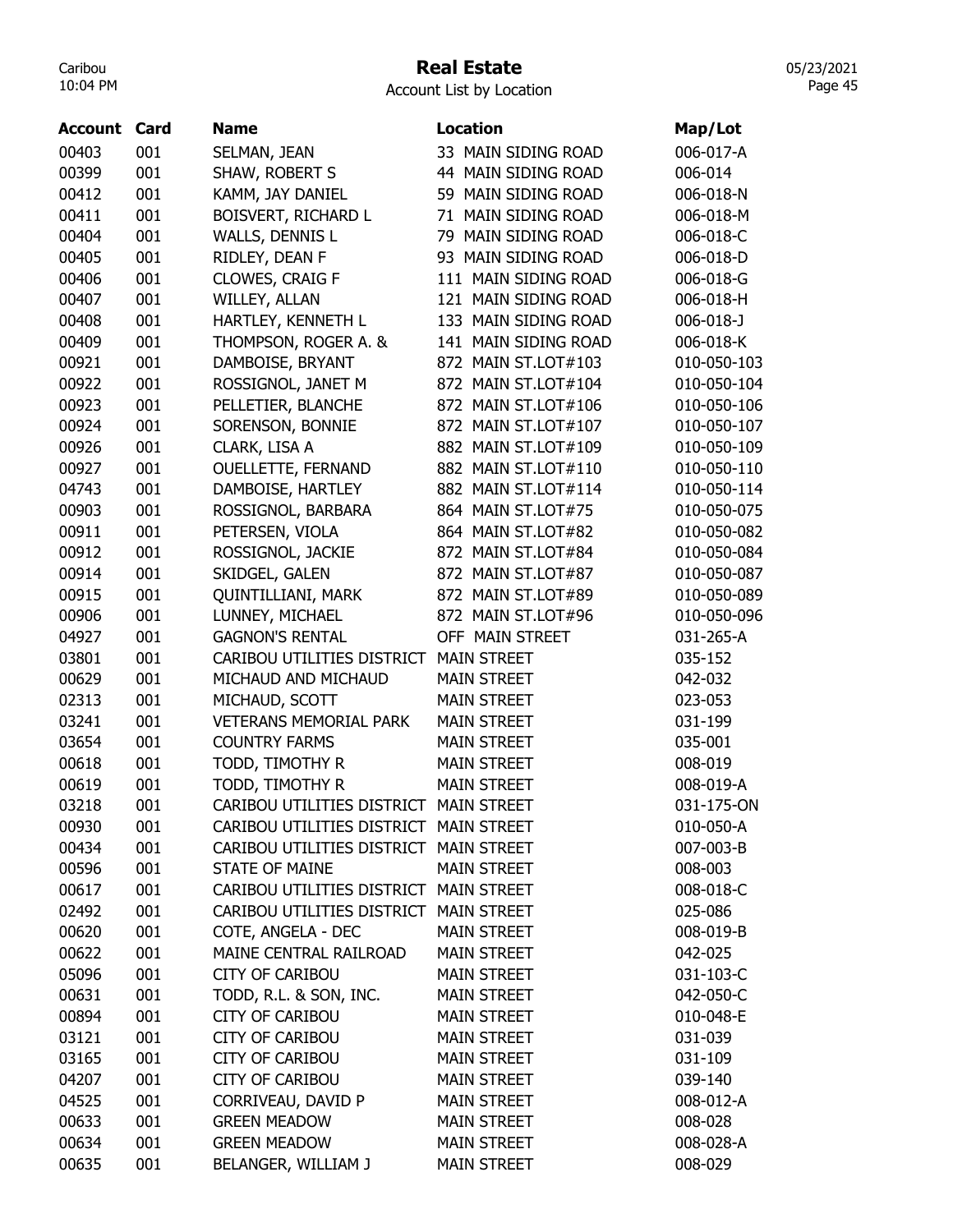### Real Estate

Account List by Location

| Account | Card | <b>Name</b>                            | <b>Location</b>      | Map/Lot         |
|---------|------|----------------------------------------|----------------------|-----------------|
| 00403   | 001  | SELMAN, JEAN                           | 33 MAIN SIDING ROAD  | 006-017-A       |
| 00399   | 001  | SHAW, ROBERT S                         | 44 MAIN SIDING ROAD  | 006-014         |
| 00412   | 001  | KAMM, JAY DANIEL                       | 59 MAIN SIDING ROAD  | 006-018-N       |
| 00411   | 001  | BOISVERT, RICHARD L                    | 71 MAIN SIDING ROAD  | 006-018-M       |
| 00404   | 001  | WALLS, DENNIS L                        | 79 MAIN SIDING ROAD  | 006-018-C       |
| 00405   | 001  | RIDLEY, DEAN F                         | 93 MAIN SIDING ROAD  | 006-018-D       |
| 00406   | 001  | CLOWES, CRAIG F                        | 111 MAIN SIDING ROAD | 006-018-G       |
| 00407   | 001  | WILLEY, ALLAN                          | 121 MAIN SIDING ROAD | 006-018-H       |
| 00408   | 001  | HARTLEY, KENNETH L                     | 133 MAIN SIDING ROAD | $006 - 018 - J$ |
| 00409   | 001  | THOMPSON, ROGER A. &                   | 141 MAIN SIDING ROAD | 006-018-K       |
| 00921   | 001  | DAMBOISE, BRYANT                       | 872 MAIN ST.LOT#103  | 010-050-103     |
| 00922   | 001  | ROSSIGNOL, JANET M                     | 872 MAIN ST.LOT#104  | 010-050-104     |
| 00923   | 001  | PELLETIER, BLANCHE                     | 872 MAIN ST.LOT#106  | 010-050-106     |
| 00924   | 001  | SORENSON, BONNIE                       | 872 MAIN ST.LOT#107  | 010-050-107     |
| 00926   | 001  | CLARK, LISA A                          | 882 MAIN ST.LOT#109  | 010-050-109     |
| 00927   | 001  | <b>OUELLETTE, FERNAND</b>              | 882 MAIN ST.LOT#110  | 010-050-110     |
| 04743   | 001  | DAMBOISE, HARTLEY                      | 882 MAIN ST.LOT#114  | 010-050-114     |
| 00903   | 001  | ROSSIGNOL, BARBARA                     | 864 MAIN ST.LOT#75   | 010-050-075     |
| 00911   | 001  | PETERSEN, VIOLA                        | 864 MAIN ST.LOT#82   | 010-050-082     |
| 00912   | 001  | ROSSIGNOL, JACKIE                      | 872 MAIN ST.LOT#84   | 010-050-084     |
| 00914   | 001  | SKIDGEL, GALEN                         | 872 MAIN ST.LOT#87   | 010-050-087     |
| 00915   | 001  | <b>QUINTILLIANI, MARK</b>              | 872 MAIN ST.LOT#89   | 010-050-089     |
| 00906   | 001  | LUNNEY, MICHAEL                        | 872 MAIN ST.LOT#96   | 010-050-096     |
| 04927   | 001  | <b>GAGNON'S RENTAL</b>                 | OFF MAIN STREET      | 031-265-A       |
| 03801   | 001  | CARIBOU UTILITIES DISTRICT             | <b>MAIN STREET</b>   | 035-152         |
| 00629   | 001  | MICHAUD AND MICHAUD                    | <b>MAIN STREET</b>   | 042-032         |
| 02313   | 001  | MICHAUD, SCOTT                         | <b>MAIN STREET</b>   | 023-053         |
| 03241   | 001  | <b>VETERANS MEMORIAL PARK</b>          | <b>MAIN STREET</b>   | 031-199         |
| 03654   | 001  | <b>COUNTRY FARMS</b>                   | <b>MAIN STREET</b>   | 035-001         |
| 00618   | 001  | TODD, TIMOTHY R                        | <b>MAIN STREET</b>   | 008-019         |
| 00619   | 001  | TODD, TIMOTHY R                        | <b>MAIN STREET</b>   | 008-019-A       |
| 03218   | 001  | CARIBOU UTILITIES DISTRICT             | <b>MAIN STREET</b>   | 031-175-ON      |
| 00930   | 001  | CARIBOU UTILITIES DISTRICT MAIN STREET |                      | 010-050-A       |
| 00434   | 001  | CARIBOU UTILITIES DISTRICT MAIN STREET |                      | 007-003-B       |
| 00596   | 001  | <b>STATE OF MAINE</b>                  | <b>MAIN STREET</b>   | 008-003         |
| 00617   | 001  | CARIBOU UTILITIES DISTRICT MAIN STREET |                      | 008-018-C       |
| 02492   | 001  | CARIBOU UTILITIES DISTRICT MAIN STREET |                      | 025-086         |
| 00620   | 001  | COTE, ANGELA - DEC                     | <b>MAIN STREET</b>   | 008-019-B       |
| 00622   | 001  | MAINE CENTRAL RAILROAD                 | <b>MAIN STREET</b>   | 042-025         |
| 05096   | 001  | <b>CITY OF CARIBOU</b>                 | <b>MAIN STREET</b>   | 031-103-C       |
| 00631   | 001  | TODD, R.L. & SON, INC.                 | <b>MAIN STREET</b>   | 042-050-C       |
| 00894   | 001  | <b>CITY OF CARIBOU</b>                 | <b>MAIN STREET</b>   | 010-048-E       |
| 03121   | 001  | <b>CITY OF CARIBOU</b>                 | <b>MAIN STREET</b>   | 031-039         |
| 03165   | 001  | <b>CITY OF CARIBOU</b>                 | <b>MAIN STREET</b>   | 031-109         |
| 04207   | 001  | <b>CITY OF CARIBOU</b>                 | <b>MAIN STREET</b>   | 039-140         |
| 04525   | 001  | CORRIVEAU, DAVID P                     | <b>MAIN STREET</b>   | 008-012-A       |
| 00633   | 001  | <b>GREEN MEADOW</b>                    | <b>MAIN STREET</b>   | 008-028         |
| 00634   | 001  | <b>GREEN MEADOW</b>                    | <b>MAIN STREET</b>   | 008-028-A       |
| 00635   | 001  | BELANGER, WILLIAM J                    | <b>MAIN STREET</b>   | 008-029         |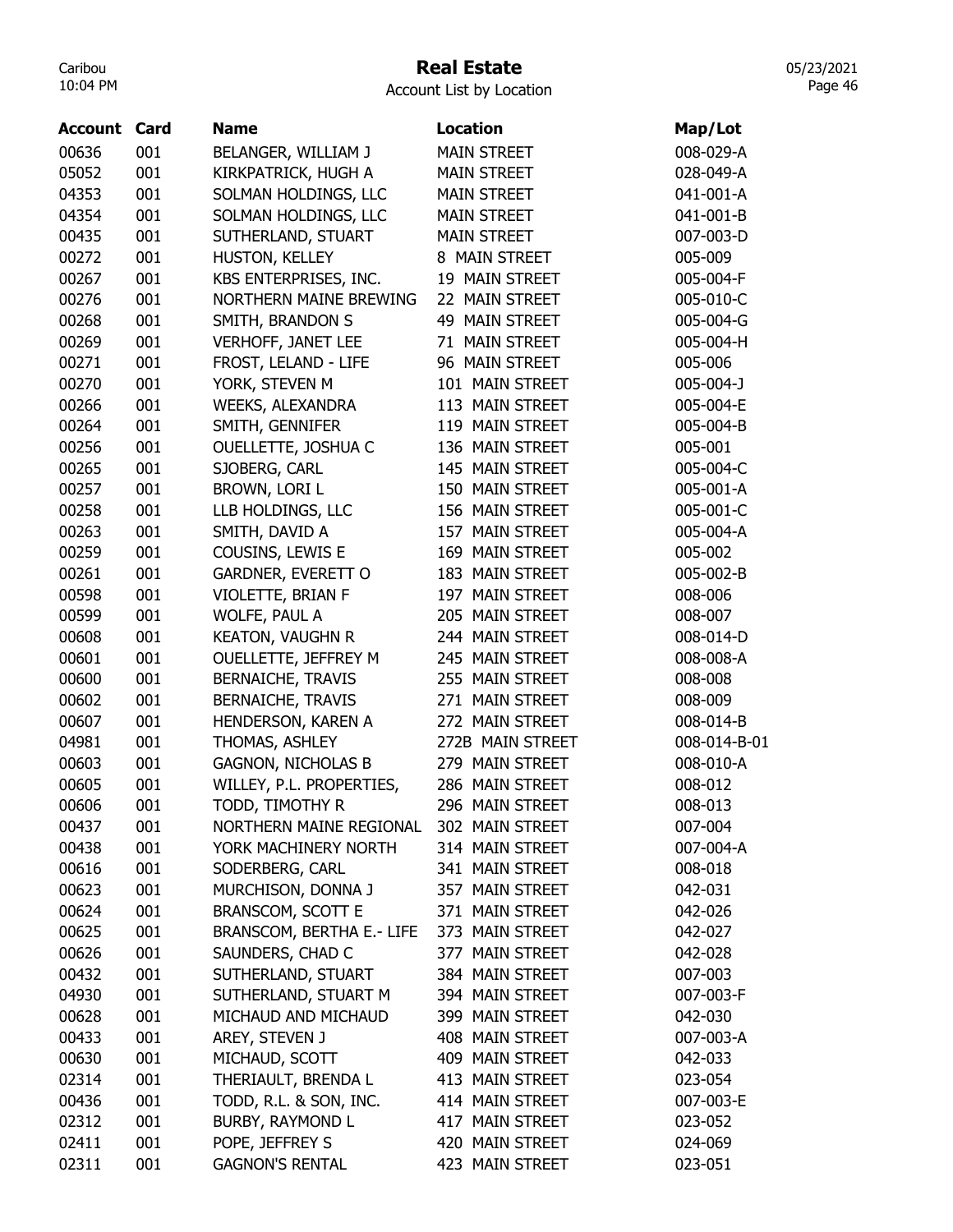## Real Estate

Account List by Location

| <b>Account Card</b> |     | <b>Name</b>                      | <b>Location</b>    | Map/Lot      |
|---------------------|-----|----------------------------------|--------------------|--------------|
| 00636               | 001 | BELANGER, WILLIAM J              | <b>MAIN STREET</b> | 008-029-A    |
| 05052               | 001 | KIRKPATRICK, HUGH A              | <b>MAIN STREET</b> | 028-049-A    |
| 04353               | 001 | SOLMAN HOLDINGS, LLC             | <b>MAIN STREET</b> | 041-001-A    |
| 04354               | 001 | SOLMAN HOLDINGS, LLC             | <b>MAIN STREET</b> | 041-001-B    |
| 00435               | 001 | SUTHERLAND, STUART               | <b>MAIN STREET</b> | 007-003-D    |
| 00272               | 001 | HUSTON, KELLEY                   | 8 MAIN STREET      | 005-009      |
| 00267               | 001 | KBS ENTERPRISES, INC.            | 19 MAIN STREET     | 005-004-F    |
| 00276               | 001 | <b>NORTHERN MAINE BREWING</b>    | 22 MAIN STREET     | 005-010-C    |
| 00268               | 001 | SMITH, BRANDON S                 | 49 MAIN STREET     | 005-004-G    |
| 00269               | 001 | <b>VERHOFF, JANET LEE</b>        | 71 MAIN STREET     | 005-004-H    |
| 00271               | 001 | FROST, LELAND - LIFE             | 96 MAIN STREET     | 005-006      |
| 00270               | 001 | YORK, STEVEN M                   | 101 MAIN STREET    | 005-004-J    |
| 00266               | 001 | WEEKS, ALEXANDRA                 | 113 MAIN STREET    | 005-004-E    |
| 00264               | 001 | SMITH, GENNIFER                  | 119 MAIN STREET    | 005-004-B    |
| 00256               | 001 | OUELLETTE, JOSHUA C              | 136 MAIN STREET    | 005-001      |
| 00265               | 001 | SJOBERG, CARL                    | 145 MAIN STREET    | 005-004-C    |
| 00257               | 001 | BROWN, LORI L                    | 150 MAIN STREET    | 005-001-A    |
| 00258               | 001 | LLB HOLDINGS, LLC                | 156 MAIN STREET    | 005-001-C    |
| 00263               | 001 | SMITH, DAVID A                   | 157 MAIN STREET    | 005-004-A    |
| 00259               | 001 | COUSINS, LEWIS E                 | 169 MAIN STREET    | 005-002      |
| 00261               | 001 | GARDNER, EVERETT O               | 183 MAIN STREET    | 005-002-B    |
| 00598               | 001 | VIOLETTE, BRIAN F                | 197 MAIN STREET    | 008-006      |
| 00599               | 001 | WOLFE, PAUL A                    | 205 MAIN STREET    | 008-007      |
| 00608               | 001 | <b>KEATON, VAUGHN R</b>          | 244 MAIN STREET    | 008-014-D    |
| 00601               | 001 | OUELLETTE, JEFFREY M             | 245 MAIN STREET    | 008-008-A    |
| 00600               | 001 | <b>BERNAICHE, TRAVIS</b>         | 255 MAIN STREET    | 008-008      |
| 00602               | 001 | <b>BERNAICHE, TRAVIS</b>         | 271 MAIN STREET    | 008-009      |
| 00607               | 001 | HENDERSON, KAREN A               | 272 MAIN STREET    | 008-014-B    |
| 04981               | 001 | THOMAS, ASHLEY                   | 272B MAIN STREET   | 008-014-B-01 |
| 00603               | 001 | <b>GAGNON, NICHOLAS B</b>        | 279 MAIN STREET    | 008-010-A    |
| 00605               | 001 | WILLEY, P.L. PROPERTIES,         | 286 MAIN STREET    | 008-012      |
| 00606               | 001 | TODD, TIMOTHY R                  | 296 MAIN STREET    | 008-013      |
| 00437               | 001 | NORTHERN MAINE REGIONAL          | 302 MAIN STREET    | 007-004      |
| 00438               | 001 | YORK MACHINERY NORTH             | 314 MAIN STREET    | 007-004-A    |
| 00616               | 001 | SODERBERG, CARL                  | 341 MAIN STREET    | 008-018      |
| 00623               | 001 | MURCHISON, DONNA J               | 357 MAIN STREET    | 042-031      |
| 00624               | 001 | BRANSCOM, SCOTT E                | 371 MAIN STREET    | 042-026      |
| 00625               | 001 | <b>BRANSCOM, BERTHA E.- LIFE</b> | 373 MAIN STREET    | 042-027      |
| 00626               | 001 | SAUNDERS, CHAD C                 | 377 MAIN STREET    | 042-028      |
| 00432               | 001 | SUTHERLAND, STUART               | 384 MAIN STREET    | 007-003      |
| 04930               | 001 | SUTHERLAND, STUART M             | 394 MAIN STREET    | 007-003-F    |
| 00628               | 001 | MICHAUD AND MICHAUD              | 399 MAIN STREET    | 042-030      |
| 00433               | 001 | AREY, STEVEN J                   | 408 MAIN STREET    | 007-003-A    |
| 00630               | 001 | MICHAUD, SCOTT                   | 409 MAIN STREET    | 042-033      |
| 02314               | 001 | THERIAULT, BRENDA L              | 413 MAIN STREET    | 023-054      |
| 00436               | 001 | TODD, R.L. & SON, INC.           | 414 MAIN STREET    | 007-003-E    |
| 02312               | 001 | BURBY, RAYMOND L                 | 417 MAIN STREET    | 023-052      |
| 02411               | 001 | POPE, JEFFREY S                  | 420 MAIN STREET    | 024-069      |
| 02311               | 001 | <b>GAGNON'S RENTAL</b>           | 423 MAIN STREET    | 023-051      |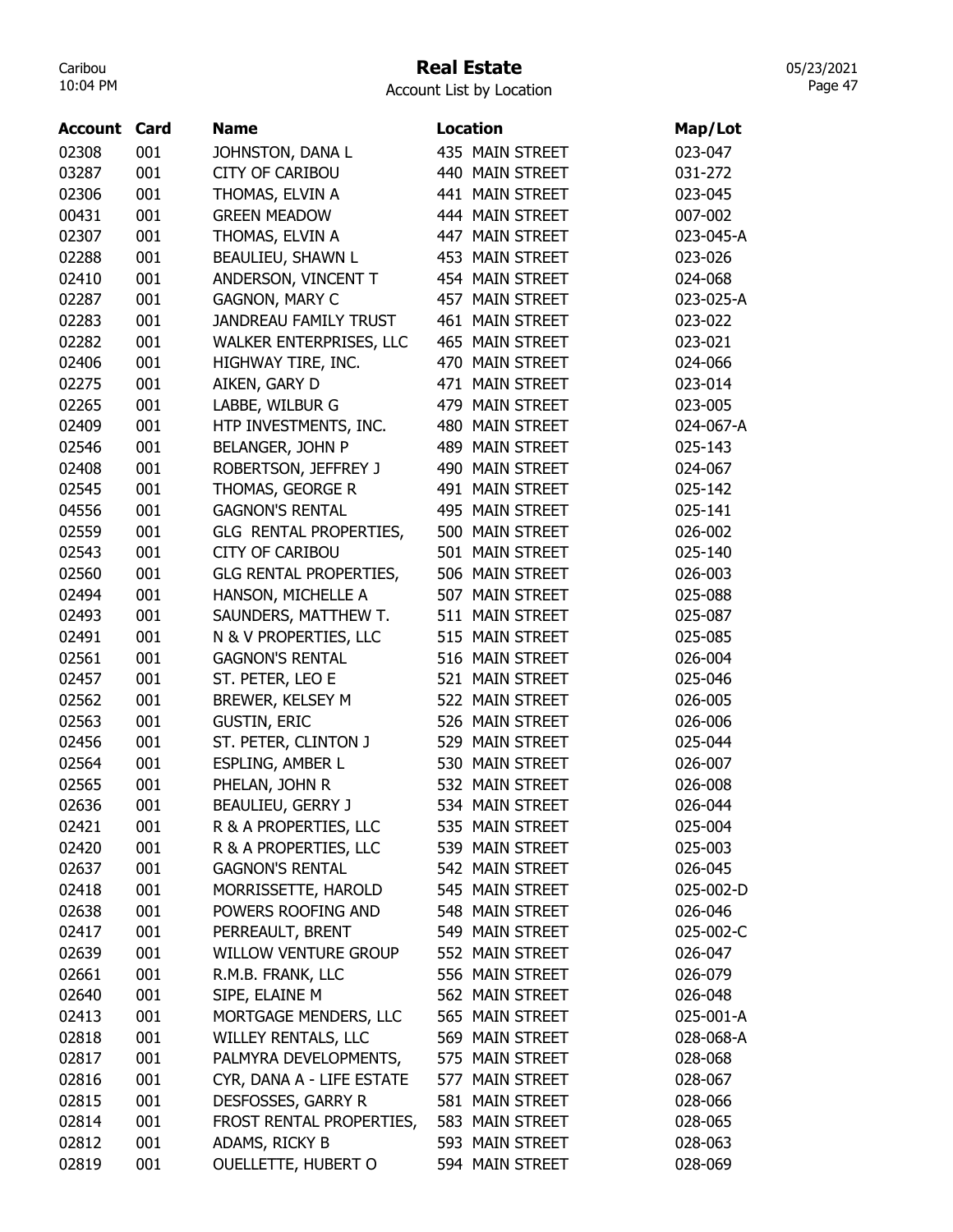## Real Estate

05/23/2021 Page 47

| <b>Account Card</b> |     | <b>Name</b>                   | Location        | Map/Lot   |
|---------------------|-----|-------------------------------|-----------------|-----------|
| 02308               | 001 | JOHNSTON, DANA L              | 435 MAIN STREET | 023-047   |
| 03287               | 001 | <b>CITY OF CARIBOU</b>        | 440 MAIN STREET | 031-272   |
| 02306               | 001 | THOMAS, ELVIN A               | 441 MAIN STREET | 023-045   |
| 00431               | 001 | <b>GREEN MEADOW</b>           | 444 MAIN STREET | 007-002   |
| 02307               | 001 | THOMAS, ELVIN A               | 447 MAIN STREET | 023-045-A |
| 02288               | 001 | BEAULIEU, SHAWN L             | 453 MAIN STREET | 023-026   |
| 02410               | 001 | ANDERSON, VINCENT T           | 454 MAIN STREET | 024-068   |
| 02287               | 001 | <b>GAGNON, MARY C</b>         | 457 MAIN STREET | 023-025-A |
| 02283               | 001 | <b>JANDREAU FAMILY TRUST</b>  | 461 MAIN STREET | 023-022   |
| 02282               | 001 | WALKER ENTERPRISES, LLC       | 465 MAIN STREET | 023-021   |
| 02406               | 001 | HIGHWAY TIRE, INC.            | 470 MAIN STREET | 024-066   |
| 02275               | 001 | AIKEN, GARY D                 | 471 MAIN STREET | 023-014   |
| 02265               | 001 | LABBE, WILBUR G               | 479 MAIN STREET | 023-005   |
| 02409               | 001 | HTP INVESTMENTS, INC.         | 480 MAIN STREET | 024-067-A |
| 02546               | 001 | <b>BELANGER, JOHN P</b>       | 489 MAIN STREET | 025-143   |
| 02408               | 001 | ROBERTSON, JEFFREY J          | 490 MAIN STREET | 024-067   |
| 02545               | 001 | THOMAS, GEORGE R              | 491 MAIN STREET | 025-142   |
| 04556               | 001 | <b>GAGNON'S RENTAL</b>        | 495 MAIN STREET | 025-141   |
| 02559               | 001 | GLG RENTAL PROPERTIES,        | 500 MAIN STREET | 026-002   |
| 02543               | 001 | <b>CITY OF CARIBOU</b>        | 501 MAIN STREET | 025-140   |
| 02560               | 001 | <b>GLG RENTAL PROPERTIES,</b> | 506 MAIN STREET | 026-003   |
| 02494               | 001 | HANSON, MICHELLE A            | 507 MAIN STREET | 025-088   |
| 02493               | 001 | SAUNDERS, MATTHEW T.          | 511 MAIN STREET | 025-087   |
| 02491               | 001 | N & V PROPERTIES, LLC         | 515 MAIN STREET | 025-085   |
| 02561               | 001 | <b>GAGNON'S RENTAL</b>        | 516 MAIN STREET | 026-004   |
| 02457               | 001 | ST. PETER, LEO E              | 521 MAIN STREET | 025-046   |
| 02562               | 001 | BREWER, KELSEY M              | 522 MAIN STREET | 026-005   |
| 02563               | 001 | <b>GUSTIN, ERIC</b>           | 526 MAIN STREET | 026-006   |
| 02456               | 001 | ST. PETER, CLINTON J          | 529 MAIN STREET | 025-044   |
| 02564               | 001 | ESPLING, AMBER L              | 530 MAIN STREET | 026-007   |
| 02565               | 001 |                               | 532 MAIN STREET | 026-008   |
|                     |     | PHELAN, JOHN R                | 534 MAIN STREET |           |
| 02636               | 001 | BEAULIEU, GERRY J             |                 | 026-044   |
| 02421               | 001 | R & A PROPERTIES, LLC         | 535 MAIN STREET | 025-004   |
| 02420               | 001 | R & A PROPERTIES, LLC         | 539 MAIN STREET | 025-003   |
| 02637               | 001 | <b>GAGNON'S RENTAL</b>        | 542 MAIN STREET | 026-045   |
| 02418               | 001 | MORRISSETTE, HAROLD           | 545 MAIN STREET | 025-002-D |
| 02638               | 001 | POWERS ROOFING AND            | 548 MAIN STREET | 026-046   |
| 02417               | 001 | PERREAULT, BRENT              | 549 MAIN STREET | 025-002-C |
| 02639               | 001 | <b>WILLOW VENTURE GROUP</b>   | 552 MAIN STREET | 026-047   |
| 02661               | 001 | R.M.B. FRANK, LLC             | 556 MAIN STREET | 026-079   |
| 02640               | 001 | SIPE, ELAINE M                | 562 MAIN STREET | 026-048   |
| 02413               | 001 | MORTGAGE MENDERS, LLC         | 565 MAIN STREET | 025-001-A |
| 02818               | 001 | WILLEY RENTALS, LLC           | 569 MAIN STREET | 028-068-A |
| 02817               | 001 | PALMYRA DEVELOPMENTS,         | 575 MAIN STREET | 028-068   |
| 02816               | 001 | CYR, DANA A - LIFE ESTATE     | 577 MAIN STREET | 028-067   |
| 02815               | 001 | DESFOSSES, GARRY R            | 581 MAIN STREET | 028-066   |
| 02814               | 001 | FROST RENTAL PROPERTIES,      | 583 MAIN STREET | 028-065   |
| 02812               | 001 | ADAMS, RICKY B                | 593 MAIN STREET | 028-063   |
| 02819               | 001 | <b>OUELLETTE, HUBERT O</b>    | 594 MAIN STREET | 028-069   |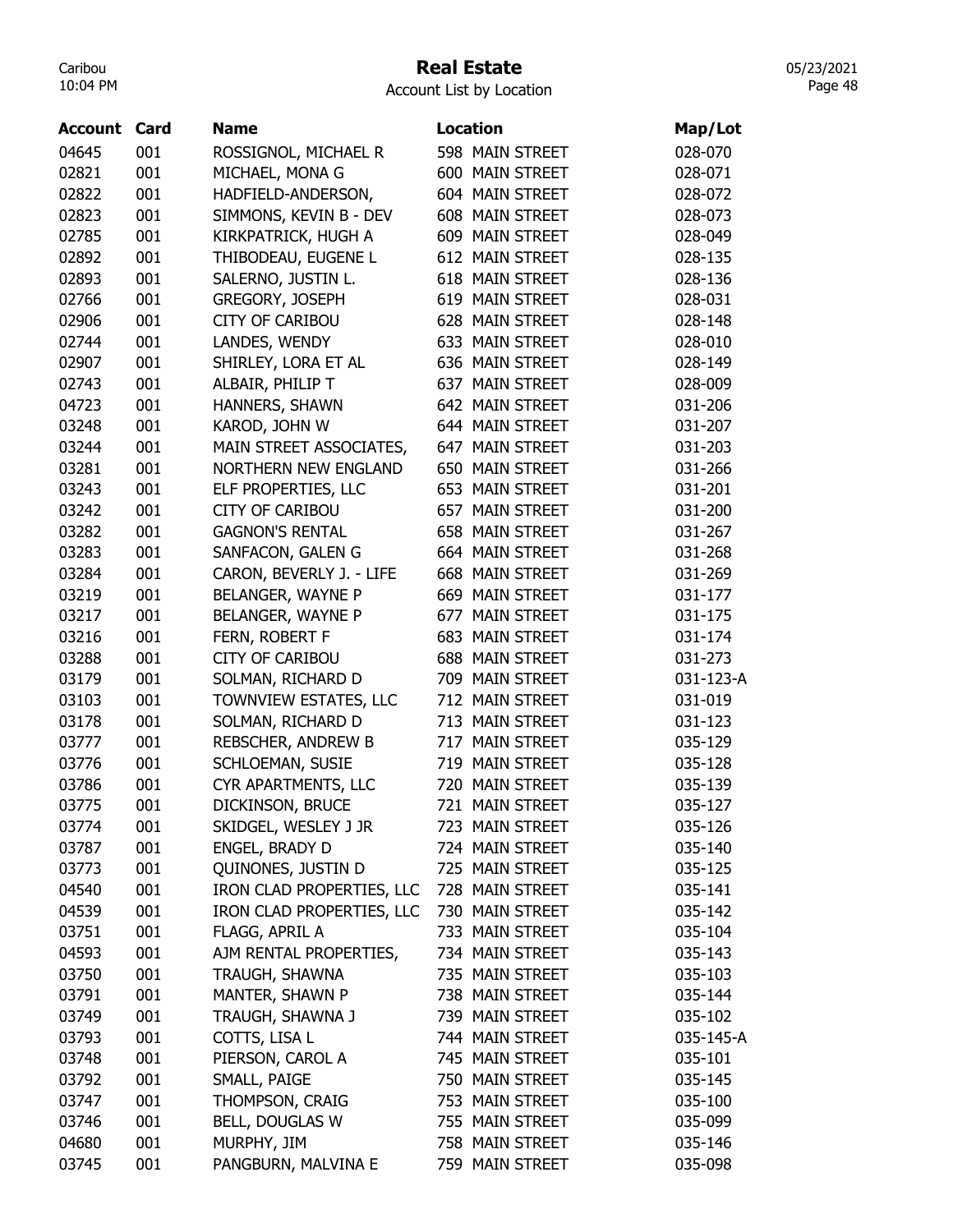#### Real Estate

Account List by Location

| 598 MAIN STREET<br>04645<br>001<br>ROSSIGNOL, MICHAEL R<br>028-070<br>02821<br>001<br>MICHAEL, MONA G<br>600 MAIN STREET<br>028-071<br>02822<br>001<br>HADFIELD-ANDERSON,<br>604 MAIN STREET<br>028-072<br>001<br>SIMMONS, KEVIN B - DEV<br>608 MAIN STREET<br>02823<br>028-073<br>001<br>KIRKPATRICK, HUGH A<br>609 MAIN STREET<br>02785<br>028-049<br>001<br>THIBODEAU, EUGENE L<br>612 MAIN STREET<br>02892<br>028-135<br>02893<br>001<br>SALERNO, JUSTIN L.<br>618 MAIN STREET<br>028-136 |  |
|-----------------------------------------------------------------------------------------------------------------------------------------------------------------------------------------------------------------------------------------------------------------------------------------------------------------------------------------------------------------------------------------------------------------------------------------------------------------------------------------------|--|
|                                                                                                                                                                                                                                                                                                                                                                                                                                                                                               |  |
|                                                                                                                                                                                                                                                                                                                                                                                                                                                                                               |  |
|                                                                                                                                                                                                                                                                                                                                                                                                                                                                                               |  |
|                                                                                                                                                                                                                                                                                                                                                                                                                                                                                               |  |
|                                                                                                                                                                                                                                                                                                                                                                                                                                                                                               |  |
|                                                                                                                                                                                                                                                                                                                                                                                                                                                                                               |  |
|                                                                                                                                                                                                                                                                                                                                                                                                                                                                                               |  |
| 001<br>GREGORY, JOSEPH<br>619 MAIN STREET<br>02766<br>028-031                                                                                                                                                                                                                                                                                                                                                                                                                                 |  |
| 02906<br>001<br><b>CITY OF CARIBOU</b><br>628 MAIN STREET<br>028-148                                                                                                                                                                                                                                                                                                                                                                                                                          |  |
| 02744<br>001<br>LANDES, WENDY<br>633 MAIN STREET<br>028-010                                                                                                                                                                                                                                                                                                                                                                                                                                   |  |
| 02907<br>001<br>SHIRLEY, LORA ET AL<br>636 MAIN STREET<br>028-149                                                                                                                                                                                                                                                                                                                                                                                                                             |  |
| 001<br>ALBAIR, PHILIP T<br>637 MAIN STREET<br>02743<br>028-009                                                                                                                                                                                                                                                                                                                                                                                                                                |  |
| 001<br>HANNERS, SHAWN<br>642 MAIN STREET<br>04723<br>031-206                                                                                                                                                                                                                                                                                                                                                                                                                                  |  |
| 001<br>KAROD, JOHN W<br>644 MAIN STREET<br>03248<br>031-207                                                                                                                                                                                                                                                                                                                                                                                                                                   |  |
| 001<br>03244<br>MAIN STREET ASSOCIATES,<br>647 MAIN STREET<br>031-203                                                                                                                                                                                                                                                                                                                                                                                                                         |  |
| 001<br><b>NORTHERN NEW ENGLAND</b><br>650 MAIN STREET<br>03281<br>031-266                                                                                                                                                                                                                                                                                                                                                                                                                     |  |
| 03243<br>001<br>ELF PROPERTIES, LLC<br>653 MAIN STREET<br>031-201                                                                                                                                                                                                                                                                                                                                                                                                                             |  |
| 03242<br>001<br><b>CITY OF CARIBOU</b><br>657 MAIN STREET<br>031-200                                                                                                                                                                                                                                                                                                                                                                                                                          |  |
| 03282<br>001<br><b>GAGNON'S RENTAL</b><br>658 MAIN STREET<br>031-267                                                                                                                                                                                                                                                                                                                                                                                                                          |  |
| 001<br>SANFACON, GALEN G<br>664 MAIN STREET<br>03283<br>031-268                                                                                                                                                                                                                                                                                                                                                                                                                               |  |
| 001<br>CARON, BEVERLY J. - LIFE<br>668 MAIN STREET<br>03284<br>031-269                                                                                                                                                                                                                                                                                                                                                                                                                        |  |
| 001<br>BELANGER, WAYNE P<br>669 MAIN STREET<br>03219<br>031-177                                                                                                                                                                                                                                                                                                                                                                                                                               |  |
| 03217<br>001<br>BELANGER, WAYNE P<br>677 MAIN STREET<br>031-175                                                                                                                                                                                                                                                                                                                                                                                                                               |  |
| 03216<br>001<br>FERN, ROBERT F<br>683 MAIN STREET<br>031-174                                                                                                                                                                                                                                                                                                                                                                                                                                  |  |
| 03288<br>001<br><b>CITY OF CARIBOU</b><br>688 MAIN STREET<br>031-273                                                                                                                                                                                                                                                                                                                                                                                                                          |  |
| 03179<br>001<br>SOLMAN, RICHARD D<br>709 MAIN STREET<br>031-123-A                                                                                                                                                                                                                                                                                                                                                                                                                             |  |
| 001<br>TOWNVIEW ESTATES, LLC<br>03103<br>712 MAIN STREET<br>031-019                                                                                                                                                                                                                                                                                                                                                                                                                           |  |
| 001<br>03178<br>SOLMAN, RICHARD D<br>713 MAIN STREET<br>031-123                                                                                                                                                                                                                                                                                                                                                                                                                               |  |
| 717 MAIN STREET<br>03777<br>001<br><b>REBSCHER, ANDREW B</b><br>035-129                                                                                                                                                                                                                                                                                                                                                                                                                       |  |
| 03776<br>001<br>SCHLOEMAN, SUSIE<br>719 MAIN STREET<br>035-128                                                                                                                                                                                                                                                                                                                                                                                                                                |  |
| 03786<br>001<br>CYR APARTMENTS, LLC<br>720 MAIN STREET<br>035-139                                                                                                                                                                                                                                                                                                                                                                                                                             |  |
| 03775<br>DICKINSON, BRUCE<br>721 MAIN STREET<br>035-127<br>001                                                                                                                                                                                                                                                                                                                                                                                                                                |  |
| 001<br>SKIDGEL, WESLEY J JR<br>723 MAIN STREET<br>03774<br>035-126                                                                                                                                                                                                                                                                                                                                                                                                                            |  |
| 001<br>ENGEL, BRADY D<br>724 MAIN STREET<br>03787<br>035-140                                                                                                                                                                                                                                                                                                                                                                                                                                  |  |
| QUINONES, JUSTIN D<br>03773<br>001<br>725 MAIN STREET<br>035-125                                                                                                                                                                                                                                                                                                                                                                                                                              |  |
| IRON CLAD PROPERTIES, LLC<br>04540<br>001<br>728 MAIN STREET<br>035-141                                                                                                                                                                                                                                                                                                                                                                                                                       |  |
| 730 MAIN STREET<br>04539<br>001<br>IRON CLAD PROPERTIES, LLC<br>035-142                                                                                                                                                                                                                                                                                                                                                                                                                       |  |
| 03751<br>001<br>733 MAIN STREET<br>FLAGG, APRIL A<br>035-104                                                                                                                                                                                                                                                                                                                                                                                                                                  |  |
| 04593<br>001<br>AJM RENTAL PROPERTIES,<br>734 MAIN STREET<br>035-143                                                                                                                                                                                                                                                                                                                                                                                                                          |  |
| 735 MAIN STREET<br>03750<br>001<br>TRAUGH, SHAWNA<br>035-103                                                                                                                                                                                                                                                                                                                                                                                                                                  |  |
| 001<br>738 MAIN STREET<br>03791<br>MANTER, SHAWN P<br>035-144                                                                                                                                                                                                                                                                                                                                                                                                                                 |  |
| 001<br>TRAUGH, SHAWNA J<br>03749<br>739 MAIN STREET<br>035-102                                                                                                                                                                                                                                                                                                                                                                                                                                |  |
| 03793<br>001<br>COTTS, LISA L<br>744 MAIN STREET<br>035-145-A                                                                                                                                                                                                                                                                                                                                                                                                                                 |  |
| PIERSON, CAROL A<br>745 MAIN STREET<br>03748<br>001<br>035-101                                                                                                                                                                                                                                                                                                                                                                                                                                |  |
| 03792<br>001<br>SMALL, PAIGE<br>750 MAIN STREET<br>035-145                                                                                                                                                                                                                                                                                                                                                                                                                                    |  |
| 001<br>THOMPSON, CRAIG<br>03747<br>753 MAIN STREET<br>035-100                                                                                                                                                                                                                                                                                                                                                                                                                                 |  |
| BELL, DOUGLAS W<br>03746<br>001<br>755 MAIN STREET<br>035-099                                                                                                                                                                                                                                                                                                                                                                                                                                 |  |
| 04680<br>001<br>MURPHY, JIM<br>758 MAIN STREET<br>035-146                                                                                                                                                                                                                                                                                                                                                                                                                                     |  |
| 03745<br>001<br>PANGBURN, MALVINA E<br>759 MAIN STREET<br>035-098                                                                                                                                                                                                                                                                                                                                                                                                                             |  |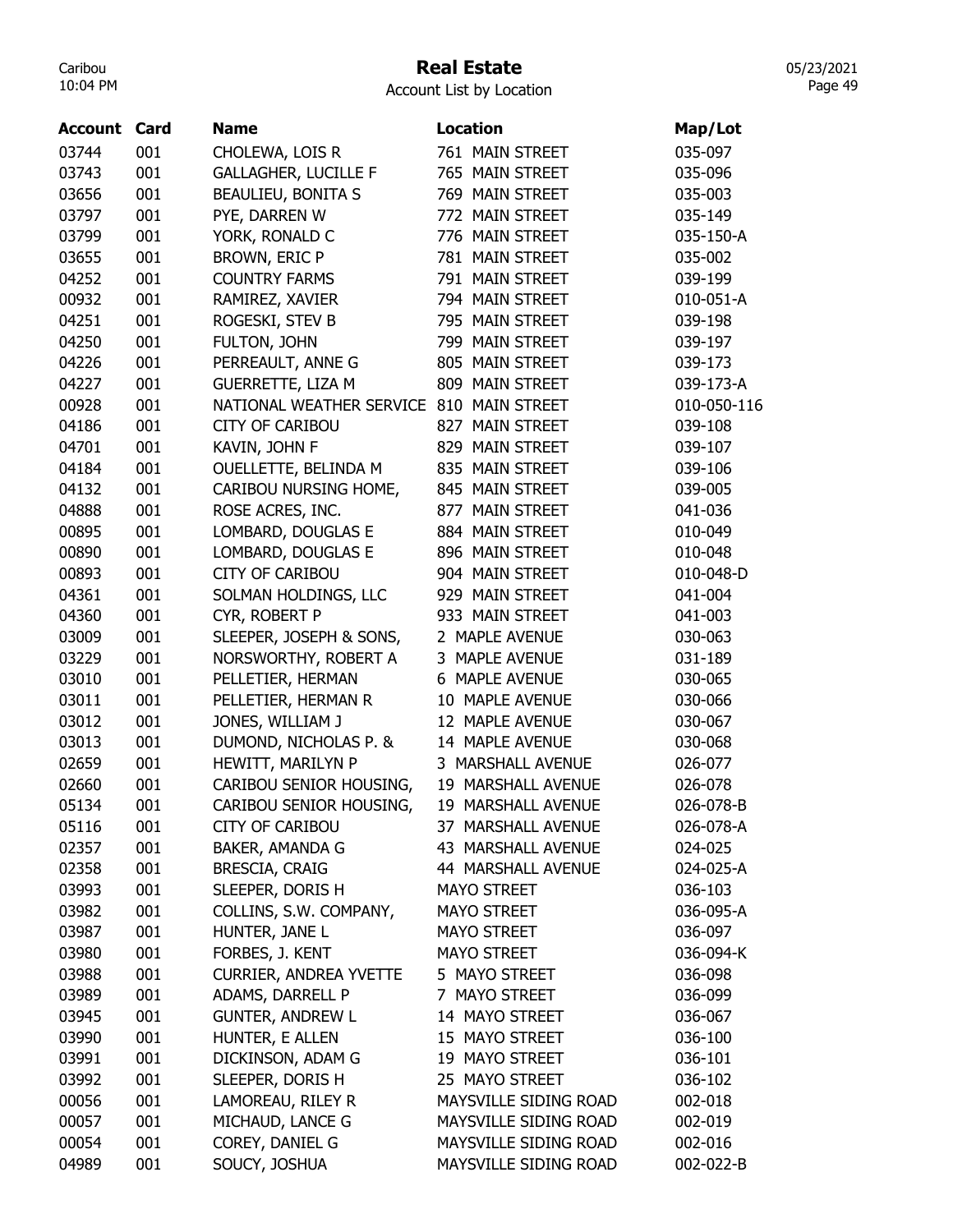## Real Estate

Account List by Location

| Account | Card | <b>Name</b>                   | <b>Location</b>       | Map/Lot     |
|---------|------|-------------------------------|-----------------------|-------------|
| 03744   | 001  | CHOLEWA, LOIS R               | 761 MAIN STREET       | 035-097     |
| 03743   | 001  | <b>GALLAGHER, LUCILLE F</b>   | 765 MAIN STREET       | 035-096     |
| 03656   | 001  | <b>BEAULIEU, BONITA S</b>     | 769 MAIN STREET       | 035-003     |
| 03797   | 001  | PYE, DARREN W                 | 772 MAIN STREET       | 035-149     |
| 03799   | 001  | YORK, RONALD C                | 776 MAIN STREET       | 035-150-A   |
| 03655   | 001  | BROWN, ERIC P                 | 781 MAIN STREET       | 035-002     |
| 04252   | 001  | <b>COUNTRY FARMS</b>          | 791 MAIN STREET       | 039-199     |
| 00932   | 001  | RAMIREZ, XAVIER               | 794 MAIN STREET       | 010-051-A   |
| 04251   | 001  | ROGESKI, STEV B               | 795 MAIN STREET       | 039-198     |
| 04250   | 001  | FULTON, JOHN                  | 799 MAIN STREET       | 039-197     |
| 04226   | 001  | PERREAULT, ANNE G             | 805 MAIN STREET       | 039-173     |
| 04227   | 001  | <b>GUERRETTE, LIZA M</b>      | 809 MAIN STREET       | 039-173-A   |
| 00928   | 001  | NATIONAL WEATHER SERVICE      | 810 MAIN STREET       | 010-050-116 |
| 04186   | 001  | <b>CITY OF CARIBOU</b>        | 827 MAIN STREET       | 039-108     |
| 04701   | 001  | KAVIN, JOHN F                 | 829 MAIN STREET       | 039-107     |
| 04184   | 001  | OUELLETTE, BELINDA M          | 835 MAIN STREET       | 039-106     |
| 04132   | 001  | CARIBOU NURSING HOME,         | 845 MAIN STREET       | 039-005     |
| 04888   | 001  | ROSE ACRES, INC.              | 877 MAIN STREET       | 041-036     |
| 00895   | 001  | LOMBARD, DOUGLAS E            | 884 MAIN STREET       | 010-049     |
| 00890   | 001  | LOMBARD, DOUGLAS E            | 896 MAIN STREET       | 010-048     |
| 00893   | 001  | <b>CITY OF CARIBOU</b>        | 904 MAIN STREET       | 010-048-D   |
| 04361   | 001  | SOLMAN HOLDINGS, LLC          | 929 MAIN STREET       | 041-004     |
| 04360   | 001  | CYR, ROBERT P                 | 933 MAIN STREET       | 041-003     |
| 03009   | 001  | SLEEPER, JOSEPH & SONS,       | 2 MAPLE AVENUE        | 030-063     |
| 03229   | 001  | NORSWORTHY, ROBERT A          | 3 MAPLE AVENUE        | 031-189     |
| 03010   | 001  | PELLETIER, HERMAN             | 6 MAPLE AVENUE        | 030-065     |
| 03011   | 001  | PELLETIER, HERMAN R           | 10 MAPLE AVENUE       | 030-066     |
| 03012   | 001  | JONES, WILLIAM J              | 12 MAPLE AVENUE       | 030-067     |
| 03013   | 001  | DUMOND, NICHOLAS P. &         | 14 MAPLE AVENUE       | 030-068     |
| 02659   | 001  | HEWITT, MARILYN P             | 3 MARSHALL AVENUE     | 026-077     |
| 02660   | 001  | CARIBOU SENIOR HOUSING,       | 19 MARSHALL AVENUE    | 026-078     |
| 05134   | 001  | CARIBOU SENIOR HOUSING,       | 19 MARSHALL AVENUE    | 026-078-B   |
| 05116   | 001  | <b>CITY OF CARIBOU</b>        | 37 MARSHALL AVENUE    | 026-078-A   |
| 02357   | 001  | BAKER, AMANDA G               | 43 MARSHALL AVENUE    | 024-025     |
| 02358   | 001  | BRESCIA, CRAIG                | 44 MARSHALL AVENUE    | 024-025-A   |
| 03993   | 001  | SLEEPER, DORIS H              | <b>MAYO STREET</b>    | 036-103     |
| 03982   | 001  | COLLINS, S.W. COMPANY,        | MAYO STREET           | 036-095-A   |
| 03987   | 001  | HUNTER, JANE L                | <b>MAYO STREET</b>    | 036-097     |
| 03980   | 001  | FORBES, J. KENT               | <b>MAYO STREET</b>    | 036-094-K   |
| 03988   | 001  | <b>CURRIER, ANDREA YVETTE</b> | 5 MAYO STREET         | 036-098     |
| 03989   | 001  | ADAMS, DARRELL P              | 7 MAYO STREET         | 036-099     |
| 03945   | 001  | <b>GUNTER, ANDREW L</b>       | 14 MAYO STREET        | 036-067     |
| 03990   | 001  | HUNTER, E ALLEN               | 15 MAYO STREET        | 036-100     |
| 03991   | 001  | DICKINSON, ADAM G             | 19 MAYO STREET        | 036-101     |
| 03992   | 001  | SLEEPER, DORIS H              | 25 MAYO STREET        | 036-102     |
| 00056   | 001  | LAMOREAU, RILEY R             | MAYSVILLE SIDING ROAD | 002-018     |
| 00057   | 001  | MICHAUD, LANCE G              | MAYSVILLE SIDING ROAD | 002-019     |
| 00054   | 001  | COREY, DANIEL G               | MAYSVILLE SIDING ROAD | 002-016     |
| 04989   | 001  | SOUCY, JOSHUA                 | MAYSVILLE SIDING ROAD | 002-022-B   |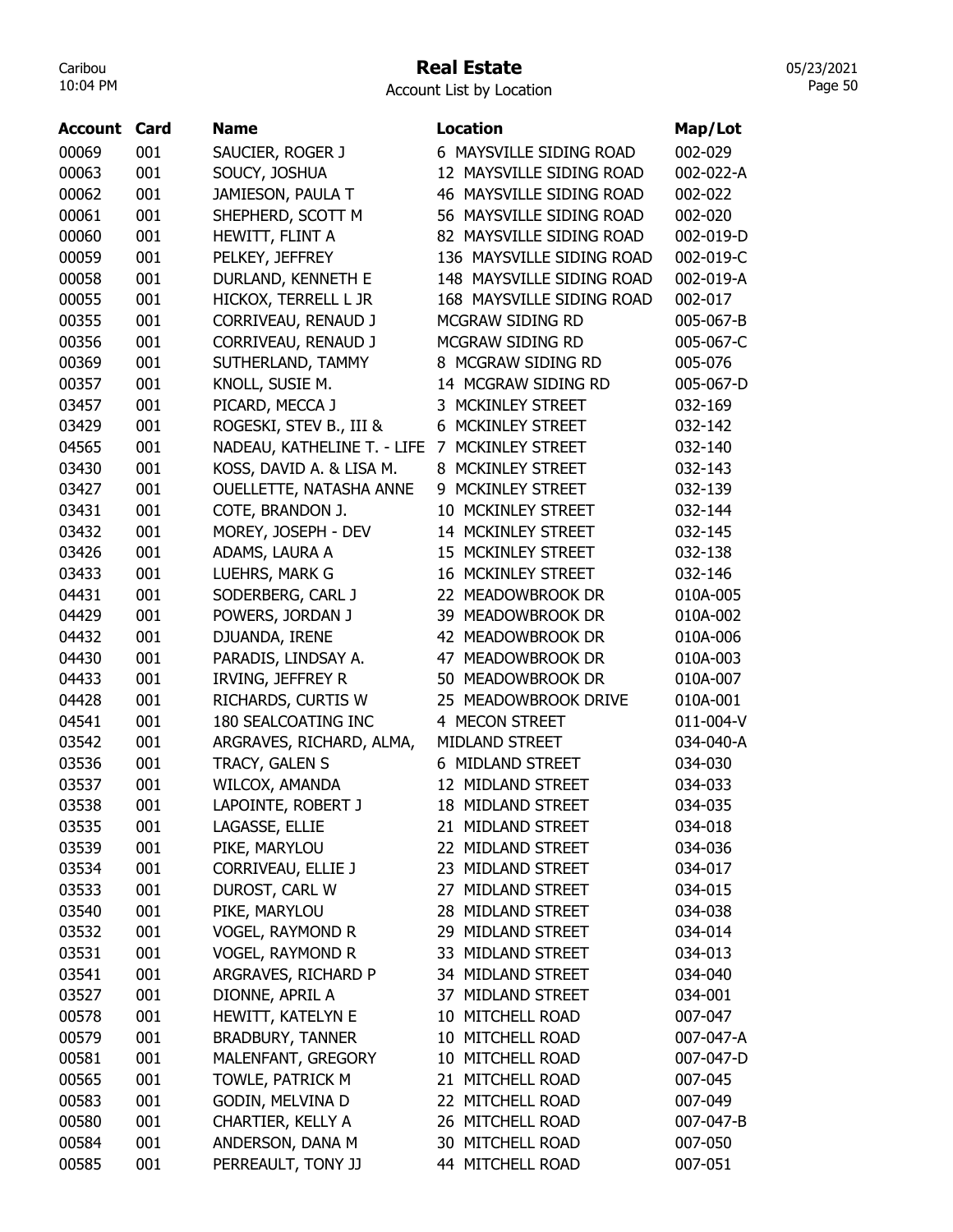## Real Estate

05/23/2021 Page 50

| Account | Card | <b>Name</b>                 | <b>Location</b>             | Map/Lot   |
|---------|------|-----------------------------|-----------------------------|-----------|
| 00069   | 001  | SAUCIER, ROGER J            | 6 MAYSVILLE SIDING ROAD     | 002-029   |
| 00063   | 001  | SOUCY, JOSHUA               | 12 MAYSVILLE SIDING ROAD    | 002-022-A |
| 00062   | 001  | JAMIESON, PAULA T           | 46 MAYSVILLE SIDING ROAD    | 002-022   |
| 00061   | 001  | SHEPHERD, SCOTT M           | 56 MAYSVILLE SIDING ROAD    | 002-020   |
| 00060   | 001  | HEWITT, FLINT A             | 82 MAYSVILLE SIDING ROAD    | 002-019-D |
| 00059   | 001  | PELKEY, JEFFREY             | 136 MAYSVILLE SIDING ROAD   | 002-019-C |
| 00058   | 001  | DURLAND, KENNETH E          | 148 MAYSVILLE SIDING ROAD   | 002-019-A |
| 00055   | 001  | HICKOX, TERRELL L JR        | 168 MAYSVILLE SIDING ROAD   | 002-017   |
| 00355   | 001  | CORRIVEAU, RENAUD J         | MCGRAW SIDING RD            | 005-067-B |
| 00356   | 001  | CORRIVEAU, RENAUD J         | MCGRAW SIDING RD            | 005-067-C |
| 00369   | 001  | SUTHERLAND, TAMMY           | 8 MCGRAW SIDING RD          | 005-076   |
| 00357   | 001  | KNOLL, SUSIE M.             | 14 MCGRAW SIDING RD         | 005-067-D |
| 03457   | 001  | PICARD, MECCA J             | 3 MCKINLEY STREET           | 032-169   |
| 03429   | 001  | ROGESKI, STEV B., III &     | 6 MCKINLEY STREET           | 032-142   |
| 04565   | 001  | NADEAU, KATHELINE T. - LIFE | MCKINLEY STREET<br>7        | 032-140   |
| 03430   | 001  | KOSS, DAVID A. & LISA M.    | 8 MCKINLEY STREET           | 032-143   |
| 03427   | 001  | OUELLETTE, NATASHA ANNE     | MCKINLEY STREET<br>9.       | 032-139   |
| 03431   | 001  | COTE, BRANDON J.            | 10 MCKINLEY STREET          | 032-144   |
| 03432   | 001  | MOREY, JOSEPH - DEV         | 14 MCKINLEY STREET          | 032-145   |
| 03426   | 001  | ADAMS, LAURA A              | 15 MCKINLEY STREET          | 032-138   |
| 03433   | 001  | LUEHRS, MARK G              | 16 MCKINLEY STREET          | 032-146   |
| 04431   | 001  | SODERBERG, CARL J           | 22 MEADOWBROOK DR           | 010A-005  |
| 04429   | 001  | POWERS, JORDAN J            | 39 MEADOWBROOK DR           | 010A-002  |
| 04432   | 001  | DJUANDA, IRENE              | 42 MEADOWBROOK DR           | 010A-006  |
| 04430   | 001  | PARADIS, LINDSAY A.         | MEADOWBROOK DR<br>47        | 010A-003  |
| 04433   | 001  | IRVING, JEFFREY R           | 50 MEADOWBROOK DR           | 010A-007  |
| 04428   | 001  | RICHARDS, CURTIS W          | 25 MEADOWBROOK DRIVE        | 010A-001  |
| 04541   | 001  | 180 SEALCOATING INC         | 4 MECON STREET              | 011-004-V |
| 03542   | 001  | ARGRAVES, RICHARD, ALMA,    | MIDLAND STREET              | 034-040-A |
| 03536   | 001  | TRACY, GALEN S              | 6 MIDLAND STREET            | 034-030   |
| 03537   | 001  | WILCOX, AMANDA              | 12 MIDLAND STREET           | 034-033   |
| 03538   | 001  | LAPOINTE, ROBERT J          | <b>MIDLAND STREET</b><br>18 | 034-035   |
| 03535   | 001  | LAGASSE, ELLIE              | 21 MIDLAND STREET           | 034-018   |
| 03539   | 001  | PIKE, MARYLOU               | 22 MIDLAND STREET           | 034-036   |
| 03534   | 001  | CORRIVEAU, ELLIE J          | 23 MIDLAND STREET           | 034-017   |
| 03533   | 001  | DUROST, CARL W              | 27 MIDLAND STREET           | 034-015   |
| 03540   | 001  | PIKE, MARYLOU               | 28 MIDLAND STREET           | 034-038   |
| 03532   | 001  | <b>VOGEL, RAYMOND R</b>     | 29 MIDLAND STREET           | 034-014   |
| 03531   | 001  | <b>VOGEL, RAYMOND R</b>     | 33 MIDLAND STREET           | 034-013   |
| 03541   | 001  | ARGRAVES, RICHARD P         | 34 MIDLAND STREET           | 034-040   |
| 03527   | 001  | DIONNE, APRIL A             | 37 MIDLAND STREET           | 034-001   |
| 00578   | 001  | HEWITT, KATELYN E           | 10 MITCHELL ROAD            | 007-047   |
| 00579   | 001  | <b>BRADBURY, TANNER</b>     | 10 MITCHELL ROAD            | 007-047-A |
| 00581   | 001  | MALENFANT, GREGORY          | 10 MITCHELL ROAD            | 007-047-D |
| 00565   | 001  | TOWLE, PATRICK M            | 21 MITCHELL ROAD            | 007-045   |
| 00583   | 001  | GODIN, MELVINA D            | 22 MITCHELL ROAD            | 007-049   |
| 00580   | 001  | CHARTIER, KELLY A           | 26 MITCHELL ROAD            | 007-047-B |
| 00584   | 001  | ANDERSON, DANA M            | 30 MITCHELL ROAD            | 007-050   |
| 00585   | 001  | PERREAULT, TONY JJ          | 44 MITCHELL ROAD            | 007-051   |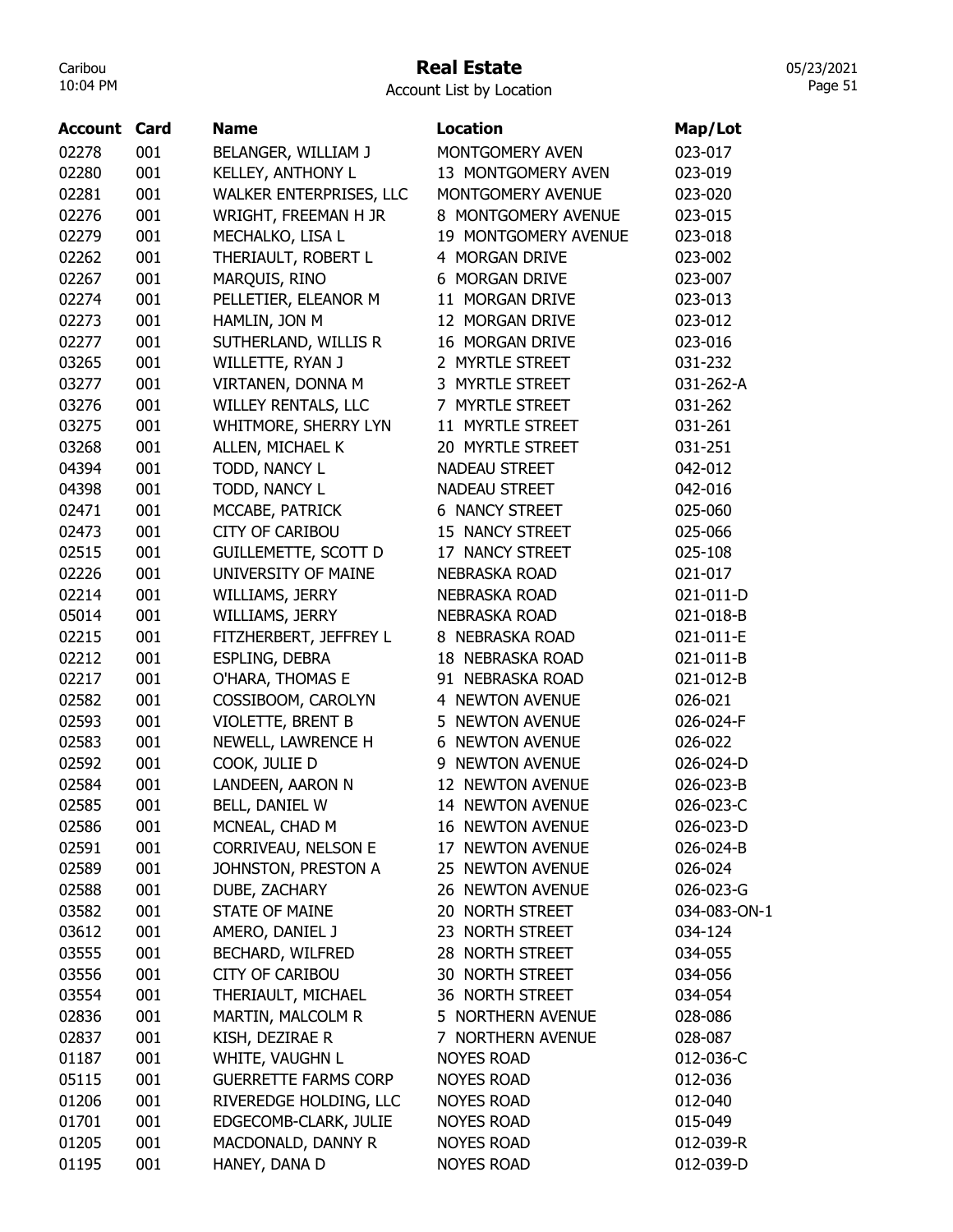## Real Estate

05/23/2021 Page 51

| <b>Account Card</b> |            | <b>Name</b>                                | <b>Location</b>           | Map/Lot                |
|---------------------|------------|--------------------------------------------|---------------------------|------------------------|
| 02278               | 001        | BELANGER, WILLIAM J                        | MONTGOMERY AVEN           | 023-017                |
| 02280               | 001        | KELLEY, ANTHONY L                          | 13 MONTGOMERY AVEN        | 023-019                |
| 02281               | 001        | WALKER ENTERPRISES, LLC                    | MONTGOMERY AVENUE         | 023-020                |
| 02276               | 001        | WRIGHT, FREEMAN H JR                       | 8 MONTGOMERY AVENUE       | 023-015                |
| 02279               | 001        | MECHALKO, LISA L                           | 19 MONTGOMERY AVENUE      | 023-018                |
| 02262               | 001        | THERIAULT, ROBERT L                        | 4 MORGAN DRIVE            | 023-002                |
| 02267               | 001        | MARQUIS, RINO                              | 6 MORGAN DRIVE            | 023-007                |
| 02274               | 001        | PELLETIER, ELEANOR M                       | 11 MORGAN DRIVE           | 023-013                |
| 02273               | 001        | HAMLIN, JON M                              | 12 MORGAN DRIVE           | 023-012                |
| 02277               | 001        | SUTHERLAND, WILLIS R                       | 16 MORGAN DRIVE           | 023-016                |
| 03265               | 001        | WILLETTE, RYAN J                           | 2 MYRTLE STREET           | 031-232                |
| 03277               | 001        | VIRTANEN, DONNA M                          | 3 MYRTLE STREET           | 031-262-A              |
| 03276               | 001        | <b>WILLEY RENTALS, LLC</b>                 | 7 MYRTLE STREET           | 031-262                |
| 03275               | 001        | WHITMORE, SHERRY LYN                       | 11 MYRTLE STREET          | 031-261                |
| 03268               | 001        | ALLEN, MICHAEL K                           | 20 MYRTLE STREET          | 031-251                |
| 04394               | 001        | TODD, NANCY L                              | <b>NADEAU STREET</b>      | 042-012                |
| 04398               | 001        | TODD, NANCY L                              | <b>NADEAU STREET</b>      | 042-016                |
| 02471               | 001        | MCCABE, PATRICK                            | <b>6 NANCY STREET</b>     | 025-060                |
| 02473               | 001        | <b>CITY OF CARIBOU</b>                     | 15 NANCY STREET           | 025-066                |
| 02515               | 001        | <b>GUILLEMETTE, SCOTT D</b>                | 17 NANCY STREET           | 025-108                |
| 02226               | 001        | UNIVERSITY OF MAINE                        | <b>NEBRASKA ROAD</b>      | 021-017                |
| 02214               | 001        | WILLIAMS, JERRY                            | NEBRASKA ROAD             | 021-011-D              |
| 05014               | 001        | WILLIAMS, JERRY                            | <b>NEBRASKA ROAD</b>      | 021-018-B              |
| 02215               | 001        | FITZHERBERT, JEFFREY L                     | 8 NEBRASKA ROAD           | 021-011-E              |
| 02212               | 001        |                                            | 18 NEBRASKA ROAD          | 021-011-B              |
| 02217               | 001        | ESPLING, DEBRA<br>O'HARA, THOMAS E         | 91 NEBRASKA ROAD          | 021-012-B              |
| 02582               | 001        | COSSIBOOM, CAROLYN                         | 4 NEWTON AVENUE           | 026-021                |
| 02593               | 001        | VIOLETTE, BRENT B                          | 5 NEWTON AVENUE           | 026-024-F              |
| 02583               | 001        | NEWELL, LAWRENCE H                         | 6<br><b>NEWTON AVENUE</b> | 026-022                |
| 02592               | 001        | COOK, JULIE D                              | 9 NEWTON AVENUE           | 026-024-D              |
| 02584               | 001        | LANDEEN, AARON N                           | 12 NEWTON AVENUE          | 026-023-B              |
| 02585               | 001        | BELL, DANIEL W                             | 14 NEWTON AVENUE          | 026-023-C              |
|                     |            | MCNEAL, CHAD M                             | <b>16 NEWTON AVENUE</b>   |                        |
| 02586               | 001        |                                            | 17 NEWTON AVENUE          | 026-023-D<br>026-024-B |
| 02591<br>02589      | 001<br>001 | CORRIVEAU, NELSON E<br>JOHNSTON, PRESTON A | 25 NEWTON AVENUE          | 026-024                |
| 02588               | 001        | DUBE, ZACHARY                              | 26 NEWTON AVENUE          | 026-023-G              |
| 03582               | 001        | <b>STATE OF MAINE</b>                      | 20 NORTH STREET           | 034-083-ON-1           |
|                     |            | AMERO, DANIEL J                            | 23 NORTH STREET           | 034-124                |
| 03612<br>03555      | 001<br>001 | BECHARD, WILFRED                           | 28 NORTH STREET           | 034-055                |
|                     |            | <b>CITY OF CARIBOU</b>                     | 30 NORTH STREET           |                        |
| 03556               | 001        |                                            | 36 NORTH STREET           | 034-056                |
| 03554               | 001        | THERIAULT, MICHAEL                         |                           | 034-054                |
| 02836               | 001        | MARTIN, MALCOLM R                          | 5 NORTHERN AVENUE         | 028-086                |
| 02837               | 001        | KISH, DEZIRAE R                            | 7 NORTHERN AVENUE         | 028-087                |
| 01187               | 001        | WHITE, VAUGHN L                            | <b>NOYES ROAD</b>         | 012-036-C              |
| 05115               | 001        | <b>GUERRETTE FARMS CORP</b>                | <b>NOYES ROAD</b>         | 012-036                |
| 01206               | 001        | RIVEREDGE HOLDING, LLC                     | <b>NOYES ROAD</b>         | 012-040                |
| 01701               | 001        | EDGECOMB-CLARK, JULIE                      | <b>NOYES ROAD</b>         | 015-049                |
| 01205               | 001        | MACDONALD, DANNY R                         | <b>NOYES ROAD</b>         | 012-039-R              |
| 01195               | 001        | HANEY, DANA D                              | <b>NOYES ROAD</b>         | 012-039-D              |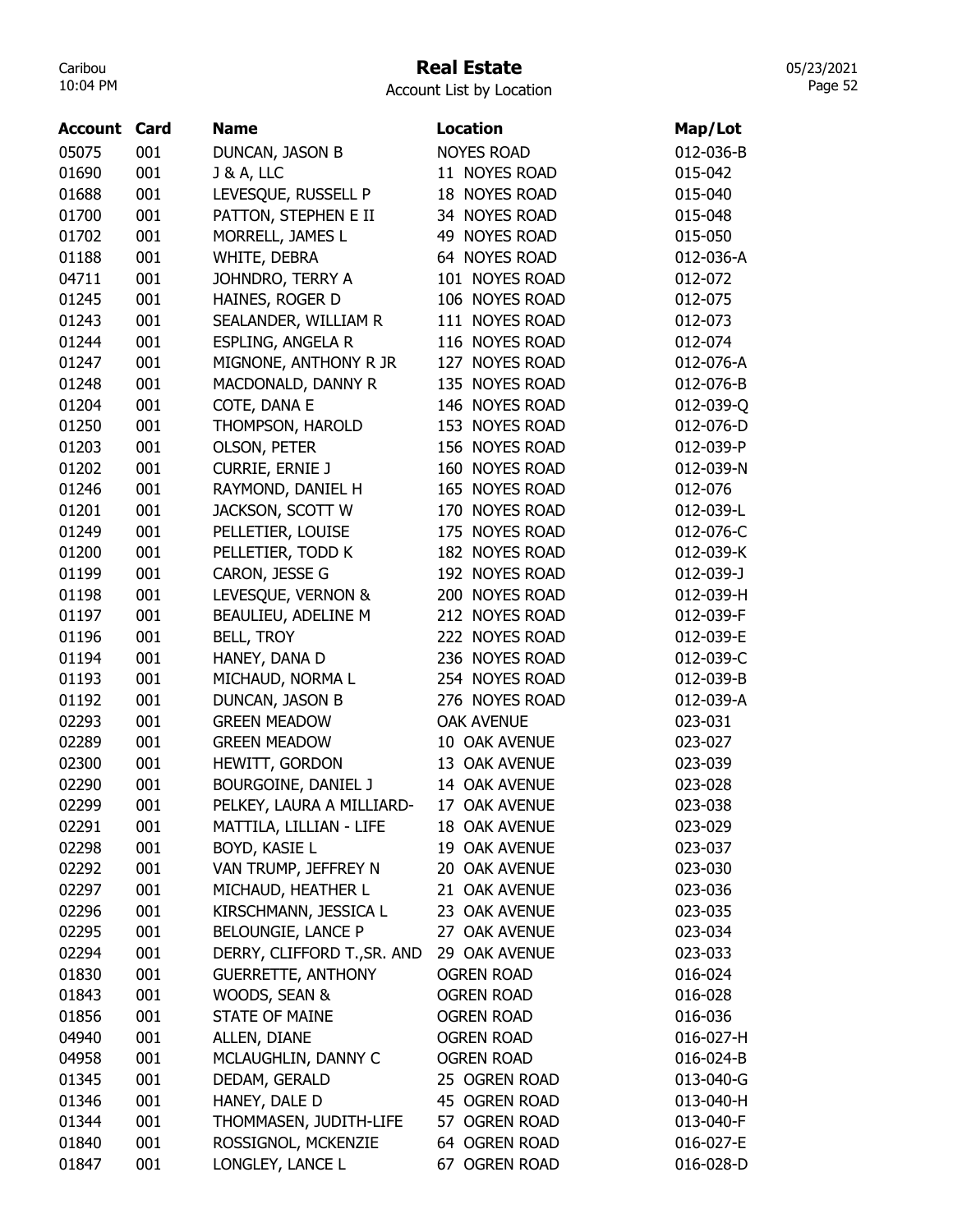## Real Estate

Account List by Location

| Account | Card | <b>Name</b>                 | <b>Location</b>   | Map/Lot   |
|---------|------|-----------------------------|-------------------|-----------|
| 05075   | 001  | DUNCAN, JASON B             | <b>NOYES ROAD</b> | 012-036-B |
| 01690   | 001  | <b>J &amp; A, LLC</b>       | 11 NOYES ROAD     | 015-042   |
| 01688   | 001  | LEVESQUE, RUSSELL P         | 18 NOYES ROAD     | 015-040   |
| 01700   | 001  | PATTON, STEPHEN E II        | 34 NOYES ROAD     | 015-048   |
| 01702   | 001  | MORRELL, JAMES L            | 49 NOYES ROAD     | 015-050   |
| 01188   | 001  | WHITE, DEBRA                | 64 NOYES ROAD     | 012-036-A |
| 04711   | 001  | JOHNDRO, TERRY A            | 101 NOYES ROAD    | 012-072   |
| 01245   | 001  | HAINES, ROGER D             | 106 NOYES ROAD    | 012-075   |
| 01243   | 001  | SEALANDER, WILLIAM R        | 111 NOYES ROAD    | 012-073   |
| 01244   | 001  | ESPLING, ANGELA R           | 116 NOYES ROAD    | 012-074   |
| 01247   | 001  | MIGNONE, ANTHONY R JR       | 127 NOYES ROAD    | 012-076-A |
| 01248   | 001  | MACDONALD, DANNY R          | 135 NOYES ROAD    | 012-076-B |
| 01204   | 001  | COTE, DANA E                | 146 NOYES ROAD    | 012-039-Q |
| 01250   | 001  | THOMPSON, HAROLD            | 153 NOYES ROAD    | 012-076-D |
| 01203   | 001  | <b>OLSON, PETER</b>         | 156 NOYES ROAD    | 012-039-P |
| 01202   | 001  | <b>CURRIE, ERNIE J</b>      | 160 NOYES ROAD    | 012-039-N |
| 01246   | 001  | RAYMOND, DANIEL H           | 165 NOYES ROAD    | 012-076   |
| 01201   | 001  | JACKSON, SCOTT W            | 170 NOYES ROAD    | 012-039-L |
| 01249   | 001  | PELLETIER, LOUISE           | 175 NOYES ROAD    | 012-076-C |
| 01200   | 001  | PELLETIER, TODD K           | 182 NOYES ROAD    | 012-039-K |
| 01199   | 001  | CARON, JESSE G              | 192 NOYES ROAD    | 012-039-J |
| 01198   | 001  | LEVESQUE, VERNON &          | 200 NOYES ROAD    | 012-039-H |
| 01197   | 001  | BEAULIEU, ADELINE M         | 212 NOYES ROAD    | 012-039-F |
| 01196   | 001  | <b>BELL, TROY</b>           | 222 NOYES ROAD    | 012-039-E |
| 01194   | 001  | HANEY, DANA D               | 236 NOYES ROAD    | 012-039-C |
| 01193   | 001  | MICHAUD, NORMA L            | 254 NOYES ROAD    | 012-039-B |
| 01192   | 001  | DUNCAN, JASON B             | 276 NOYES ROAD    | 012-039-A |
| 02293   | 001  | <b>GREEN MEADOW</b>         | <b>OAK AVENUE</b> | 023-031   |
| 02289   | 001  | <b>GREEN MEADOW</b>         | 10 OAK AVENUE     | 023-027   |
| 02300   | 001  | HEWITT, GORDON              | 13 OAK AVENUE     | 023-039   |
| 02290   | 001  | BOURGOINE, DANIEL J         | 14 OAK AVENUE     | 023-028   |
| 02299   | 001  | PELKEY, LAURA A MILLIARD-   | 17 OAK AVENUE     | 023-038   |
| 02291   | 001  | MATTILA, LILLIAN - LIFE     | 18 OAK AVENUE     | 023-029   |
| 02298   | 001  | BOYD, KASIE L               | 19 OAK AVENUE     | 023-037   |
| 02292   | 001  | VAN TRUMP, JEFFREY N        | 20 OAK AVENUE     | 023-030   |
| 02297   | 001  | MICHAUD, HEATHER L          | 21 OAK AVENUE     | 023-036   |
| 02296   | 001  | KIRSCHMANN, JESSICA L       | 23 OAK AVENUE     | 023-035   |
| 02295   | 001  | BELOUNGIE, LANCE P          | 27 OAK AVENUE     | 023-034   |
| 02294   | 001  | DERRY, CLIFFORD T., SR. AND | 29 OAK AVENUE     | 023-033   |
| 01830   | 001  | <b>GUERRETTE, ANTHONY</b>   | <b>OGREN ROAD</b> | 016-024   |
| 01843   | 001  | WOODS, SEAN &               | <b>OGREN ROAD</b> | 016-028   |
| 01856   | 001  | <b>STATE OF MAINE</b>       | <b>OGREN ROAD</b> | 016-036   |
| 04940   | 001  | ALLEN, DIANE                | <b>OGREN ROAD</b> | 016-027-H |
| 04958   | 001  | MCLAUGHLIN, DANNY C         | <b>OGREN ROAD</b> | 016-024-B |
| 01345   | 001  | DEDAM, GERALD               | 25 OGREN ROAD     | 013-040-G |
| 01346   | 001  | HANEY, DALE D               | 45 OGREN ROAD     | 013-040-H |
| 01344   | 001  | THOMMASEN, JUDITH-LIFE      | 57 OGREN ROAD     | 013-040-F |
| 01840   | 001  | ROSSIGNOL, MCKENZIE         | 64 OGREN ROAD     | 016-027-E |
| 01847   | 001  | LONGLEY, LANCE L            | 67 OGREN ROAD     | 016-028-D |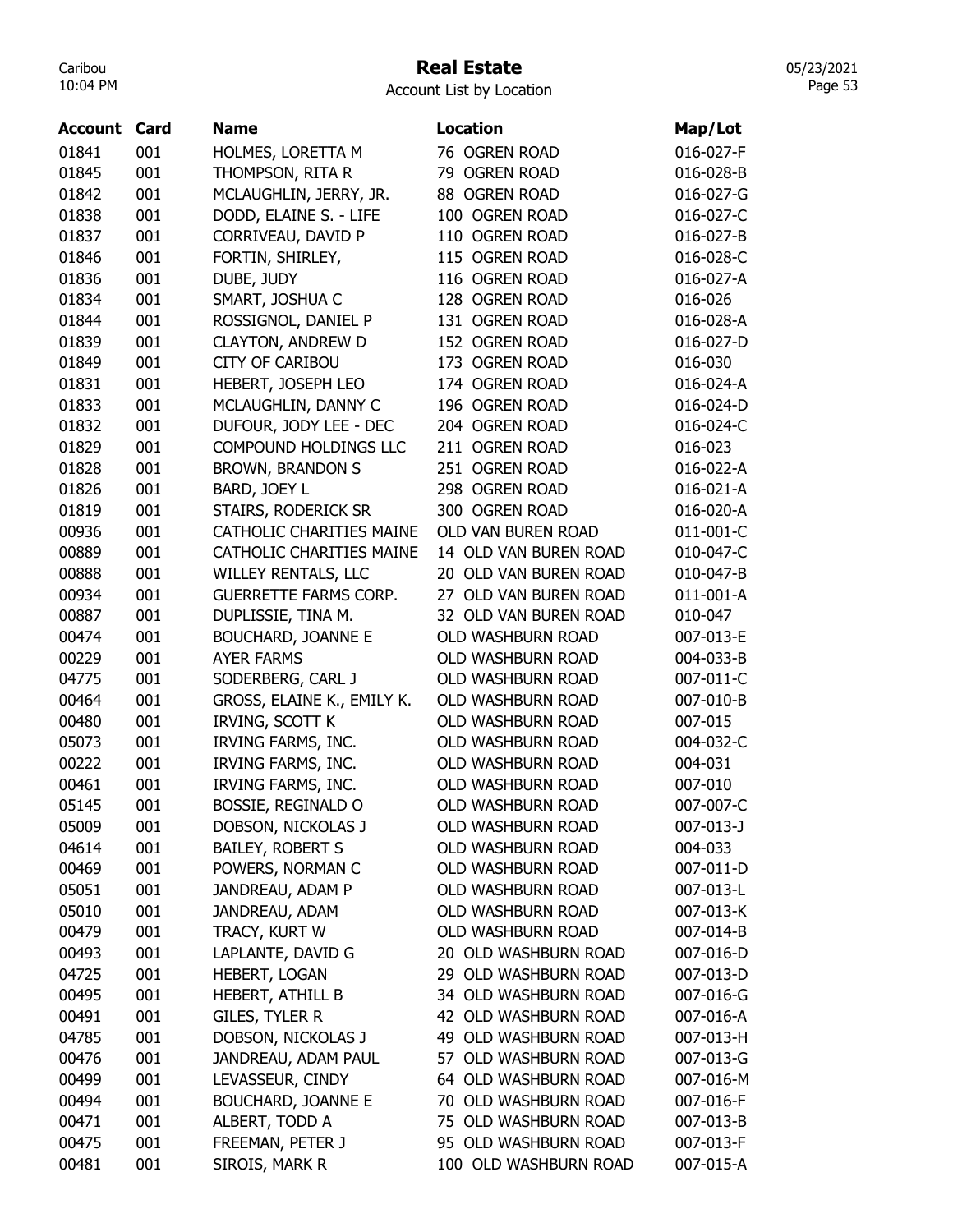## Real Estate

Account List by Location

| <b>Account Card</b> |     | <b>Name</b>                     | <b>Location</b>           | Map/Lot   |
|---------------------|-----|---------------------------------|---------------------------|-----------|
| 01841               | 001 | HOLMES, LORETTA M               | 76 OGREN ROAD             | 016-027-F |
| 01845               | 001 | THOMPSON, RITA R                | 79 OGREN ROAD             | 016-028-B |
| 01842               | 001 | MCLAUGHLIN, JERRY, JR.          | 88 OGREN ROAD             | 016-027-G |
| 01838               | 001 | DODD, ELAINE S. - LIFE          | 100 OGREN ROAD            | 016-027-C |
| 01837               | 001 | CORRIVEAU, DAVID P              | 110 OGREN ROAD            | 016-027-B |
| 01846               | 001 | FORTIN, SHIRLEY,                | 115 OGREN ROAD            | 016-028-C |
| 01836               | 001 | DUBE, JUDY                      | 116 OGREN ROAD            | 016-027-A |
| 01834               | 001 | SMART, JOSHUA C                 | 128 OGREN ROAD            | 016-026   |
| 01844               | 001 | ROSSIGNOL, DANIEL P             | 131 OGREN ROAD            | 016-028-A |
| 01839               | 001 | <b>CLAYTON, ANDREW D</b>        | 152 OGREN ROAD            | 016-027-D |
| 01849               | 001 | <b>CITY OF CARIBOU</b>          | 173 OGREN ROAD            | 016-030   |
| 01831               | 001 | HEBERT, JOSEPH LEO              | 174 OGREN ROAD            | 016-024-A |
| 01833               | 001 | MCLAUGHLIN, DANNY C             | 196 OGREN ROAD            | 016-024-D |
| 01832               | 001 | DUFOUR, JODY LEE - DEC          | 204 OGREN ROAD            | 016-024-C |
| 01829               | 001 | COMPOUND HOLDINGS LLC           | 211 OGREN ROAD            | 016-023   |
| 01828               | 001 | <b>BROWN, BRANDON S</b>         | 251 OGREN ROAD            | 016-022-A |
| 01826               | 001 | BARD, JOEY L                    | 298 OGREN ROAD            | 016-021-A |
| 01819               | 001 | STAIRS, RODERICK SR             | 300 OGREN ROAD            | 016-020-A |
| 00936               | 001 | CATHOLIC CHARITIES MAINE        | <b>OLD VAN BUREN ROAD</b> | 011-001-C |
| 00889               | 001 | <b>CATHOLIC CHARITIES MAINE</b> | 14 OLD VAN BUREN ROAD     | 010-047-C |
| 00888               | 001 | <b>WILLEY RENTALS, LLC</b>      | 20 OLD VAN BUREN ROAD     | 010-047-B |
| 00934               | 001 | <b>GUERRETTE FARMS CORP.</b>    | 27 OLD VAN BUREN ROAD     | 011-001-A |
| 00887               | 001 | DUPLISSIE, TINA M.              | 32 OLD VAN BUREN ROAD     | 010-047   |
| 00474               | 001 | <b>BOUCHARD, JOANNE E</b>       | OLD WASHBURN ROAD         | 007-013-E |
| 00229               | 001 | <b>AYER FARMS</b>               | OLD WASHBURN ROAD         | 004-033-B |
| 04775               | 001 | SODERBERG, CARL J               | OLD WASHBURN ROAD         | 007-011-C |
| 00464               | 001 | GROSS, ELAINE K., EMILY K.      | OLD WASHBURN ROAD         | 007-010-B |
| 00480               | 001 | IRVING, SCOTT K                 | OLD WASHBURN ROAD         | 007-015   |
| 05073               | 001 | IRVING FARMS, INC.              | OLD WASHBURN ROAD         | 004-032-C |
| 00222               | 001 | IRVING FARMS, INC.              | OLD WASHBURN ROAD         | 004-031   |
| 00461               | 001 | IRVING FARMS, INC.              | OLD WASHBURN ROAD         | 007-010   |
| 05145               | 001 | BOSSIE, REGINALD O              | OLD WASHBURN ROAD         | 007-007-C |
| 05009               | 001 | DOBSON, NICKOLAS J              | <b>OLD WASHBURN ROAD</b>  | 007-013-J |
| 04614               | 001 | <b>BAILEY, ROBERT S</b>         | OLD WASHBURN ROAD         | 004-033   |
| 00469               | 001 | POWERS, NORMAN C                | OLD WASHBURN ROAD         | 007-011-D |
| 05051               | 001 | JANDREAU, ADAM P                | OLD WASHBURN ROAD         | 007-013-L |
| 05010               | 001 | JANDREAU, ADAM                  | OLD WASHBURN ROAD         | 007-013-K |
| 00479               | 001 | TRACY, KURT W                   | OLD WASHBURN ROAD         | 007-014-B |
| 00493               | 001 | LAPLANTE, DAVID G               | 20 OLD WASHBURN ROAD      | 007-016-D |
| 04725               | 001 | HEBERT, LOGAN                   | 29 OLD WASHBURN ROAD      | 007-013-D |
| 00495               | 001 | <b>HEBERT, ATHILL B</b>         | 34 OLD WASHBURN ROAD      | 007-016-G |
| 00491               | 001 | GILES, TYLER R                  | 42 OLD WASHBURN ROAD      | 007-016-A |
| 04785               | 001 | DOBSON, NICKOLAS J              | 49 OLD WASHBURN ROAD      | 007-013-H |
| 00476               | 001 | JANDREAU, ADAM PAUL             | 57 OLD WASHBURN ROAD      | 007-013-G |
| 00499               | 001 | LEVASSEUR, CINDY                | 64 OLD WASHBURN ROAD      | 007-016-M |
| 00494               | 001 | <b>BOUCHARD, JOANNE E</b>       | 70 OLD WASHBURN ROAD      | 007-016-F |
|                     |     | ALBERT, TODD A                  | 75 OLD WASHBURN ROAD      |           |
| 00471               | 001 | FREEMAN, PETER J                | 95 OLD WASHBURN ROAD      | 007-013-B |
| 00475               | 001 |                                 |                           | 007-013-F |
| 00481               | 001 | SIROIS, MARK R                  | 100 OLD WASHBURN ROAD     | 007-015-A |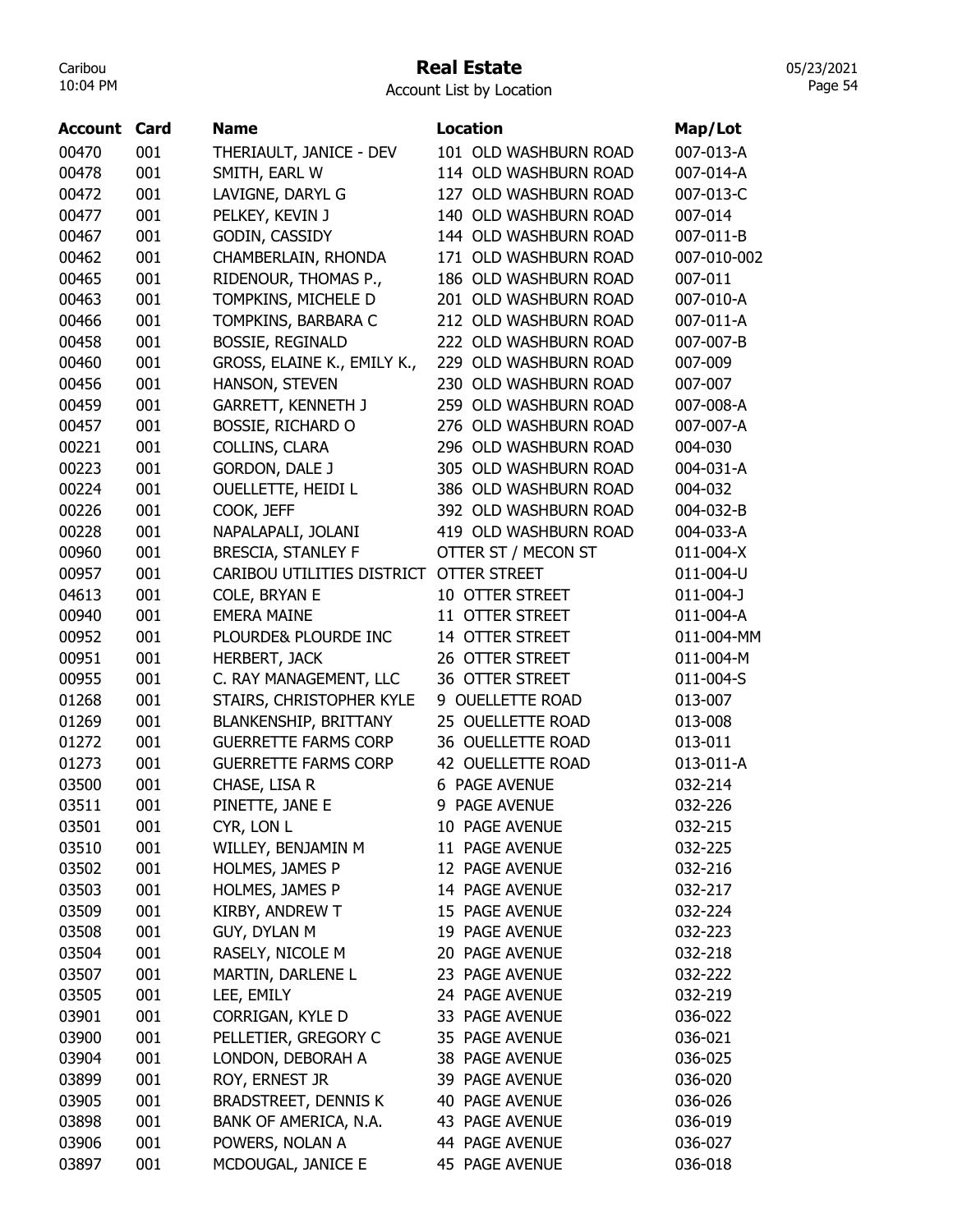#### Real Estate

05/23/2021 Page 54

| Account | Card | <b>Name</b>                      | <b>Location</b>       |                    |
|---------|------|----------------------------------|-----------------------|--------------------|
|         |      |                                  |                       | Map/Lot            |
| 00470   | 001  | THERIAULT, JANICE - DEV          | 101 OLD WASHBURN ROAD | 007-013-A          |
| 00478   | 001  | SMITH, EARL W                    | 114 OLD WASHBURN ROAD | 007-014-A          |
| 00472   | 001  | LAVIGNE, DARYL G                 | 127 OLD WASHBURN ROAD | 007-013-C          |
| 00477   | 001  | PELKEY, KEVIN J                  | 140 OLD WASHBURN ROAD | 007-014            |
| 00467   | 001  | GODIN, CASSIDY                   | 144 OLD WASHBURN ROAD | 007-011-B          |
| 00462   | 001  | CHAMBERLAIN, RHONDA              | 171 OLD WASHBURN ROAD | 007-010-002        |
| 00465   | 001  | RIDENOUR, THOMAS P.,             | 186 OLD WASHBURN ROAD | 007-011            |
| 00463   | 001  | TOMPKINS, MICHELE D              | 201 OLD WASHBURN ROAD | 007-010-A          |
| 00466   | 001  | TOMPKINS, BARBARA C              | 212 OLD WASHBURN ROAD | 007-011-A          |
| 00458   | 001  | <b>BOSSIE, REGINALD</b>          | 222 OLD WASHBURN ROAD | 007-007-B          |
| 00460   | 001  | GROSS, ELAINE K., EMILY K.,      | 229 OLD WASHBURN ROAD | 007-009            |
| 00456   | 001  | HANSON, STEVEN                   | 230 OLD WASHBURN ROAD | 007-007            |
| 00459   | 001  | <b>GARRETT, KENNETH J</b>        | 259 OLD WASHBURN ROAD | 007-008-A          |
| 00457   | 001  | <b>BOSSIE, RICHARD O</b>         | 276 OLD WASHBURN ROAD | 007-007-A          |
| 00221   | 001  | COLLINS, CLARA                   | 296 OLD WASHBURN ROAD | 004-030            |
| 00223   | 001  | <b>GORDON, DALE J</b>            | 305 OLD WASHBURN ROAD | 004-031-A          |
| 00224   | 001  | OUELLETTE, HEIDI L               | 386 OLD WASHBURN ROAD | 004-032            |
| 00226   | 001  | COOK, JEFF                       | 392 OLD WASHBURN ROAD | 004-032-B          |
| 00228   | 001  | NAPALAPALI, JOLANI               | 419 OLD WASHBURN ROAD | 004-033-A          |
| 00960   | 001  | <b>BRESCIA, STANLEY F</b>        | OTTER ST / MECON ST   | 011-004-X          |
| 00957   | 001  | CARIBOU UTILITIES DISTRICT       | OTTER STREET          | 011-004-U          |
| 04613   | 001  | COLE, BRYAN E                    | 10 OTTER STREET       | 011-004-J          |
| 00940   | 001  | <b>EMERA MAINE</b>               | 11 OTTER STREET       | 011-004-A          |
| 00952   | 001  | PLOURDE& PLOURDE INC             | 14 OTTER STREET       | 011-004-MM         |
| 00951   | 001  | HERBERT, JACK                    | 26 OTTER STREET       | 011-004-M          |
| 00955   | 001  | C. RAY MANAGEMENT, LLC           | 36 OTTER STREET       | 011-004-S          |
| 01268   | 001  | STAIRS, CHRISTOPHER KYLE         | 9 OUELLETTE ROAD      | 013-007            |
| 01269   | 001  | <b>BLANKENSHIP, BRITTANY</b>     | 25 OUELLETTE ROAD     | 013-008            |
| 01272   | 001  | <b>GUERRETTE FARMS CORP</b>      | 36 OUELLETTE ROAD     | 013-011            |
| 01273   | 001  | <b>GUERRETTE FARMS CORP</b>      | 42 OUELLETTE ROAD     | 013-011-A          |
| 03500   | 001  | CHASE, LISA R                    | 6 PAGE AVENUE         | 032-214            |
| 03511   | 001  | PINETTE, JANE E                  | 9 PAGE AVENUE         | 032-226            |
|         | 001  |                                  | 10 PAGE AVENUE        |                    |
| 03501   | 001  | CYR, LON L<br>WILLEY, BENJAMIN M | 11 PAGE AVENUE        | 032-215<br>032-225 |
| 03510   | 001  | HOLMES, JAMES P                  |                       |                    |
| 03502   |      |                                  | 12 PAGE AVENUE        | 032-216            |
| 03503   | 001  | HOLMES, JAMES P                  | 14 PAGE AVENUE        | 032-217            |
| 03509   | 001  | KIRBY, ANDREW T                  | 15 PAGE AVENUE        | 032-224            |
| 03508   | 001  | GUY, DYLAN M                     | 19 PAGE AVENUE        | 032-223            |
| 03504   | 001  | RASELY, NICOLE M                 | 20 PAGE AVENUE        | 032-218            |
| 03507   | 001  | MARTIN, DARLENE L                | 23 PAGE AVENUE        | 032-222            |
| 03505   | 001  | LEE, EMILY                       | 24 PAGE AVENUE        | 032-219            |
| 03901   | 001  | CORRIGAN, KYLE D                 | 33 PAGE AVENUE        | 036-022            |
| 03900   | 001  | PELLETIER, GREGORY C             | 35 PAGE AVENUE        | 036-021            |
| 03904   | 001  | LONDON, DEBORAH A                | 38 PAGE AVENUE        | 036-025            |
| 03899   | 001  | ROY, ERNEST JR                   | 39 PAGE AVENUE        | 036-020            |
| 03905   | 001  | <b>BRADSTREET, DENNIS K</b>      | <b>40 PAGE AVENUE</b> | 036-026            |
| 03898   | 001  | BANK OF AMERICA, N.A.            | 43 PAGE AVENUE        | 036-019            |
| 03906   | 001  | POWERS, NOLAN A                  | 44 PAGE AVENUE        | 036-027            |
| 03897   | 001  | MCDOUGAL, JANICE E               | 45 PAGE AVENUE        | 036-018            |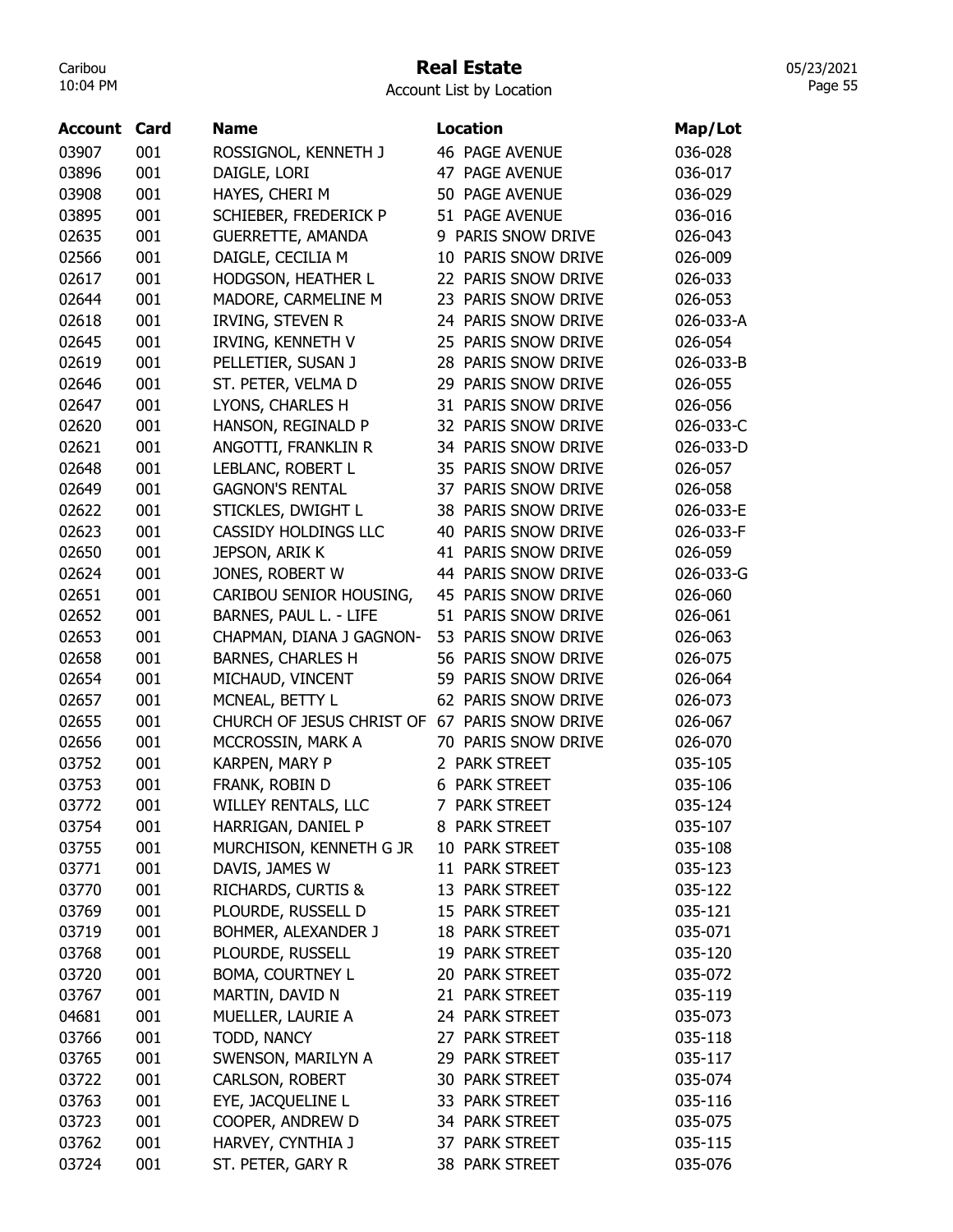### Real Estate

05/23/2021 Page 55

| Account | Card | Name                                          | <b>Location</b>        | Map/Lot   |
|---------|------|-----------------------------------------------|------------------------|-----------|
| 03907   | 001  | ROSSIGNOL, KENNETH J                          | <b>46 PAGE AVENUE</b>  | 036-028   |
| 03896   | 001  | DAIGLE, LORI                                  | 47 PAGE AVENUE         | 036-017   |
| 03908   | 001  | HAYES, CHERI M                                | 50 PAGE AVENUE         | 036-029   |
| 03895   | 001  | SCHIEBER, FREDERICK P                         | 51 PAGE AVENUE         | 036-016   |
| 02635   | 001  | <b>GUERRETTE, AMANDA</b>                      | 9 PARIS SNOW DRIVE     | 026-043   |
| 02566   | 001  | DAIGLE, CECILIA M                             | 10 PARIS SNOW DRIVE    | 026-009   |
| 02617   | 001  | HODGSON, HEATHER L                            | 22 PARIS SNOW DRIVE    | 026-033   |
| 02644   | 001  | MADORE, CARMELINE M                           | 23 PARIS SNOW DRIVE    | 026-053   |
| 02618   | 001  | IRVING, STEVEN R                              | 24 PARIS SNOW DRIVE    | 026-033-A |
| 02645   | 001  | IRVING, KENNETH V                             | 25 PARIS SNOW DRIVE    | 026-054   |
| 02619   | 001  | PELLETIER, SUSAN J                            | PARIS SNOW DRIVE<br>28 | 026-033-B |
| 02646   | 001  | ST. PETER, VELMA D                            | 29 PARIS SNOW DRIVE    | 026-055   |
| 02647   | 001  | LYONS, CHARLES H                              | 31 PARIS SNOW DRIVE    | 026-056   |
| 02620   | 001  | HANSON, REGINALD P                            | 32 PARIS SNOW DRIVE    | 026-033-C |
| 02621   | 001  | ANGOTTI, FRANKLIN R                           | 34 PARIS SNOW DRIVE    | 026-033-D |
| 02648   | 001  | LEBLANC, ROBERT L                             | 35 PARIS SNOW DRIVE    | 026-057   |
| 02649   | 001  | <b>GAGNON'S RENTAL</b>                        | 37 PARIS SNOW DRIVE    | 026-058   |
| 02622   | 001  | STICKLES, DWIGHT L                            | PARIS SNOW DRIVE<br>38 | 026-033-E |
| 02623   | 001  | CASSIDY HOLDINGS LLC                          | PARIS SNOW DRIVE<br>40 | 026-033-F |
| 02650   | 001  | JEPSON, ARIK K                                | 41 PARIS SNOW DRIVE    | 026-059   |
| 02624   | 001  | JONES, ROBERT W                               | 44 PARIS SNOW DRIVE    | 026-033-G |
| 02651   | 001  | CARIBOU SENIOR HOUSING,                       | 45 PARIS SNOW DRIVE    | 026-060   |
| 02652   | 001  | BARNES, PAUL L. - LIFE                        | 51 PARIS SNOW DRIVE    | 026-061   |
| 02653   | 001  | CHAPMAN, DIANA J GAGNON-                      | 53 PARIS SNOW DRIVE    | 026-063   |
| 02658   | 001  | <b>BARNES, CHARLES H</b>                      | 56 PARIS SNOW DRIVE    | 026-075   |
| 02654   | 001  | MICHAUD, VINCENT                              | PARIS SNOW DRIVE<br>59 | 026-064   |
| 02657   | 001  | MCNEAL, BETTY L                               | 62<br>PARIS SNOW DRIVE | 026-073   |
| 02655   | 001  | CHURCH OF JESUS CHRIST OF 67 PARIS SNOW DRIVE |                        | 026-067   |
| 02656   | 001  | MCCROSSIN, MARK A                             | 70 PARIS SNOW DRIVE    | 026-070   |
| 03752   | 001  | KARPEN, MARY P                                | 2 PARK STREET          | 035-105   |
| 03753   | 001  | FRANK, ROBIN D                                | <b>6 PARK STREET</b>   | 035-106   |
| 03772   | 001  | <b>WILLEY RENTALS, LLC</b>                    | 7 PARK STREET          | 035-124   |
| 03754   | 001  | HARRIGAN, DANIEL P                            | 8 PARK STREET          | 035-107   |
| 03755   | 001  | MURCHISON, KENNETH G JR                       | 10 PARK STREET         | 035-108   |
| 03771   | 001  | DAVIS, JAMES W                                | 11 PARK STREET         | 035-123   |
| 03770   | 001  | <b>RICHARDS, CURTIS &amp;</b>                 | 13 PARK STREET         | 035-122   |
| 03769   | 001  | PLOURDE, RUSSELL D                            | 15 PARK STREET         | 035-121   |
| 03719   | 001  | BOHMER, ALEXANDER J                           | 18 PARK STREET         | 035-071   |
| 03768   | 001  | PLOURDE, RUSSELL                              | 19 PARK STREET         | 035-120   |
| 03720   | 001  | <b>BOMA, COURTNEY L</b>                       | 20 PARK STREET         | 035-072   |
| 03767   | 001  | MARTIN, DAVID N                               | 21 PARK STREET         | 035-119   |
| 04681   | 001  | MUELLER, LAURIE A                             | 24 PARK STREET         | 035-073   |
| 03766   | 001  | TODD, NANCY                                   | 27 PARK STREET         | 035-118   |
| 03765   | 001  | SWENSON, MARILYN A                            | 29 PARK STREET         | 035-117   |
| 03722   | 001  | CARLSON, ROBERT                               | 30 PARK STREET         | 035-074   |
| 03763   | 001  | EYE, JACQUELINE L                             | 33 PARK STREET         | 035-116   |
| 03723   | 001  | COOPER, ANDREW D                              | 34 PARK STREET         | 035-075   |
| 03762   | 001  | HARVEY, CYNTHIA J                             | 37 PARK STREET         | 035-115   |
| 03724   | 001  | ST. PETER, GARY R                             | 38 PARK STREET         | 035-076   |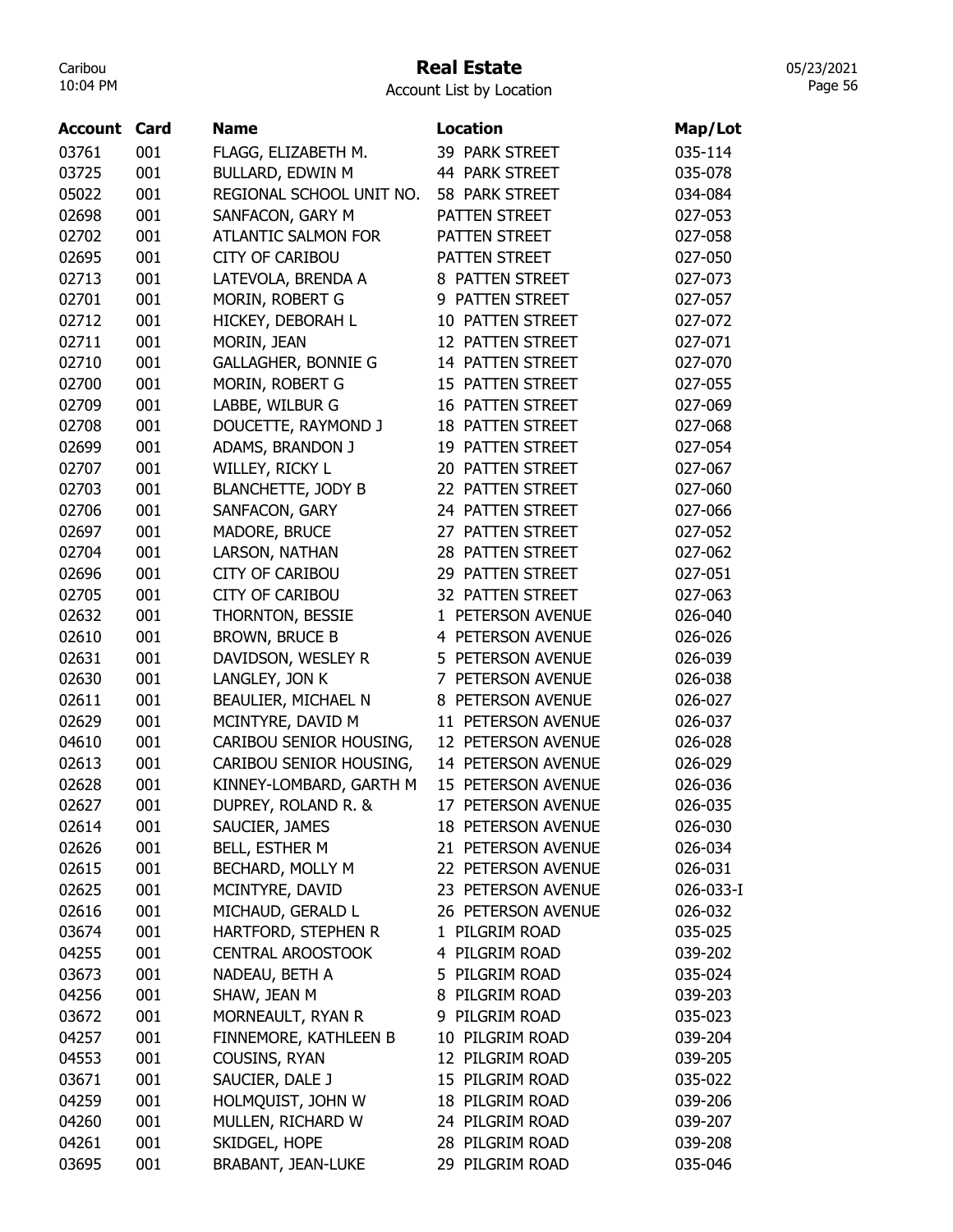## Real Estate

Account List by Location

| <b>Account Card</b> |     | <b>Name</b>                | <b>Location</b>           | Map/Lot   |
|---------------------|-----|----------------------------|---------------------------|-----------|
| 03761               | 001 | FLAGG, ELIZABETH M.        | 39 PARK STREET            | 035-114   |
| 03725               | 001 | BULLARD, EDWIN M           | 44 PARK STREET            | 035-078   |
| 05022               | 001 | REGIONAL SCHOOL UNIT NO.   | 58 PARK STREET            | 034-084   |
| 02698               | 001 | SANFACON, GARY M           | PATTEN STREET             | 027-053   |
| 02702               | 001 | <b>ATLANTIC SALMON FOR</b> | PATTEN STREET             | 027-058   |
| 02695               | 001 | <b>CITY OF CARIBOU</b>     | PATTEN STREET             | 027-050   |
| 02713               | 001 | LATEVOLA, BRENDA A         | 8 PATTEN STREET           | 027-073   |
| 02701               | 001 | MORIN, ROBERT G            | 9 PATTEN STREET           | 027-057   |
| 02712               | 001 | HICKEY, DEBORAH L          | 10 PATTEN STREET          | 027-072   |
| 02711               | 001 | MORIN, JEAN                | 12 PATTEN STREET          | 027-071   |
| 02710               | 001 | <b>GALLAGHER, BONNIE G</b> | 14 PATTEN STREET          | 027-070   |
| 02700               | 001 | MORIN, ROBERT G            | 15 PATTEN STREET          | 027-055   |
| 02709               | 001 | LABBE, WILBUR G            | 16 PATTEN STREET          | 027-069   |
| 02708               | 001 | DOUCETTE, RAYMOND J        | <b>18 PATTEN STREET</b>   | 027-068   |
| 02699               | 001 | ADAMS, BRANDON J           | 19 PATTEN STREET          | 027-054   |
| 02707               | 001 | WILLEY, RICKY L            | 20 PATTEN STREET          | 027-067   |
| 02703               | 001 | <b>BLANCHETTE, JODY B</b>  | 22 PATTEN STREET          | 027-060   |
| 02706               | 001 | SANFACON, GARY             | 24 PATTEN STREET          | 027-066   |
| 02697               | 001 | MADORE, BRUCE              | 27 PATTEN STREET          | 027-052   |
| 02704               | 001 | LARSON, NATHAN             | 28 PATTEN STREET          | 027-062   |
| 02696               | 001 | <b>CITY OF CARIBOU</b>     | 29 PATTEN STREET          | 027-051   |
| 02705               | 001 | <b>CITY OF CARIBOU</b>     | 32 PATTEN STREET          | 027-063   |
| 02632               | 001 | THORNTON, BESSIE           | 1 PETERSON AVENUE         | 026-040   |
| 02610               | 001 | <b>BROWN, BRUCE B</b>      | 4 PETERSON AVENUE         | 026-026   |
| 02631               | 001 | DAVIDSON, WESLEY R         | 5 PETERSON AVENUE         | 026-039   |
| 02630               | 001 | LANGLEY, JON K             | 7 PETERSON AVENUE         | 026-038   |
| 02611               | 001 | BEAULIER, MICHAEL N        | 8 PETERSON AVENUE         | 026-027   |
| 02629               | 001 | MCINTYRE, DAVID M          | 11 PETERSON AVENUE        | 026-037   |
| 04610               | 001 | CARIBOU SENIOR HOUSING,    | 12 PETERSON AVENUE        | 026-028   |
| 02613               | 001 | CARIBOU SENIOR HOUSING,    | 14 PETERSON AVENUE        | 026-029   |
| 02628               | 001 | KINNEY-LOMBARD, GARTH M    | 15 PETERSON AVENUE        | 026-036   |
| 02627               | 001 | DUPREY, ROLAND R. &        | 17 PETERSON AVENUE        | 026-035   |
| 02614               | 001 | SAUCIER, JAMES             | <b>18 PETERSON AVENUE</b> | 026-030   |
| 02626               | 001 | BELL, ESTHER M             | 21 PETERSON AVENUE        | 026-034   |
| 02615               | 001 | BECHARD, MOLLY M           | 22 PETERSON AVENUE        | 026-031   |
| 02625               | 001 | MCINTYRE, DAVID            | 23 PETERSON AVENUE        | 026-033-I |
| 02616               | 001 | MICHAUD, GERALD L          | 26 PETERSON AVENUE        | 026-032   |
| 03674               | 001 | HARTFORD, STEPHEN R        | 1 PILGRIM ROAD            | 035-025   |
| 04255               | 001 | <b>CENTRAL AROOSTOOK</b>   | 4 PILGRIM ROAD            | 039-202   |
| 03673               | 001 | NADEAU, BETH A             | 5 PILGRIM ROAD            | 035-024   |
| 04256               | 001 | SHAW, JEAN M               | 8 PILGRIM ROAD            | 039-203   |
| 03672               | 001 | MORNEAULT, RYAN R          | 9 PILGRIM ROAD            | 035-023   |
| 04257               | 001 | FINNEMORE, KATHLEEN B      | 10 PILGRIM ROAD           | 039-204   |
| 04553               | 001 | COUSINS, RYAN              | 12 PILGRIM ROAD           | 039-205   |
| 03671               | 001 | SAUCIER, DALE J            | 15 PILGRIM ROAD           | 035-022   |
| 04259               | 001 | HOLMQUIST, JOHN W          | 18 PILGRIM ROAD           | 039-206   |
| 04260               | 001 | MULLEN, RICHARD W          | 24 PILGRIM ROAD           | 039-207   |
| 04261               | 001 | SKIDGEL, HOPE              | 28 PILGRIM ROAD           | 039-208   |
| 03695               | 001 | <b>BRABANT, JEAN-LUKE</b>  | 29 PILGRIM ROAD           | 035-046   |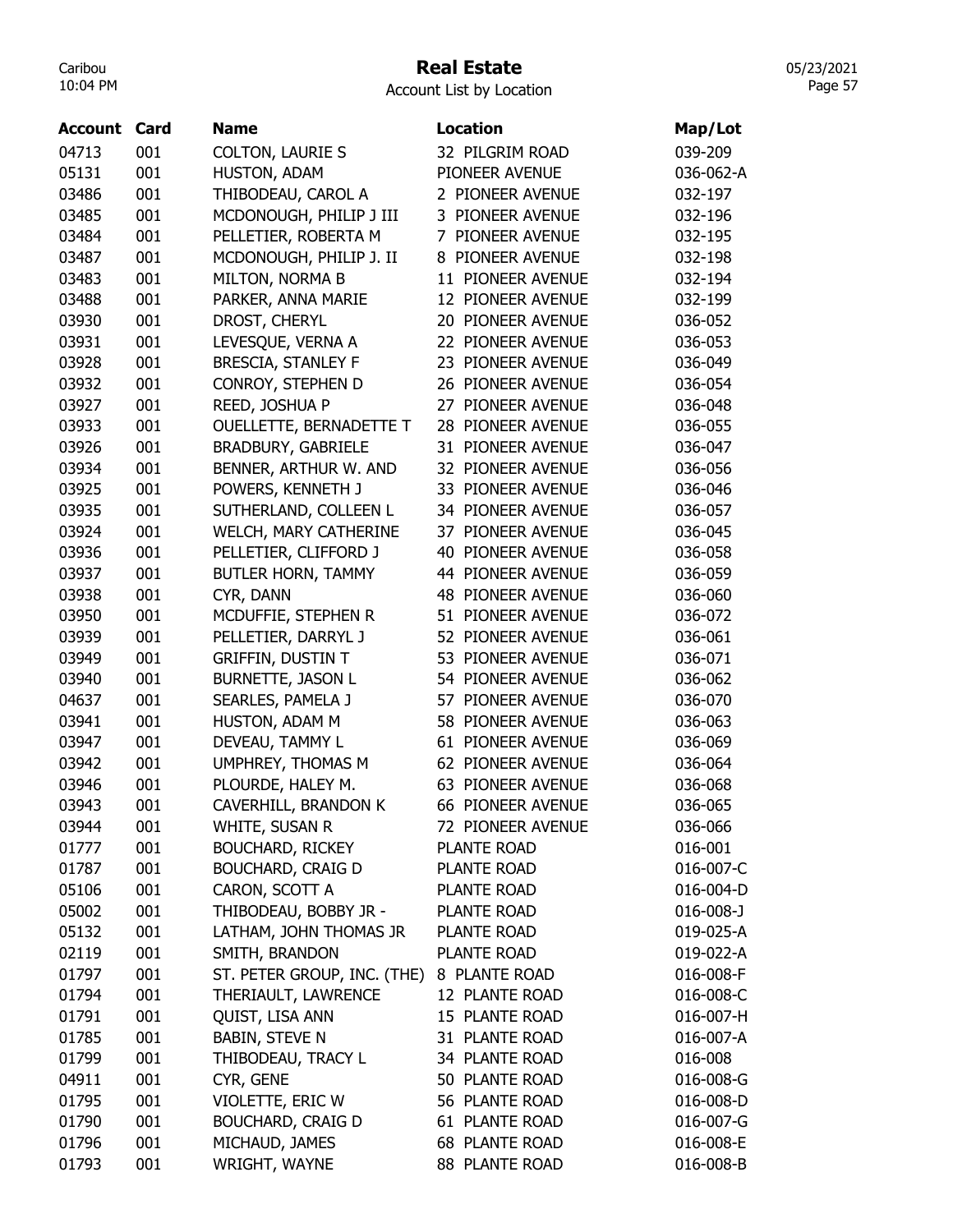## Real Estate

Account List by Location

| Account | Card | Name                        | <b>Location</b>          | Map/Lot         |
|---------|------|-----------------------------|--------------------------|-----------------|
| 04713   | 001  | <b>COLTON, LAURIE S</b>     | 32 PILGRIM ROAD          | 039-209         |
| 05131   | 001  | HUSTON, ADAM                | PIONEER AVENUE           | 036-062-A       |
| 03486   | 001  | THIBODEAU, CAROL A          | 2 PIONEER AVENUE         | 032-197         |
| 03485   | 001  | MCDONOUGH, PHILIP J III     | 3 PIONEER AVENUE         | 032-196         |
| 03484   | 001  | PELLETIER, ROBERTA M        | 7 PIONEER AVENUE         | 032-195         |
| 03487   | 001  | MCDONOUGH, PHILIP J. II     | 8 PIONEER AVENUE         | 032-198         |
| 03483   | 001  | MILTON, NORMA B             | 11 PIONEER AVENUE        | 032-194         |
| 03488   | 001  | PARKER, ANNA MARIE          | 12 PIONEER AVENUE        | 032-199         |
| 03930   | 001  | DROST, CHERYL               | 20 PIONEER AVENUE        | 036-052         |
| 03931   | 001  | LEVESQUE, VERNA A           | 22 PIONEER AVENUE        | 036-053         |
| 03928   | 001  | <b>BRESCIA, STANLEY F</b>   | PIONEER AVENUE<br>23     | 036-049         |
| 03932   | 001  | CONROY, STEPHEN D           | <b>26 PIONEER AVENUE</b> | 036-054         |
| 03927   | 001  | REED, JOSHUA P              | 27 PIONEER AVENUE        | 036-048         |
| 03933   | 001  | OUELLETTE, BERNADETTE T     | 28 PIONEER AVENUE        | 036-055         |
| 03926   | 001  | <b>BRADBURY, GABRIELE</b>   | 31 PIONEER AVENUE        | 036-047         |
| 03934   | 001  | BENNER, ARTHUR W. AND       | 32 PIONEER AVENUE        | 036-056         |
| 03925   | 001  | POWERS, KENNETH J           | 33 PIONEER AVENUE        | 036-046         |
| 03935   | 001  | SUTHERLAND, COLLEEN L       | 34 PIONEER AVENUE        | 036-057         |
| 03924   | 001  | WELCH, MARY CATHERINE       | 37 PIONEER AVENUE        | 036-045         |
| 03936   | 001  | PELLETIER, CLIFFORD J       | 40 PIONEER AVENUE        | 036-058         |
| 03937   | 001  | BUTLER HORN, TAMMY          | 44 PIONEER AVENUE        | 036-059         |
| 03938   | 001  | CYR, DANN                   | 48 PIONEER AVENUE        | 036-060         |
| 03950   | 001  | MCDUFFIE, STEPHEN R         | 51 PIONEER AVENUE        | 036-072         |
| 03939   | 001  | PELLETIER, DARRYL J         | 52 PIONEER AVENUE        | 036-061         |
| 03949   | 001  | <b>GRIFFIN, DUSTIN T</b>    | 53 PIONEER AVENUE        | 036-071         |
| 03940   | 001  | <b>BURNETTE, JASON L</b>    | 54 PIONEER AVENUE        | 036-062         |
| 04637   | 001  | SEARLES, PAMELA J           | 57 PIONEER AVENUE        | 036-070         |
| 03941   | 001  | HUSTON, ADAM M              | 58 PIONEER AVENUE        | 036-063         |
| 03947   | 001  | DEVEAU, TAMMY L             | 61 PIONEER AVENUE        | 036-069         |
| 03942   | 001  | UMPHREY, THOMAS M           | 62 PIONEER AVENUE        | 036-064         |
| 03946   | 001  | PLOURDE, HALEY M.           | 63 PIONEER AVENUE        | 036-068         |
| 03943   | 001  | CAVERHILL, BRANDON K        | 66 PIONEER AVENUE        | 036-065         |
| 03944   | 001  | WHITE, SUSAN R              | 72 PIONEER AVENUE        | 036-066         |
| 01777   | 001  | <b>BOUCHARD, RICKEY</b>     | PLANTE ROAD              | 016-001         |
| 01787   | 001  | <b>BOUCHARD, CRAIG D</b>    | <b>PLANTE ROAD</b>       | 016-007-C       |
| 05106   | 001  | CARON, SCOTT A              | <b>PLANTE ROAD</b>       | 016-004-D       |
| 05002   | 001  | THIBODEAU, BOBBY JR -       | <b>PLANTE ROAD</b>       | $016 - 008 - J$ |
| 05132   | 001  | LATHAM, JOHN THOMAS JR      | PLANTE ROAD              | 019-025-A       |
| 02119   | 001  | SMITH, BRANDON              | PLANTE ROAD              | 019-022-A       |
| 01797   | 001  | ST. PETER GROUP, INC. (THE) | 8 PLANTE ROAD            | 016-008-F       |
| 01794   | 001  | THERIAULT, LAWRENCE         | 12 PLANTE ROAD           | 016-008-C       |
| 01791   | 001  | QUIST, LISA ANN             | 15 PLANTE ROAD           | 016-007-H       |
| 01785   | 001  | <b>BABIN, STEVE N</b>       | 31 PLANTE ROAD           | 016-007-A       |
| 01799   | 001  | THIBODEAU, TRACY L          | 34 PLANTE ROAD           | 016-008         |
| 04911   | 001  | CYR, GENE                   | 50 PLANTE ROAD           | 016-008-G       |
| 01795   | 001  | VIOLETTE, ERIC W            | 56 PLANTE ROAD           | 016-008-D       |
| 01790   | 001  | <b>BOUCHARD, CRAIG D</b>    | 61 PLANTE ROAD           | 016-007-G       |
| 01796   | 001  | MICHAUD, JAMES              | <b>68 PLANTE ROAD</b>    | 016-008-E       |
| 01793   | 001  | WRIGHT, WAYNE               | 88 PLANTE ROAD           | 016-008-B       |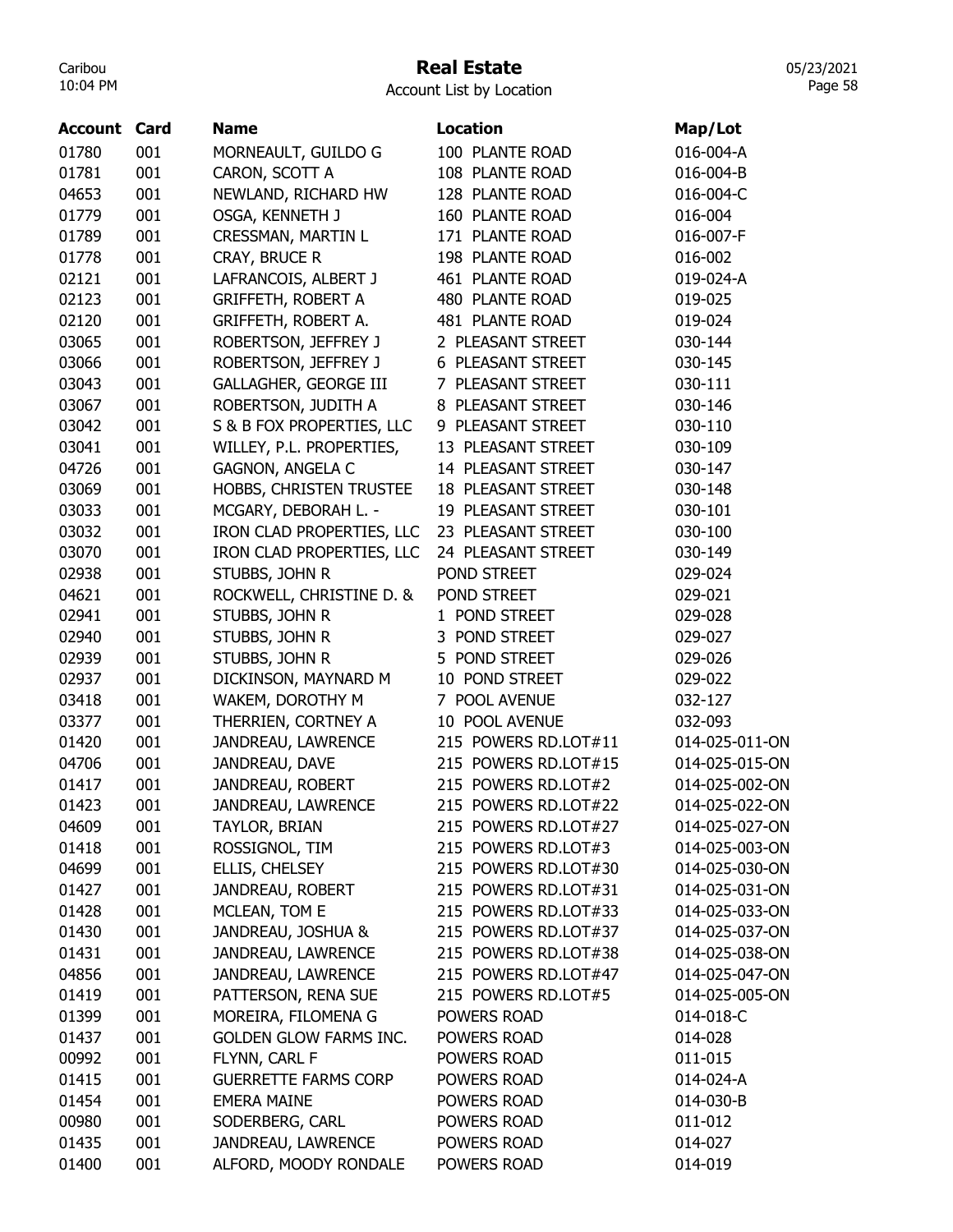### Real Estate

Account List by Location

| <b>Account Card</b> |     | <b>Name</b>                   | Location                  | Map/Lot        |
|---------------------|-----|-------------------------------|---------------------------|----------------|
| 01780               | 001 | MORNEAULT, GUILDO G           | 100 PLANTE ROAD           | 016-004-A      |
| 01781               | 001 | CARON, SCOTT A                | 108 PLANTE ROAD           | 016-004-B      |
| 04653               | 001 | NEWLAND, RICHARD HW           | 128 PLANTE ROAD           | 016-004-C      |
| 01779               | 001 | OSGA, KENNETH J               | 160 PLANTE ROAD           | 016-004        |
| 01789               | 001 | CRESSMAN, MARTIN L            | 171 PLANTE ROAD           | 016-007-F      |
| 01778               | 001 | CRAY, BRUCE R                 | 198 PLANTE ROAD           | 016-002        |
| 02121               | 001 | LAFRANCOIS, ALBERT J          | 461 PLANTE ROAD           | 019-024-A      |
| 02123               | 001 | <b>GRIFFETH, ROBERT A</b>     | 480 PLANTE ROAD           | 019-025        |
| 02120               | 001 | GRIFFETH, ROBERT A.           | 481 PLANTE ROAD           | 019-024        |
| 03065               | 001 | ROBERTSON, JEFFREY J          | 2 PLEASANT STREET         | 030-144        |
| 03066               | 001 | ROBERTSON, JEFFREY J          | 6 PLEASANT STREET         | 030-145        |
| 03043               | 001 | <b>GALLAGHER, GEORGE III</b>  | 7 PLEASANT STREET         | 030-111        |
| 03067               | 001 | ROBERTSON, JUDITH A           | 8 PLEASANT STREET         | 030-146        |
| 03042               | 001 | S & B FOX PROPERTIES, LLC     | 9 PLEASANT STREET         | 030-110        |
| 03041               | 001 | WILLEY, P.L. PROPERTIES,      | 13 PLEASANT STREET        | 030-109        |
| 04726               | 001 | <b>GAGNON, ANGELA C</b>       | 14 PLEASANT STREET        | 030-147        |
| 03069               | 001 | HOBBS, CHRISTEN TRUSTEE       | <b>18 PLEASANT STREET</b> | 030-148        |
| 03033               | 001 | MCGARY, DEBORAH L. -          | 19 PLEASANT STREET        | 030-101        |
| 03032               | 001 | IRON CLAD PROPERTIES, LLC     | 23 PLEASANT STREET        | 030-100        |
| 03070               | 001 | IRON CLAD PROPERTIES, LLC     | 24 PLEASANT STREET        | 030-149        |
| 02938               | 001 | STUBBS, JOHN R                | POND STREET               | 029-024        |
| 04621               | 001 | ROCKWELL, CHRISTINE D. &      | POND STREET               | 029-021        |
| 02941               | 001 | STUBBS, JOHN R                | 1 POND STREET             | 029-028        |
| 02940               | 001 | STUBBS, JOHN R                | 3 POND STREET             | 029-027        |
| 02939               | 001 | STUBBS, JOHN R                | 5 POND STREET             | 029-026        |
| 02937               | 001 | DICKINSON, MAYNARD M          | 10 POND STREET            | 029-022        |
| 03418               | 001 | WAKEM, DOROTHY M              | 7 POOL AVENUE             | 032-127        |
| 03377               | 001 | THERRIEN, CORTNEY A           | 10 POOL AVENUE            | 032-093        |
| 01420               | 001 | JANDREAU, LAWRENCE            | 215 POWERS RD.LOT#11      | 014-025-011-ON |
| 04706               | 001 | JANDREAU, DAVE                | 215 POWERS RD.LOT#15      | 014-025-015-ON |
| 01417               | 001 | JANDREAU, ROBERT              | 215 POWERS RD.LOT#2       | 014-025-002-ON |
| 01423               | 001 | JANDREAU, LAWRENCE            | 215 POWERS RD.LOT#22      | 014-025-022-ON |
| 04609               | 001 | TAYLOR, BRIAN                 | 215 POWERS RD.LOT#27      | 014-025-027-ON |
| 01418               | 001 | ROSSIGNOL, TIM                | 215 POWERS RD.LOT#3       | 014-025-003-ON |
| 04699               | 001 | ELLIS, CHELSEY                | 215 POWERS RD.LOT#30      | 014-025-030-ON |
| 01427               | 001 | JANDREAU, ROBERT              | 215 POWERS RD.LOT#31      | 014-025-031-ON |
| 01428               | 001 | MCLEAN, TOM E                 | 215 POWERS RD.LOT#33      | 014-025-033-ON |
| 01430               | 001 | JANDREAU, JOSHUA &            | 215 POWERS RD.LOT#37      | 014-025-037-ON |
| 01431               | 001 | JANDREAU, LAWRENCE            | 215 POWERS RD.LOT#38      | 014-025-038-ON |
| 04856               | 001 | JANDREAU, LAWRENCE            | 215 POWERS RD.LOT#47      | 014-025-047-ON |
| 01419               | 001 | PATTERSON, RENA SUE           | 215 POWERS RD.LOT#5       | 014-025-005-ON |
| 01399               | 001 | MOREIRA, FILOMENA G           | POWERS ROAD               | 014-018-C      |
| 01437               | 001 | <b>GOLDEN GLOW FARMS INC.</b> | POWERS ROAD               | 014-028        |
| 00992               | 001 | FLYNN, CARL F                 | POWERS ROAD               | 011-015        |
| 01415               | 001 | <b>GUERRETTE FARMS CORP</b>   | POWERS ROAD               | 014-024-A      |
| 01454               | 001 | <b>EMERA MAINE</b>            | POWERS ROAD               | 014-030-B      |
| 00980               | 001 | SODERBERG, CARL               | POWERS ROAD               | 011-012        |
| 01435               | 001 | JANDREAU, LAWRENCE            | POWERS ROAD               | 014-027        |
| 01400               | 001 | ALFORD, MOODY RONDALE         | POWERS ROAD               | 014-019        |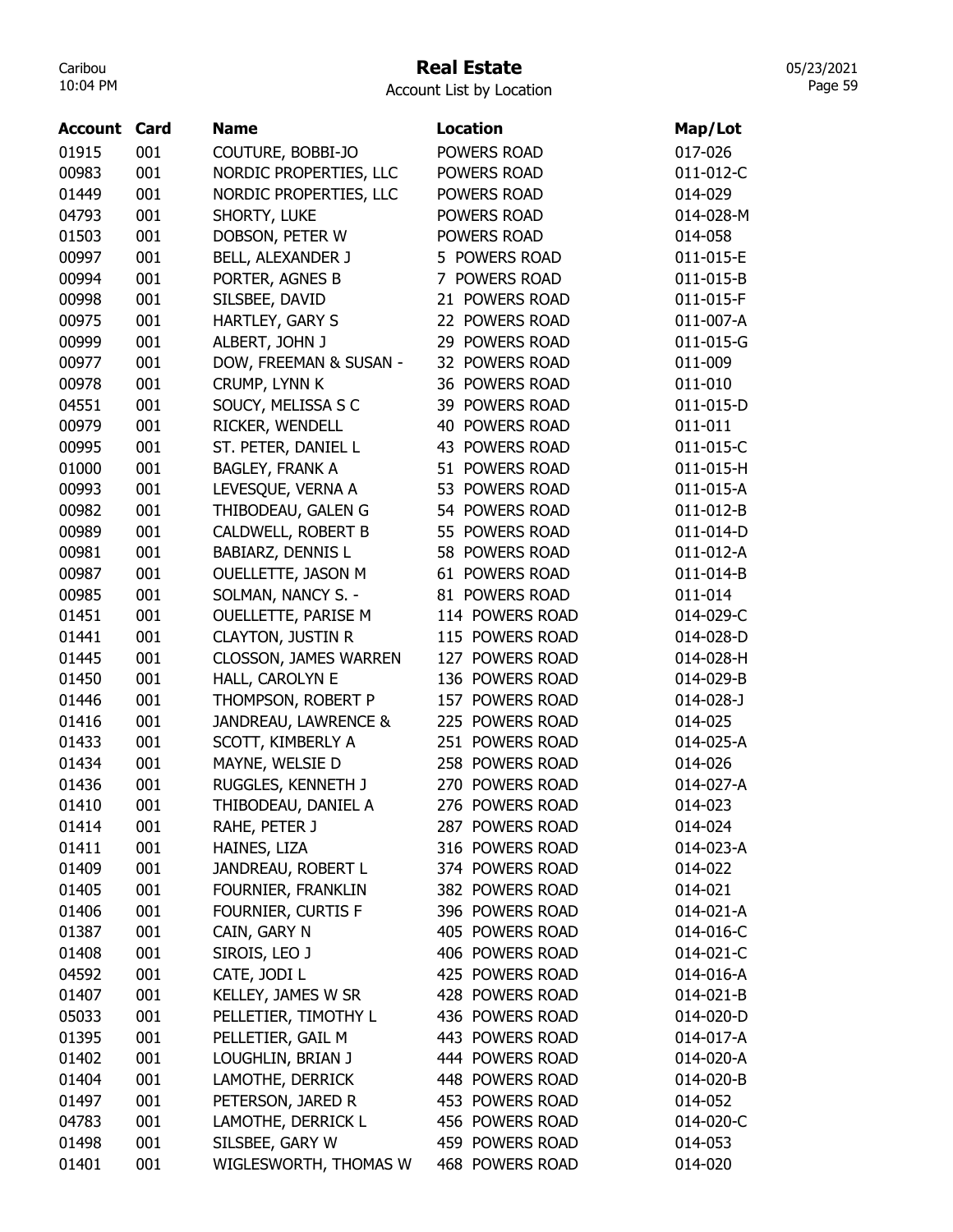## Real Estate

Account List by Location

| <b>Account Card</b> |     | <b>Name</b>                  | <b>Location</b> | Map/Lot   |
|---------------------|-----|------------------------------|-----------------|-----------|
| 01915               | 001 | COUTURE, BOBBI-JO            | POWERS ROAD     | 017-026   |
| 00983               | 001 | NORDIC PROPERTIES, LLC       | POWERS ROAD     | 011-012-C |
| 01449               | 001 | NORDIC PROPERTIES, LLC       | POWERS ROAD     | 014-029   |
| 04793               | 001 | SHORTY, LUKE                 | POWERS ROAD     | 014-028-M |
| 01503               | 001 | DOBSON, PETER W              | POWERS ROAD     | 014-058   |
| 00997               | 001 | BELL, ALEXANDER J            | 5 POWERS ROAD   | 011-015-E |
| 00994               | 001 | PORTER, AGNES B              | 7 POWERS ROAD   | 011-015-B |
| 00998               | 001 | SILSBEE, DAVID               | 21 POWERS ROAD  | 011-015-F |
| 00975               | 001 | HARTLEY, GARY S              | 22 POWERS ROAD  | 011-007-A |
| 00999               | 001 | ALBERT, JOHN J               | 29 POWERS ROAD  | 011-015-G |
| 00977               | 001 | DOW, FREEMAN & SUSAN -       | 32 POWERS ROAD  | 011-009   |
| 00978               | 001 | CRUMP, LYNN K                | 36 POWERS ROAD  | 011-010   |
| 04551               | 001 | SOUCY, MELISSA S C           | 39 POWERS ROAD  | 011-015-D |
| 00979               | 001 | RICKER, WENDELL              | 40 POWERS ROAD  | 011-011   |
| 00995               | 001 | ST. PETER, DANIEL L          | 43 POWERS ROAD  | 011-015-C |
| 01000               | 001 | <b>BAGLEY, FRANK A</b>       | 51 POWERS ROAD  | 011-015-H |
| 00993               | 001 | LEVESQUE, VERNA A            | 53 POWERS ROAD  | 011-015-A |
| 00982               | 001 | THIBODEAU, GALEN G           | 54 POWERS ROAD  | 011-012-B |
| 00989               | 001 | CALDWELL, ROBERT B           | 55 POWERS ROAD  | 011-014-D |
| 00981               | 001 | <b>BABIARZ, DENNIS L</b>     | 58 POWERS ROAD  | 011-012-A |
| 00987               | 001 | OUELLETTE, JASON M           | 61 POWERS ROAD  | 011-014-B |
| 00985               | 001 | SOLMAN, NANCY S. -           | 81 POWERS ROAD  | 011-014   |
| 01451               | 001 | OUELLETTE, PARISE M          | 114 POWERS ROAD | 014-029-C |
| 01441               | 001 | <b>CLAYTON, JUSTIN R</b>     | 115 POWERS ROAD | 014-028-D |
| 01445               | 001 | <b>CLOSSON, JAMES WARREN</b> | 127 POWERS ROAD | 014-028-H |
| 01450               | 001 | HALL, CAROLYN E              | 136 POWERS ROAD | 014-029-B |
| 01446               | 001 | THOMPSON, ROBERT P           | 157 POWERS ROAD | 014-028-J |
| 01416               | 001 | JANDREAU, LAWRENCE &         | 225 POWERS ROAD | 014-025   |
| 01433               | 001 | SCOTT, KIMBERLY A            | 251 POWERS ROAD | 014-025-A |
| 01434               | 001 | MAYNE, WELSIE D              | 258 POWERS ROAD | 014-026   |
| 01436               | 001 | RUGGLES, KENNETH J           | 270 POWERS ROAD | 014-027-A |
| 01410               | 001 | THIBODEAU, DANIEL A          | 276 POWERS ROAD | 014-023   |
| 01414               | 001 | RAHE, PETER J                | 287 POWERS ROAD | 014-024   |
| 01411               | 001 | HAINES, LIZA                 | 316 POWERS ROAD | 014-023-A |
| 01409               | 001 | JANDREAU, ROBERT L           | 374 POWERS ROAD | 014-022   |
| 01405               | 001 | FOURNIER, FRANKLIN           | 382 POWERS ROAD | 014-021   |
| 01406               | 001 | FOURNIER, CURTIS F           | 396 POWERS ROAD | 014-021-A |
| 01387               | 001 | CAIN, GARY N                 | 405 POWERS ROAD | 014-016-C |
| 01408               | 001 | SIROIS, LEO J                | 406 POWERS ROAD | 014-021-C |
| 04592               | 001 | CATE, JODI L                 | 425 POWERS ROAD | 014-016-A |
| 01407               | 001 | KELLEY, JAMES W SR           | 428 POWERS ROAD | 014-021-B |
| 05033               | 001 | PELLETIER, TIMOTHY L         | 436 POWERS ROAD | 014-020-D |
| 01395               | 001 | PELLETIER, GAIL M            | 443 POWERS ROAD | 014-017-A |
| 01402               | 001 | LOUGHLIN, BRIAN J            | 444 POWERS ROAD | 014-020-A |
| 01404               | 001 | LAMOTHE, DERRICK             | 448 POWERS ROAD | 014-020-B |
| 01497               | 001 | PETERSON, JARED R            | 453 POWERS ROAD | 014-052   |
| 04783               | 001 | LAMOTHE, DERRICK L           | 456 POWERS ROAD | 014-020-C |
| 01498               | 001 | SILSBEE, GARY W              | 459 POWERS ROAD | 014-053   |
| 01401               | 001 | WIGLESWORTH, THOMAS W        | 468 POWERS ROAD | 014-020   |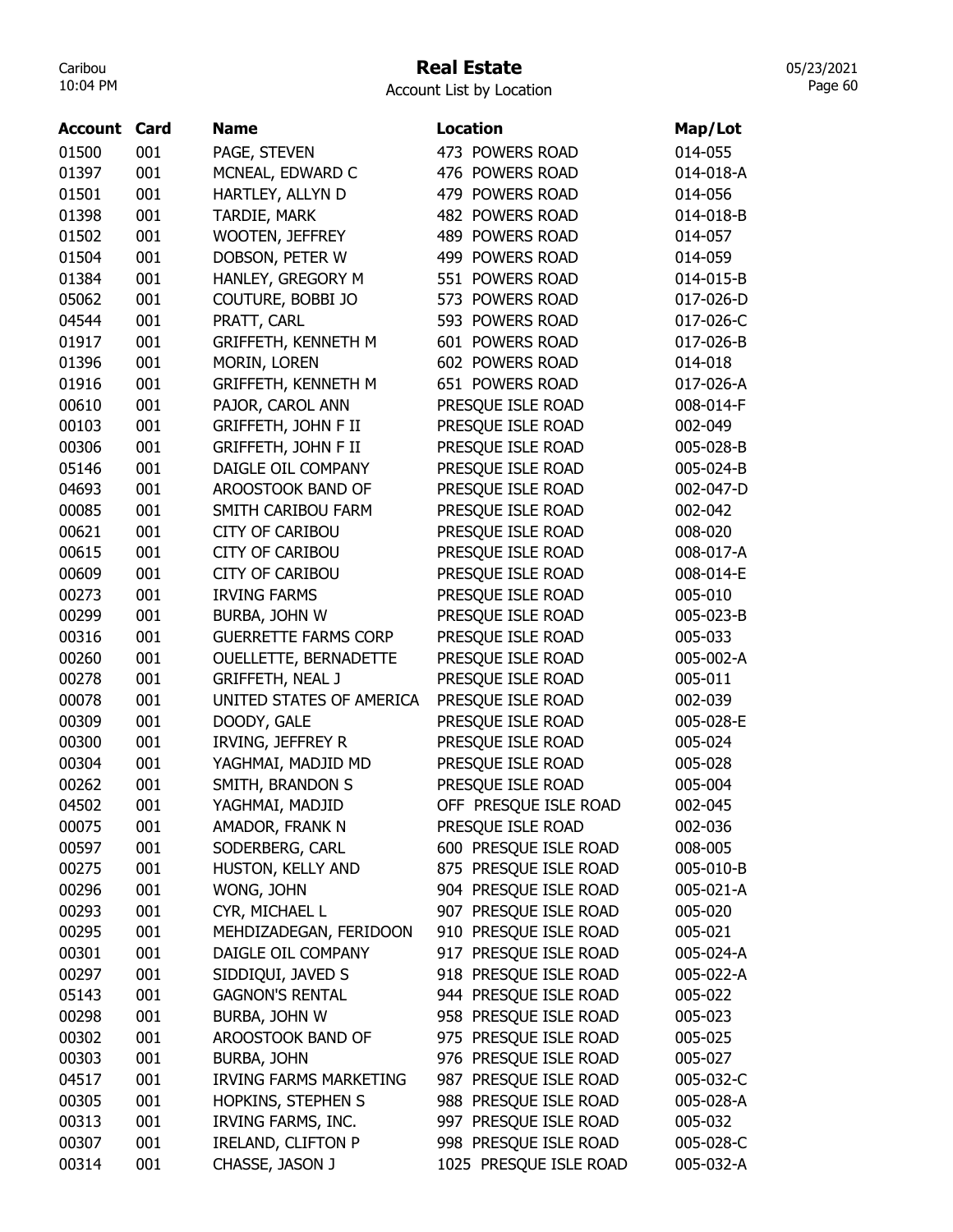### Real Estate

Account List by Location

| <b>Account Card</b> |     | <b>Name</b>                   | <b>Location</b>        | Map/Lot   |
|---------------------|-----|-------------------------------|------------------------|-----------|
| 01500               | 001 | PAGE, STEVEN                  | 473 POWERS ROAD        | 014-055   |
| 01397               | 001 | MCNEAL, EDWARD C              | 476 POWERS ROAD        | 014-018-A |
| 01501               | 001 | HARTLEY, ALLYN D              | 479 POWERS ROAD        | 014-056   |
| 01398               | 001 | TARDIE, MARK                  | 482 POWERS ROAD        | 014-018-B |
| 01502               | 001 | WOOTEN, JEFFREY               | 489 POWERS ROAD        | 014-057   |
| 01504               | 001 | DOBSON, PETER W               | 499 POWERS ROAD        | 014-059   |
| 01384               | 001 | HANLEY, GREGORY M             | 551 POWERS ROAD        | 014-015-B |
| 05062               | 001 | COUTURE, BOBBI JO             | 573 POWERS ROAD        | 017-026-D |
| 04544               | 001 | PRATT, CARL                   | 593 POWERS ROAD        | 017-026-C |
| 01917               | 001 | GRIFFETH, KENNETH M           | 601 POWERS ROAD        | 017-026-B |
| 01396               | 001 | MORIN, LOREN                  | 602 POWERS ROAD        | 014-018   |
| 01916               | 001 | GRIFFETH, KENNETH M           | 651 POWERS ROAD        | 017-026-A |
| 00610               | 001 | PAJOR, CAROL ANN              | PRESQUE ISLE ROAD      | 008-014-F |
| 00103               | 001 | GRIFFETH, JOHN F II           | PRESQUE ISLE ROAD      | 002-049   |
| 00306               | 001 | <b>GRIFFETH, JOHN F II</b>    | PRESQUE ISLE ROAD      | 005-028-B |
| 05146               | 001 | DAIGLE OIL COMPANY            | PRESQUE ISLE ROAD      | 005-024-B |
| 04693               | 001 | AROOSTOOK BAND OF             | PRESQUE ISLE ROAD      | 002-047-D |
| 00085               | 001 | SMITH CARIBOU FARM            | PRESQUE ISLE ROAD      | 002-042   |
| 00621               | 001 | <b>CITY OF CARIBOU</b>        | PRESQUE ISLE ROAD      | 008-020   |
| 00615               | 001 | <b>CITY OF CARIBOU</b>        | PRESQUE ISLE ROAD      | 008-017-A |
| 00609               | 001 | <b>CITY OF CARIBOU</b>        | PRESQUE ISLE ROAD      | 008-014-E |
| 00273               | 001 | <b>IRVING FARMS</b>           | PRESQUE ISLE ROAD      | 005-010   |
| 00299               | 001 | BURBA, JOHN W                 | PRESQUE ISLE ROAD      | 005-023-B |
| 00316               | 001 | <b>GUERRETTE FARMS CORP</b>   | PRESQUE ISLE ROAD      | 005-033   |
| 00260               | 001 | OUELLETTE, BERNADETTE         | PRESQUE ISLE ROAD      | 005-002-A |
| 00278               | 001 | <b>GRIFFETH, NEAL J</b>       | PRESQUE ISLE ROAD      | 005-011   |
| 00078               | 001 | UNITED STATES OF AMERICA      | PRESQUE ISLE ROAD      | 002-039   |
| 00309               | 001 | DOODY, GALE                   | PRESQUE ISLE ROAD      | 005-028-E |
| 00300               | 001 | IRVING, JEFFREY R             | PRESQUE ISLE ROAD      | 005-024   |
| 00304               | 001 | YAGHMAI, MADJID MD            | PRESQUE ISLE ROAD      | 005-028   |
| 00262               | 001 | SMITH, BRANDON S              | PRESQUE ISLE ROAD      | 005-004   |
| 04502               | 001 | YAGHMAI, MADJID               | OFF PRESQUE ISLE ROAD  | 002-045   |
| 00075               | 001 | AMADOR, FRANK N               | PRESQUE ISLE ROAD      | 002-036   |
| 00597               | 001 | SODERBERG, CARL               | 600 PRESQUE ISLE ROAD  | 008-005   |
| 00275               | 001 | HUSTON, KELLY AND             | 875 PRESQUE ISLE ROAD  | 005-010-B |
| 00296               | 001 | WONG, JOHN                    | 904 PRESQUE ISLE ROAD  | 005-021-A |
| 00293               | 001 | CYR, MICHAEL L                | 907 PRESQUE ISLE ROAD  | 005-020   |
| 00295               | 001 | MEHDIZADEGAN, FERIDOON        | 910 PRESQUE ISLE ROAD  | 005-021   |
| 00301               | 001 | DAIGLE OIL COMPANY            | 917 PRESQUE ISLE ROAD  | 005-024-A |
| 00297               | 001 | SIDDIQUI, JAVED S             | 918 PRESQUE ISLE ROAD  | 005-022-A |
| 05143               | 001 | <b>GAGNON'S RENTAL</b>        | 944 PRESQUE ISLE ROAD  | 005-022   |
| 00298               | 001 | BURBA, JOHN W                 | 958 PRESQUE ISLE ROAD  | 005-023   |
| 00302               | 001 | AROOSTOOK BAND OF             | 975 PRESQUE ISLE ROAD  | 005-025   |
| 00303               | 001 | BURBA, JOHN                   | 976 PRESQUE ISLE ROAD  | 005-027   |
| 04517               | 001 | <b>IRVING FARMS MARKETING</b> | 987 PRESQUE ISLE ROAD  | 005-032-C |
| 00305               | 001 | HOPKINS, STEPHEN S            | 988 PRESQUE ISLE ROAD  | 005-028-A |
| 00313               | 001 | IRVING FARMS, INC.            | 997 PRESQUE ISLE ROAD  | 005-032   |
| 00307               | 001 | <b>IRELAND, CLIFTON P</b>     | 998 PRESQUE ISLE ROAD  | 005-028-C |
| 00314               | 001 | CHASSE, JASON J               | 1025 PRESQUE ISLE ROAD | 005-032-A |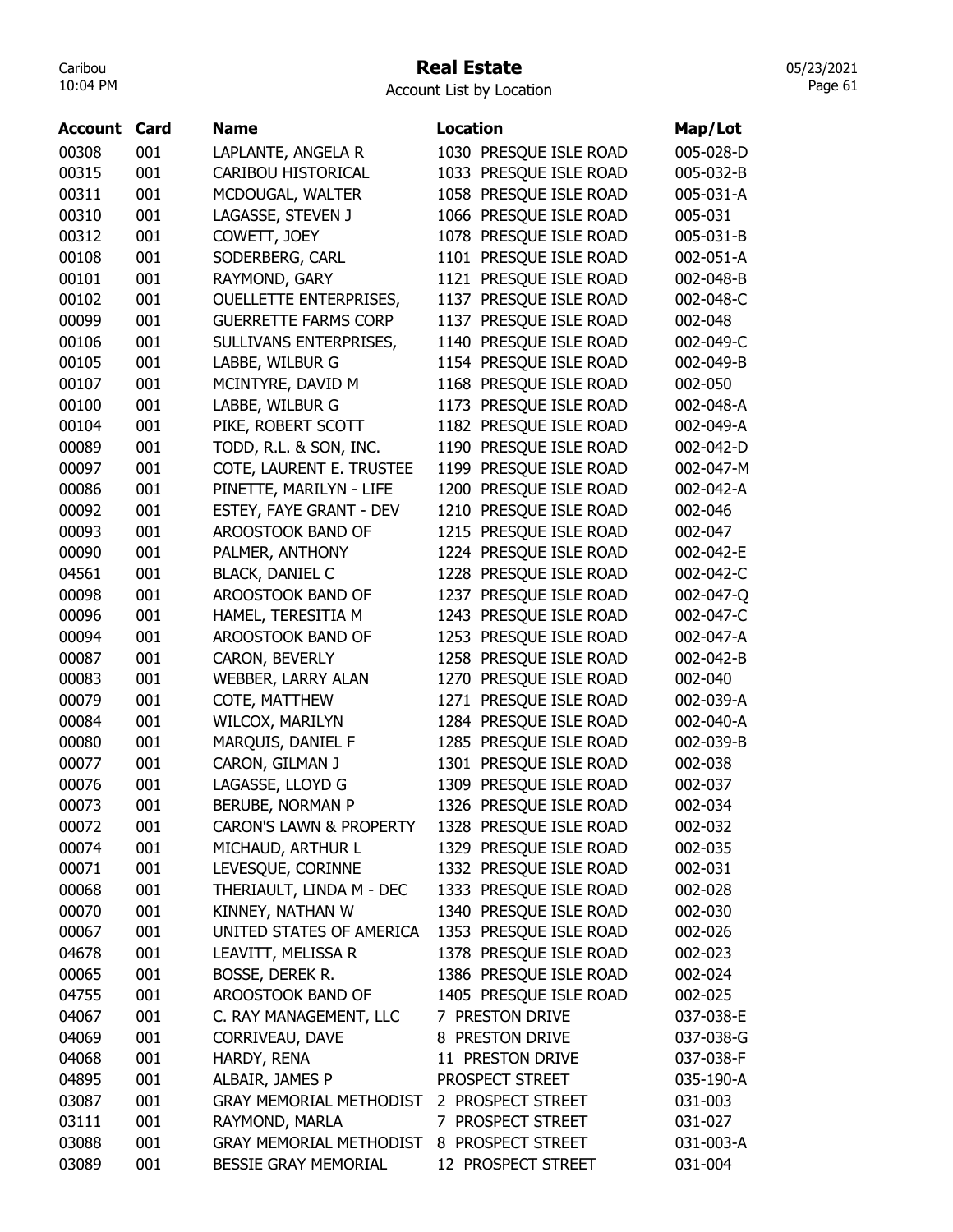#### Real Estate

Account List by Location

| <b>Account</b> | Card | <b>Name</b>                        | <b>Location</b>           |           |
|----------------|------|------------------------------------|---------------------------|-----------|
|                |      |                                    |                           | Map/Lot   |
| 00308          | 001  | LAPLANTE, ANGELA R                 | 1030 PRESQUE ISLE ROAD    | 005-028-D |
| 00315          | 001  | CARIBOU HISTORICAL                 | 1033 PRESQUE ISLE ROAD    | 005-032-B |
| 00311          | 001  | MCDOUGAL, WALTER                   | 1058 PRESQUE ISLE ROAD    | 005-031-A |
| 00310          | 001  | LAGASSE, STEVEN J                  | 1066 PRESQUE ISLE ROAD    | 005-031   |
| 00312          | 001  | COWETT, JOEY                       | 1078 PRESQUE ISLE ROAD    | 005-031-B |
| 00108          | 001  | SODERBERG, CARL                    | 1101 PRESQUE ISLE ROAD    | 002-051-A |
| 00101          | 001  | RAYMOND, GARY                      | 1121 PRESQUE ISLE ROAD    | 002-048-B |
| 00102          | 001  | <b>OUELLETTE ENTERPRISES,</b>      | 1137 PRESQUE ISLE ROAD    | 002-048-C |
| 00099          | 001  | <b>GUERRETTE FARMS CORP</b>        | 1137 PRESQUE ISLE ROAD    | 002-048   |
| 00106          | 001  | SULLIVANS ENTERPRISES,             | 1140 PRESQUE ISLE ROAD    | 002-049-C |
| 00105          | 001  | LABBE, WILBUR G                    | 1154 PRESQUE ISLE ROAD    | 002-049-B |
| 00107          | 001  | MCINTYRE, DAVID M                  | 1168 PRESQUE ISLE ROAD    | 002-050   |
| 00100          | 001  | LABBE, WILBUR G                    | 1173 PRESQUE ISLE ROAD    | 002-048-A |
| 00104          | 001  | PIKE, ROBERT SCOTT                 | 1182 PRESQUE ISLE ROAD    | 002-049-A |
| 00089          | 001  | TODD, R.L. & SON, INC.             | PRESQUE ISLE ROAD<br>1190 | 002-042-D |
| 00097          | 001  | COTE, LAURENT E. TRUSTEE           | PRESQUE ISLE ROAD<br>1199 | 002-047-M |
| 00086          | 001  | PINETTE, MARILYN - LIFE            | 1200 PRESQUE ISLE ROAD    | 002-042-A |
| 00092          | 001  | ESTEY, FAYE GRANT - DEV            | 1210 PRESQUE ISLE ROAD    | 002-046   |
| 00093          | 001  | AROOSTOOK BAND OF                  | 1215 PRESQUE ISLE ROAD    | 002-047   |
| 00090          | 001  | PALMER, ANTHONY                    | 1224 PRESQUE ISLE ROAD    | 002-042-E |
| 04561          | 001  | <b>BLACK, DANIEL C</b>             | 1228 PRESQUE ISLE ROAD    | 002-042-C |
| 00098          | 001  | AROOSTOOK BAND OF                  | 1237 PRESQUE ISLE ROAD    | 002-047-Q |
| 00096          | 001  | HAMEL, TERESITIA M                 | PRESQUE ISLE ROAD<br>1243 | 002-047-C |
| 00094          | 001  | AROOSTOOK BAND OF                  | 1253 PRESQUE ISLE ROAD    | 002-047-A |
| 00087          | 001  | CARON, BEVERLY                     | 1258 PRESQUE ISLE ROAD    | 002-042-B |
| 00083          | 001  | WEBBER, LARRY ALAN                 | 1270 PRESQUE ISLE ROAD    | 002-040   |
| 00079          | 001  | COTE, MATTHEW                      | 1271 PRESQUE ISLE ROAD    | 002-039-A |
| 00084          | 001  | WILCOX, MARILYN                    | 1284 PRESQUE ISLE ROAD    | 002-040-A |
| 00080          | 001  | MARQUIS, DANIEL F                  | 1285 PRESQUE ISLE ROAD    | 002-039-B |
| 00077          | 001  | CARON, GILMAN J                    | 1301 PRESQUE ISLE ROAD    | 002-038   |
| 00076          | 001  | LAGASSE, LLOYD G                   | 1309 PRESOUE ISLE ROAD    | 002-037   |
| 00073          | 001  | BERUBE, NORMAN P                   | 1326 PRESQUE ISLE ROAD    | 002-034   |
|                | 001  | <b>CARON'S LAWN &amp; PROPERTY</b> | 1328 PRESQUE ISLE ROAD    |           |
| 00072          | 001  | MICHAUD, ARTHUR L                  | 1329 PRESQUE ISLE ROAD    | 002-032   |
| 00074          |      |                                    |                           | 002-035   |
| 00071          | 001  | LEVESQUE, CORINNE                  | 1332 PRESQUE ISLE ROAD    | 002-031   |
| 00068          | 001  | THERIAULT, LINDA M - DEC           | 1333 PRESQUE ISLE ROAD    | 002-028   |
| 00070          | 001  | KINNEY, NATHAN W                   | 1340 PRESQUE ISLE ROAD    | 002-030   |
| 00067          | 001  | UNITED STATES OF AMERICA           | 1353 PRESQUE ISLE ROAD    | 002-026   |
| 04678          | 001  | LEAVITT, MELISSA R                 | 1378 PRESQUE ISLE ROAD    | 002-023   |
| 00065          | 001  | BOSSE, DEREK R.                    | 1386 PRESQUE ISLE ROAD    | 002-024   |
| 04755          | 001  | AROOSTOOK BAND OF                  | 1405 PRESQUE ISLE ROAD    | 002-025   |
| 04067          | 001  | C. RAY MANAGEMENT, LLC             | 7 PRESTON DRIVE           | 037-038-E |
| 04069          | 001  | CORRIVEAU, DAVE                    | 8 PRESTON DRIVE           | 037-038-G |
| 04068          | 001  | HARDY, RENA                        | 11 PRESTON DRIVE          | 037-038-F |
| 04895          | 001  | ALBAIR, JAMES P                    | PROSPECT STREET           | 035-190-A |
| 03087          | 001  | <b>GRAY MEMORIAL METHODIST</b>     | 2 PROSPECT STREET         | 031-003   |
| 03111          | 001  | RAYMOND, MARLA                     | 7 PROSPECT STREET         | 031-027   |
| 03088          | 001  | <b>GRAY MEMORIAL METHODIST</b>     | 8 PROSPECT STREET         | 031-003-A |
| 03089          | 001  | BESSIE GRAY MEMORIAL               | 12 PROSPECT STREET        | 031-004   |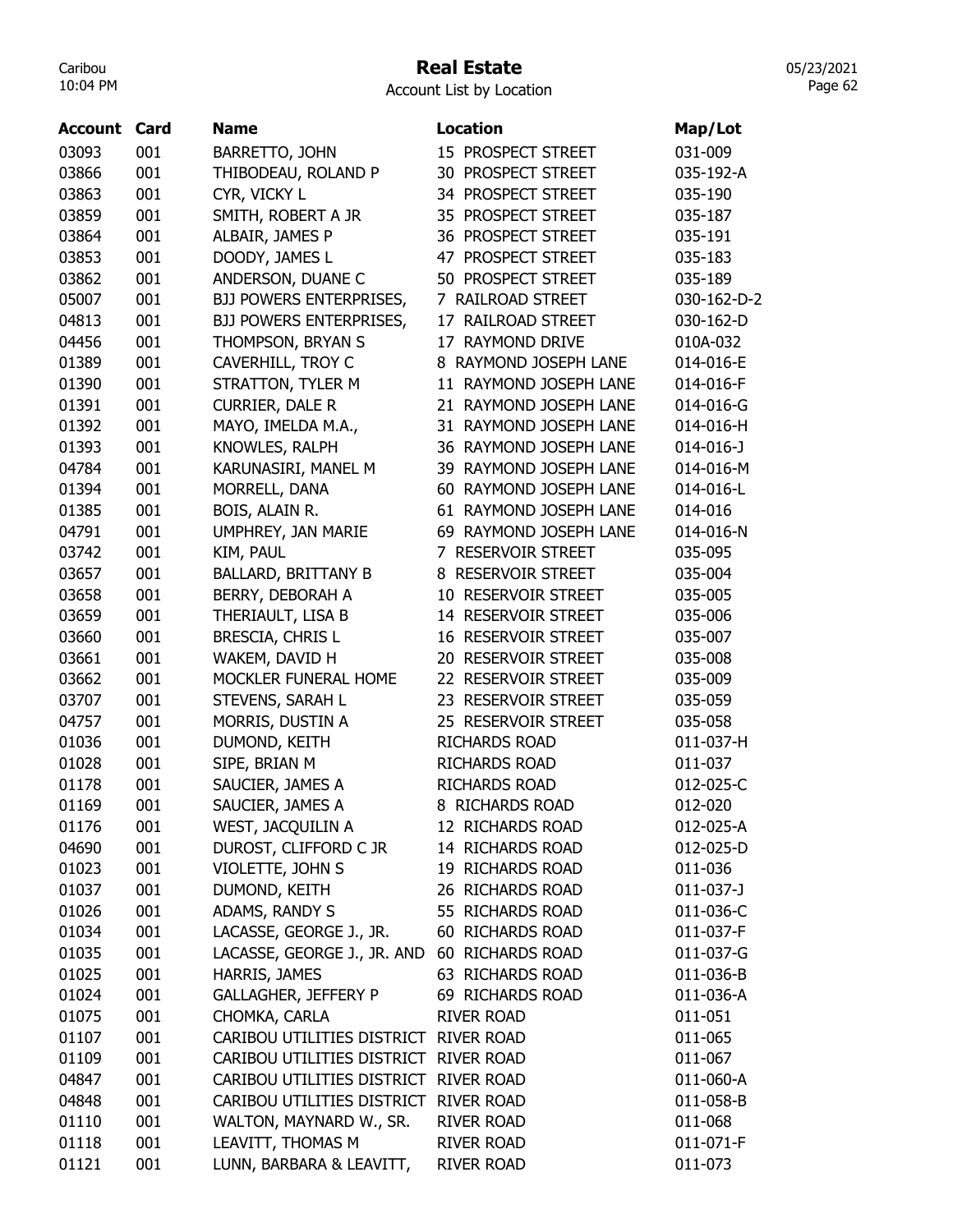## Real Estate

05/23/2021 Page 62

| <b>Account</b> | Card | <b>Name</b>                           | <b>Location</b>         | Map/Lot         |
|----------------|------|---------------------------------------|-------------------------|-----------------|
| 03093          | 001  | BARRETTO, JOHN                        | 15 PROSPECT STREET      | 031-009         |
| 03866          | 001  | THIBODEAU, ROLAND P                   | 30 PROSPECT STREET      | 035-192-A       |
| 03863          | 001  | CYR, VICKY L                          | 34 PROSPECT STREET      | 035-190         |
| 03859          | 001  | SMITH, ROBERT A JR                    | 35 PROSPECT STREET      | 035-187         |
| 03864          | 001  | ALBAIR, JAMES P                       | 36 PROSPECT STREET      | 035-191         |
| 03853          | 001  | DOODY, JAMES L                        | 47 PROSPECT STREET      | 035-183         |
| 03862          | 001  | ANDERSON, DUANE C                     | 50 PROSPECT STREET      | 035-189         |
| 05007          | 001  | BJJ POWERS ENTERPRISES,               | 7 RAILROAD STREET       | 030-162-D-2     |
| 04813          | 001  | <b>BJJ POWERS ENTERPRISES,</b>        | 17 RAILROAD STREET      | 030-162-D       |
| 04456          | 001  | THOMPSON, BRYAN S                     | 17 RAYMOND DRIVE        | 010A-032        |
| 01389          | 001  | CAVERHILL, TROY C                     | 8 RAYMOND JOSEPH LANE   | 014-016-E       |
| 01390          | 001  | STRATTON, TYLER M                     | 11 RAYMOND JOSEPH LANE  | 014-016-F       |
| 01391          | 001  | CURRIER, DALE R                       | 21 RAYMOND JOSEPH LANE  | 014-016-G       |
| 01392          | 001  | MAYO, IMELDA M.A.,                    | 31 RAYMOND JOSEPH LANE  | 014-016-H       |
| 01393          | 001  | KNOWLES, RALPH                        | 36 RAYMOND JOSEPH LANE  | $014 - 016 - J$ |
| 04784          | 001  | KARUNASIRI, MANEL M                   | 39 RAYMOND JOSEPH LANE  | 014-016-M       |
| 01394          | 001  | MORRELL, DANA                         | 60 RAYMOND JOSEPH LANE  | 014-016-L       |
| 01385          | 001  | BOIS, ALAIN R.                        | 61 RAYMOND JOSEPH LANE  | 014-016         |
| 04791          | 001  | UMPHREY, JAN MARIE                    | 69 RAYMOND JOSEPH LANE  | 014-016-N       |
| 03742          | 001  | KIM, PAUL                             | 7 RESERVOIR STREET      | 035-095         |
| 03657          | 001  | <b>BALLARD, BRITTANY B</b>            | 8 RESERVOIR STREET      | 035-004         |
| 03658          | 001  | BERRY, DEBORAH A                      | 10 RESERVOIR STREET     | 035-005         |
| 03659          | 001  | THERIAULT, LISA B                     | 14 RESERVOIR STREET     | 035-006         |
| 03660          | 001  | BRESCIA, CHRIS L                      | 16 RESERVOIR STREET     | 035-007         |
| 03661          | 001  | WAKEM, DAVID H                        | 20 RESERVOIR STREET     | 035-008         |
| 03662          | 001  | MOCKLER FUNERAL HOME                  | 22 RESERVOIR STREET     | 035-009         |
| 03707          | 001  | STEVENS, SARAH L                      | 23 RESERVOIR STREET     | 035-059         |
| 04757          | 001  | MORRIS, DUSTIN A                      | 25 RESERVOIR STREET     | 035-058         |
| 01036          | 001  | DUMOND, KEITH                         | <b>RICHARDS ROAD</b>    | 011-037-H       |
| 01028          | 001  | SIPE, BRIAN M                         | <b>RICHARDS ROAD</b>    | 011-037         |
| 01178          | 001  | SAUCIER, JAMES A                      | <b>RICHARDS ROAD</b>    | 012-025-C       |
| 01169          | 001  | SAUCIER, JAMES A                      | 8 RICHARDS ROAD         | 012-020         |
| 01176          | 001  | WEST, JACQUILIN A                     | 12 RICHARDS ROAD        | 012-025-A       |
| 04690          | 001  | DUROST, CLIFFORD C JR                 | 14 RICHARDS ROAD        | 012-025-D       |
| 01023          | 001  | VIOLETTE, JOHN S                      | 19 RICHARDS ROAD        | 011-036         |
| 01037          | 001  | DUMOND, KEITH                         | 26 RICHARDS ROAD        | $011 - 037 - J$ |
| 01026          | 001  | ADAMS, RANDY S                        | 55 RICHARDS ROAD        | 011-036-C       |
| 01034          | 001  | LACASSE, GEORGE J., JR.               | 60 RICHARDS ROAD        | 011-037-F       |
| 01035          | 001  | LACASSE, GEORGE J., JR. AND           | <b>60 RICHARDS ROAD</b> | 011-037-G       |
| 01025          | 001  | HARRIS, JAMES                         | 63 RICHARDS ROAD        | 011-036-B       |
| 01024          | 001  | <b>GALLAGHER, JEFFERY P</b>           | 69 RICHARDS ROAD        | 011-036-A       |
| 01075          | 001  | CHOMKA, CARLA                         | <b>RIVER ROAD</b>       | 011-051         |
| 01107          | 001  | CARIBOU UTILITIES DISTRICT RIVER ROAD |                         | 011-065         |
| 01109          | 001  | CARIBOU UTILITIES DISTRICT RIVER ROAD |                         | 011-067         |
|                |      |                                       |                         |                 |
| 04847          | 001  | CARIBOU UTILITIES DISTRICT RIVER ROAD |                         | 011-060-A       |
| 04848          | 001  | CARIBOU UTILITIES DISTRICT            | <b>RIVER ROAD</b>       | 011-058-B       |
| 01110          | 001  | WALTON, MAYNARD W., SR.               | <b>RIVER ROAD</b>       | 011-068         |
| 01118          | 001  | LEAVITT, THOMAS M                     | <b>RIVER ROAD</b>       | 011-071-F       |
| 01121          | 001  | LUNN, BARBARA & LEAVITT,              | <b>RIVER ROAD</b>       | 011-073         |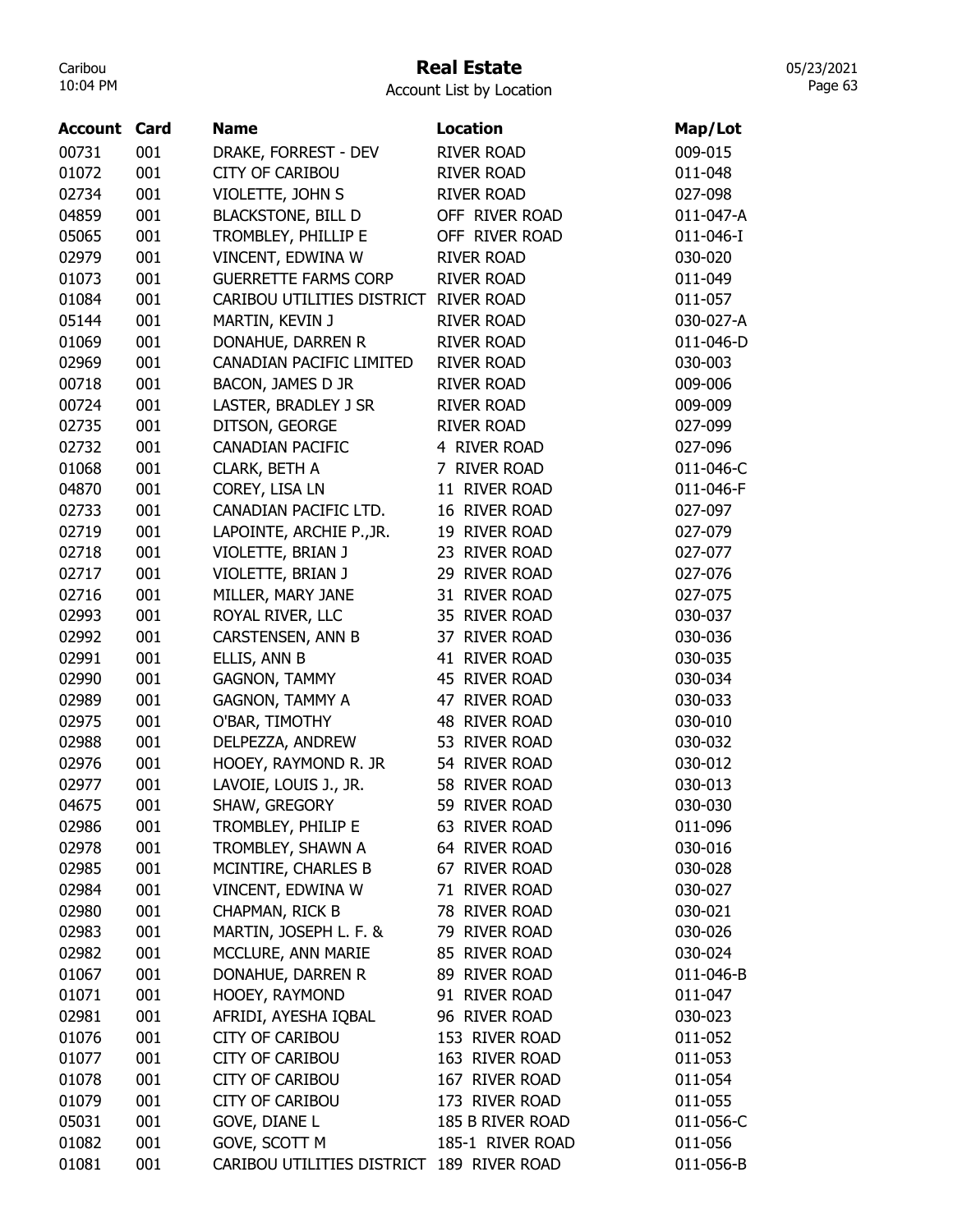## Real Estate

Account List by Location

| <b>Account Card</b> |     | <b>Name</b>                               | Location          | Map/Lot   |
|---------------------|-----|-------------------------------------------|-------------------|-----------|
| 00731               | 001 | DRAKE, FORREST - DEV                      | <b>RIVER ROAD</b> | 009-015   |
| 01072               | 001 | <b>CITY OF CARIBOU</b>                    | <b>RIVER ROAD</b> | 011-048   |
| 02734               | 001 | VIOLETTE, JOHN S                          | <b>RIVER ROAD</b> | 027-098   |
| 04859               | 001 | <b>BLACKSTONE, BILL D</b>                 | OFF RIVER ROAD    | 011-047-A |
| 05065               | 001 | TROMBLEY, PHILLIP E                       | OFF RIVER ROAD    | 011-046-I |
| 02979               | 001 | VINCENT, EDWINA W                         | <b>RIVER ROAD</b> | 030-020   |
| 01073               | 001 | <b>GUERRETTE FARMS CORP</b>               | <b>RIVER ROAD</b> | 011-049   |
| 01084               | 001 | CARIBOU UTILITIES DISTRICT                | <b>RIVER ROAD</b> | 011-057   |
| 05144               | 001 | MARTIN, KEVIN J                           | <b>RIVER ROAD</b> | 030-027-A |
| 01069               | 001 | DONAHUE, DARREN R                         | <b>RIVER ROAD</b> | 011-046-D |
| 02969               | 001 | CANADIAN PACIFIC LIMITED                  | <b>RIVER ROAD</b> | 030-003   |
| 00718               | 001 | BACON, JAMES D JR                         | <b>RIVER ROAD</b> | 009-006   |
| 00724               | 001 | LASTER, BRADLEY J SR                      | <b>RIVER ROAD</b> | 009-009   |
| 02735               | 001 | DITSON, GEORGE                            | <b>RIVER ROAD</b> | 027-099   |
| 02732               | 001 | <b>CANADIAN PACIFIC</b>                   | 4 RIVER ROAD      | 027-096   |
| 01068               | 001 | CLARK, BETH A                             | 7 RIVER ROAD      | 011-046-C |
| 04870               | 001 | COREY, LISA LN                            | 11 RIVER ROAD     | 011-046-F |
| 02733               | 001 | CANADIAN PACIFIC LTD.                     | 16 RIVER ROAD     | 027-097   |
| 02719               | 001 | LAPOINTE, ARCHIE P., JR.                  | 19 RIVER ROAD     | 027-079   |
| 02718               | 001 | VIOLETTE, BRIAN J                         | 23 RIVER ROAD     | 027-077   |
| 02717               | 001 | VIOLETTE, BRIAN J                         | 29 RIVER ROAD     | 027-076   |
| 02716               | 001 | MILLER, MARY JANE                         | 31 RIVER ROAD     | 027-075   |
| 02993               | 001 | ROYAL RIVER, LLC                          | 35 RIVER ROAD     | 030-037   |
| 02992               | 001 | CARSTENSEN, ANN B                         | 37 RIVER ROAD     | 030-036   |
| 02991               | 001 | ELLIS, ANN B                              | 41 RIVER ROAD     | 030-035   |
| 02990               | 001 | <b>GAGNON, TAMMY</b>                      | 45 RIVER ROAD     | 030-034   |
| 02989               | 001 | <b>GAGNON, TAMMY A</b>                    | 47 RIVER ROAD     | 030-033   |
| 02975               | 001 | O'BAR, TIMOTHY                            | 48 RIVER ROAD     | 030-010   |
| 02988               | 001 | DELPEZZA, ANDREW                          | 53 RIVER ROAD     | 030-032   |
| 02976               | 001 | HOOEY, RAYMOND R. JR                      | 54 RIVER ROAD     | 030-012   |
| 02977               | 001 | LAVOIE, LOUIS J., JR.                     | 58 RIVER ROAD     | 030-013   |
| 04675               | 001 | SHAW, GREGORY                             | 59 RIVER ROAD     | 030-030   |
| 02986               | 001 | TROMBLEY, PHILIP E                        | 63 RIVER ROAD     | 011-096   |
| 02978               | 001 | TROMBLEY, SHAWN A                         | 64 RIVER ROAD     | 030-016   |
| 02985               | 001 | MCINTIRE, CHARLES B                       | 67 RIVER ROAD     | 030-028   |
| 02984               | 001 | VINCENT, EDWINA W                         | 71 RIVER ROAD     | 030-027   |
| 02980               | 001 | CHAPMAN, RICK B                           | 78 RIVER ROAD     | 030-021   |
| 02983               | 001 | MARTIN, JOSEPH L. F. &                    | 79 RIVER ROAD     | 030-026   |
| 02982               | 001 | MCCLURE, ANN MARIE                        | 85 RIVER ROAD     | 030-024   |
| 01067               | 001 | DONAHUE, DARREN R                         | 89 RIVER ROAD     | 011-046-B |
| 01071               | 001 | HOOEY, RAYMOND                            | 91 RIVER ROAD     | 011-047   |
| 02981               | 001 | AFRIDI, AYESHA IQBAL                      | 96 RIVER ROAD     | 030-023   |
| 01076               | 001 | <b>CITY OF CARIBOU</b>                    | 153 RIVER ROAD    | 011-052   |
| 01077               | 001 | <b>CITY OF CARIBOU</b>                    | 163 RIVER ROAD    | 011-053   |
| 01078               | 001 | <b>CITY OF CARIBOU</b>                    | 167 RIVER ROAD    | 011-054   |
| 01079               | 001 | <b>CITY OF CARIBOU</b>                    | 173 RIVER ROAD    | 011-055   |
| 05031               | 001 | <b>GOVE, DIANE L</b>                      | 185 B RIVER ROAD  | 011-056-C |
| 01082               | 001 | GOVE, SCOTT M                             | 185-1 RIVER ROAD  | 011-056   |
| 01081               | 001 | CARIBOU UTILITIES DISTRICT 189 RIVER ROAD |                   | 011-056-B |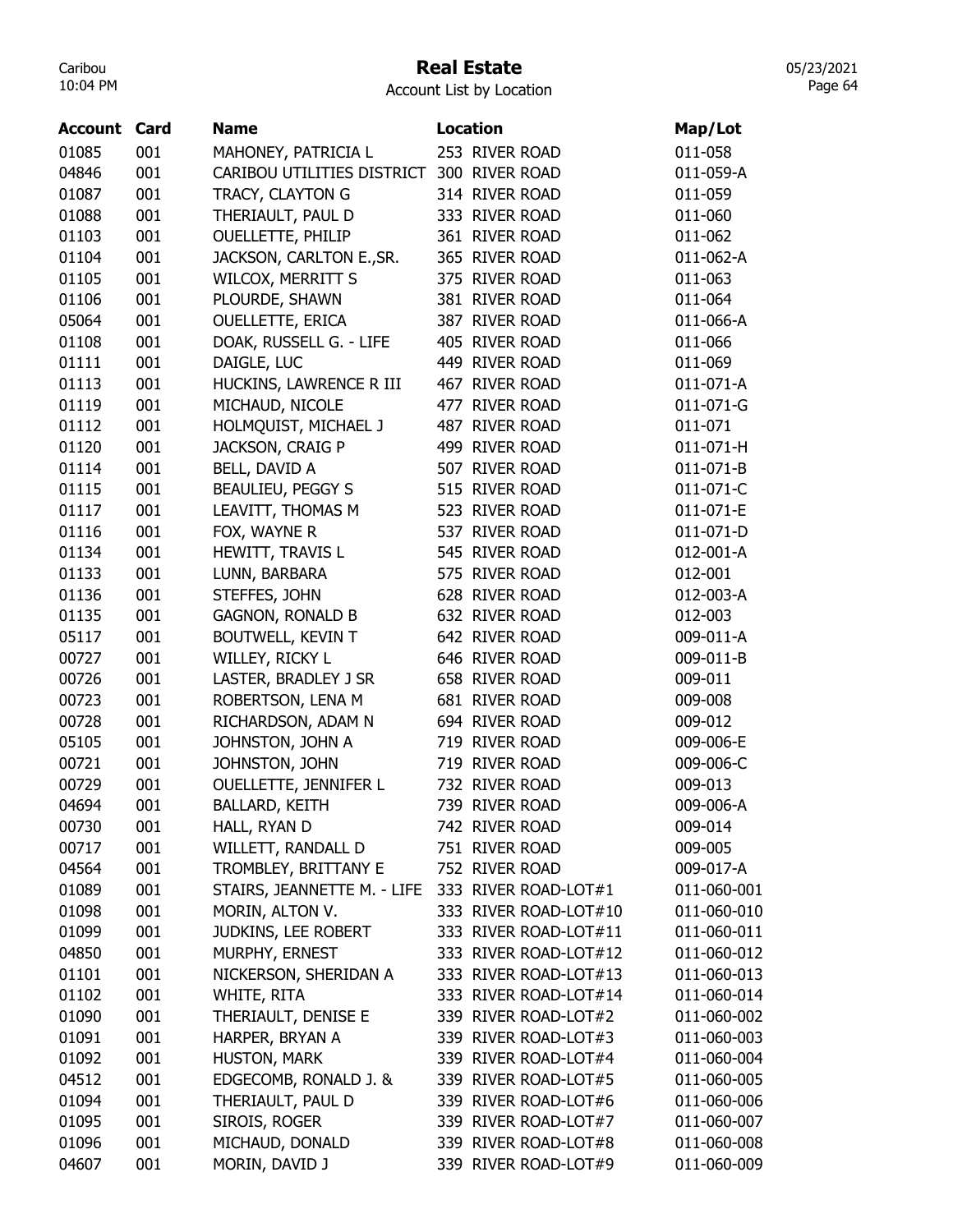#### Real Estate

Account List by Location

| <b>Account Card</b> |     | <b>Name</b>                 | <b>Location</b>       | Map/Lot                    |
|---------------------|-----|-----------------------------|-----------------------|----------------------------|
| 01085               | 001 | MAHONEY, PATRICIA L         | 253 RIVER ROAD        | 011-058                    |
| 04846               | 001 | CARIBOU UTILITIES DISTRICT  | 300 RIVER ROAD        | 011-059-A                  |
| 01087               | 001 | TRACY, CLAYTON G            | 314 RIVER ROAD        | 011-059                    |
| 01088               | 001 | THERIAULT, PAUL D           | 333 RIVER ROAD        | 011-060                    |
| 01103               | 001 | <b>OUELLETTE, PHILIP</b>    | 361 RIVER ROAD        | 011-062                    |
| 01104               | 001 | JACKSON, CARLTON E., SR.    | 365 RIVER ROAD        | 011-062-A                  |
| 01105               | 001 | <b>WILCOX, MERRITT S</b>    | 375 RIVER ROAD        | 011-063                    |
| 01106               | 001 | PLOURDE, SHAWN              | 381 RIVER ROAD        | 011-064                    |
| 05064               | 001 | <b>OUELLETTE, ERICA</b>     | 387 RIVER ROAD        | 011-066-A                  |
| 01108               | 001 | DOAK, RUSSELL G. - LIFE     | 405 RIVER ROAD        | 011-066                    |
| 01111               | 001 | DAIGLE, LUC                 | 449 RIVER ROAD        | 011-069                    |
| 01113               | 001 | HUCKINS, LAWRENCE R III     | 467 RIVER ROAD        | 011-071-A                  |
| 01119               | 001 | MICHAUD, NICOLE             | 477 RIVER ROAD        | 011-071-G                  |
| 01112               | 001 | HOLMQUIST, MICHAEL J        | 487 RIVER ROAD        | 011-071                    |
| 01120               | 001 | JACKSON, CRAIG P            | 499 RIVER ROAD        | 011-071-H                  |
| 01114               | 001 | BELL, DAVID A               | 507 RIVER ROAD        | 011-071-B                  |
| 01115               | 001 | <b>BEAULIEU, PEGGY S</b>    | 515 RIVER ROAD        | 011-071-C                  |
| 01117               | 001 | LEAVITT, THOMAS M           | 523 RIVER ROAD        | 011-071-E                  |
| 01116               | 001 | FOX, WAYNE R                | 537 RIVER ROAD        | 011-071-D                  |
| 01134               | 001 | HEWITT, TRAVIS L            | 545 RIVER ROAD        | 012-001-A                  |
| 01133               | 001 | LUNN, BARBARA               | 575 RIVER ROAD        | 012-001                    |
| 01136               | 001 | STEFFES, JOHN               | 628 RIVER ROAD        | 012-003-A                  |
| 01135               | 001 | <b>GAGNON, RONALD B</b>     | 632 RIVER ROAD        | 012-003                    |
| 05117               | 001 | <b>BOUTWELL, KEVIN T</b>    | 642 RIVER ROAD        | 009-011-A                  |
| 00727               | 001 | WILLEY, RICKY L             | 646 RIVER ROAD        | 009-011-B                  |
| 00726               | 001 | LASTER, BRADLEY J SR        | 658 RIVER ROAD        | 009-011                    |
| 00723               | 001 | ROBERTSON, LENA M           | 681 RIVER ROAD        | 009-008                    |
| 00728               | 001 | RICHARDSON, ADAM N          | 694 RIVER ROAD        | 009-012                    |
| 05105               | 001 | JOHNSTON, JOHN A            | 719 RIVER ROAD        | 009-006-E                  |
| 00721               | 001 | JOHNSTON, JOHN              | 719 RIVER ROAD        | 009-006-C                  |
| 00729               | 001 | OUELLETTE, JENNIFER L       | 732 RIVER ROAD        | 009-013                    |
| 04694               | 001 | <b>BALLARD, KEITH</b>       | 739 RIVER ROAD        | 009-006-A                  |
| 00730               | 001 | HALL, RYAN D                | 742 RIVER ROAD        | 009-014                    |
| 00717               | 001 | WILLETT, RANDALL D          | 751 RIVER ROAD        | 009-005                    |
| 04564               | 001 | TROMBLEY, BRITTANY E        | 752 RIVER ROAD        | 009-017-A                  |
| 01089               | 001 | STAIRS, JEANNETTE M. - LIFE | 333 RIVER ROAD-LOT#1  | 011-060-001                |
| 01098               | 001 | MORIN, ALTON V.             | 333 RIVER ROAD-LOT#10 | 011-060-010                |
| 01099               | 001 | JUDKINS, LEE ROBERT         | 333 RIVER ROAD-LOT#11 | 011-060-011                |
| 04850               | 001 | MURPHY, ERNEST              | 333 RIVER ROAD-LOT#12 | 011-060-012                |
| 01101               | 001 | NICKERSON, SHERIDAN A       | 333 RIVER ROAD-LOT#13 | 011-060-013                |
| 01102               | 001 | WHITE, RITA                 | 333 RIVER ROAD-LOT#14 | 011-060-014                |
| 01090               | 001 | THERIAULT, DENISE E         | 339 RIVER ROAD-LOT#2  | 011-060-002                |
| 01091               | 001 | HARPER, BRYAN A             | 339 RIVER ROAD-LOT#3  | 011-060-003                |
|                     |     |                             | 339 RIVER ROAD-LOT#4  |                            |
| 01092               | 001 | HUSTON, MARK                | 339 RIVER ROAD-LOT#5  | 011-060-004<br>011-060-005 |
| 04512               | 001 | EDGECOMB, RONALD J. &       |                       |                            |
| 01094               | 001 | THERIAULT, PAUL D           | 339 RIVER ROAD-LOT#6  | 011-060-006                |
| 01095               | 001 | SIROIS, ROGER               | 339 RIVER ROAD-LOT#7  | 011-060-007                |
| 01096               | 001 | MICHAUD, DONALD             | 339 RIVER ROAD-LOT#8  | 011-060-008                |
| 04607               | 001 | MORIN, DAVID J              | 339 RIVER ROAD-LOT#9  | 011-060-009                |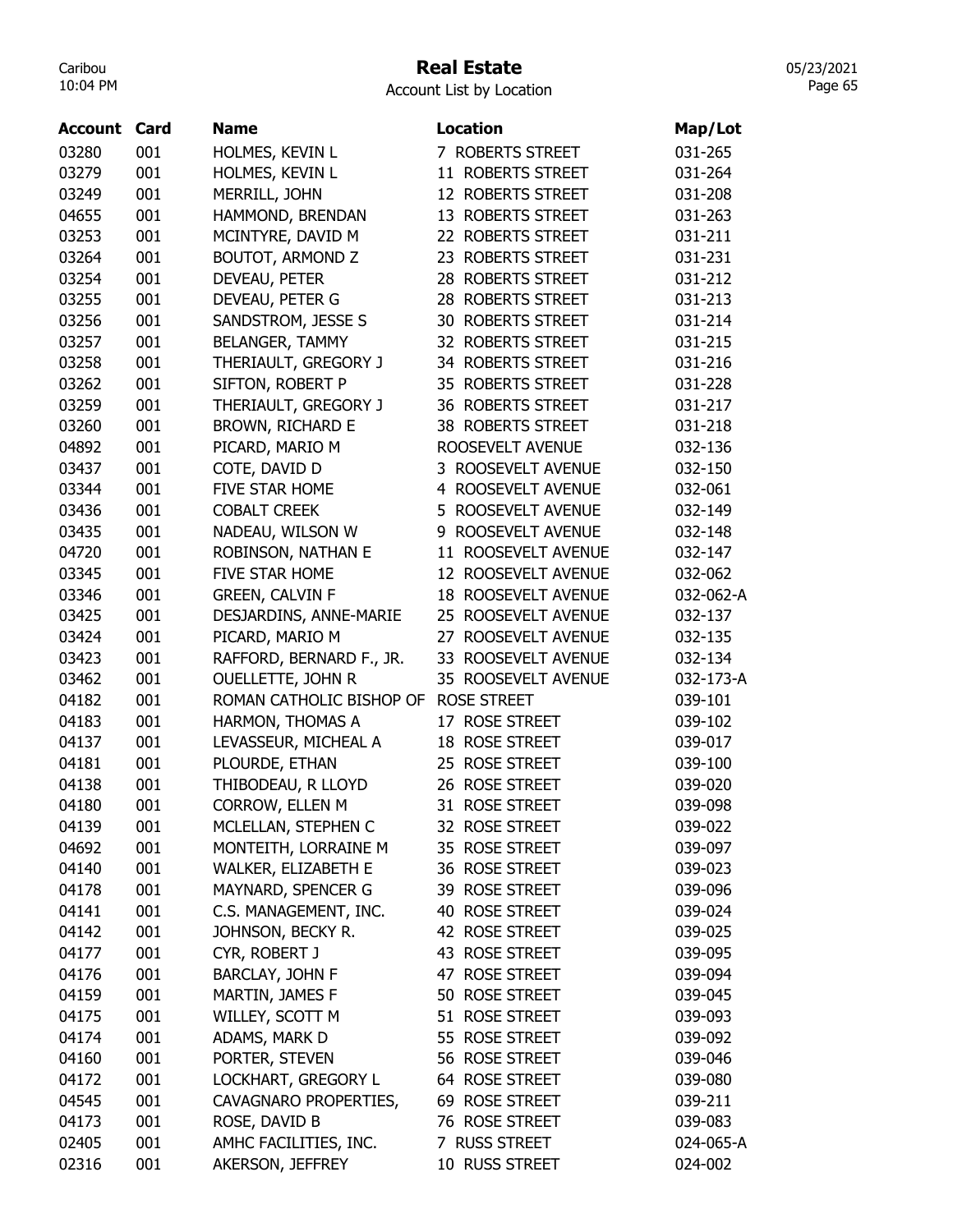#### Real Estate

05/23/2021 Page 65

| <b>Account</b> | Card       | <b>Name</b>              | <b>Location</b>                  | Map/Lot   |
|----------------|------------|--------------------------|----------------------------------|-----------|
| 03280          | 001        | HOLMES, KEVIN L          | 7 ROBERTS STREET                 | 031-265   |
| 03279          | 001        | HOLMES, KEVIN L          | 11 ROBERTS STREET                | 031-264   |
| 03249          | 001        | MERRILL, JOHN            | 12 ROBERTS STREET                | 031-208   |
| 04655          | 001        | HAMMOND, BRENDAN         | 13 ROBERTS STREET                | 031-263   |
| 03253          | 001        | MCINTYRE, DAVID M        | 22 ROBERTS STREET                | 031-211   |
| 03264          | 001        | <b>BOUTOT, ARMOND Z</b>  | 23 ROBERTS STREET                | 031-231   |
| 03254          | 001        | DEVEAU, PETER            | 28 ROBERTS STREET                | 031-212   |
| 03255          | 001        | DEVEAU, PETER G          | 28 ROBERTS STREET                | 031-213   |
| 03256          | 001        | SANDSTROM, JESSE S       | <b>30 ROBERTS STREET</b>         | 031-214   |
| 03257          | 001        | <b>BELANGER, TAMMY</b>   | 32 ROBERTS STREET                | 031-215   |
| 03258          | 001        | THERIAULT, GREGORY J     | 34 ROBERTS STREET                | 031-216   |
| 03262          | 001        | SIFTON, ROBERT P         | 35 ROBERTS STREET                | 031-228   |
| 03259          | 001        | THERIAULT, GREGORY J     | 36 ROBERTS STREET                | 031-217   |
| 03260          | 001        | BROWN, RICHARD E         | <b>38 ROBERTS STREET</b>         | 031-218   |
| 04892          | 001        | PICARD, MARIO M          | ROOSEVELT AVENUE                 | 032-136   |
| 03437          | 001        | COTE, DAVID D            | 3 ROOSEVELT AVENUE               | 032-150   |
| 03344          | 001        | FIVE STAR HOME           | 4 ROOSEVELT AVENUE               | 032-061   |
| 03436          | 001        | <b>COBALT CREEK</b>      | 5 ROOSEVELT AVENUE               | 032-149   |
| 03435          | 001        | NADEAU, WILSON W         | 9 ROOSEVELT AVENUE               | 032-148   |
| 04720          | 001        | ROBINSON, NATHAN E       | 11 ROOSEVELT AVENUE              | 032-147   |
| 03345          | 001        | FIVE STAR HOME           | 12 ROOSEVELT AVENUE              | 032-062   |
| 03346          | 001        | <b>GREEN, CALVIN F</b>   | 18 ROOSEVELT AVENUE              | 032-062-A |
| 03425          | 001        | DESJARDINS, ANNE-MARIE   | 25 ROOSEVELT AVENUE              | 032-137   |
| 03424          | 001        | PICARD, MARIO M          | ROOSEVELT AVENUE<br>27           | 032-135   |
| 03423          | 001        | RAFFORD, BERNARD F., JR. | 33 ROOSEVELT AVENUE              | 032-134   |
| 03462          | 001        | <b>OUELLETTE, JOHN R</b> | 35 ROOSEVELT AVENUE              | 032-173-A |
| 04182          | 001        | ROMAN CATHOLIC BISHOP OF | <b>ROSE STREET</b>               | 039-101   |
| 04183          | 001        | HARMON, THOMAS A         | 17 ROSE STREET                   | 039-102   |
| 04137          | 001        | LEVASSEUR, MICHEAL A     | 18 ROSE STREET                   | 039-017   |
| 04181          | 001        | PLOURDE, ETHAN           | 25 ROSE STREET                   | 039-100   |
| 04138          | 001        | THIBODEAU, R LLOYD       | 26 ROSE STREET                   | 039-020   |
| 04180          | 001        | CORROW, ELLEN M          | 31 ROSE STREET                   | 039-098   |
| 04139          | 001        | MCLELLAN, STEPHEN C      | 32 ROSE STREET                   | 039-022   |
| 04692          | 001        | MONTEITH, LORRAINE M     | 35 ROSE STREET                   | 039-097   |
| 04140          | 001        | WALKER, ELIZABETH E      | 36 ROSE STREET                   | 039-023   |
| 04178          | 001        | MAYNARD, SPENCER G       | 39 ROSE STREET                   | 039-096   |
| 04141          | 001        | C.S. MANAGEMENT, INC.    | 40 ROSE STREET                   | 039-024   |
| 04142          | 001        | JOHNSON, BECKY R.        | 42 ROSE STREET                   | 039-025   |
| 04177          | 001        | CYR, ROBERT J            | 43 ROSE STREET                   | 039-095   |
| 04176          | 001        | BARCLAY, JOHN F          | 47 ROSE STREET                   | 039-094   |
| 04159          | 001        | MARTIN, JAMES F          | 50 ROSE STREET                   | 039-045   |
| 04175          | 001        | WILLEY, SCOTT M          | 51 ROSE STREET                   | 039-093   |
| 04174          | 001        | ADAMS, MARK D            | 55 ROSE STREET                   | 039-092   |
|                | 001        | PORTER, STEVEN           |                                  |           |
| 04160          |            |                          | 56 ROSE STREET                   | 039-046   |
| 04172          | 001<br>001 | LOCKHART, GREGORY L      | 64 ROSE STREET<br>69 ROSE STREET | 039-080   |
| 04545          |            | CAVAGNARO PROPERTIES,    |                                  | 039-211   |
| 04173          | 001        | ROSE, DAVID B            | 76 ROSE STREET                   | 039-083   |
| 02405          | 001        | AMHC FACILITIES, INC.    | 7 RUSS STREET                    | 024-065-A |
| 02316          | 001        | AKERSON, JEFFREY         | 10 RUSS STREET                   | 024-002   |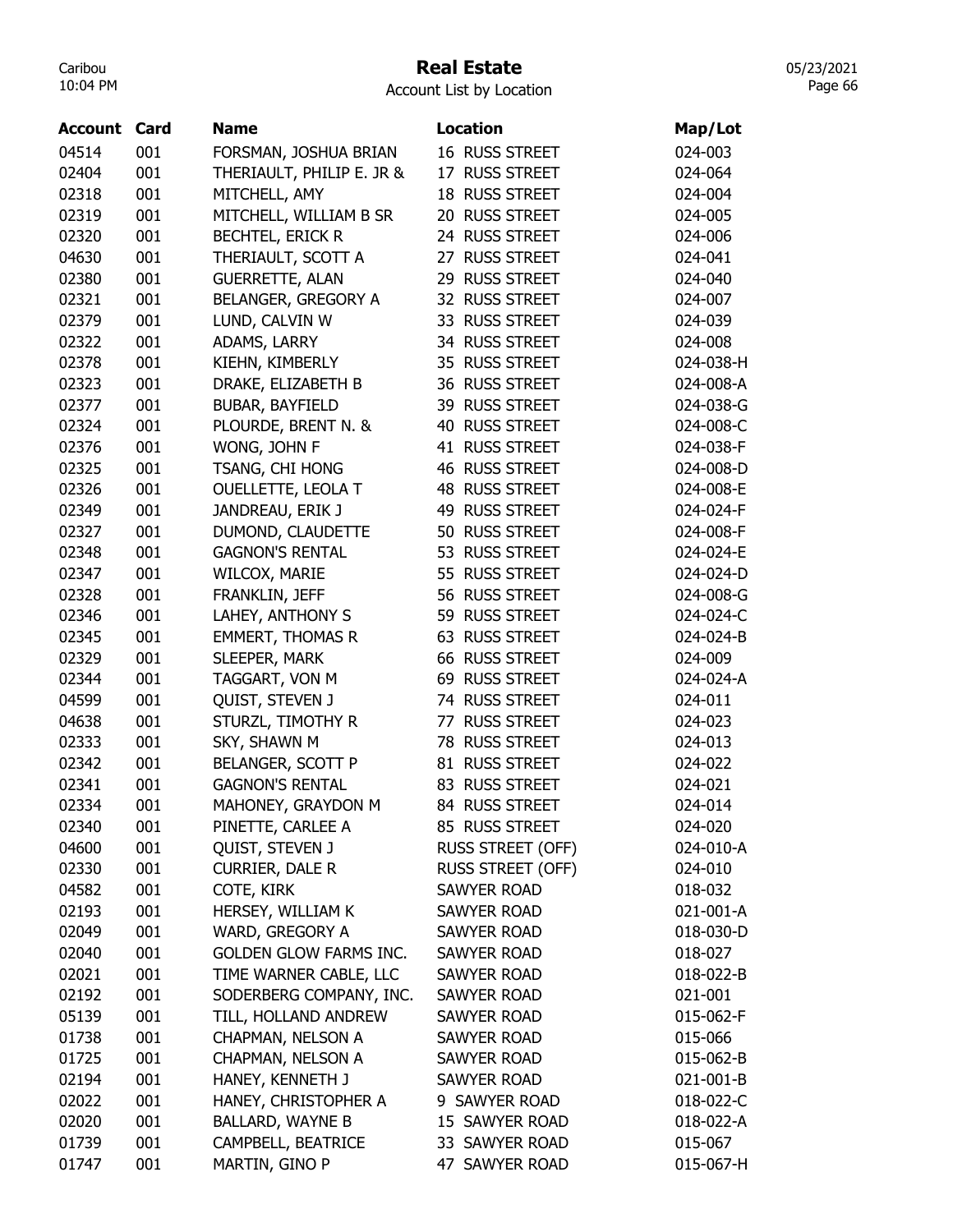## Real Estate

Account List by Location

| <b>Account Card</b> |     | <b>Name</b>                   | <b>Location</b>          | Map/Lot   |
|---------------------|-----|-------------------------------|--------------------------|-----------|
| 04514               | 001 | FORSMAN, JOSHUA BRIAN         | 16 RUSS STREET           | 024-003   |
| 02404               | 001 | THERIAULT, PHILIP E. JR &     | 17 RUSS STREET           | 024-064   |
| 02318               | 001 | MITCHELL, AMY                 | 18 RUSS STREET           | 024-004   |
| 02319               | 001 | MITCHELL, WILLIAM B SR        | 20 RUSS STREET           | 024-005   |
| 02320               | 001 | <b>BECHTEL, ERICK R</b>       | 24 RUSS STREET           | 024-006   |
| 04630               | 001 | THERIAULT, SCOTT A            | 27 RUSS STREET           | 024-041   |
| 02380               | 001 | <b>GUERRETTE, ALAN</b>        | 29 RUSS STREET           | 024-040   |
| 02321               | 001 | BELANGER, GREGORY A           | 32 RUSS STREET           | 024-007   |
| 02379               | 001 | LUND, CALVIN W                | 33 RUSS STREET           | 024-039   |
| 02322               | 001 | ADAMS, LARRY                  | 34 RUSS STREET           | 024-008   |
| 02378               | 001 | KIEHN, KIMBERLY               | 35 RUSS STREET           | 024-038-H |
| 02323               | 001 | DRAKE, ELIZABETH B            | 36 RUSS STREET           | 024-008-A |
| 02377               | 001 | BUBAR, BAYFIELD               | 39 RUSS STREET           | 024-038-G |
| 02324               | 001 | PLOURDE, BRENT N. &           | 40 RUSS STREET           | 024-008-C |
| 02376               | 001 | WONG, JOHN F                  | 41 RUSS STREET           | 024-038-F |
| 02325               | 001 | TSANG, CHI HONG               | 46 RUSS STREET           | 024-008-D |
| 02326               | 001 | OUELLETTE, LEOLA T            | 48 RUSS STREET           | 024-008-E |
| 02349               | 001 | JANDREAU, ERIK J              | 49 RUSS STREET           | 024-024-F |
| 02327               | 001 | DUMOND, CLAUDETTE             | 50 RUSS STREET           | 024-008-F |
| 02348               | 001 | <b>GAGNON'S RENTAL</b>        | 53 RUSS STREET           | 024-024-E |
| 02347               | 001 | WILCOX, MARIE                 | 55 RUSS STREET           | 024-024-D |
| 02328               | 001 | FRANKLIN, JEFF                | 56 RUSS STREET           | 024-008-G |
| 02346               | 001 | LAHEY, ANTHONY S              | 59 RUSS STREET           | 024-024-C |
| 02345               | 001 | <b>EMMERT, THOMAS R</b>       | 63 RUSS STREET           | 024-024-B |
| 02329               | 001 | SLEEPER, MARK                 | 66 RUSS STREET           | 024-009   |
| 02344               | 001 | TAGGART, VON M                | 69 RUSS STREET           | 024-024-A |
| 04599               | 001 | QUIST, STEVEN J               | 74 RUSS STREET           | 024-011   |
| 04638               | 001 | STURZL, TIMOTHY R             | 77 RUSS STREET           | 024-023   |
| 02333               | 001 | SKY, SHAWN M                  | 78 RUSS STREET           | 024-013   |
| 02342               | 001 | BELANGER, SCOTT P             | 81 RUSS STREET           | 024-022   |
| 02341               | 001 | <b>GAGNON'S RENTAL</b>        | 83 RUSS STREET           | 024-021   |
| 02334               | 001 | MAHONEY, GRAYDON M            | 84 RUSS STREET           | 024-014   |
| 02340               | 001 | PINETTE, CARLEE A             | 85 RUSS STREET           | 024-020   |
| 04600               | 001 | QUIST, STEVEN J               | <b>RUSS STREET (OFF)</b> | 024-010-A |
| 02330               | 001 | <b>CURRIER, DALE R</b>        | RUSS STREET (OFF)        | 024-010   |
| 04582               | 001 | COTE, KIRK                    | SAWYER ROAD              | 018-032   |
| 02193               | 001 | HERSEY, WILLIAM K             | SAWYER ROAD              | 021-001-A |
| 02049               | 001 | WARD, GREGORY A               | <b>SAWYER ROAD</b>       | 018-030-D |
| 02040               | 001 | <b>GOLDEN GLOW FARMS INC.</b> | <b>SAWYER ROAD</b>       | 018-027   |
| 02021               | 001 | TIME WARNER CABLE, LLC        | <b>SAWYER ROAD</b>       | 018-022-B |
| 02192               | 001 | SODERBERG COMPANY, INC.       | SAWYER ROAD              | 021-001   |
| 05139               | 001 | TILL, HOLLAND ANDREW          | <b>SAWYER ROAD</b>       | 015-062-F |
| 01738               | 001 | CHAPMAN, NELSON A             | <b>SAWYER ROAD</b>       | 015-066   |
| 01725               | 001 | CHAPMAN, NELSON A             | <b>SAWYER ROAD</b>       | 015-062-B |
| 02194               | 001 | HANEY, KENNETH J              | <b>SAWYER ROAD</b>       | 021-001-B |
| 02022               | 001 | HANEY, CHRISTOPHER A          | 9 SAWYER ROAD            | 018-022-C |
| 02020               | 001 | <b>BALLARD, WAYNE B</b>       | 15 SAWYER ROAD           | 018-022-A |
| 01739               | 001 | CAMPBELL, BEATRICE            | 33 SAWYER ROAD           | 015-067   |
| 01747               | 001 | MARTIN, GINO P                | 47 SAWYER ROAD           | 015-067-H |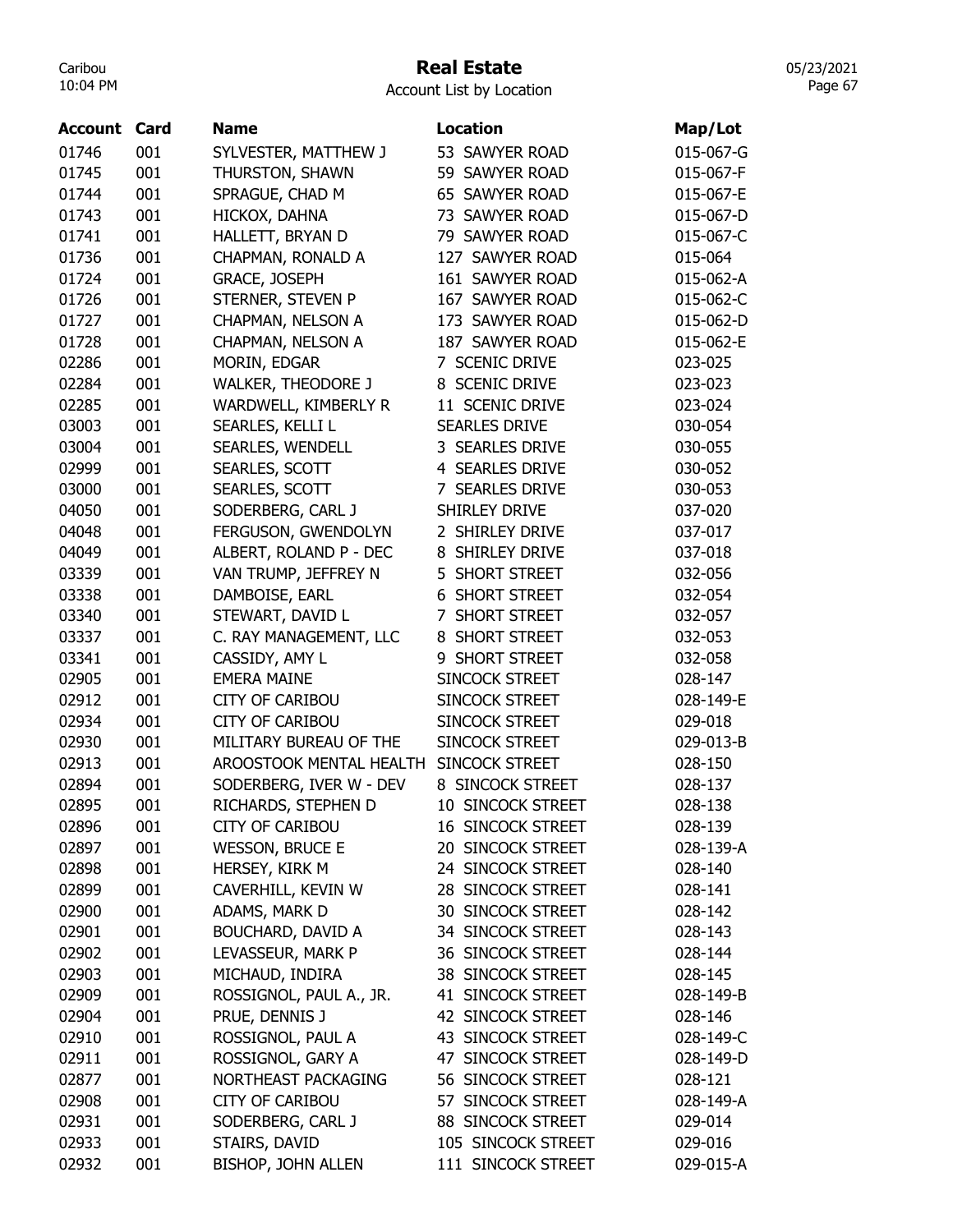## Real Estate

Account List by Location

| Account | Card | <b>Name</b>               | <b>Location</b>          | Map/Lot   |
|---------|------|---------------------------|--------------------------|-----------|
| 01746   | 001  | SYLVESTER, MATTHEW J      | 53 SAWYER ROAD           | 015-067-G |
| 01745   | 001  | THURSTON, SHAWN           | 59 SAWYER ROAD           | 015-067-F |
| 01744   | 001  | SPRAGUE, CHAD M           | 65 SAWYER ROAD           | 015-067-E |
| 01743   | 001  | HICKOX, DAHNA             | 73 SAWYER ROAD           | 015-067-D |
| 01741   | 001  | HALLETT, BRYAN D          | 79 SAWYER ROAD           | 015-067-C |
| 01736   | 001  | CHAPMAN, RONALD A         | 127 SAWYER ROAD          | 015-064   |
| 01724   | 001  | <b>GRACE, JOSEPH</b>      | 161 SAWYER ROAD          | 015-062-A |
| 01726   | 001  | STERNER, STEVEN P         | 167 SAWYER ROAD          | 015-062-C |
| 01727   | 001  | CHAPMAN, NELSON A         | 173 SAWYER ROAD          | 015-062-D |
| 01728   | 001  | CHAPMAN, NELSON A         | 187 SAWYER ROAD          | 015-062-E |
| 02286   | 001  | MORIN, EDGAR              | 7 SCENIC DRIVE           | 023-025   |
| 02284   | 001  | <b>WALKER, THEODORE J</b> | 8 SCENIC DRIVE           | 023-023   |
| 02285   | 001  | WARDWELL, KIMBERLY R      | 11 SCENIC DRIVE          | 023-024   |
| 03003   | 001  | SEARLES, KELLI L          | <b>SEARLES DRIVE</b>     | 030-054   |
| 03004   | 001  | <b>SEARLES, WENDELL</b>   | 3 SEARLES DRIVE          | 030-055   |
| 02999   | 001  | SEARLES, SCOTT            | 4 SEARLES DRIVE          | 030-052   |
| 03000   | 001  | SEARLES, SCOTT            | 7 SEARLES DRIVE          | 030-053   |
| 04050   | 001  | SODERBERG, CARL J         | SHIRLEY DRIVE            | 037-020   |
| 04048   | 001  | FERGUSON, GWENDOLYN       | 2 SHIRLEY DRIVE          | 037-017   |
| 04049   | 001  | ALBERT, ROLAND P - DEC    | 8 SHIRLEY DRIVE          | 037-018   |
| 03339   | 001  | VAN TRUMP, JEFFREY N      | 5 SHORT STREET           | 032-056   |
| 03338   | 001  | DAMBOISE, EARL            | <b>6 SHORT STREET</b>    | 032-054   |
| 03340   | 001  | STEWART, DAVID L          | 7 SHORT STREET           | 032-057   |
| 03337   | 001  | C. RAY MANAGEMENT, LLC    | 8 SHORT STREET           | 032-053   |
| 03341   | 001  | CASSIDY, AMY L            | 9 SHORT STREET           | 032-058   |
| 02905   | 001  | <b>EMERA MAINE</b>        | SINCOCK STREET           | 028-147   |
| 02912   | 001  | <b>CITY OF CARIBOU</b>    | SINCOCK STREET           | 028-149-E |
| 02934   | 001  | <b>CITY OF CARIBOU</b>    | SINCOCK STREET           | 029-018   |
| 02930   | 001  | MILITARY BUREAU OF THE    | SINCOCK STREET           | 029-013-B |
| 02913   | 001  | AROOSTOOK MENTAL HEALTH   | SINCOCK STREET           | 028-150   |
| 02894   | 001  | SODERBERG, IVER W - DEV   | 8 SINCOCK STREET         | 028-137   |
| 02895   | 001  | RICHARDS, STEPHEN D       | 10 SINCOCK STREET        | 028-138   |
| 02896   | 001  | <b>CITY OF CARIBOU</b>    | <b>16 SINCOCK STREET</b> | 028-139   |
| 02897   | 001  | <b>WESSON, BRUCE E</b>    | 20 SINCOCK STREET        | 028-139-A |
| 02898   | 001  | HERSEY, KIRK M            | 24 SINCOCK STREET        | 028-140   |
| 02899   | 001  | CAVERHILL, KEVIN W        | 28 SINCOCK STREET        | 028-141   |
| 02900   | 001  | ADAMS, MARK D             | 30 SINCOCK STREET        | 028-142   |
| 02901   | 001  | <b>BOUCHARD, DAVID A</b>  | 34 SINCOCK STREET        | 028-143   |
| 02902   | 001  | LEVASSEUR, MARK P         | 36 SINCOCK STREET        | 028-144   |
| 02903   | 001  | MICHAUD, INDIRA           | 38 SINCOCK STREET        | 028-145   |
| 02909   | 001  | ROSSIGNOL, PAUL A., JR.   | 41 SINCOCK STREET        | 028-149-B |
| 02904   | 001  | PRUE, DENNIS J            | 42 SINCOCK STREET        | 028-146   |
| 02910   | 001  | ROSSIGNOL, PAUL A         | 43 SINCOCK STREET        | 028-149-C |
| 02911   | 001  | ROSSIGNOL, GARY A         | 47 SINCOCK STREET        | 028-149-D |
| 02877   | 001  | NORTHEAST PACKAGING       | 56 SINCOCK STREET        | 028-121   |
| 02908   | 001  | <b>CITY OF CARIBOU</b>    | 57 SINCOCK STREET        | 028-149-A |
| 02931   | 001  | SODERBERG, CARL J         | 88 SINCOCK STREET        | 029-014   |
| 02933   | 001  | STAIRS, DAVID             | 105 SINCOCK STREET       | 029-016   |
| 02932   | 001  | BISHOP, JOHN ALLEN        | 111 SINCOCK STREET       | 029-015-A |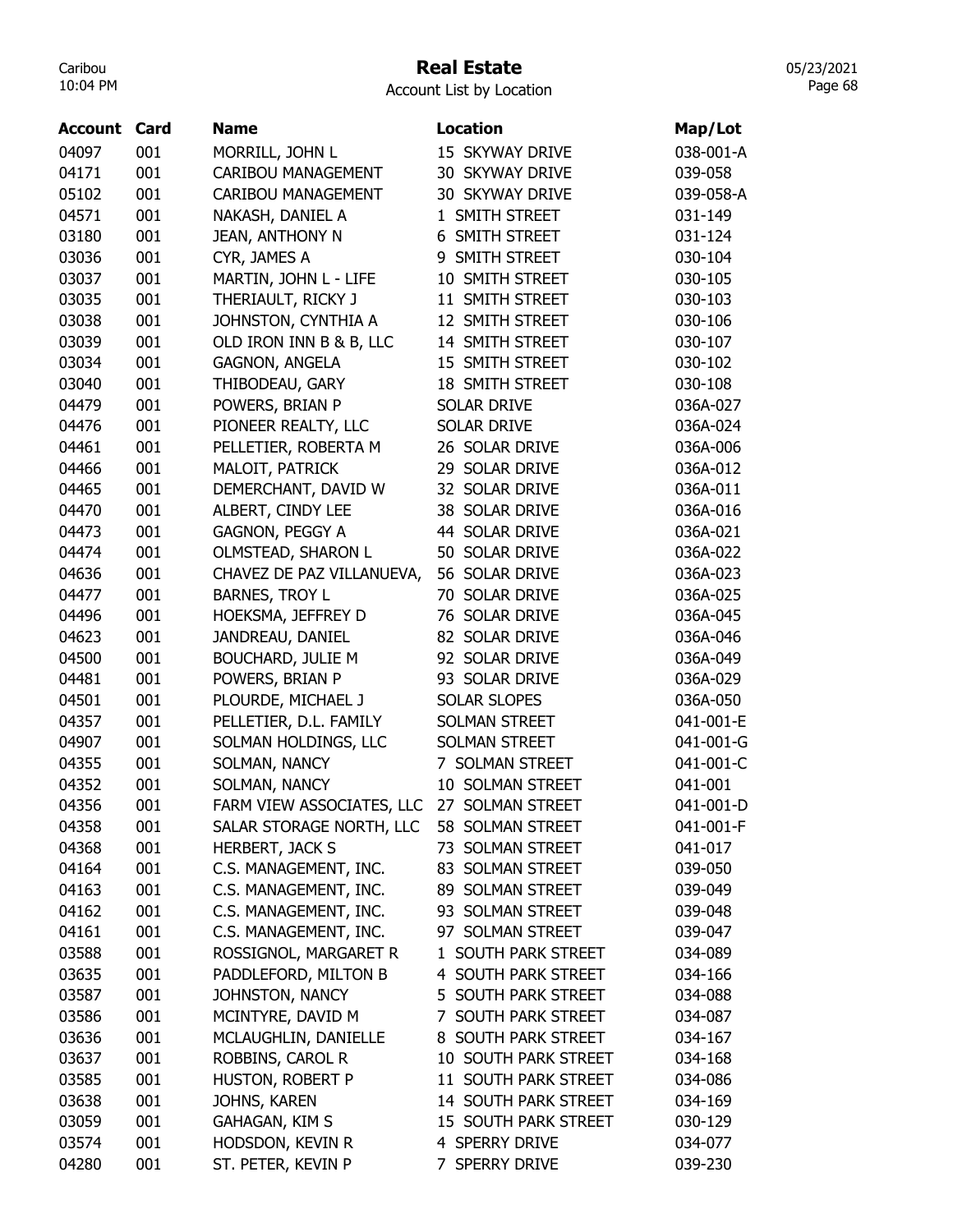## Real Estate

Account List by Location

| <b>Account Card</b> |     | <b>Name</b>               | Location               | Map/Lot   |
|---------------------|-----|---------------------------|------------------------|-----------|
| 04097               | 001 | MORRILL, JOHN L           | 15 SKYWAY DRIVE        | 038-001-A |
| 04171               | 001 | <b>CARIBOU MANAGEMENT</b> | 30 SKYWAY DRIVE        | 039-058   |
| 05102               | 001 | <b>CARIBOU MANAGEMENT</b> | <b>30 SKYWAY DRIVE</b> | 039-058-A |
| 04571               | 001 | NAKASH, DANIEL A          | 1 SMITH STREET         | 031-149   |
| 03180               | 001 | <b>JEAN, ANTHONY N</b>    | 6 SMITH STREET         | 031-124   |
| 03036               | 001 | CYR, JAMES A              | 9 SMITH STREET         | 030-104   |
| 03037               | 001 | MARTIN, JOHN L - LIFE     | 10 SMITH STREET        | 030-105   |
| 03035               | 001 | THERIAULT, RICKY J        | 11 SMITH STREET        | 030-103   |
| 03038               | 001 | JOHNSTON, CYNTHIA A       | 12 SMITH STREET        | 030-106   |
| 03039               | 001 | OLD IRON INN B & B, LLC   | 14 SMITH STREET        | 030-107   |
| 03034               | 001 | <b>GAGNON, ANGELA</b>     | 15 SMITH STREET        | 030-102   |
| 03040               | 001 | THIBODEAU, GARY           | 18 SMITH STREET        | 030-108   |
| 04479               | 001 | POWERS, BRIAN P           | <b>SOLAR DRIVE</b>     | 036A-027  |
| 04476               | 001 | PIONEER REALTY, LLC       | <b>SOLAR DRIVE</b>     | 036A-024  |
| 04461               | 001 | PELLETIER, ROBERTA M      | 26 SOLAR DRIVE         | 036A-006  |
| 04466               | 001 | MALOIT, PATRICK           | 29 SOLAR DRIVE         | 036A-012  |
| 04465               | 001 | DEMERCHANT, DAVID W       | 32 SOLAR DRIVE         | 036A-011  |
| 04470               | 001 | ALBERT, CINDY LEE         | 38 SOLAR DRIVE         | 036A-016  |
| 04473               | 001 | GAGNON, PEGGY A           | 44 SOLAR DRIVE         | 036A-021  |
| 04474               | 001 | OLMSTEAD, SHARON L        | 50 SOLAR DRIVE         | 036A-022  |
| 04636               | 001 | CHAVEZ DE PAZ VILLANUEVA, | 56 SOLAR DRIVE         | 036A-023  |
| 04477               | 001 | <b>BARNES, TROY L</b>     | 70 SOLAR DRIVE         | 036A-025  |
| 04496               | 001 | HOEKSMA, JEFFREY D        | 76 SOLAR DRIVE         | 036A-045  |
| 04623               | 001 | JANDREAU, DANIEL          | 82 SOLAR DRIVE         | 036A-046  |
| 04500               | 001 | <b>BOUCHARD, JULIE M</b>  | 92 SOLAR DRIVE         | 036A-049  |
| 04481               | 001 | POWERS, BRIAN P           | 93 SOLAR DRIVE         | 036A-029  |
| 04501               | 001 | PLOURDE, MICHAEL J        | <b>SOLAR SLOPES</b>    | 036A-050  |
| 04357               | 001 | PELLETIER, D.L. FAMILY    | <b>SOLMAN STREET</b>   | 041-001-E |
| 04907               | 001 | SOLMAN HOLDINGS, LLC      | <b>SOLMAN STREET</b>   | 041-001-G |
| 04355               | 001 | SOLMAN, NANCY             | 7 SOLMAN STREET        | 041-001-C |
| 04352               | 001 | SOLMAN, NANCY             | 10 SOLMAN STREET       | 041-001   |
| 04356               | 001 | FARM VIEW ASSOCIATES, LLC | 27 SOLMAN STREET       | 041-001-D |
| 04358               | 001 | SALAR STORAGE NORTH, LLC  | 58 SOLMAN STREET       | 041-001-F |
| 04368               | 001 | <b>HERBERT, JACK S</b>    | 73 SOLMAN STREET       | 041-017   |
| 04164               | 001 | C.S. MANAGEMENT, INC.     | 83 SOLMAN STREET       | 039-050   |
| 04163               | 001 | C.S. MANAGEMENT, INC.     | 89 SOLMAN STREET       | 039-049   |
| 04162               | 001 | C.S. MANAGEMENT, INC.     | 93 SOLMAN STREET       | 039-048   |
| 04161               | 001 | C.S. MANAGEMENT, INC.     | 97 SOLMAN STREET       | 039-047   |
| 03588               | 001 | ROSSIGNOL, MARGARET R     | 1 SOUTH PARK STREET    | 034-089   |
| 03635               | 001 | PADDLEFORD, MILTON B      | 4 SOUTH PARK STREET    | 034-166   |
| 03587               | 001 | JOHNSTON, NANCY           | 5 SOUTH PARK STREET    | 034-088   |
| 03586               | 001 | MCINTYRE, DAVID M         | 7 SOUTH PARK STREET    | 034-087   |
| 03636               | 001 | MCLAUGHLIN, DANIELLE      | 8 SOUTH PARK STREET    | 034-167   |
| 03637               | 001 | ROBBINS, CAROL R          | 10 SOUTH PARK STREET   | 034-168   |
| 03585               | 001 | HUSTON, ROBERT P          | 11 SOUTH PARK STREET   | 034-086   |
| 03638               | 001 | JOHNS, KAREN              | 14 SOUTH PARK STREET   | 034-169   |
| 03059               | 001 | GAHAGAN, KIM S            | 15 SOUTH PARK STREET   | 030-129   |
| 03574               | 001 | HODSDON, KEVIN R          | 4 SPERRY DRIVE         | 034-077   |
| 04280               | 001 | ST. PETER, KEVIN P        | 7 SPERRY DRIVE         | 039-230   |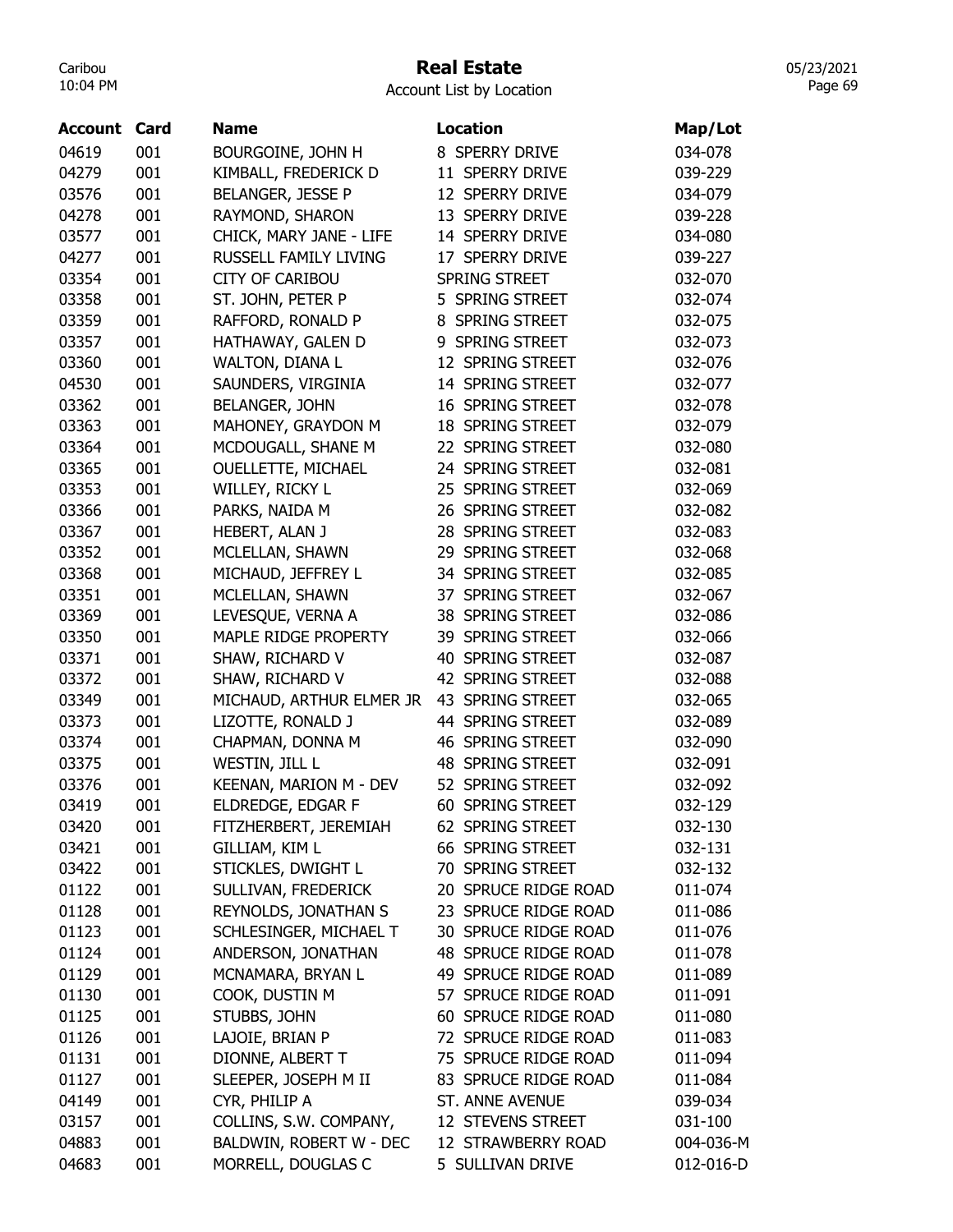### Real Estate

Account List by Location

| <b>Account Card</b> |     | <b>Name</b>                                    | <b>Location</b>         | Map/Lot            |
|---------------------|-----|------------------------------------------------|-------------------------|--------------------|
| 04619               | 001 | BOURGOINE, JOHN H                              | 8 SPERRY DRIVE          | 034-078            |
| 04279               | 001 | KIMBALL, FREDERICK D                           | 11 SPERRY DRIVE         | 039-229            |
| 03576               | 001 | BELANGER, JESSE P                              | 12 SPERRY DRIVE         | 034-079            |
| 04278               | 001 | RAYMOND, SHARON                                | 13 SPERRY DRIVE         | 039-228            |
| 03577               | 001 | CHICK, MARY JANE - LIFE                        | 14 SPERRY DRIVE         | 034-080            |
| 04277               | 001 | RUSSELL FAMILY LIVING                          | 17 SPERRY DRIVE         | 039-227            |
| 03354               | 001 | <b>CITY OF CARIBOU</b>                         | SPRING STREET           | 032-070            |
| 03358               | 001 | ST. JOHN, PETER P                              | 5 SPRING STREET         | 032-074            |
| 03359               | 001 | RAFFORD, RONALD P                              | 8 SPRING STREET         | 032-075            |
| 03357               | 001 | HATHAWAY, GALEN D                              | 9 SPRING STREET         | 032-073            |
| 03360               | 001 | WALTON, DIANA L                                | 12 SPRING STREET        | 032-076            |
| 04530               | 001 | SAUNDERS, VIRGINIA                             | 14 SPRING STREET        | 032-077            |
| 03362               | 001 | BELANGER, JOHN                                 | 16 SPRING STREET        | 032-078            |
| 03363               | 001 | MAHONEY, GRAYDON M                             | <b>18 SPRING STREET</b> | 032-079            |
| 03364               | 001 | MCDOUGALL, SHANE M                             | 22 SPRING STREET        | 032-080            |
| 03365               | 001 | <b>OUELLETTE, MICHAEL</b>                      | 24 SPRING STREET        | 032-081            |
| 03353               | 001 | WILLEY, RICKY L                                | 25 SPRING STREET        | 032-069            |
| 03366               | 001 | PARKS, NAIDA M                                 | 26 SPRING STREET        | 032-082            |
| 03367               | 001 | HEBERT, ALAN J                                 | 28 SPRING STREET        | 032-083            |
| 03352               | 001 | MCLELLAN, SHAWN                                | 29 SPRING STREET        | 032-068            |
| 03368               | 001 | MICHAUD, JEFFREY L                             | 34 SPRING STREET        | 032-085            |
| 03351               | 001 | MCLELLAN, SHAWN                                | 37 SPRING STREET        | 032-067            |
| 03369               | 001 | LEVESQUE, VERNA A                              | 38 SPRING STREET        | 032-086            |
| 03350               | 001 | MAPLE RIDGE PROPERTY                           | 39 SPRING STREET        | 032-066            |
| 03371               | 001 | SHAW, RICHARD V                                | 40 SPRING STREET        | 032-087            |
| 03372               | 001 | SHAW, RICHARD V                                | 42 SPRING STREET        | 032-088            |
| 03349               | 001 | MICHAUD, ARTHUR ELMER JR                       | 43 SPRING STREET        | 032-065            |
| 03373               | 001 | LIZOTTE, RONALD J                              | 44 SPRING STREET        | 032-089            |
| 03374               | 001 | CHAPMAN, DONNA M                               | 46 SPRING STREET        | 032-090            |
| 03375               | 001 | WESTIN, JILL L                                 | 48 SPRING STREET        | 032-091            |
| 03376               | 001 | KEENAN, MARION M - DEV                         | 52 SPRING STREET        | 032-092            |
| 03419               | 001 | ELDREDGE, EDGAR F                              | 60 SPRING STREET        | 032-129            |
|                     | 001 | FITZHERBERT, JEREMIAH                          | 62 SPRING STREET        |                    |
| 03420<br>03421      | 001 | GILLIAM, KIM L                                 | 66 SPRING STREET        | 032-130<br>032-131 |
| 03422               | 001 | STICKLES, DWIGHT L                             | 70 SPRING STREET        | 032-132            |
| 01122               | 001 |                                                | 20 SPRUCE RIDGE ROAD    | 011-074            |
|                     |     | SULLIVAN, FREDERICK                            | 23 SPRUCE RIDGE ROAD    |                    |
| 01128               | 001 | REYNOLDS, JONATHAN S<br>SCHLESINGER, MICHAEL T |                         | 011-086            |
| 01123               | 001 |                                                | 30 SPRUCE RIDGE ROAD    | 011-076            |
| 01124               | 001 | ANDERSON, JONATHAN                             | 48 SPRUCE RIDGE ROAD    | 011-078            |
| 01129               | 001 | MCNAMARA, BRYAN L                              | 49 SPRUCE RIDGE ROAD    | 011-089            |
| 01130               | 001 | COOK, DUSTIN M                                 | 57 SPRUCE RIDGE ROAD    | 011-091            |
| 01125               | 001 | STUBBS, JOHN                                   | 60 SPRUCE RIDGE ROAD    | 011-080            |
| 01126               | 001 | LAJOIE, BRIAN P                                | 72 SPRUCE RIDGE ROAD    | 011-083            |
| 01131               | 001 | DIONNE, ALBERT T                               | 75 SPRUCE RIDGE ROAD    | 011-094            |
| 01127               | 001 | SLEEPER, JOSEPH M II                           | 83 SPRUCE RIDGE ROAD    | 011-084            |
| 04149               | 001 | CYR, PHILIP A                                  | ST. ANNE AVENUE         | 039-034            |
| 03157               | 001 | COLLINS, S.W. COMPANY,                         | 12 STEVENS STREET       | 031-100            |
| 04883               | 001 | BALDWIN, ROBERT W - DEC                        | 12 STRAWBERRY ROAD      | 004-036-M          |
| 04683               | 001 | MORRELL, DOUGLAS C                             | 5 SULLIVAN DRIVE        | 012-016-D          |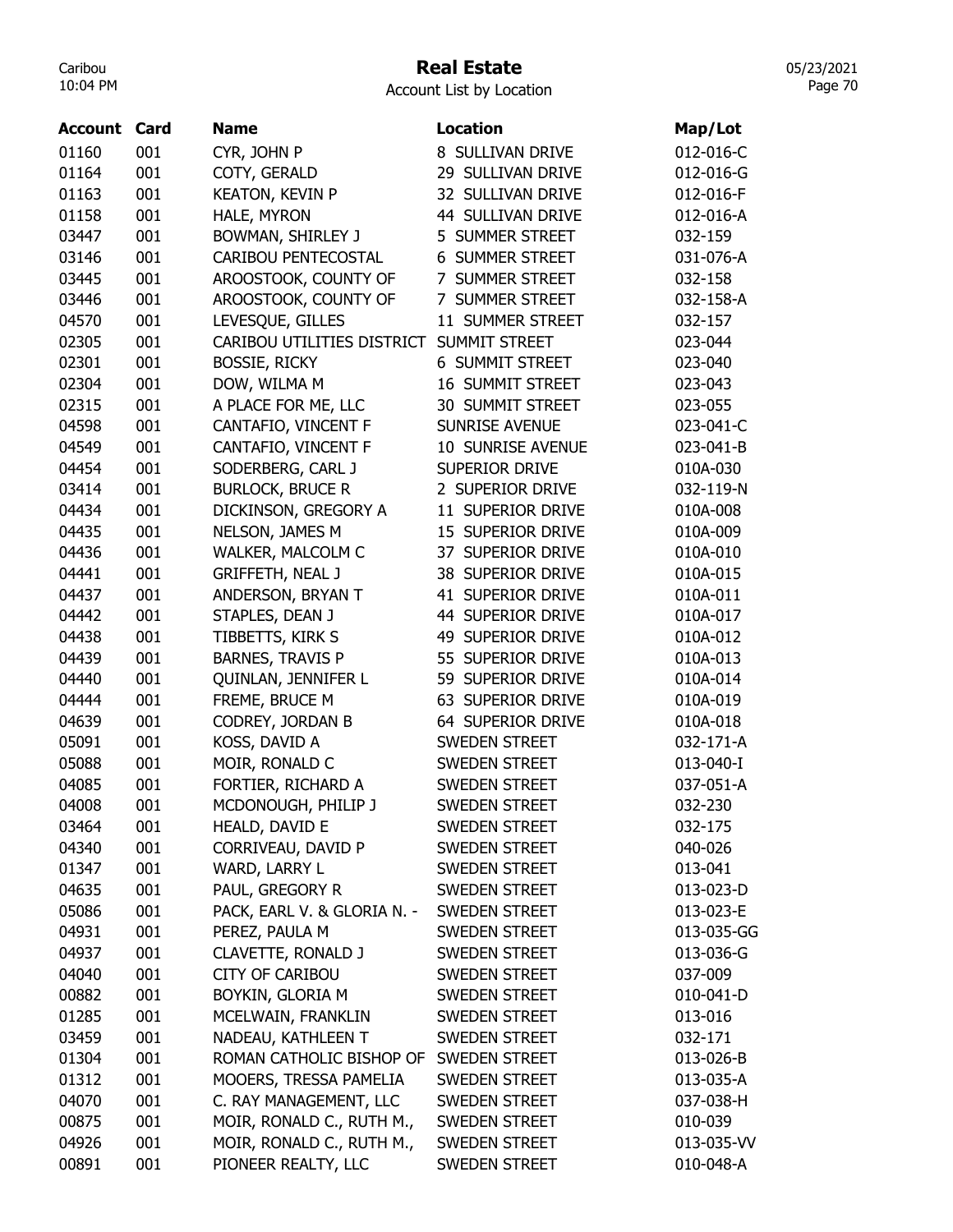## Real Estate

Account List by Location

| <b>Account</b> | Card | <b>Name</b>                 | <b>Location</b>          | Map/Lot    |
|----------------|------|-----------------------------|--------------------------|------------|
| 01160          | 001  | CYR, JOHN P                 | 8 SULLIVAN DRIVE         | 012-016-C  |
| 01164          | 001  | COTY, GERALD                | 29 SULLIVAN DRIVE        | 012-016-G  |
| 01163          | 001  | <b>KEATON, KEVIN P</b>      | 32 SULLIVAN DRIVE        | 012-016-F  |
| 01158          | 001  | HALE, MYRON                 | <b>44 SULLIVAN DRIVE</b> | 012-016-A  |
| 03447          | 001  | BOWMAN, SHIRLEY J           | 5 SUMMER STREET          | 032-159    |
| 03146          | 001  | CARIBOU PENTECOSTAL         | <b>6 SUMMER STREET</b>   | 031-076-A  |
| 03445          | 001  | AROOSTOOK, COUNTY OF        | 7 SUMMER STREET          | 032-158    |
| 03446          | 001  | AROOSTOOK, COUNTY OF        | 7 SUMMER STREET          | 032-158-A  |
| 04570          | 001  | LEVESQUE, GILLES            | 11 SUMMER STREET         | 032-157    |
| 02305          | 001  | CARIBOU UTILITIES DISTRICT  | <b>SUMMIT STREET</b>     | 023-044    |
| 02301          | 001  | <b>BOSSIE, RICKY</b>        | <b>6 SUMMIT STREET</b>   | 023-040    |
| 02304          | 001  | DOW, WILMA M                | 16 SUMMIT STREET         | 023-043    |
| 02315          | 001  | A PLACE FOR ME, LLC         | 30 SUMMIT STREET         | 023-055    |
| 04598          | 001  | CANTAFIO, VINCENT F         | <b>SUNRISE AVENUE</b>    | 023-041-C  |
| 04549          | 001  | CANTAFIO, VINCENT F         | 10 SUNRISE AVENUE        | 023-041-B  |
| 04454          | 001  | SODERBERG, CARL J           | SUPERIOR DRIVE           | 010A-030   |
| 03414          | 001  | <b>BURLOCK, BRUCE R</b>     | 2 SUPERIOR DRIVE         | 032-119-N  |
| 04434          | 001  | DICKINSON, GREGORY A        | 11 SUPERIOR DRIVE        | 010A-008   |
| 04435          | 001  | NELSON, JAMES M             | 15 SUPERIOR DRIVE        | 010A-009   |
| 04436          | 001  | WALKER, MALCOLM C           | 37 SUPERIOR DRIVE        | 010A-010   |
| 04441          | 001  | <b>GRIFFETH, NEAL J</b>     | 38 SUPERIOR DRIVE        | 010A-015   |
| 04437          | 001  | ANDERSON, BRYAN T           | 41 SUPERIOR DRIVE        | 010A-011   |
| 04442          | 001  | STAPLES, DEAN J             | 44 SUPERIOR DRIVE        | 010A-017   |
| 04438          | 001  | TIBBETTS, KIRK S            | 49 SUPERIOR DRIVE        | 010A-012   |
| 04439          | 001  | <b>BARNES, TRAVIS P</b>     | 55 SUPERIOR DRIVE        | 010A-013   |
| 04440          | 001  | QUINLAN, JENNIFER L         | 59 SUPERIOR DRIVE        | 010A-014   |
| 04444          | 001  | FREME, BRUCE M              | 63 SUPERIOR DRIVE        | 010A-019   |
| 04639          | 001  | CODREY, JORDAN B            | 64 SUPERIOR DRIVE        | 010A-018   |
| 05091          | 001  | KOSS, DAVID A               | SWEDEN STREET            | 032-171-A  |
| 05088          | 001  | MOIR, RONALD C              | SWEDEN STREET            | 013-040-I  |
| 04085          | 001  | FORTIER, RICHARD A          | <b>SWEDEN STREET</b>     | 037-051-A  |
| 04008          | 001  | MCDONOUGH, PHILIP J         | <b>SWEDEN STREET</b>     | 032-230    |
| 03464          | 001  | HEALD, DAVID E              | <b>SWEDEN STREET</b>     | 032-175    |
| 04340          | 001  | CORRIVEAU, DAVID P          | SWEDEN STREET            | 040-026    |
| 01347          | 001  | WARD, LARRY L               | SWEDEN STREET            | 013-041    |
| 04635          | 001  | PAUL, GREGORY R             | <b>SWEDEN STREET</b>     | 013-023-D  |
| 05086          | 001  | PACK, EARL V. & GLORIA N. - | SWEDEN STREET            | 013-023-E  |
| 04931          | 001  | PEREZ, PAULA M              | SWEDEN STREET            | 013-035-GG |
| 04937          | 001  | CLAVETTE, RONALD J          | <b>SWEDEN STREET</b>     | 013-036-G  |
| 04040          | 001  | <b>CITY OF CARIBOU</b>      | <b>SWEDEN STREET</b>     | 037-009    |
| 00882          | 001  | BOYKIN, GLORIA M            | <b>SWEDEN STREET</b>     | 010-041-D  |
| 01285          | 001  | MCELWAIN, FRANKLIN          | SWEDEN STREET            | 013-016    |
| 03459          | 001  | NADEAU, KATHLEEN T          | <b>SWEDEN STREET</b>     | 032-171    |
| 01304          | 001  | ROMAN CATHOLIC BISHOP OF    | <b>SWEDEN STREET</b>     | 013-026-B  |
| 01312          | 001  | MOOERS, TRESSA PAMELIA      | <b>SWEDEN STREET</b>     | 013-035-A  |
| 04070          | 001  | C. RAY MANAGEMENT, LLC      | <b>SWEDEN STREET</b>     | 037-038-H  |
| 00875          | 001  | MOIR, RONALD C., RUTH M.,   | <b>SWEDEN STREET</b>     | 010-039    |
| 04926          | 001  | MOIR, RONALD C., RUTH M.,   | SWEDEN STREET            | 013-035-VV |
| 00891          | 001  | PIONEER REALTY, LLC         | SWEDEN STREET            | 010-048-A  |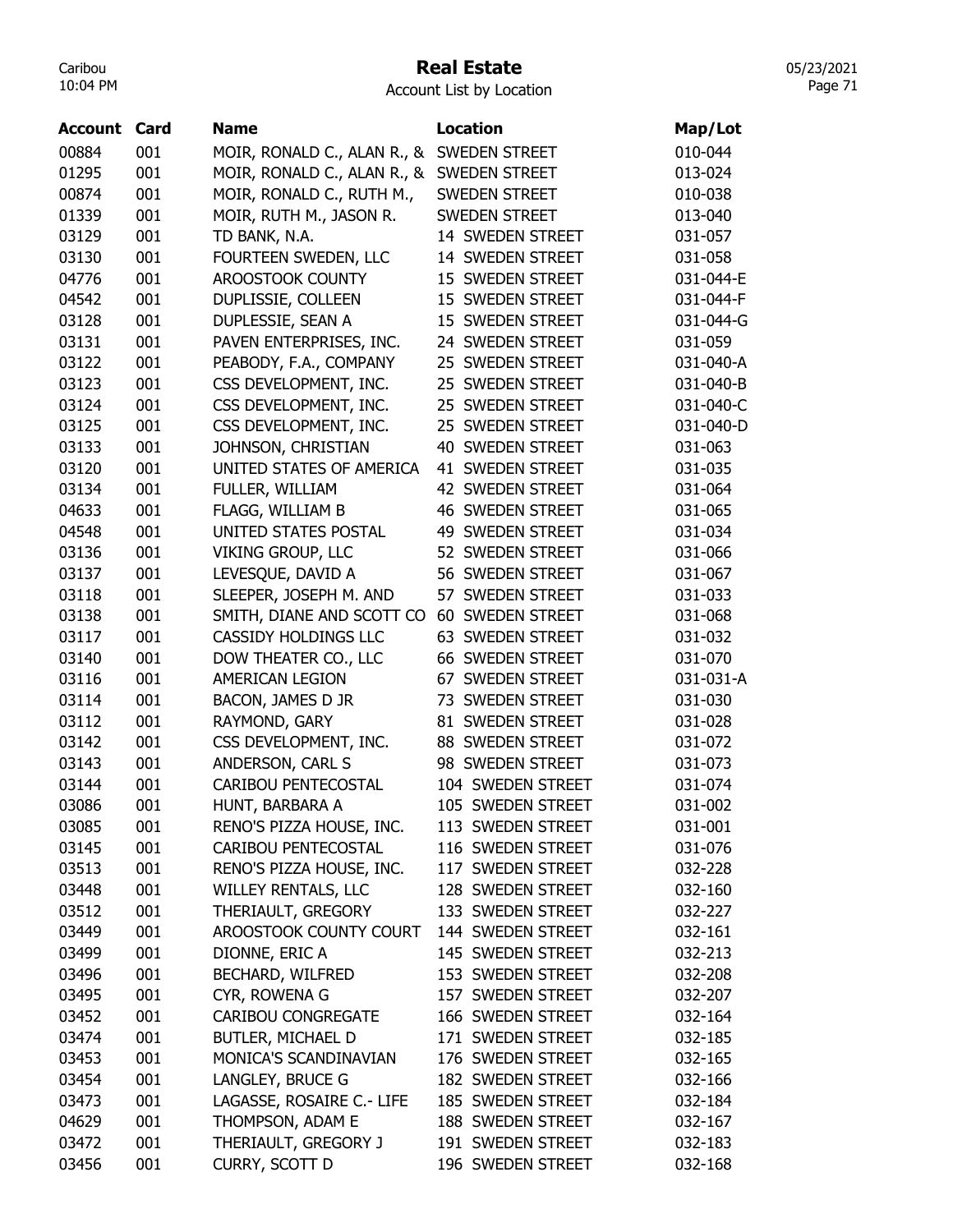### Real Estate

05/23/2021 Page 71

| Account | Card | <b>Name</b>                 | <b>Location</b>            | Map/Lot   |
|---------|------|-----------------------------|----------------------------|-----------|
| 00884   | 001  | MOIR, RONALD C., ALAN R., & | <b>SWEDEN STREET</b>       | 010-044   |
| 01295   | 001  | MOIR, RONALD C., ALAN R., & | <b>SWEDEN STREET</b>       | 013-024   |
| 00874   | 001  | MOIR, RONALD C., RUTH M.,   | <b>SWEDEN STREET</b>       | 010-038   |
| 01339   | 001  | MOIR, RUTH M., JASON R.     | <b>SWEDEN STREET</b>       | 013-040   |
| 03129   | 001  | TD BANK, N.A.               | 14 SWEDEN STREET           | 031-057   |
| 03130   | 001  | FOURTEEN SWEDEN, LLC        | 14 SWEDEN STREET           | 031-058   |
| 04776   | 001  | AROOSTOOK COUNTY            | 15 SWEDEN STREET           | 031-044-E |
| 04542   | 001  | DUPLISSIE, COLLEEN          | 15 SWEDEN STREET           | 031-044-F |
| 03128   | 001  | DUPLESSIE, SEAN A           | 15 SWEDEN STREET           | 031-044-G |
| 03131   | 001  | PAVEN ENTERPRISES, INC.     | 24 SWEDEN STREET           | 031-059   |
| 03122   | 001  | PEABODY, F.A., COMPANY      | 25 SWEDEN STREET           | 031-040-A |
| 03123   | 001  | CSS DEVELOPMENT, INC.       | 25 SWEDEN STREET           | 031-040-B |
| 03124   | 001  | CSS DEVELOPMENT, INC.       | 25 SWEDEN STREET           | 031-040-C |
| 03125   | 001  | CSS DEVELOPMENT, INC.       | 25 SWEDEN STREET           | 031-040-D |
| 03133   | 001  | JOHNSON, CHRISTIAN          | 40<br>SWEDEN STREET        | 031-063   |
| 03120   | 001  | UNITED STATES OF AMERICA    | 41 SWEDEN STREET           | 031-035   |
| 03134   | 001  | FULLER, WILLIAM             | 42 SWEDEN STREET           | 031-064   |
| 04633   | 001  | FLAGG, WILLIAM B            | <b>46 SWEDEN STREET</b>    | 031-065   |
| 04548   | 001  | UNITED STATES POSTAL        | 49 SWEDEN STREET           | 031-034   |
| 03136   | 001  | VIKING GROUP, LLC           | 52 SWEDEN STREET           | 031-066   |
| 03137   | 001  | LEVESQUE, DAVID A           | 56 SWEDEN STREET           | 031-067   |
| 03118   | 001  | SLEEPER, JOSEPH M. AND      | <b>SWEDEN STREET</b><br>57 | 031-033   |
| 03138   | 001  | SMITH, DIANE AND SCOTT CO   | 60 SWEDEN STREET           | 031-068   |
| 03117   | 001  | <b>CASSIDY HOLDINGS LLC</b> | 63 SWEDEN STREET           | 031-032   |
| 03140   | 001  | DOW THEATER CO., LLC        | 66 SWEDEN STREET           | 031-070   |
| 03116   | 001  | AMERICAN LEGION             | <b>SWEDEN STREET</b><br>67 | 031-031-A |
| 03114   | 001  | BACON, JAMES D JR           | 73 SWEDEN STREET           | 031-030   |
| 03112   | 001  | RAYMOND, GARY               | 81 SWEDEN STREET           | 031-028   |
| 03142   | 001  | CSS DEVELOPMENT, INC.       | 88 SWEDEN STREET           | 031-072   |
| 03143   | 001  | ANDERSON, CARL S            | 98 SWEDEN STREET           | 031-073   |
| 03144   | 001  | <b>CARIBOU PENTECOSTAL</b>  | 104 SWEDEN STREET          | 031-074   |
| 03086   | 001  | HUNT, BARBARA A             | 105 SWEDEN STREET          | 031-002   |
| 03085   | 001  | RENO'S PIZZA HOUSE, INC.    | 113 SWEDEN STREET          | 031-001   |
| 03145   | 001  | CARIBOU PENTECOSTAL         | 116 SWEDEN STREET          | 031-076   |
| 03513   | 001  | RENO'S PIZZA HOUSE, INC.    | 117 SWEDEN STREET          | 032-228   |
| 03448   | 001  | WILLEY RENTALS, LLC         | 128 SWEDEN STREET          | 032-160   |
| 03512   | 001  | THERIAULT, GREGORY          | 133 SWEDEN STREET          | 032-227   |
| 03449   | 001  | AROOSTOOK COUNTY COURT      | 144 SWEDEN STREET          | 032-161   |
| 03499   | 001  | DIONNE, ERIC A              | 145 SWEDEN STREET          | 032-213   |
| 03496   | 001  | <b>BECHARD, WILFRED</b>     | 153 SWEDEN STREET          | 032-208   |
| 03495   | 001  | CYR, ROWENA G               | 157 SWEDEN STREET          | 032-207   |
| 03452   | 001  | <b>CARIBOU CONGREGATE</b>   | 166 SWEDEN STREET          | 032-164   |
| 03474   | 001  | BUTLER, MICHAEL D           | 171 SWEDEN STREET          | 032-185   |
| 03453   | 001  | MONICA'S SCANDINAVIAN       | 176 SWEDEN STREET          | 032-165   |
| 03454   | 001  | LANGLEY, BRUCE G            | 182 SWEDEN STREET          | 032-166   |
| 03473   | 001  | LAGASSE, ROSAIRE C.- LIFE   | 185 SWEDEN STREET          | 032-184   |
| 04629   | 001  | THOMPSON, ADAM E            | 188 SWEDEN STREET          | 032-167   |
| 03472   | 001  | THERIAULT, GREGORY J        | 191 SWEDEN STREET          | 032-183   |
| 03456   | 001  |                             | 196 SWEDEN STREET          |           |
|         |      | CURRY, SCOTT D              |                            | 032-168   |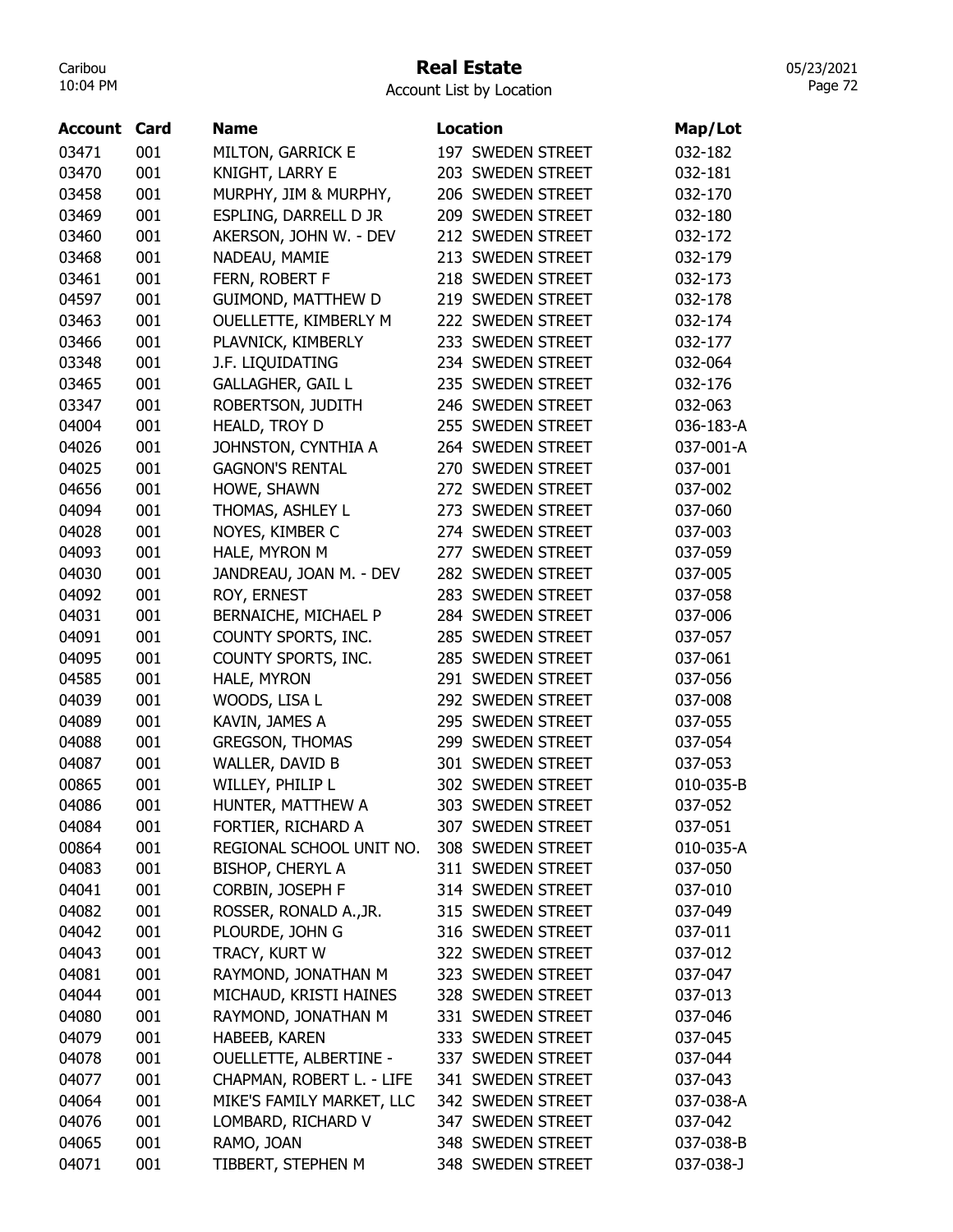#### Real Estate

05/23/2021 Page 72

| Account | Card | <b>Name</b>                   | <b>Location</b>   | Map/Lot   |
|---------|------|-------------------------------|-------------------|-----------|
| 03471   | 001  | <b>MILTON, GARRICK E</b>      | 197 SWEDEN STREET | 032-182   |
| 03470   | 001  | KNIGHT, LARRY E               | 203 SWEDEN STREET | 032-181   |
| 03458   | 001  | MURPHY, JIM & MURPHY,         | 206 SWEDEN STREET | 032-170   |
| 03469   | 001  | ESPLING, DARRELL D JR         | 209 SWEDEN STREET | 032-180   |
| 03460   | 001  | AKERSON, JOHN W. - DEV        | 212 SWEDEN STREET | 032-172   |
| 03468   | 001  | NADEAU, MAMIE                 | 213 SWEDEN STREET | 032-179   |
| 03461   | 001  | FERN, ROBERT F                | 218 SWEDEN STREET | 032-173   |
| 04597   | 001  | <b>GUIMOND, MATTHEW D</b>     | 219 SWEDEN STREET | 032-178   |
| 03463   | 001  | OUELLETTE, KIMBERLY M         | 222 SWEDEN STREET | 032-174   |
| 03466   | 001  | PLAVNICK, KIMBERLY            | 233 SWEDEN STREET | 032-177   |
| 03348   | 001  | J.F. LIQUIDATING              | 234 SWEDEN STREET | 032-064   |
| 03465   | 001  | <b>GALLAGHER, GAIL L</b>      | 235 SWEDEN STREET | 032-176   |
| 03347   | 001  | ROBERTSON, JUDITH             | 246 SWEDEN STREET | 032-063   |
| 04004   | 001  | HEALD, TROY D                 | 255 SWEDEN STREET | 036-183-A |
| 04026   | 001  | JOHNSTON, CYNTHIA A           | 264 SWEDEN STREET | 037-001-A |
| 04025   | 001  | <b>GAGNON'S RENTAL</b>        | 270 SWEDEN STREET | 037-001   |
| 04656   | 001  | HOWE, SHAWN                   | 272 SWEDEN STREET | 037-002   |
| 04094   | 001  | THOMAS, ASHLEY L              | 273 SWEDEN STREET | 037-060   |
| 04028   | 001  | NOYES, KIMBER C               | 274 SWEDEN STREET | 037-003   |
| 04093   | 001  | HALE, MYRON M                 | 277 SWEDEN STREET | 037-059   |
| 04030   | 001  | JANDREAU, JOAN M. - DEV       | 282 SWEDEN STREET | 037-005   |
| 04092   | 001  | ROY, ERNEST                   | 283 SWEDEN STREET | 037-058   |
| 04031   | 001  | BERNAICHE, MICHAEL P          | 284 SWEDEN STREET | 037-006   |
| 04091   | 001  | COUNTY SPORTS, INC.           | 285 SWEDEN STREET | 037-057   |
| 04095   | 001  | COUNTY SPORTS, INC.           | 285 SWEDEN STREET | 037-061   |
| 04585   | 001  | HALE, MYRON                   | 291 SWEDEN STREET | 037-056   |
| 04039   | 001  | WOODS, LISA L                 | 292 SWEDEN STREET | 037-008   |
| 04089   | 001  | KAVIN, JAMES A                | 295 SWEDEN STREET | 037-055   |
| 04088   | 001  | <b>GREGSON, THOMAS</b>        | 299 SWEDEN STREET | 037-054   |
| 04087   | 001  | WALLER, DAVID B               | 301 SWEDEN STREET | 037-053   |
| 00865   | 001  | WILLEY, PHILIP L              | 302 SWEDEN STREET | 010-035-B |
| 04086   | 001  | HUNTER, MATTHEW A             | 303 SWEDEN STREET | 037-052   |
| 04084   | 001  | FORTIER, RICHARD A            | 307 SWEDEN STREET | 037-051   |
| 00864   | 001  | REGIONAL SCHOOL UNIT NO.      | 308 SWEDEN STREET | 010-035-A |
| 04083   | 001  | <b>BISHOP, CHERYL A</b>       | 311 SWEDEN STREET | 037-050   |
| 04041   | 001  | CORBIN, JOSEPH F              | 314 SWEDEN STREET | 037-010   |
| 04082   | 001  | ROSSER, RONALD A., JR.        | 315 SWEDEN STREET | 037-049   |
| 04042   | 001  | PLOURDE, JOHN G               | 316 SWEDEN STREET | 037-011   |
| 04043   | 001  | TRACY, KURT W                 | 322 SWEDEN STREET | 037-012   |
| 04081   | 001  | RAYMOND, JONATHAN M           | 323 SWEDEN STREET | 037-047   |
| 04044   | 001  | MICHAUD, KRISTI HAINES        | 328 SWEDEN STREET | 037-013   |
| 04080   | 001  | RAYMOND, JONATHAN M           | 331 SWEDEN STREET | 037-046   |
| 04079   | 001  | HABEEB, KAREN                 | 333 SWEDEN STREET | 037-045   |
| 04078   | 001  | <b>OUELLETTE, ALBERTINE -</b> | 337 SWEDEN STREET | 037-044   |
| 04077   | 001  | CHAPMAN, ROBERT L. - LIFE     | 341 SWEDEN STREET | 037-043   |
| 04064   | 001  | MIKE'S FAMILY MARKET, LLC     | 342 SWEDEN STREET | 037-038-A |
| 04076   | 001  | LOMBARD, RICHARD V            | 347 SWEDEN STREET | 037-042   |
| 04065   | 001  | RAMO, JOAN                    | 348 SWEDEN STREET | 037-038-B |
| 04071   | 001  | TIBBERT, STEPHEN M            | 348 SWEDEN STREET | 037-038-J |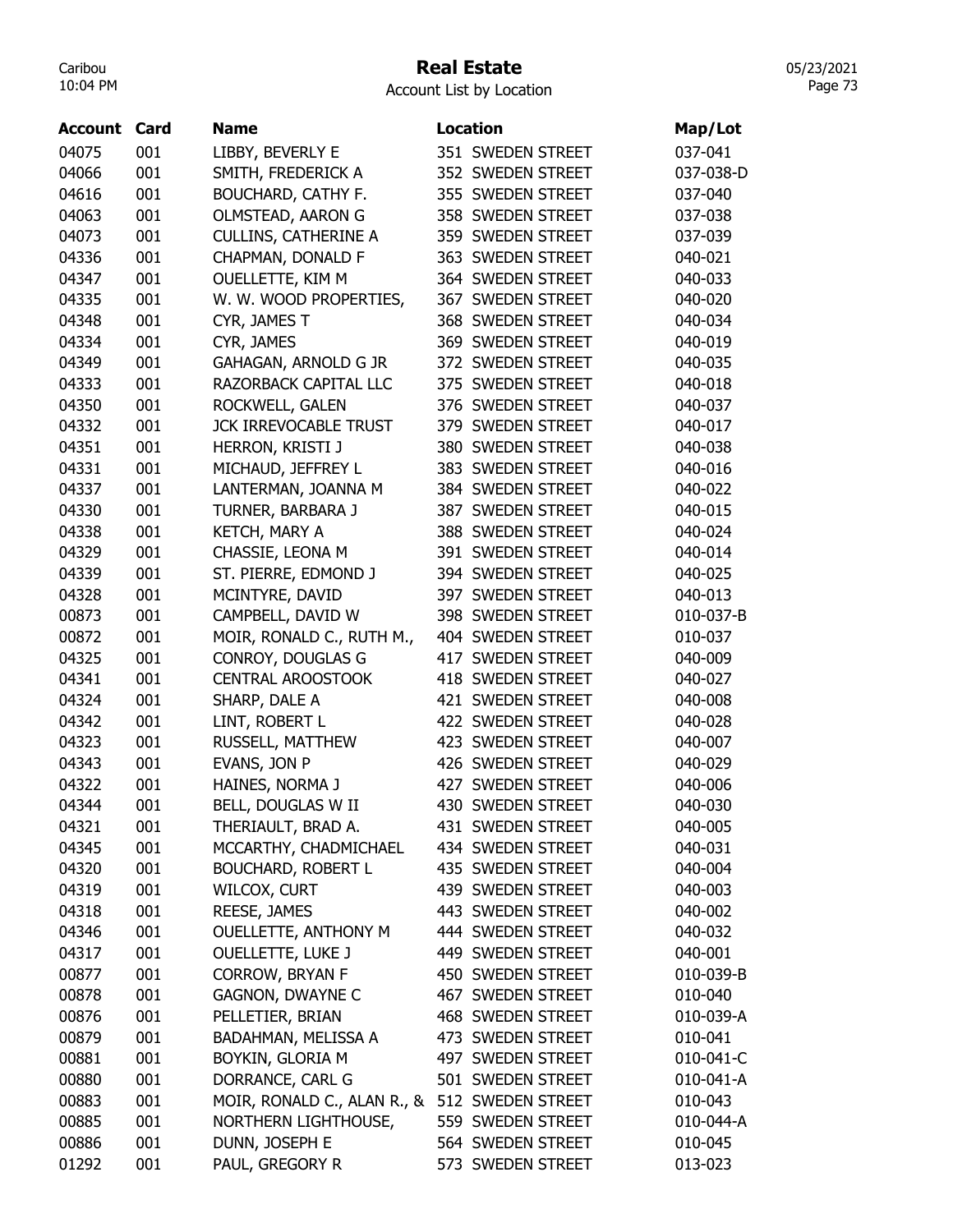## Real Estate

Account List by Location

| <b>Account Card</b> |     | <b>Name</b>                                   | <b>Location</b>   | Map/Lot   |
|---------------------|-----|-----------------------------------------------|-------------------|-----------|
| 04075               | 001 | LIBBY, BEVERLY E                              | 351 SWEDEN STREET | 037-041   |
| 04066               | 001 | SMITH, FREDERICK A                            | 352 SWEDEN STREET | 037-038-D |
| 04616               | 001 | BOUCHARD, CATHY F.                            | 355 SWEDEN STREET | 037-040   |
| 04063               | 001 | OLMSTEAD, AARON G                             | 358 SWEDEN STREET | 037-038   |
| 04073               | 001 | <b>CULLINS, CATHERINE A</b>                   | 359 SWEDEN STREET | 037-039   |
| 04336               | 001 | CHAPMAN, DONALD F                             | 363 SWEDEN STREET | 040-021   |
| 04347               | 001 | OUELLETTE, KIM M                              | 364 SWEDEN STREET | 040-033   |
| 04335               | 001 | W. W. WOOD PROPERTIES,                        | 367 SWEDEN STREET | 040-020   |
| 04348               | 001 | CYR, JAMES T                                  | 368 SWEDEN STREET | 040-034   |
| 04334               | 001 | CYR, JAMES                                    | 369 SWEDEN STREET | 040-019   |
| 04349               | 001 | GAHAGAN, ARNOLD G JR                          | 372 SWEDEN STREET | 040-035   |
| 04333               | 001 | RAZORBACK CAPITAL LLC                         | 375 SWEDEN STREET | 040-018   |
| 04350               | 001 | ROCKWELL, GALEN                               | 376 SWEDEN STREET | 040-037   |
| 04332               | 001 | <b>JCK IRREVOCABLE TRUST</b>                  | 379 SWEDEN STREET | 040-017   |
| 04351               | 001 | HERRON, KRISTI J                              | 380 SWEDEN STREET | 040-038   |
| 04331               | 001 | MICHAUD, JEFFREY L                            | 383 SWEDEN STREET | 040-016   |
| 04337               | 001 | LANTERMAN, JOANNA M                           | 384 SWEDEN STREET | 040-022   |
| 04330               | 001 | TURNER, BARBARA J                             | 387 SWEDEN STREET | 040-015   |
| 04338               | 001 | KETCH, MARY A                                 | 388 SWEDEN STREET | 040-024   |
| 04329               | 001 | CHASSIE, LEONA M                              | 391 SWEDEN STREET | 040-014   |
| 04339               | 001 | ST. PIERRE, EDMOND J                          | 394 SWEDEN STREET | 040-025   |
| 04328               | 001 | MCINTYRE, DAVID                               | 397 SWEDEN STREET | 040-013   |
| 00873               | 001 | CAMPBELL, DAVID W                             | 398 SWEDEN STREET | 010-037-B |
| 00872               | 001 | MOIR, RONALD C., RUTH M.,                     | 404 SWEDEN STREET | 010-037   |
| 04325               | 001 | CONROY, DOUGLAS G                             | 417 SWEDEN STREET | 040-009   |
| 04341               | 001 | <b>CENTRAL AROOSTOOK</b>                      | 418 SWEDEN STREET | 040-027   |
| 04324               | 001 | SHARP, DALE A                                 | 421 SWEDEN STREET | 040-008   |
| 04342               | 001 | LINT, ROBERT L                                | 422 SWEDEN STREET | 040-028   |
| 04323               | 001 | RUSSELL, MATTHEW                              | 423 SWEDEN STREET | 040-007   |
| 04343               | 001 | EVANS, JON P                                  | 426 SWEDEN STREET | 040-029   |
| 04322               | 001 | HAINES, NORMA J                               | 427 SWEDEN STREET | 040-006   |
| 04344               | 001 | BELL, DOUGLAS W II                            | 430 SWEDEN STREET | 040-030   |
| 04321               | 001 | THERIAULT, BRAD A.                            | 431 SWEDEN STREET | 040-005   |
| 04345               | 001 | MCCARTHY, CHADMICHAEL                         | 434 SWEDEN STREET | 040-031   |
| 04320               | 001 | <b>BOUCHARD, ROBERT L</b>                     | 435 SWEDEN STREET | 040-004   |
| 04319               | 001 | WILCOX, CURT                                  | 439 SWEDEN STREET | 040-003   |
| 04318               | 001 | <b>REESE, JAMES</b>                           | 443 SWEDEN STREET | 040-002   |
| 04346               | 001 | <b>OUELLETTE, ANTHONY M</b>                   | 444 SWEDEN STREET | 040-032   |
| 04317               | 001 | <b>OUELLETTE, LUKE J</b>                      | 449 SWEDEN STREET | 040-001   |
| 00877               | 001 | <b>CORROW, BRYAN F</b>                        | 450 SWEDEN STREET | 010-039-B |
| 00878               | 001 | <b>GAGNON, DWAYNE C</b>                       | 467 SWEDEN STREET | 010-040   |
| 00876               | 001 | PELLETIER, BRIAN                              | 468 SWEDEN STREET | 010-039-A |
| 00879               | 001 | BADAHMAN, MELISSA A                           | 473 SWEDEN STREET | 010-041   |
| 00881               | 001 | BOYKIN, GLORIA M                              | 497 SWEDEN STREET | 010-041-C |
| 00880               | 001 | DORRANCE, CARL G                              | 501 SWEDEN STREET | 010-041-A |
| 00883               | 001 | MOIR, RONALD C., ALAN R., & 512 SWEDEN STREET |                   | 010-043   |
| 00885               | 001 | NORTHERN LIGHTHOUSE,                          | 559 SWEDEN STREET | 010-044-A |
| 00886               | 001 | DUNN, JOSEPH E                                | 564 SWEDEN STREET | 010-045   |
| 01292               | 001 | PAUL, GREGORY R                               | 573 SWEDEN STREET | 013-023   |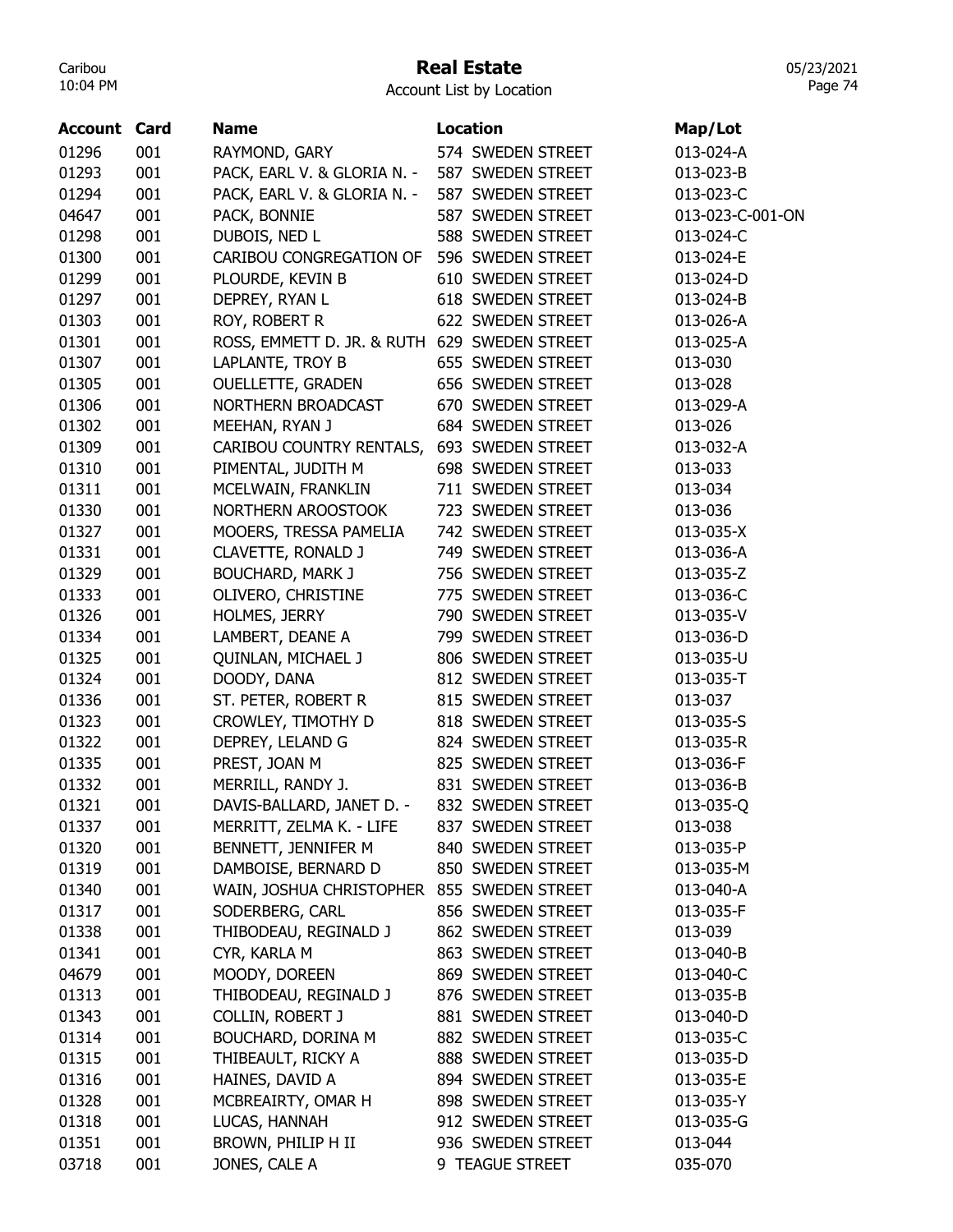## Real Estate

05/23/2021 Page 74

| <b>Account Card</b> |     | <b>Name</b>                                  | <b>Location</b>                        |                  |
|---------------------|-----|----------------------------------------------|----------------------------------------|------------------|
|                     |     |                                              |                                        | Map/Lot          |
| 01296               | 001 | RAYMOND, GARY                                | 574 SWEDEN STREET                      | 013-024-A        |
| 01293               | 001 | PACK, EARL V. & GLORIA N. -                  | 587 SWEDEN STREET                      | 013-023-B        |
| 01294               | 001 | PACK, EARL V. & GLORIA N. -                  | 587 SWEDEN STREET                      | 013-023-C        |
| 04647               | 001 | PACK, BONNIE                                 | 587 SWEDEN STREET                      | 013-023-C-001-ON |
| 01298               | 001 | DUBOIS, NED L                                | 588 SWEDEN STREET                      | 013-024-C        |
| 01300               | 001 | CARIBOU CONGREGATION OF                      | 596 SWEDEN STREET                      | 013-024-E        |
| 01299               | 001 | PLOURDE, KEVIN B                             | 610 SWEDEN STREET                      | 013-024-D        |
| 01297               | 001 | DEPREY, RYAN L                               | 618 SWEDEN STREET                      | 013-024-B        |
| 01303               | 001 | ROY, ROBERT R                                | 622 SWEDEN STREET                      | 013-026-A        |
| 01301               | 001 | ROSS, EMMETT D. JR. & RUTH 629 SWEDEN STREET |                                        | 013-025-A        |
| 01307               | 001 | LAPLANTE, TROY B                             | 655 SWEDEN STREET                      | 013-030          |
| 01305               | 001 | <b>OUELLETTE, GRADEN</b>                     | 656 SWEDEN STREET                      | 013-028          |
| 01306               | 001 | NORTHERN BROADCAST                           | 670 SWEDEN STREET                      | 013-029-A        |
| 01302               | 001 | MEEHAN, RYAN J                               | 684 SWEDEN STREET                      | 013-026          |
| 01309               | 001 | CARIBOU COUNTRY RENTALS,                     | 693 SWEDEN STREET                      | 013-032-A        |
| 01310               | 001 | PIMENTAL, JUDITH M                           | 698 SWEDEN STREET                      | 013-033          |
| 01311               | 001 | MCELWAIN, FRANKLIN                           | 711 SWEDEN STREET                      | 013-034          |
| 01330               | 001 | NORTHERN AROOSTOOK                           | 723 SWEDEN STREET                      | 013-036          |
| 01327               | 001 | MOOERS, TRESSA PAMELIA                       | 742 SWEDEN STREET                      | 013-035-X        |
| 01331               | 001 | CLAVETTE, RONALD J                           | 749 SWEDEN STREET                      | 013-036-A        |
| 01329               | 001 | <b>BOUCHARD, MARK J</b>                      | 756 SWEDEN STREET                      | 013-035-Z        |
| 01333               | 001 | OLIVERO, CHRISTINE                           | 775 SWEDEN STREET                      | 013-036-C        |
| 01326               | 001 | HOLMES, JERRY                                | 790 SWEDEN STREET                      | 013-035-V        |
| 01334               | 001 | LAMBERT, DEANE A                             | 799 SWEDEN STREET                      | 013-036-D        |
| 01325               | 001 | QUINLAN, MICHAEL J                           | 806 SWEDEN STREET                      | 013-035-U        |
| 01324               | 001 | DOODY, DANA                                  | 812 SWEDEN STREET                      | 013-035-T        |
| 01336               | 001 | ST. PETER, ROBERT R                          | 815 SWEDEN STREET                      | 013-037          |
| 01323               | 001 | CROWLEY, TIMOTHY D                           | 818 SWEDEN STREET                      | 013-035-S        |
| 01322               | 001 | DEPREY, LELAND G                             | 824 SWEDEN STREET                      | 013-035-R        |
| 01335               | 001 | PREST, JOAN M                                | 825 SWEDEN STREET                      | 013-036-F        |
| 01332               | 001 | MERRILL, RANDY J.                            | 831 SWEDEN STREET                      | 013-036-B        |
| 01321               | 001 | DAVIS-BALLARD, JANET D. - 832 SWEDEN STREET  |                                        | 013-035-Q        |
| 01337               | 001 | MERRITT, ZELMA K. - LIFE                     | 837 SWEDEN STREET                      | 013-038          |
| 01320               | 001 | BENNETT, JENNIFER M                          | 840 SWEDEN STREET                      | 013-035-P        |
| 01319               | 001 | DAMBOISE, BERNARD D                          | 850 SWEDEN STREET                      | 013-035-M        |
| 01340               | 001 | WAIN, JOSHUA CHRISTOPHER                     | 855 SWEDEN STREET                      | 013-040-A        |
|                     | 001 |                                              | 856 SWEDEN STREET                      |                  |
| 01317               |     | SODERBERG, CARL                              |                                        | 013-035-F        |
| 01338               | 001 | THIBODEAU, REGINALD J                        | 862 SWEDEN STREET<br>863 SWEDEN STREET | 013-039          |
| 01341               | 001 | CYR, KARLA M                                 |                                        | 013-040-B        |
| 04679               | 001 | MOODY, DOREEN                                | 869 SWEDEN STREET                      | 013-040-C        |
| 01313               | 001 | THIBODEAU, REGINALD J                        | 876 SWEDEN STREET                      | 013-035-B        |
| 01343               | 001 | COLLIN, ROBERT J                             | 881 SWEDEN STREET                      | 013-040-D        |
| 01314               | 001 | BOUCHARD, DORINA M                           | 882 SWEDEN STREET                      | 013-035-C        |
| 01315               | 001 | THIBEAULT, RICKY A                           | 888 SWEDEN STREET                      | 013-035-D        |
| 01316               | 001 | HAINES, DAVID A                              | 894 SWEDEN STREET                      | 013-035-E        |
| 01328               | 001 | MCBREAIRTY, OMAR H                           | 898 SWEDEN STREET                      | 013-035-Y        |
| 01318               | 001 | LUCAS, HANNAH                                | 912 SWEDEN STREET                      | 013-035-G        |
| 01351               | 001 | BROWN, PHILIP H II                           | 936 SWEDEN STREET                      | 013-044          |
| 03718               | 001 | JONES, CALE A                                | 9 TEAGUE STREET                        | 035-070          |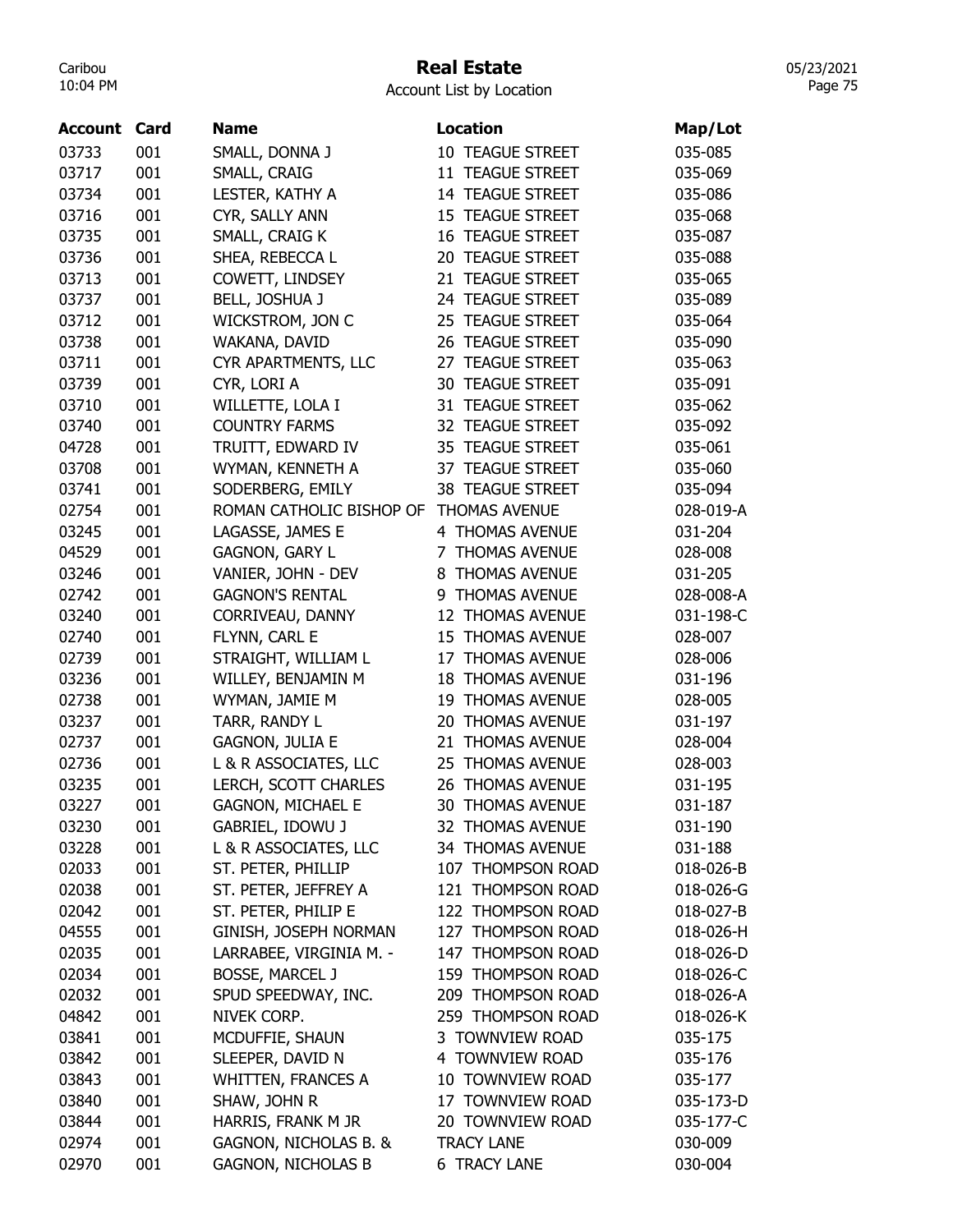# Real Estate

05/23/2021 Page 75

| <b>Account Card</b> |            | Name                                        | <b>Location</b>                        | Map/Lot   |
|---------------------|------------|---------------------------------------------|----------------------------------------|-----------|
| 03733               | 001        | SMALL, DONNA J                              | <b>10 TEAGUE STREET</b>                | 035-085   |
| 03717               | 001        | SMALL, CRAIG                                | 11 TEAGUE STREET                       | 035-069   |
| 03734               | 001        | LESTER, KATHY A                             | 14 TEAGUE STREET                       | 035-086   |
| 03716               | 001        | CYR, SALLY ANN                              | 15 TEAGUE STREET                       | 035-068   |
| 03735               | 001        | SMALL, CRAIG K                              | <b>16 TEAGUE STREET</b>                | 035-087   |
| 03736               | 001        | SHEA, REBECCA L                             | 20 TEAGUE STREET                       | 035-088   |
| 03713               | 001        | COWETT, LINDSEY                             | 21 TEAGUE STREET                       | 035-065   |
| 03737               | 001        | <b>BELL, JOSHUA J</b>                       | 24 TEAGUE STREET                       | 035-089   |
| 03712               | 001        | WICKSTROM, JON C                            | 25 TEAGUE STREET                       | 035-064   |
| 03738               | 001        | WAKANA, DAVID                               | 26 TEAGUE STREET                       | 035-090   |
| 03711               | 001        | CYR APARTMENTS, LLC                         | 27 TEAGUE STREET                       | 035-063   |
| 03739               | 001        | CYR, LORI A                                 | <b>30 TEAGUE STREET</b>                | 035-091   |
| 03710               | 001        | WILLETTE, LOLA I                            | 31 TEAGUE STREET                       | 035-062   |
| 03740               | 001        | <b>COUNTRY FARMS</b>                        | 32 TEAGUE STREET                       | 035-092   |
| 04728               | 001        | TRUITT, EDWARD IV                           | 35 TEAGUE STREET                       | 035-061   |
| 03708               | 001        | WYMAN, KENNETH A                            | 37 TEAGUE STREET                       | 035-060   |
| 03741               | 001        | SODERBERG, EMILY                            | <b>38 TEAGUE STREET</b>                | 035-094   |
| 02754               | 001        | ROMAN CATHOLIC BISHOP OF                    | <b>THOMAS AVENUE</b>                   | 028-019-A |
| 03245               | 001        | LAGASSE, JAMES E                            | 4 THOMAS AVENUE                        | 031-204   |
| 04529               | 001        | <b>GAGNON, GARY L</b>                       | 7 THOMAS AVENUE                        | 028-008   |
| 03246               | 001        | VANIER, JOHN - DEV                          | 8 THOMAS AVENUE                        | 031-205   |
| 02742               | 001        | <b>GAGNON'S RENTAL</b>                      | 9 THOMAS AVENUE                        | 028-008-A |
| 03240               | 001        | CORRIVEAU, DANNY                            | 12 THOMAS AVENUE                       | 031-198-C |
| 02740               | 001        | FLYNN, CARL E                               | 15 THOMAS AVENUE                       | 028-007   |
| 02739               | 001        | STRAIGHT, WILLIAM L                         | 17 THOMAS AVENUE                       | 028-006   |
| 03236               | 001        | WILLEY, BENJAMIN M                          | <b>18 THOMAS AVENUE</b>                | 031-196   |
| 02738               | 001        | WYMAN, JAMIE M                              | 19 THOMAS AVENUE                       | 028-005   |
| 03237               | 001        | TARR, RANDY L                               | 20 THOMAS AVENUE                       | 031-197   |
| 02737               | 001        | <b>GAGNON, JULIA E</b>                      | <b>THOMAS AVENUE</b><br>21             | 028-004   |
|                     |            | L & R ASSOCIATES, LLC                       | 25 THOMAS AVENUE                       |           |
| 02736               | 001        |                                             | 26 THOMAS AVENUE                       | 028-003   |
| 03235               | 001        | LERCH, SCOTT CHARLES                        |                                        | 031-195   |
| 03227               | 001        | <b>GAGNON, MICHAEL E</b>                    | 30 THOMAS AVENUE                       | 031-187   |
| 03230               | 001        | GABRIEL, IDOWU J                            | 32 THOMAS AVENUE                       | 031-190   |
| 03228               | 001        | L & R ASSOCIATES, LLC                       | 34 THOMAS AVENUE                       | 031-188   |
| 02033               | 001        | ST. PETER, PHILLIP                          | 107 THOMPSON ROAD                      | 018-026-B |
| 02038               | 001<br>001 | ST. PETER, JEFFREY A<br>ST. PETER, PHILIP E | 121 THOMPSON ROAD<br>122 THOMPSON ROAD | 018-026-G |
| 02042               |            |                                             |                                        | 018-027-B |
| 04555               | 001        | GINISH, JOSEPH NORMAN                       | 127 THOMPSON ROAD                      | 018-026-H |
| 02035               | 001        | LARRABEE, VIRGINIA M. -                     | 147 THOMPSON ROAD                      | 018-026-D |
| 02034               | 001        | <b>BOSSE, MARCEL J</b>                      | 159 THOMPSON ROAD                      | 018-026-C |
| 02032               | 001        | SPUD SPEEDWAY, INC.                         | 209 THOMPSON ROAD                      | 018-026-A |
| 04842               | 001        | NIVEK CORP.                                 | 259 THOMPSON ROAD                      | 018-026-K |
| 03841               | 001        | MCDUFFIE, SHAUN                             | 3 TOWNVIEW ROAD                        | 035-175   |
| 03842               | 001        | SLEEPER, DAVID N                            | 4 TOWNVIEW ROAD                        | 035-176   |
| 03843               | 001        | <b>WHITTEN, FRANCES A</b>                   | 10 TOWNVIEW ROAD                       | 035-177   |
| 03840               | 001        | SHAW, JOHN R                                | 17 TOWNVIEW ROAD                       | 035-173-D |
| 03844               | 001        | HARRIS, FRANK M JR                          | 20 TOWNVIEW ROAD                       | 035-177-C |
| 02974               | 001        | GAGNON, NICHOLAS B. &                       | <b>TRACY LANE</b>                      | 030-009   |
| 02970               | 001        | <b>GAGNON, NICHOLAS B</b>                   | <b>6 TRACY LANE</b>                    | 030-004   |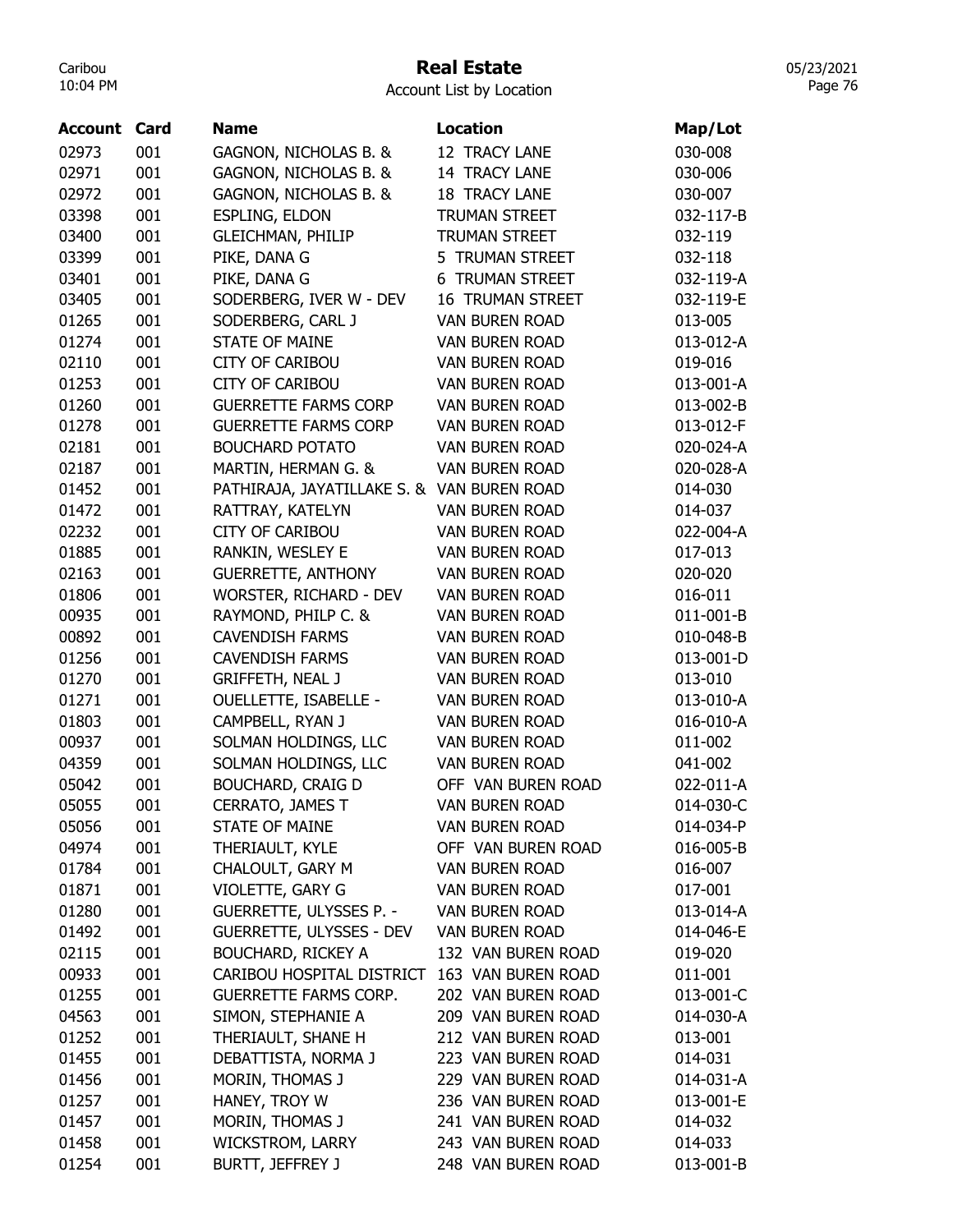# Real Estate

Account List by Location

| <b>Account Card</b> |     | <b>Name</b>                                | <b>Location</b>         | Map/Lot   |
|---------------------|-----|--------------------------------------------|-------------------------|-----------|
| 02973               | 001 | GAGNON, NICHOLAS B. &                      | 12 TRACY LANE           | 030-008   |
| 02971               | 001 | GAGNON, NICHOLAS B. &                      | 14 TRACY LANE           | 030-006   |
| 02972               | 001 | GAGNON, NICHOLAS B. &                      | <b>18 TRACY LANE</b>    | 030-007   |
| 03398               | 001 | <b>ESPLING, ELDON</b>                      | <b>TRUMAN STREET</b>    | 032-117-B |
| 03400               | 001 | <b>GLEICHMAN, PHILIP</b>                   | <b>TRUMAN STREET</b>    | 032-119   |
| 03399               | 001 | PIKE, DANA G                               | 5 TRUMAN STREET         | 032-118   |
| 03401               | 001 | PIKE, DANA G                               | <b>6 TRUMAN STREET</b>  | 032-119-A |
| 03405               | 001 | SODERBERG, IVER W - DEV                    | <b>16 TRUMAN STREET</b> | 032-119-E |
| 01265               | 001 | SODERBERG, CARL J                          | <b>VAN BUREN ROAD</b>   | 013-005   |
| 01274               | 001 | <b>STATE OF MAINE</b>                      | <b>VAN BUREN ROAD</b>   | 013-012-A |
| 02110               | 001 | <b>CITY OF CARIBOU</b>                     | <b>VAN BUREN ROAD</b>   | 019-016   |
| 01253               | 001 | <b>CITY OF CARIBOU</b>                     | <b>VAN BUREN ROAD</b>   | 013-001-A |
| 01260               | 001 | <b>GUERRETTE FARMS CORP</b>                | <b>VAN BUREN ROAD</b>   | 013-002-B |
| 01278               | 001 | <b>GUERRETTE FARMS CORP</b>                | <b>VAN BUREN ROAD</b>   | 013-012-F |
| 02181               | 001 | <b>BOUCHARD POTATO</b>                     | <b>VAN BUREN ROAD</b>   | 020-024-A |
| 02187               | 001 | MARTIN, HERMAN G. &                        | <b>VAN BUREN ROAD</b>   | 020-028-A |
| 01452               | 001 | PATHIRAJA, JAYATILLAKE S. & VAN BUREN ROAD |                         | 014-030   |
| 01472               | 001 | RATTRAY, KATELYN                           | <b>VAN BUREN ROAD</b>   | 014-037   |
| 02232               | 001 | <b>CITY OF CARIBOU</b>                     | <b>VAN BUREN ROAD</b>   | 022-004-A |
| 01885               | 001 | RANKIN, WESLEY E                           | <b>VAN BUREN ROAD</b>   | 017-013   |
| 02163               | 001 | <b>GUERRETTE, ANTHONY</b>                  | <b>VAN BUREN ROAD</b>   | 020-020   |
| 01806               | 001 | WORSTER, RICHARD - DEV                     | <b>VAN BUREN ROAD</b>   | 016-011   |
| 00935               | 001 | RAYMOND, PHILP C. &                        | <b>VAN BUREN ROAD</b>   | 011-001-B |
| 00892               | 001 | <b>CAVENDISH FARMS</b>                     | <b>VAN BUREN ROAD</b>   | 010-048-B |
| 01256               | 001 | <b>CAVENDISH FARMS</b>                     | <b>VAN BUREN ROAD</b>   | 013-001-D |
| 01270               | 001 | <b>GRIFFETH, NEAL J</b>                    | <b>VAN BUREN ROAD</b>   | 013-010   |
| 01271               | 001 | <b>OUELLETTE, ISABELLE -</b>               | VAN BUREN ROAD          | 013-010-A |
| 01803               | 001 | CAMPBELL, RYAN J                           | VAN BUREN ROAD          | 016-010-A |
| 00937               | 001 | SOLMAN HOLDINGS, LLC                       | <b>VAN BUREN ROAD</b>   | 011-002   |
| 04359               | 001 | SOLMAN HOLDINGS, LLC                       | <b>VAN BUREN ROAD</b>   | 041-002   |
| 05042               | 001 | <b>BOUCHARD, CRAIG D</b>                   | OFF VAN BUREN ROAD      | 022-011-A |
| 05055               | 001 | CERRATO, JAMES T                           | <b>VAN BUREN ROAD</b>   | 014-030-C |
| 05056               | 001 | <b>STATE OF MAINE</b>                      | <b>VAN BUREN ROAD</b>   | 014-034-P |
| 04974               | 001 | THERIAULT, KYLE                            | OFF VAN BUREN ROAD      | 016-005-B |
| 01784               | 001 | CHALOULT, GARY M                           | <b>VAN BUREN ROAD</b>   | 016-007   |
| 01871               | 001 | VIOLETTE, GARY G                           | VAN BUREN ROAD          | 017-001   |
| 01280               | 001 | <b>GUERRETTE, ULYSSES P. -</b>             | <b>VAN BUREN ROAD</b>   | 013-014-A |
|                     |     | <b>GUERRETTE, ULYSSES - DEV</b>            | <b>VAN BUREN ROAD</b>   |           |
| 01492               | 001 | <b>BOUCHARD, RICKEY A</b>                  |                         | 014-046-E |
| 02115               | 001 |                                            | 132 VAN BUREN ROAD      | 019-020   |
| 00933               | 001 | CARIBOU HOSPITAL DISTRICT                  | 163 VAN BUREN ROAD      | 011-001   |
| 01255               | 001 | <b>GUERRETTE FARMS CORP.</b>               | 202 VAN BUREN ROAD      | 013-001-C |
| 04563               | 001 | SIMON, STEPHANIE A                         | 209 VAN BUREN ROAD      | 014-030-A |
| 01252               | 001 | THERIAULT, SHANE H                         | 212 VAN BUREN ROAD      | 013-001   |
| 01455               | 001 | DEBATTISTA, NORMA J                        | 223 VAN BUREN ROAD      | 014-031   |
| 01456               | 001 | MORIN, THOMAS J                            | 229 VAN BUREN ROAD      | 014-031-A |
| 01257               | 001 | HANEY, TROY W                              | 236 VAN BUREN ROAD      | 013-001-E |
| 01457               | 001 | MORIN, THOMAS J                            | 241 VAN BUREN ROAD      | 014-032   |
| 01458               | 001 | WICKSTROM, LARRY                           | 243 VAN BUREN ROAD      | 014-033   |
| 01254               | 001 | BURTT, JEFFREY J                           | 248 VAN BUREN ROAD      | 013-001-B |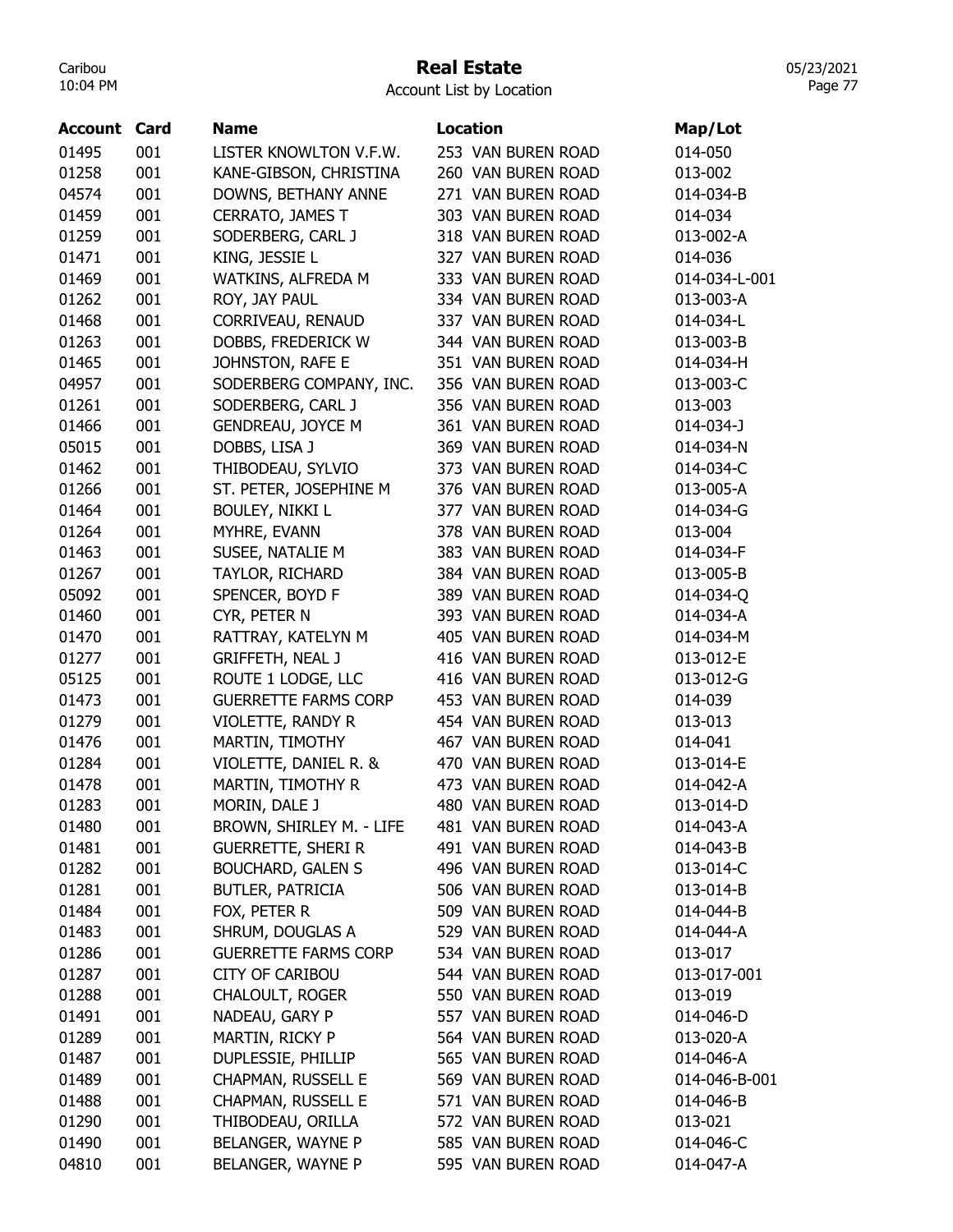# Real Estate

Account List by Location

| <b>Account Card</b> |     | <b>Name</b>                 | Location           | Map/Lot       |
|---------------------|-----|-----------------------------|--------------------|---------------|
| 01495               | 001 | LISTER KNOWLTON V.F.W.      | 253 VAN BUREN ROAD | 014-050       |
| 01258               | 001 | KANE-GIBSON, CHRISTINA      | 260 VAN BUREN ROAD | 013-002       |
| 04574               | 001 | DOWNS, BETHANY ANNE         | 271 VAN BUREN ROAD | 014-034-B     |
| 01459               | 001 | CERRATO, JAMES T            | 303 VAN BUREN ROAD | 014-034       |
| 01259               | 001 | SODERBERG, CARL J           | 318 VAN BUREN ROAD | 013-002-A     |
| 01471               | 001 | KING, JESSIE L              | 327 VAN BUREN ROAD | 014-036       |
| 01469               | 001 | WATKINS, ALFREDA M          | 333 VAN BUREN ROAD | 014-034-L-001 |
| 01262               | 001 | ROY, JAY PAUL               | 334 VAN BUREN ROAD | 013-003-A     |
| 01468               | 001 | CORRIVEAU, RENAUD           | 337 VAN BUREN ROAD | 014-034-L     |
| 01263               | 001 | DOBBS, FREDERICK W          | 344 VAN BUREN ROAD | 013-003-B     |
| 01465               | 001 | JOHNSTON, RAFE E            | 351 VAN BUREN ROAD | 014-034-H     |
| 04957               | 001 | SODERBERG COMPANY, INC.     | 356 VAN BUREN ROAD | 013-003-C     |
| 01261               | 001 | SODERBERG, CARL J           | 356 VAN BUREN ROAD | 013-003       |
| 01466               | 001 | <b>GENDREAU, JOYCE M</b>    | 361 VAN BUREN ROAD | 014-034-J     |
| 05015               | 001 | DOBBS, LISA J               | 369 VAN BUREN ROAD | 014-034-N     |
| 01462               | 001 | THIBODEAU, SYLVIO           | 373 VAN BUREN ROAD | 014-034-C     |
| 01266               | 001 | ST. PETER, JOSEPHINE M      | 376 VAN BUREN ROAD | 013-005-A     |
| 01464               | 001 | <b>BOULEY, NIKKI L</b>      | 377 VAN BUREN ROAD | 014-034-G     |
| 01264               | 001 | MYHRE, EVANN                | 378 VAN BUREN ROAD | 013-004       |
| 01463               | 001 | SUSEE, NATALIE M            | 383 VAN BUREN ROAD | 014-034-F     |
| 01267               | 001 | TAYLOR, RICHARD             | 384 VAN BUREN ROAD | 013-005-B     |
| 05092               | 001 | SPENCER, BOYD F             | 389 VAN BUREN ROAD | 014-034-Q     |
| 01460               | 001 | CYR, PETER N                | 393 VAN BUREN ROAD | 014-034-A     |
| 01470               | 001 | RATTRAY, KATELYN M          | 405 VAN BUREN ROAD | 014-034-M     |
| 01277               | 001 | <b>GRIFFETH, NEAL J</b>     | 416 VAN BUREN ROAD | 013-012-E     |
| 05125               | 001 | ROUTE 1 LODGE, LLC          | 416 VAN BUREN ROAD | 013-012-G     |
| 01473               | 001 | <b>GUERRETTE FARMS CORP</b> | 453 VAN BUREN ROAD | 014-039       |
| 01279               | 001 | VIOLETTE, RANDY R           | 454 VAN BUREN ROAD | 013-013       |
| 01476               | 001 | MARTIN, TIMOTHY             | 467 VAN BUREN ROAD | 014-041       |
| 01284               | 001 | VIOLETTE, DANIEL R. &       | 470 VAN BUREN ROAD | 013-014-E     |
| 01478               | 001 | MARTIN, TIMOTHY R           | 473 VAN BUREN ROAD | 014-042-A     |
| 01283               | 001 | MORIN, DALE J               | 480 VAN BUREN ROAD | 013-014-D     |
| 01480               | 001 | BROWN, SHIRLEY M. - LIFE    | 481 VAN BUREN ROAD | 014-043-A     |
| 01481               | 001 | <b>GUERRETTE, SHERI R</b>   | 491 VAN BUREN ROAD | 014-043-B     |
| 01282               | 001 | <b>BOUCHARD, GALEN S</b>    | 496 VAN BUREN ROAD | 013-014-C     |
| 01281               | 001 | <b>BUTLER, PATRICIA</b>     | 506 VAN BUREN ROAD | 013-014-B     |
| 01484               | 001 | Fox, peter R                | 509 VAN BUREN ROAD | 014-044-B     |
| 01483               | 001 | SHRUM, DOUGLAS A            | 529 VAN BUREN ROAD | 014-044-A     |
| 01286               | 001 | <b>GUERRETTE FARMS CORP</b> | 534 VAN BUREN ROAD | 013-017       |
| 01287               | 001 | <b>CITY OF CARIBOU</b>      | 544 VAN BUREN ROAD | 013-017-001   |
| 01288               | 001 | <b>CHALOULT, ROGER</b>      | 550 VAN BUREN ROAD | 013-019       |
| 01491               | 001 | NADEAU, GARY P              | 557 VAN BUREN ROAD | 014-046-D     |
| 01289               | 001 | MARTIN, RICKY P             | 564 VAN BUREN ROAD | 013-020-A     |
| 01487               | 001 | DUPLESSIE, PHILLIP          | 565 VAN BUREN ROAD | 014-046-A     |
| 01489               | 001 | CHAPMAN, RUSSELL E          | 569 VAN BUREN ROAD | 014-046-B-001 |
| 01488               | 001 | CHAPMAN, RUSSELL E          | 571 VAN BUREN ROAD | 014-046-B     |
| 01290               | 001 | THIBODEAU, ORILLA           | 572 VAN BUREN ROAD | 013-021       |
| 01490               | 001 | BELANGER, WAYNE P           | 585 VAN BUREN ROAD | 014-046-C     |
| 04810               | 001 | BELANGER, WAYNE P           | 595 VAN BUREN ROAD | 014-047-A     |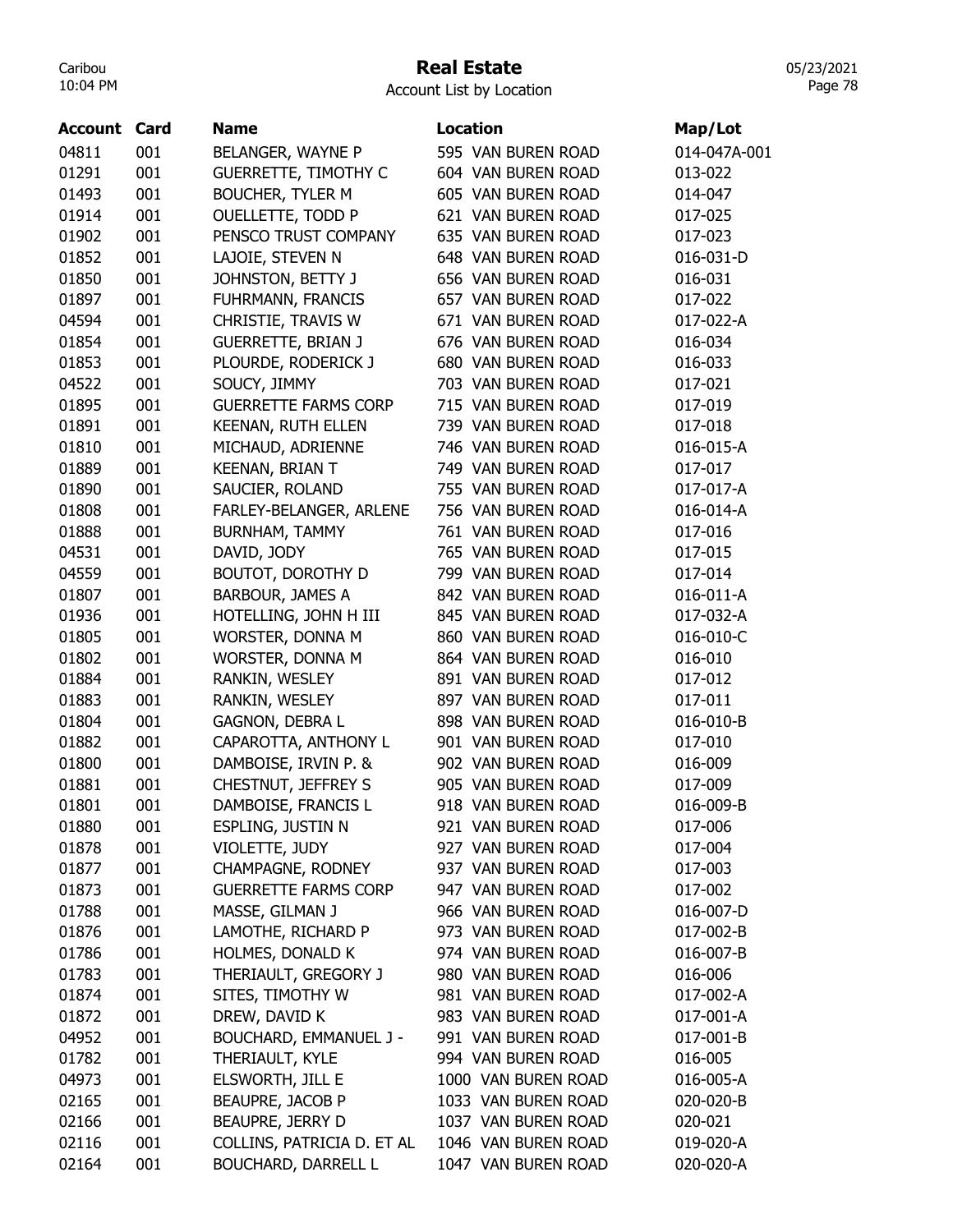## Real Estate

Account List by Location

| <b>Account Card</b> |     | <b>Name</b>                   | <b>Location</b>     | Map/Lot      |
|---------------------|-----|-------------------------------|---------------------|--------------|
| 04811               | 001 | BELANGER, WAYNE P             | 595 VAN BUREN ROAD  | 014-047A-001 |
| 01291               | 001 | <b>GUERRETTE, TIMOTHY C</b>   | 604 VAN BUREN ROAD  | 013-022      |
| 01493               | 001 | <b>BOUCHER, TYLER M</b>       | 605 VAN BUREN ROAD  | 014-047      |
| 01914               | 001 | <b>OUELLETTE, TODD P</b>      | 621 VAN BUREN ROAD  | 017-025      |
| 01902               | 001 | PENSCO TRUST COMPANY          | 635 VAN BUREN ROAD  | 017-023      |
| 01852               | 001 | LAJOIE, STEVEN N              | 648 VAN BUREN ROAD  | 016-031-D    |
| 01850               | 001 | JOHNSTON, BETTY J             | 656 VAN BUREN ROAD  | 016-031      |
| 01897               | 001 | FUHRMANN, FRANCIS             | 657 VAN BUREN ROAD  | 017-022      |
| 04594               | 001 | CHRISTIE, TRAVIS W            | 671 VAN BUREN ROAD  | 017-022-A    |
| 01854               | 001 | <b>GUERRETTE, BRIAN J</b>     | 676 VAN BUREN ROAD  | 016-034      |
| 01853               | 001 | PLOURDE, RODERICK J           | 680 VAN BUREN ROAD  | 016-033      |
| 04522               | 001 | SOUCY, JIMMY                  | 703 VAN BUREN ROAD  | 017-021      |
| 01895               | 001 | <b>GUERRETTE FARMS CORP</b>   | 715 VAN BUREN ROAD  | 017-019      |
| 01891               | 001 | KEENAN, RUTH ELLEN            | 739 VAN BUREN ROAD  | 017-018      |
| 01810               | 001 | MICHAUD, ADRIENNE             | 746 VAN BUREN ROAD  | 016-015-A    |
| 01889               | 001 | <b>KEENAN, BRIAN T</b>        | 749 VAN BUREN ROAD  | 017-017      |
| 01890               | 001 | SAUCIER, ROLAND               | 755 VAN BUREN ROAD  | 017-017-A    |
| 01808               | 001 | FARLEY-BELANGER, ARLENE       | 756 VAN BUREN ROAD  | 016-014-A    |
| 01888               | 001 | <b>BURNHAM, TAMMY</b>         | 761 VAN BUREN ROAD  | 017-016      |
| 04531               | 001 | DAVID, JODY                   | 765 VAN BUREN ROAD  | 017-015      |
| 04559               | 001 | <b>BOUTOT, DOROTHY D</b>      | 799 VAN BUREN ROAD  | 017-014      |
| 01807               | 001 | <b>BARBOUR, JAMES A</b>       | 842 VAN BUREN ROAD  | 016-011-A    |
| 01936               | 001 | HOTELLING, JOHN H III         | 845 VAN BUREN ROAD  | 017-032-A    |
| 01805               | 001 | WORSTER, DONNA M              | 860 VAN BUREN ROAD  | 016-010-C    |
| 01802               | 001 | WORSTER, DONNA M              | 864 VAN BUREN ROAD  | 016-010      |
| 01884               | 001 | RANKIN, WESLEY                | 891 VAN BUREN ROAD  | 017-012      |
| 01883               | 001 | RANKIN, WESLEY                | 897 VAN BUREN ROAD  | 017-011      |
| 01804               | 001 | GAGNON, DEBRA L               | 898 VAN BUREN ROAD  | 016-010-B    |
| 01882               | 001 | CAPAROTTA, ANTHONY L          | 901 VAN BUREN ROAD  | 017-010      |
| 01800               | 001 | DAMBOISE, IRVIN P. &          | 902 VAN BUREN ROAD  | 016-009      |
| 01881               | 001 | CHESTNUT, JEFFREY S           | 905 VAN BUREN ROAD  | 017-009      |
| 01801               | 001 | DAMBOISE, FRANCIS L           | 918 VAN BUREN ROAD  | 016-009-B    |
| 01880               | 001 | ESPLING, JUSTIN N             | 921 VAN BUREN ROAD  | 017-006      |
| 01878               | 001 | VIOLETTE, JUDY                | 927 VAN BUREN ROAD  | 017-004      |
| 01877               | 001 | CHAMPAGNE, RODNEY             | 937 VAN BUREN ROAD  | 017-003      |
| 01873               | 001 | <b>GUERRETTE FARMS CORP</b>   | 947 VAN BUREN ROAD  | 017-002      |
| 01788               | 001 | MASSE, GILMAN J               | 966 VAN BUREN ROAD  | 016-007-D    |
| 01876               | 001 | LAMOTHE, RICHARD P            | 973 VAN BUREN ROAD  | 017-002-B    |
| 01786               | 001 | HOLMES, DONALD K              | 974 VAN BUREN ROAD  | 016-007-B    |
| 01783               | 001 | THERIAULT, GREGORY J          | 980 VAN BUREN ROAD  | 016-006      |
| 01874               | 001 | SITES, TIMOTHY W              | 981 VAN BUREN ROAD  | 017-002-A    |
| 01872               | 001 | DREW, DAVID K                 | 983 VAN BUREN ROAD  | 017-001-A    |
| 04952               | 001 | <b>BOUCHARD, EMMANUEL J -</b> | 991 VAN BUREN ROAD  | 017-001-B    |
| 01782               | 001 | THERIAULT, KYLE               | 994 VAN BUREN ROAD  | 016-005      |
| 04973               | 001 | ELSWORTH, JILL E              | 1000 VAN BUREN ROAD | 016-005-A    |
| 02165               | 001 | BEAUPRE, JACOB P              | 1033 VAN BUREN ROAD | 020-020-B    |
| 02166               | 001 | BEAUPRE, JERRY D              | 1037 VAN BUREN ROAD | 020-021      |
| 02116               | 001 | COLLINS, PATRICIA D. ET AL    | 1046 VAN BUREN ROAD | 019-020-A    |
| 02164               | 001 | <b>BOUCHARD, DARRELL L</b>    | 1047 VAN BUREN ROAD | 020-020-A    |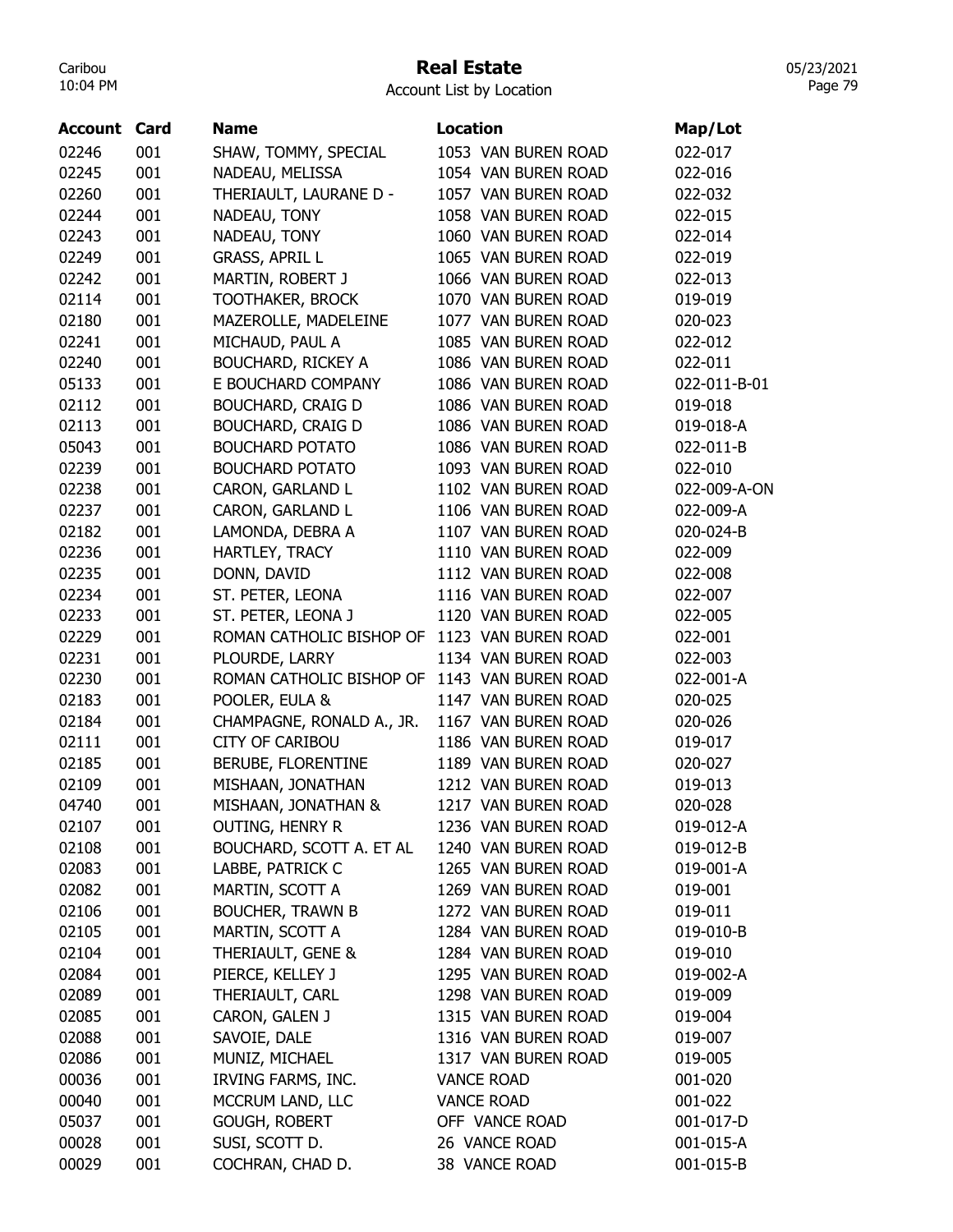## Real Estate

Account List by Location

| <b>Account Card</b> |     | <b>Name</b>                                  | <b>Location</b>     | Map/Lot      |
|---------------------|-----|----------------------------------------------|---------------------|--------------|
| 02246               | 001 | SHAW, TOMMY, SPECIAL                         | 1053 VAN BUREN ROAD | 022-017      |
| 02245               | 001 | NADEAU, MELISSA                              | 1054 VAN BUREN ROAD | 022-016      |
| 02260               | 001 | THERIAULT, LAURANE D -                       | 1057 VAN BUREN ROAD | 022-032      |
| 02244               | 001 | NADEAU, TONY                                 | 1058 VAN BUREN ROAD | 022-015      |
| 02243               | 001 | NADEAU, TONY                                 | 1060 VAN BUREN ROAD | 022-014      |
| 02249               | 001 | <b>GRASS, APRIL L</b>                        | 1065 VAN BUREN ROAD | 022-019      |
| 02242               | 001 | MARTIN, ROBERT J                             | 1066 VAN BUREN ROAD | 022-013      |
| 02114               | 001 | <b>TOOTHAKER, BROCK</b>                      | 1070 VAN BUREN ROAD | 019-019      |
| 02180               | 001 | MAZEROLLE, MADELEINE                         | 1077 VAN BUREN ROAD | 020-023      |
| 02241               | 001 | MICHAUD, PAUL A                              | 1085 VAN BUREN ROAD | 022-012      |
| 02240               | 001 | <b>BOUCHARD, RICKEY A</b>                    | 1086 VAN BUREN ROAD | 022-011      |
| 05133               | 001 | E BOUCHARD COMPANY                           | 1086 VAN BUREN ROAD | 022-011-B-01 |
| 02112               | 001 | <b>BOUCHARD, CRAIG D</b>                     | 1086 VAN BUREN ROAD | 019-018      |
| 02113               | 001 | <b>BOUCHARD, CRAIG D</b>                     | 1086 VAN BUREN ROAD | 019-018-A    |
| 05043               | 001 | <b>BOUCHARD POTATO</b>                       | 1086 VAN BUREN ROAD | 022-011-B    |
| 02239               | 001 | <b>BOUCHARD POTATO</b>                       | 1093 VAN BUREN ROAD | 022-010      |
| 02238               | 001 | CARON, GARLAND L                             | 1102 VAN BUREN ROAD | 022-009-A-ON |
| 02237               | 001 | CARON, GARLAND L                             | 1106 VAN BUREN ROAD | 022-009-A    |
| 02182               | 001 | LAMONDA, DEBRA A                             | 1107 VAN BUREN ROAD | 020-024-B    |
| 02236               | 001 | HARTLEY, TRACY                               | 1110 VAN BUREN ROAD | 022-009      |
| 02235               | 001 | DONN, DAVID                                  | 1112 VAN BUREN ROAD | 022-008      |
| 02234               | 001 | ST. PETER, LEONA                             | 1116 VAN BUREN ROAD | 022-007      |
| 02233               | 001 | ST. PETER, LEONA J                           | 1120 VAN BUREN ROAD | 022-005      |
| 02229               | 001 | ROMAN CATHOLIC BISHOP OF                     | 1123 VAN BUREN ROAD | 022-001      |
| 02231               | 001 | PLOURDE, LARRY                               | 1134 VAN BUREN ROAD | 022-003      |
| 02230               | 001 | ROMAN CATHOLIC BISHOP OF 1143 VAN BUREN ROAD |                     | 022-001-A    |
| 02183               | 001 | POOLER, EULA &                               | 1147 VAN BUREN ROAD | 020-025      |
| 02184               | 001 | CHAMPAGNE, RONALD A., JR.                    | 1167 VAN BUREN ROAD | 020-026      |
| 02111               | 001 | <b>CITY OF CARIBOU</b>                       | 1186 VAN BUREN ROAD | 019-017      |
| 02185               | 001 | BERUBE, FLORENTINE                           | 1189 VAN BUREN ROAD | 020-027      |
| 02109               | 001 | MISHAAN, JONATHAN                            | 1212 VAN BUREN ROAD | 019-013      |
| 04740               | 001 | MISHAAN, JONATHAN &                          | 1217 VAN BUREN ROAD | 020-028      |
| 02107               | 001 | <b>OUTING, HENRY R</b>                       | 1236 VAN BUREN ROAD | 019-012-A    |
| 02108               | 001 | BOUCHARD, SCOTT A. ET AL                     | 1240 VAN BUREN ROAD | 019-012-B    |
| 02083               | 001 | LABBE, PATRICK C                             | 1265 VAN BUREN ROAD | 019-001-A    |
| 02082               | 001 | MARTIN, SCOTT A                              | 1269 VAN BUREN ROAD | 019-001      |
| 02106               | 001 | <b>BOUCHER, TRAWN B</b>                      | 1272 VAN BUREN ROAD | 019-011      |
| 02105               | 001 | MARTIN, SCOTT A                              | 1284 VAN BUREN ROAD | 019-010-B    |
| 02104               | 001 | THERIAULT, GENE &                            | 1284 VAN BUREN ROAD | 019-010      |
| 02084               | 001 | PIERCE, KELLEY J                             | 1295 VAN BUREN ROAD | 019-002-A    |
| 02089               | 001 | THERIAULT, CARL                              | 1298 VAN BUREN ROAD | 019-009      |
| 02085               | 001 | CARON, GALEN J                               | 1315 VAN BUREN ROAD | 019-004      |
| 02088               | 001 | SAVOIE, DALE                                 | 1316 VAN BUREN ROAD | 019-007      |
| 02086               | 001 | MUNIZ, MICHAEL                               | 1317 VAN BUREN ROAD | 019-005      |
| 00036               | 001 | IRVING FARMS, INC.                           | <b>VANCE ROAD</b>   | 001-020      |
| 00040               | 001 | MCCRUM LAND, LLC                             | <b>VANCE ROAD</b>   | 001-022      |
| 05037               | 001 | <b>GOUGH, ROBERT</b>                         | OFF VANCE ROAD      | 001-017-D    |
| 00028               | 001 | SUSI, SCOTT D.                               | 26 VANCE ROAD       | 001-015-A    |
| 00029               | 001 | COCHRAN, CHAD D.                             | 38 VANCE ROAD       | 001-015-B    |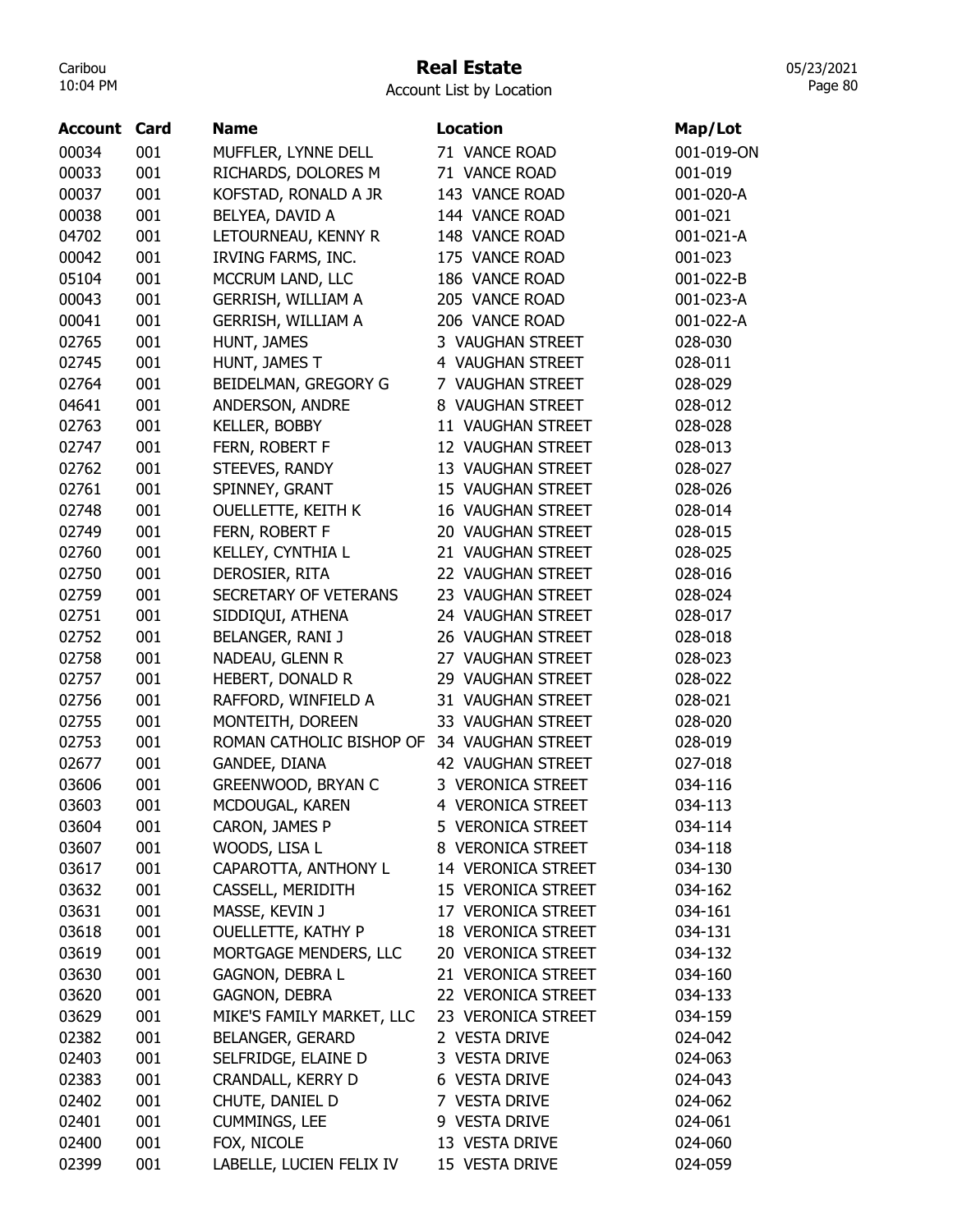# Real Estate

Account List by Location

| <b>Account Card</b> |     | <b>Name</b>               | <b>Location</b>           | Map/Lot    |
|---------------------|-----|---------------------------|---------------------------|------------|
| 00034               | 001 | MUFFLER, LYNNE DELL       | 71 VANCE ROAD             | 001-019-ON |
| 00033               | 001 | RICHARDS, DOLORES M       | 71 VANCE ROAD             | 001-019    |
| 00037               | 001 | KOFSTAD, RONALD A JR      | 143 VANCE ROAD            | 001-020-A  |
| 00038               | 001 | BELYEA, DAVID A           | 144 VANCE ROAD            | 001-021    |
| 04702               | 001 | LETOURNEAU, KENNY R       | 148 VANCE ROAD            | 001-021-A  |
| 00042               | 001 | IRVING FARMS, INC.        | 175 VANCE ROAD            | 001-023    |
| 05104               | 001 | MCCRUM LAND, LLC          | 186 VANCE ROAD            | 001-022-B  |
| 00043               | 001 | <b>GERRISH, WILLIAM A</b> | 205 VANCE ROAD            | 001-023-A  |
| 00041               | 001 | <b>GERRISH, WILLIAM A</b> | 206 VANCE ROAD            | 001-022-A  |
| 02765               | 001 | HUNT, JAMES               | 3 VAUGHAN STREET          | 028-030    |
| 02745               | 001 | HUNT, JAMES T             | 4 VAUGHAN STREET          | 028-011    |
| 02764               | 001 | BEIDELMAN, GREGORY G      | 7 VAUGHAN STREET          | 028-029    |
| 04641               | 001 | ANDERSON, ANDRE           | 8 VAUGHAN STREET          | 028-012    |
| 02763               | 001 | KELLER, BOBBY             | 11 VAUGHAN STREET         | 028-028    |
| 02747               | 001 | FERN, ROBERT F            | 12 VAUGHAN STREET         | 028-013    |
| 02762               | 001 | STEEVES, RANDY            | 13 VAUGHAN STREET         | 028-027    |
| 02761               | 001 | SPINNEY, GRANT            | 15 VAUGHAN STREET         | 028-026    |
| 02748               | 001 | <b>OUELLETTE, KEITH K</b> | 16 VAUGHAN STREET         | 028-014    |
| 02749               | 001 | FERN, ROBERT F            | 20 VAUGHAN STREET         | 028-015    |
| 02760               | 001 | KELLEY, CYNTHIA L         | 21 VAUGHAN STREET         | 028-025    |
| 02750               | 001 | DEROSIER, RITA            | 22 VAUGHAN STREET         | 028-016    |
| 02759               | 001 | SECRETARY OF VETERANS     | 23 VAUGHAN STREET         | 028-024    |
| 02751               | 001 | SIDDIQUI, ATHENA          | 24 VAUGHAN STREET         | 028-017    |
| 02752               | 001 | BELANGER, RANI J          | 26 VAUGHAN STREET         | 028-018    |
| 02758               | 001 | NADEAU, GLENN R           | 27 VAUGHAN STREET         | 028-023    |
| 02757               | 001 | HEBERT, DONALD R          | 29 VAUGHAN STREET         | 028-022    |
| 02756               | 001 | RAFFORD, WINFIELD A       | 31 VAUGHAN STREET         | 028-021    |
| 02755               | 001 | MONTEITH, DOREEN          | 33 VAUGHAN STREET         | 028-020    |
| 02753               | 001 | ROMAN CATHOLIC BISHOP OF  | 34 VAUGHAN STREET         | 028-019    |
| 02677               | 001 | GANDEE, DIANA             | 42 VAUGHAN STREET         | 027-018    |
| 03606               | 001 | GREENWOOD, BRYAN C        | 3 VERONICA STREET         | 034-116    |
| 03603               | 001 | MCDOUGAL, KAREN           | 4 VERONICA STREET         | 034-113    |
| 03604               | 001 | CARON, JAMES P            | 5 VERONICA STREET         | 034-114    |
| 03607               | 001 | WOODS, LISA L             | 8 VERONICA STREET         | 034-118    |
| 03617               | 001 | CAPAROTTA, ANTHONY L      | 14 VERONICA STREET        | 034-130    |
| 03632               | 001 | CASSELL, MERIDITH         | 15 VERONICA STREET        | 034-162    |
| 03631               | 001 | MASSE, KEVIN J            | 17 VERONICA STREET        | 034-161    |
| 03618               | 001 | OUELLETTE, KATHY P        | <b>18 VERONICA STREET</b> | 034-131    |
| 03619               | 001 | MORTGAGE MENDERS, LLC     | 20 VERONICA STREET        | 034-132    |
| 03630               | 001 | GAGNON, DEBRA L           | 21 VERONICA STREET        | 034-160    |
| 03620               | 001 | <b>GAGNON, DEBRA</b>      | 22 VERONICA STREET        | 034-133    |
| 03629               | 001 | MIKE'S FAMILY MARKET, LLC | 23 VERONICA STREET        | 034-159    |
| 02382               | 001 | BELANGER, GERARD          | 2 VESTA DRIVE             | 024-042    |
| 02403               | 001 | SELFRIDGE, ELAINE D       | 3 VESTA DRIVE             | 024-063    |
| 02383               | 001 | CRANDALL, KERRY D         | 6 VESTA DRIVE             | 024-043    |
| 02402               | 001 | CHUTE, DANIEL D           | 7 VESTA DRIVE             | 024-062    |
| 02401               | 001 | <b>CUMMINGS, LEE</b>      | 9 VESTA DRIVE             | 024-061    |
| 02400               | 001 | FOX, NICOLE               | 13 VESTA DRIVE            | 024-060    |
| 02399               | 001 | LABELLE, LUCIEN FELIX IV  | 15 VESTA DRIVE            | 024-059    |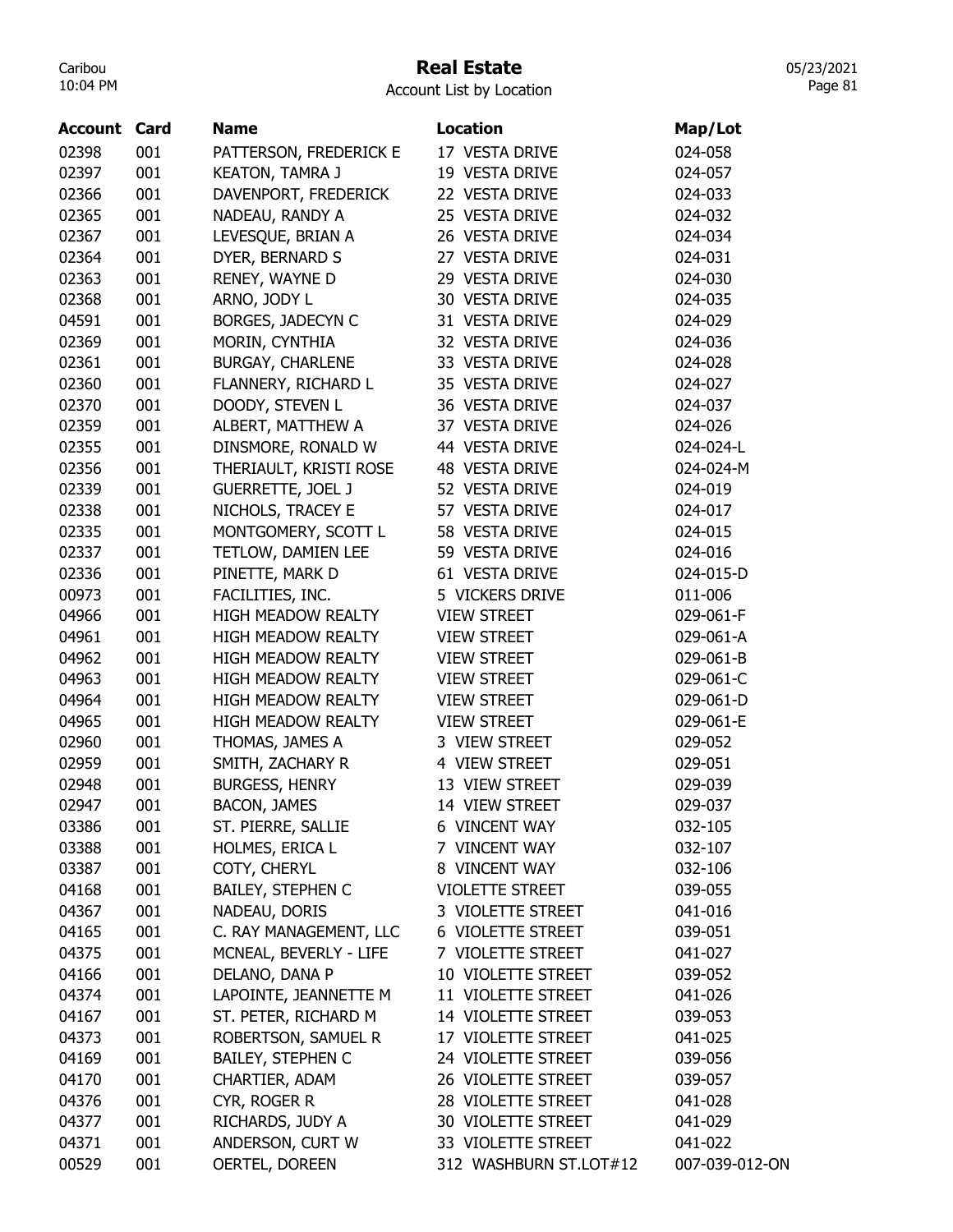# Real Estate

Account List by Location

| <b>Account Card</b> |     | <b>Name</b>               | <b>Location</b>        | Map/Lot        |
|---------------------|-----|---------------------------|------------------------|----------------|
| 02398               | 001 | PATTERSON, FREDERICK E    | 17 VESTA DRIVE         | 024-058        |
| 02397               | 001 | <b>KEATON, TAMRA J</b>    | 19 VESTA DRIVE         | 024-057        |
| 02366               | 001 | DAVENPORT, FREDERICK      | 22 VESTA DRIVE         | 024-033        |
| 02365               | 001 | NADEAU, RANDY A           | 25 VESTA DRIVE         | 024-032        |
| 02367               | 001 | LEVESQUE, BRIAN A         | 26 VESTA DRIVE         | 024-034        |
| 02364               | 001 | DYER, BERNARD S           | 27 VESTA DRIVE         | 024-031        |
| 02363               | 001 | RENEY, WAYNE D            | 29 VESTA DRIVE         | 024-030        |
| 02368               | 001 | ARNO, JODY L              | 30 VESTA DRIVE         | 024-035        |
| 04591               | 001 | BORGES, JADECYN C         | 31 VESTA DRIVE         | 024-029        |
| 02369               | 001 | MORIN, CYNTHIA            | 32 VESTA DRIVE         | 024-036        |
| 02361               | 001 | BURGAY, CHARLENE          | 33 VESTA DRIVE         | 024-028        |
| 02360               | 001 | FLANNERY, RICHARD L       | 35 VESTA DRIVE         | 024-027        |
| 02370               | 001 | DOODY, STEVEN L           | 36 VESTA DRIVE         | 024-037        |
| 02359               | 001 | ALBERT, MATTHEW A         | 37 VESTA DRIVE         | 024-026        |
| 02355               | 001 | DINSMORE, RONALD W        | 44 VESTA DRIVE         | 024-024-L      |
| 02356               | 001 | THERIAULT, KRISTI ROSE    | 48 VESTA DRIVE         | 024-024-M      |
| 02339               | 001 | <b>GUERRETTE, JOEL J</b>  | 52 VESTA DRIVE         | 024-019        |
| 02338               | 001 | NICHOLS, TRACEY E         | 57 VESTA DRIVE         | 024-017        |
| 02335               | 001 | MONTGOMERY, SCOTT L       | 58 VESTA DRIVE         | 024-015        |
| 02337               | 001 | TETLOW, DAMIEN LEE        | 59 VESTA DRIVE         | 024-016        |
| 02336               | 001 | PINETTE, MARK D           | 61 VESTA DRIVE         | 024-015-D      |
| 00973               | 001 | FACILITIES, INC.          | 5 VICKERS DRIVE        | 011-006        |
| 04966               | 001 | HIGH MEADOW REALTY        | <b>VIEW STREET</b>     | 029-061-F      |
| 04961               | 001 | <b>HIGH MEADOW REALTY</b> | <b>VIEW STREET</b>     | 029-061-A      |
| 04962               | 001 | <b>HIGH MEADOW REALTY</b> | <b>VIEW STREET</b>     | 029-061-B      |
| 04963               | 001 | <b>HIGH MEADOW REALTY</b> | <b>VIEW STREET</b>     | 029-061-C      |
| 04964               | 001 | <b>HIGH MEADOW REALTY</b> | <b>VIEW STREET</b>     | 029-061-D      |
| 04965               | 001 | <b>HIGH MEADOW REALTY</b> | <b>VIEW STREET</b>     | 029-061-E      |
| 02960               | 001 | THOMAS, JAMES A           | 3 VIEW STREET          | 029-052        |
| 02959               | 001 | SMITH, ZACHARY R          | 4 VIEW STREET          | 029-051        |
| 02948               | 001 | <b>BURGESS, HENRY</b>     | 13 VIEW STREET         | 029-039        |
| 02947               | 001 | <b>BACON, JAMES</b>       | 14 VIEW STREET         | 029-037        |
| 03386               | 001 | ST. PIERRE, SALLIE        | <b>6 VINCENT WAY</b>   | 032-105        |
| 03388               | 001 | HOLMES, ERICA L           | 7 VINCENT WAY          | 032-107        |
| 03387               | 001 | COTY, CHERYL              | 8 VINCENT WAY          | 032-106        |
| 04168               | 001 | <b>BAILEY, STEPHEN C</b>  | <b>VIOLETTE STREET</b> | 039-055        |
| 04367               | 001 | NADEAU, DORIS             | 3 VIOLETTE STREET      | 041-016        |
| 04165               | 001 | C. RAY MANAGEMENT, LLC    | 6 VIOLETTE STREET      | 039-051        |
| 04375               | 001 | MCNEAL, BEVERLY - LIFE    | 7 VIOLETTE STREET      | 041-027        |
| 04166               | 001 | DELANO, DANA P            | 10 VIOLETTE STREET     | 039-052        |
| 04374               | 001 | LAPOINTE, JEANNETTE M     | 11 VIOLETTE STREET     | 041-026        |
| 04167               | 001 | ST. PETER, RICHARD M      | 14 VIOLETTE STREET     | 039-053        |
| 04373               | 001 | ROBERTSON, SAMUEL R       | 17 VIOLETTE STREET     | 041-025        |
| 04169               | 001 | <b>BAILEY, STEPHEN C</b>  | 24 VIOLETTE STREET     | 039-056        |
| 04170               | 001 | CHARTIER, ADAM            | 26 VIOLETTE STREET     | 039-057        |
| 04376               | 001 | CYR, ROGER R              | 28 VIOLETTE STREET     | 041-028        |
| 04377               | 001 | RICHARDS, JUDY A          | 30 VIOLETTE STREET     | 041-029        |
| 04371               | 001 | ANDERSON, CURT W          | 33 VIOLETTE STREET     | 041-022        |
| 00529               | 001 | OERTEL, DOREEN            | 312 WASHBURN ST.LOT#12 | 007-039-012-ON |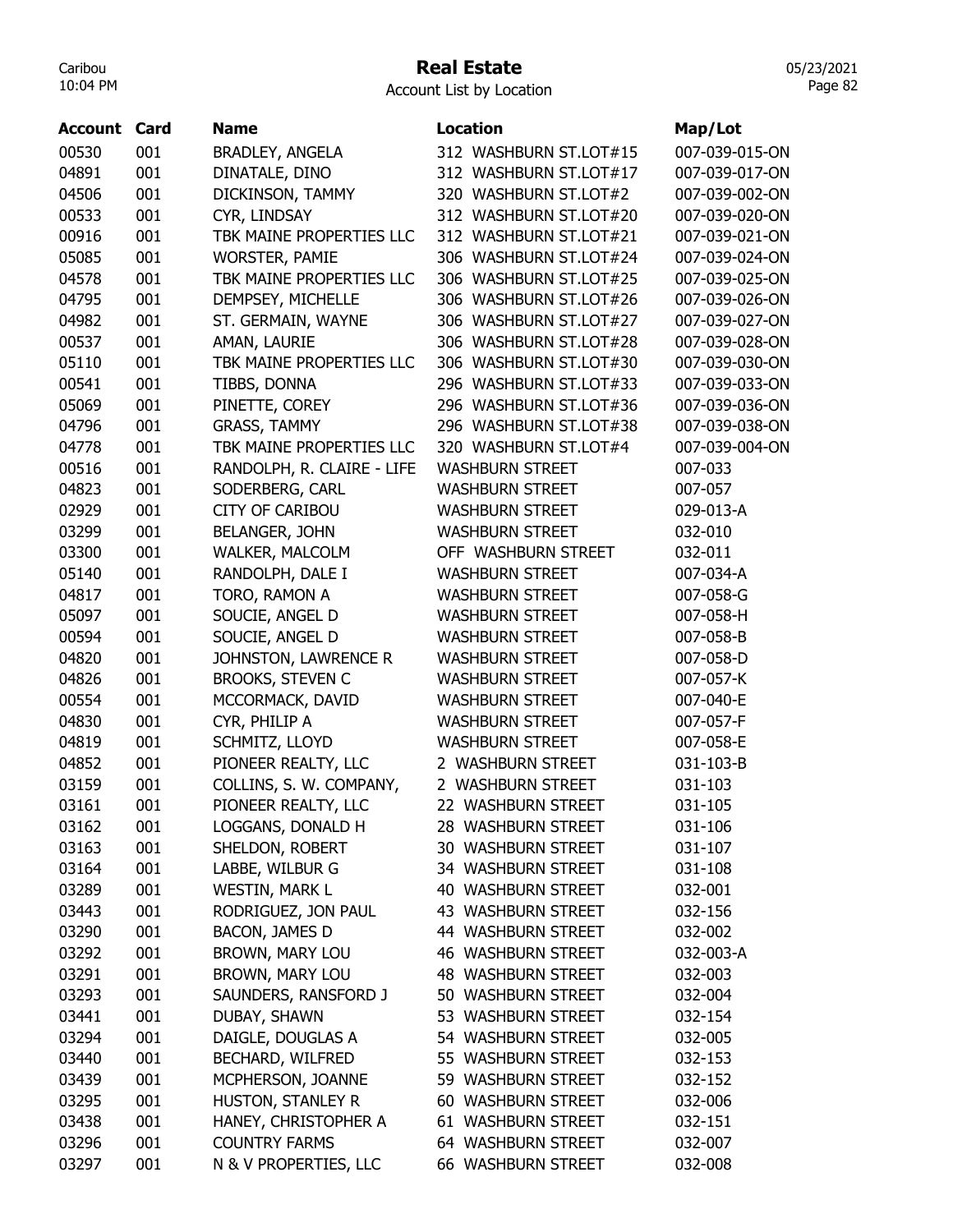# Real Estate

| <b>Account Card</b> |     | <b>Name</b>                       | <b>Location</b>        | Map/Lot        |
|---------------------|-----|-----------------------------------|------------------------|----------------|
| 00530               | 001 | <b>BRADLEY, ANGELA</b>            | 312 WASHBURN ST.LOT#15 | 007-039-015-ON |
| 04891               | 001 | DINATALE, DINO                    | 312 WASHBURN ST.LOT#17 | 007-039-017-ON |
| 04506               | 001 | DICKINSON, TAMMY                  | 320 WASHBURN ST.LOT#2  | 007-039-002-ON |
| 00533               | 001 | CYR, LINDSAY                      | 312 WASHBURN ST.LOT#20 | 007-039-020-ON |
| 00916               | 001 | TBK MAINE PROPERTIES LLC          | 312 WASHBURN ST.LOT#21 | 007-039-021-ON |
| 05085               | 001 | <b>WORSTER, PAMIE</b>             | 306 WASHBURN ST.LOT#24 | 007-039-024-ON |
| 04578               | 001 | TBK MAINE PROPERTIES LLC          | 306 WASHBURN ST.LOT#25 | 007-039-025-ON |
| 04795               | 001 | DEMPSEY, MICHELLE                 | 306 WASHBURN ST.LOT#26 | 007-039-026-ON |
| 04982               | 001 | ST. GERMAIN, WAYNE                | 306 WASHBURN ST.LOT#27 | 007-039-027-ON |
| 00537               | 001 | AMAN, LAURIE                      | 306 WASHBURN ST.LOT#28 | 007-039-028-ON |
| 05110               | 001 | TBK MAINE PROPERTIES LLC          | 306 WASHBURN ST.LOT#30 | 007-039-030-ON |
| 00541               | 001 | TIBBS, DONNA                      | 296 WASHBURN ST.LOT#33 | 007-039-033-ON |
| 05069               | 001 | PINETTE, COREY                    | 296 WASHBURN ST.LOT#36 | 007-039-036-ON |
| 04796               | 001 | <b>GRASS, TAMMY</b>               | 296 WASHBURN ST.LOT#38 | 007-039-038-ON |
| 04778               | 001 | TBK MAINE PROPERTIES LLC          | 320 WASHBURN ST.LOT#4  | 007-039-004-ON |
| 00516               | 001 | RANDOLPH, R. CLAIRE - LIFE        | <b>WASHBURN STREET</b> | 007-033        |
| 04823               | 001 | SODERBERG, CARL                   | <b>WASHBURN STREET</b> | 007-057        |
| 02929               | 001 | <b>CITY OF CARIBOU</b>            | <b>WASHBURN STREET</b> | 029-013-A      |
| 03299               | 001 | <b>BELANGER, JOHN</b>             | <b>WASHBURN STREET</b> | 032-010        |
| 03300               | 001 | WALKER, MALCOLM                   | OFF WASHBURN STREET    | 032-011        |
| 05140               | 001 | RANDOLPH, DALE I                  | <b>WASHBURN STREET</b> | 007-034-A      |
| 04817               | 001 | TORO, RAMON A                     | <b>WASHBURN STREET</b> | 007-058-G      |
| 05097               | 001 | SOUCIE, ANGEL D                   | <b>WASHBURN STREET</b> | 007-058-H      |
| 00594               | 001 | SOUCIE, ANGEL D                   | <b>WASHBURN STREET</b> | 007-058-B      |
| 04820               | 001 | JOHNSTON, LAWRENCE R              | <b>WASHBURN STREET</b> | 007-058-D      |
| 04826               | 001 | <b>BROOKS, STEVEN C</b>           | <b>WASHBURN STREET</b> | 007-057-K      |
| 00554               | 001 | MCCORMACK, DAVID                  | <b>WASHBURN STREET</b> | 007-040-E      |
| 04830               | 001 | CYR, PHILIP A                     | <b>WASHBURN STREET</b> | 007-057-F      |
| 04819               | 001 | SCHMITZ, LLOYD                    | <b>WASHBURN STREET</b> | 007-058-E      |
| 04852               | 001 | PIONEER REALTY, LLC               | 2 WASHBURN STREET      | 031-103-B      |
| 03159               | 001 | COLLINS, S. W. COMPANY,           | 2 WASHBURN STREET      | 031-103        |
| 03161               | 001 | PIONEER REALTY, LLC               | 22 WASHBURN STREET     | 031-105        |
| 03162               | 001 | LOGGANS, DONALD H                 | 28 WASHBURN STREET     | 031-106        |
| 03163               | 001 | SHELDON, ROBERT                   | 30 WASHBURN STREET     | 031-107        |
| 03164               | 001 | LABBE, WILBUR G                   | 34 WASHBURN STREET     | 031-108        |
| 03289               | 001 | <b>WESTIN, MARK L</b>             | 40 WASHBURN STREET     | 032-001        |
| 03443               | 001 | RODRIGUEZ, JON PAUL               | 43 WASHBURN STREET     | 032-156        |
| 03290               | 001 | BACON, JAMES D                    | 44 WASHBURN STREET     | 032-002        |
| 03292               | 001 | <b>BROWN, MARY LOU</b>            | 46 WASHBURN STREET     | 032-003-A      |
| 03291               | 001 | BROWN, MARY LOU                   | 48 WASHBURN STREET     | 032-003        |
| 03293               | 001 | SAUNDERS, RANSFORD J              | 50 WASHBURN STREET     | 032-004        |
| 03441               | 001 |                                   | 53 WASHBURN STREET     | 032-154        |
| 03294               | 001 | DUBAY, SHAWN<br>DAIGLE, DOUGLAS A | 54 WASHBURN STREET     | 032-005        |
|                     |     |                                   |                        |                |
| 03440               | 001 | BECHARD, WILFRED                  | 55 WASHBURN STREET     | 032-153        |
| 03439               | 001 | MCPHERSON, JOANNE                 | 59 WASHBURN STREET     | 032-152        |
| 03295               | 001 | HUSTON, STANLEY R                 | 60 WASHBURN STREET     | 032-006        |
| 03438               | 001 | HANEY, CHRISTOPHER A              | 61 WASHBURN STREET     | 032-151        |
| 03296               | 001 | <b>COUNTRY FARMS</b>              | 64 WASHBURN STREET     | 032-007        |
| 03297               | 001 | N & V PROPERTIES, LLC             | 66 WASHBURN STREET     | 032-008        |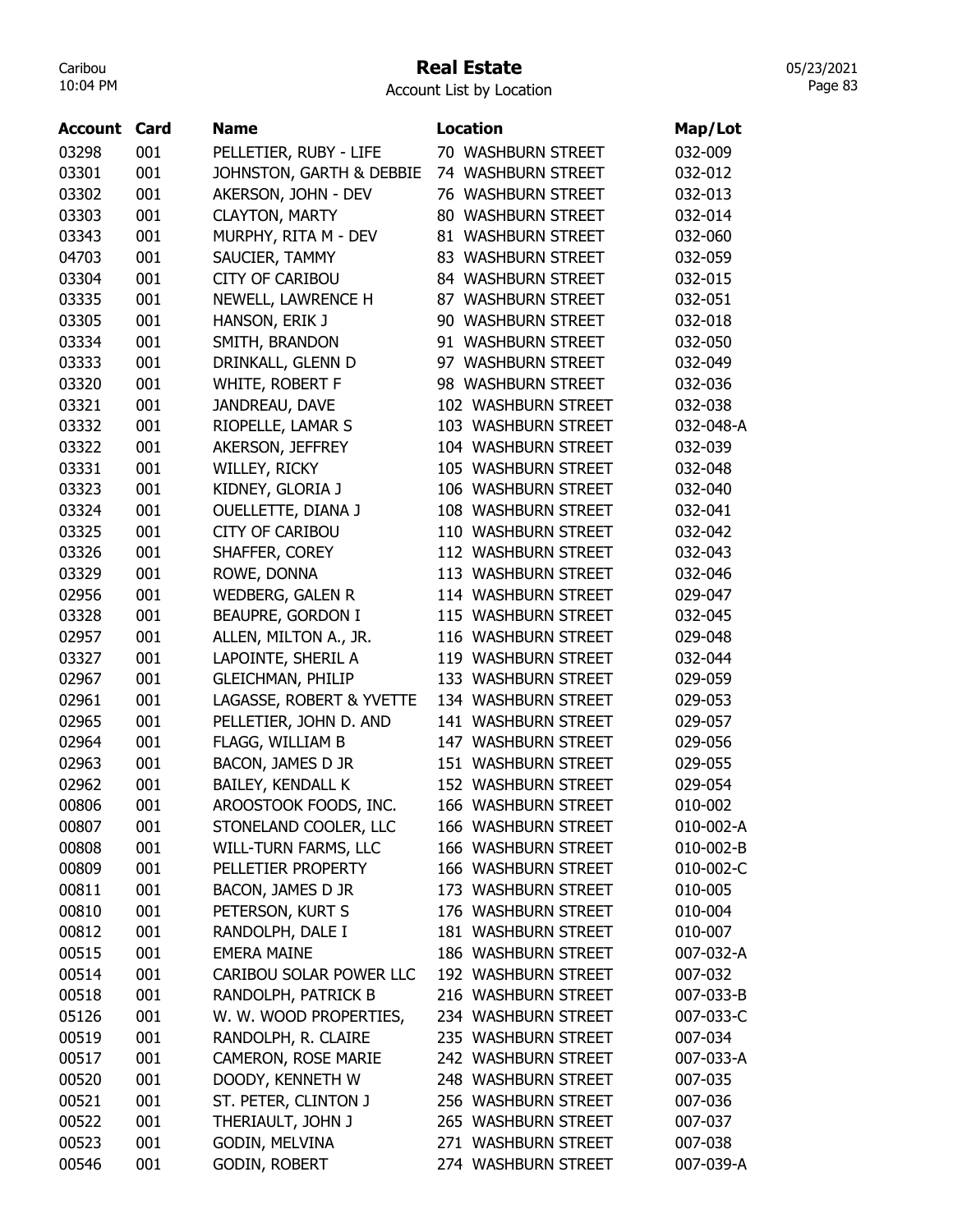#### Real Estate

05/23/2021 Page 83

| Account | Card | <b>Name</b>              | <b>Location</b>     | Map/Lot   |
|---------|------|--------------------------|---------------------|-----------|
| 03298   | 001  | PELLETIER, RUBY - LIFE   | 70 WASHBURN STREET  | 032-009   |
| 03301   | 001  | JOHNSTON, GARTH & DEBBIE | 74 WASHBURN STREET  | 032-012   |
| 03302   | 001  | AKERSON, JOHN - DEV      | 76 WASHBURN STREET  | 032-013   |
| 03303   | 001  | <b>CLAYTON, MARTY</b>    | 80 WASHBURN STREET  | 032-014   |
| 03343   | 001  | MURPHY, RITA M - DEV     | 81 WASHBURN STREET  | 032-060   |
| 04703   | 001  | SAUCIER, TAMMY           | 83 WASHBURN STREET  | 032-059   |
| 03304   | 001  | <b>CITY OF CARIBOU</b>   | 84 WASHBURN STREET  | 032-015   |
| 03335   | 001  | NEWELL, LAWRENCE H       | 87 WASHBURN STREET  | 032-051   |
| 03305   | 001  | HANSON, ERIK J           | 90 WASHBURN STREET  | 032-018   |
| 03334   | 001  | SMITH, BRANDON           | 91 WASHBURN STREET  | 032-050   |
| 03333   | 001  | DRINKALL, GLENN D        | 97 WASHBURN STREET  | 032-049   |
| 03320   | 001  | WHITE, ROBERT F          | 98 WASHBURN STREET  | 032-036   |
| 03321   | 001  | JANDREAU, DAVE           | 102 WASHBURN STREET | 032-038   |
| 03332   | 001  | RIOPELLE, LAMAR S        | 103 WASHBURN STREET | 032-048-A |
| 03322   | 001  | AKERSON, JEFFREY         | 104 WASHBURN STREET | 032-039   |
| 03331   | 001  | WILLEY, RICKY            | 105 WASHBURN STREET | 032-048   |
| 03323   | 001  | KIDNEY, GLORIA J         | 106 WASHBURN STREET | 032-040   |
| 03324   | 001  | OUELLETTE, DIANA J       | 108 WASHBURN STREET | 032-041   |
| 03325   | 001  | <b>CITY OF CARIBOU</b>   | 110 WASHBURN STREET | 032-042   |
| 03326   | 001  | SHAFFER, COREY           | 112 WASHBURN STREET | 032-043   |
| 03329   | 001  | ROWE, DONNA              | 113 WASHBURN STREET | 032-046   |
| 02956   | 001  | <b>WEDBERG, GALEN R</b>  | 114 WASHBURN STREET | 029-047   |
| 03328   | 001  | BEAUPRE, GORDON I        | 115 WASHBURN STREET | 032-045   |
| 02957   | 001  | ALLEN, MILTON A., JR.    | 116 WASHBURN STREET | 029-048   |
| 03327   | 001  | LAPOINTE, SHERIL A       | 119 WASHBURN STREET | 032-044   |
| 02967   | 001  | <b>GLEICHMAN, PHILIP</b> | 133 WASHBURN STREET | 029-059   |
| 02961   | 001  | LAGASSE, ROBERT & YVETTE | 134 WASHBURN STREET | 029-053   |
| 02965   | 001  | PELLETIER, JOHN D. AND   | 141 WASHBURN STREET | 029-057   |
| 02964   | 001  | FLAGG, WILLIAM B         | 147 WASHBURN STREET | 029-056   |
| 02963   | 001  | BACON, JAMES D JR        | 151 WASHBURN STREET | 029-055   |
| 02962   | 001  | BAILEY, KENDALL K        | 152 WASHBURN STREET | 029-054   |
| 00806   | 001  | AROOSTOOK FOODS, INC.    | 166 WASHBURN STREET | 010-002   |
| 00807   | 001  | STONELAND COOLER, LLC    | 166 WASHBURN STREET | 010-002-A |
| 00808   | 001  | WILL-TURN FARMS, LLC     | 166 WASHBURN STREET | 010-002-B |
| 00809   | 001  | PELLETIER PROPERTY       | 166 WASHBURN STREET | 010-002-C |
| 00811   | 001  | BACON, JAMES D JR        | 173 WASHBURN STREET | 010-005   |
| 00810   | 001  | PETERSON, KURT S         | 176 WASHBURN STREET | 010-004   |
| 00812   | 001  | RANDOLPH, DALE I         | 181 WASHBURN STREET | 010-007   |
| 00515   | 001  | <b>EMERA MAINE</b>       | 186 WASHBURN STREET | 007-032-A |
| 00514   | 001  | CARIBOU SOLAR POWER LLC  | 192 WASHBURN STREET | 007-032   |
| 00518   | 001  | RANDOLPH, PATRICK B      | 216 WASHBURN STREET | 007-033-B |
| 05126   | 001  | W. W. WOOD PROPERTIES,   | 234 WASHBURN STREET | 007-033-C |
| 00519   | 001  | RANDOLPH, R. CLAIRE      | 235 WASHBURN STREET | 007-034   |
| 00517   | 001  | CAMERON, ROSE MARIE      | 242 WASHBURN STREET | 007-033-A |
| 00520   | 001  | DOODY, KENNETH W         | 248 WASHBURN STREET | 007-035   |
| 00521   | 001  | ST. PETER, CLINTON J     | 256 WASHBURN STREET | 007-036   |
| 00522   | 001  | THERIAULT, JOHN J        | 265 WASHBURN STREET | 007-037   |
| 00523   | 001  | GODIN, MELVINA           | 271 WASHBURN STREET | 007-038   |
| 00546   | 001  | <b>GODIN, ROBERT</b>     | 274 WASHBURN STREET | 007-039-A |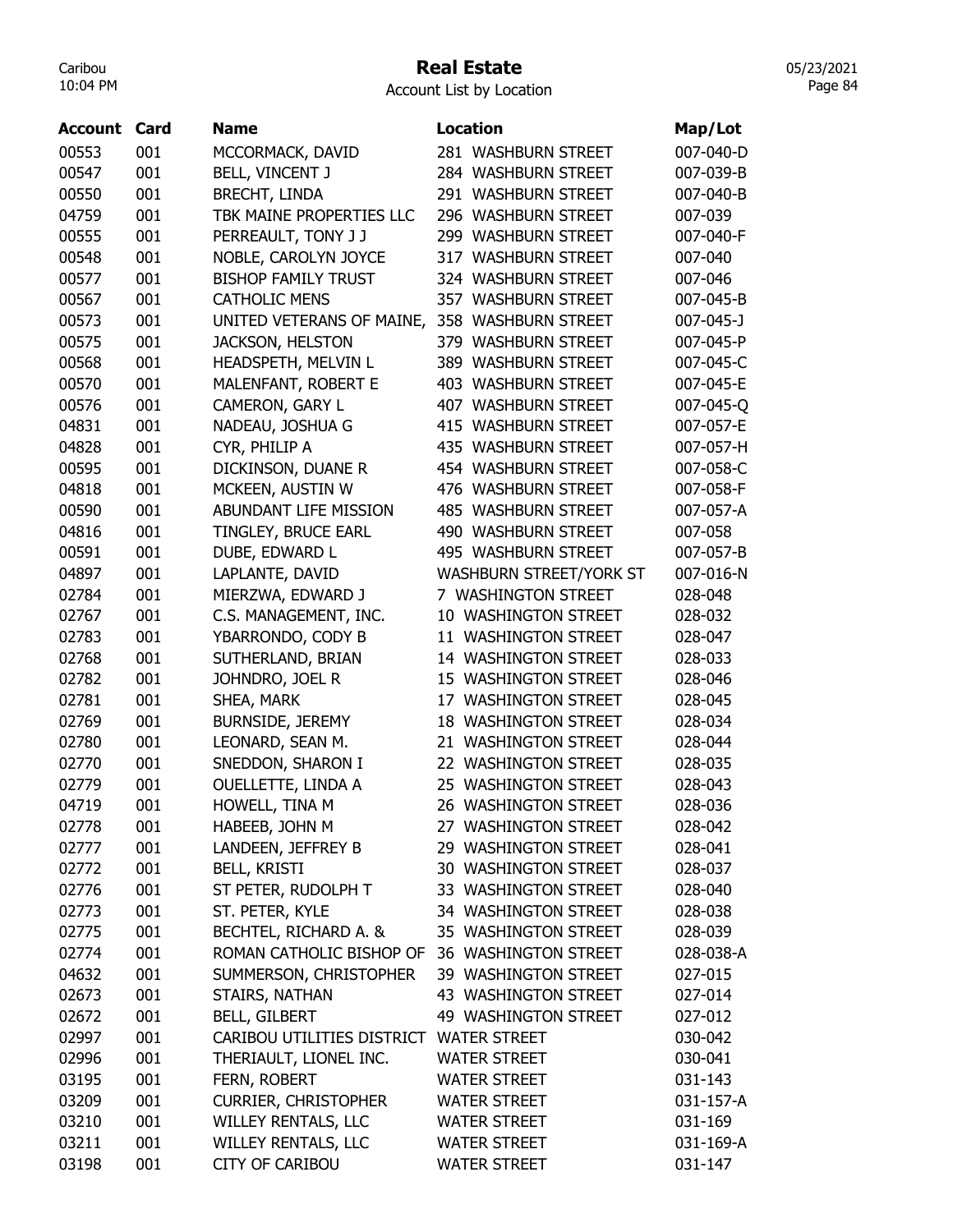## Real Estate

Account List by Location

| <b>Account</b> | Card | Name                        | <b>Location</b>               |                      |
|----------------|------|-----------------------------|-------------------------------|----------------------|
|                |      |                             |                               | Map/Lot<br>007-040-D |
| 00553          | 001  | MCCORMACK, DAVID            | 281 WASHBURN STREET           |                      |
| 00547          | 001  | BELL, VINCENT J             | 284 WASHBURN STREET           | 007-039-B            |
| 00550          | 001  | <b>BRECHT, LINDA</b>        | 291 WASHBURN STREET           | 007-040-B            |
| 04759          | 001  | TBK MAINE PROPERTIES LLC    | 296 WASHBURN STREET           | 007-039              |
| 00555          | 001  | PERREAULT, TONY J J         | 299 WASHBURN STREET           | 007-040-F            |
| 00548          | 001  | NOBLE, CAROLYN JOYCE        | 317 WASHBURN STREET           | 007-040              |
| 00577          | 001  | <b>BISHOP FAMILY TRUST</b>  | 324 WASHBURN STREET           | 007-046              |
| 00567          | 001  | <b>CATHOLIC MENS</b>        | 357 WASHBURN STREET           | 007-045-B            |
| 00573          | 001  | UNITED VETERANS OF MAINE,   | <b>WASHBURN STREET</b><br>358 | 007-045-J            |
| 00575          | 001  | <b>JACKSON, HELSTON</b>     | 379 WASHBURN STREET           | 007-045-P            |
| 00568          | 001  | HEADSPETH, MELVIN L         | 389 WASHBURN STREET           | 007-045-C            |
| 00570          | 001  | MALENFANT, ROBERT E         | 403 WASHBURN STREET           | 007-045-E            |
| 00576          | 001  | CAMERON, GARY L             | 407 WASHBURN STREET           | 007-045-Q            |
| 04831          | 001  | NADEAU, JOSHUA G            | 415 WASHBURN STREET           | 007-057-E            |
| 04828          | 001  | CYR, PHILIP A               | 435 WASHBURN STREET           | 007-057-H            |
| 00595          | 001  | DICKINSON, DUANE R          | 454 WASHBURN STREET           | 007-058-C            |
| 04818          | 001  | MCKEEN, AUSTIN W            | 476 WASHBURN STREET           | 007-058-F            |
| 00590          | 001  | ABUNDANT LIFE MISSION       | <b>485 WASHBURN STREET</b>    | 007-057-A            |
| 04816          | 001  | TINGLEY, BRUCE EARL         | 490 WASHBURN STREET           | 007-058              |
| 00591          | 001  | DUBE, EDWARD L              | 495 WASHBURN STREET           | 007-057-B            |
| 04897          | 001  | LAPLANTE, DAVID             | WASHBURN STREET/YORK ST       | 007-016-N            |
| 02784          | 001  | MIERZWA, EDWARD J           | 7 WASHINGTON STREET           | 028-048              |
| 02767          | 001  | C.S. MANAGEMENT, INC.       | 10 WASHINGTON STREET          | 028-032              |
| 02783          | 001  | YBARRONDO, CODY B           | 11 WASHINGTON STREET          | 028-047              |
| 02768          | 001  | SUTHERLAND, BRIAN           | 14 WASHINGTON STREET          | 028-033              |
| 02782          | 001  | JOHNDRO, JOEL R             | 15 WASHINGTON STREET          | 028-046              |
| 02781          | 001  | SHEA, MARK                  | 17 WASHINGTON STREET          | 028-045              |
| 02769          | 001  | <b>BURNSIDE, JEREMY</b>     | <b>18 WASHINGTON STREET</b>   | 028-034              |
| 02780          | 001  | LEONARD, SEAN M.            | 21 WASHINGTON STREET          | 028-044              |
| 02770          | 001  | SNEDDON, SHARON I           | 22 WASHINGTON STREET          | 028-035              |
| 02779          | 001  | <b>OUELLETTE, LINDA A</b>   | 25 WASHINGTON STREET          | 028-043              |
| 04719          | 001  | HOWELL, TINA M              | 26 WASHINGTON STREET          | 028-036              |
| 02778          | 001  | HABEEB, JOHN M              | 27 WASHINGTON STREET          | 028-042              |
|                | 001  | LANDEEN, JEFFREY B          | 29 WASHINGTON STREET          |                      |
| 02777<br>02772 | 001  | <b>BELL, KRISTI</b>         | 30 WASHINGTON STREET          | 028-041<br>028-037   |
|                |      | ST PETER, RUDOLPH T         | 33 WASHINGTON STREET          |                      |
| 02776          | 001  |                             | 34 WASHINGTON STREET          | 028-040              |
| 02773          | 001  | ST. PETER, KYLE             |                               | 028-038              |
| 02775          | 001  | BECHTEL, RICHARD A. &       | 35 WASHINGTON STREET          | 028-039              |
| 02774          | 001  | ROMAN CATHOLIC BISHOP OF    | 36 WASHINGTON STREET          | 028-038-A            |
| 04632          | 001  | SUMMERSON, CHRISTOPHER      | 39 WASHINGTON STREET          | 027-015              |
| 02673          | 001  | <b>STAIRS, NATHAN</b>       | 43 WASHINGTON STREET          | 027-014              |
| 02672          | 001  | <b>BELL, GILBERT</b>        | 49 WASHINGTON STREET          | 027-012              |
| 02997          | 001  | CARIBOU UTILITIES DISTRICT  | <b>WATER STREET</b>           | 030-042              |
| 02996          | 001  | THERIAULT, LIONEL INC.      | <b>WATER STREET</b>           | 030-041              |
| 03195          | 001  | FERN, ROBERT                | <b>WATER STREET</b>           | 031-143              |
| 03209          | 001  | <b>CURRIER, CHRISTOPHER</b> | <b>WATER STREET</b>           | 031-157-A            |
| 03210          | 001  | WILLEY RENTALS, LLC         | <b>WATER STREET</b>           | 031-169              |
| 03211          | 001  | WILLEY RENTALS, LLC         | <b>WATER STREET</b>           | 031-169-A            |
| 03198          | 001  | <b>CITY OF CARIBOU</b>      | <b>WATER STREET</b>           | 031-147              |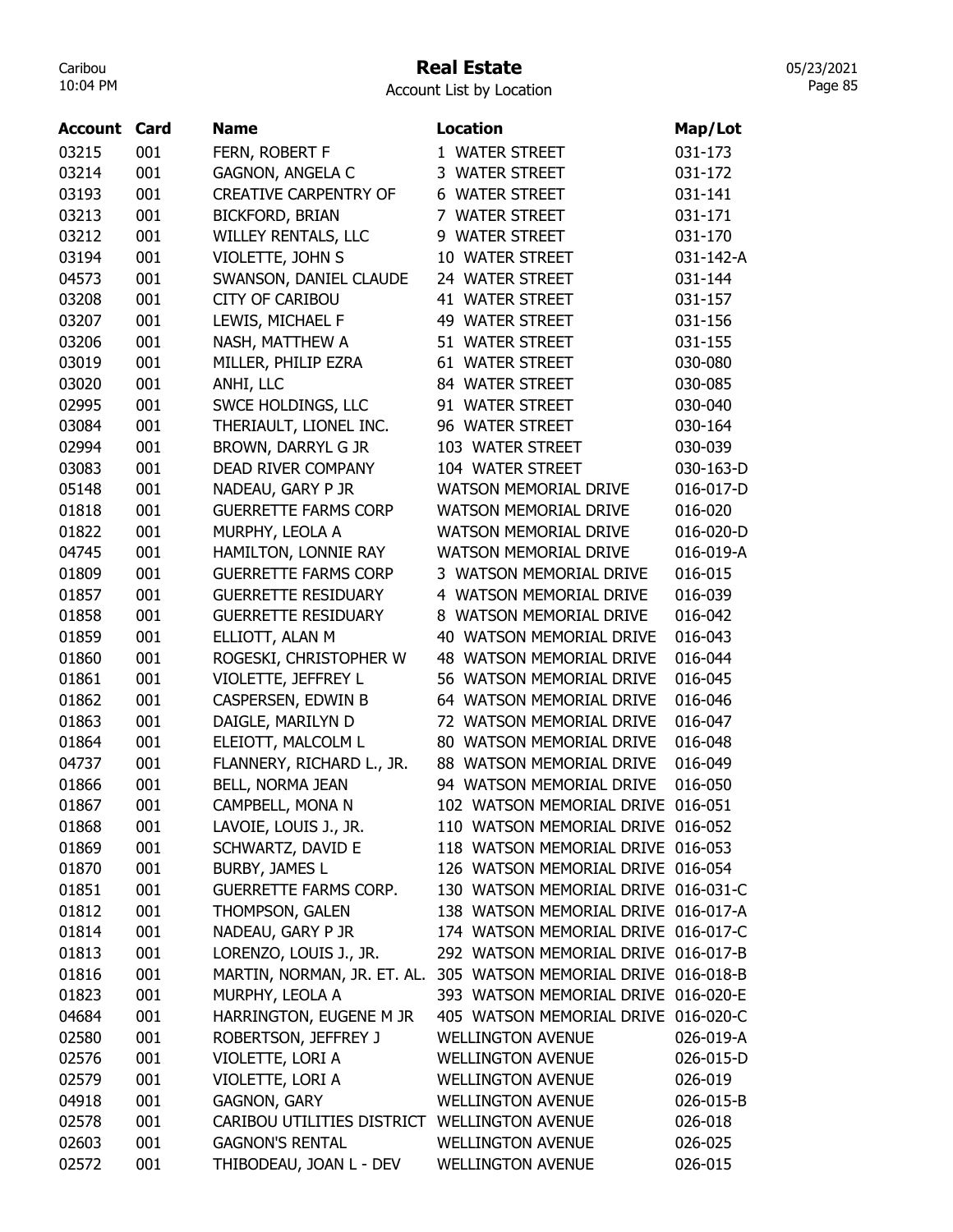# Real Estate

05/23/2021 Page 85

| <b>Account Card</b> |     | <b>Name</b>                                  | <b>Location</b>                                                 | Map/Lot   |
|---------------------|-----|----------------------------------------------|-----------------------------------------------------------------|-----------|
| 03215               | 001 | FERN, ROBERT F                               | 1 WATER STREET                                                  | 031-173   |
| 03214               | 001 | GAGNON, ANGELA C                             | 3 WATER STREET                                                  | 031-172   |
| 03193               | 001 | <b>CREATIVE CARPENTRY OF</b>                 | 6 WATER STREET                                                  | 031-141   |
| 03213               | 001 | <b>BICKFORD, BRIAN</b>                       | 7 WATER STREET                                                  | 031-171   |
| 03212               | 001 | WILLEY RENTALS, LLC                          | 9 WATER STREET                                                  | 031-170   |
| 03194               | 001 | VIOLETTE, JOHN S                             | 10 WATER STREET                                                 | 031-142-A |
| 04573               | 001 | SWANSON, DANIEL CLAUDE                       | 24 WATER STREET                                                 | 031-144   |
| 03208               | 001 | <b>CITY OF CARIBOU</b>                       | <b>41 WATER STREET</b>                                          | 031-157   |
| 03207               | 001 | LEWIS, MICHAEL F                             | 49 WATER STREET                                                 | 031-156   |
| 03206               | 001 | NASH, MATTHEW A                              | 51 WATER STREET                                                 | 031-155   |
| 03019               | 001 | MILLER, PHILIP EZRA                          | 61 WATER STREET                                                 | 030-080   |
| 03020               | 001 | ANHI, LLC                                    | 84 WATER STREET                                                 | 030-085   |
| 02995               | 001 | SWCE HOLDINGS, LLC                           | 91 WATER STREET                                                 | 030-040   |
| 03084               | 001 | THERIAULT, LIONEL INC.                       | 96 WATER STREET                                                 | 030-164   |
| 02994               | 001 | BROWN, DARRYL G JR                           | 103 WATER STREET                                                | 030-039   |
| 03083               | 001 | DEAD RIVER COMPANY                           | 104 WATER STREET                                                | 030-163-D |
| 05148               | 001 | NADEAU, GARY P JR                            | WATSON MEMORIAL DRIVE                                           | 016-017-D |
| 01818               | 001 | <b>GUERRETTE FARMS CORP</b>                  | <b>WATSON MEMORIAL DRIVE</b>                                    | 016-020   |
| 01822               | 001 | MURPHY, LEOLA A                              | <b>WATSON MEMORIAL DRIVE</b>                                    | 016-020-D |
| 04745               | 001 | HAMILTON, LONNIE RAY                         | <b>WATSON MEMORIAL DRIVE</b>                                    | 016-019-A |
| 01809               | 001 | <b>GUERRETTE FARMS CORP</b>                  | 3 WATSON MEMORIAL DRIVE                                         | 016-015   |
| 01857               | 001 | <b>GUERRETTE RESIDUARY</b>                   | 4 WATSON MEMORIAL DRIVE                                         | 016-039   |
| 01858               | 001 | <b>GUERRETTE RESIDUARY</b>                   | 8 WATSON MEMORIAL DRIVE                                         | 016-042   |
| 01859               | 001 | ELLIOTT, ALAN M                              | 40 WATSON MEMORIAL DRIVE                                        | 016-043   |
| 01860               | 001 | ROGESKI, CHRISTOPHER W                       | <b>48 WATSON MEMORIAL DRIVE</b>                                 | 016-044   |
| 01861               | 001 | VIOLETTE, JEFFREY L                          | 56 WATSON MEMORIAL DRIVE                                        | 016-045   |
| 01862               | 001 | CASPERSEN, EDWIN B                           | 64 WATSON MEMORIAL DRIVE                                        | 016-046   |
| 01863               | 001 | DAIGLE, MARILYN D                            | 72 WATSON MEMORIAL DRIVE                                        | 016-047   |
| 01864               | 001 | ELEIOTT, MALCOLM L                           | 80 WATSON MEMORIAL DRIVE                                        | 016-048   |
| 04737               | 001 | FLANNERY, RICHARD L., JR.                    | 88 WATSON MEMORIAL DRIVE                                        | 016-049   |
| 01866               | 001 | BELL, NORMA JEAN                             | 94 WATSON MEMORIAL DRIVE                                        | 016-050   |
| 01867               | 001 | CAMPBELL, MONA N                             | 102 WATSON MEMORIAL DRIVE                                       | 016-051   |
| 01868               | 001 | LAVOIE, LOUIS J., JR.                        | 110 WATSON MEMORIAL DRIVE 016-052                               |           |
| 01869               | 001 | SCHWARTZ, DAVID E                            | 118 WATSON MEMORIAL DRIVE 016-053                               |           |
| 01870               | 001 | BURBY, JAMES L                               | 126 WATSON MEMORIAL DRIVE 016-054                               |           |
| 01851               | 001 | <b>GUERRETTE FARMS CORP.</b>                 | 130 WATSON MEMORIAL DRIVE 016-031-C                             |           |
| 01812               | 001 | THOMPSON, GALEN                              | 138 WATSON MEMORIAL DRIVE 016-017-A                             |           |
| 01814               | 001 | NADEAU, GARY P JR                            | 174 WATSON MEMORIAL DRIVE 016-017-C                             |           |
| 01813               | 001 | LORENZO, LOUIS J., JR.                       | 292 WATSON MEMORIAL DRIVE 016-017-B                             |           |
| 01816               | 001 |                                              | MARTIN, NORMAN, JR. ET. AL. 305 WATSON MEMORIAL DRIVE 016-018-B |           |
| 01823               | 001 | MURPHY, LEOLA A                              | 393 WATSON MEMORIAL DRIVE 016-020-E                             |           |
| 04684               | 001 | HARRINGTON, EUGENE M JR                      | 405 WATSON MEMORIAL DRIVE 016-020-C                             |           |
| 02580               | 001 | ROBERTSON, JEFFREY J                         | <b>WELLINGTON AVENUE</b>                                        | 026-019-A |
| 02576               | 001 | VIOLETTE, LORI A                             | <b>WELLINGTON AVENUE</b>                                        | 026-015-D |
| 02579               | 001 | VIOLETTE, LORI A                             | <b>WELLINGTON AVENUE</b>                                        | 026-019   |
| 04918               | 001 | <b>GAGNON, GARY</b>                          | <b>WELLINGTON AVENUE</b>                                        | 026-015-B |
| 02578               | 001 | CARIBOU UTILITIES DISTRICT WELLINGTON AVENUE |                                                                 | 026-018   |
| 02603               | 001 | <b>GAGNON'S RENTAL</b>                       | <b>WELLINGTON AVENUE</b>                                        | 026-025   |
| 02572               | 001 | THIBODEAU, JOAN L - DEV                      | <b>WELLINGTON AVENUE</b>                                        | 026-015   |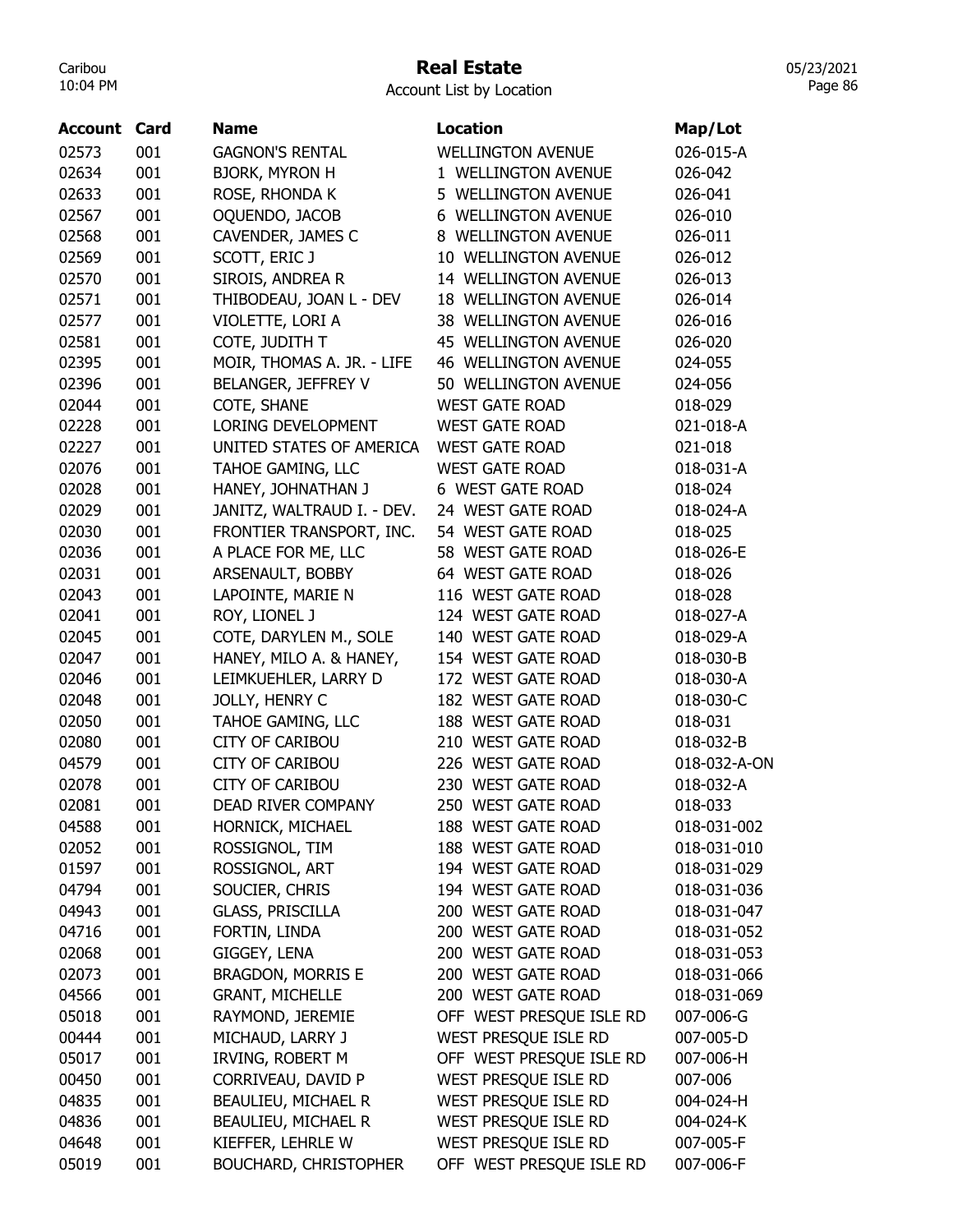# Real Estate

Account List by Location

| <b>Account Card</b> |     | <b>Name</b>                | <b>Location</b>             | Map/Lot      |
|---------------------|-----|----------------------------|-----------------------------|--------------|
| 02573               | 001 | <b>GAGNON'S RENTAL</b>     | <b>WELLINGTON AVENUE</b>    | 026-015-A    |
| 02634               | 001 | <b>BJORK, MYRON H</b>      | 1 WELLINGTON AVENUE         | 026-042      |
| 02633               | 001 | ROSE, RHONDA K             | 5 WELLINGTON AVENUE         | 026-041      |
| 02567               | 001 | OQUENDO, JACOB             | <b>6 WELLINGTON AVENUE</b>  | 026-010      |
| 02568               | 001 | CAVENDER, JAMES C          | 8 WELLINGTON AVENUE         | 026-011      |
| 02569               | 001 | SCOTT, ERIC J              | 10 WELLINGTON AVENUE        | 026-012      |
| 02570               | 001 | SIROIS, ANDREA R           | 14 WELLINGTON AVENUE        | 026-013      |
| 02571               | 001 | THIBODEAU, JOAN L - DEV    | 18 WELLINGTON AVENUE        | 026-014      |
| 02577               | 001 | VIOLETTE, LORI A           | 38 WELLINGTON AVENUE        | 026-016      |
| 02581               | 001 | COTE, JUDITH T             | 45 WELLINGTON AVENUE        | 026-020      |
| 02395               | 001 | MOIR, THOMAS A. JR. - LIFE | <b>46 WELLINGTON AVENUE</b> | 024-055      |
| 02396               | 001 | BELANGER, JEFFREY V        | 50 WELLINGTON AVENUE        | 024-056      |
| 02044               | 001 | COTE, SHANE                | <b>WEST GATE ROAD</b>       | 018-029      |
| 02228               | 001 | LORING DEVELOPMENT         | <b>WEST GATE ROAD</b>       | 021-018-A    |
|                     |     |                            |                             | 021-018      |
| 02227               | 001 | UNITED STATES OF AMERICA   | <b>WEST GATE ROAD</b>       |              |
| 02076               | 001 | TAHOE GAMING, LLC          | <b>WEST GATE ROAD</b>       | 018-031-A    |
| 02028               | 001 | HANEY, JOHNATHAN J         | 6 WEST GATE ROAD            | 018-024      |
| 02029               | 001 | JANITZ, WALTRAUD I. - DEV. | 24 WEST GATE ROAD           | 018-024-A    |
| 02030               | 001 | FRONTIER TRANSPORT, INC.   | 54 WEST GATE ROAD           | 018-025      |
| 02036               | 001 | A PLACE FOR ME, LLC        | 58 WEST GATE ROAD           | 018-026-E    |
| 02031               | 001 | ARSENAULT, BOBBY           | 64 WEST GATE ROAD           | 018-026      |
| 02043               | 001 | LAPOINTE, MARIE N          | 116 WEST GATE ROAD          | 018-028      |
| 02041               | 001 | ROY, LIONEL J              | 124 WEST GATE ROAD          | 018-027-A    |
| 02045               | 001 | COTE, DARYLEN M., SOLE     | 140 WEST GATE ROAD          | 018-029-A    |
| 02047               | 001 | HANEY, MILO A. & HANEY,    | 154 WEST GATE ROAD          | 018-030-B    |
| 02046               | 001 | LEIMKUEHLER, LARRY D       | 172 WEST GATE ROAD          | 018-030-A    |
| 02048               | 001 | JOLLY, HENRY C             | 182 WEST GATE ROAD          | 018-030-C    |
| 02050               | 001 | TAHOE GAMING, LLC          | 188 WEST GATE ROAD          | 018-031      |
| 02080               | 001 | <b>CITY OF CARIBOU</b>     | 210 WEST GATE ROAD          | 018-032-B    |
| 04579               | 001 | <b>CITY OF CARIBOU</b>     | 226 WEST GATE ROAD          | 018-032-A-ON |
| 02078               | 001 | <b>CITY OF CARIBOU</b>     | 230 WEST GATE ROAD          | 018-032-A    |
| 02081               | 001 | <b>DEAD RIVER COMPANY</b>  | 250 WEST GATE ROAD          | 018-033      |
| 04588               | 001 | HORNICK, MICHAEL           | 188 WEST GATE ROAD          | 018-031-002  |
| 02052               | 001 | ROSSIGNOL, TIM             | 188 WEST GATE ROAD          | 018-031-010  |
| 01597               | 001 | ROSSIGNOL, ART             | 194 WEST GATE ROAD          | 018-031-029  |
| 04794               | 001 | SOUCIER, CHRIS             | 194 WEST GATE ROAD          | 018-031-036  |
| 04943               | 001 | <b>GLASS, PRISCILLA</b>    | 200 WEST GATE ROAD          | 018-031-047  |
| 04716               | 001 | FORTIN, LINDA              | 200 WEST GATE ROAD          | 018-031-052  |
| 02068               | 001 | GIGGEY, LENA               | 200 WEST GATE ROAD          | 018-031-053  |
| 02073               | 001 | <b>BRAGDON, MORRIS E</b>   | 200 WEST GATE ROAD          | 018-031-066  |
| 04566               | 001 | <b>GRANT, MICHELLE</b>     | 200 WEST GATE ROAD          | 018-031-069  |
| 05018               | 001 | RAYMOND, JEREMIE           | OFF WEST PRESQUE ISLE RD    | 007-006-G    |
| 00444               | 001 | MICHAUD, LARRY J           | WEST PRESQUE ISLE RD        | 007-005-D    |
| 05017               | 001 | IRVING, ROBERT M           | OFF WEST PRESQUE ISLE RD    | 007-006-H    |
| 00450               | 001 | CORRIVEAU, DAVID P         | WEST PRESQUE ISLE RD        | 007-006      |
| 04835               | 001 | BEAULIEU, MICHAEL R        | WEST PRESQUE ISLE RD        | 004-024-H    |
| 04836               | 001 | BEAULIEU, MICHAEL R        | WEST PRESQUE ISLE RD        | 004-024-K    |
| 04648               | 001 | KIEFFER, LEHRLE W          | WEST PRESQUE ISLE RD        | 007-005-F    |
| 05019               | 001 | BOUCHARD, CHRISTOPHER      | OFF WEST PRESQUE ISLE RD    | 007-006-F    |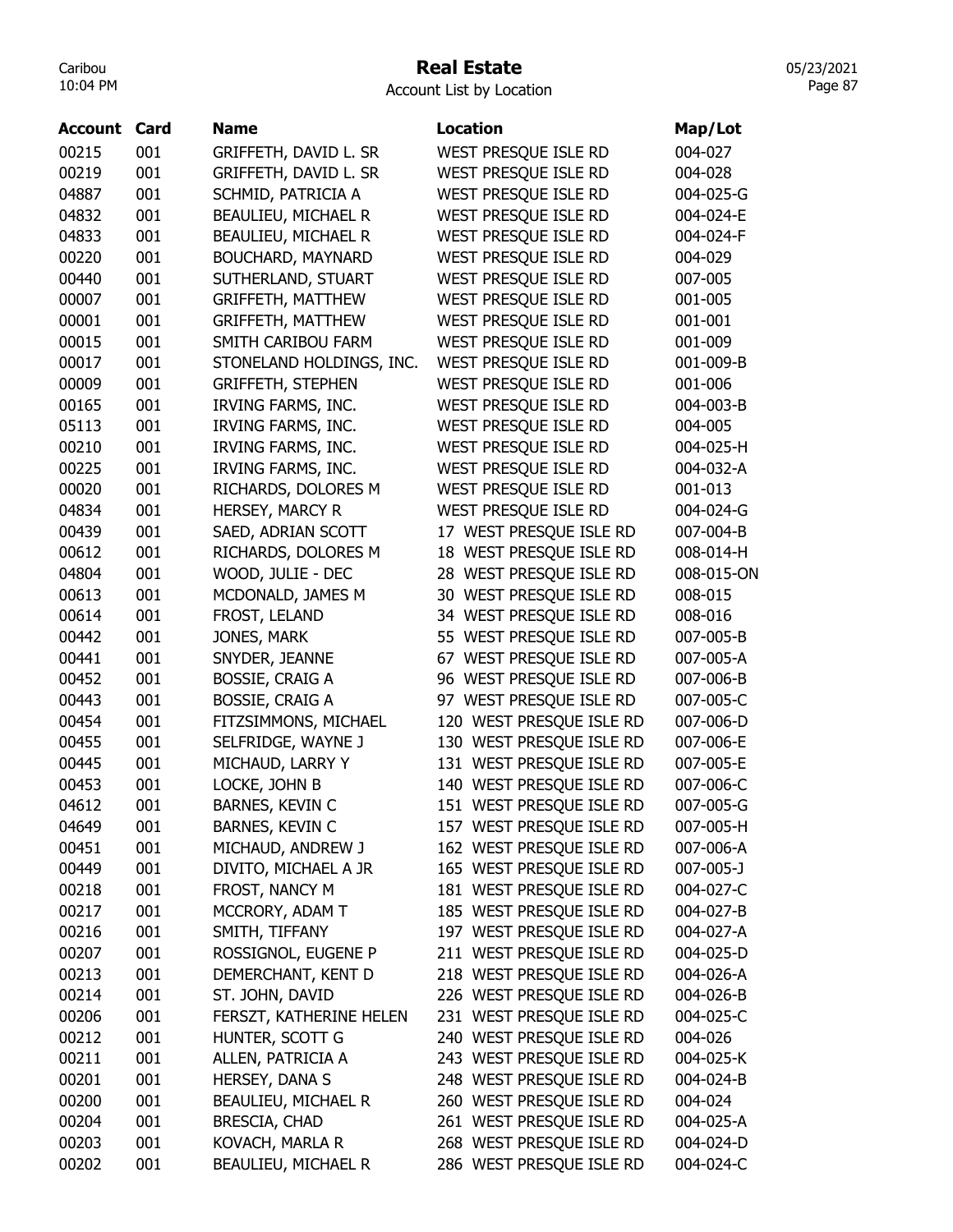# Real Estate

05/23/2021 Page 87

| Account | Card | Name                       | Location                 | Map/Lot    |
|---------|------|----------------------------|--------------------------|------------|
| 00215   | 001  | GRIFFETH, DAVID L. SR      | WEST PRESQUE ISLE RD     | 004-027    |
| 00219   | 001  | GRIFFETH, DAVID L. SR      | WEST PRESQUE ISLE RD     | 004-028    |
| 04887   | 001  | SCHMID, PATRICIA A         | WEST PRESQUE ISLE RD     | 004-025-G  |
| 04832   | 001  | BEAULIEU, MICHAEL R        | WEST PRESQUE ISLE RD     | 004-024-E  |
| 04833   | 001  | BEAULIEU, MICHAEL R        | WEST PRESQUE ISLE RD     | 004-024-F  |
| 00220   | 001  | BOUCHARD, MAYNARD          | WEST PRESQUE ISLE RD     | 004-029    |
| 00440   | 001  | SUTHERLAND, STUART         | WEST PRESQUE ISLE RD     | 007-005    |
| 00007   | 001  | <b>GRIFFETH, MATTHEW</b>   | WEST PRESQUE ISLE RD     | 001-005    |
| 00001   | 001  | <b>GRIFFETH, MATTHEW</b>   | WEST PRESQUE ISLE RD     | 001-001    |
| 00015   | 001  | SMITH CARIBOU FARM         | WEST PRESQUE ISLE RD     | 001-009    |
| 00017   | 001  | STONELAND HOLDINGS, INC.   | WEST PRESQUE ISLE RD     | 001-009-B  |
| 00009   | 001  | <b>GRIFFETH, STEPHEN</b>   | WEST PRESQUE ISLE RD     | 001-006    |
| 00165   | 001  | IRVING FARMS, INC.         | WEST PRESQUE ISLE RD     | 004-003-B  |
| 05113   | 001  | IRVING FARMS, INC.         | WEST PRESQUE ISLE RD     | 004-005    |
| 00210   | 001  | IRVING FARMS, INC.         | WEST PRESQUE ISLE RD     | 004-025-H  |
| 00225   | 001  | IRVING FARMS, INC.         | WEST PRESQUE ISLE RD     | 004-032-A  |
| 00020   | 001  | RICHARDS, DOLORES M        | WEST PRESQUE ISLE RD     | 001-013    |
| 04834   | 001  | HERSEY, MARCY R            | WEST PRESQUE ISLE RD     | 004-024-G  |
| 00439   | 001  | SAED, ADRIAN SCOTT         | 17 WEST PRESQUE ISLE RD  | 007-004-B  |
| 00612   | 001  | RICHARDS, DOLORES M        | 18 WEST PRESQUE ISLE RD  | 008-014-H  |
| 04804   | 001  | WOOD, JULIE - DEC          | 28 WEST PRESQUE ISLE RD  | 008-015-ON |
| 00613   | 001  | MCDONALD, JAMES M          | 30 WEST PRESQUE ISLE RD  | 008-015    |
| 00614   | 001  | FROST, LELAND              | 34 WEST PRESQUE ISLE RD  | 008-016    |
| 00442   | 001  | JONES, MARK                | 55 WEST PRESQUE ISLE RD  | 007-005-B  |
| 00441   | 001  | SNYDER, JEANNE             | 67 WEST PRESQUE ISLE RD  | 007-005-A  |
| 00452   | 001  | <b>BOSSIE, CRAIG A</b>     | 96 WEST PRESQUE ISLE RD  | 007-006-B  |
| 00443   | 001  | <b>BOSSIE, CRAIG A</b>     | 97 WEST PRESQUE ISLE RD  | 007-005-C  |
| 00454   | 001  | FITZSIMMONS, MICHAEL       | 120 WEST PRESQUE ISLE RD | 007-006-D  |
| 00455   | 001  | SELFRIDGE, WAYNE J         | 130 WEST PRESQUE ISLE RD | 007-006-E  |
| 00445   | 001  | MICHAUD, LARRY Y           | 131 WEST PRESQUE ISLE RD | 007-005-E  |
| 00453   | 001  | LOCKE, JOHN B              | 140 WEST PRESQUE ISLE RD | 007-006-C  |
| 04612   | 001  | BARNES, KEVIN C            | 151 WEST PRESQUE ISLE RD | 007-005-G  |
| 04649   | 001  | BARNES, KEVIN C            | 157 WEST PRESQUE ISLE RD | 007-005-H  |
| 00451   | 001  | MICHAUD, ANDREW J          | 162 WEST PRESQUE ISLE RD | 007-006-A  |
| 00449   | 001  | DIVITO, MICHAEL A JR       | 165 WEST PRESQUE ISLE RD | 007-005-J  |
| 00218   | 001  | FROST, NANCY M             | 181 WEST PRESQUE ISLE RD | 004-027-C  |
| 00217   | 001  | MCCRORY, ADAM T            | 185 WEST PRESQUE ISLE RD | 004-027-B  |
| 00216   | 001  | SMITH, TIFFANY             | 197 WEST PRESQUE ISLE RD | 004-027-A  |
| 00207   | 001  | ROSSIGNOL, EUGENE P        | 211 WEST PRESQUE ISLE RD | 004-025-D  |
| 00213   | 001  | DEMERCHANT, KENT D         | 218 WEST PRESQUE ISLE RD | 004-026-A  |
| 00214   | 001  | ST. JOHN, DAVID            | 226 WEST PRESQUE ISLE RD | 004-026-B  |
| 00206   | 001  | FERSZT, KATHERINE HELEN    | 231 WEST PRESQUE ISLE RD | 004-025-C  |
| 00212   | 001  | HUNTER, SCOTT G            | 240 WEST PRESQUE ISLE RD | 004-026    |
| 00211   | 001  | ALLEN, PATRICIA A          | 243 WEST PRESQUE ISLE RD | 004-025-K  |
| 00201   | 001  | HERSEY, DANA S             | 248 WEST PRESQUE ISLE RD | 004-024-B  |
| 00200   | 001  | <b>BEAULIEU, MICHAEL R</b> | 260 WEST PRESQUE ISLE RD | 004-024    |
| 00204   | 001  | <b>BRESCIA, CHAD</b>       | 261 WEST PRESQUE ISLE RD | 004-025-A  |
| 00203   | 001  | KOVACH, MARLA R            | 268 WEST PRESQUE ISLE RD | 004-024-D  |
| 00202   | 001  | <b>BEAULIEU, MICHAEL R</b> | 286 WEST PRESQUE ISLE RD | 004-024-C  |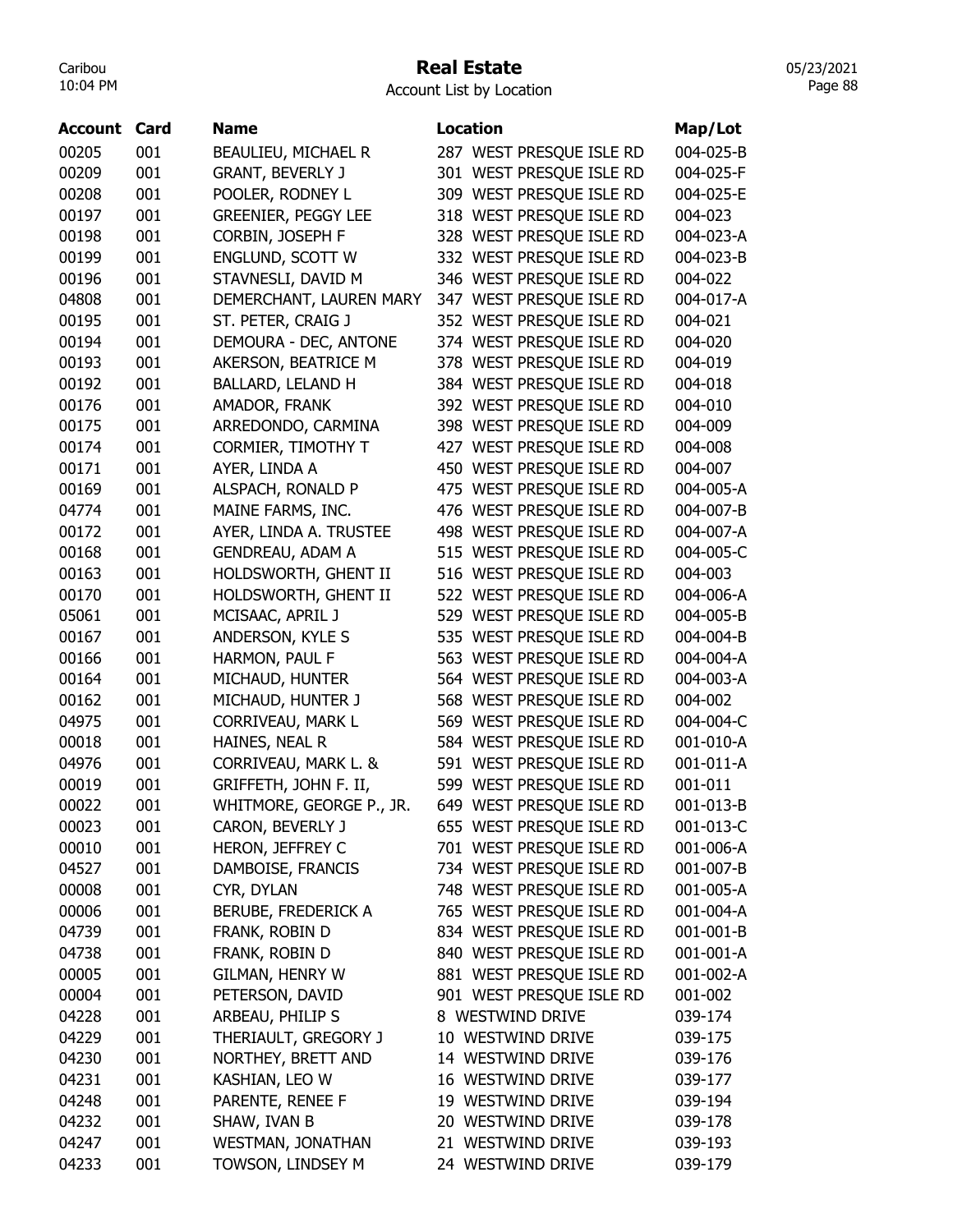## Real Estate

05/23/2021 Page 88

| <b>Account</b> | Card | <b>Name</b>                | <b>Location</b>          | Map/Lot   |
|----------------|------|----------------------------|--------------------------|-----------|
| 00205          | 001  | <b>BEAULIEU, MICHAEL R</b> | 287 WEST PRESQUE ISLE RD | 004-025-B |
| 00209          | 001  | <b>GRANT, BEVERLY J</b>    | 301 WEST PRESQUE ISLE RD | 004-025-F |
| 00208          | 001  |                            | 309 WEST PRESOUE ISLE RD | 004-025-E |
|                |      | POOLER, RODNEY L           |                          |           |
| 00197          | 001  | <b>GREENIER, PEGGY LEE</b> | 318 WEST PRESQUE ISLE RD | 004-023   |
| 00198          | 001  | CORBIN, JOSEPH F           | 328 WEST PRESQUE ISLE RD | 004-023-A |
| 00199          | 001  | ENGLUND, SCOTT W           | 332 WEST PRESQUE ISLE RD | 004-023-B |
| 00196          | 001  | STAVNESLI, DAVID M         | 346 WEST PRESQUE ISLE RD | 004-022   |
| 04808          | 001  | DEMERCHANT, LAUREN MARY    | 347 WEST PRESQUE ISLE RD | 004-017-A |
| 00195          | 001  | ST. PETER, CRAIG J         | 352 WEST PRESOUE ISLE RD | 004-021   |
| 00194          | 001  | DEMOURA - DEC, ANTONE      | 374 WEST PRESQUE ISLE RD | 004-020   |
| 00193          | 001  | AKERSON, BEATRICE M        | 378 WEST PRESQUE ISLE RD | 004-019   |
| 00192          | 001  | BALLARD, LELAND H          | 384 WEST PRESQUE ISLE RD | 004-018   |
| 00176          | 001  | AMADOR, FRANK              | 392 WEST PRESQUE ISLE RD | 004-010   |
| 00175          | 001  | ARREDONDO, CARMINA         | 398 WEST PRESQUE ISLE RD | 004-009   |
| 00174          | 001  | CORMIER, TIMOTHY T         | 427 WEST PRESQUE ISLE RD | 004-008   |
| 00171          | 001  | AYER, LINDA A              | 450 WEST PRESQUE ISLE RD | 004-007   |
| 00169          | 001  | ALSPACH, RONALD P          | 475 WEST PRESOUE ISLE RD | 004-005-A |
| 04774          | 001  | MAINE FARMS, INC.          | 476 WEST PRESQUE ISLE RD | 004-007-B |
| 00172          | 001  | AYER, LINDA A. TRUSTEE     | 498 WEST PRESQUE ISLE RD | 004-007-A |
| 00168          | 001  | <b>GENDREAU, ADAM A</b>    | 515 WEST PRESQUE ISLE RD | 004-005-C |
| 00163          | 001  | HOLDSWORTH, GHENT II       | 516 WEST PRESQUE ISLE RD | 004-003   |
| 00170          | 001  | HOLDSWORTH, GHENT II       | 522 WEST PRESQUE ISLE RD | 004-006-A |
| 05061          | 001  | MCISAAC, APRIL J           | 529 WEST PRESQUE ISLE RD | 004-005-B |
| 00167          | 001  | ANDERSON, KYLE S           | 535 WEST PRESQUE ISLE RD | 004-004-B |
| 00166          | 001  | HARMON, PAUL F             | 563 WEST PRESQUE ISLE RD | 004-004-A |
| 00164          | 001  | MICHAUD, HUNTER            | 564 WEST PRESQUE ISLE RD | 004-003-A |
| 00162          | 001  | MICHAUD, HUNTER J          | 568 WEST PRESQUE ISLE RD | 004-002   |
| 04975          | 001  | CORRIVEAU, MARK L          | 569 WEST PRESQUE ISLE RD | 004-004-C |
| 00018          | 001  | HAINES, NEAL R             | 584 WEST PRESQUE ISLE RD | 001-010-A |
| 04976          | 001  | CORRIVEAU, MARK L. &       | 591 WEST PRESQUE ISLE RD | 001-011-A |
| 00019          | 001  | GRIFFETH, JOHN F. II,      | 599 WEST PRESQUE ISLE RD | 001-011   |
| 00022          | 001  | WHITMORE, GEORGE P., JR.   | 649 WEST PRESQUE ISLE RD | 001-013-B |
| 00023          | 001  | CARON, BEVERLY J           | 655 WEST PRESQUE ISLE RD | 001-013-C |
| 00010          | 001  | HERON, JEFFREY C           | 701 WEST PRESQUE ISLE RD | 001-006-A |
| 04527          | 001  | DAMBOISE, FRANCIS          | 734 WEST PRESQUE ISLE RD | 001-007-B |
| 00008          | 001  | CYR, DYLAN                 | 748 WEST PRESQUE ISLE RD | 001-005-A |
| 00006          | 001  | BERUBE, FREDERICK A        | 765 WEST PRESQUE ISLE RD | 001-004-A |
| 04739          | 001  | FRANK, ROBIN D             | 834 WEST PRESQUE ISLE RD | 001-001-B |
|                |      |                            |                          |           |
| 04738          | 001  | FRANK, ROBIN D             | 840 WEST PRESQUE ISLE RD | 001-001-A |
| 00005          | 001  | GILMAN, HENRY W            | 881 WEST PRESQUE ISLE RD | 001-002-A |
| 00004          | 001  | PETERSON, DAVID            | 901 WEST PRESQUE ISLE RD | 001-002   |
| 04228          | 001  | ARBEAU, PHILIP S           | 8 WESTWIND DRIVE         | 039-174   |
| 04229          | 001  | THERIAULT, GREGORY J       | 10 WESTWIND DRIVE        | 039-175   |
| 04230          | 001  | NORTHEY, BRETT AND         | 14 WESTWIND DRIVE        | 039-176   |
| 04231          | 001  | KASHIAN, LEO W             | 16 WESTWIND DRIVE        | 039-177   |
| 04248          | 001  | PARENTE, RENEE F           | 19 WESTWIND DRIVE        | 039-194   |
| 04232          | 001  | SHAW, IVAN B               | 20 WESTWIND DRIVE        | 039-178   |
| 04247          | 001  | WESTMAN, JONATHAN          | 21 WESTWIND DRIVE        | 039-193   |
| 04233          | 001  | TOWSON, LINDSEY M          | 24 WESTWIND DRIVE        | 039-179   |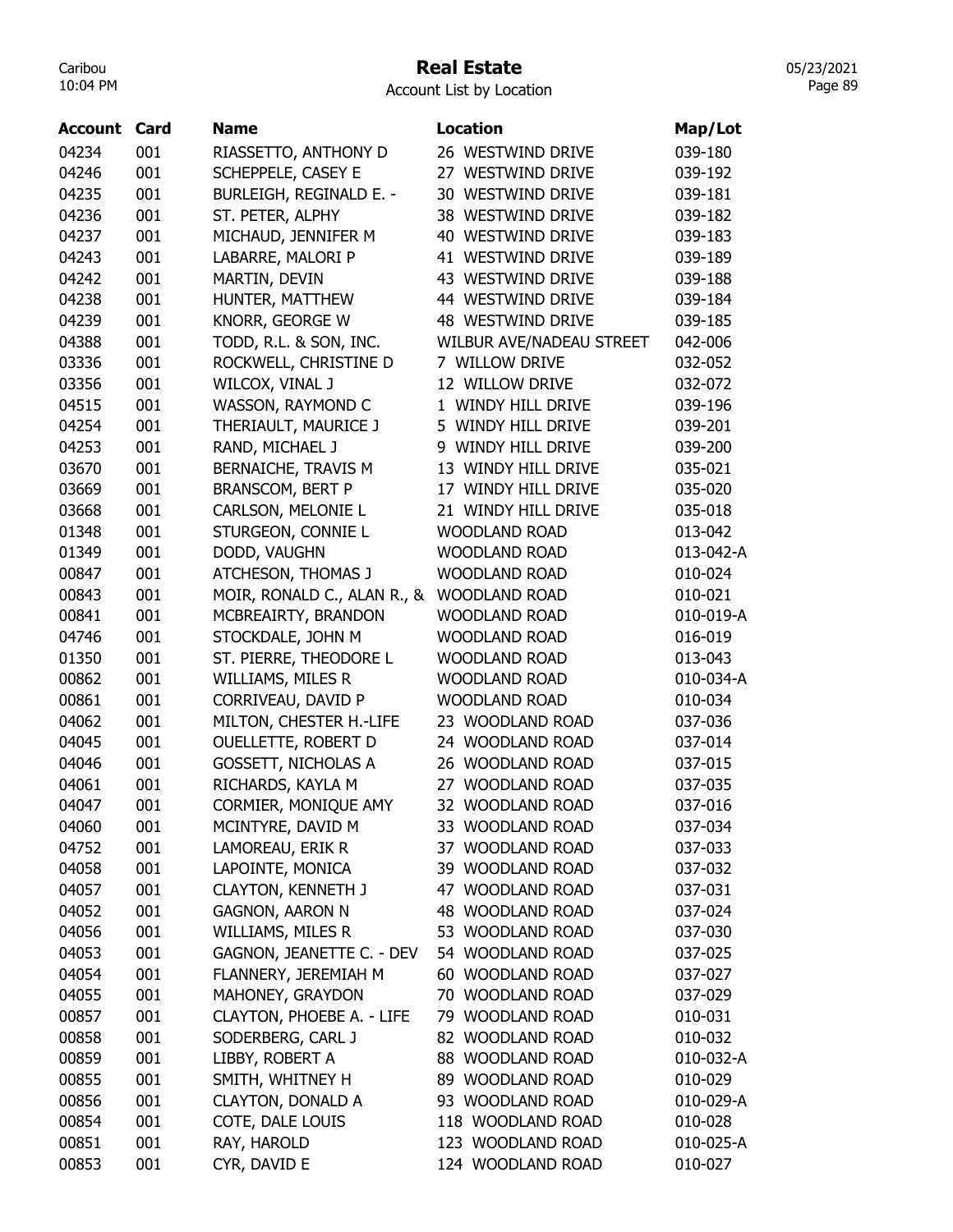# Real Estate

05/23/2021 Page 89

| Location<br><b>Account Card</b>                                           | Map/Lot   |
|---------------------------------------------------------------------------|-----------|
| 04234<br>001<br>RIASSETTO, ANTHONY D<br>26 WESTWIND DRIVE                 | 039-180   |
| 04246<br>001<br>SCHEPPELE, CASEY E<br>27 WESTWIND DRIVE                   | 039-192   |
| 04235<br>001<br>30 WESTWIND DRIVE<br>BURLEIGH, REGINALD E. -              | 039-181   |
| 04236<br>001<br>ST. PETER, ALPHY<br>38 WESTWIND DRIVE                     | 039-182   |
| 001<br>04237<br>MICHAUD, JENNIFER M<br>40 WESTWIND DRIVE                  | 039-183   |
| 001<br>04243<br>LABARRE, MALORI P<br>41 WESTWIND DRIVE                    | 039-189   |
| 04242<br>001<br>43 WESTWIND DRIVE<br>MARTIN, DEVIN                        | 039-188   |
| 04238<br>001<br>HUNTER, MATTHEW<br>44 WESTWIND DRIVE                      | 039-184   |
| KNORR, GEORGE W<br>04239<br>001<br>48 WESTWIND DRIVE                      | 039-185   |
| 04388<br>001<br><b>WILBUR AVE/NADEAU STREET</b><br>TODD, R.L. & SON, INC. | 042-006   |
| 03336<br>001<br>7 WILLOW DRIVE<br>ROCKWELL, CHRISTINE D                   | 032-052   |
| 03356<br>001<br>12 WILLOW DRIVE<br>WILCOX, VINAL J                        | 032-072   |
| 001<br>WASSON, RAYMOND C<br>04515<br>1 WINDY HILL DRIVE                   | 039-196   |
| 001<br>5 WINDY HILL DRIVE<br>04254<br>THERIAULT, MAURICE J                | 039-201   |
| 04253<br>001<br>RAND, MICHAEL J<br>9 WINDY HILL DRIVE                     | 039-200   |
| 001<br>BERNAICHE, TRAVIS M<br>13 WINDY HILL DRIVE<br>03670                | 035-021   |
| 03669<br>001<br><b>BRANSCOM, BERT P</b><br>17 WINDY HILL DRIVE            | 035-020   |
| 03668<br>001<br>CARLSON, MELONIE L<br>21 WINDY HILL DRIVE                 | 035-018   |
| 01348<br>001<br><b>WOODLAND ROAD</b><br>STURGEON, CONNIE L                | 013-042   |
| 01349<br>001<br>DODD, VAUGHN<br><b>WOODLAND ROAD</b>                      | 013-042-A |
| 00847<br>001<br>ATCHESON, THOMAS J<br><b>WOODLAND ROAD</b>                | 010-024   |
| 00843<br>001<br>MOIR, RONALD C., ALAN R., &<br><b>WOODLAND ROAD</b>       | 010-021   |
| 00841<br>001<br>MCBREAIRTY, BRANDON<br><b>WOODLAND ROAD</b>               | 010-019-A |
| 04746<br>001<br>STOCKDALE, JOHN M<br><b>WOODLAND ROAD</b>                 | 016-019   |
| 01350<br>001<br>ST. PIERRE, THEODORE L<br><b>WOODLAND ROAD</b>            | 013-043   |
| 00862<br>001<br><b>WOODLAND ROAD</b><br><b>WILLIAMS, MILES R</b>          | 010-034-A |
| 00861<br>001<br>CORRIVEAU, DAVID P<br><b>WOODLAND ROAD</b>                | 010-034   |
| 001<br>04062<br>MILTON, CHESTER H.-LIFE<br>23 WOODLAND ROAD               | 037-036   |
| 001<br>24 WOODLAND ROAD<br>04045<br><b>OUELLETTE, ROBERT D</b>            | 037-014   |
| 04046<br>001<br>26 WOODLAND ROAD<br><b>GOSSETT, NICHOLAS A</b>            | 037-015   |
| 04061<br>001<br>RICHARDS, KAYLA M<br>27 WOODLAND ROAD                     | 037-035   |
| CORMIER, MONIQUE AMY<br>04047<br>001<br>32<br><b>WOODLAND ROAD</b>        | 037-016   |
| 001<br>MCINTYRE, DAVID M<br>33 WOODLAND ROAD<br>04060                     | 037-034   |
| 001<br>37 WOODLAND ROAD<br>04752<br>LAMOREAU, ERIK R                      | 037-033   |
| LAPOINTE, MONICA<br>04058<br>001<br>39 WOODLAND ROAD                      | 037-032   |
| 04057<br>001<br><b>CLAYTON, KENNETH J</b><br>47 WOODLAND ROAD             | 037-031   |
| 04052<br>001<br><b>GAGNON, AARON N</b><br>48 WOODLAND ROAD                | 037-024   |
| 04056<br>001<br><b>WILLIAMS, MILES R</b><br>53 WOODLAND ROAD              | 037-030   |
| GAGNON, JEANETTE C. - DEV<br>54 WOODLAND ROAD<br>04053<br>001             | 037-025   |
| FLANNERY, JEREMIAH M<br>60 WOODLAND ROAD<br>04054<br>001                  | 037-027   |
| 001<br>MAHONEY, GRAYDON<br>70 WOODLAND ROAD<br>04055                      | 037-029   |
| 00857<br>001<br>79 WOODLAND ROAD<br>CLAYTON, PHOEBE A. - LIFE             | 010-031   |
| 00858<br>001<br>SODERBERG, CARL J<br>82 WOODLAND ROAD                     | 010-032   |
| 00859<br>88 WOODLAND ROAD<br>001<br>LIBBY, ROBERT A                       | 010-032-A |
| 00855<br>001<br>SMITH, WHITNEY H<br>89 WOODLAND ROAD                      | 010-029   |
| 00856<br>001<br><b>CLAYTON, DONALD A</b><br>93 WOODLAND ROAD              | 010-029-A |
| COTE, DALE LOUIS<br>118 WOODLAND ROAD<br>00854<br>001                     | 010-028   |
| RAY, HAROLD<br>00851<br>001<br>123 WOODLAND ROAD                          | 010-025-A |
| 00853<br>001<br>124 WOODLAND ROAD<br>CYR, DAVID E                         | 010-027   |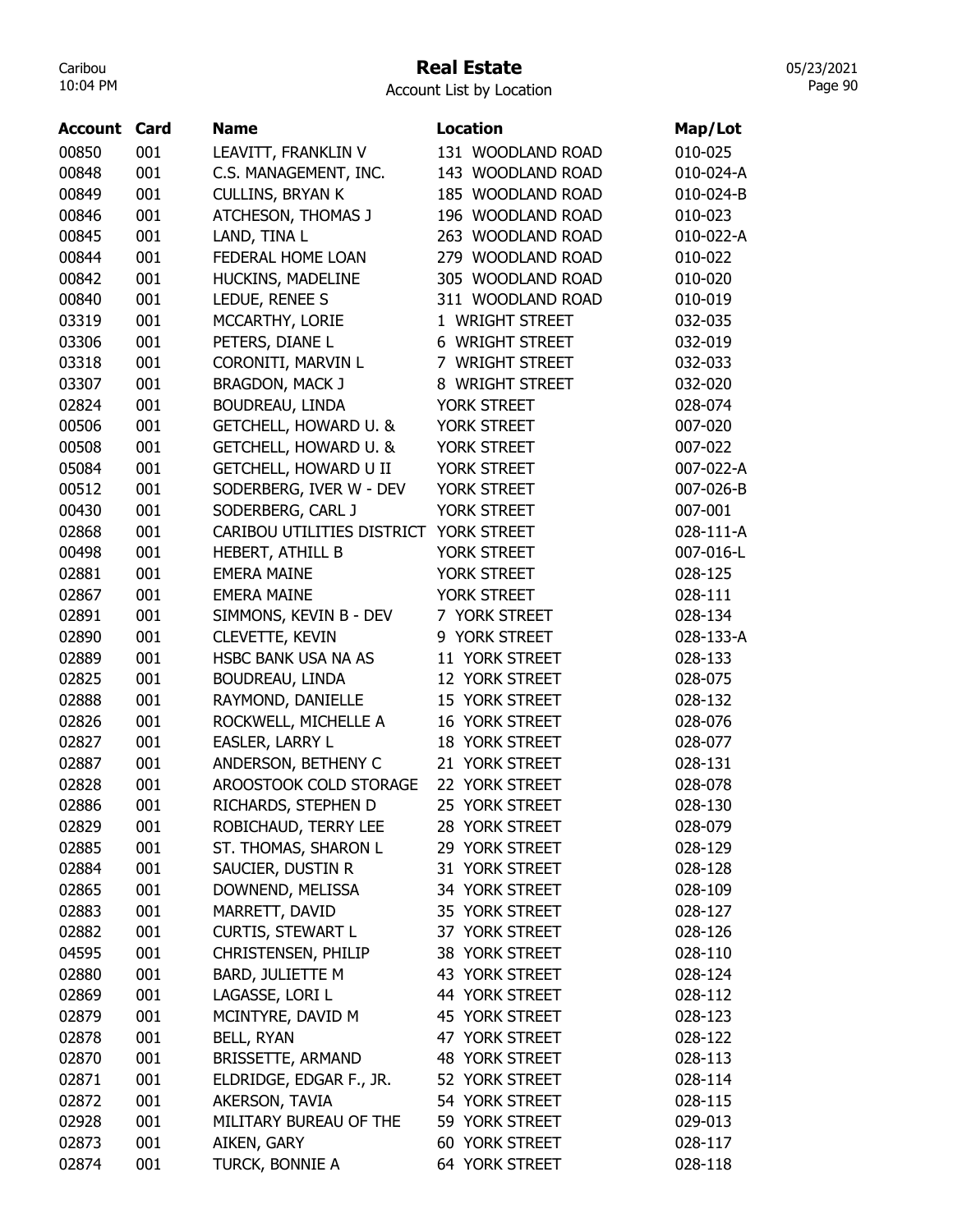# Real Estate

05/23/2021 Page 90

| 00850<br>010-025<br>001<br>131 WOODLAND ROAD<br>LEAVITT, FRANKLIN V<br>00848<br>001<br>C.S. MANAGEMENT, INC.<br>143 WOODLAND ROAD<br>010-024-A<br>00849<br>001<br><b>CULLINS, BRYAN K</b><br>185 WOODLAND ROAD<br>010-024-B<br>001<br>00846<br>ATCHESON, THOMAS J<br>196 WOODLAND ROAD<br>010-023<br>00845<br>001<br>LAND, TINA L<br>263 WOODLAND ROAD<br>010-022-A<br>00844<br>001<br>FEDERAL HOME LOAN<br>279 WOODLAND ROAD<br>010-022<br>00842<br>001<br>HUCKINS, MADELINE<br>305 WOODLAND ROAD<br>010-020<br>001<br>LEDUE, RENEE S<br>00840<br>311 WOODLAND ROAD<br>010-019<br>001<br>MCCARTHY, LORIE<br>03319<br>1 WRIGHT STREET<br>032-035<br>03306<br>001<br>PETERS, DIANE L<br>6 WRIGHT STREET<br>032-019<br>001<br>03318<br>CORONITI, MARVIN L<br>7 WRIGHT STREET<br>032-033<br>001<br>03307<br><b>BRAGDON, MACK J</b><br>8 WRIGHT STREET<br>032-020<br>02824<br>001<br>BOUDREAU, LINDA<br>YORK STREET<br>028-074<br>00506<br>001<br><b>GETCHELL, HOWARD U. &amp;</b><br>YORK STREET<br>007-020<br>001<br>00508<br>GETCHELL, HOWARD U. &<br>YORK STREET<br>007-022<br><b>GETCHELL, HOWARD U II</b><br>05084<br>001<br>YORK STREET<br>007-022-A<br>001<br>00512<br>SODERBERG, IVER W - DEV<br>YORK STREET<br>007-026-B<br>00430<br>001<br>SODERBERG, CARL J<br>YORK STREET<br>007-001<br>001<br>02868<br>CARIBOU UTILITIES DISTRICT<br>YORK STREET<br>028-111-A<br>001<br>00498<br>HEBERT, ATHILL B<br>YORK STREET<br>007-016-L<br>001<br>02881<br><b>EMERA MAINE</b><br>YORK STREET<br>028-125<br>001<br>02867<br><b>EMERA MAINE</b><br>YORK STREET<br>028-111<br>001<br>02891<br>SIMMONS, KEVIN B - DEV<br>7 YORK STREET<br>028-134<br>001<br>CLEVETTE, KEVIN<br>9 YORK STREET<br>02890<br>028-133-A<br>001<br>02889<br>HSBC BANK USA NA AS<br>11 YORK STREET<br>028-133<br>02825<br>001<br>BOUDREAU, LINDA<br>12 YORK STREET<br>028-075<br>02888<br>001<br>RAYMOND, DANIELLE<br>15 YORK STREET<br>028-132<br>16 YORK STREET<br>02826<br>001<br>ROCKWELL, MICHELLE A<br>028-076<br>02827<br>001<br>EASLER, LARRY L<br>18 YORK STREET<br>028-077<br>02887<br>001<br>ANDERSON, BETHENY C<br>21 YORK STREET<br>028-131<br>AROOSTOOK COLD STORAGE<br>02828<br>001<br>22 YORK STREET<br>028-078<br>25 YORK STREET<br>02886<br>001<br>RICHARDS, STEPHEN D<br>028-130<br>02829<br>001<br>ROBICHAUD, TERRY LEE<br>28 YORK STREET<br>028-079<br>ST. THOMAS, SHARON L<br>02885<br>001<br>29 YORK STREET<br>028-129<br>001<br>SAUCIER, DUSTIN R<br>31 YORK STREET<br>02884<br>028-128<br>001<br>DOWNEND, MELISSA<br>34 YORK STREET<br>02865<br>028-109<br>001<br>MARRETT, DAVID<br>02883<br>35 YORK STREET<br>028-127<br><b>CURTIS, STEWART L</b><br>001<br>02882<br>37 YORK STREET<br>028-126<br>04595<br>001<br>CHRISTENSEN, PHILIP<br>38 YORK STREET<br>028-110<br>02880<br>001<br>BARD, JULIETTE M<br>43 YORK STREET<br>028-124<br>02869<br>001<br>LAGASSE, LORI L<br>44 YORK STREET<br>028-112<br>MCINTYRE, DAVID M<br>02879<br>001<br>45 YORK STREET<br>028-123<br>02878<br>001<br><b>BELL, RYAN</b><br>47 YORK STREET<br>028-122<br>001<br>02870<br><b>BRISSETTE, ARMAND</b><br>48 YORK STREET<br>028-113<br>02871<br>001<br>ELDRIDGE, EDGAR F., JR.<br>52 YORK STREET<br>028-114<br>02872<br>001<br>AKERSON, TAVIA<br>54 YORK STREET<br>028-115<br>02928<br>001<br>MILITARY BUREAU OF THE<br>59 YORK STREET<br>029-013<br>02873<br>001<br>60 YORK STREET<br>AIKEN, GARY<br>028-117 | <b>Account Card</b> |     | <b>Name</b>     | <b>Location</b> | Map/Lot |
|-------------------------------------------------------------------------------------------------------------------------------------------------------------------------------------------------------------------------------------------------------------------------------------------------------------------------------------------------------------------------------------------------------------------------------------------------------------------------------------------------------------------------------------------------------------------------------------------------------------------------------------------------------------------------------------------------------------------------------------------------------------------------------------------------------------------------------------------------------------------------------------------------------------------------------------------------------------------------------------------------------------------------------------------------------------------------------------------------------------------------------------------------------------------------------------------------------------------------------------------------------------------------------------------------------------------------------------------------------------------------------------------------------------------------------------------------------------------------------------------------------------------------------------------------------------------------------------------------------------------------------------------------------------------------------------------------------------------------------------------------------------------------------------------------------------------------------------------------------------------------------------------------------------------------------------------------------------------------------------------------------------------------------------------------------------------------------------------------------------------------------------------------------------------------------------------------------------------------------------------------------------------------------------------------------------------------------------------------------------------------------------------------------------------------------------------------------------------------------------------------------------------------------------------------------------------------------------------------------------------------------------------------------------------------------------------------------------------------------------------------------------------------------------------------------------------------------------------------------------------------------------------------------------------------------------------------------------------------------------------------------------------------------------------------------------------------------------------------------------------------------------------------------------------------------------------------------------------------------------------------------------------------------------------------------------------------------------------------------------------------------------------|---------------------|-----|-----------------|-----------------|---------|
|                                                                                                                                                                                                                                                                                                                                                                                                                                                                                                                                                                                                                                                                                                                                                                                                                                                                                                                                                                                                                                                                                                                                                                                                                                                                                                                                                                                                                                                                                                                                                                                                                                                                                                                                                                                                                                                                                                                                                                                                                                                                                                                                                                                                                                                                                                                                                                                                                                                                                                                                                                                                                                                                                                                                                                                                                                                                                                                                                                                                                                                                                                                                                                                                                                                                                                                                                                                           |                     |     |                 |                 |         |
|                                                                                                                                                                                                                                                                                                                                                                                                                                                                                                                                                                                                                                                                                                                                                                                                                                                                                                                                                                                                                                                                                                                                                                                                                                                                                                                                                                                                                                                                                                                                                                                                                                                                                                                                                                                                                                                                                                                                                                                                                                                                                                                                                                                                                                                                                                                                                                                                                                                                                                                                                                                                                                                                                                                                                                                                                                                                                                                                                                                                                                                                                                                                                                                                                                                                                                                                                                                           |                     |     |                 |                 |         |
|                                                                                                                                                                                                                                                                                                                                                                                                                                                                                                                                                                                                                                                                                                                                                                                                                                                                                                                                                                                                                                                                                                                                                                                                                                                                                                                                                                                                                                                                                                                                                                                                                                                                                                                                                                                                                                                                                                                                                                                                                                                                                                                                                                                                                                                                                                                                                                                                                                                                                                                                                                                                                                                                                                                                                                                                                                                                                                                                                                                                                                                                                                                                                                                                                                                                                                                                                                                           |                     |     |                 |                 |         |
|                                                                                                                                                                                                                                                                                                                                                                                                                                                                                                                                                                                                                                                                                                                                                                                                                                                                                                                                                                                                                                                                                                                                                                                                                                                                                                                                                                                                                                                                                                                                                                                                                                                                                                                                                                                                                                                                                                                                                                                                                                                                                                                                                                                                                                                                                                                                                                                                                                                                                                                                                                                                                                                                                                                                                                                                                                                                                                                                                                                                                                                                                                                                                                                                                                                                                                                                                                                           |                     |     |                 |                 |         |
|                                                                                                                                                                                                                                                                                                                                                                                                                                                                                                                                                                                                                                                                                                                                                                                                                                                                                                                                                                                                                                                                                                                                                                                                                                                                                                                                                                                                                                                                                                                                                                                                                                                                                                                                                                                                                                                                                                                                                                                                                                                                                                                                                                                                                                                                                                                                                                                                                                                                                                                                                                                                                                                                                                                                                                                                                                                                                                                                                                                                                                                                                                                                                                                                                                                                                                                                                                                           |                     |     |                 |                 |         |
|                                                                                                                                                                                                                                                                                                                                                                                                                                                                                                                                                                                                                                                                                                                                                                                                                                                                                                                                                                                                                                                                                                                                                                                                                                                                                                                                                                                                                                                                                                                                                                                                                                                                                                                                                                                                                                                                                                                                                                                                                                                                                                                                                                                                                                                                                                                                                                                                                                                                                                                                                                                                                                                                                                                                                                                                                                                                                                                                                                                                                                                                                                                                                                                                                                                                                                                                                                                           |                     |     |                 |                 |         |
|                                                                                                                                                                                                                                                                                                                                                                                                                                                                                                                                                                                                                                                                                                                                                                                                                                                                                                                                                                                                                                                                                                                                                                                                                                                                                                                                                                                                                                                                                                                                                                                                                                                                                                                                                                                                                                                                                                                                                                                                                                                                                                                                                                                                                                                                                                                                                                                                                                                                                                                                                                                                                                                                                                                                                                                                                                                                                                                                                                                                                                                                                                                                                                                                                                                                                                                                                                                           |                     |     |                 |                 |         |
|                                                                                                                                                                                                                                                                                                                                                                                                                                                                                                                                                                                                                                                                                                                                                                                                                                                                                                                                                                                                                                                                                                                                                                                                                                                                                                                                                                                                                                                                                                                                                                                                                                                                                                                                                                                                                                                                                                                                                                                                                                                                                                                                                                                                                                                                                                                                                                                                                                                                                                                                                                                                                                                                                                                                                                                                                                                                                                                                                                                                                                                                                                                                                                                                                                                                                                                                                                                           |                     |     |                 |                 |         |
|                                                                                                                                                                                                                                                                                                                                                                                                                                                                                                                                                                                                                                                                                                                                                                                                                                                                                                                                                                                                                                                                                                                                                                                                                                                                                                                                                                                                                                                                                                                                                                                                                                                                                                                                                                                                                                                                                                                                                                                                                                                                                                                                                                                                                                                                                                                                                                                                                                                                                                                                                                                                                                                                                                                                                                                                                                                                                                                                                                                                                                                                                                                                                                                                                                                                                                                                                                                           |                     |     |                 |                 |         |
|                                                                                                                                                                                                                                                                                                                                                                                                                                                                                                                                                                                                                                                                                                                                                                                                                                                                                                                                                                                                                                                                                                                                                                                                                                                                                                                                                                                                                                                                                                                                                                                                                                                                                                                                                                                                                                                                                                                                                                                                                                                                                                                                                                                                                                                                                                                                                                                                                                                                                                                                                                                                                                                                                                                                                                                                                                                                                                                                                                                                                                                                                                                                                                                                                                                                                                                                                                                           |                     |     |                 |                 |         |
|                                                                                                                                                                                                                                                                                                                                                                                                                                                                                                                                                                                                                                                                                                                                                                                                                                                                                                                                                                                                                                                                                                                                                                                                                                                                                                                                                                                                                                                                                                                                                                                                                                                                                                                                                                                                                                                                                                                                                                                                                                                                                                                                                                                                                                                                                                                                                                                                                                                                                                                                                                                                                                                                                                                                                                                                                                                                                                                                                                                                                                                                                                                                                                                                                                                                                                                                                                                           |                     |     |                 |                 |         |
|                                                                                                                                                                                                                                                                                                                                                                                                                                                                                                                                                                                                                                                                                                                                                                                                                                                                                                                                                                                                                                                                                                                                                                                                                                                                                                                                                                                                                                                                                                                                                                                                                                                                                                                                                                                                                                                                                                                                                                                                                                                                                                                                                                                                                                                                                                                                                                                                                                                                                                                                                                                                                                                                                                                                                                                                                                                                                                                                                                                                                                                                                                                                                                                                                                                                                                                                                                                           |                     |     |                 |                 |         |
|                                                                                                                                                                                                                                                                                                                                                                                                                                                                                                                                                                                                                                                                                                                                                                                                                                                                                                                                                                                                                                                                                                                                                                                                                                                                                                                                                                                                                                                                                                                                                                                                                                                                                                                                                                                                                                                                                                                                                                                                                                                                                                                                                                                                                                                                                                                                                                                                                                                                                                                                                                                                                                                                                                                                                                                                                                                                                                                                                                                                                                                                                                                                                                                                                                                                                                                                                                                           |                     |     |                 |                 |         |
|                                                                                                                                                                                                                                                                                                                                                                                                                                                                                                                                                                                                                                                                                                                                                                                                                                                                                                                                                                                                                                                                                                                                                                                                                                                                                                                                                                                                                                                                                                                                                                                                                                                                                                                                                                                                                                                                                                                                                                                                                                                                                                                                                                                                                                                                                                                                                                                                                                                                                                                                                                                                                                                                                                                                                                                                                                                                                                                                                                                                                                                                                                                                                                                                                                                                                                                                                                                           |                     |     |                 |                 |         |
|                                                                                                                                                                                                                                                                                                                                                                                                                                                                                                                                                                                                                                                                                                                                                                                                                                                                                                                                                                                                                                                                                                                                                                                                                                                                                                                                                                                                                                                                                                                                                                                                                                                                                                                                                                                                                                                                                                                                                                                                                                                                                                                                                                                                                                                                                                                                                                                                                                                                                                                                                                                                                                                                                                                                                                                                                                                                                                                                                                                                                                                                                                                                                                                                                                                                                                                                                                                           |                     |     |                 |                 |         |
|                                                                                                                                                                                                                                                                                                                                                                                                                                                                                                                                                                                                                                                                                                                                                                                                                                                                                                                                                                                                                                                                                                                                                                                                                                                                                                                                                                                                                                                                                                                                                                                                                                                                                                                                                                                                                                                                                                                                                                                                                                                                                                                                                                                                                                                                                                                                                                                                                                                                                                                                                                                                                                                                                                                                                                                                                                                                                                                                                                                                                                                                                                                                                                                                                                                                                                                                                                                           |                     |     |                 |                 |         |
|                                                                                                                                                                                                                                                                                                                                                                                                                                                                                                                                                                                                                                                                                                                                                                                                                                                                                                                                                                                                                                                                                                                                                                                                                                                                                                                                                                                                                                                                                                                                                                                                                                                                                                                                                                                                                                                                                                                                                                                                                                                                                                                                                                                                                                                                                                                                                                                                                                                                                                                                                                                                                                                                                                                                                                                                                                                                                                                                                                                                                                                                                                                                                                                                                                                                                                                                                                                           |                     |     |                 |                 |         |
|                                                                                                                                                                                                                                                                                                                                                                                                                                                                                                                                                                                                                                                                                                                                                                                                                                                                                                                                                                                                                                                                                                                                                                                                                                                                                                                                                                                                                                                                                                                                                                                                                                                                                                                                                                                                                                                                                                                                                                                                                                                                                                                                                                                                                                                                                                                                                                                                                                                                                                                                                                                                                                                                                                                                                                                                                                                                                                                                                                                                                                                                                                                                                                                                                                                                                                                                                                                           |                     |     |                 |                 |         |
|                                                                                                                                                                                                                                                                                                                                                                                                                                                                                                                                                                                                                                                                                                                                                                                                                                                                                                                                                                                                                                                                                                                                                                                                                                                                                                                                                                                                                                                                                                                                                                                                                                                                                                                                                                                                                                                                                                                                                                                                                                                                                                                                                                                                                                                                                                                                                                                                                                                                                                                                                                                                                                                                                                                                                                                                                                                                                                                                                                                                                                                                                                                                                                                                                                                                                                                                                                                           |                     |     |                 |                 |         |
|                                                                                                                                                                                                                                                                                                                                                                                                                                                                                                                                                                                                                                                                                                                                                                                                                                                                                                                                                                                                                                                                                                                                                                                                                                                                                                                                                                                                                                                                                                                                                                                                                                                                                                                                                                                                                                                                                                                                                                                                                                                                                                                                                                                                                                                                                                                                                                                                                                                                                                                                                                                                                                                                                                                                                                                                                                                                                                                                                                                                                                                                                                                                                                                                                                                                                                                                                                                           |                     |     |                 |                 |         |
|                                                                                                                                                                                                                                                                                                                                                                                                                                                                                                                                                                                                                                                                                                                                                                                                                                                                                                                                                                                                                                                                                                                                                                                                                                                                                                                                                                                                                                                                                                                                                                                                                                                                                                                                                                                                                                                                                                                                                                                                                                                                                                                                                                                                                                                                                                                                                                                                                                                                                                                                                                                                                                                                                                                                                                                                                                                                                                                                                                                                                                                                                                                                                                                                                                                                                                                                                                                           |                     |     |                 |                 |         |
|                                                                                                                                                                                                                                                                                                                                                                                                                                                                                                                                                                                                                                                                                                                                                                                                                                                                                                                                                                                                                                                                                                                                                                                                                                                                                                                                                                                                                                                                                                                                                                                                                                                                                                                                                                                                                                                                                                                                                                                                                                                                                                                                                                                                                                                                                                                                                                                                                                                                                                                                                                                                                                                                                                                                                                                                                                                                                                                                                                                                                                                                                                                                                                                                                                                                                                                                                                                           |                     |     |                 |                 |         |
|                                                                                                                                                                                                                                                                                                                                                                                                                                                                                                                                                                                                                                                                                                                                                                                                                                                                                                                                                                                                                                                                                                                                                                                                                                                                                                                                                                                                                                                                                                                                                                                                                                                                                                                                                                                                                                                                                                                                                                                                                                                                                                                                                                                                                                                                                                                                                                                                                                                                                                                                                                                                                                                                                                                                                                                                                                                                                                                                                                                                                                                                                                                                                                                                                                                                                                                                                                                           |                     |     |                 |                 |         |
|                                                                                                                                                                                                                                                                                                                                                                                                                                                                                                                                                                                                                                                                                                                                                                                                                                                                                                                                                                                                                                                                                                                                                                                                                                                                                                                                                                                                                                                                                                                                                                                                                                                                                                                                                                                                                                                                                                                                                                                                                                                                                                                                                                                                                                                                                                                                                                                                                                                                                                                                                                                                                                                                                                                                                                                                                                                                                                                                                                                                                                                                                                                                                                                                                                                                                                                                                                                           |                     |     |                 |                 |         |
|                                                                                                                                                                                                                                                                                                                                                                                                                                                                                                                                                                                                                                                                                                                                                                                                                                                                                                                                                                                                                                                                                                                                                                                                                                                                                                                                                                                                                                                                                                                                                                                                                                                                                                                                                                                                                                                                                                                                                                                                                                                                                                                                                                                                                                                                                                                                                                                                                                                                                                                                                                                                                                                                                                                                                                                                                                                                                                                                                                                                                                                                                                                                                                                                                                                                                                                                                                                           |                     |     |                 |                 |         |
|                                                                                                                                                                                                                                                                                                                                                                                                                                                                                                                                                                                                                                                                                                                                                                                                                                                                                                                                                                                                                                                                                                                                                                                                                                                                                                                                                                                                                                                                                                                                                                                                                                                                                                                                                                                                                                                                                                                                                                                                                                                                                                                                                                                                                                                                                                                                                                                                                                                                                                                                                                                                                                                                                                                                                                                                                                                                                                                                                                                                                                                                                                                                                                                                                                                                                                                                                                                           |                     |     |                 |                 |         |
|                                                                                                                                                                                                                                                                                                                                                                                                                                                                                                                                                                                                                                                                                                                                                                                                                                                                                                                                                                                                                                                                                                                                                                                                                                                                                                                                                                                                                                                                                                                                                                                                                                                                                                                                                                                                                                                                                                                                                                                                                                                                                                                                                                                                                                                                                                                                                                                                                                                                                                                                                                                                                                                                                                                                                                                                                                                                                                                                                                                                                                                                                                                                                                                                                                                                                                                                                                                           |                     |     |                 |                 |         |
|                                                                                                                                                                                                                                                                                                                                                                                                                                                                                                                                                                                                                                                                                                                                                                                                                                                                                                                                                                                                                                                                                                                                                                                                                                                                                                                                                                                                                                                                                                                                                                                                                                                                                                                                                                                                                                                                                                                                                                                                                                                                                                                                                                                                                                                                                                                                                                                                                                                                                                                                                                                                                                                                                                                                                                                                                                                                                                                                                                                                                                                                                                                                                                                                                                                                                                                                                                                           |                     |     |                 |                 |         |
|                                                                                                                                                                                                                                                                                                                                                                                                                                                                                                                                                                                                                                                                                                                                                                                                                                                                                                                                                                                                                                                                                                                                                                                                                                                                                                                                                                                                                                                                                                                                                                                                                                                                                                                                                                                                                                                                                                                                                                                                                                                                                                                                                                                                                                                                                                                                                                                                                                                                                                                                                                                                                                                                                                                                                                                                                                                                                                                                                                                                                                                                                                                                                                                                                                                                                                                                                                                           |                     |     |                 |                 |         |
|                                                                                                                                                                                                                                                                                                                                                                                                                                                                                                                                                                                                                                                                                                                                                                                                                                                                                                                                                                                                                                                                                                                                                                                                                                                                                                                                                                                                                                                                                                                                                                                                                                                                                                                                                                                                                                                                                                                                                                                                                                                                                                                                                                                                                                                                                                                                                                                                                                                                                                                                                                                                                                                                                                                                                                                                                                                                                                                                                                                                                                                                                                                                                                                                                                                                                                                                                                                           |                     |     |                 |                 |         |
|                                                                                                                                                                                                                                                                                                                                                                                                                                                                                                                                                                                                                                                                                                                                                                                                                                                                                                                                                                                                                                                                                                                                                                                                                                                                                                                                                                                                                                                                                                                                                                                                                                                                                                                                                                                                                                                                                                                                                                                                                                                                                                                                                                                                                                                                                                                                                                                                                                                                                                                                                                                                                                                                                                                                                                                                                                                                                                                                                                                                                                                                                                                                                                                                                                                                                                                                                                                           |                     |     |                 |                 |         |
|                                                                                                                                                                                                                                                                                                                                                                                                                                                                                                                                                                                                                                                                                                                                                                                                                                                                                                                                                                                                                                                                                                                                                                                                                                                                                                                                                                                                                                                                                                                                                                                                                                                                                                                                                                                                                                                                                                                                                                                                                                                                                                                                                                                                                                                                                                                                                                                                                                                                                                                                                                                                                                                                                                                                                                                                                                                                                                                                                                                                                                                                                                                                                                                                                                                                                                                                                                                           |                     |     |                 |                 |         |
|                                                                                                                                                                                                                                                                                                                                                                                                                                                                                                                                                                                                                                                                                                                                                                                                                                                                                                                                                                                                                                                                                                                                                                                                                                                                                                                                                                                                                                                                                                                                                                                                                                                                                                                                                                                                                                                                                                                                                                                                                                                                                                                                                                                                                                                                                                                                                                                                                                                                                                                                                                                                                                                                                                                                                                                                                                                                                                                                                                                                                                                                                                                                                                                                                                                                                                                                                                                           |                     |     |                 |                 |         |
|                                                                                                                                                                                                                                                                                                                                                                                                                                                                                                                                                                                                                                                                                                                                                                                                                                                                                                                                                                                                                                                                                                                                                                                                                                                                                                                                                                                                                                                                                                                                                                                                                                                                                                                                                                                                                                                                                                                                                                                                                                                                                                                                                                                                                                                                                                                                                                                                                                                                                                                                                                                                                                                                                                                                                                                                                                                                                                                                                                                                                                                                                                                                                                                                                                                                                                                                                                                           |                     |     |                 |                 |         |
|                                                                                                                                                                                                                                                                                                                                                                                                                                                                                                                                                                                                                                                                                                                                                                                                                                                                                                                                                                                                                                                                                                                                                                                                                                                                                                                                                                                                                                                                                                                                                                                                                                                                                                                                                                                                                                                                                                                                                                                                                                                                                                                                                                                                                                                                                                                                                                                                                                                                                                                                                                                                                                                                                                                                                                                                                                                                                                                                                                                                                                                                                                                                                                                                                                                                                                                                                                                           |                     |     |                 |                 |         |
|                                                                                                                                                                                                                                                                                                                                                                                                                                                                                                                                                                                                                                                                                                                                                                                                                                                                                                                                                                                                                                                                                                                                                                                                                                                                                                                                                                                                                                                                                                                                                                                                                                                                                                                                                                                                                                                                                                                                                                                                                                                                                                                                                                                                                                                                                                                                                                                                                                                                                                                                                                                                                                                                                                                                                                                                                                                                                                                                                                                                                                                                                                                                                                                                                                                                                                                                                                                           |                     |     |                 |                 |         |
|                                                                                                                                                                                                                                                                                                                                                                                                                                                                                                                                                                                                                                                                                                                                                                                                                                                                                                                                                                                                                                                                                                                                                                                                                                                                                                                                                                                                                                                                                                                                                                                                                                                                                                                                                                                                                                                                                                                                                                                                                                                                                                                                                                                                                                                                                                                                                                                                                                                                                                                                                                                                                                                                                                                                                                                                                                                                                                                                                                                                                                                                                                                                                                                                                                                                                                                                                                                           |                     |     |                 |                 |         |
|                                                                                                                                                                                                                                                                                                                                                                                                                                                                                                                                                                                                                                                                                                                                                                                                                                                                                                                                                                                                                                                                                                                                                                                                                                                                                                                                                                                                                                                                                                                                                                                                                                                                                                                                                                                                                                                                                                                                                                                                                                                                                                                                                                                                                                                                                                                                                                                                                                                                                                                                                                                                                                                                                                                                                                                                                                                                                                                                                                                                                                                                                                                                                                                                                                                                                                                                                                                           |                     |     |                 |                 |         |
|                                                                                                                                                                                                                                                                                                                                                                                                                                                                                                                                                                                                                                                                                                                                                                                                                                                                                                                                                                                                                                                                                                                                                                                                                                                                                                                                                                                                                                                                                                                                                                                                                                                                                                                                                                                                                                                                                                                                                                                                                                                                                                                                                                                                                                                                                                                                                                                                                                                                                                                                                                                                                                                                                                                                                                                                                                                                                                                                                                                                                                                                                                                                                                                                                                                                                                                                                                                           |                     |     |                 |                 |         |
|                                                                                                                                                                                                                                                                                                                                                                                                                                                                                                                                                                                                                                                                                                                                                                                                                                                                                                                                                                                                                                                                                                                                                                                                                                                                                                                                                                                                                                                                                                                                                                                                                                                                                                                                                                                                                                                                                                                                                                                                                                                                                                                                                                                                                                                                                                                                                                                                                                                                                                                                                                                                                                                                                                                                                                                                                                                                                                                                                                                                                                                                                                                                                                                                                                                                                                                                                                                           |                     |     |                 |                 |         |
|                                                                                                                                                                                                                                                                                                                                                                                                                                                                                                                                                                                                                                                                                                                                                                                                                                                                                                                                                                                                                                                                                                                                                                                                                                                                                                                                                                                                                                                                                                                                                                                                                                                                                                                                                                                                                                                                                                                                                                                                                                                                                                                                                                                                                                                                                                                                                                                                                                                                                                                                                                                                                                                                                                                                                                                                                                                                                                                                                                                                                                                                                                                                                                                                                                                                                                                                                                                           |                     |     |                 |                 |         |
|                                                                                                                                                                                                                                                                                                                                                                                                                                                                                                                                                                                                                                                                                                                                                                                                                                                                                                                                                                                                                                                                                                                                                                                                                                                                                                                                                                                                                                                                                                                                                                                                                                                                                                                                                                                                                                                                                                                                                                                                                                                                                                                                                                                                                                                                                                                                                                                                                                                                                                                                                                                                                                                                                                                                                                                                                                                                                                                                                                                                                                                                                                                                                                                                                                                                                                                                                                                           |                     |     |                 |                 |         |
|                                                                                                                                                                                                                                                                                                                                                                                                                                                                                                                                                                                                                                                                                                                                                                                                                                                                                                                                                                                                                                                                                                                                                                                                                                                                                                                                                                                                                                                                                                                                                                                                                                                                                                                                                                                                                                                                                                                                                                                                                                                                                                                                                                                                                                                                                                                                                                                                                                                                                                                                                                                                                                                                                                                                                                                                                                                                                                                                                                                                                                                                                                                                                                                                                                                                                                                                                                                           |                     |     |                 |                 |         |
|                                                                                                                                                                                                                                                                                                                                                                                                                                                                                                                                                                                                                                                                                                                                                                                                                                                                                                                                                                                                                                                                                                                                                                                                                                                                                                                                                                                                                                                                                                                                                                                                                                                                                                                                                                                                                                                                                                                                                                                                                                                                                                                                                                                                                                                                                                                                                                                                                                                                                                                                                                                                                                                                                                                                                                                                                                                                                                                                                                                                                                                                                                                                                                                                                                                                                                                                                                                           |                     |     |                 |                 |         |
|                                                                                                                                                                                                                                                                                                                                                                                                                                                                                                                                                                                                                                                                                                                                                                                                                                                                                                                                                                                                                                                                                                                                                                                                                                                                                                                                                                                                                                                                                                                                                                                                                                                                                                                                                                                                                                                                                                                                                                                                                                                                                                                                                                                                                                                                                                                                                                                                                                                                                                                                                                                                                                                                                                                                                                                                                                                                                                                                                                                                                                                                                                                                                                                                                                                                                                                                                                                           |                     |     |                 |                 |         |
|                                                                                                                                                                                                                                                                                                                                                                                                                                                                                                                                                                                                                                                                                                                                                                                                                                                                                                                                                                                                                                                                                                                                                                                                                                                                                                                                                                                                                                                                                                                                                                                                                                                                                                                                                                                                                                                                                                                                                                                                                                                                                                                                                                                                                                                                                                                                                                                                                                                                                                                                                                                                                                                                                                                                                                                                                                                                                                                                                                                                                                                                                                                                                                                                                                                                                                                                                                                           |                     |     |                 |                 |         |
|                                                                                                                                                                                                                                                                                                                                                                                                                                                                                                                                                                                                                                                                                                                                                                                                                                                                                                                                                                                                                                                                                                                                                                                                                                                                                                                                                                                                                                                                                                                                                                                                                                                                                                                                                                                                                                                                                                                                                                                                                                                                                                                                                                                                                                                                                                                                                                                                                                                                                                                                                                                                                                                                                                                                                                                                                                                                                                                                                                                                                                                                                                                                                                                                                                                                                                                                                                                           |                     |     |                 |                 |         |
|                                                                                                                                                                                                                                                                                                                                                                                                                                                                                                                                                                                                                                                                                                                                                                                                                                                                                                                                                                                                                                                                                                                                                                                                                                                                                                                                                                                                                                                                                                                                                                                                                                                                                                                                                                                                                                                                                                                                                                                                                                                                                                                                                                                                                                                                                                                                                                                                                                                                                                                                                                                                                                                                                                                                                                                                                                                                                                                                                                                                                                                                                                                                                                                                                                                                                                                                                                                           |                     |     |                 |                 |         |
|                                                                                                                                                                                                                                                                                                                                                                                                                                                                                                                                                                                                                                                                                                                                                                                                                                                                                                                                                                                                                                                                                                                                                                                                                                                                                                                                                                                                                                                                                                                                                                                                                                                                                                                                                                                                                                                                                                                                                                                                                                                                                                                                                                                                                                                                                                                                                                                                                                                                                                                                                                                                                                                                                                                                                                                                                                                                                                                                                                                                                                                                                                                                                                                                                                                                                                                                                                                           | 02874               | 001 | TURCK, BONNIE A | 64 YORK STREET  | 028-118 |